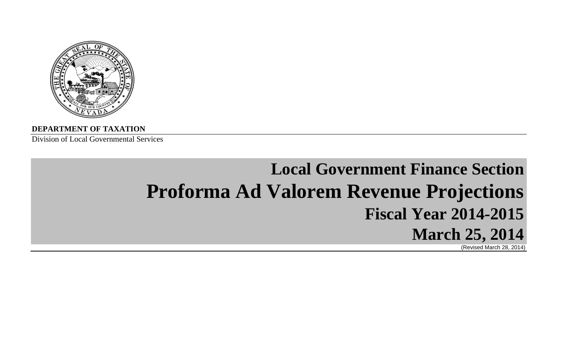

**DEPARTMENT OF TAXATION**

Division of Local Governmental Services

# **Local Government Finance Section Proforma Ad Valorem Revenue Projections Fiscal Year 2014-2015March 25, 2014**

(Revised March 28, 2014)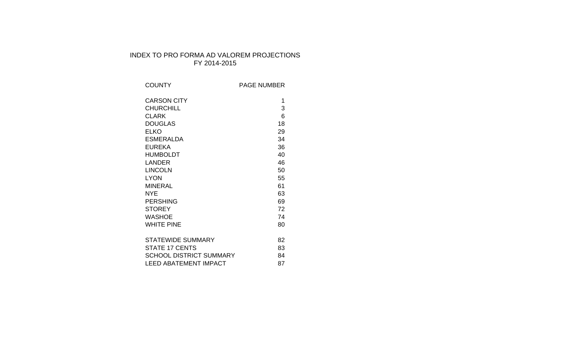# INDEX TO PRO FORMA AD VALOREM PROJECTIONS FY 2014-2015

| <b>COUNTY</b>                  | <b>PAGE NUMBER</b> |
|--------------------------------|--------------------|
| <b>CARSON CITY</b>             | 1                  |
| <b>CHURCHILL</b>               | 3                  |
| <b>CLARK</b>                   | 6                  |
| <b>DOUGLAS</b>                 | 18                 |
| <b>ELKO</b>                    | 29                 |
| <b>ESMERALDA</b>               | 34                 |
| <b>EUREKA</b>                  | 36                 |
| <b>HUMBOLDT</b>                | 40                 |
| <b>LANDER</b>                  | 46                 |
| <b>LINCOLN</b>                 | 50                 |
| <b>LYON</b>                    | 55                 |
| <b>MINERAL</b>                 | 61                 |
| <b>NYE</b>                     | 63                 |
| <b>PERSHING</b>                | 69                 |
| <b>STOREY</b>                  | 72                 |
| <b>WASHOE</b>                  | 74                 |
| <b>WHITE PINE</b>              | 80                 |
| <b>STATEWIDE SUMMARY</b>       | 82                 |
| <b>STATE 17 CENTS</b>          | 83                 |
| <b>SCHOOL DISTRICT SUMMARY</b> | 84                 |
| <b>LEED ABATEMENT IMPACT</b>   | 87                 |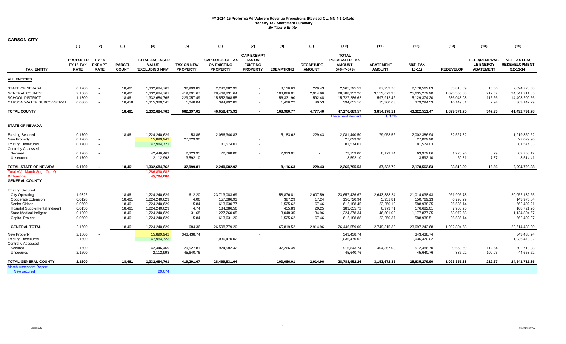| <b>CARSON CITY</b>                                                                                                                                                                            |                                                          |                                                      |                                                          |                                                                                                    |                                                   |                                                                                       |                                                                          |                                                                   |                                                        |                                                                                       |                                                                             |                                                                                       |                                                                           |                                                             |                                                                                       |
|-----------------------------------------------------------------------------------------------------------------------------------------------------------------------------------------------|----------------------------------------------------------|------------------------------------------------------|----------------------------------------------------------|----------------------------------------------------------------------------------------------------|---------------------------------------------------|---------------------------------------------------------------------------------------|--------------------------------------------------------------------------|-------------------------------------------------------------------|--------------------------------------------------------|---------------------------------------------------------------------------------------|-----------------------------------------------------------------------------|---------------------------------------------------------------------------------------|---------------------------------------------------------------------------|-------------------------------------------------------------|---------------------------------------------------------------------------------------|
|                                                                                                                                                                                               | (1)                                                      | (2)                                                  | (3)                                                      | (4)                                                                                                | (5)                                               | (6)                                                                                   | (7)                                                                      | (8)                                                               | (9)                                                    | (10)                                                                                  | (11)                                                                        | (12)                                                                                  | (13)                                                                      | (14)                                                        | (15)                                                                                  |
| <b>TAX ENTITY</b>                                                                                                                                                                             | <b>PROPOSED</b><br><b>FY 15 TAX</b><br><b>RATE</b>       | <b>FY 15</b><br><b>EXEMPT</b><br><b>RATE</b>         | <b>PARCEL</b><br><b>COUNT</b>                            | <b>TOTAL ASSESSED</b><br><b>VALUE</b><br>(EXCLUDING NPM)                                           | <b>TAX ON NEW</b><br><b>PROPERTY</b>              | <b>CAP-SUBJECT TAX</b><br><b>ON EXISTING</b><br><b>PROPERTY</b>                       | <b>CAP-EXEMPT</b><br><b>TAX ON</b><br><b>EXISTING</b><br><b>PROPERTY</b> | <b>EXEMPTIONS</b>                                                 | <b>RECAPTURE</b><br><b>AMOUNT</b>                      | <b>TOTAL</b><br>PREABATED TAX<br><b>AMOUNT</b><br>$(5+6+7-8+9)$                       | <b>ABATEMENT</b><br><b>AMOUNT</b>                                           | <b>NET TAX</b><br>$(10-11)$                                                           | <b>REDEVELOP</b>                                                          | <b>LEED/RENEWAB</b><br><b>LE ENERGY</b><br><b>ABATEMENT</b> | <b>NET TAX LESS</b><br><b>REDEVELOPMENT</b><br>$(12-13-14)$                           |
| <b>ALL ENTITIES</b>                                                                                                                                                                           |                                                          |                                                      |                                                          |                                                                                                    |                                                   |                                                                                       |                                                                          |                                                                   |                                                        |                                                                                       |                                                                             |                                                                                       |                                                                           |                                                             |                                                                                       |
| STATE OF NEVADA<br><b>GENERAL COUNTY</b><br><b>SCHOOL DISTRICT</b><br>CARSON WATER SUBCONSERVA                                                                                                | 0.1700<br>2.1600<br>1.1800<br>0.0300                     | $\sim$<br>$\sim$<br>$\overline{\phantom{a}}$         | 18,461<br>18,461<br>18,461<br>18,458                     | 1,332,684,762<br>1,332,684,761<br>1,332,684,765<br>1,315,380,545                                   | 32,999.81<br>419,291.67<br>229,057.49<br>1,048.04 | 2,240,682.92<br>28,469,831.64<br>15,552,968.55<br>394,992.82                          |                                                                          | 8,116.63<br>103,086.01<br>56,331.90<br>1,426.22                   | 229.43<br>2,914.96<br>1,592.48<br>40.53                | 2,265,795.53<br>28,788,952.26<br>15,727,286.62<br>394,655.16                          | 87,232.70<br>3,153,672.35<br>597,912.42<br>15,360.63                        | 2,178,562.83<br>25,635,279.90<br>15,129,374.20<br>379,294.53                          | 83,818.09<br>1,093,355.38<br>636,048.98<br>16,149.31                      | 16.66<br>212.67<br>115.66<br>2.94                           | 2,094,728.08<br>24,541,711.85<br>14,493,209.56<br>363,142.29                          |
| <b>TOTAL COUNTY</b>                                                                                                                                                                           |                                                          |                                                      | 18,461                                                   | 1,332,684,762                                                                                      | 682,397.01                                        | 46,658,475.93                                                                         | $\sim$                                                                   | 168,960.77                                                        | 4,777.40                                               | 47,176,689.57<br><b>Abatement Percent</b>                                             | 3,854,178.11<br>8.17%                                                       | 43,322,511.47                                                                         | 1,829,371.75                                                              | 347.93                                                      | 41,492,791.78                                                                         |
| <b>STATE OF NEVADA</b>                                                                                                                                                                        |                                                          |                                                      |                                                          |                                                                                                    |                                                   |                                                                                       |                                                                          |                                                                   |                                                        |                                                                                       |                                                                             |                                                                                       |                                                                           |                                                             |                                                                                       |
| <b>Existing Secured</b><br><b>New Property</b><br><b>Existing Unsecured</b><br><b>Centrally Assessed</b>                                                                                      | 0.1700<br>0.1700<br>0.1700                               | $\overline{\phantom{a}}$<br>$\overline{\phantom{a}}$ | 18,461                                                   | 1,224,240,629<br>15.899.943<br>47,984,723                                                          | 53.86<br>27.029.90                                | 2,086,340.83<br>81,574.03                                                             |                                                                          | 5,183.62                                                          | 229.43                                                 | 2,081,440.50<br>27.029.90<br>81,574.03                                                | 79,053.56                                                                   | 2,002,386.94<br>27.029.90<br>81,574.03                                                | 82,527.32                                                                 |                                                             | 1,919,859.62<br>27,029.90<br>81,574.03                                                |
| Secured<br>Unsecured                                                                                                                                                                          | 0.1700<br>0.1700                                         | $\overline{\phantom{a}}$                             |                                                          | 42,446,469<br>2,112,998                                                                            | 2,323.95<br>3,592.10                              | 72,768.06                                                                             |                                                                          | 2,933.01<br>$\sim$                                                | $\overline{\phantom{a}}$                               | 72,159.00<br>3,592.10                                                                 | 8,179.14                                                                    | 63,979.86<br>3,592.10                                                                 | 1,220.96<br>69.81                                                         | 8.79<br>7.87                                                | 62,750.12<br>3,514.41                                                                 |
| TOTAL STATE OF NEVADA                                                                                                                                                                         | 0.1700                                                   | $\overline{\phantom{a}}$                             | 18,461                                                   | 1,332,684,762                                                                                      | 32,999.81                                         | 2,240,682.92                                                                          |                                                                          | 8,116.63                                                          | 229.43                                                 | 2,265,795.53                                                                          | 87,232.70                                                                   | 2,178,562.83                                                                          | 83,818.09                                                                 | 16.66                                                       | 2,094,728.08                                                                          |
| Total AV - March Seg - Col. Q<br><b>Difference</b><br><b>GENERAL COUNTY</b>                                                                                                                   |                                                          |                                                      |                                                          | 1,286,890,682<br>45,794,080                                                                        |                                                   |                                                                                       |                                                                          |                                                                   |                                                        |                                                                                       |                                                                             |                                                                                       |                                                                           |                                                             |                                                                                       |
| <b>Existing Secured</b><br><b>City Operating</b><br>Cooperate Extension<br>Senior Citizen<br><b>Hospital Supplemental Indigent</b><br><b>State Medical Indigent</b><br><b>Capital Project</b> | 1.9322<br>0.0128<br>0.0500<br>0.0150<br>0.1000<br>0.0500 |                                                      | 18,461<br>18,461<br>18,461<br>18,461<br>18,461<br>18,461 | 1,224,240,629<br>1,224,240,629<br>1,224,240,629<br>1,224,240,629<br>1,224,240,629<br>1,224,240,629 | 612.20<br>4.06<br>15.84<br>4.74<br>31.68<br>15.84 | 23,713,083.69<br>157,086.93<br>613,630.77<br>184,086.56<br>1,227,260.05<br>613,631.20 |                                                                          | 58,876.81<br>387.29<br>1,525.62<br>455.83<br>3,048.35<br>1,525.62 | 2,607.59<br>17.24<br>67.46<br>20.25<br>134.96<br>67.46 | 23,657,426.67<br>156.720.94<br>612,188.45<br>183,655.72<br>1,224,378.34<br>612,188.88 | 2,643,388.24<br>5,951.81<br>23,250.10<br>6,973.71<br>46,501.09<br>23,250.37 | 21,014,038.43<br>150,769.13<br>588,938.35<br>176,682.01<br>1,177,877.25<br>588,938.51 | 961,905.78<br>6.793.29<br>26,536.14<br>7,960.75<br>53,072.58<br>26,536.14 |                                                             | 20,052,132.65<br>143,975.84<br>562,402.21<br>168,721.26<br>1,124,804.67<br>562,402.37 |
| <b>GENERAL TOTAL</b>                                                                                                                                                                          | 2.1600                                                   |                                                      | 18,461                                                   | 1,224,240,629                                                                                      | 684.36                                            | 26,508,779.20                                                                         |                                                                          | 65,819.52                                                         | 2,914.96                                               | 26,446,559.00                                                                         | 2,749,315.32                                                                | 23,697,243.68                                                                         | 1,082,804.68                                                              | $\sim$                                                      | 22,614,439.00                                                                         |
| <b>New Property</b><br><b>Existing Unsecured</b><br><b>Centrally Assessed</b>                                                                                                                 | 2.1600<br>2.1600                                         |                                                      |                                                          | 15,899,942<br>47,984,723                                                                           | 343,438.74                                        | 1,036,470.02                                                                          |                                                                          |                                                                   |                                                        | 343,438.74<br>1,036,470.02                                                            |                                                                             | 343,438.74<br>1,036,470.02                                                            |                                                                           |                                                             | 343,438.74<br>1,036,470.02                                                            |
| Secured<br>Unsecured                                                                                                                                                                          | 2.1600<br>2.1600                                         | $\overline{\phantom{a}}$                             |                                                          | 42,446,469<br>2,112,998                                                                            | 29,527.81<br>45,640.76                            | 924,582.42                                                                            |                                                                          | 37,266.49                                                         | $\overline{\phantom{a}}$                               | 916,843.74<br>45,640.76                                                               | 404,357.03                                                                  | 512,486.70<br>45,640.76                                                               | 9,663.69<br>887.02                                                        | 112.64<br>100.03                                            | 502,710.38<br>44,653.72                                                               |
| TOTAL GENERAL COUNTY                                                                                                                                                                          | 2.1600                                                   |                                                      | 18,461                                                   | 1,332,684,761                                                                                      | 419,291.67                                        | 28,469,831.64                                                                         |                                                                          | 103,086.01                                                        | 2,914.96                                               | 28,788,952.26                                                                         | 3,153,672.35                                                                | 25,635,279.90                                                                         | 1,093,355.38                                                              | 212.67                                                      | 24,541,711.85                                                                         |
| <b>March Assessors Report:</b><br><b>New secured</b>                                                                                                                                          |                                                          |                                                      |                                                          | 29,674                                                                                             |                                                   |                                                                                       |                                                                          |                                                                   |                                                        |                                                                                       |                                                                             |                                                                                       |                                                                           |                                                             |                                                                                       |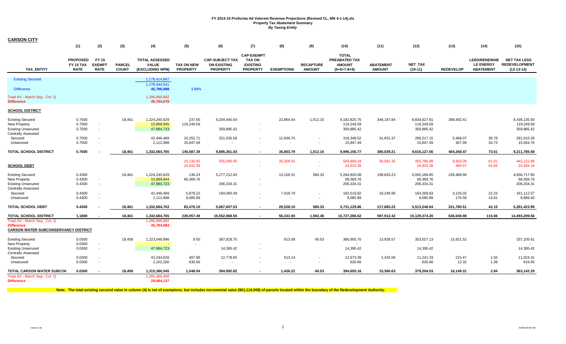| <b>CARSON CITY</b>                                                                                       |                                             |                                              |                               |                                                   |                                      |                                                                 |                                                                          |                                    |                                   |                                                                        |                                   |                                          |                    |                                                             |                                                             |
|----------------------------------------------------------------------------------------------------------|---------------------------------------------|----------------------------------------------|-------------------------------|---------------------------------------------------|--------------------------------------|-----------------------------------------------------------------|--------------------------------------------------------------------------|------------------------------------|-----------------------------------|------------------------------------------------------------------------|-----------------------------------|------------------------------------------|--------------------|-------------------------------------------------------------|-------------------------------------------------------------|
|                                                                                                          | (1)                                         | (2)                                          | (3)                           | (4)                                               | (5)                                  | (6)                                                             | (7)                                                                      | (8)                                | (9)                               | (10)                                                                   | (11)                              | (12)                                     | (13)               | (14)                                                        | (15)                                                        |
| <b>TAX ENTITY</b>                                                                                        | <b>PROPOSED</b><br>FY 15 TAX<br><b>RATE</b> | <b>FY 15</b><br><b>EXEMPT</b><br><b>RATE</b> | <b>PARCEL</b><br><b>COUNT</b> | <b>TOTAL ASSESSED</b><br>VALUE<br>(EXCLUDING NPM) | <b>TAX ON NEW</b><br><b>PROPERTY</b> | <b>CAP-SUBJECT TAX</b><br><b>ON EXISTING</b><br><b>PROPERTY</b> | <b>CAP-EXEMPT</b><br><b>TAX ON</b><br><b>EXISTING</b><br><b>PROPERTY</b> | <b>EXEMPTIONS</b>                  | <b>RECAPTURE</b><br><b>AMOUNT</b> | <b>TOTAL</b><br><b>PREABATED TAX</b><br><b>AMOUNT</b><br>$(5+6+7-8+9)$ | <b>ABATEMENT</b><br><b>AMOUNT</b> | NET_TAX<br>$(10-11)$                     | <b>REDEVELOP</b>   | <b>LEED/RENEWAB</b><br><b>LE ENERGY</b><br><b>ABATEMENT</b> | <b>NET TAX LESS</b><br><b>REDEVELOPMENT</b><br>$(12-13-14)$ |
| <b>Existing Secured</b>                                                                                  |                                             |                                              |                               | 1,178,414,867                                     |                                      |                                                                 |                                                                          |                                    |                                   |                                                                        |                                   |                                          |                    |                                                             |                                                             |
| <b>Difference</b>                                                                                        |                                             |                                              |                               | 1,178,444,541<br>45,796,088                       | 3.89%                                |                                                                 |                                                                          |                                    |                                   |                                                                        |                                   |                                          |                    |                                                             |                                                             |
| Total AV - March Seg - Col. Q<br><b>Difference</b>                                                       |                                             |                                              |                               | 1,286,890,682<br>45,794,079                       |                                      |                                                                 |                                                                          |                                    |                                   |                                                                        |                                   |                                          |                    |                                                             |                                                             |
| <b>SCHOOL DISTRICT</b>                                                                                   |                                             |                                              |                               |                                                   |                                      |                                                                 |                                                                          |                                    |                                   |                                                                        |                                   |                                          |                    |                                                             |                                                             |
| <b>Existing Secured</b><br>New Property<br><b>Existing Unsecured</b>                                     | 0.7500<br>0.7500<br>0.7500                  | $\sim$<br>$\sim$                             | 18,461                        | 1,224,240,629<br>15,899,945<br>47,984,723         | 237.60<br>119,249.59                 | 9,204,440.04<br>359,885.42                                      | $\blacksquare$                                                           | 22,864.04                          | 1,012.15                          | 9,182,825.75<br>119,249.59<br>359,885.42                               | 348,197.84                        | 8,834,627.91<br>119,249.59<br>359,885.42 | 398,492.41         |                                                             | 8,436,135.50<br>119,249.59<br>359,885.42                    |
| <b>Centrally Assessed</b><br>Secured<br>Unsecured                                                        | 0.7500<br>0.7500                            | $\sim$<br>$\sim$                             |                               | 42,446,469<br>2,112,998                           | 10,252.71<br>15,847.49               | 321,035.56                                                      | $\blacksquare$<br>$\blacksquare$                                         | 12,939.75                          |                                   | 318,348.52<br>15,847.49                                                | 31,831.37<br>$\sim$               | 286,517.15<br>15,847.49                  | 5,468.07<br>307.99 | 38.78<br>34.73                                              | 281,010.30<br>15,504.76                                     |
| <b>TOTAL SCHOOL DISTRICT</b>                                                                             | 0.7500                                      |                                              | 18,461                        | 1,332,684,765                                     | 145,587.39                           | 9,885,361.03                                                    | $\sim$                                                                   | 35,803.79                          | 1,012.15                          | 9,996,156.77                                                           | 380,029.21                        | 9,616,127.56                             | 404,268.47         | 73.51                                                       | 9,211,785.58                                                |
| <b>SCHOOL DEBT</b>                                                                                       |                                             |                                              |                               |                                                   | 16,130.93<br>24,933.38               | 505,095.95                                                      | ÷.                                                                       | 20,358.55<br>÷.                    | $\sim$<br>- 1                     | 500,868.34<br>24,933.38                                                | 50,081.35                         | 450,786.98<br>24,933.38                  | 8,603.09<br>484.57 | 61.01<br>54.65                                              | 442,122.88<br>24,394.16                                     |
| <b>Existing Secured</b><br><b>New Property</b><br><b>Existing Unsecured</b><br><b>Centrally Assessed</b> | 0.4300<br>0.4300<br>0.4300                  | $\sim$<br>$\sim$                             | 18.461                        | 1,224,240,629<br>15,899,944<br>47,984,723         | 136.23<br>68,369.76                  | 5,277,212.83<br>206,334.31                                      | $\sim$                                                                   | 13,109.31                          | 580.33                            | 5,264,820.08<br>68,369.76<br>206,334.31                                | 199,633.23                        | 5,065,186.85<br>68,369.76<br>206,334.31  | 228,468.90         |                                                             | 4,836,717.95<br>68,369.76<br>206,334.31                     |
| Secured<br>Unsecured                                                                                     | 0.4300<br>0.4300                            | $\sim$<br>$\sim$                             |                               | 42,446,469<br>2,112,998                           | 5,878.22<br>9,085.89                 | 184,060.39                                                      | $\sim$                                                                   | 7,418.79                           | $\sim$                            | 182,519.82<br>9,085.89                                                 | 18,249.99                         | 164,269.83<br>9,085.89                   | 3,135.02<br>176.58 | 22.23<br>19.91                                              | 161,112.57<br>8,889.40                                      |
| <b>TOTAL SCHOOL DEBT</b>                                                                                 | 0.4300                                      |                                              | 18,461                        | 1,332,684,763                                     | 83,470.10                            | 5,667,607.53                                                    | $\sim$                                                                   | 20,528.10                          | 580.33                            | 5,731,129.86                                                           | 217,883.22                        | 5,513,246.64                             | 231,780.51         | 42.15                                                       | 5,281,423.99                                                |
| <b>TOTAL SCHOOL DISTRICT</b>                                                                             | 1.1800                                      | $\overline{\phantom{a}}$                     | 18,461                        | 1,332,684,765                                     | 229,057.49                           | 15,552,968.55                                                   | $\sim$                                                                   | 56,331.90                          | 1,592.48                          | 15,727,286.62                                                          | 597,912.42                        | 15,129,374.20                            | 636,048.98         | 115.66                                                      | 14,493,209.56                                               |
| Total AV - March Seq - Col. Q<br><b>Difference</b><br><b>CARSON WATER SUBCONSERVANCY DISTRICT</b>        |                                             |                                              |                               | 1,286,890,682<br>45,794,083                       |                                      |                                                                 |                                                                          |                                    |                                   |                                                                        |                                   |                                          |                    |                                                             |                                                             |
| <b>Existing Secured</b>                                                                                  | 0.0300                                      |                                              | 18,458                        | 1,223,048,996                                     | 9.50                                 | 367,818.75                                                      |                                                                          | 913.08                             | 40.53                             | 366,955.70                                                             | 13,928.57                         | 353,027.13                               | 15,921.52          |                                                             | 337,105.61                                                  |
| <b>New Property</b><br><b>Existing Unsecured</b><br><b>Centrally Assessed</b>                            | 0.0300<br>0.0300                            | $\sim$<br>$\sim$                             |                               | 47,984,723                                        |                                      | 14,395.42                                                       | $\overline{\phantom{a}}$                                                 |                                    |                                   | $\overline{\phantom{a}}$<br>14,395.42                                  |                                   | $\sim$<br>14,395.42                      |                    |                                                             | 14,395.42                                                   |
| Secured<br>Unsecured                                                                                     | 0.0300<br>0.0300                            | $\sim$<br>$\sim$                             |                               | 42,244,626<br>2,102,200                           | 407.88<br>630.66                     | 12,778.65                                                       |                                                                          | 513.14<br>$\overline{\phantom{a}}$ | $\sim$                            | 12,673.39<br>630.66                                                    | 1,432.06                          | 11,241.33<br>630.66                      | 215.47<br>12.32    | 1.55<br>1.39                                                | 11,024.31<br>616.95                                         |
| TOTAL CARSON WATER SUBCON<br>Total AV - March Seg - Col. Q<br><b>Difference</b>                          | 0.0300                                      | $\sim$                                       | 18,458                        | 1,315,380,545<br>1,285,486,408<br>29,894,137      | 1,048.04                             | 394,992.82                                                      | $\sim$                                                                   | 1,426.22                           | 40.53                             | 394,655.16                                                             | 15,360.63                         | 379,294.53                               | 16,149.31          | 2.94                                                        | 363,142.29                                                  |

**Note:** The total existing secured value in column (4) is net of exemptons, but includes incremental value (\$51,116,009) of parcels located within the boundary of the Redevelopment Authority.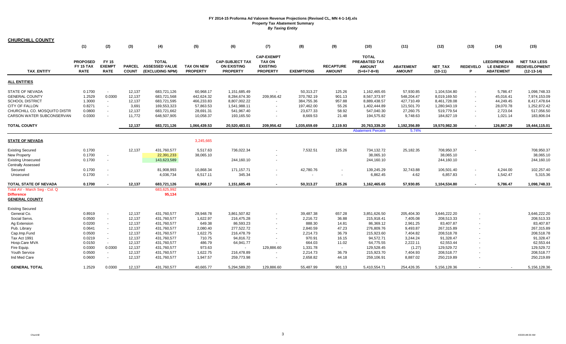| <b>CHURCHILL COUNTY</b>                                                                              |                                             |                                       |                               |                                                          |                                       |                                                                 |                                                                          |                                       |                                   |                                                                      |                                       |                                              |                                              |                                                             |                                                             |
|------------------------------------------------------------------------------------------------------|---------------------------------------------|---------------------------------------|-------------------------------|----------------------------------------------------------|---------------------------------------|-----------------------------------------------------------------|--------------------------------------------------------------------------|---------------------------------------|-----------------------------------|----------------------------------------------------------------------|---------------------------------------|----------------------------------------------|----------------------------------------------|-------------------------------------------------------------|-------------------------------------------------------------|
|                                                                                                      | (1)                                         | (2)                                   | (3)                           | (4)                                                      | (5)                                   | (6)                                                             | (7)                                                                      | (8)                                   | (9)                               | (10)                                                                 | (11)                                  | (12)                                         | (13)                                         | (14)                                                        | (15)                                                        |
| <b>TAX ENTITY</b>                                                                                    | <b>PROPOSED</b><br>FY 15 TAX<br><b>RATE</b> | FY 15<br><b>EXEMPT</b><br><b>RATE</b> | <b>PARCEL</b><br><b>COUNT</b> | <b>TOTAL</b><br><b>ASSESSED VALUE</b><br>(EXCLUDING NPM) | <b>TAX ON NEW</b><br><b>PROPERTY</b>  | <b>CAP-SUBJECT TAX</b><br><b>ON EXISTING</b><br><b>PROPERTY</b> | <b>CAP-EXEMPT</b><br><b>TAX ON</b><br><b>EXISTING</b><br><b>PROPERTY</b> | <b>EXEMPTIONS</b>                     | <b>RECAPTURE</b><br><b>AMOUNT</b> | <b>TOTAL</b><br><b>PREABATED TAX</b><br><b>AMOUNT</b><br>(5+6+7-8+9) | <b>ABATEMENT</b><br><b>AMOUNT</b>     | <b>NET TAX</b><br>$(10-11)$                  | <b>REDEVELO</b>                              | <b>LEED/RENEWAB</b><br><b>LE ENERGY</b><br><b>ABATEMENT</b> | <b>NET TAX LESS</b><br><b>REDEVELOPMENT</b><br>$(12-13-14)$ |
| <b>ALL ENTITIES</b>                                                                                  |                                             |                                       |                               |                                                          |                                       |                                                                 |                                                                          |                                       |                                   |                                                                      |                                       |                                              |                                              |                                                             |                                                             |
| <b>STATE OF NEVADA</b><br><b>GENERAL COUNTY</b><br><b>SCHOOL DISTRICT</b>                            | 0.1700<br>1.2529<br>1.3000                  | $\sim$<br>0.0300<br>$\sim$            | 12,137<br>12,137<br>12,137    | 683,721,126<br>683,721,568<br>683,721,595                | 60,968.17<br>442,624.32<br>466,233.83 | 1,151,685.49<br>8,284,674.30<br>8,807,002.22                    | 209,956.42<br>$\sim$                                                     | 50,313.27<br>370,782.19<br>384,755.36 | 125.26<br>901.13<br>957.88        | 1,162,465.65<br>8,567,373.97<br>8,889,438.57                         | 57,930.85<br>548,204.47<br>427,710.49 | 1,104,534.80<br>8,019,169.50<br>8,461,728.08 | $\overline{\phantom{a}}$<br>$\sim$<br>$\sim$ | 5,786.47<br>45,016.41<br>44,249.45                          | 1,098,748.33<br>7,974,153.09<br>8,417,478.64                |
| <b>CITY OF FALLON</b><br>CHURCHILL CO. MOSQUITO DISTR<br>CARSON WATER SUBCONSERVAN                   | 0.8271<br>0.0800<br>0.0300                  | $\sim$<br>$\sim$<br>$\sim$            | 3,691<br>12,137<br>11.772     | 169,553,323<br>683,721,662<br>648,507,905                | 57,863.53<br>28,691.31<br>10.058.37   | 1,541,988.11<br>541,967.40<br>193.165.50                        | $\sim$                                                                   | 197,462.00<br>23,677.33<br>8.669.53   | 55.26<br>58.92<br>21.48           | 1,402,444.89<br>547,040.30<br>194.575.82                             | 121,501.70<br>27,260.75<br>9.748.63   | 1,280,943.19<br>519,779.54<br>184,827.19     | $\sim$<br>$\sim$<br>$\sim$                   | 28,070.78<br>2,723.04<br>1,021.14                           | 1,252,872.42<br>517,056.50<br>183.806.04                    |
| <b>TOTAL COUNTY</b>                                                                                  |                                             |                                       | 12,137                        | 683,721,126                                              | 1,066,439.53                          | 20,520,483.01                                                   | 209,956.42                                                               | 1,035,659.69                          | 2.119.93                          | 20,763,339.20                                                        | 1,192,356.89                          | 19,570,982.30                                | $\sim$                                       | 126,867.29                                                  | 19,444,115.01                                               |
|                                                                                                      |                                             |                                       |                               |                                                          |                                       |                                                                 |                                                                          |                                       |                                   | <b>Abatement Percen</b>                                              | 5.74%                                 |                                              |                                              |                                                             |                                                             |
| <b>STATE OF NEVADA</b>                                                                               |                                             |                                       |                               |                                                          | 3,245,665                             |                                                                 |                                                                          |                                       |                                   |                                                                      |                                       |                                              |                                              |                                                             |                                                             |
| <b>Existing Secured</b><br><b>New Property</b><br><b>Existing Unsecured</b>                          | 0.1700<br>0.1700<br>0.1700                  | $\sim$<br>$\sim$                      | 12,137                        | 431,760,577<br>22,391,233<br>143,623,589                 | 5,517.63<br>38,065.10                 | 736,022.34<br>244,160.10                                        |                                                                          | 7,532.51                              | 125.26                            | 734,132.72<br>38,065.10<br>244,160.10                                | 25,182.35                             | 708,950.37<br>38,065.10<br>244,160.10        |                                              |                                                             | 708,950.37<br>38,065.10<br>244,160.10                       |
| <b>Centrally Assessed</b><br>Secured<br>Unsecured                                                    | 0.1700<br>0.1700                            |                                       |                               | 81,908,993<br>4,036,734                                  | 10,868.34<br>6,517.11                 | 171,157.71<br>345.34                                            |                                                                          | 42,780.76                             |                                   | 139,245.29<br>6.862.45                                               | 32,743.88<br>4.62                     | 106,501.40<br>6.857.83                       | $\sim$<br>$\sim$                             | 4,244.00<br>1,542.47                                        | 102,257.40<br>5,315.36                                      |
| TOTAL STATE OF NEVADA<br>Total AV - March Seg - Col. Q<br><b>Difference</b><br><b>GENERAL COUNTY</b> | 0.1700                                      | $\overline{\phantom{0}}$              | 12,137                        | 683,721,126<br>683,625,992<br>95,134                     | 60,968.17                             | 1,151,685.49                                                    |                                                                          | 50,313.27                             | 125.26                            | 1,162,465.65                                                         | 57,930.85                             | 1,104,534.80                                 | $\blacksquare$                               | 5,786.47                                                    | 1,098,748.33                                                |
| <b>Existing Secured</b>                                                                              |                                             |                                       |                               |                                                          |                                       |                                                                 |                                                                          |                                       |                                   |                                                                      |                                       |                                              |                                              |                                                             |                                                             |
| General Co.<br>Social Servs.<br>Ag Extension                                                         | 0.8919<br>0.0500<br>0.0200                  | $\sim$<br>$\sim$                      | 12,137<br>12,137<br>12,137    | 431,760,577<br>431,760,577<br>431,760,577                | 28,948.78<br>1,622.97<br>649.38       | 3,861,507.82<br>216,475.28<br>86,593.23                         | $\sim$                                                                   | 39,487.38<br>2,216.72<br>888.30       | 657.28<br>36.88<br>14.81          | 3,851,626.50<br>215,918.41<br>86,369.12                              | 205,404.30<br>7,405.08<br>2,961.25    | 3,646,222.20<br>208,513.33<br>83,407.87      |                                              |                                                             | 3,646,222.20<br>208,513.33<br>83,407.87                     |
| Pub. Library<br>Cap.Imp.Fund<br><b>Tax Act 1991</b>                                                  | 0.0641<br>0.0500<br>0.0219                  | $\sim$<br>$\sim$<br>$\sim$            | 12.137<br>12,137<br>12,137    | 431,760,577<br>431,760,577<br>431,760,577                | 2,080.40<br>1,622.75<br>710.75        | 277,522.72<br>216,478.79<br>94,816.72                           |                                                                          | 2.840.59<br>2,214.73<br>970.91        | 47.23<br>36.79<br>16.15           | 276.809.76<br>215,923.60<br>94,572.71                                | 9.493.87<br>7,404.82<br>3,244.24      | 267.315.89<br>208,518.78<br>91,328.47        |                                              |                                                             | 267,315.89<br>208,518.78<br>91,328.47                       |
| Hosp.Care MVA<br>Fire Equip.                                                                         | 0.0150<br>0.0300                            | $\sim$ $-$<br>0.0300                  | 12,137<br>12,137              | 431,760,577<br>431,760,577                               | 486.79<br>973.63                      | 64,941.77                                                       | $\sim$<br>129,886.60                                                     | 664.03<br>1,331.78                    | 11.02<br>$\sim$                   | 64,775.55<br>129,528.45                                              | 2,222.11<br>(1.27)                    | 62,553.44<br>129,529.72                      |                                              |                                                             | 62,553.44<br>129,529.72                                     |
| Youth Service<br>Ind Med Care                                                                        | 0.0500<br>0.0600                            | $\sim$                                | 12,137<br>12,137              | 431,760,577<br>431,760,577                               | 1,622.75<br>1,947.57                  | 216,478.89<br>259,773.98                                        |                                                                          | 2,214.73<br>2,658.82                  | 36.79<br>44.18                    | 215,923.70<br>259,106.91                                             | 7,404.93<br>8,887.02                  | 208,518.77<br>250,219.89                     |                                              |                                                             | 208,518.77<br>250,219.89                                    |
| <b>GENERAL TOTAL</b>                                                                                 | 1.2529                                      | 0.0300                                | 12,137                        | 431,760,577                                              | 40,665.77                             | 5,294,589.20                                                    | 129.886.60                                                               | 55,487.99                             | 901.13                            | 5,410,554.71                                                         | 254,426.35                            | 5,156,128.36                                 |                                              |                                                             | 5,156,128.36                                                |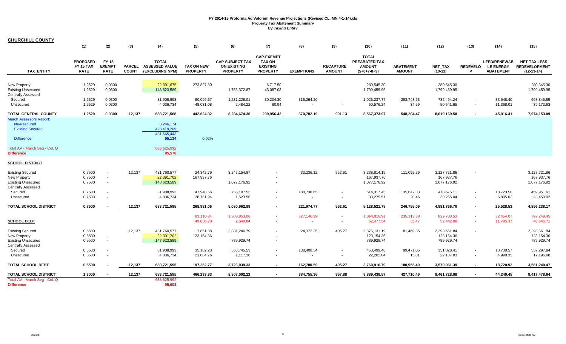| <b>CHURCHILL COUNTY</b>                                                                                                                                    |                                             |                                              |                               |                                                                            |                                      |                                                                 |                                                                          |                         |                                   |                                                                        |                                   |                                                          |                          |                                                             |                                                             |
|------------------------------------------------------------------------------------------------------------------------------------------------------------|---------------------------------------------|----------------------------------------------|-------------------------------|----------------------------------------------------------------------------|--------------------------------------|-----------------------------------------------------------------|--------------------------------------------------------------------------|-------------------------|-----------------------------------|------------------------------------------------------------------------|-----------------------------------|----------------------------------------------------------|--------------------------|-------------------------------------------------------------|-------------------------------------------------------------|
|                                                                                                                                                            | (1)                                         | (2)                                          | (3)                           | (4)                                                                        | (5)                                  | (6)                                                             | (7)                                                                      | (8)                     | (9)                               | (10)                                                                   | (11)                              | (12)                                                     | (13)                     | (14)                                                        | (15)                                                        |
| <b>TAX ENTITY</b>                                                                                                                                          | <b>PROPOSED</b><br>FY 15 TAX<br><b>RATE</b> | <b>FY 15</b><br><b>EXEMPT</b><br><b>RATE</b> | <b>PARCEL</b><br><b>COUNT</b> | <b>TOTAL</b><br><b>ASSESSED VALUE</b><br>(EXCLUDING NPM)                   | <b>TAX ON NEW</b><br><b>PROPERTY</b> | <b>CAP-SUBJECT TAX</b><br><b>ON EXISTING</b><br><b>PROPERTY</b> | <b>CAP-EXEMPT</b><br><b>TAX ON</b><br><b>EXISTING</b><br><b>PROPERTY</b> | <b>EXEMPTIONS</b>       | <b>RECAPTURE</b><br><b>AMOUNT</b> | <b>TOTAL</b><br><b>PREABATED TAX</b><br><b>AMOUNT</b><br>$(5+6+7-8+9)$ | <b>ABATEMENT</b><br><b>AMOUNT</b> | <b>NET TAX</b><br>$(10-11)$                              | <b>REDEVELO</b><br>P     | <b>LEED/RENEWAB</b><br><b>LE ENERGY</b><br><b>ABATEMENT</b> | <b>NET TAX LESS</b><br><b>REDEVELOPMENT</b><br>$(12-13-14)$ |
| New Property<br><b>Existing Unsecured</b><br><b>Centrally Assessed</b>                                                                                     | 1.2529<br>1.2529                            | 0.0300<br>0.0300                             |                               | 22,391,675<br>143,623,589                                                  | 273,827.80                           | 1,756,372.87                                                    | 6,717.50<br>43,087.08                                                    |                         |                                   | 280,545.30<br>1,799,459.95                                             |                                   | 280,545.30<br>1,799,459.95                               |                          |                                                             | 280,545.30<br>1,799,459.95                                  |
| Secured<br>Unsecured                                                                                                                                       | 1.2529<br>1.2529                            | 0.0300<br>0.0300                             |                               | 81,908,993<br>4,036,734                                                    | 80,099.67<br>48,031.08               | 1,231,228.01<br>2,484.22                                        | 30,204.30<br>60.94                                                       | 315,294.20              | $\sim$                            | 1,026,237.77<br>50,576.24                                              | 293,743.53<br>34.59               | 732,494.24<br>50,541.65                                  | $\sim$<br>$\sim$         | 33,648.40<br>11,368.01                                      | 698,845.85<br>39,173.63                                     |
| <b>TOTAL GENERAL COUNTY</b>                                                                                                                                | 1.2529                                      | 0.0300                                       | 12,137                        | 683,721,568                                                                | 442,624.32                           | 8,284,674.30                                                    | 209,956.42                                                               | 370,782.19              | 901.13                            | 8,567,373.97                                                           | 548,204.47                        | 8,019,169.50                                             | $\blacksquare$           | 45,016.41                                                   | 7,974,153.09                                                |
| <b>March Assessors Report:</b><br><b>New secured</b><br><b>Existing Secured</b><br><b>Difference</b><br>Total AV - March Seg - Col. Q<br><b>Difference</b> |                                             |                                              |                               | 3,246,174<br>428,419,269<br>431,665,443<br>95,134<br>683,625,992<br>95,576 | 0.02%                                |                                                                 |                                                                          |                         |                                   |                                                                        |                                   |                                                          |                          |                                                             |                                                             |
| <b>SCHOOL DISTRICT</b>                                                                                                                                     |                                             |                                              |                               |                                                                            |                                      |                                                                 |                                                                          |                         |                                   |                                                                        |                                   |                                                          |                          |                                                             |                                                             |
| <b>Existing Secured</b><br>New Property<br><b>Existing Unsecured</b><br><b>Centrally Assessed</b><br>Secured                                               | 0.7500<br>0.7500<br>0.7500<br>0.7500        | $\sim$<br>$\sim$<br>$\sim$                   | 12,137                        | 431,760,577<br>22,391,702<br>143,623,589<br>81,908,993                     | 24,342.79<br>167,937.76<br>47,948.56 | 3,247,154.87<br>1,077,176.92<br>755,107.53                      |                                                                          | 33,236.12<br>188,738.65 | 552.61                            | 3,238,814.15<br>167,937.76<br>1,077,176.92<br>614,317.45               | 111,092.29<br>135,642.33          | 3,127,721.86<br>167,937.76<br>1,077,176.92<br>478,675.11 | $\sim$                   | 18,723.50                                                   | 3,127,721.86<br>167,937.76<br>1,077,176.92<br>459,951.61    |
| Unsecured                                                                                                                                                  | 0.7500                                      |                                              |                               | 4,036,734                                                                  | 28,751.94                            | 1,523.56                                                        |                                                                          |                         |                                   | 30,275.51                                                              | 20.46                             | 30,255.04                                                | $\sim$                   | 6,805.02                                                    | 23,450.02                                                   |
| TOTAL SCHOOL DISTRICT                                                                                                                                      | 0.7500                                      |                                              | 12,137                        | 683,721,595                                                                | 268,981.06                           | 5,080,962.88                                                    | $\blacksquare$                                                           | 221,974.77              | 552.61                            | 5,128,521.78                                                           | 246,755.09                        | 4,881,766.70                                             | $\overline{\phantom{0}}$ | 25,528.53                                                   | 4,856,238.17                                                |
| <b>SCHOOL DEBT</b>                                                                                                                                         |                                             |                                              |                               |                                                                            | 83,110.84<br>49,836.70               | 1,308,853.06<br>2,640.84                                        | a.                                                                       | 327,146.99<br>$\sim$    | $\sim$                            | 1,064,816.91<br>52,477.54                                              | 235,113.38<br>35.47               | 829,703.53<br>52,442.08                                  | $\sim$<br>×.             | 32,454.07<br>11,795.37                                      | 797,249.45<br>40,646.71                                     |
| <b>Existing Secured</b><br>New Property<br><b>Existing Unsecured</b><br>Centrally Assessed                                                                 | 0.5500<br>0.5500<br>0.5500                  | $\sim$<br><b>Section</b>                     | 12,137                        | 431,760,577<br>22,391,702<br>143,623,589                                   | 17,851.38<br>123, 154.36             | 2,381,246.79<br>789,929.74                                      |                                                                          | 24,372.25               | 405.27                            | 2,375,131.19<br>123, 154.36<br>789,929.74                              | 81,469.35                         | 2,293,661.84<br>123,154.36<br>789,929.74                 |                          |                                                             | 2,293,661.84<br>123, 154.36<br>789,929.74                   |
| Secured<br>Unsecured                                                                                                                                       | 0.5500<br>0.5500                            | $\sim$                                       |                               | 81,908,993<br>4,036,734                                                    | 35,162.28<br>21,084.76               | 553,745.53<br>1,117.28                                          | $\sim$                                                                   | 138,408.34<br>$\sim$    | $\sim$                            | 450,499.46<br>22,202.04                                                | 99,471.05<br>15.01                | 351,028.41<br>22,187.03                                  | $\blacksquare$<br>$\sim$ | 13,730.57<br>4,990.35                                       | 337,297.84<br>17,196.68                                     |
| <b>TOTAL SCHOOL DEBT</b>                                                                                                                                   | 0.5500                                      |                                              | 12,137                        | 683,721,595                                                                | 197,252.77                           | 3,726,039.33                                                    |                                                                          | 162,780.59              | 405.27                            | 3,760,916.79                                                           | 180,955.40                        | 3,579,961.39                                             | $\blacksquare$           | 18,720.92                                                   | 3,561,240.47                                                |
| <b>TOTAL SCHOOL DISTRICT</b>                                                                                                                               | 1.3000                                      |                                              | 12,137                        | 683,721,595                                                                | 466,233.83                           | 8,807,002.22                                                    |                                                                          | 384,755.36              | 957.88                            | 8,889,438.57                                                           | 427,710.49                        | 8,461,728.08                                             |                          | 44,249.45                                                   | 8,417,478.64                                                |
| Total AV - March Seg - Col. Q<br><b>Difference</b>                                                                                                         |                                             |                                              |                               | 683,625,992<br>95,603                                                      |                                      |                                                                 |                                                                          |                         |                                   |                                                                        |                                   |                                                          |                          |                                                             |                                                             |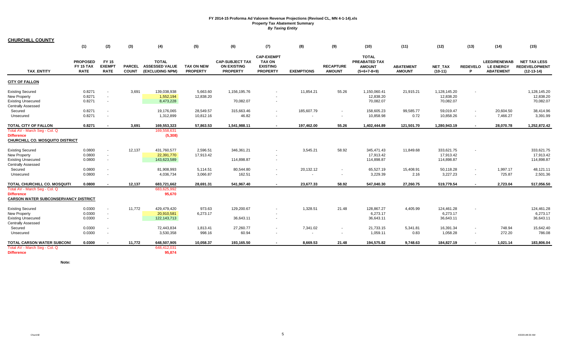(1) (2) (3) (4) (5) (6) (7) (8) (9) (10) (11) (12) (13) (14) (15) **TAX\_ENTITY PROPOSED FY 15 TAX RATE FY 15 EXEMPT RATE PARCEL COUNT TOTAL ASSESSED VALUE (EXCLUDING NPM) TAX ON NEW PROPERTY CAP-SUBJECT TAX ON EXISTING PROPERTY CAP-EXEMPT TAX ON EXISTING PROPERTY EXEMPTIONS RECAPTURE AMOUNT TOTAL PREABATED TAX AMOUNT (5+6+7-8+9) ABATEMENT AMOUNT NET\_TAX (10-11) REDEVELOP LEED/RENEWABLE ENERGY ABATEMENT NET TAX LESS REDEVELOPMENT (12-13-14) CITY OF FALLON** Existing Secured 0.8271 - 3,691 139,038,938 5,663.60 1,156,195.76 11,854.21 55.26 1,150,060.41 21,915.21 1,128,145.20 - 1,128,145.20 1,128,145.20 New Property 0.8271 - 1,552,194 12,838.20 - 12,838.20 12,838.20 12,838.20 Existing Unsecured 0.8271 - 8,473,228 70,082.07 70,082.07 70,082.07 Centrally Assessed Secured 0.8271 - 19,176,065 28,549.57 315,663.46 185,607.79 158,605.23 99,585.77 59,019.47 20,604.50 38,414.96 Unsecured 0.8271 - 1,312,899 10,812.16 46.82 - - - 10,858.98 0.72 10,858.26 - 7,466.27 3,391.99 **TOTAL CITY OF FALLON 0.8271 - 3,691 169,553,323 57,863.53 1,541,988.11 - 197,462.00 55.26 1,402,444.89 121,501.70 1,280,943.19 - 28,070.78 1,252,872.42** Total AV - March Seg - Col. Q 169,558,631<br>Difference (5,308) **Difference (5,308) CHURCHILL CO. MOSQUITO DISTRICT**Existing Secured 0.0800 - 12,137 431,760,577 2,596.51 346,361.21 3,545.21 58.92 345,471.43 11,849.68 333,621.75 333,621.75 333,621.75 New Property 0.0800 - 22,391,770 17,913.42 - 17,913.42 17,913.42 17,913.42 Existing Unsecured 0.0800 143,623,589 114,898.87 114,898.87 114,898.87 114,898.87 Centrally Assessed Secured 0.0800 - 81,908,993 5,114.51 80,544.80 20,132.12 65,527.19 15,408.91 50,118.28 1,997.17 48,121.11 Unsecured 0.0800 - 4,036,734 3,066.87 162.51 - - - 3,229.39 2.16 3,227.23 - 725.87 2,501.36 **TOTAL CHURCHILL CO. MOSQUITO - 0.0800 12,137 683,721,662 28,691.31 541,967.40 - 23,677.33 58.92 547,040.30 27,260.75 519,779.54 - 2,723.04 517,056.50** Total AV - March Seg - Col. Q 683,625,992 **Difference 95,670 CARSON WATER SUBCONSERVANCY DISTRICT**Existing Secured 0.0300 - 11,772 429,479,420 129,200.67 1,328.51 128,867.27 4,405.99 124,461.28 124,461.28 New Property 0.0300 - 20,910,581 6,273.17 - 6,273.17 6,273.17 6,273.17 Existing Unsecured 0.0300 22,143,713 36,643.11 36,643.11 36,643.11 36,643.11 Centrally Assessed Secured 0.0300 - 72,443,834 1,813.41 27,260.77 - 7,341.02 - 21,733.15 5,341.81 16,391.34 - 748.94 15,642.40 Unsecured 0.0300 - 3,530,358 998.16 60.94 1,059.11 0.83 1,058.28 772.20 786.08 **TOTAL CARSON WATER SUBCONS 0.0300 - 0.0300 11,772 648,507,905 10,058.37 193,165.50 - 8,669.53 21.48 194,575.82 9,748.63 184,827.19 - 1,021.14 183,806.04** Total AV - March Seg - Col. Q 648,412,031 **Difference95,874**

**Note:**

**CHURCHILL COUNTY**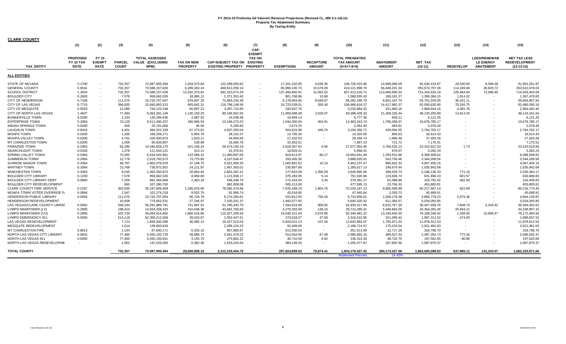| <b>CLARK COUNTY</b>              |                                             |                                       |                               |                                                   |                                      |                                                       |                                                     |                   |                                   |                                                              |                                   |                             |                  |                                                             |                                                             |
|----------------------------------|---------------------------------------------|---------------------------------------|-------------------------------|---------------------------------------------------|--------------------------------------|-------------------------------------------------------|-----------------------------------------------------|-------------------|-----------------------------------|--------------------------------------------------------------|-----------------------------------|-----------------------------|------------------|-------------------------------------------------------------|-------------------------------------------------------------|
|                                  | (1)                                         | (2)                                   | (3)                           | (4)                                               | (5)                                  | (6)                                                   | (7)<br>CAP-<br><b>EXEMPT</b>                        | (8)               | (9)                               | (10)                                                         | (11)                              | (12)                        | (13)             | (14)                                                        | (15)                                                        |
| <b>TAX ENTITY</b>                | <b>PROPOSED</b><br>FY 15 TAX<br><b>RATE</b> | FY 15<br><b>EXEMPT</b><br><b>RATE</b> | <b>PARCEL</b><br><b>COUNT</b> | <b>TOTAL ASSESSED</b><br>VALUE (EXCLUDING<br>NPM) | <b>TAX ON NEW</b><br><b>PROPERTY</b> | <b>CAP-SUBJECT TAX ON</b><br><b>EXISTING PROPERTY</b> | <b>TAX ON</b><br><b>EXISTING</b><br><b>PROPERTY</b> | <b>EXEMPTIONS</b> | <b>RECAPTURE</b><br><b>AMOUNT</b> | <b>TOTAL PREABATED</b><br><b>TAX AMOUNT</b><br>$(5+6+7-8+9)$ | <b>ABATEMENT</b><br><b>AMOUNT</b> | <b>NET TAX</b><br>$(10-11)$ | <b>REDEVELOP</b> | <b>LEED/RENEWAB</b><br><b>LE ENERGY</b><br><b>ABATEMENT</b> | <b>NET TAX LESS</b><br><b>REDEVELOPMENT</b><br>$(12-13-14)$ |
| <b>ALL ENTITIES</b>              |                                             |                                       |                               |                                                   |                                      |                                                       |                                                     |                   |                                   |                                                              |                                   |                             |                  |                                                             |                                                             |
| STATE OF NEVADA                  | 0.1700                                      |                                       | 732,357                       | 73,587,905,284                                    | 1,634,573.84                         | 122,289,055.62                                        | $\overline{\phantom{a}}$                            | 17,201,162.85     | 4,049.35                          | 106,726,515.96                                               | 14,696,096.09                     | 92,030,419.87               | 29,540.00        | 9,598.00                                                    | 91,991,281.87                                               |
| <b>GENERAL COUNTY</b>            | 0.6541                                      |                                       | 732,357                       | 73,588,157,626                                    | 6,289,263.24                         | 469,813,258.10                                        |                                                     | 65,996,100.73     | 15,578.09                         | 410,121,998.70                                               | 56,448,201.34                     | 353,673,797.36              | 114,189.60       | 36,929.72                                                   | 353,522,678.03                                              |
| SCHOOL DISTRICT                  | 1.3034                                      | $\sim$                                | 732,357                       | 73,588,157,628                                    | 12,532,373.81                        | 942,310,673.29                                        |                                                     | 127,460,892.91    | 31.062.52                         | 827,413,216.71                                               | 113,069,690.52                    | 714,343,526.18              | 226,484.64       | 73,588.45                                                   | 714,043,453.09                                              |
| <b>BOULDER CITY</b>              | 0.2600                                      | $\sim$                                | 7,578                         | 958,662,026                                       | 18,960.12                            | 2,371,353.40                                          | $\overline{\phantom{a}}$                            | 801,768.96        | 10.86                             | 1,588,555.43                                                 | 189, 161.27                       | 1,399,394.15                | 1,914.32         |                                                             | 1,397,479.83                                                |
| <b>CITY OF HENDERSON</b>         | 0.7108                                      |                                       | 111.075                       | 10.720.707.047                                    | 678.847.33                           | 73,883,244.39                                         |                                                     | 6.178.954.60      | 9,049.67                          | 68,392,186.79                                                | 8.691.167.74                      | 59,701,019.05               | 36,161.11        |                                                             | 59.664.857.94                                               |
| <b>CITY OF LAS VEGAS</b>         | 0.7715                                      | $\sim$                                | 396,820                       | 15,845,803,313                                    | 893,642.31                           | 116,798,148.58                                        |                                                     | 10,723,528.01     | 355.40                            | 106,968,618.27                                               | 14,417,982.37                     | 92,550,635.90               | 70,245.75        |                                                             | 92,480,390.16                                               |
| <b>CITY OF MESQUITE</b>          | 0.5520                                      |                                       | 12,095                        | 744,123,248                                       | 65,897.23                            | 3,497,724.85                                          |                                                     | 342,937.76        | $\sim$                            | 3,220,684.32                                                 | 251,840.16                        | 2,968,844.16                | 4,381.76         |                                                             | 2,964,462.40                                                |
| CITY OF NORTH LAS VEGAS          | 1.4637                                      |                                       | 77,460                        | 5,564,291,149                                     | 1,130,159.20                         | 80,166,952.55                                         |                                                     | 11,900,698.49     | 2,026.07                          | 69,398,439.33                                                | 21,268,183.44                     | 48,130,255.89               | 13,814.25        |                                                             | 48,116,441.64                                               |
| <b>BUNKERVILLE TOWN</b>          | 0.0200                                      |                                       | 1,233                         | 130,294,936                                       | 2,087.52                             | 24,548.98                                             |                                                     | 19,859.14         | $\sim$                            | 6,777.36                                                     | 656.11                            | 6,121.25                    |                  |                                                             | 6,121.25                                                    |
| <b>ENTERPRISE TOWN</b>           | 0.2064                                      |                                       | 74,129                        | 6,511,490,257                                     | 340,966.54                           | 13,166,273.23                                         |                                                     | 1,044,300.94      | 304.91                            | 12,463,243.74                                                | 1,786,458.57                      | 10,676,785.17               |                  |                                                             | 10,676,785.17                                               |
| <b>INDIAN SPRINGS TOWN</b>       | 0.0200                                      |                                       | 459                           | 25,701,806                                        | 36.05                                | 5,200.60                                              |                                                     | 2.674.25          | $\sim$                            | 2,562.40                                                     | 483.91                            | 2,078.49                    |                  |                                                             | 2,078.49                                                    |
| <b>LAUGHLIN TOWN</b>             | 0.8416                                      |                                       | 4,451                         | 484,522,339                                       | 67,273.81                            | 4,037,250.04                                          |                                                     | 910,615.89        | 448.75                            | 3,194,356.71                                                 | 429,594.55                        | 2,764,762.17                |                  |                                                             | 2,764,762.17                                                |
| <b>MOAPA TOWN</b>                | 0.0200                                      |                                       | 1,200                         | 168,258,271                                       | 5.893.78                             | 28,191.57                                             |                                                     | 14,765.30         |                                   | 19.320.05                                                    | 805.63                            | 18,514.43                   |                  |                                                             | 18,514.43                                                   |
| MOAPA VALLEY TOWN                | 0.0200                                      |                                       | 4,781                         | 229,405,874                                       | 1,933.11                             | 44,958.65                                             |                                                     | 17,432.03         | $\overline{\phantom{a}}$          | 29,459.74                                                    | 1,966.46                          | 27,493.28                   |                  |                                                             | 27,493.28                                                   |
| MT CHARLESTON TOWN               | 0.0200                                      |                                       | 1,059                         | 90,620,807                                        | 139.96                               | 18,060.78                                             |                                                     | 10,303.51         | $\sim$                            | 7,897.23                                                     | 721.72                            | 7,175.51                    |                  |                                                             | 7,175.51                                                    |
| <b>PARADISE TOWN</b>             | 0.2064                                      |                                       | 63,280                        | 14,446,828,170                                    | 421,166.24                           | 29,474,194.19                                         |                                                     | 2,818,307.63      | 0.65                              | 27,077,053.46                                                | 3,766,532.13                      | 23,310,521.33               | 1.73             |                                                             | 23,310,519.60                                               |
| <b>SEARCHLIGHT TOWN</b>          | 0.0200                                      |                                       | 1,278                         | 111,543,121                                       | 413.11                               | 22,378.61                                             | $\sim$                                              | 16,833.41         | $\sim$                            | 5,958.31                                                     | 676.07                            | 5,282.24                    |                  |                                                             | 5,282.24                                                    |
| SPRING VALLEY TOWN               | 0.2064                                      |                                       | 70,392                        | 5,534,043,981                                     | 122,068.22                           | 11,360,807.06                                         |                                                     | 819,913.97        | 80.17                             | 10,663,041.48                                                | 1,294,531.86                      | 9,368,509.62                |                  |                                                             | 9,368,509.62                                                |
| <b>SUMMERLIN TOWN</b>            | 0.2064                                      |                                       | 12,778                        | 2,019,793,573                                     | 73,775.85                            | 4,107,649.47                                          |                                                     | 293,405.30        | $\sim$                            | 3,888,020.01                                                 | 543,750.46                        | 3,344,269.56                |                  |                                                             | 3,344,269.56                                                |
| SUNRISE MANOR TOWN               | 0.2064                                      |                                       | 48.787                        | 2,862,479,978                                     | 37,149.75                            | 5,921,959.20                                          |                                                     | 1,005,881.62      | 10.14                             | 4,953,237.47                                                 | 885,832.32                        | 4,067,405.15                |                  |                                                             | 4,067,405.15                                                |
| WHITNEY TOWN                     | 0.2064                                      |                                       | 13,768                        | 730,672,652                                       | 24,121.97                            | 1,497,363.01                                          |                                                     | 235,867.86        |                                   | 1,285,617.13                                                 | 249,674.44                        | 1,035,942.68                |                  |                                                             | 1,035,942.68                                                |
| WINCHESTER TOWN                  | 0.2064                                      | $\sim$                                | 9,245                         | 1,363,250,873                                     | 20,864.44                            | 2,801,287.41                                          | $\sim$                                              | 177,843.09        | 1,356.29                          | 2,645,665.06                                                 | 399,529.73                        | 2,246,135.33                | 771.16           |                                                             | 2,245,364.17                                                |
| <b>BOULDER CITY LIBRARY</b>      | 0.1230                                      |                                       | 7,578                         | 958,662,026                                       | 8,969.60                             | 1,121,836.17                                          |                                                     | 379,283.95        | 5.14                              | 751,526.96                                                   | 119,836.73                        | 631,690.23                  | 801.57           |                                                             | 630,888.65                                                  |
| BOULDER CITY LIBRARY DEBT        | 0.0800                                      |                                       | 7,259                         | 682,464,608                                       | 2,463.18                             | 549,348.78                                            | $\overline{\phantom{a}}$                            | 172,424.03        | 3.34                              | 379,391.27                                                   | 62,598.86                         | 316,792.42                  | 382.59           |                                                             | 316,409.83                                                  |
| BOULDER CITY REDEVELOPMENT       | $\sim$                                      |                                       | 660                           | 107,280,700                                       |                                      | 982,809.08                                            |                                                     | 505,213.95        | $\sim$                            | 477,595.13                                                   | 23,794.32                         | 453,800.81                  |                  |                                                             | 453,800.81                                                  |
| <b>CLARK COUNTY FIRE SERVICE</b> | 0.2197                                      |                                       | 302,605                       | 35,247,909,409                                    | 1,185,076.90                         | 76,592,474.66                                         |                                                     | 7,676,269.19      | 1,904.76                          | 70,103,187.13                                                | 9,885,589.99                      | 60,217,597.14               | 822.69           |                                                             | 60,216,774.45                                               |
| MOAPA TOWN VOTER OVERRIDE P/     | 0.0894                                      |                                       | 1,047                         | 101,274,218                                       | 9,502.70                             | 81,956.74                                             | $\overline{\phantom{a}}$                            | 43,518.80         | $\sim$                            | 47,940.64                                                    | 2,250.73                          | 45,689.91                   |                  |                                                             | 45,689.91                                                   |
| HENDERSON PUBLIC LIBRARY         | 0.0594                                      |                                       | 111,075                       | 10,720,707,054                                    | 56,729.79                            | 6,174,284.61                                          |                                                     | 515,812.05        | 756.26                            | 5,715,958.61                                                 | 1,049,179.38                      | 4,666,779.23                | 2,675.36         |                                                             | 4,664,103.87                                                |
| HENDERSON REDEVELOPMENT          | $\sim$ 100 $\mu$                            |                                       | 10,408                        | 774,852,531                                       | 27,246.97                            | 7,100,251.37                                          |                                                     | 1,482,077.92      | $\overline{\phantom{a}}$          | 5,645,420.42                                                 | 611,364.57                        | 5,034,055.85                |                  |                                                             | 5,034,055.85                                                |
| LAS VEGAS/CLARK COUNTY LIBRAF    | 0.0942                                      |                                       | 536,244                       | 56,281,889,791                                    | 741,687.52                           | 51,785,443.70                                         |                                                     | 7,594,623.99      | 909.82                            | 44,933,417.06                                                | 8,525,757.30                      | 36,407,659.76               | 7,848.73         | 5,318.42                                                    | 36,394,492.61                                               |
| LVMPD MANPOWER (LV)              | 0.2800                                      | $\sim$                                | 198,410                       | 14,934,428,425                                    | 310,648.38                           | 43,681,783.93                                         |                                                     | 4,279,283.00      | 136.10                            | 39,713,285.41                                                | 5,348,894.05                      | 34, 364, 391. 36            | 25,494.21        |                                                             | 34,338,897.15                                               |
| LVMPD MANPOWER (CO)              | 0.2800                                      | $\sim$                                | 325,739                       | 39,694,814,802                                    | 1,860,516.86                         | 110,027,209.44                                        | $\sim$                                              | 19,540,321.93     | 2,576.85                          | 92,349,981.22                                                | 13,160,640.30                     | 79,189,340.92               | 1,048.50         | 15,808.47                                                   | 79,172,483.94                                               |
| LVMPD EMERGENCY 911              | 0.0050                                      |                                       | 514,118                       | 52,359,212,569                                    | 39,533.67                            | 2,552,447.51                                          |                                                     | 273,618.07        | 47.83                             | 2,318,410.95                                                 | 321,099.42                        | 1,997,311.52                | 474.00           |                                                             | 1,996,837.52                                                |
| LAS VEGAS REDEVELOPMENT          | $\sim$                                      |                                       | 7,723                         | 1,658,930,398                                     | 40,385.13                            | 19,427,513.03                                         |                                                     | 5,824,021.13      | 107.04                            | 13,643,984.07                                                | 1,765,971.54                      | 11,878,012.53               |                  |                                                             | 11,878,012.53                                               |
| MESQUITE REDEVELOPMENT           | $\sim$                                      |                                       | 1,014                         | 139,663,629                                       | $\overline{\phantom{a}}$             | 2,289,124.23                                          | $\overline{\phantom{a}}$                            | 92,409.66         | $\overline{a}$                    | 2,196,714.57                                                 | 175,233.54                        | 2,021,481.03                |                  |                                                             | 2,021,481.03                                                |
| MT CHARLESTON FIRE               | 0.8813                                      |                                       | 1.144                         | 97,640,171                                        | 6,203.16                             | 857,860.87                                            |                                                     | 512.550.03        |                                   | 351,513.99                                                   | 32,717.29                         | 318,796.70                  |                  |                                                             | 318,796.70                                                  |
| NORTH LAS VEGAS CITY LIBRARY     | 0.0632                                      |                                       | 77,460                        | 5,550,193,729                                     | 39,888.73                            | 3,461,470.02                                          | $\sim$                                              | 514,564.06        | 87.48                             | 2,986,882.16                                                 | 489,527.43                        | 2,497,354.73                | 772.26           |                                                             | 2,496,582.47                                                |
| <b>NORTH LAS VEGAS 911</b>       | 0.0050                                      |                                       | 77,460                        | 5,550,193,651                                     | 3,155.75                             | 273,862.22                                            |                                                     | 40,710.59         | 6.92                              | 236,314.30                                                   | 38,732.75                         | 197,581.55                  | 60.86            |                                                             | 197,520.69                                                  |
| NORTH LAS VEGAS REDEVELOPME      | $\sim$                                      |                                       | 1,952                         | 141,525,065                                       | 6,382.36                             | 1,633,244.84                                          |                                                     | 384,149.33        | $\sim$                            | 1,255,477.87                                                 | 167,602.50                        | 1,087,875.37                |                  |                                                             | 1,087,875.37                                                |
| <b>TOTAL COUNTY</b>              |                                             |                                       | 732,357                       | 73,587,905,284                                    | 28,699,998.15                        | 2,212,233,454.79                                      |                                                     | 297,824,899.93    | 70.874.41                         | 1,943,179,427.42<br><b>Abatement Percent</b>                 | 280, 174, 327.59<br>14.42%        | 1,663,005,099.83            | 537,885.11       | 141.243.07                                                  | 1,662,325,971.66                                            |
|                                  |                                             |                                       |                               |                                                   |                                      |                                                       |                                                     |                   |                                   |                                                              |                                   |                             |                  |                                                             |                                                             |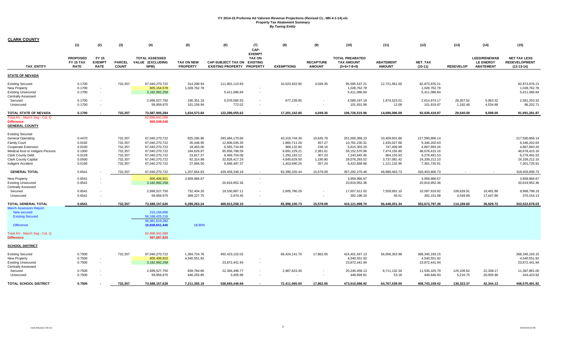|                                                                                                                                                                                                                              | (1)                                                                | (2)                                      | (3)                                                                       | (4)                                                                                                                        | (5)                                                                                       | (6)                                                                                                               | (7)<br>CAP-                                       | (8)                                                                                                         | (9)                                                                       | (10)                                                                                                                | (11)                                                                                                      | (12)                                                                                                             | (13)                   | (14)                                                        | (15)                                                                                                             |
|------------------------------------------------------------------------------------------------------------------------------------------------------------------------------------------------------------------------------|--------------------------------------------------------------------|------------------------------------------|---------------------------------------------------------------------------|----------------------------------------------------------------------------------------------------------------------------|-------------------------------------------------------------------------------------------|-------------------------------------------------------------------------------------------------------------------|---------------------------------------------------|-------------------------------------------------------------------------------------------------------------|---------------------------------------------------------------------------|---------------------------------------------------------------------------------------------------------------------|-----------------------------------------------------------------------------------------------------------|------------------------------------------------------------------------------------------------------------------|------------------------|-------------------------------------------------------------|------------------------------------------------------------------------------------------------------------------|
| <b>TAX ENTITY</b>                                                                                                                                                                                                            | <b>PROPOSED</b><br><b>FY 15 TAX</b><br><b>RATE</b>                 | FY 15<br><b>EXEMPT</b><br><b>RATE</b>    | <b>PARCEL</b><br><b>COUNT</b>                                             | <b>TOTAL ASSESSED</b><br>VALUE (EXCLUDING<br>NPM)                                                                          | <b>TAX ON NEW</b><br><b>PROPERTY</b>                                                      | <b>CAP-SUBJECT TAX ON</b><br><b>EXISTING PROPERTY PROPERTY</b>                                                    | <b>EXEMPT</b><br><b>TAX ON</b><br><b>EXISTING</b> | <b>EXEMPTIONS</b>                                                                                           | <b>RECAPTURE</b><br><b>AMOUNT</b>                                         | <b>TOTAL PREABATED</b><br><b>TAX AMOUNT</b><br>$(5+6+7-8+9)$                                                        | <b>ABATEMENT</b><br><b>AMOUNT</b>                                                                         | <b>NET TAX</b><br>$(10-11)$                                                                                      | <b>REDEVELOP</b>       | <b>LEED/RENEWAB</b><br><b>LE ENERGY</b><br><b>ABATEMENT</b> | <b>NET TAX LESS</b><br><b>REDEVELOPMENT</b><br>$(12-13-14)$                                                      |
| <b>STATE OF NEVADA</b>                                                                                                                                                                                                       |                                                                    |                                          |                                                                           |                                                                                                                            |                                                                                           |                                                                                                                   |                                                   |                                                                                                             |                                                                           |                                                                                                                     |                                                                                                           |                                                                                                                  |                        |                                                             |                                                                                                                  |
| <b>Existing Secured</b><br><b>New Property</b><br><b>Existing Unsecured</b><br><b>Centrally Assessed</b>                                                                                                                     | 0.1700<br>0.1700<br>0.1700                                         | $\sim$                                   | 732,357                                                                   | 67,040,270,722<br>605, 154, 578<br>3, 182, 992, 258                                                                        | 314,299.93<br>1,028,762.78                                                                | 111,801,110.83<br>5,411,086.84                                                                                    | $\sim$                                            | 16,523,922.90                                                                                               | 4,049.35                                                                  | 95,595,537.21<br>1,028,762.78<br>5,411,086.84                                                                       | 12,721,561.00                                                                                             | 82,873,976.21<br>1,028,762.78<br>5,411,086.84                                                                    |                        |                                                             | 82,873,976.21<br>1,028,762.78<br>5,411,086.84                                                                    |
| Secured<br>Unsecured                                                                                                                                                                                                         | 0.1700<br>0.1700                                                   | $\sim$                                   |                                                                           | 2,699,527,750<br>59,959,975                                                                                                | 190,351.19<br>101,159.94                                                                  | 5,076,085.93<br>772.02                                                                                            | $\sim$                                            | 677,239.95                                                                                                  |                                                                           | 4,589,197.18<br>101,931.96                                                                                          | 1,974,523.01<br>12.08                                                                                     | 2,614,674.17<br>101,919.87                                                                                       | 28,357.52<br>1,182.48  | 5,063.32<br>4,534.68                                        | 2,581,253.32<br>96,202.71                                                                                        |
| TOTAL STATE OF NEVADA                                                                                                                                                                                                        | 0.1700                                                             |                                          | 732,357                                                                   | 73,587,905,284                                                                                                             | 1,634,573.84                                                                              | 122,289,055.62                                                                                                    |                                                   | 17,201,162.85                                                                                               | 4.049.35                                                                  | 106,726,515.96                                                                                                      | 14,696,096.09                                                                                             | 92,030,419.87                                                                                                    | 29,540.00              | 9,598.00                                                    | 91,991,281.87                                                                                                    |
| Total AV - March Seg - Col. Q<br><b>Difference</b><br><b>GENERAL COUNTY</b>                                                                                                                                                  |                                                                    |                                          |                                                                           | 62,898,942,089<br>969,008,548                                                                                              |                                                                                           |                                                                                                                   |                                                   |                                                                                                             |                                                                           |                                                                                                                     |                                                                                                           |                                                                                                                  |                        |                                                             |                                                                                                                  |
| <b>Existing Secured</b><br><b>General Operating</b><br><b>Family Court</b><br>Cooperate Extension<br>Medical Asst to Indigent Persons<br><b>Clark County Debt</b><br><b>Clark County Capital</b><br><b>Indigent Accident</b> | 0.4470<br>0.0192<br>0.0100<br>0.1000<br>0.0129<br>0.0500<br>0.0150 |                                          | 732,357<br>732,357<br>732,357<br>732,357<br>732,357<br>732,357<br>732,357 | 67,040,270,722<br>67,040,270,722<br>67.040.270.722<br>67,040,270,722<br>67,040,270,722<br>67,040,270,722<br>67,040,270,722 | 825,295.96<br>35,448.95<br>18,463.00<br>184,629.97<br>23,817.27<br>92,314.98<br>27,694.50 | 293,484,170.66<br>12,606,035.35<br>6.565.734.89<br>65,656,788.59<br>8,469,704.08<br>32,828,417.24<br>9,848,497.37 |                                                   | 43,319,744.30<br>1,860,711.26<br>969.132.80<br>9,691,229.21<br>1,250,183.12<br>4,845,629.50<br>1,453,690.25 | 10,645.78<br>457.27<br>238.16<br>2,381.61<br>307.23<br>1,190.80<br>357.24 | 251,000,368.10<br>10,781,230.31<br>5.615.303.25<br>56, 152, 570.96<br>7,243,645.46<br>28,076,293.52<br>8,422,858.86 | 33,409,501.96<br>1,435,027.68<br>747.409.99<br>7,474,155.80<br>964,153.93<br>3,737,081.42<br>1,121,132.95 | 217,590,866.14<br>9,346,202.63<br>4.867.893.26<br>48,678,415.16<br>6,279,491.53<br>24,339,212.10<br>7,301,725.91 |                        |                                                             | 217,590,866.14<br>9,346,202.63<br>4,867,893.26<br>48,678,415.16<br>6,279,491.53<br>24,339,212.10<br>7,301,725.91 |
| <b>GENERAL TOTAL</b>                                                                                                                                                                                                         | 0.6541                                                             |                                          | 732,357                                                                   | 67,040,270,722                                                                                                             | 1,207,664.63                                                                              | 429,459,348.18                                                                                                    |                                                   | 63,390,320.44                                                                                               | 15,578.09                                                                 | 367,292,270.46                                                                                                      | 48,888,463.73                                                                                             | 318,403,806.73                                                                                                   |                        |                                                             | 318,403,806.73                                                                                                   |
| <b>New Property</b><br><b>Existing Unsecured</b><br><b>Centrally Assessed</b>                                                                                                                                                | 0.6541<br>0.6541                                                   |                                          |                                                                           | 605,406,921<br>3,182,992,258                                                                                               | 3,959,966.67                                                                              | 20,819,952.36                                                                                                     | $\sim$<br>$\sim$                                  |                                                                                                             |                                                                           | 3,959,966.67<br>20,819,952.36                                                                                       |                                                                                                           | 3,959,966.67<br>20,819,952.36                                                                                    |                        |                                                             | 3,959,966.67<br>20,819,952.36                                                                                    |
| Secured<br>Unsecured                                                                                                                                                                                                         | 0.6541<br>0.6541                                                   |                                          |                                                                           | 2,699,527,750<br>59,959,975                                                                                                | 732,404.20<br>389,227.75                                                                  | 19,530,987.11<br>2,970.45                                                                                         | $\sim$<br>$\sim$                                  | 2,605,780.29<br>$\sim$                                                                                      |                                                                           | 17,657,611.02<br>392,198.20                                                                                         | 7,559,691.10<br>46.51                                                                                     | 10,097,919.92<br>392,151.68                                                                                      | 109,639.91<br>4,549.69 | 19,481.86<br>17,447.86                                      | 9,968,798.15<br>370, 154.13                                                                                      |
| TOTAL GENERAL TOTAL<br><b>March Assessors Report:</b><br>New secured<br><b>Existing Secured</b><br><b>Difference</b><br>Total AV - March Seg - Col. Q<br><b>Difference</b>                                                   | 0.6541                                                             |                                          | 732,357                                                                   | 73,588,157,626<br>215, 194, 066<br>56, 166, 425, 216<br>56,381,619,282<br>10,658,651,440<br>62,898,942,089<br>997,987,829  | 6,289,263.24<br>18.90%                                                                    | 469,813,258.10                                                                                                    | $\sim$                                            | 65,996,100.73                                                                                               | 15,578.09                                                                 | 410,121,998.70                                                                                                      | 56,448,201.34                                                                                             | 353,673,797.36                                                                                                   | 114,189.60             | 36,929.72                                                   | 353,522,678.03                                                                                                   |
| <u>SCHOOL DISTRICT</u>                                                                                                                                                                                                       |                                                                    |                                          |                                                                           |                                                                                                                            |                                                                                           |                                                                                                                   |                                                   |                                                                                                             |                                                                           |                                                                                                                     |                                                                                                           |                                                                                                                  |                        |                                                             |                                                                                                                  |
| <b>Existing Secured</b><br>New Property<br><b>Existing Unsecured</b><br>Centrally Assessed                                                                                                                                   | 0.7500<br>0.7500<br>0.7500                                         | $\overline{\phantom{a}}$<br>$\mathbf{r}$ | 732,357                                                                   | 67,040,270,722<br>605,406,922<br>3, 182, 992, 258                                                                          | 1,384,724.76<br>4,540,551.92                                                              | 492,423,102.02<br>23,872,441.94                                                                                   | $\sim$                                            | 69,424,141.70                                                                                               | 17,862.05                                                                 | 424,401,547.13<br>4,540,551.92<br>23,872,441.94                                                                     | 56,056,353.98                                                                                             | 368, 345, 193. 15<br>4,540,551.92<br>23,872,441.94                                                               |                        |                                                             | 368,345,193.15<br>4,540,551.92<br>23,872,441.94                                                                  |
| Secured<br>Unsecured                                                                                                                                                                                                         | 0.7500<br>0.7500                                                   |                                          |                                                                           | 2,699,527,750<br>59,959,975                                                                                                | 839,784.66<br>446,293.85                                                                  | 22,394,496.77<br>3,405.96                                                                                         | $\overline{\phantom{a}}$<br>$\sim$                | 2,987,823.30<br>$\sim$                                                                                      | $\sim$                                                                    | 20,246,458.13<br>449,699.81                                                                                         | 8,711,132.34<br>53.18                                                                                     | 11,535,325.79<br>449,646.63                                                                                      | 125,106.62<br>5,216.75 | 22,338.17<br>20,005.96                                      | 11,387,881.00<br>424,423.92                                                                                      |
| TOTAL SCHOOL DISTRICT                                                                                                                                                                                                        | 0.7500                                                             |                                          | 732,357                                                                   | 73,588,157,628                                                                                                             | 7,211,355.19                                                                              | 538,693,446.68                                                                                                    |                                                   | 72,411,965.00                                                                                               | 17,862.05                                                                 | 473,510,698.92                                                                                                      | 64,767,539.50                                                                                             | 408,743,159.42                                                                                                   | 130,323.37             | 42,344.13                                                   | 408,570,491.92                                                                                                   |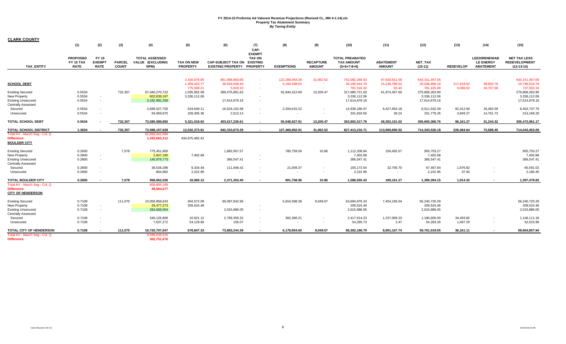|                                                                                | (1)                                         | (2)                                          | (3)                    | (4)                                               | (5)                                        | (6)                                                            | (7)<br>CAP-<br><b>EXEMPT</b>       | (8)                            | (9)                                   | (10)                                                         | (11)                                      | (12)                                            | (13)                             | (14)                                                        | (15)                                                        |
|--------------------------------------------------------------------------------|---------------------------------------------|----------------------------------------------|------------------------|---------------------------------------------------|--------------------------------------------|----------------------------------------------------------------|------------------------------------|--------------------------------|---------------------------------------|--------------------------------------------------------------|-------------------------------------------|-------------------------------------------------|----------------------------------|-------------------------------------------------------------|-------------------------------------------------------------|
| <b>TAX ENTITY</b>                                                              | <b>PROPOSED</b><br>FY 15 TAX<br><b>RATE</b> | <b>FY 15</b><br><b>EXEMPT</b><br><b>RATE</b> | PARCEL<br><b>COUNT</b> | <b>TOTAL ASSESSED</b><br>VALUE (EXCLUDING<br>NPM) | <b>TAX ON NEW</b><br><b>PROPERTY</b>       | <b>CAP-SUBJECT TAX ON</b><br><b>EXISTING PROPERTY PROPERTY</b> | <b>TAX ON</b><br><b>EXISTING</b>   | <b>EXEMPTIONS</b>              | <b>RECAPTURE</b><br><b>AMOUNT</b>     | <b>TOTAL PREABATED</b><br><b>TAX AMOUNT</b><br>$(5+6+7-8+9)$ | <b>ABATEMENT</b><br><b>AMOUNT</b>         | <b>NET TAX</b><br>$(10-11)$                     | <b>REDEVELOP</b>                 | <b>LEED/RENEWAB</b><br><b>LE ENERGY</b><br><b>ABATEMENT</b> | <b>NET TAX LESS</b><br><b>REDEVELOPMENT</b><br>$(12-13-14)$ |
|                                                                                |                                             |                                              |                        |                                                   |                                            |                                                                |                                    |                                |                                       |                                                              |                                           |                                                 |                                  |                                                             |                                                             |
| <b>SCHOOL DEBT</b>                                                             |                                             |                                              |                        |                                                   | 2,420,676.85<br>1.459.433.77<br>775,599.21 | 861.898.983.65<br>38.918.649.45<br>5,919.10                    | $\sim$<br>$\sim$<br>$\sim$         | 122.268.454.39<br>5,192,438.52 | 31,062.52<br><b>College</b><br>$\sim$ | 742.082.268.63<br>35, 185, 644. 70<br>781,518.32             | 97,930,811.58<br>15, 138, 786.52<br>92.43 | 644, 151, 457.05<br>20,046,858.18<br>781,425.89 | $\sim$<br>217,418.62<br>9,066.02 | $\sim$<br>38,820.76<br>34,767.68                            | 644, 151, 457.05<br>19,790,618.79<br>737,592.19             |
| <b>Existing Secured</b><br>New Property                                        | 0.5534<br>0.5534                            | $\sim$                                       | 732,357                | 67,040,270,722<br>602,839,187                     | 1,035,952.09<br>3,336,112.06               | 369,475,881.63                                                 | $\sim$                             | 52,844,312.69                  | 13,200.47                             | 317,680,721.50<br>3,336,112.06                               | 41,874,457.60                             | 275,806,263.90<br>3,336,112.06                  |                                  |                                                             | 275,806,263.90<br>3,336,112.06                              |
| <b>Existing Unsecured</b><br><b>Centrally Assessed</b>                         | 0.5534                                      | $\sim$                                       |                        | 3,182,992,258                                     |                                            | 17,614,679.16                                                  | $\sim$                             |                                |                                       | 17,614,679.16                                                |                                           | 17,614,679.16                                   |                                  |                                                             | 17,614,679.16                                               |
| Secured<br>Unsecured                                                           | 0.5534<br>0.5534                            | $\sim$                                       |                        | 2,699,527,750<br>59,959,975                       | 619,649.11<br>329,305.36                   | 16,524,152.68<br>2,513.14                                      | $\sim$<br>$\sim$                   | 2,204,615.22                   |                                       | 14,939,186.57<br>331,818.50                                  | 6,427,654.18<br>39.24                     | 8,511,532.39<br>331,779.26                      | 92,312.00<br>3,849.27            | 16,482.59<br>14,761.73                                      | 8,402,737.79<br>313,168.26                                  |
| <b>TOTAL SCHOOL DEBT</b>                                                       | 0.5534                                      |                                              | 732.357                | 73.585.589.892                                    | 5.321.018.62                               | 403.617.226.61                                                 | $\sim$                             | 55.048.927.91                  | 13.200.47                             | 353.902.517.79                                               | 48.302.151.02                             | 305.600.366.76                                  | 96.161.27                        | 31.244.32                                                   | 305.472.961.17                                              |
| <b>TOTAL SCHOOL DISTRICT</b>                                                   | 1.3034                                      | $\overline{\phantom{a}}$                     | 732,357                | 73,588,157,628                                    | 12,532,373.81                              | 942,310,673.29                                                 | $\sim$                             | 127,460,892.91                 | 31,062.52                             | 827,413,216.71                                               | 113,069,690.52                            | 714,343,526.18                                  | 226,484.64                       | 73,588.45                                                   | 714,043,453.09                                              |
| Total AV - March Seg - Col. Q<br><b>Difference</b><br><b>BOULDER CITY</b>      |                                             |                                              |                        | 62,898,942,089<br>1,432,663,312                   | 434,675,482.42                             |                                                                |                                    |                                |                                       |                                                              |                                           |                                                 |                                  |                                                             |                                                             |
| <b>Existing Secured</b><br>New Property<br><b>Existing Unsecured</b>           | 0.2600<br>0.2600<br>0.2600                  | $\sim$<br>$\sim$                             | 7,578                  | 775,451,800<br>2,847,185<br>140,979,773           | 7,402.68                                   | 1,892,957.57<br>366,547.41                                     | $\overline{\phantom{a}}$<br>$\sim$ | 780,759.59                     | 10.86                                 | 1,112,208.84<br>7,402.68<br>366,547.41                       | 156,455.57                                | 955,753.27<br>7,402.68<br>366,547.41            |                                  |                                                             | 955,753.27<br>7,402.68<br>366,547.41                        |
| <b>Centrally Assessed</b><br>Secured                                           | 0.2600                                      | $\sim$                                       |                        | 38,528,286                                        | 9,334.49                                   | 111,848.42                                                     | $\sim$                             | 21,009.37                      |                                       | 100,173.54                                                   | 32,705.70                                 | 67,467.84                                       | 1,876.82                         |                                                             | 65,591.02                                                   |
| Unsecured                                                                      | 0.2600                                      | $\sim$                                       |                        | 854,982                                           | 2,222.95                                   |                                                                | $\overline{\phantom{a}}$           | $\overline{\phantom{a}}$       |                                       | 2,222.95                                                     | $\sim$                                    | 2,222.95                                        | 37.50                            |                                                             | 2,185.45                                                    |
| TOTAL BOULDER CITY                                                             | 0.2600                                      |                                              | 7,578                  | 958,662,026                                       | 18,960.12                                  | 2,371,353.40                                                   |                                    | 801,768.96                     | 10.86                                 | 1,588,555.43                                                 | 189,161.27                                | 1,399,394.15                                    | 1,914.32                         |                                                             | 1,397,479.83                                                |
| Total AV - March Seg - Col. Q<br><b>Difference</b><br><b>CITY OF HENDERSON</b> |                                             |                                              |                        | 609,805,199<br>48,564,677                         |                                            |                                                                |                                    |                                |                                       |                                                              |                                           |                                                 |                                  |                                                             |                                                             |
| <b>Existing Secured</b><br>New Property                                        | 0.7108<br>0.7108                            | $\sim$                                       | 111,075                | 10,059,858,643<br>29,477,273                      | 404,572.09<br>209,524.46                   | 69,097,842.96                                                  | $\overline{\phantom{a}}$           | 5,816,588.39                   | 9,049.67                              | 63,694,876.33<br>209,524.46                                  | 7,454,156.04                              | 56,240,720.29<br>209,524.46                     |                                  |                                                             | 56,240,720.29<br>209,524.46                                 |
| <b>Existing Unsecured</b><br><b>Centrally Assessed</b>                         | 0.7108                                      | $\sim$                                       |                        | 283,608,054                                       |                                            | 2,015,886.05                                                   | $\sim$                             |                                |                                       | 2,015,886.05                                                 |                                           | 2,015,886.05                                    |                                  |                                                             | 2,015,886.05                                                |
| Secured<br>Unsecured                                                           | 0.7108<br>0.7108                            | $\sim$                                       |                        | 340,125,806<br>7,637,272                          | 10,621.12<br>54,129.66                     | 2,769,359.32<br>156.07                                         | $\sim$<br>$\sim$                   | 362,366.21<br>$\sim$           | $\sim$                                | 2,417,614.23<br>54,285.73                                    | 1,237,009.23<br>2.47                      | 1,180,605.00<br>54,283.26                       | 34,493.82<br>1,667.29            |                                                             | 1,146,111.18<br>52,615.96                                   |
| TOTAL CITY OF HENDERSON                                                        | 0.7108                                      |                                              | 111,075                | 10,720,707,047                                    | 678,847.33                                 | 73,883,244.39                                                  | $\sim$                             | 6,178,954.60                   | 9.049.67                              | 68,392,186.79                                                | 8,691,167.74                              | 59,701,019.05                                   | 36,161.11                        | $\sim$                                                      | 59,664,857.94                                               |
| Total AV - March Seg - Col. Q<br><b>Difference</b>                             |                                             |                                              |                        | 9,599,639,616<br>302,751,676                      |                                            |                                                                |                                    |                                |                                       |                                                              |                                           |                                                 |                                  |                                                             |                                                             |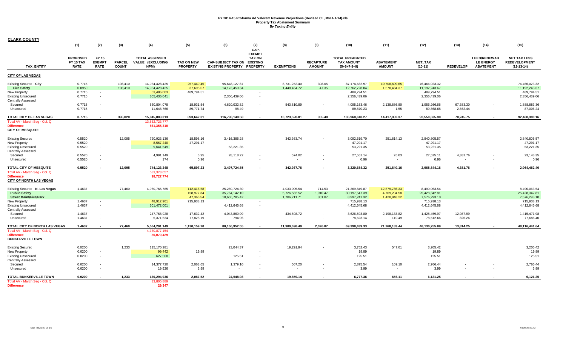|                                              | (1)                                                | (2)                                   | (3)                           | (4)                                               | (5)                                  | (6)                                                            | (7)<br>CAP-<br><b>EXEMPT</b>     | (8)                      | (9)                               | (10)                                                         | (11)                              | (12)                        | (13)             | (14)                                                        | (15)                                                        |
|----------------------------------------------|----------------------------------------------------|---------------------------------------|-------------------------------|---------------------------------------------------|--------------------------------------|----------------------------------------------------------------|----------------------------------|--------------------------|-----------------------------------|--------------------------------------------------------------|-----------------------------------|-----------------------------|------------------|-------------------------------------------------------------|-------------------------------------------------------------|
| <b>TAX ENTITY</b>                            | <b>PROPOSED</b><br><b>FY 15 TAX</b><br><b>RATE</b> | FY 15<br><b>EXEMPT</b><br><b>RATE</b> | <b>PARCEL</b><br><b>COUNT</b> | <b>TOTAL ASSESSED</b><br>VALUE (EXCLUDING<br>NPM) | <b>TAX ON NEW</b><br><b>PROPERTY</b> | <b>CAP-SUBJECT TAX ON</b><br><b>EXISTING PROPERTY PROPERTY</b> | <b>TAX ON</b><br><b>EXISTING</b> | <b>EXEMPTIONS</b>        | <b>RECAPTURE</b><br><b>AMOUNT</b> | <b>TOTAL PREABATED</b><br><b>TAX AMOUNT</b><br>$(5+6+7-8+9)$ | <b>ABATEMENT</b><br><b>AMOUNT</b> | <b>NET TAX</b><br>$(10-11)$ | <b>REDEVELOP</b> | <b>LEED/RENEWAB</b><br><b>LE ENERGY</b><br><b>ABATEMENT</b> | <b>NET TAX LESS</b><br><b>REDEVELOPMENT</b><br>$(12-13-14)$ |
| <b>CITY OF LAS VEGAS</b>                     |                                                    |                                       |                               |                                                   |                                      |                                                                |                                  |                          |                                   |                                                              |                                   |                             |                  |                                                             |                                                             |
| Existing Secured - City                      | 0.7715                                             |                                       | 198,410                       | 14,934,428,425                                    | 257,449.45                           | 95,648,127.87                                                  |                                  | 8,731,252.40             | 308.05                            | 87,174,632.97                                                | 10,708,609.65                     | 76,466,023.32               |                  |                                                             | 76,466,023.32                                               |
| <b>Fire Safety</b>                           | 0.0950                                             |                                       | 198,410                       | 14,934,428,425                                    | 37,695.07                            | 14,173,450.34                                                  |                                  | 1,448,464.72             | 47.35                             | 12,762,728.04                                                | 1,570,484.37                      | 11, 192, 243. 67            |                  |                                                             | 11,192,243.67                                               |
| New Property                                 | 0.7715                                             | $\sim$                                |                               | 63,486,003                                        | 489,794.51                           |                                                                | $\sim$                           |                          |                                   | 489,794.51                                                   |                                   | 489,794.51                  |                  |                                                             | 489,794.51                                                  |
| <b>Existing Unsecured</b>                    | 0.7715                                             | $\sim$                                |                               | 305,436,041                                       |                                      | 2,356,439.06                                                   | $\sim$                           |                          |                                   | 2,356,439.06                                                 |                                   | 2,356,439.06                |                  |                                                             | 2,356,439.06                                                |
| Centrally Assessed<br>Secured                | 0.7715                                             | $\sim$                                |                               | 530,804,078                                       | 18,931.54                            | 4,620,032.82                                                   | $\sim$                           | 543,810.89               |                                   | 4,095,153.46                                                 | 2,138,886.80                      | 1,956,266.66                | 67,383.30        |                                                             | 1,888,883.36                                                |
| Unsecured                                    | 0.7715                                             | $\sim$                                |                               | 11,648,766                                        | 89,771.74                            | 98.49                                                          | $\sim$                           | $\sim$                   |                                   | 89,870.23                                                    | 1.55                              | 89,868.68                   | 2,862.44         | $\overline{\phantom{a}}$                                    | 87,006.24                                                   |
|                                              |                                                    |                                       |                               |                                                   |                                      |                                                                |                                  |                          |                                   |                                                              |                                   |                             |                  |                                                             |                                                             |
| TOTAL CITY OF LAS VEGAS                      | 0.7715                                             |                                       | 396.820                       | 15,845,803,313                                    | 893,642.31                           | 116,798,148.58                                                 | $\sim$                           | 10.723.528.01            | 355.40                            | 106,968,618.27                                               | 14,417,982.37                     | 92,550,635.90               | 70,245.75        | $\sim$                                                      | 92,480,390.16                                               |
| Total AV - March Seg - Col. Q                |                                                    |                                       |                               | 13,852,723,777                                    |                                      |                                                                |                                  |                          |                                   |                                                              |                                   |                             |                  |                                                             |                                                             |
| <b>Difference</b><br><b>CITY OF MESQUITE</b> |                                                    |                                       |                               | 861,355,310                                       |                                      |                                                                |                                  |                          |                                   |                                                              |                                   |                             |                  |                                                             |                                                             |
|                                              |                                                    |                                       |                               |                                                   |                                      |                                                                |                                  |                          |                                   |                                                              |                                   |                             |                  |                                                             |                                                             |
| <b>Existing Secured</b>                      | 0.5520                                             |                                       | 12,095                        | 720,923,136                                       | 18,598.16                            | 3,416,385.28                                                   |                                  | 342,363.74               |                                   | 3,092,619.70                                                 | 251,814.13                        | 2,840,805.57                |                  |                                                             | 2,840,805.57                                                |
| New Property                                 | 0.5520                                             | $\sim$                                |                               | 8,567,240                                         | 47,291.17                            |                                                                | $\overline{\phantom{a}}$         |                          |                                   | 47,291.17                                                    |                                   | 47,291.17                   |                  |                                                             | 47,291.17                                                   |
| <b>Existing Unsecured</b>                    | 0.5520                                             | $\sim$                                |                               | 9,641,549                                         |                                      | 53,221.35                                                      | $\sim$                           |                          |                                   | 53,221.35                                                    |                                   | 53,221.35                   |                  |                                                             | 53,221.35                                                   |
| Centrally Assessed<br>Secured                | 0.5520                                             |                                       |                               | 4,991,149                                         | 6.95                                 | 28,118.22                                                      | $\sim$                           | 574.02                   |                                   | 27,551.14                                                    | 26.03                             | 27,525.11                   | 4,381.76         |                                                             | 23,143.35                                                   |
| Unsecured                                    | 0.5520                                             | $\sim$                                |                               | 174                                               | 0.96                                 | $\overline{\phantom{a}}$                                       | $\sim$                           | $\overline{\phantom{a}}$ |                                   | 0.96                                                         | $\blacksquare$                    | 0.96                        |                  | $\overline{\phantom{a}}$                                    | 0.96                                                        |
|                                              |                                                    |                                       |                               |                                                   |                                      |                                                                |                                  |                          |                                   |                                                              |                                   |                             |                  |                                                             |                                                             |
| TOTAL CITY OF MESQUITE                       | 0.5520                                             |                                       | 12,095                        | 744,123,248                                       | 65,897.23                            | 3,497,724.85                                                   |                                  | 342,937.76               | $\sim$                            | 3,220,684.32                                                 | 251,840.16                        | 2.968.844.16                | 4,381.76         | $\sim$                                                      | 2,964,462.40                                                |
| Total AV - March Seg - Col. Q                |                                                    |                                       |                               | 583,373,057                                       |                                      |                                                                |                                  |                          |                                   |                                                              |                                   |                             |                  |                                                             |                                                             |
| <b>Difference</b>                            |                                                    |                                       |                               | 98,727,774                                        |                                      |                                                                |                                  |                          |                                   |                                                              |                                   |                             |                  |                                                             |                                                             |
| <b>CITY OF NORTH LAS VEGAS</b>               |                                                    |                                       |                               |                                                   |                                      |                                                                |                                  |                          |                                   |                                                              |                                   |                             |                  |                                                             |                                                             |
| Existing Secured - N. Las Vegas              | 1.4637                                             |                                       | 77,460                        | 4,960,765,785                                     | 112,416.58                           | 25,289,724.30                                                  |                                  | 4,033,005.54             | 714.53                            | 21,369,849.87                                                | 12,879,786.33                     | 8,490,063.54                |                  |                                                             | 8,490,063.54                                                |
| <b>Public Safety</b>                         |                                                    |                                       |                               |                                                   | 158,977.34                           | 35,764,142.10                                                  |                                  | 5,726,582.52             | 1,010.47                          | 30, 197, 547.39                                              | 4,769,204.58                      | 25,428,342.81               |                  |                                                             | 25,428,342.81                                               |
| <b>Street Maint/Fire/Park</b>                |                                                    |                                       |                               |                                                   | 47,366.54                            | 10,655,785.42                                                  |                                  | 1,706,211.71             | 301.07                            | 8,997,241.32                                                 | 1,420,948.22                      | 7,576,293.10                |                  |                                                             | 7,576,293.10                                                |
| New Property                                 | 1.4637                                             | $\sim$                                |                               | 48,912,901                                        | 715,938.13                           |                                                                | $\sim$                           |                          |                                   | 715,938.13                                                   |                                   | 715,938.13                  |                  |                                                             | 715,938.13                                                  |
| <b>Existing Unsecured</b>                    | 1.4637                                             | $\sim$                                |                               | 301,472,001                                       |                                      | 4,412,645.68                                                   | $\sim$                           |                          |                                   | 4,412,645.68                                                 |                                   | 4,412,645.68                |                  |                                                             | 4,412,645.68                                                |
| Centrally Assessed                           |                                                    |                                       |                               |                                                   |                                      |                                                                |                                  |                          |                                   |                                                              |                                   |                             |                  |                                                             |                                                             |
| Secured                                      | 1.4637                                             | $\sim$                                |                               | 247,768,928                                       | 17,632.42                            | 4,043,860.09                                                   | $\sim$                           | 434,898.72               |                                   | 3,626,593.80                                                 | 2,198,133.82                      | 1,428,459.97                | 12,987.99        |                                                             | 1,415,471.98                                                |
| Unsecured                                    | 1.4637                                             | $\sim$                                |                               | 5,371,534                                         | 77,828.19                            | 794.96                                                         | $\blacksquare$                   |                          |                                   | 78,623.14                                                    | 110.49                            | 78,512.66                   | 826.26           | $\overline{\phantom{a}}$                                    | 77,686.40                                                   |
| <b>TOTAL CITY OF NORTH LAS VEGAS</b>         | 1.4637                                             |                                       | 77,460                        | 5,564,291,149                                     | 1,130,159.20                         | 80.166.952.55                                                  | $\sim$                           | 11.900.698.49            | 2,026.07                          | 69.398.439.33                                                | 21.268.183.44                     | 48,130,255.89               | 13.814.25        | $\blacksquare$                                              | 48.116.441.64                                               |
| Total AV - March Seg - Col. Q                |                                                    |                                       |                               | 4,730,877,154                                     |                                      |                                                                |                                  |                          |                                   |                                                              |                                   |                             |                  |                                                             |                                                             |
| <b>Difference</b>                            |                                                    |                                       |                               | 50,070,429                                        |                                      |                                                                |                                  |                          |                                   |                                                              |                                   |                             |                  |                                                             |                                                             |
| <b>BUNKERVILLE TOWN</b>                      |                                                    |                                       |                               |                                                   |                                      |                                                                |                                  |                          |                                   |                                                              |                                   |                             |                  |                                                             |                                                             |
| <b>Existing Secured</b>                      | 0.0200                                             |                                       | 1,233                         | 115,170,281                                       |                                      | 23,044.37                                                      |                                  | 19,291.94                |                                   | 3,752.43                                                     | 547.01                            | 3,205.42                    |                  |                                                             | 3,205.42                                                    |
| New Property                                 | 0.0200                                             | $\sim$                                |                               | 99.442                                            | 19.89                                |                                                                |                                  |                          |                                   | 19.89                                                        |                                   | 19.89                       |                  |                                                             | 19.89                                                       |
| <b>Existing Unsecured</b>                    | 0.0200                                             | $\sim$                                |                               | 627,568                                           |                                      | 125.51                                                         | $\sim$                           |                          |                                   | 125.51                                                       |                                   | 125.51                      |                  |                                                             | 125.51                                                      |
| Centrally Assessed                           |                                                    |                                       |                               |                                                   |                                      |                                                                |                                  |                          |                                   |                                                              |                                   |                             |                  |                                                             |                                                             |
| Secured                                      | 0.0200                                             | $\sim$                                |                               | 14,377,720                                        | 2,063.65                             | 1,379.10                                                       | $\overline{a}$                   | 567.20                   |                                   | 2,875.54                                                     | 109.10                            | 2,766.44                    |                  |                                                             | 2,766.44                                                    |
| Unsecured                                    | 0.0200                                             | $\sim$                                |                               | 19,926                                            | 3.99                                 | $\overline{\phantom{a}}$                                       | $\sim$                           |                          |                                   | 3.99                                                         | $\sim$                            | 3.99                        |                  |                                                             | 3.99                                                        |
| TOTAL BUNKERVILLE TOWN                       | 0.0200                                             |                                       | 1,233                         | 130,294,936                                       | 2.087.52                             | 24.548.98                                                      | $\overline{a}$                   | 19,859.14                | $\overline{\phantom{a}}$          | 6,777.36                                                     | 656.11                            | 6,121.25                    | $\blacksquare$   | $\overline{\phantom{a}}$                                    | 6,121.25                                                    |
| Total AV - March Seg - Col. Q                |                                                    |                                       |                               | 33,805,889                                        |                                      |                                                                |                                  |                          |                                   |                                                              |                                   |                             |                  |                                                             |                                                             |
| <b>Difference</b>                            |                                                    |                                       |                               | 29,347                                            |                                      |                                                                |                                  |                          |                                   |                                                              |                                   |                             |                  |                                                             |                                                             |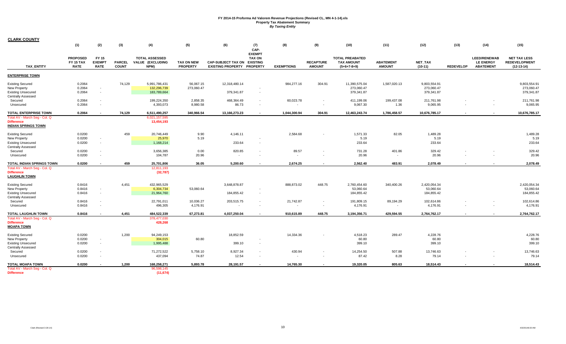|                                                                                                          | (1)                                         | (2)                                   | (3)                           | (4)                                               | (5)                           | (6)                                                            | (7)<br>CAP-                                          | (8)                 | (9)                                                  | (10)                                                         | (11)                              | (12)                                     | (13)                     | (14)                                                        | (15)                                                        |
|----------------------------------------------------------------------------------------------------------|---------------------------------------------|---------------------------------------|-------------------------------|---------------------------------------------------|-------------------------------|----------------------------------------------------------------|------------------------------------------------------|---------------------|------------------------------------------------------|--------------------------------------------------------------|-----------------------------------|------------------------------------------|--------------------------|-------------------------------------------------------------|-------------------------------------------------------------|
| <b>TAX ENTITY</b>                                                                                        | <b>PROPOSED</b><br>FY 15 TAX<br><b>RATE</b> | FY 15<br><b>EXEMPT</b><br><b>RATE</b> | <b>PARCEL</b><br><b>COUNT</b> | <b>TOTAL ASSESSED</b><br>VALUE (EXCLUDING<br>NPM) | TAX ON NEW<br><b>PROPERTY</b> | <b>CAP-SUBJECT TAX ON</b><br><b>EXISTING PROPERTY PROPERTY</b> | <b>EXEMPT</b><br><b>TAX ON</b><br><b>EXISTING</b>    | <b>EXEMPTIONS</b>   | <b>RECAPTURE</b><br><b>AMOUNT</b>                    | <b>TOTAL PREABATED</b><br><b>TAX AMOUNT</b><br>$(5+6+7-8+9)$ | <b>ABATEMENT</b><br><b>AMOUNT</b> | NET_TAX<br>$(10-11)$                     | <b>REDEVELOP</b>         | <b>LEED/RENEWAB</b><br><b>LE ENERGY</b><br><b>ABATEMENT</b> | <b>NET TAX LESS</b><br><b>REDEVELOPMENT</b><br>$(12-13-14)$ |
| <b>ENTERPRISE TOWN</b>                                                                                   |                                             |                                       |                               |                                                   |                               |                                                                |                                                      |                     |                                                      |                                                              |                                   |                                          |                          |                                                             |                                                             |
| <b>Existing Secured</b><br>New Property<br><b>Existing Unsecured</b><br><b>Centrally Assessed</b>        | 0.2064<br>0.2064<br>0.2064                  | $\sim$<br>$\sim$                      | 74,129                        | 5,991,786,431<br>132,296,739<br>183,789,664       | 56,067.15<br>273,060.47       | 12,318,480.14<br>379,341.87                                    | $\overline{\phantom{a}}$<br>$\sim$                   | 984.277.16          | 304.91                                               | 11,390,575.04<br>273,060.47<br>379,341.87                    | 1,587,020.13                      | 9,803,554.91<br>273,060.47<br>379,341.87 |                          |                                                             | 9.803.554.91<br>273,060.47<br>379,341.87                    |
| Secured<br>Unsecured                                                                                     | 0.2064<br>0.2064                            | $\sim$<br>$\sim$                      |                               | 199,224,350<br>4,393,073                          | 2,858.35<br>8,980.58          | 468,364.49<br>86.73                                            | $\sim$<br>$\overline{\phantom{a}}$                   | 60,023.78<br>$\sim$ | $\overline{\phantom{a}}$<br>$\overline{\phantom{a}}$ | 411,199.06<br>9,067.30                                       | 199,437.08<br>1.36                | 211,761.98<br>9,065.95                   |                          | $\sim$                                                      | 211,761.98<br>9,065.95                                      |
| TOTAL ENTERPRISE TOWN                                                                                    | 0.2064                                      | $\overline{\phantom{a}}$              | 74,129                        | 6,511,490,257                                     | 340,966.54                    | 13,166,273.23                                                  | $\sim$                                               | 1,044,300.94        | 304.91                                               | 12,463,243.74                                                | 1,786,458.57                      | 10,676,785.17                            | $\overline{\phantom{a}}$ | $\blacksquare$                                              | 10,676,785.17                                               |
| Total AV - March Seg - Col. Q<br><b>Difference</b><br><b>INDIAN SPRINGS TOWN</b>                         |                                             |                                       |                               | 6,021,157,595<br>13,454,193                       |                               |                                                                |                                                      |                     |                                                      |                                                              |                                   |                                          |                          |                                                             |                                                             |
| <b>Existing Secured</b><br>New Property<br><b>Existing Unsecured</b><br><b>Centrally Assessed</b>        | 0.0200<br>0.0200<br>0.0200                  | $\overline{\phantom{a}}$<br>$\sim$    | 459                           | 20,746,449<br>25,970<br>1,168,214                 | 9.90<br>5.19                  | 4,146.11<br>233.64                                             | $\overline{\phantom{a}}$<br>$\sim$                   | 2,584.68            |                                                      | 1,571.33<br>5.19<br>233.64                                   | 82.05                             | 1,489.28<br>5.19<br>233.64               |                          |                                                             | 1,489.28<br>5.19<br>233.64                                  |
| Secured<br>Unsecured                                                                                     | 0.0200<br>0.0200                            | $\sim$<br>$\sim$                      |                               | 3,656,385<br>104,787                              | 0.00<br>20.96                 | 820.85                                                         | $\overline{\phantom{a}}$                             | 89.57<br>$\sim$     |                                                      | 731.28<br>20.96                                              | 401.86<br>$\sim$                  | 329.42<br>20.96                          |                          | $\overline{\phantom{a}}$<br>$\overline{\phantom{a}}$        | 329.42<br>20.96                                             |
| TOTAL INDIAN SPRINGS TOWN                                                                                | 0.0200                                      |                                       | 459                           | 25,701,806                                        | 36.05                         | 5.200.60                                                       | $\overline{\phantom{a}}$                             | 2.674.25            | $\overline{\phantom{a}}$                             | 2,562.40                                                     | 483.91                            | 2.078.49                                 |                          |                                                             | 2,078.49                                                    |
| Total AV - March Seg - Col. Q<br><b>Difference</b><br><b>LAUGHLIN TOWN</b>                               |                                             |                                       |                               | 12,811,193<br>(32, 787)                           |                               |                                                                |                                                      |                     |                                                      |                                                              |                                   |                                          |                          |                                                             |                                                             |
| <b>Existing Secured</b><br>New Property<br><b>Existing Unsecured</b><br><b>Centrally Assessed</b>        | 0.8416<br>0.8416<br>0.8416                  | $\sim$<br>$\sim$                      | 4,451                         | 432,965,529<br>6,304,734<br>21,964,760            | 53,060.64                     | 3,648,878.87<br>184,855.42                                     | $\sim$                                               | 888,873.02          | 448.75                                               | 2,760,454.60<br>53,060.64<br>184,855.42                      | 340,400.26                        | 2,420,054.34<br>53,060.64<br>184,855.42  |                          |                                                             | 2,420,054.34<br>53,060.64<br>184,855.42                     |
| Secured<br>Unsecured                                                                                     | 0.8416<br>0.8416                            | $\overline{\phantom{a}}$<br>$\sim$    |                               | 22,791,011<br>496,305                             | 10,036.27<br>4,176.91         | 203,515.75                                                     | $\overline{\phantom{a}}$<br>$\overline{\phantom{a}}$ | 21,742.87           | $\overline{\phantom{a}}$<br>$\sim$                   | 191,809.15<br>4,176.91                                       | 89,194.29                         | 102,614.86<br>4,176.91                   | $\sim$                   | $\sim$                                                      | 102,614.86<br>4,176.91                                      |
| <b>TOTAL LAUGHLIN TOWN</b>                                                                               | 0.8416                                      |                                       | 4,451                         | 484.522.339                                       | 67,273.81                     | 4.037.250.04                                                   | $\overline{\phantom{a}}$                             | 910.615.89          | 448.75                                               | 3.194.356.71                                                 | 429.594.55                        | 2,764,762.17                             | $\sim$                   | $\overline{\phantom{a}}$                                    | 2,764,762.17                                                |
| Total AV - March Seg - Col. Q<br><b>Difference</b><br><b>MOAPA TOWN</b>                                  |                                             |                                       |                               | 378,477,030<br>428,268                            |                               |                                                                |                                                      |                     |                                                      |                                                              |                                   |                                          |                          |                                                             |                                                             |
| <b>Existing Secured</b><br><b>New Property</b><br><b>Existing Unsecured</b><br><b>Centrally Assessed</b> | 0.0200<br>0.0200<br>0.0200                  | $\sim$<br>$\sim$                      | 1,200                         | 94,249,153<br>304,015<br>1,995,488                | 60.80                         | 18,852.59<br>399.10                                            | $\sim$                                               | 14,334.36           |                                                      | 4,518.23<br>60.80<br>399.10                                  | 289.47                            | 4,228.76<br>60.80<br>399.10              |                          |                                                             | 4,228.76<br>60.80<br>399.10                                 |
| Secured<br>Unsecured                                                                                     | 0.0200<br>0.0200                            | $\sim$<br>$\sim$                      |                               | 71,272,522<br>437,094                             | 5,758.10<br>74.87             | 8,927.34<br>12.54                                              | $\sim$<br>$\overline{\phantom{a}}$                   | 430.94<br>$\sim$    | $\overline{\phantom{a}}$                             | 14,254.50<br>87.42                                           | 507.88<br>8.28                    | 13,746.63<br>79.14                       |                          | $\overline{\phantom{a}}$                                    | 13,746.63<br>79.14                                          |
| <b>TOTAL MOAPA TOWN</b>                                                                                  | 0.0200                                      |                                       | 1,200                         | 168,258,271                                       | 5,893.78                      | 28,191.57                                                      | $\sim$                                               | 14,765.30           | $\sim$                                               | 19,320.05                                                    | 805.63                            | 18,514.43                                |                          |                                                             | 18,514.43                                                   |
| Total AV - March Seg - Col. Q<br><b>Difference</b>                                                       |                                             |                                       |                               | 96,598,145<br>(11, 674)                           |                               |                                                                |                                                      |                     |                                                      |                                                              |                                   |                                          |                          |                                                             |                                                             |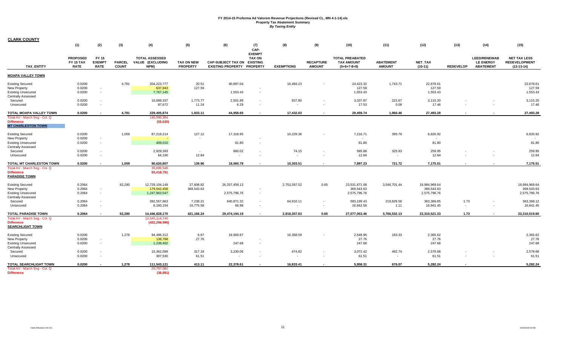|                                                                                                      | (1)                                         | (2)                                   | (3)                           | (4)                                                 | (5)                     | (6)                                                            | (7)<br>CAP-                                       | (8)               | (9)                                                  | (10)                                                         | (11)                              | (12)                                        | (13)                     | (14)                                                        | (15)                                                        |
|------------------------------------------------------------------------------------------------------|---------------------------------------------|---------------------------------------|-------------------------------|-----------------------------------------------------|-------------------------|----------------------------------------------------------------|---------------------------------------------------|-------------------|------------------------------------------------------|--------------------------------------------------------------|-----------------------------------|---------------------------------------------|--------------------------|-------------------------------------------------------------|-------------------------------------------------------------|
| <b>TAX ENTITY</b>                                                                                    | <b>PROPOSED</b><br>FY 15 TAX<br><b>RATE</b> | FY 15<br><b>EXEMPT</b><br><b>RATE</b> | <b>PARCEL</b><br><b>COUNT</b> | <b>TOTAL ASSESSED</b><br>VALUE (EXCLUDING<br>NPM)   | TAX ON NEW<br>PROPERTY  | <b>CAP-SUBJECT TAX ON</b><br><b>EXISTING PROPERTY PROPERTY</b> | <b>EXEMPT</b><br><b>TAX ON</b><br><b>EXISTING</b> | <b>EXEMPTIONS</b> | <b>RECAPTURE</b><br><b>AMOUNT</b>                    | <b>TOTAL PREABATED</b><br><b>TAX AMOUNT</b><br>$(5+6+7-8+9)$ | <b>ABATEMENT</b><br><b>AMOUNT</b> | <b>NET TAX</b><br>$(10-11)$                 | <b>REDEVELOP</b>         | <b>LEED/RENEWAB</b><br><b>LE ENERGY</b><br><b>ABATEMENT</b> | <b>NET TAX LESS</b><br><b>REDEVELOPMENT</b><br>$(12-13-14)$ |
| <b>MOAPA VALLEY TOWN</b>                                                                             |                                             |                                       |                               |                                                     |                         |                                                                |                                                   |                   |                                                      |                                                              |                                   |                                             |                          |                                                             |                                                             |
| <b>Existing Secured</b><br>New Property<br><b>Existing Unsecured</b><br>Centrally Assessed           | 0.0200<br>0.0200<br>0.0200                  | $\sim$<br>$\sim$                      | 4,781                         | 204, 223, 777<br>637,943<br>7,767,145               | 20.51<br>127.59         | 40,897.04<br>1,553.43                                          | $\overline{\phantom{a}}$<br>$\sim$                | 16,494.23         |                                                      | 24,423.32<br>127.59<br>1,553.43                              | 1,743.71                          | 22,679.61<br>127.59<br>1,553.43             |                          |                                                             | 22,679.61<br>127.59<br>1,553.43                             |
| Secured<br>Unsecured                                                                                 | 0.0200<br>0.0200                            | $\sim$<br>$\sim$                      |                               | 16,689,337<br>87,672                                | 1,773.77<br>11.24       | 2,501.89<br>6.29                                               | $\sim$<br>$\overline{\phantom{a}}$                | 937.80<br>$\sim$  | $\overline{\phantom{a}}$<br>$\overline{\phantom{a}}$ | 3,337.87<br>17.53                                            | 222.67<br>0.08                    | 3,115.20<br>17.46                           |                          | $\overline{\phantom{a}}$<br>$\sim$                          | 3,115.20<br>17.46                                           |
| TOTAL MOAPA VALLEY TOWN<br>Total AV - March Seg - Col. Q                                             | 0.0200                                      |                                       | 4,781                         | 229,405,874<br>146.990.354                          | 1,933.11                | 44.958.65                                                      | $\sim$                                            | 17,432.03         | $\sim$                                               | 29,459.74                                                    | 1,966.46                          | 27,493.28                                   | $\sim$                   | $\overline{\phantom{a}}$                                    | 27,493.28                                                   |
| <b>Difference</b><br><b>MT CHARLESTON TOWN</b>                                                       |                                             |                                       |                               | (55, 630)                                           |                         |                                                                |                                                   |                   |                                                      |                                                              |                                   |                                             |                          |                                                             |                                                             |
| <b>Existing Secured</b><br>New Property                                                              | 0.0200<br>0.0200                            | $\sim$                                | 1,059                         | 87,218,214                                          | 127.12                  | 17,318.95                                                      |                                                   | 10,229.36         |                                                      | 7,216.71                                                     | 395.79                            | 6,820.92                                    |                          |                                                             | 6,820.92                                                    |
| <b>Existing Unsecured</b><br>Centrally Assessed                                                      | 0.0200                                      | $\sim$                                |                               | 409,010                                             |                         | 81.80                                                          | $\overline{\phantom{a}}$                          |                   |                                                      | 81.80                                                        |                                   | 81.80                                       |                          |                                                             | 81.80                                                       |
| Secured<br>Unsecured                                                                                 | 0.0200<br>0.0200                            | $\sim$<br>$\sim$                      |                               | 2,929,393<br>64,190                                 | 12.84                   | 660.02                                                         | $\sim$                                            | 74.15             |                                                      | 585.88<br>12.84                                              | 325.93<br>$\sim$                  | 259.95<br>12.84                             |                          | $\overline{\phantom{a}}$<br>$\sim$                          | 259.95<br>12.84                                             |
| TOTAL MT CHARLESTON TOWN                                                                             | 0.0200                                      | $\overline{\phantom{a}}$              | 1,059                         | 90,620,807                                          | 139.96                  | 18,060.78                                                      | $\sim$                                            | 10.303.51         | $\sim$                                               | 7,897.23                                                     | 721.72                            | 7,175.51                                    | $\overline{\phantom{a}}$ | $\blacksquare$                                              | 7,175.51                                                    |
| Total AV - March Seg - Col. Q<br><b>Difference</b><br><b>PARADISE TOWN</b>                           |                                             |                                       |                               | 39,690,548<br>50,418,791                            |                         |                                                                |                                                   |                   |                                                      |                                                              |                                   |                                             |                          |                                                             |                                                             |
| <b>Existing Secured</b><br>New Property<br><b>Existing Unsecured</b><br>Centrally Assessed           | 0.2064<br>0.2064<br>0.2064                  | $\sim$<br>$\sim$                      | 63,280                        | 12,729,104,149<br>179,042,458<br>1,247,963,547      | 27,608.82<br>369,543.63 | 26,257,459.13<br>2,575,796.76                                  | $\sim$                                            | 2,753,397.52      | 0.65                                                 | 23,531,671.08<br>369,543.63<br>2,575,796.76                  | 3,546,701.44                      | 19,984,969.64<br>369,543.63<br>2,575,796.76 |                          |                                                             | 19,984,969.64<br>369,543.63<br>2,575,796.76                 |
| Secured<br>Unsecured                                                                                 | 0.2064<br>0.2064                            | $\sim$<br>$\sim$                      |                               | 282,557,863<br>8,160,154                            | 7,238.21<br>16,775.58   | 640,871.32<br>66.98                                            | $\sim$<br>$\sim$                                  | 64,910.11         | $\blacksquare$<br>$\sim$                             | 583,199.43<br>16,842.56                                      | 219,829.58<br>1.11                | 363,369.85<br>16,841.45                     | 1.73<br>$\sim$           | $\overline{\phantom{a}}$<br>$\overline{\phantom{a}}$        | 363,368.12<br>16,841.45                                     |
| TOTAL PARADISE TOWN<br>Total AV - March Seg - Col. Q<br><b>Difference</b><br><b>SEARCHLIGHT TOWN</b> | 0.2064                                      |                                       | 63,280                        | 14,446,828,170<br>13,545,114,740<br>(432, 296, 996) | 421,166.24              | 29,474,194.19                                                  |                                                   | 2,818,307.63      | 0.65                                                 | 27,077,053.46                                                | 3,766,532.13                      | 23,310,521.33                               | 1.73                     | $\sim$                                                      | 23,310,519.60                                               |
| <b>Existing Secured</b><br>New Property<br><b>Existing Unsecured</b><br>Centrally Assessed           | 0.0200<br>0.0200<br>0.0200                  | $\sim$<br>$\sim$                      | 1,278                         | 94,496,312<br>138,788<br>1,238,402                  | 6.67<br>27.76           | 18,900.87<br>247.68                                            | $\sim$<br>$\sim$                                  | 16,358.59         |                                                      | 2,548.95<br>27.76<br>247.68                                  | 183.33                            | 2,365.62<br>27.76<br>247.68                 |                          |                                                             | 2,365.62<br>27.76<br>247.68                                 |
| Secured<br>Unsecured                                                                                 | 0.0200<br>0.0200                            | $\sim$<br>$\sim$                      |                               | 15,362,089<br>307,530                               | 317.18<br>61.51         | 3,230.06                                                       | $\sim$                                            | 474.82            | $\overline{\phantom{a}}$<br>$\overline{\phantom{a}}$ | 3,072.42<br>61.51                                            | 492.74<br>$\sim$                  | 2,579.68<br>61.51                           |                          | $\overline{\phantom{a}}$                                    | 2,579.68<br>61.51                                           |
| <b>TOTAL SEARCHLIGHT TOWN</b>                                                                        | 0.0200                                      |                                       | 1,278                         | 111,543,121                                         | 413.11                  | 22,378.61                                                      | $\sim$                                            | 16,833.41         | $\sim$                                               | 5,958.31                                                     | 676.07                            | 5,282.24                                    | $\sim$                   |                                                             | 5,282.24                                                    |
| Total AV - March Seg - Col. Q<br><b>Difference</b>                                                   |                                             |                                       |                               | 29,787,062<br>(36, 891)                             |                         |                                                                |                                                   |                   |                                                      |                                                              |                                   |                                             |                          |                                                             |                                                             |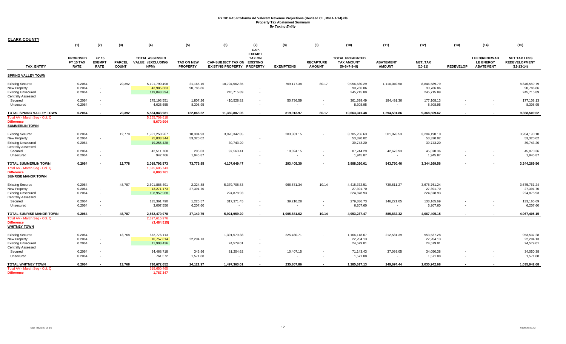|                                                                                                              | (1)                                                | (2)                                   | (3)                           | (4)                                               | (5)                    | (6)                                                            | (7)<br>CAP-                                       | (8)               | (9)                                                  | (10)                                                         | (11)                              | (12)                                    | (13)             | (14)                                                        | (15)                                                        |
|--------------------------------------------------------------------------------------------------------------|----------------------------------------------------|---------------------------------------|-------------------------------|---------------------------------------------------|------------------------|----------------------------------------------------------------|---------------------------------------------------|-------------------|------------------------------------------------------|--------------------------------------------------------------|-----------------------------------|-----------------------------------------|------------------|-------------------------------------------------------------|-------------------------------------------------------------|
| <b>TAX ENTITY</b>                                                                                            | <b>PROPOSED</b><br><b>FY 15 TAX</b><br><b>RATE</b> | FY 15<br><b>EXEMPT</b><br><b>RATE</b> | <b>PARCEL</b><br><b>COUNT</b> | <b>TOTAL ASSESSED</b><br>VALUE (EXCLUDING<br>NPM) | TAX ON NEW<br>PROPERTY | <b>CAP-SUBJECT TAX ON</b><br><b>EXISTING PROPERTY PROPERTY</b> | <b>EXEMPT</b><br><b>TAX ON</b><br><b>EXISTING</b> | <b>EXEMPTIONS</b> | <b>RECAPTURE</b><br><b>AMOUNT</b>                    | <b>TOTAL PREABATED</b><br><b>TAX AMOUNT</b><br>$(5+6+7-8+9)$ | <b>ABATEMENT</b><br><b>AMOUNT</b> | <b>NET TAX</b><br>$(10-11)$             | <b>REDEVELOP</b> | <b>LEED/RENEWAB</b><br><b>LE ENERGY</b><br><b>ABATEMENT</b> | <b>NET TAX LESS</b><br><b>REDEVELOPMENT</b><br>$(12-13-14)$ |
| <b>SPRING VALLEY TOWN</b>                                                                                    |                                                    |                                       |                               |                                                   |                        |                                                                |                                                   |                   |                                                      |                                                              |                                   |                                         |                  |                                                             |                                                             |
| <b>Existing Secured</b><br>New Property<br><b>Existing Unsecured</b><br>Centrally Assessed                   | 0.2064<br>0.2064<br>0.2064                         | $\sim$<br>$\sim$                      | 70,392                        | 5,191,790,498<br>43,985,883<br>119,048,394        | 21,165.15<br>90,786.86 | 10,704,562.35<br>245,715.89                                    | $\sim$<br>$\sim$                                  | 769,177.38        | 80.17                                                | 9,956,630.29<br>90,786.86<br>245,715.89                      | 1,110,040.50                      | 8,846,589.79<br>90,786.86<br>245,715.89 |                  |                                                             | 8,846,589.79<br>90,786.86<br>245,715.89                     |
| Secured<br>Unsecured                                                                                         | 0.2064<br>0.2064                                   | $\sim$<br>$\sim$                      |                               | 175, 193, 551<br>4,025,655                        | 1,807.26<br>8,308.95   | 410,528.82                                                     | $\overline{\phantom{a}}$                          | 50,736.59         | $\overline{\phantom{a}}$<br>$\overline{\phantom{a}}$ | 361,599.49<br>8,308.95                                       | 184,491.36                        | 177,108.13<br>8,308.95                  |                  | $\sim$                                                      | 177,108.13<br>8,308.95                                      |
| TOTAL SPRING VALLEY TOWN                                                                                     | 0.2064                                             |                                       | 70,392                        | 5,534,043,981                                     | 122,068.22             | 11,360,807.06                                                  | $\sim$                                            | 819,913.97        | 80.17                                                | 10,663,041.48                                                | 1,294,531.86                      | 9,368,509.62                            | $\sim$           | $\overline{\phantom{a}}$                                    | 9,368,509.62                                                |
| Total AV - March Seg - Col. Q<br><b>Difference</b><br><b>SUMMERLIN TOWN</b>                                  |                                                    |                                       |                               | 5,155,709,618<br>5,670,904                        |                        |                                                                |                                                   |                   |                                                      |                                                              |                                   |                                         |                  |                                                             |                                                             |
| <b>Existing Secured</b><br>New Property<br><b>Existing Unsecured</b>                                         | 0.2064<br>0.2064<br>0.2064                         | $\sim$<br>$\sim$                      | 12,778                        | 1,931,250,267<br>25,833,344<br>19,255,428         | 18,304.93<br>53,320.02 | 3,970,342.85<br>39,743.20                                      | $\sim$<br>$\sim$                                  | 283,381.15        | $\overline{\phantom{a}}$                             | 3,705,266.63<br>53,320.02<br>39,743.20                       | 501,076.53                        | 3,204,190.10<br>53,320.02<br>39,743.20  |                  |                                                             | 3,204,190.10<br>53,320.02<br>39,743.20                      |
| Centrally Assessed<br>Secured<br>Unsecured                                                                   | 0.2064<br>0.2064                                   | $\sim$<br>$\sim$                      |                               | 42,511,768<br>942,766                             | 205.03<br>1,945.87     | 97,563.41                                                      | $\sim$                                            | 10,024.15         | $\sim$                                               | 87,744.29<br>1,945.87                                        | 42,673.93<br>$\sim$               | 45,070.36<br>1,945.87                   |                  | $\sim$                                                      | 45,070.36<br>1,945.87                                       |
| <b>TOTAL SUMMERLIN TOWN</b>                                                                                  | 0.2064                                             |                                       | 12,778                        | 2,019,793,573                                     | 73,775.85              | 4,107,649.47                                                   | $\sim$                                            | 293,405.30        | $\sim$                                               | 3.888.020.01                                                 | 543,750.46                        | 3,344,269.56                            | $\sim$           | $\blacksquare$                                              | 3,344,269.56                                                |
| Total AV - March Seg - Col. Q<br><b>Difference</b><br><b>SUNRISE MANOR TOWN</b>                              |                                                    |                                       |                               | 1,875,605,743<br>6,890,761                        |                        |                                                                |                                                   |                   |                                                      |                                                              |                                   |                                         |                  |                                                             |                                                             |
| <b>Existing Secured</b><br>New Property<br><b>Existing Unsecured</b><br>Centrally Assessed                   | 0.2064<br>0.2064<br>0.2064                         | $\sim$<br>$\sim$                      | 48,787                        | 2,601,886,491<br>13,271,173<br>108,952,968        | 2,324.88<br>27,391.70  | 5,379,708.83<br>224,878.93                                     | $\sim$                                            | 966,671.34        | 10.14                                                | 4,415,372.51<br>27,391.70<br>224,878.93                      | 739,611.27                        | 3,675,761.24<br>27,391.70<br>224,878.93 |                  |                                                             | 3,675,761.24<br>27,391.70<br>224,878.93                     |
| Secured<br>Unsecured                                                                                         | 0.2064<br>0.2064                                   | $\sim$<br>$\sim$                      |                               | 135,361,790<br>3,007,556                          | 1,225.57<br>6,207.60   | 317,371.45                                                     | $\sim$                                            | 39,210.28         | $\sim$<br>$\blacksquare$                             | 279,386.73<br>6,207.60                                       | 146,221.05<br>$\sim$              | 133,165.69<br>6,207.60                  |                  | $\overline{\phantom{a}}$<br>$\overline{\phantom{a}}$        | 133,165.69<br>6,207.60                                      |
| <b>TOTAL SUNRISE MANOR TOWN</b><br>Total AV - March Seq - Col. Q<br><b>Difference</b><br><b>WHITNEY TOWN</b> | 0.2064                                             |                                       | 48,787                        | 2,862,479,978<br>2,397,615,976<br>(3,484,515)     | 37,149.75              | 5,921,959.20                                                   |                                                   | 1,005,881.62      | 10.14                                                | 4,953,237.47                                                 | 885,832.32                        | 4,067,405.15                            | $\sim$           | $\overline{\phantom{a}}$                                    | 4,067,405.15                                                |
| <b>Existing Secured</b><br>New Property<br><b>Existing Unsecured</b><br>Centrally Assessed                   | 0.2064<br>0.2064<br>0.2064                         | $\sim$<br>$\sim$                      | 13,768                        | 672,776,113<br>10,757,814<br>11,908,436           | 22,204.13              | 1,391,579.38<br>24,579.01                                      | $\overline{\phantom{a}}$<br>$\sim$                | 225,460.71        | $\blacksquare$                                       | 1,166,118.67<br>22,204.13<br>24,579.01                       | 212,581.39                        | 953,537.28<br>22,204.13<br>24,579.01    |                  |                                                             | 953.537.28<br>22,204.13<br>24,579.01                        |
| Secured<br>Unsecured                                                                                         | 0.2064<br>0.2064                                   | $\sim$<br>$\sim$                      |                               | 34,468,718<br>761,572                             | 345.96<br>1,571.88     | 81,204.62                                                      | $\sim$                                            | 10,407.15         | $\overline{\phantom{a}}$                             | 71,143.43<br>1,571.88                                        | 37,093.05                         | 34,050.38<br>1,571.88                   |                  | $\overline{\phantom{a}}$                                    | 34,050.38<br>1,571.88                                       |
| TOTAL WHITNEY TOWN                                                                                           | 0.2064                                             |                                       | 13,768                        | 730,672,652                                       | 24,121.97              | 1,497,363.01                                                   | $\sim$                                            | 235,867.86        | $\sim$                                               | 1,285,617.13                                                 | 249,674.44                        | 1,035,942.68                            | $\sim$           | $\sim$                                                      | 1,035,942.68                                                |
| Total AV - March Seg - Col. Q<br><b>Difference</b>                                                           |                                                    |                                       |                               | 619,650,465<br>1,787,347                          |                        |                                                                |                                                   |                   |                                                      |                                                              |                                   |                                         |                  |                                                             |                                                             |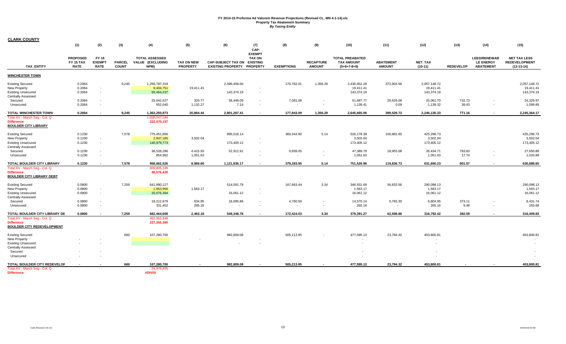|                                   | (1)                                         | (2)                                          | (3)                           | (4)                                               | (5)                                  | (6)                                                            | (7)<br>CAP-                                       | (8)               | (9)                               | (10)                                                         | (11)                              | (12)                        | (13)                     | (14)                                                        | (15)                                                        |
|-----------------------------------|---------------------------------------------|----------------------------------------------|-------------------------------|---------------------------------------------------|--------------------------------------|----------------------------------------------------------------|---------------------------------------------------|-------------------|-----------------------------------|--------------------------------------------------------------|-----------------------------------|-----------------------------|--------------------------|-------------------------------------------------------------|-------------------------------------------------------------|
| <b>TAX ENTITY</b>                 | <b>PROPOSED</b><br>FY 15 TAX<br><b>RATE</b> | <b>FY 15</b><br><b>EXEMPT</b><br><b>RATE</b> | <b>PARCEL</b><br><b>COUNT</b> | <b>TOTAL ASSESSED</b><br>VALUE (EXCLUDING<br>NPM) | <b>TAX ON NEW</b><br><b>PROPERTY</b> | <b>CAP-SUBJECT TAX ON</b><br><b>EXISTING PROPERTY PROPERTY</b> | <b>EXEMPT</b><br><b>TAX ON</b><br><b>EXISTING</b> | <b>EXEMPTIONS</b> | <b>RECAPTURE</b><br><b>AMOUNT</b> | <b>TOTAL PREABATED</b><br><b>TAX AMOUNT</b><br>$(5+6+7-8+9)$ | <b>ABATEMENT</b><br><b>AMOUNT</b> | <b>NET TAX</b><br>$(10-11)$ | <b>REDEVELOP</b>         | <b>LEED/RENEWAB</b><br><b>LE ENERGY</b><br><b>ABATEMENT</b> | <b>NET TAX LESS</b><br><b>REDEVELOPMENT</b><br>$(12-13-14)$ |
| <b>WINCHESTER TOWN</b>            |                                             |                                              |                               |                                                   |                                      |                                                                |                                                   |                   |                                   |                                                              |                                   |                             |                          |                                                             |                                                             |
| <b>Existing Secured</b>           | 0.2064                                      |                                              | 9,245                         | 1,258,787,319                                     |                                      | 2,599,458.00                                                   |                                                   | 170,762.01        | 1,356.29                          | 2,430,052.28                                                 | 372,903.56                        | 2,057,148.72                |                          |                                                             | 2,057,148.72                                                |
| New Property                      | 0.2064                                      | $\sim$                                       |                               | 9,404,751                                         | 19,411.41                            |                                                                |                                                   |                   |                                   | 19,411.41                                                    |                                   | 19,411.41                   |                          |                                                             | 19,411.41                                                   |
| <b>Existing Unsecured</b>         | 0.2064                                      | $\sim$                                       |                               | 69,464,237                                        |                                      | 143,374.19                                                     | $\sim$                                            |                   |                                   | 143,374.19                                                   |                                   | 143,374.19                  |                          |                                                             | 143,374.19                                                  |
| <b>Centrally Assessed</b>         |                                             |                                              |                               |                                                   |                                      |                                                                |                                                   |                   |                                   |                                                              |                                   |                             |                          |                                                             |                                                             |
| Secured                           | 0.2064                                      | $\sim$                                       |                               | 25,042,527                                        | 320.77                               | 58,448.09                                                      | $\sim$                                            | 7,081.08          | $\overline{\phantom{a}}$          | 51,687.77                                                    | 26,626.08                         | 25,061.70                   | 731.73                   | $\overline{\phantom{a}}$                                    | 24,329.97                                                   |
| Unsecured                         | 0.2064                                      | $\sim$                                       |                               | 552,040                                           | 1,132.27                             | 7.14                                                           | $\overline{\phantom{a}}$                          | $\sim$            | $\overline{\phantom{a}}$          | 1,139.41                                                     | 0.09                              | 1,139.32                    | 39.43                    | $\overline{\phantom{a}}$                                    | 1,099.89                                                    |
| <b>TOTAL WINCHESTER TOWN</b>      | 0.2064                                      |                                              | 9,245                         | 1,363,250,873                                     | 20,864.44                            | 2,801,287.41                                                   | $\sim$                                            | 177.843.09        | 1.356.29                          | 2.645.665.06                                                 | 399,529.73                        | 2,246,135.33                | 771.16                   | $\sim$                                                      | 2,245,364.17                                                |
| Total AV - March Seg - Col. Q     |                                             |                                              |                               | 1,058,047,184                                     |                                      |                                                                |                                                   |                   |                                   |                                                              |                                   |                             |                          |                                                             |                                                             |
| <b>Difference</b>                 |                                             |                                              |                               | 222,470,157                                       |                                      |                                                                |                                                   |                   |                                   |                                                              |                                   |                             |                          |                                                             |                                                             |
| <b>BOULDER CITY LIBRARY</b>       |                                             |                                              |                               |                                                   |                                      |                                                                |                                                   |                   |                                   |                                                              |                                   |                             |                          |                                                             |                                                             |
| <b>Existing Secured</b>           | 0.1230                                      |                                              | 7,578                         | 775,451,800                                       |                                      | 895,518.14                                                     |                                                   | 369,344.90        | 5.14                              | 526,178.38                                                   | 100,881.65                        | 425,296.73                  |                          |                                                             | 425,296.73                                                  |
| New Property                      | 0.1230                                      | $\sim$                                       |                               | 2,847,185                                         | 3,502.04                             |                                                                |                                                   |                   |                                   | 3,502.04                                                     |                                   | 3,502.04                    |                          |                                                             | 3,502.04                                                    |
| <b>Existing Unsecured</b>         | 0.1230                                      | $\sim$                                       |                               | 140,979,773                                       |                                      | 173,405.12                                                     | $\sim$                                            |                   |                                   | 173,405.12                                                   |                                   | 173,405.12                  |                          |                                                             | 173,405.12                                                  |
| <b>Centrally Assessed</b>         |                                             |                                              |                               |                                                   |                                      |                                                                |                                                   |                   |                                   |                                                              |                                   |                             |                          |                                                             |                                                             |
| Secured                           | 0.1230                                      | $\sim$                                       |                               | 38,528,286                                        | 4,415.93                             | 52,912.91                                                      | $\overline{\phantom{a}}$                          | 9,939.05          | $\overline{\phantom{a}}$          | 47,389.79                                                    | 18,955.08                         | 28,434.71                   | 783.83                   |                                                             | 27,650.88                                                   |
| Unsecured                         | 0.1230                                      | $\sim$                                       |                               | 854,982                                           | 1,051.63                             |                                                                | $\overline{\phantom{a}}$                          |                   | $\sim$                            | 1,051.63                                                     | $\sim$                            | 1,051.63                    | 17.74                    |                                                             | 1,033.89                                                    |
| TOTAL BOULDER CITY LIBRARY        | 0.1230                                      | $\overline{a}$                               | 7,578                         | 958,662,026                                       | 8,969.60                             | 1,121,836.17                                                   | $\overline{a}$                                    | 379.283.95        | 5.14                              | 751,526.96                                                   | 119,836.73                        | 631,690.23                  | 801.57                   | $\sim$                                                      | 630,888.65                                                  |
| Total AV - March Seg - Col. Q     |                                             |                                              |                               | 609,805,199                                       |                                      |                                                                |                                                   |                   |                                   |                                                              |                                   |                             |                          |                                                             |                                                             |
| <b>Difference</b>                 |                                             |                                              |                               | 48,576,420                                        |                                      |                                                                |                                                   |                   |                                   |                                                              |                                   |                             |                          |                                                             |                                                             |
| <b>BOULDER CITY LIBRARY DEBT</b>  |                                             |                                              |                               |                                                   |                                      |                                                                |                                                   |                   |                                   |                                                              |                                   |                             |                          |                                                             |                                                             |
| <b>Existing Secured</b>           | 0.0800                                      |                                              | 7,259                         | 641,890,127                                       |                                      | 514,591.79                                                     |                                                   | 167,663.44        | 3.34                              | 346,931.69                                                   | 56,833.56                         | 290,098.13                  |                          |                                                             | 290,098.13                                                  |
| New Property                      | 0.0800                                      | $\sim$                                       |                               | 1,953,956                                         | 1,563.17                             |                                                                |                                                   |                   |                                   | 1,563.17                                                     |                                   | 1,563.17                    |                          |                                                             | 1,563.17                                                    |
| <b>Existing Unsecured</b>         | 0.0800                                      | $\sim$                                       |                               | 20,076,394                                        |                                      | 16,061.12                                                      | $\sim$                                            |                   |                                   | 16,061.12                                                    |                                   | 16,061.12                   |                          |                                                             | 16,061.12                                                   |
| <b>Centrally Assessed</b>         |                                             |                                              |                               |                                                   |                                      |                                                                |                                                   |                   |                                   |                                                              |                                   |                             |                          |                                                             |                                                             |
| Secured                           | 0.0800                                      | $\sim$                                       |                               | 18,212,679                                        | 634.85                               | 18,695.88                                                      | $\overline{\phantom{a}}$                          | 4,760.59          | $\sim$                            | 14,570.14                                                    | 5,765.30                          | 8,804.85                    | 373.11                   |                                                             | 8,431.74                                                    |
| Unsecured                         | 0.0800                                      | $\sim$                                       |                               | 331,452                                           | 265.16                               |                                                                |                                                   | $\sim$            | $\overline{\phantom{a}}$          | 265.16                                                       | $\sim$                            | 265.16                      | 9.48                     |                                                             | 255.68                                                      |
| TOTAL BOULDER CITY LIBRARY DE     | 0.0800                                      |                                              | 7,259                         | 682,464,608                                       | 2,463.18                             | 549,348.78                                                     | $\overline{\phantom{a}}$                          | 172,424.03        | 3.34                              | 379,391.27                                                   | 62.598.86                         | 316,792.42                  | 382.59                   | $\overline{\phantom{a}}$                                    | 316,409.83                                                  |
| Total AV - March Seg - Col. Q     |                                             |                                              |                               | 452,953,948                                       |                                      |                                                                |                                                   |                   |                                   |                                                              |                                   |                             |                          |                                                             |                                                             |
| <b>Difference</b>                 |                                             |                                              |                               | 227,355,360                                       |                                      |                                                                |                                                   |                   |                                   |                                                              |                                   |                             |                          |                                                             |                                                             |
| <b>BOULDER CITY REDEVELOPMENT</b> |                                             |                                              |                               |                                                   |                                      |                                                                |                                                   |                   |                                   |                                                              |                                   |                             |                          |                                                             |                                                             |
| <b>Existing Secured</b>           |                                             |                                              | 660                           | 107,280,700                                       |                                      | 982,809.08                                                     |                                                   | 505,213.95        |                                   | 477,595.13                                                   | 23,794.32                         | 453,800.81                  |                          |                                                             | 453,800.81                                                  |
| New Property                      |                                             |                                              |                               |                                                   |                                      |                                                                |                                                   |                   |                                   |                                                              |                                   |                             |                          |                                                             | $\overline{\phantom{a}}$                                    |
| <b>Existing Unsecured</b>         |                                             |                                              |                               |                                                   |                                      |                                                                |                                                   |                   |                                   | $\sim$                                                       |                                   | $\overline{\phantom{a}}$    |                          |                                                             | $\sim$                                                      |
| Centrally Assessed                |                                             |                                              |                               |                                                   |                                      |                                                                |                                                   |                   |                                   |                                                              |                                   |                             |                          |                                                             |                                                             |
| Secured                           |                                             |                                              |                               |                                                   |                                      |                                                                |                                                   |                   |                                   |                                                              |                                   |                             |                          |                                                             |                                                             |
| Unsecured                         |                                             |                                              |                               |                                                   |                                      |                                                                |                                                   |                   |                                   |                                                              |                                   |                             |                          |                                                             |                                                             |
| TOTAL BOULDER CITY REDEVELOF      | $\sim$                                      |                                              | 660                           | 107,280,700                                       |                                      | 982.809.08                                                     | $\overline{a}$                                    | 505,213.95        | $\sim$                            | 477.595.13                                                   | 23,794.32                         | 453,800.81                  | $\overline{\phantom{a}}$ | $\blacksquare$                                              | 453,800.81                                                  |
| Total AV - March Seg - Col. Q     |                                             |                                              |                               | 24,978,935                                        |                                      |                                                                |                                                   |                   |                                   |                                                              |                                   |                             |                          |                                                             |                                                             |
| <b>Difference</b>                 |                                             |                                              |                               | #DIV/0!                                           |                                      |                                                                |                                                   |                   |                                   |                                                              |                                   |                             |                          |                                                             |                                                             |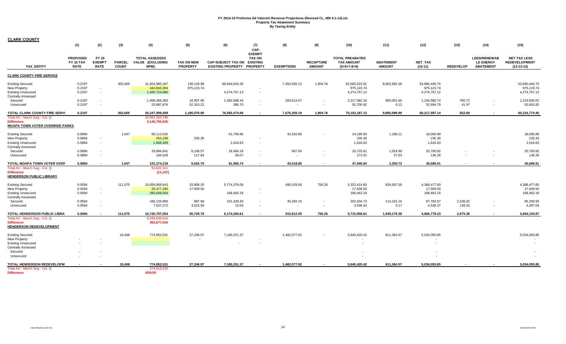|                                        | (1)                                         | (2)                                   | (3)                           | (4)                                               | (5)                                  | (6)                                                       | (7)<br>CAP-                    | (8)                      | (9)                               | (10)                                                         | (11)                              | (12)                        | (13)                     | (14)                                                        | (15)                                                        |
|----------------------------------------|---------------------------------------------|---------------------------------------|-------------------------------|---------------------------------------------------|--------------------------------------|-----------------------------------------------------------|--------------------------------|--------------------------|-----------------------------------|--------------------------------------------------------------|-----------------------------------|-----------------------------|--------------------------|-------------------------------------------------------------|-------------------------------------------------------------|
| <b>TAX ENTITY</b>                      | <b>PROPOSED</b><br>FY 15 TAX<br><b>RATE</b> | FY 15<br><b>EXEMPT</b><br><b>RATE</b> | <b>PARCEL</b><br><b>COUNT</b> | <b>TOTAL ASSESSED</b><br>VALUE (EXCLUDING<br>NPM) | <b>TAX ON NEW</b><br><b>PROPERTY</b> | CAP-SUBJECT TAX ON EXISTING<br>EXISTING PROPERTY PROPERTY | <b>EXEMPT</b><br><b>TAX ON</b> | <b>EXEMPTIONS</b>        | <b>RECAPTURE</b><br><b>AMOUNT</b> | <b>TOTAL PREABATED</b><br><b>TAX AMOUNT</b><br>$(5+6+7-8+9)$ | <b>ABATEMENT</b><br><b>AMOUNT</b> | <b>NET TAX</b><br>$(10-11)$ | <b>REDEVELOP</b>         | <b>LEED/RENEWAB</b><br><b>LE ENERGY</b><br><b>ABATEMENT</b> | <b>NET TAX LESS</b><br><b>REDEVELOPMENT</b><br>$(12-13-14)$ |
| <b>CLARK COUNTY FIRE SERVICE</b>       |                                             |                                       |                               |                                                   |                                      |                                                           |                                |                          |                                   |                                                              |                                   |                             |                          |                                                             |                                                             |
| <b>Existing Secured</b>                | 0.2197                                      |                                       | 302,605                       | 31,824,985,367                                    | 139,129.98                           | 69,834,643.39                                             |                                | 7,392,655.12             | 1,904.76                          | 62,583,023.01                                                | 8,902,582.26                      | 53,680,440.75               |                          |                                                             | 53,680,440.75                                               |
| New Property                           | 0.2197                                      | $\sim$                                |                               | 443,843,304                                       | 975,123.74                           |                                                           |                                |                          |                                   | 975,123.74                                                   |                                   | 975,123.74                  |                          |                                                             | 975,123.74                                                  |
| <b>Existing Unsecured</b>              | 0.2197                                      | $\sim$                                |                               | 1,945,724,680                                     |                                      | 4,274,757.12                                              | $\sim$                         |                          |                                   | 4,274,757.12                                                 |                                   | 4,274,757.12                |                          |                                                             | 4,274,757.12                                                |
| Centrally Assessed                     |                                             |                                       |                               |                                                   |                                      |                                                           |                                |                          |                                   |                                                              |                                   |                             |                          |                                                             |                                                             |
| Secured                                | 0.2197                                      | $\overline{\phantom{a}}$              |                               | 1,009,368,383                                     | 18,507.96                            | 2,482,688.44                                              | $\sim$                         | 283,614.07               | $\sim$                            | 2,217,582.34                                                 | 983,001.60                        | 1,234,580.74                | 780.72                   | $\overline{\phantom{a}}$                                    | 1,233,800.02                                                |
| Unsecured                              | 0.2197                                      | $\sim$                                |                               | 23,987,676                                        | 52,315.22                            | 385.70                                                    | $\sim$                         | $\overline{\phantom{a}}$ | $\overline{\phantom{a}}$          | 52,700.92                                                    | 6.13                              | 52,694.79                   | 41.97                    | $\overline{\phantom{a}}$                                    | 52,652.82                                                   |
| TOTAL CLARK COUNTY FIRE SERVI          | 0.2197                                      |                                       | 302.605                       | 35,247,909,409                                    | 1,185,076.90                         | 76.592.474.66                                             | $\sim$                         | 7.676.269.19             | 1.904.76                          | 70,103,187.13                                                | 9,885,589.99                      | 60,217,597.14               | 822.69                   | $\sim$                                                      | 60.216.774.45                                               |
| Total AV - March Seg - Col. Q          |                                             |                                       |                               | 32,067,263,796                                    |                                      |                                                           |                                |                          |                                   |                                                              |                                   |                             |                          |                                                             |                                                             |
| <b>Difference</b>                      |                                             |                                       |                               | 3,145,705,835                                     |                                      |                                                           |                                |                          |                                   |                                                              |                                   |                             |                          |                                                             |                                                             |
| <b>MOAPA TOWN VOTER OVERRIDE PARKS</b> |                                             |                                       |                               |                                                   |                                      |                                                           |                                |                          |                                   |                                                              |                                   |                             |                          |                                                             |                                                             |
| <b>Existing Secured</b>                | 0.0894                                      |                                       | 1,047                         | 69,113,542                                        |                                      | 61,799.86                                                 |                                | 42,610.86                |                                   | 19,189.00                                                    | 1,188.11                          | 18,000.89                   |                          |                                                             | 18,000.89                                                   |
| New Property                           | 0.0894                                      | $\overline{\phantom{a}}$              |                               | 263,198                                           | 235.30                               |                                                           |                                |                          |                                   | 235.30                                                       |                                   | 235.30                      |                          |                                                             | 235.30                                                      |
| <b>Existing Unsecured</b>              | 0.0894                                      | $\sim$                                |                               | 1,808,309                                         |                                      | 1,616.63                                                  | $\sim$                         |                          |                                   | 1,616.63                                                     |                                   | 1,616.63                    |                          |                                                             | 1,616.63                                                    |
| Centrally Assessed                     |                                             |                                       |                               |                                                   |                                      |                                                           |                                |                          |                                   |                                                              |                                   |                             |                          |                                                             |                                                             |
| Secured                                | 0.0894                                      | $\sim$                                |                               | 29,894,641                                        | 9,149.57                             | 18,484.18                                                 | $\sim$                         | 907.94                   |                                   | 26,725.81                                                    | 1,024.99                          | 25,700.82                   |                          |                                                             | 25,700.82                                                   |
| Unsecured                              | 0.0894                                      | $\sim$                                |                               | 194,529                                           | 117.84                               | 56.07                                                     | $\overline{\phantom{a}}$       |                          | $\overline{\phantom{a}}$          | 173.91                                                       | 37.63                             | 136.28                      |                          | $\overline{\phantom{a}}$                                    | 136.28                                                      |
| TOTAL MOAPA TOWN VOTER OVER            | 0.0894                                      |                                       | 1,047                         | 101,274,218                                       | 9,502.70                             | 81,956.74                                                 | $\sim$                         | 43.518.80                | $\overline{a}$                    | 47.940.64                                                    | 2.250.73                          | 45.689.91                   |                          |                                                             | 45,689.91                                                   |
| Total AV - March Seg - Col. Q          |                                             |                                       |                               | 53,622,311                                        |                                      |                                                           |                                |                          |                                   |                                                              |                                   |                             |                          |                                                             |                                                             |
| <b>Difference</b>                      |                                             |                                       |                               | (11, 247)                                         |                                      |                                                           |                                |                          |                                   |                                                              |                                   |                             |                          |                                                             |                                                             |
| <u>HENDERSON PUBLIC LIBRARY</u>        |                                             |                                       |                               |                                                   |                                      |                                                           |                                |                          |                                   |                                                              |                                   |                             |                          |                                                             |                                                             |
| <b>Existing Secured</b>                | 0.0594                                      |                                       | 111,075                       | 10,059,858,643                                    | 33,809.20                            | 5,774,379.09                                              |                                | 485,529.90               | 756.26                            | 5,323,414.65                                                 | 934,937.05                        | 4,388,477.60                |                          |                                                             | 4,388,477.60                                                |
| New Property                           | 0.0594                                      | $\sim$                                |                               | 29,477,280                                        | 17,509.50                            |                                                           |                                |                          |                                   | 17,509.50                                                    |                                   | 17,509.50                   |                          |                                                             | 17,509.50                                                   |
| <b>Existing Unsecured</b>              | 0.0594                                      | $\sim$                                |                               | 283,608,054                                       |                                      | 168,463.18                                                | $\sim$                         |                          |                                   | 168,463.18                                                   |                                   | 168,463.18                  |                          |                                                             | 168,463.18                                                  |
| Centrally Assessed                     |                                             |                                       |                               |                                                   |                                      |                                                           |                                |                          |                                   |                                                              |                                   |                             |                          |                                                             |                                                             |
| Secured                                | 0.0594                                      | $\sim$                                |                               | 340,125,806                                       | 887.58                               | 231,429.30                                                | $\sim$                         | 30,282.15                | $\overline{\phantom{a}}$          | 202,034.73                                                   | 114,242.16                        | 87,792.57                   | 2,536.02                 |                                                             | 85,256.55                                                   |
| Unsecured                              | 0.0594                                      | $\sim$                                |                               | 7,637,272                                         | 4,523.50                             | 13.04                                                     | $\overline{\phantom{a}}$       | $\overline{\phantom{a}}$ | $\blacksquare$                    | 4,536.54                                                     | 0.17                              | 4,536.37                    | 139.33                   |                                                             | 4,397.04                                                    |
| TOTAL HENDERSON PUBLIC LIBRA           | 0.0594                                      | $\overline{\phantom{a}}$              | 111,075                       | 10,720,707,054                                    | 56,729.79                            | 6,174,284.61                                              | $\sim$                         | 515,812.05               | 756.26                            | 5,715,958.61                                                 | 1,049,179.38                      | 4,666,779.23                | 2,675.36                 | $\overline{\phantom{a}}$                                    | 4,664,103.87                                                |
| Total AV - March Seg - Col. Q          |                                             |                                       |                               | 9,599,639,616                                     |                                      |                                                           |                                |                          |                                   |                                                              |                                   |                             |                          |                                                             |                                                             |
| <b>Difference</b>                      |                                             |                                       |                               | 303,677,034                                       |                                      |                                                           |                                |                          |                                   |                                                              |                                   |                             |                          |                                                             |                                                             |
| <b>HENDERSON REDEVELOPMENT</b>         |                                             |                                       |                               |                                                   |                                      |                                                           |                                |                          |                                   |                                                              |                                   |                             |                          |                                                             |                                                             |
| <b>Existing Secured</b>                |                                             |                                       | 10,408                        | 774,852,531                                       | 27,246.97                            | 7,100,251.37                                              |                                | 1,482,077.92             |                                   | 5,645,420.42                                                 | 611,364.57                        | 5,034,055.85                |                          |                                                             | 5,034,055.85                                                |
| New Property                           |                                             |                                       |                               |                                                   |                                      |                                                           |                                |                          |                                   |                                                              |                                   |                             |                          |                                                             | $\overline{\phantom{a}}$                                    |
| <b>Existing Unsecured</b>              |                                             |                                       |                               |                                                   |                                      |                                                           |                                |                          |                                   | $\sim$                                                       |                                   |                             |                          |                                                             |                                                             |
| <b>Centrally Assessed</b>              |                                             |                                       |                               |                                                   |                                      |                                                           |                                |                          |                                   |                                                              |                                   |                             |                          |                                                             |                                                             |
| Secured                                |                                             |                                       |                               |                                                   |                                      |                                                           |                                |                          |                                   |                                                              |                                   |                             |                          |                                                             |                                                             |
| Unsecured                              |                                             |                                       |                               |                                                   |                                      |                                                           |                                |                          |                                   |                                                              |                                   |                             |                          |                                                             |                                                             |
| TOTAL HENDERSON REDEVELOPM             |                                             | $\overline{a}$                        | 10,408                        | 774,852,531                                       | 27,246.97                            | 7,100,251.37                                              | $\overline{a}$                 | 1,482,077.92             | $\sim$                            | 5.645.420.42                                                 | 611,364.57                        | 5.034.055.85                | $\overline{\phantom{a}}$ |                                                             | 5,034,055.85                                                |
| Total AV - March Seg - Col. Q          |                                             |                                       |                               | 274,918,433                                       |                                      |                                                           |                                |                          |                                   |                                                              |                                   |                             |                          |                                                             |                                                             |
| <b>Difference</b>                      |                                             |                                       |                               | #DIV/0!                                           |                                      |                                                           |                                |                          |                                   |                                                              |                                   |                             |                          |                                                             |                                                             |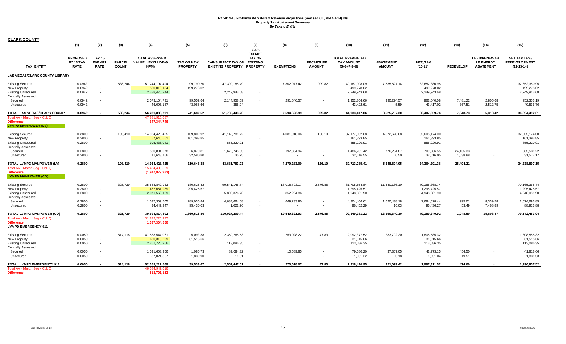|                                                                                                                      | (1)                                         | (2)                                   | (3)                           | (4)                                               | (5)                           | (6)                                                            | (7)<br>CAP-                                       | (8)                         | (9)                                                  | (10)                                                         | (11)                              | (12)                                          | (13)                  | (14)                                                        | (15)                                                        |
|----------------------------------------------------------------------------------------------------------------------|---------------------------------------------|---------------------------------------|-------------------------------|---------------------------------------------------|-------------------------------|----------------------------------------------------------------|---------------------------------------------------|-----------------------------|------------------------------------------------------|--------------------------------------------------------------|-----------------------------------|-----------------------------------------------|-----------------------|-------------------------------------------------------------|-------------------------------------------------------------|
| <b>TAX ENTITY</b>                                                                                                    | <b>PROPOSED</b><br>FY 15 TAX<br><b>RATE</b> | FY 15<br><b>EXEMPT</b><br><b>RATE</b> | <b>PARCEL</b><br><b>COUNT</b> | <b>TOTAL ASSESSED</b><br>VALUE (EXCLUDING<br>NPM) | <b>TAX ON NEW</b><br>PROPERTY | <b>CAP-SUBJECT TAX ON</b><br><b>EXISTING PROPERTY PROPERTY</b> | <b>EXEMPT</b><br><b>TAX ON</b><br><b>EXISTING</b> | <b>EXEMPTIONS</b>           | <b>RECAPTURE</b><br><b>AMOUNT</b>                    | <b>TOTAL PREABATED</b><br><b>TAX AMOUNT</b><br>$(5+6+7-8+9)$ | <b>ABATEMENT</b><br><b>AMOUNT</b> | <b>NET TAX</b><br>$(10-11)$                   | <b>REDEVELOP</b>      | <b>LEED/RENEWAB</b><br><b>LE ENERGY</b><br><b>ABATEMENT</b> | <b>NET TAX LESS</b><br><b>REDEVELOPMENT</b><br>$(12-13-14)$ |
| <b>LAS VEGAS/CLARK COUNTY LIBRARY</b>                                                                                |                                             |                                       |                               |                                                   |                               |                                                                |                                                   |                             |                                                      |                                                              |                                   |                                               |                       |                                                             |                                                             |
| <b>Existing Secured</b><br>New Property<br><b>Existing Unsecured</b><br>Centrally Assessed                           | 0.0942<br>0.0942<br>0.0942                  | $\sim$<br>$\sim$                      | 536,244                       | 51,244,194,494<br>530,019,134<br>2,388,475,244    | 99,790.20<br>499,278.02       | 47,390,185.49<br>2,249,943.68                                  | $\sim$                                            | 7,302,977.42                | 909.82                                               | 40,187,908.09<br>499,278.02<br>2,249,943.68                  | 7,535,527.14                      | 32,652,380.95<br>499,278.02<br>2,249,943.68   |                       |                                                             | 32,652,380.95<br>499,278.02<br>2,249,943.68                 |
| Secured<br>Unsecured                                                                                                 | 0.0942<br>0.0942                            | $\sim$                                |                               | 2,073,104,731<br>46,096,187                       | 99,552.64<br>43,066.66        | 2,144,958.59<br>355.94                                         | $\sim$<br>$\overline{\phantom{a}}$                | 291,646.57                  | $\overline{\phantom{a}}$<br>$\overline{\phantom{a}}$ | 1,952,864.66<br>43,422.61                                    | 990,224.57<br>5.59                | 962,640.08<br>43,417.02                       | 7,481.22<br>367.51    | 2,805.68<br>2,512.75                                        | 952,353.19<br>40,536.76                                     |
| TOTAL LAS VEGAS/CLARK COUNT\                                                                                         | 0.0942                                      |                                       | 536,244                       | 56,281,889,791                                    | 741,687.52                    | 51,785,443.70                                                  |                                                   | 7,594,623.99                | 909.82                                               | 44,933,417.06                                                | 8,525,757.30                      | 36,407,659.76                                 | 7,848.73              | 5,318.42                                                    | 36,394,492.61                                               |
| Total AV - March Seg - Col. Q<br><b>Difference</b><br><b>LVMPD MANPOWER (LV)</b>                                     |                                             |                                       |                               | 47,881,915,087<br>647,344,746                     |                               |                                                                |                                                   |                             |                                                      |                                                              |                                   |                                               |                       |                                                             |                                                             |
| <b>Existing Secured</b><br>New Property<br><b>Existing Unsecured</b><br>Centrally Assessed                           | 0.2800<br>0.2800<br>0.2800                  | $\sim$<br>$\sim$                      | 198,410                       | 14,934,428,425<br>57,640,661<br>305,436,041       | 109,802.92<br>161,393.85      | 41,149,781.72<br>855,220.91                                    | $\overline{\phantom{a}}$<br>$\sim$                | 4,081,918.06                | 136.10                                               | 37.177.802.68<br>161,393.85<br>855,220.91                    | 4,572,628.68                      | 32.605.174.00<br>161,393.85<br>855,220.91     |                       |                                                             | 32.605.174.00<br>161,393.85<br>855,220.91                   |
| Secured<br>Unsecured                                                                                                 | 0.2800<br>0.2800                            | $\sim$<br>$\sim$                      |                               | 530,804,078<br>11,648,766                         | 6,870.81<br>32,580.80         | 1,676,745.55<br>35.75                                          | $\sim$<br>$\sim$                                  | 197,364.94                  | $\overline{\phantom{a}}$<br>$\overline{\phantom{a}}$ | 1,486,251.42<br>32,616.55                                    | 776,264.87<br>0.50                | 709,986.55<br>32,616.05                       | 24.455.33<br>1,038.88 | $\overline{\phantom{a}}$                                    | 685,531.22<br>31,577.17                                     |
| TOTAL LVMPD MANPOWER (LV)                                                                                            | 0.2800                                      |                                       | 198,410                       | 14,934,428,425                                    | 310.648.38                    | 43.681.783.93                                                  | $\sim$                                            | 4.279.283.00                | 136.10                                               | 39,713,285.41                                                | 5.348.894.05                      | 34,364,391.36                                 | 25.494.21             | $\sim$                                                      | 34,338,897.15                                               |
| Total AV - March Seg - Col. Q<br><b>Difference</b><br><b>LVMPD MANPOWER (CO)</b>                                     |                                             |                                       |                               | 15,424,480,529<br>(1,947,879,983)                 |                               |                                                                |                                                   |                             |                                                      |                                                              |                                   |                                               |                       |                                                             |                                                             |
| <b>Existing Secured</b><br>New Property<br><b>Existing Unsecured</b><br>Centrally Assessed                           | 0.2800<br>0.2800<br>0.2800                  | $\sim$<br>$\sim$                      | 325,739                       | 35,588,842,933<br>462,651,989<br>2,071,563,129    | 180,625.42<br>1,295,425.57    | 99,541,145.74<br>5,800,376.76                                  | $\sim$                                            | 18,018,793.17<br>852,294.86 | 2,576.85                                             | 81,705,554.84<br>1,295,425.57<br>4,948,081.90                | 11,540,186.10                     | 70,165,368.74<br>1,295,425.57<br>4,948,081.90 |                       |                                                             | 70,165,368.74<br>1,295,425.57<br>4,948,081.90               |
| Secured<br>Unsecured                                                                                                 | 0.2800<br>0.2800                            | $\sim$<br>$\sim$                      |                               | 1,537,309,505<br>34,447,247                       | 289,035.84<br>95,430.03       | 4,684,664.68<br>1,022.26                                       | $\sim$<br>$\sim$                                  | 669,233.90                  | $\overline{\phantom{a}}$<br>$\overline{\phantom{a}}$ | 4,304,466.61<br>96,452.29                                    | 1,620,438.18<br>16.03             | 2,684,028.44<br>96,436.27                     | 995.01<br>53.49       | 8,339.58<br>7,468.89                                        | 2,674,693.85<br>88,913.88                                   |
| <b>TOTAL LVMPD MANPOWER (CO)</b><br>Total AV - March Seq - Col. Q<br><b>Difference</b><br><b>LVMPD EMERGENCY 911</b> | 0.2800                                      |                                       | 325,739                       | 39,694,814,802<br>31,872,226,977<br>1,387,304,550 | 1,860,516.86                  | 110,027,209.44                                                 |                                                   | 19.540.321.93               | 2.576.85                                             | 92.349.981.22                                                | 13.160.640.30                     | 79,189,340.92                                 | 1.048.50              | 15,808.47                                                   | 79,172,483.94                                               |
| <b>Existing Secured</b><br>New Property<br><b>Existing Unsecured</b><br>Centrally Assessed                           | 0.0050<br>0.0050<br>0.0050                  | $\sim$<br>$\sim$                      | 514,118                       | 47,838,544,061<br>630,313,209<br>2,261,726,966    | 5,092.38<br>31,515.66         | 2,350,265.53<br>113,086.35                                     | $\sim$                                            | 263,028.22                  | 47.83                                                | 2,092,377.52<br>31,515.66<br>113,086.35                      | 283,792.20                        | 1,808,585.32<br>31,515.66<br>113,086.35       |                       |                                                             | 1,808,585.32<br>31,515.66<br>113,086.35                     |
| Secured<br>Unsecured                                                                                                 | 0.0050<br>0.0050                            | $\sim$<br>$\sim$                      |                               | 1,591,603,966<br>37,024,367                       | 1,085.73<br>1,839.90          | 89,084.32<br>11.31                                             | $\sim$<br>$\sim$                                  | 10,589.85                   | $\overline{\phantom{a}}$<br>$\overline{\phantom{a}}$ | 79,580.20<br>1,851.22                                        | 37,307.05<br>0.18                 | 42,273.15<br>1,851.04                         | 454.50<br>19.51       |                                                             | 41,818.66<br>1,831.53                                       |
| <b>TOTAL LVMPD EMERGENCY 911</b>                                                                                     | 0.0050                                      |                                       | 514.118                       | 52,359,212,569                                    | 39.533.67                     | 2.552.447.51                                                   |                                                   | 273.618.07                  | 47.83                                                | 2.318.410.95                                                 | 321.099.42                        | 1,997,311.52                                  | 474.00                |                                                             | 1,996,837.52                                                |
| Total AV - March Seg - Col. Q<br><b>Difference</b>                                                                   |                                             |                                       |                               | 46,584,947,016<br>513,701,153                     |                               |                                                                |                                                   |                             |                                                      |                                                              |                                   |                                               |                       |                                                             |                                                             |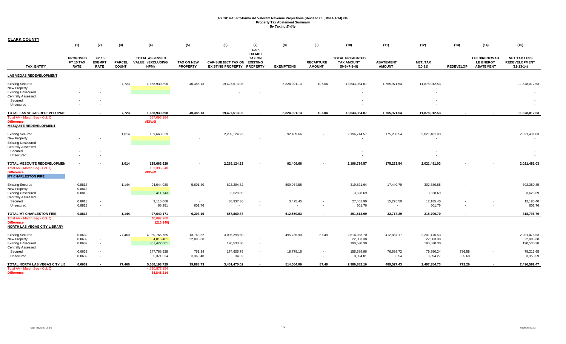|                                                    | (1)                                                | (2)                                   | (3)                           | (4)                                               | (5)                    | (6)                                                            | (7)<br>CAP-                                       | (8)               | (9)                               | (10)                                                         | (11)                              | (12)                        | (13)             | (14)                                                        | (15)                                                        |
|----------------------------------------------------|----------------------------------------------------|---------------------------------------|-------------------------------|---------------------------------------------------|------------------------|----------------------------------------------------------------|---------------------------------------------------|-------------------|-----------------------------------|--------------------------------------------------------------|-----------------------------------|-----------------------------|------------------|-------------------------------------------------------------|-------------------------------------------------------------|
| <b>TAX ENTITY</b>                                  | <b>PROPOSED</b><br><b>FY 15 TAX</b><br><b>RATE</b> | FY 15<br><b>EXEMPT</b><br><b>RATE</b> | <b>PARCEL</b><br><b>COUNT</b> | <b>TOTAL ASSESSED</b><br>VALUE (EXCLUDING<br>NPM) | TAX ON NEW<br>PROPERTY | <b>CAP-SUBJECT TAX ON</b><br><b>EXISTING PROPERTY PROPERTY</b> | <b>EXEMPT</b><br><b>TAX ON</b><br><b>EXISTING</b> | <b>EXEMPTIONS</b> | <b>RECAPTURE</b><br><b>AMOUNT</b> | <b>TOTAL PREABATED</b><br><b>TAX AMOUNT</b><br>$(5+6+7-8+9)$ | <b>ABATEMENT</b><br><b>AMOUNT</b> | <b>NET TAX</b><br>$(10-11)$ | <b>REDEVELOP</b> | <b>LEED/RENEWAB</b><br><b>LE ENERGY</b><br><b>ABATEMENT</b> | <b>NET TAX LESS</b><br><b>REDEVELOPMENT</b><br>$(12-13-14)$ |
| <b>LAS VEGAS REDEVELOPMENT</b>                     |                                                    |                                       |                               |                                                   |                        |                                                                |                                                   |                   |                                   |                                                              |                                   |                             |                  |                                                             |                                                             |
| <b>Existing Secured</b>                            |                                                    |                                       | 7,723                         | 1,658,930,398                                     | 40,385.13              | 19,427,513.03                                                  |                                                   | 5,824,021.13      | 107.04                            | 13,643,984.07                                                | 1,765,971.54                      | 11,878,012.53               |                  |                                                             | 11,878,012.53                                               |
| New Property                                       |                                                    |                                       |                               |                                                   |                        |                                                                |                                                   |                   |                                   |                                                              |                                   |                             |                  |                                                             |                                                             |
| <b>Existing Unsecured</b>                          |                                                    |                                       |                               |                                                   |                        |                                                                |                                                   |                   |                                   |                                                              |                                   |                             |                  |                                                             | $\overline{\phantom{a}}$                                    |
| Centrally Assessed                                 |                                                    |                                       |                               |                                                   |                        |                                                                |                                                   |                   |                                   |                                                              |                                   |                             |                  |                                                             |                                                             |
| Secured                                            |                                                    |                                       |                               |                                                   |                        |                                                                |                                                   |                   |                                   |                                                              |                                   |                             |                  |                                                             |                                                             |
| Unsecured                                          |                                                    |                                       |                               |                                                   |                        |                                                                |                                                   |                   |                                   |                                                              |                                   |                             |                  |                                                             |                                                             |
| TOTAL LAS VEGAS REDEVELOPME                        |                                                    |                                       | 7,723                         | 1,658,930,398                                     | 40,385.13              | 19,427,513.03                                                  |                                                   | 5,824,021.13      | 107.04                            | 13,643,984.07                                                | 1,765,971.54                      | 11,878,012.53               |                  |                                                             | 11,878,012.53                                               |
| Total AV - March Seg - Col. Q                      |                                                    |                                       |                               | 587,093,184                                       |                        |                                                                |                                                   |                   |                                   |                                                              |                                   |                             |                  |                                                             |                                                             |
| <b>Difference</b><br><b>MESQUITE REDEVELOPMENT</b> |                                                    |                                       |                               | #DIV/0!                                           |                        |                                                                |                                                   |                   |                                   |                                                              |                                   |                             |                  |                                                             |                                                             |
| <b>Existing Secured</b>                            |                                                    |                                       | 1,014                         | 139,663,629                                       |                        | 2,289,124.23                                                   |                                                   | 92,409.66         |                                   | 2,196,714.57                                                 | 175,233.54                        | 2,021,481.03                |                  |                                                             | 2,021,481.03                                                |
| New Property                                       |                                                    |                                       |                               |                                                   |                        |                                                                |                                                   |                   |                                   |                                                              |                                   |                             |                  |                                                             |                                                             |
| <b>Existing Unsecured</b>                          |                                                    |                                       |                               |                                                   |                        |                                                                |                                                   |                   |                                   |                                                              |                                   |                             |                  |                                                             |                                                             |
| Centrally Assessed                                 |                                                    |                                       |                               |                                                   |                        |                                                                |                                                   |                   |                                   |                                                              |                                   |                             |                  |                                                             |                                                             |
| Secured                                            |                                                    |                                       |                               |                                                   |                        |                                                                |                                                   |                   |                                   |                                                              |                                   |                             |                  |                                                             |                                                             |
| Unsecured                                          |                                                    |                                       |                               |                                                   |                        |                                                                |                                                   |                   |                                   |                                                              |                                   |                             |                  |                                                             |                                                             |
| TOTAL MESQUITE REDEVELOPMEN                        | $\sim$                                             |                                       | 1,014                         | 139,663,629                                       |                        | 2,289,124.23                                                   |                                                   | 92,409.66         | $\sim$                            | 2,196,714.57                                                 | 175,233.54                        | 2,021,481.03                |                  | $\sim$                                                      | 2,021,481.03                                                |
| Total AV - March Seg - Col. Q                      |                                                    |                                       |                               | 103,395,248                                       |                        |                                                                |                                                   |                   |                                   |                                                              |                                   |                             |                  |                                                             |                                                             |
| <b>Difference</b><br><b>MT CHARLESTON FIRE</b>     |                                                    |                                       |                               | #DIV/0!                                           |                        |                                                                |                                                   |                   |                                   |                                                              |                                   |                             |                  |                                                             |                                                             |
| <b>Existing Secured</b>                            | 0.8813                                             |                                       | 1,144                         | 94,044,080                                        | 5,601.40               | 823,294.82                                                     |                                                   | 509,074.58        |                                   | 319,821.64                                                   | 17,440.79                         | 302,380.85                  |                  |                                                             | 302,380.85                                                  |
| New Property                                       | 0.8813                                             |                                       |                               |                                                   |                        |                                                                |                                                   |                   |                                   |                                                              |                                   |                             |                  |                                                             |                                                             |
| <b>Existing Unsecured</b>                          | 0.8813                                             | $\sim$                                |                               | 411,743                                           |                        | 3,628.69                                                       | $\sim$                                            |                   |                                   | 3,628.69                                                     |                                   | 3,628.69                    |                  |                                                             | 3,628.69                                                    |
| Centrally Assessed                                 |                                                    |                                       |                               |                                                   |                        |                                                                |                                                   |                   |                                   |                                                              |                                   |                             |                  |                                                             |                                                             |
| Secured                                            | 0.8813                                             |                                       |                               | 3,116,068                                         | $\sim$                 | 30,937.36                                                      |                                                   | 3,475.45          |                                   | 27,461.90                                                    | 15,276.50                         | 12,185.40                   |                  | $\sim$                                                      | 12,185.40                                                   |
| Unsecured                                          | 0.8813                                             |                                       |                               | 68,281                                            | 601.76                 |                                                                |                                                   | $\sim$            | $\sim$                            | 601.76                                                       | $\sim$                            | 601.76                      |                  | $\sim$                                                      | 601.76                                                      |
| TOTAL MT CHARLESTON FIRE                           | 0.8813                                             |                                       | 1,144                         | 97,640,171                                        | 6,203.16               | 857,860.87                                                     |                                                   | 512,550.03        | $\overline{a}$                    | 351,513.99                                                   | 32,717.29                         | 318,796.70                  |                  |                                                             | 318,796.70                                                  |
| Total AV - March Seg - Col. Q                      |                                                    |                                       |                               | 40.092.260                                        |                        |                                                                |                                                   |                   |                                   |                                                              |                                   |                             |                  |                                                             |                                                             |
| <b>Difference</b>                                  |                                                    |                                       |                               | (216, 140)                                        |                        |                                                                |                                                   |                   |                                   |                                                              |                                   |                             |                  |                                                             |                                                             |
| <b>NORTH LAS VEGAS CITY LIBRARY</b>                |                                                    |                                       |                               |                                                   |                        |                                                                |                                                   |                   |                                   |                                                              |                                   |                             |                  |                                                             |                                                             |
| <b>Existing Secured</b>                            | 0.0632                                             |                                       | 77,460                        | 4,960,765,785                                     | 13,763.52              | 3,096,298.60                                                   |                                                   | 495,785.90        | 87.48                             | 2,614,363.70                                                 | 412,887.17                        | 2,201,476.53                |                  |                                                             | 2,201,476.53                                                |
| <b>New Property</b>                                | 0.0632                                             | $\sim$                                |                               | 34,815,481                                        | 22,003.38              |                                                                |                                                   |                   |                                   | 22,003.38                                                    |                                   | 22,003.38                   |                  |                                                             | 22,003.38                                                   |
| <b>Existing Unsecured</b>                          | 0.0632                                             | $\sim$                                |                               | 301,472,001                                       |                        | 190,530.30                                                     | $\sim$                                            |                   |                                   | 190,530.30                                                   |                                   | 190,530.30                  |                  |                                                             | 190,530.30                                                  |
| Centrally Assessed                                 |                                                    |                                       |                               |                                                   |                        |                                                                |                                                   |                   |                                   |                                                              |                                   |                             |                  |                                                             |                                                             |
| Secured                                            | 0.0632                                             | $\sim$                                |                               | 247,768,928                                       | 761.34                 | 174,606.79                                                     | $\sim$                                            | 18,778.16         | $\sim$                            | 156,589.96                                                   | 76,639.72                         | 79,950.24                   | 736.58           |                                                             | 79,213.65                                                   |
| Unsecured                                          | 0.0632                                             |                                       |                               | 5,371,534                                         | 3,360.48               | 34.32                                                          | $\overline{\phantom{a}}$                          |                   | $\sim$                            | 3,394.81                                                     | 0.54                              | 3,394.27                    | 35.68            |                                                             | 3,358.59                                                    |
| TOTAL NORTH LAS VEGAS CITY LIE                     | 0.0632                                             |                                       | 77,460                        | 5,550,193,729                                     | 39,888.73              | 3,461,470.02                                                   | $\overline{\phantom{a}}$                          | 514,564.06        | 87.48                             | 2,986,882.16                                                 | 489,527.43                        | 2,497,354.73                | 772.26           | $\sim$                                                      | 2,496,582.47                                                |
| Total AV - March Seg - Col. Q                      |                                                    |                                       |                               | 4,730,877,154                                     |                        |                                                                |                                                   |                   |                                   |                                                              |                                   |                             |                  |                                                             |                                                             |
| <b>Difference</b>                                  |                                                    |                                       |                               | 34,845,214                                        |                        |                                                                |                                                   |                   |                                   |                                                              |                                   |                             |                  |                                                             |                                                             |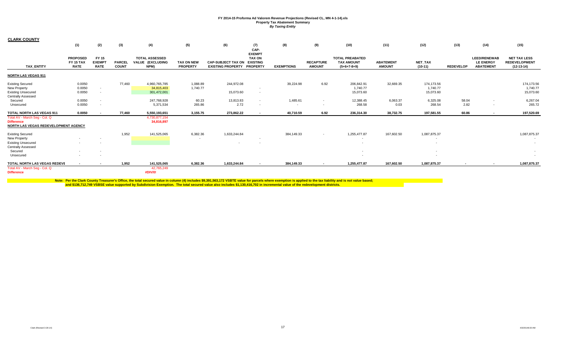**CLARK COUNTY**

|                                                                                                                                | (1)                                         | (2)                                   | (3)                           | (4)                                               | (5)                                  | (6)                                                   | (7)<br>CAP-                                                          | (8)                | (9)                               | (10)                                                         | (11)                              | (12)                                                                                             | (13)             | (14)                                                        | (15)                                                        |
|--------------------------------------------------------------------------------------------------------------------------------|---------------------------------------------|---------------------------------------|-------------------------------|---------------------------------------------------|--------------------------------------|-------------------------------------------------------|----------------------------------------------------------------------|--------------------|-----------------------------------|--------------------------------------------------------------|-----------------------------------|--------------------------------------------------------------------------------------------------|------------------|-------------------------------------------------------------|-------------------------------------------------------------|
| <b>TAX ENTITY</b>                                                                                                              | <b>PROPOSED</b><br>FY 15 TAX<br><b>RATE</b> | FY 15<br><b>EXEMPT</b><br><b>RATE</b> | <b>PARCEL</b><br><b>COUNT</b> | <b>TOTAL ASSESSED</b><br>VALUE (EXCLUDING<br>NPM) | <b>TAX ON NEW</b><br><b>PROPERTY</b> | <b>CAP-SUBJECT TAX ON</b><br><b>EXISTING PROPERTY</b> | <b>EXEMPT</b><br><b>TAX ON</b><br><b>EXISTING</b><br><b>PROPERTY</b> | <b>EXEMPTIONS</b>  | <b>RECAPTURE</b><br><b>AMOUNT</b> | <b>TOTAL PREABATED</b><br><b>TAX AMOUNT</b><br>$(5+6+7-8+9)$ | <b>ABATEMENT</b><br><b>AMOUNT</b> | NET_TAX<br>$(10-11)$                                                                             | <b>REDEVELOP</b> | <b>LEED/RENEWAB</b><br><b>LE ENERGY</b><br><b>ABATEMENT</b> | <b>NET TAX LESS</b><br><b>REDEVELOPMENT</b><br>$(12-13-14)$ |
| <b>NORTH LAS VEGAS 911</b>                                                                                                     |                                             |                                       |                               |                                                   |                                      |                                                       |                                                                      |                    |                                   |                                                              |                                   |                                                                                                  |                  |                                                             |                                                             |
| <b>Existing Secured</b><br>New Property<br><b>Existing Unsecured</b><br>Centrally Assessed                                     | 0.0050<br>0.0050<br>0.0050                  | $\sim$<br>$\sim$                      | 77,460                        | 4,960,765,785<br>34,815,403<br>301,472,001        | 1,088.89<br>1,740.77                 | 244,972.08<br>15,073.60                               | $\sim$<br>$\sim$                                                     | 39,224.98          | 6.92                              | 206,842.91<br>1,740.77<br>15,073.60                          | 32,669.35                         | 174,173.56<br>1,740.77<br>15,073.60                                                              |                  |                                                             | 174,173.56<br>1,740.77<br>15,073.60                         |
| Secured<br>Unsecured                                                                                                           | 0.0050<br>0.0050                            | $\sim$<br>$\sim$                      |                               | 247,768,928<br>5,371,534                          | 60.23<br>265.86                      | 13,813.83<br>2.72                                     | $\overline{\phantom{a}}$<br>$\sim$                                   | 1,485.61<br>$\sim$ | $\sim$<br>$\sim$                  | 12,388.45<br>268.58                                          | 6,063.37<br>0.03                  | 6,325.08<br>268.54                                                                               | 58.04<br>2.82    | $\overline{\phantom{a}}$<br>$\overline{\phantom{a}}$        | 6,267.04<br>265.72                                          |
| TOTAL NORTH LAS VEGAS 911<br>Total AV - March Seg - Col. Q<br><b>Difference</b><br><b>NORTH LAS VEGAS REDEVELOPMENT AGENCY</b> | 0.0050                                      |                                       | 77,460                        | 5,550,193,651<br>4,730,877,154<br>34,816,897      | 3,155.75                             | 273,862.22                                            | $\sim$                                                               | 40,710.59          | 6.92                              | 236,314.30                                                   | 38,732.75                         | 197,581.55                                                                                       | 60.86            | ٠                                                           | 197,520.69                                                  |
| <b>Existing Secured</b><br>New Property<br><b>Existing Unsecured</b><br>Centrally Assessed<br>Secured<br>Unsecured             | $\overline{\phantom{a}}$<br>$\sim$          | $\sim$<br>$\sim$                      | 1,952                         | 141,525,065                                       | 6,382.36<br>$\overline{\phantom{a}}$ | 1,633,244.84<br>$\sim$                                | $\sim$<br>$\overline{\phantom{a}}$                                   | 384,149.33         | $\sim$                            | 1,255,477.87<br>$\sim$                                       | 167,602.50                        | 1,087,875.37<br>$\overline{\phantom{a}}$<br>$\overline{\phantom{a}}$<br>$\overline{\phantom{a}}$ |                  |                                                             | 1,087,875.37<br>$\sim$<br>$\overline{\phantom{a}}$          |
| TOTAL NORTH LAS VEGAS REDEVI<br>Total AV - March Seg - Col. Q<br><b>Difference</b>                                             | $\sim$                                      |                                       | 1,952                         | 141,525,065<br>42,765,249<br>#DIV/0!              | 6,382.36                             | 1,633,244.84                                          |                                                                      | 384,149.33         | $\overline{\phantom{a}}$          | 1,255,477.87                                                 | 167,602.50                        | 1,087,875.37                                                                                     |                  |                                                             | 1,087,875.37                                                |

Note: Per the Clark County Treasurer's Office, the total secured value in column (4) includes \$9,391,563,172 VSBTE value for parcels where exemption is applied to the tax liability and is not value based;<br>and \$136,712,749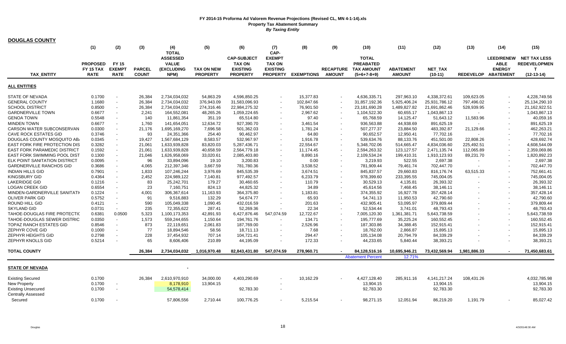| <b>DOUGLAS COUNTY</b>                |                                                    |                                              |                               |                                                       |                                      |                                                                           |                                                                      |                   |                                   |                                                                        |                                   |                      |                          |                                                                       |                                                            |
|--------------------------------------|----------------------------------------------------|----------------------------------------------|-------------------------------|-------------------------------------------------------|--------------------------------------|---------------------------------------------------------------------------|----------------------------------------------------------------------|-------------------|-----------------------------------|------------------------------------------------------------------------|-----------------------------------|----------------------|--------------------------|-----------------------------------------------------------------------|------------------------------------------------------------|
|                                      | (1)                                                | (2)                                          | (3)                           | (4)<br><b>TOTAL</b>                                   | (5)                                  | (6)                                                                       | (7)<br>CAP-                                                          | (8)               | (9)                               | (10)                                                                   | (11)                              | (12)                 | (13)                     | (14)                                                                  | (15)                                                       |
| <b>TAX ENTITY</b>                    | <b>PROPOSED</b><br><b>FY 15 TAX</b><br><b>RATE</b> | <b>FY 15</b><br><b>EXEMPT</b><br><b>RATE</b> | <b>PARCEL</b><br><b>COUNT</b> | <b>ASSESSED</b><br><b>VALUE</b><br>(EXCLUDING<br>NPM) | <b>TAX ON NEW</b><br><b>PROPERTY</b> | <b>CAP-SUBJECT</b><br><b>TAX ON</b><br><b>EXISTING</b><br><b>PROPERTY</b> | <b>EXEMPT</b><br><b>TAX ON</b><br><b>EXISTING</b><br><b>PROPERTY</b> | <b>EXEMPTIONS</b> | <b>RECAPTURE</b><br><b>AMOUNT</b> | <b>TOTAL</b><br><b>PREABATED</b><br><b>TAX AMOUNT</b><br>$(5+6+7-8+9)$ | <b>ABATEMENT</b><br><b>AMOUNT</b> | NET_TAX<br>$(10-11)$ | <b>REDEVELOP</b>         | <b>LEED/RENEW</b><br><b>ABLE</b><br><b>ENERGY</b><br><b>ABATEMENT</b> | <b>NET TAX LESS</b><br><b>REDEVELOPMEN</b><br>$(12-13-14)$ |
| <b>ALL ENTITIES</b>                  |                                                    |                                              |                               |                                                       |                                      |                                                                           |                                                                      |                   |                                   |                                                                        |                                   |                      |                          |                                                                       |                                                            |
| <b>STATE OF NEVADA</b>               | 0.1700                                             |                                              | 26,384                        | 2,734,034,032                                         | 54,863.29                            | 4,596,850.25                                                              |                                                                      | 15,377.83         |                                   | 4,636,335.71                                                           | 297,963.10                        | 4,338,372.61         | 109,623.05               |                                                                       | 4,228,749.56                                               |
| <b>GENERAL COUNTY</b>                | 1.1680                                             | $\blacksquare$                               | 26,384                        | 2,734,034,032                                         | 376,943.09                           | 31,583,096.93                                                             |                                                                      | 102,847.66        |                                   | 31,857,192.36                                                          | 5,925,406.24                      | 25,931,786.12        | 797,496.02               |                                                                       | 25, 134, 290. 10                                           |
| <b>SCHOOL DISTRICT</b>               | 0.8500                                             |                                              | 26,384                        | 2,734,034,032                                         | 274,316.46                           | 22,984,275.32                                                             |                                                                      | 76,901.50         |                                   | 23,181,690.28                                                          | 1,489,827.82                      | 21,691,862.46        | 528,939.95               |                                                                       | 21,162,922.51                                              |
| <b>GARDNERVILLE TOWN</b>             | 0.6677                                             | $\overline{\phantom{a}}$                     | 2,241                         | 164,552,081                                           | 48,265.26                            | 1,059,224.65                                                              | $\sim$                                                               | 2,967.62          |                                   | 1,104,522.30                                                           | 60,655.17                         | 1,043,867.13         | $\overline{\phantom{a}}$ |                                                                       | 1,043,867.13                                               |
| <b>GENOA TOWN</b>                    | 0.5548                                             |                                              | 140                           | 11,861,354                                            | 351.19                               | 65,514.80                                                                 |                                                                      | 97.40             |                                   | 65,768.59                                                              | 14,125.47                         | 51,643.12            | 11,583.96                |                                                                       | 40,059.16                                                  |
| <b>MINDEN TOWN</b>                   | 0.6677                                             |                                              | 1.760                         | 141,654,051                                           | 12,634.72                            | 927,390.70                                                                |                                                                      | 3,461.54          |                                   | 936,563.88                                                             | 44,938.69                         | 891,625.19           | $\overline{\phantom{a}}$ |                                                                       | 891,625.19                                                 |
| CARSON WATER SUBCONSERVAN            | 0.0300                                             |                                              | 21,176                        | 1,695,169,270                                         | 7,696.58                             | 501,362.03                                                                |                                                                      | 1,781.24          |                                   | 507,277.37                                                             | 23,884.50                         | 483,392.87           | 21,129.66                |                                                                       | 462,263.21                                                 |
| <b>CAVE ROCK ESTATES GID</b>         | 0.3746                                             |                                              | 93                            | 24,351,366                                            | 254.40                               | 90,462.97                                                                 |                                                                      | 64.80             |                                   | 90,652.57                                                              | 12,950.41                         | 77,702.16            |                          |                                                                       | 77,702.16                                                  |
| DOUGLAS COUNTY MOSQUITO AB           | 0.0345                                             |                                              | 19,427                        | 1,567,684,129                                         | 8,583.57                             | 532,967.97                                                                |                                                                      | 1,916.78          |                                   | 539,634.76                                                             | 88,133.76                         | 451,501.00           | 22,808.26                |                                                                       | 428,692.74                                                 |
| <b>EAST FORK FIRE PROTECTION DIS</b> | 0.3282                                             |                                              | 21,061                        | 1,633,939,828                                         | 83,820.03                            | 5,287,436.71                                                              |                                                                      | 22,554.67         |                                   | 5,348,702.06                                                           | 514,665.47                        | 4,834,036.60         | 225,492.51               |                                                                       | 4,608,544.09                                               |
| <b>EAST FORK PARAMEDIC DISTRICT</b>  | 0.1592                                             |                                              | 21,061                        | 1,633,939,828                                         | 40,658.59                            | 2,564,779.18                                                              |                                                                      | 11,174.45         |                                   | 2,594,263.32                                                           | 123, 127.57                       | 2,471,135.74         | 112,065.89               |                                                                       | 2,359,069.86                                               |
| EAST FORK SWIMMING POOL DIST         | 0.1300                                             |                                              | 21,046                        | 1,626,958,069                                         | 33,020.61                            | 2,085,403.80                                                              |                                                                      | 8,890.16          |                                   | 2,109,534.24                                                           | 199,410.31                        | 1,910,123.93         | 89,231.70                |                                                                       | 1,820,892.23                                               |
| <b>ELK POINT SANITATION DISTRICT</b> | 0.0095                                             |                                              | 96                            | 33,894,096                                            | 19.10                                | 3,200.83                                                                  |                                                                      | 0.00              |                                   | 3,219.93                                                               | 522.55                            | 2,697.38             |                          |                                                                       | 2,697.38                                                   |
| <b>GARDNERVILLE RANCHOS GID</b>      | 0.3686                                             |                                              | 4,065                         | 212,397,346                                           | 3,667.59                             | 781,780.36                                                                |                                                                      | 3,538.52          |                                   | 781,909.44                                                             | 79,461.74                         | 702,447.70           | $\blacksquare$           |                                                                       | 702,447.70                                                 |
| <b>INDIAN HILLS GID</b>              | 0.7901                                             |                                              | 1,833                         | 107,246,244                                           | 3,976.69                             | 845,535.39                                                                |                                                                      | 3,674.51          |                                   | 845,837.57                                                             | 29,660.83                         | 816,176.74           | 63,515.33                |                                                                       | 752,661.41                                                 |
| <b>KINGSBURY GID</b>                 | 0.4364                                             |                                              | 2,452                         | 224,989,122                                           | 7,140.81                             | 977,492.57                                                                |                                                                      | 6,233.79          |                                   | 978,399.60                                                             | 233,395.55                        | 745,004.05           |                          |                                                                       | 745,004.05                                                 |
| <b>LAKERIDGE GID</b>                 | 0.1216                                             |                                              | 83                            | 25,242,701                                            | 179.27                               | 30,460.65                                                                 |                                                                      | 110.79            |                                   | 30,529.13                                                              | 4,135.81                          | 26,393.32            |                          |                                                                       | 26,393.32                                                  |
| <b>LOGAN CREEK GID</b>               | 0.6554                                             |                                              | 23                            | 7,160,751                                             | 824.13                               | 44,825.32                                                                 |                                                                      | 34.89             |                                   | 45,614.56                                                              | 7,468.45                          | 38,146.11            |                          |                                                                       | 38,146.11                                                  |
| MINDEN-GARDNERVILLE SANITATI         | 0.1224                                             |                                              | 4,001                         | 306,367,614                                           | 11,163.93                            | 364,375.80                                                                |                                                                      | 1,183.81          |                                   | 374,355.92                                                             | 16,927.78                         | 357,428.14           |                          |                                                                       | 357,428.14                                                 |
| <b>OLIVER PARK GID</b>               | 0.5752                                             |                                              | 91                            | 9,516,883                                             | 132.29                               | 54.674.77                                                                 |                                                                      | 65.93             |                                   | 54,741.13                                                              | 11.950.53                         | 42,790.60            |                          | $\overline{\phantom{a}}$                                              | 42,790.60                                                  |
| ROUND HILL GID                       | 0.4121                                             |                                              | 590                           | 105,049,338                                           | 1,090.45                             | 432,016.59                                                                |                                                                      | 201.63            |                                   | 432,905.41                                                             | 53,095.97                         | 379,809.44           |                          |                                                                       | 379,809.44                                                 |
| <b>SKYLAND GID</b>                   | 0.0731                                             | $\blacksquare$                               | 235                           | 72,355,622                                            | 287.41                               | 52,269.36                                                                 | $\overline{\phantom{a}}$                                             | 22.34             |                                   | 52,534.44                                                              | 3.741.01                          | 48,793.43            |                          |                                                                       | 48,793.43                                                  |
|                                      |                                                    | 0.0500                                       | 5,323                         |                                                       |                                      |                                                                           | 547.074.59                                                           | 12,722.67         |                                   |                                                                        |                                   |                      |                          |                                                                       | 5,643,738.59                                               |
| TAHOE-DOUGLAS FIRE PROTECTIO         | 0.6381                                             |                                              |                               | 1,100,173,353                                         | 42,891.93                            | 6,427,876.46                                                              |                                                                      |                   |                                   | 7,005,120.30                                                           | 1,361,381.71                      | 5,643,738.59         |                          | $\overline{\phantom{a}}$                                              |                                                            |
| TAHOE-DOUGLAS SEWER DISTRIC          | 0.0350                                             | $\blacksquare$                               | 1,573                         | 559,244,655                                           | 1,150.64                             | 194,761.76                                                                |                                                                      | 134.71            |                                   | 195,777.69                                                             | 35,225.24                         | 160,552.45           |                          |                                                                       | 160,552.45                                                 |
| <b>TOPAZ RANCH ESTATES GID</b>       | 0.8546                                             |                                              | 873                           | 22,119,651                                            | 2,061.83                             | 187,769.00                                                                |                                                                      | 2,526.96          |                                   | 187,303.86                                                             | 34,388.45                         | 152,915.41           |                          |                                                                       | 152,915.41                                                 |
| ZEPHYR COVE GID                      | 0.1000                                             | $\overline{\phantom{a}}$                     | 77                            | 18.894.546                                            | 58.56                                | 18.711.13                                                                 |                                                                      | 7.68              |                                   | 18.762.00                                                              | 2.866.87                          | 15,895.13            |                          | $\overline{\phantom{a}}$                                              | 15,895.13                                                  |
| ZEPHYR HEIGHTS GID                   | 0.2798                                             |                                              | 228                           | 37,454,932                                            | 707.14                               | 104,721.41                                                                |                                                                      | 294.47            |                                   | 105,134.08                                                             | 20,794.79                         | 84,339.29            |                          |                                                                       | 84,339.29                                                  |
| ZEPHYR KNOLLS GID                    | 0.5214                                             |                                              | 65                            | 8,606,406                                             | 210.89                               | 44,195.09                                                                 |                                                                      | 172.33            |                                   | 44,233.65                                                              | 5,840.44                          | 38,393.21            |                          |                                                                       | 38,393.21                                                  |
| <b>TOTAL COUNTY</b>                  |                                                    |                                              | 26.384                        | 2,734,034,032                                         | 1,016,970.48                         | 82,843,431.80                                                             | 547,074.59                                                           | 278,960.71        |                                   | 84,128,516.16                                                          | 10,695,946.21<br>12.71%           | 73,432,569.94        | 1,981,886.33             |                                                                       | 71,450,683.61                                              |
|                                      |                                                    |                                              |                               |                                                       |                                      |                                                                           |                                                                      |                   |                                   | <b>Abatement Percent</b>                                               |                                   |                      |                          |                                                                       |                                                            |
| <b>STATE OF NEVADA</b>               |                                                    |                                              |                               |                                                       |                                      |                                                                           |                                                                      |                   |                                   |                                                                        |                                   |                      |                          |                                                                       |                                                            |
| <b>Existing Secured</b>              | 0.1700                                             |                                              | 26,384                        | 2,610,970,910                                         | 34,000.00                            | 4,403,290.69                                                              |                                                                      | 10,162.29         |                                   | 4,427,128.40                                                           | 285,911.16                        | 4, 141, 217. 24      | 108,431.26               |                                                                       | 4,032,785.98                                               |
| <b>New Property</b>                  | 0.1700                                             |                                              |                               | 8,178,910                                             | 13,904.15                            |                                                                           |                                                                      |                   |                                   | 13,904.15                                                              |                                   | 13,904.15            |                          |                                                                       | 13,904.15                                                  |
| <b>Existing Unsecured</b>            | 0.1700                                             |                                              |                               | 54,578,414                                            |                                      | 92,783.30                                                                 |                                                                      |                   |                                   | 92,783.30                                                              |                                   | 92,783.30            |                          |                                                                       | 92,783.30                                                  |
| <b>Centrally Assessed</b>            |                                                    |                                              |                               |                                                       |                                      |                                                                           |                                                                      |                   |                                   |                                                                        |                                   |                      |                          |                                                                       |                                                            |
| Secured                              | 0.1700                                             |                                              |                               | 57,806,556                                            | 2.710.44                             | 100,776.25                                                                |                                                                      | 5.215.54          |                                   | 98,271.15                                                              | 12.051.94                         | 86.219.20            | 1,191.79                 |                                                                       | 85,027.42                                                  |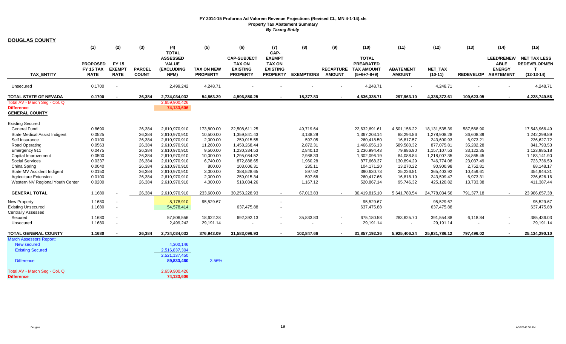| <b>DOUGLAS COUNTY</b>            |                                                    |                                              |                               |                                                       |                                      |                                                                           |                                                                      |                   |                                   |                                                                        |                                   |                             |                          |                                                                          |                                                                            |
|----------------------------------|----------------------------------------------------|----------------------------------------------|-------------------------------|-------------------------------------------------------|--------------------------------------|---------------------------------------------------------------------------|----------------------------------------------------------------------|-------------------|-----------------------------------|------------------------------------------------------------------------|-----------------------------------|-----------------------------|--------------------------|--------------------------------------------------------------------------|----------------------------------------------------------------------------|
|                                  | (1)                                                | (2)                                          | (3)                           | (4)<br><b>TOTAL</b>                                   | (5)                                  | (6)                                                                       | (7)<br>CAP-                                                          | (8)               | (9)                               | (10)                                                                   | (11)                              | (12)                        | (13)                     | (14)                                                                     | (15)                                                                       |
| <b>TAX ENTITY</b>                | <b>PROPOSED</b><br><b>FY 15 TAX</b><br><b>RATE</b> | <b>FY 15</b><br><b>EXEMPT</b><br><b>RATE</b> | <b>PARCEL</b><br><b>COUNT</b> | <b>ASSESSED</b><br><b>VALUE</b><br>(EXCLUDING<br>NPM) | <b>TAX ON NEW</b><br><b>PROPERTY</b> | <b>CAP-SUBJECT</b><br><b>TAX ON</b><br><b>EXISTING</b><br><b>PROPERTY</b> | <b>EXEMPT</b><br><b>TAX ON</b><br><b>EXISTING</b><br><b>PROPERTY</b> | <b>EXEMPTIONS</b> | <b>RECAPTURE</b><br><b>AMOUNT</b> | <b>TOTAL</b><br><b>PREABATED</b><br><b>TAX AMOUNT</b><br>$(5+6+7-8+9)$ | <b>ABATEMENT</b><br><b>AMOUNT</b> | <b>NET TAX</b><br>$(10-11)$ |                          | <b>LEED/RENEW</b><br><b>ABLE</b><br><b>ENERGY</b><br>REDEVELOP ABATEMENT | <b>NET TAX LESS</b><br><b>REDEVELOPMEN</b><br>$\mathbf{T}$<br>$(12-13-14)$ |
| Unsecured                        | 0.1700                                             | $\blacksquare$                               |                               | 2,499,242                                             | 4,248.71                             |                                                                           |                                                                      |                   |                                   | 4,248.71                                                               |                                   | 4,248.71                    |                          |                                                                          | 4,248.71                                                                   |
| <b>TOTAL STATE OF NEVADA</b>     | 0.1700                                             | $\sim$                                       | 26,384                        | 2,734,034,032                                         | 54,863.29                            | 4,596,850.25                                                              | $\overline{a}$                                                       | 15,377.83         | $\sim$                            | 4,636,335.71                                                           | 297,963.10                        | 4,338,372.61                | 109,623.05               | $\sim$                                                                   | 4,228,749.56                                                               |
| Total AV - March Seg - Col. Q    |                                                    |                                              |                               | 2,659,900,426                                         |                                      |                                                                           |                                                                      |                   |                                   |                                                                        |                                   |                             |                          |                                                                          |                                                                            |
| <b>Difference</b>                |                                                    |                                              |                               | 74,133,606                                            |                                      |                                                                           |                                                                      |                   |                                   |                                                                        |                                   |                             |                          |                                                                          |                                                                            |
| <b>GENERAL COUNTY</b>            |                                                    |                                              |                               |                                                       |                                      |                                                                           |                                                                      |                   |                                   |                                                                        |                                   |                             |                          |                                                                          |                                                                            |
| <b>Existing Secured</b>          |                                                    |                                              |                               |                                                       |                                      |                                                                           |                                                                      |                   |                                   |                                                                        |                                   |                             |                          |                                                                          |                                                                            |
| <b>General Fund</b>              | 0.8690                                             |                                              | 26,384                        | 2,610,970,910                                         | 173,800.00                           | 22,508,611.25                                                             |                                                                      | 49,719.64         |                                   | 22,632,691.61                                                          | 4,501,156.22                      | 18,131,535.39               | 587,568.90               |                                                                          | 17,543,966.49                                                              |
| State Medical Assist Indigent    | 0.0525                                             |                                              | 26,384                        | 2,610,970,910                                         | 10,500.00                            | 1,359,841.43                                                              |                                                                      | 3,138.29          |                                   | 1,367,203.14                                                           | 88,294.86                         | 1,278,908.28                | 36,608.39                |                                                                          | 1,242,299.89                                                               |
| Self Insurance                   | 0.0100                                             |                                              | 26,384                        | 2,610,970,910                                         | 2,000.00                             | 259,015.55                                                                |                                                                      | 597.05            |                                   | 260,418.50                                                             | 16,817.57                         | 243,600.93                  | 6,973.21                 |                                                                          | 236,627.72                                                                 |
| Road Operating                   | 0.0563                                             |                                              | 26,384                        | 2,610,970,910                                         | 11,260.00                            | 1,458,268.44                                                              |                                                                      | 2,872.31          |                                   | 1,466,656.13                                                           | 589,580.32                        | 877,075.81                  | 35,282.28                |                                                                          | 841,793.53                                                                 |
| Emergency 911                    | 0.0475                                             |                                              | 26,384                        | 2,610,970,910                                         | 9,500.00                             | 1,230,334.53                                                              |                                                                      | 2,840.10          |                                   | 1,236,994.43                                                           | 79,886.90                         | 1,157,107.53                | 33,122.35                |                                                                          | 1,123,985.18                                                               |
| Capital Improvement              | 0.0500                                             |                                              | 26,384                        | 2,610,970,910                                         | 10,000.00                            | 1,295,084.52                                                              |                                                                      | 2,988.33          |                                   | 1,302,096.19                                                           | 84,088.84                         | 1,218,007.35                | 34,865.45                |                                                                          | 1,183,141.90                                                               |
| <b>Social Services</b>           | 0.0337                                             |                                              | 26,384                        | 2,610,970,910                                         | 6,740.00                             | 872,888.65                                                                |                                                                      | 1,960.28          |                                   | 877,668.37                                                             | 130,894.29                        | 746,774.08                  | 23,037.49                |                                                                          | 723,736.59                                                                 |
| China Spring                     | 0.0040                                             |                                              | 26,384                        | 2,610,970,910                                         | 800.00                               | 103,606.31                                                                |                                                                      | 235.11            |                                   | 104,171.20                                                             | 13,270.22                         | 90,900.98                   | 2,752.81                 |                                                                          | 88,148.17                                                                  |
| State MV Accident Indigent       | 0.0150                                             |                                              | 26,384                        | 2,610,970,910                                         | 3,000.00                             | 388,528.65                                                                |                                                                      | 897.92            |                                   | 390,630.73                                                             | 25,226.81                         | 365,403.92                  | 10,459.61                |                                                                          | 354,944.31                                                                 |
| <b>Agriculture Extension</b>     | 0.0100                                             |                                              | 26,384                        | 2,610,970,910                                         | 2,000.00                             | 259,015.34                                                                |                                                                      | 597.68            |                                   | 260,417.66                                                             | 16,818.19                         | 243,599.47                  | 6,973.31                 |                                                                          | 236,626.16                                                                 |
| Western NV Regional Youth Center | 0.0200                                             |                                              | 26,384                        | 2,610,970,910                                         | 4,000.00                             | 518,034.26                                                                |                                                                      | 1,167.12          |                                   | 520,867.14                                                             | 95,746.32                         | 425,120.82                  | 13,733.38                |                                                                          | 411,387.44                                                                 |
| <b>GENERAL TOTAL</b>             | 1.1680                                             |                                              | 26,384                        | 2,610,970,910                                         | 233,600.00                           | 30,253,228.93                                                             |                                                                      | 67,013.83         |                                   | 30,419,815.10                                                          | 5,641,780.54                      | 24,778,034.56               | 791,377.18               |                                                                          | 23,986,657.38                                                              |
| <b>New Property</b>              | 1.1680                                             | $\blacksquare$                               |                               | 8,178,910                                             | 95,529.67                            |                                                                           |                                                                      |                   |                                   | 95,529.67                                                              |                                   | 95,529.67                   |                          |                                                                          | 95,529.67                                                                  |
| <b>Existing Unsecured</b>        | 1.1680                                             | $\sim$                                       |                               | 54,578,414                                            |                                      | 637,475.88                                                                | $\overline{\phantom{a}}$                                             |                   |                                   | 637,475.88                                                             |                                   | 637,475.88                  |                          |                                                                          | 637,475.88                                                                 |
| <b>Centrally Assessed</b>        |                                                    |                                              |                               |                                                       |                                      |                                                                           |                                                                      |                   |                                   |                                                                        |                                   |                             |                          |                                                                          |                                                                            |
| Secured                          | 1.1680                                             | $\overline{\phantom{a}}$                     |                               | 57,806,556                                            | 18,622.28                            | 692,392.13                                                                |                                                                      | 35,833.83         | $\overline{\phantom{a}}$          | 675,180.58                                                             | 283,625.70                        | 391,554.88                  | 6,118.84                 | $\overline{\phantom{a}}$                                                 | 385,436.03                                                                 |
| Unsecured                        | 1.1680                                             | $\overline{\phantom{a}}$                     |                               | 2,499,242                                             | 29,191.14                            |                                                                           |                                                                      |                   |                                   | 29,191.14                                                              | $\overline{\phantom{a}}$          | 29,191.14                   | $\overline{\phantom{a}}$ | $\overline{\phantom{a}}$                                                 | 29,191.14                                                                  |
| <b>TOTAL GENERAL COUNTY</b>      | 1.1680                                             |                                              | 26.384                        | 2,734,034,032                                         | 376,943.09                           | 31,583,096.93                                                             |                                                                      | 102,847.66        |                                   | 31,857,192.36                                                          | 5,925,406.24                      | 25,931,786.12               | 797,496.02               |                                                                          | 25,134,290.10                                                              |
| <b>March Assessors Report:</b>   |                                                    |                                              |                               |                                                       |                                      |                                                                           |                                                                      |                   |                                   |                                                                        |                                   |                             |                          |                                                                          |                                                                            |
| New secured                      |                                                    |                                              |                               | 4,300,146                                             |                                      |                                                                           |                                                                      |                   |                                   |                                                                        |                                   |                             |                          |                                                                          |                                                                            |
| <b>Existing Secured</b>          |                                                    |                                              |                               | 2,516,837,304                                         |                                      |                                                                           |                                                                      |                   |                                   |                                                                        |                                   |                             |                          |                                                                          |                                                                            |
|                                  |                                                    |                                              |                               | 2,521,137,450                                         |                                      |                                                                           |                                                                      |                   |                                   |                                                                        |                                   |                             |                          |                                                                          |                                                                            |
| <b>Difference</b>                |                                                    |                                              |                               | 89,833,460                                            | 3.56%                                |                                                                           |                                                                      |                   |                                   |                                                                        |                                   |                             |                          |                                                                          |                                                                            |
| Total AV - March Seg - Col. Q    |                                                    |                                              |                               | 2,659,900,426                                         |                                      |                                                                           |                                                                      |                   |                                   |                                                                        |                                   |                             |                          |                                                                          |                                                                            |
| <b>Difference</b>                |                                                    |                                              |                               | 74,133,606                                            |                                      |                                                                           |                                                                      |                   |                                   |                                                                        |                                   |                             |                          |                                                                          |                                                                            |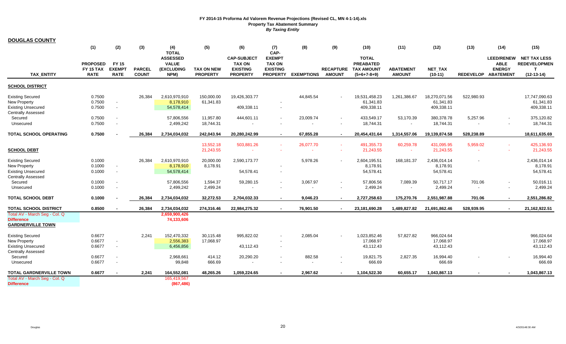| <b>DOUGLAS COUNTY</b>                                                                                    |                                                    |                                                      |                               |                                                       |                                      |                                                                           |                                                                      |                   |                                   |                                                                        |                                       |                                          |                            |                                                                          |                                                                     |
|----------------------------------------------------------------------------------------------------------|----------------------------------------------------|------------------------------------------------------|-------------------------------|-------------------------------------------------------|--------------------------------------|---------------------------------------------------------------------------|----------------------------------------------------------------------|-------------------|-----------------------------------|------------------------------------------------------------------------|---------------------------------------|------------------------------------------|----------------------------|--------------------------------------------------------------------------|---------------------------------------------------------------------|
|                                                                                                          | (1)                                                | (2)                                                  | (3)                           | (4)<br><b>TOTAL</b>                                   | (5)                                  | (6)                                                                       | (7)<br>CAP-                                                          | (8)               | (9)                               | (10)                                                                   | (11)                                  | (12)                                     | (13)                       | (14)                                                                     | (15)                                                                |
| <b>TAX ENTITY</b>                                                                                        | <b>PROPOSED</b><br><b>FY 15 TAX</b><br><b>RATE</b> | <b>FY 15</b><br><b>EXEMPT</b><br><b>RATE</b>         | <b>PARCEL</b><br><b>COUNT</b> | <b>ASSESSED</b><br><b>VALUE</b><br>(EXCLUDING<br>NPM) | <b>TAX ON NEW</b><br><b>PROPERTY</b> | <b>CAP-SUBJECT</b><br><b>TAX ON</b><br><b>EXISTING</b><br><b>PROPERTY</b> | <b>EXEMPT</b><br><b>TAX ON</b><br><b>EXISTING</b><br><b>PROPERTY</b> | <b>EXEMPTIONS</b> | <b>RECAPTURE</b><br><b>AMOUNT</b> | <b>TOTAL</b><br><b>PREABATED</b><br><b>TAX AMOUNT</b><br>$(5+6+7-8+9)$ | <b>ABATEMENT</b><br><b>AMOUNT</b>     | <b>NET TAX</b><br>$(10-11)$              |                            | <b>LEED/RENEW</b><br><b>ABLE</b><br><b>ENERGY</b><br>REDEVELOP ABATEMENT | <b>NET TAX LESS</b><br><b>REDEVELOPMEN</b><br>T<br>$(12 - 13 - 14)$ |
| <b>SCHOOL DISTRICT</b>                                                                                   |                                                    |                                                      |                               |                                                       |                                      |                                                                           |                                                                      |                   |                                   |                                                                        |                                       |                                          |                            |                                                                          |                                                                     |
| <b>Existing Secured</b><br><b>New Property</b><br><b>Existing Unsecured</b><br><b>Centrally Assessed</b> | 0.7500<br>0.7500<br>0.7500                         | $\overline{\phantom{a}}$<br>$\overline{\phantom{a}}$ | 26,384                        | 2,610,970,910<br>8,178,910<br>54,578,414              | 150,000.00<br>61,341.83              | 19,426,303.77<br>409,338.11                                               | $\overline{\phantom{a}}$                                             | 44,845.54         |                                   | 19,531,458.23<br>61,341.83<br>409,338.11                               | 1,261,386.67                          | 18,270,071.56<br>61,341.83<br>409,338.11 | 522,980.93                 |                                                                          | 17,747,090.63<br>61,341.83<br>409,338.11                            |
| Secured<br>Unsecured                                                                                     | 0.7500<br>0.7500                                   | $\overline{\phantom{a}}$                             |                               | 57,806,556<br>2,499,242                               | 11,957.80<br>18,744.31               | 444,601.11                                                                |                                                                      | 23,009.74         |                                   | 433,549.17<br>18,744.31                                                | 53,170.39<br>$\overline{\phantom{a}}$ | 380,378.78<br>18,744.31                  | 5,257.96<br>$\overline{a}$ |                                                                          | 375,120.82<br>18,744.31                                             |
| <b>TOTAL SCHOOL OPERATING</b>                                                                            | 0.7500                                             |                                                      | 26,384                        | 2,734,034,032                                         | 242,043.94                           | 20,280,242.99                                                             | $\sim$                                                               | 67,855.28         |                                   | 20,454,431.64                                                          | 1,314,557.06                          | 19,139,874.58                            | 528,238.89                 |                                                                          | 18,611,635.69                                                       |
| <b>SCHOOL DEBT</b>                                                                                       |                                                    |                                                      |                               |                                                       | 13,552.18<br>21,243.55               | 503,881.26                                                                |                                                                      | 26,077.70         |                                   | 491,355.73<br>21,243.55                                                | 60,259.78<br>$\sim$                   | 431,095.95<br>21,243.55                  | 5,959.02                   |                                                                          | 425,136.93<br>21,243.55                                             |
| <b>Existing Secured</b><br>New Property<br><b>Existing Unsecured</b>                                     | 0.1000<br>0.1000<br>0.1000                         | $\blacksquare$                                       | 26.384                        | 2,610,970,910<br>8,178,910<br>54,578,414              | 20,000.00<br>8,178.91                | 2,590,173.77<br>54,578.41                                                 | $\overline{\phantom{a}}$                                             | 5,978.26          |                                   | 2,604,195.51<br>8,178.91<br>54,578.41                                  | 168,181.37                            | 2,436,014.14<br>8,178.91<br>54,578.41    |                            |                                                                          | 2,436,014.14<br>8,178.91<br>54,578.41                               |
| <b>Centrally Assessed</b><br>Secured<br>Unsecured                                                        | 0.1000<br>0.1000                                   |                                                      |                               | 57,806,556<br>2,499,242                               | 1,594.37<br>2,499.24                 | 59,280.15<br>$\overline{\phantom{a}}$                                     |                                                                      | 3,067.97          |                                   | 57,806.56<br>2,499.24                                                  | 7,089.39<br>$\overline{\phantom{a}}$  | 50,717.17<br>2,499.24                    | 701.06<br>$\blacksquare$   |                                                                          | 50,016.11<br>2,499.24                                               |
| <b>TOTAL SCHOOL DEBT</b>                                                                                 | 0.1000                                             |                                                      | 26,384                        | 2,734,034,032                                         | 32,272.53                            | 2,704,032.33                                                              | $\sim$                                                               | 9,046.23          |                                   | 2,727,258.63                                                           | 175,270.76                            | 2,551,987.88                             | 701.06                     |                                                                          | 2,551,286.82                                                        |
| <b>TOTAL SCHOOL DISTRICT</b><br>Total AV - March Seq - Col. Q<br><b>Difference</b>                       | 0.8500                                             |                                                      | 26,384                        | 2,734,034,032<br>2,659,900,426<br>74,133,606          | 274,316.46                           | 22,984,275.32                                                             | $\sim$                                                               | 76,901.50         |                                   | 23,181,690.28                                                          | 1,489,827.82                          | 21,691,862.46                            | 528,939.95                 | $\sim$                                                                   | 21,162,922.51                                                       |
| <b>GARDNERVILLE TOWN</b><br><b>Existing Secured</b><br><b>New Property</b><br><b>Existing Unsecured</b>  | 0.6677<br>0.6677<br>0.6677                         | $\blacksquare$                                       | 2,241                         | 152,470,332<br>2,556,383<br>6,456,856                 | 30,115.48<br>17,068.97               | 995,822.02<br>43,112.43                                                   | $\overline{\phantom{a}}$                                             | 2,085.04          |                                   | 1,023,852.46<br>17,068.97<br>43,112.43                                 | 57,827.82                             | 966,024.64<br>17,068.97<br>43,112.43     |                            |                                                                          | 966,024.64<br>17,068.97<br>43,112.43                                |
| <b>Centrally Assessed</b><br>Secured<br>Unsecured                                                        | 0.6677<br>0.6677                                   | $\overline{\phantom{a}}$                             |                               | 2,968,661<br>99,848                                   | 414.12<br>666.69                     | 20,290.20                                                                 |                                                                      | 882.58            |                                   | 19,821.75<br>666.69                                                    | 2,827.35                              | 16,994.40<br>666.69                      |                            |                                                                          | 16,994.40<br>666.69                                                 |
| TOTAL GARDNERVILLE TOWN<br>Total AV - March Seg - Col. Q<br><b>Difference</b>                            | 0.6677                                             |                                                      | 2,241                         | 164,552,081<br>165,419,567<br>(867, 486)              | 48,265.26                            | 1,059,224.65                                                              | $\sim$                                                               | 2,967.62          |                                   | 1,104,522.30                                                           | 60,655.17                             | 1,043,867.13                             | $\sim$                     |                                                                          | 1,043,867.13                                                        |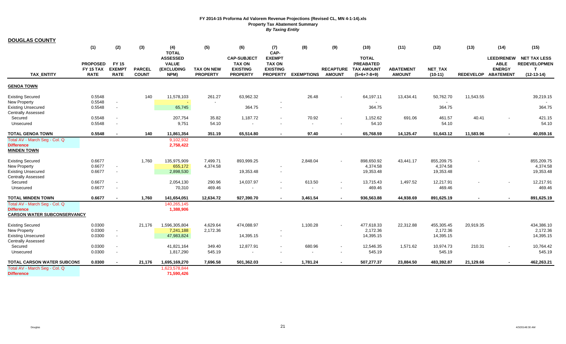| <b>DOUGLAS COUNTY</b>                                  |                          |                              |                               |                     |                                      |                                    |                                    |                          |                                   |                                    |                                   |                             |                |                                      |                     |
|--------------------------------------------------------|--------------------------|------------------------------|-------------------------------|---------------------|--------------------------------------|------------------------------------|------------------------------------|--------------------------|-----------------------------------|------------------------------------|-----------------------------------|-----------------------------|----------------|--------------------------------------|---------------------|
|                                                        | (1)                      | (2)                          | (3)                           | (4)<br><b>TOTAL</b> | (5)                                  | (6)                                | (7)<br>CAP-                        | (8)                      | (9)                               | (10)                               | (11)                              | (12)                        | (13)           | (14)                                 | (15)                |
|                                                        |                          |                              |                               | <b>ASSESSED</b>     |                                      | <b>CAP-SUBJECT</b>                 | <b>EXEMPT</b>                      |                          |                                   | <b>TOTAL</b>                       |                                   |                             |                | <b>LEED/RENEW</b>                    | <b>NET TAX LESS</b> |
|                                                        | <b>PROPOSED</b>          | <b>FY 15</b>                 |                               | <b>VALUE</b>        |                                      | <b>TAX ON</b>                      | <b>TAX ON</b>                      |                          |                                   | <b>PREABATED</b>                   |                                   |                             |                | <b>ABLE</b>                          | <b>REDEVELOPMEN</b> |
| <b>TAX ENTITY</b>                                      | FY 15 TAX<br><b>RATE</b> | <b>EXEMPT</b><br><b>RATE</b> | <b>PARCEL</b><br><b>COUNT</b> | (EXCLUDING<br>NPM)  | <b>TAX ON NEW</b><br><b>PROPERTY</b> | <b>EXISTING</b><br><b>PROPERTY</b> | <b>EXISTING</b><br><b>PROPERTY</b> | <b>EXEMPTIONS</b>        | <b>RECAPTURE</b><br><b>AMOUNT</b> | <b>TAX AMOUNT</b><br>$(5+6+7-8+9)$ | <b>ABATEMENT</b><br><b>AMOUNT</b> | <b>NET TAX</b><br>$(10-11)$ |                | <b>ENERGY</b><br>REDEVELOP ABATEMENT | т<br>$(12-13-14)$   |
| <b>GENOA TOWN</b>                                      |                          |                              |                               |                     |                                      |                                    |                                    |                          |                                   |                                    |                                   |                             |                |                                      |                     |
| <b>Existing Secured</b>                                | 0.5548                   |                              | 140                           | 11,578,103          | 261.27                               | 63,962.32                          |                                    | 26.48                    |                                   | 64,197.11                          | 13,434.41                         | 50,762.70                   | 11,543.55      |                                      | 39,219.15           |
| New Property                                           | 0.5548                   |                              |                               |                     | $\overline{\phantom{a}}$             |                                    |                                    |                          |                                   | $\overline{\phantom{a}}$           |                                   |                             |                |                                      |                     |
| <b>Existing Unsecured</b><br><b>Centrally Assessed</b> | 0.5548                   | $\blacksquare$               |                               | 65,745              |                                      | 364.75                             | $\sim$                             |                          |                                   | 364.75                             |                                   | 364.75                      |                |                                      | 364.75              |
| Secured                                                | 0.5548                   |                              |                               | 207,754             | 35.82                                | 1,187.72                           |                                    | 70.92                    |                                   | 1,152.62                           | 691.06                            | 461.57                      | 40.41          |                                      | 421.15              |
| Unsecured                                              | 0.5548                   | $\blacksquare$               |                               | 9,751               | 54.10                                | $\overline{\phantom{a}}$           | $\overline{\phantom{a}}$           |                          |                                   | 54.10                              |                                   | 54.10                       |                |                                      | 54.10               |
| <b>TOTAL GENOA TOWN</b>                                | 0.5548                   | $\blacksquare$               | 140                           | 11,861,354          | 351.19                               | 65,514.80                          | $\sim$                             | 97.40                    | $\sim$                            | 65,768.59                          | 14,125.47                         | 51,643.12                   | 11,583.96      | $\sim$                               | 40,059.16           |
| Total AV - March Seg - Col. Q<br><b>Difference</b>     |                          |                              |                               | 9,102,932           |                                      |                                    |                                    |                          |                                   |                                    |                                   |                             |                |                                      |                     |
| <b>MINDEN TOWN</b>                                     |                          |                              |                               | 2,758,422           |                                      |                                    |                                    |                          |                                   |                                    |                                   |                             |                |                                      |                     |
|                                                        |                          |                              |                               |                     |                                      |                                    |                                    |                          |                                   |                                    |                                   |                             |                |                                      |                     |
| <b>Existing Secured</b>                                | 0.6677                   |                              | 1,760                         | 135,975,909         | 7,499.71                             | 893,999.25                         |                                    | 2,848.04                 |                                   | 898,650.92                         | 43,441.17                         | 855,209.75                  |                |                                      | 855,209.75          |
| New Property                                           | 0.6677                   | $\blacksquare$               |                               | 655,172             | 4,374.58                             |                                    | $\overline{\phantom{a}}$           |                          |                                   | 4,374.58                           |                                   | 4,374.58                    |                |                                      | 4,374.58            |
| <b>Existing Unsecured</b>                              | 0.6677                   | $\sim$                       |                               | 2,898,530           |                                      | 19,353.48                          | $\overline{\phantom{a}}$           |                          |                                   | 19,353.48                          |                                   | 19,353.48                   |                |                                      | 19,353.48           |
| <b>Centrally Assessed</b>                              |                          |                              |                               |                     |                                      |                                    |                                    |                          |                                   |                                    |                                   |                             |                |                                      |                     |
| Secured                                                | 0.6677                   | $\blacksquare$               |                               | 2,054,130           | 290.96                               | 14,037.97                          | $\overline{\phantom{a}}$           | 613.50                   |                                   | 13,715.43                          | 1,497.52                          | 12,217.91                   | $\blacksquare$ | $\overline{a}$                       | 12,217.91           |
| Unsecured                                              | 0.6677                   | $\overline{a}$               |                               | 70,310              | 469.46                               | $\blacksquare$                     |                                    |                          |                                   | 469.46                             |                                   | 469.46                      |                |                                      | 469.46              |
| <b>TOTAL MINDEN TOWN</b>                               | 0.6677                   |                              | 1,760                         | 141,654,051         | 12,634.72                            | 927,390.70                         | $\sim$                             | 3,461.54                 |                                   | 936,563.88                         | 44,938.69                         | 891,625.19                  | $\sim$         |                                      | 891,625.19          |
| Total AV - March Seg - Col. Q                          |                          |                              |                               | 140,265,145         |                                      |                                    |                                    |                          |                                   |                                    |                                   |                             |                |                                      |                     |
| <b>Difference</b>                                      |                          |                              |                               | 1,388,906           |                                      |                                    |                                    |                          |                                   |                                    |                                   |                             |                |                                      |                     |
| <b>CARSON WATER SUBCONSERVANCY</b>                     |                          |                              |                               |                     |                                      |                                    |                                    |                          |                                   |                                    |                                   |                             |                |                                      |                     |
| <b>Existing Secured</b>                                | 0.0300                   |                              | 21,176                        | 1,596,305,804       | 4,629.64                             | 474,088.97                         |                                    | 1,100.28                 |                                   | 477,618.33                         | 22,312.88                         | 455,305.45                  | 20,919.35      |                                      | 434,386.10          |
| New Property                                           | 0.0300                   | $\overline{\phantom{a}}$     |                               | 7,241,188           | 2,172.36                             |                                    | $\overline{\phantom{a}}$           |                          |                                   | 2,172.36                           |                                   | 2,172.36                    |                |                                      | 2,172.36            |
| <b>Existing Unsecured</b>                              | 0.0300                   | $\overline{\phantom{a}}$     |                               | 47,983,824          |                                      | 14,395.15                          | $\sim$                             |                          |                                   | 14,395.15                          |                                   | 14,395.15                   |                |                                      | 14,395.15           |
| <b>Centrally Assessed</b>                              |                          |                              |                               |                     |                                      |                                    |                                    |                          |                                   |                                    |                                   |                             |                |                                      |                     |
| Secured                                                | 0.0300                   | $\overline{\phantom{a}}$     |                               | 41,821,164          | 349.40                               | 12,877.91                          | $\overline{\phantom{a}}$           | 680.96                   |                                   | 12,546.35                          | 1,571.62                          | 10,974.73                   | 210.31         | $\overline{\phantom{a}}$             | 10,764.42           |
| Unsecured                                              | 0.0300                   | $\overline{\phantom{a}}$     |                               | 1,817,290           | 545.19                               | $\overline{\phantom{a}}$           |                                    | $\overline{\phantom{a}}$ | $\overline{\phantom{a}}$          | 545.19                             |                                   | 545.19                      |                |                                      | 545.19              |
| <b>TOTAL CARSON WATER SUBCONS</b>                      | 0.0300                   |                              | 21,176                        | 1,695,169,270       | 7,696.58                             | 501,362.03                         | $\sim$                             | 1,781.24                 |                                   | 507,277.37                         | 23,884.50                         | 483,392.87                  | 21,129.66      |                                      | 462,263.21          |
| Total AV - March Seg - Col. Q                          |                          |                              |                               | 1,623,578,844       |                                      |                                    |                                    |                          |                                   |                                    |                                   |                             |                |                                      |                     |
| <b>Difference</b>                                      |                          |                              |                               | 71,590,426          |                                      |                                    |                                    |                          |                                   |                                    |                                   |                             |                |                                      |                     |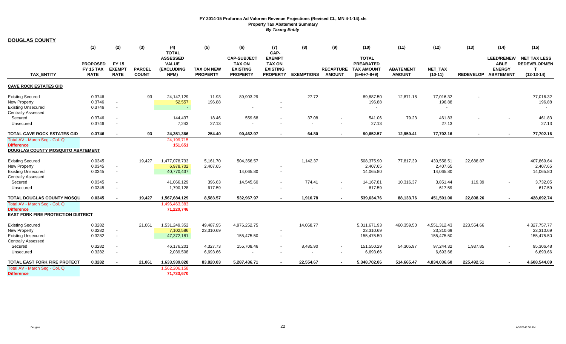| <b>DOUGLAS COUNTY</b>                                  |                          |                              |                               |                                 |                                      |                                     |                                    |                          |               |                                       |                                   |                             |            |                                      |                                            |
|--------------------------------------------------------|--------------------------|------------------------------|-------------------------------|---------------------------------|--------------------------------------|-------------------------------------|------------------------------------|--------------------------|---------------|---------------------------------------|-----------------------------------|-----------------------------|------------|--------------------------------------|--------------------------------------------|
|                                                        | (1)                      | (2)                          | (3)                           | (4)<br><b>TOTAL</b>             | (5)                                  | (6)                                 | (7)<br>CAP-                        | (8)                      | (9)           | (10)                                  | (11)                              | (12)                        | (13)       | (14)                                 | (15)                                       |
|                                                        | <b>PROPOSED</b>          | <b>FY 15</b>                 |                               | <b>ASSESSED</b><br><b>VALUE</b> |                                      | <b>CAP-SUBJECT</b><br><b>TAX ON</b> | <b>EXEMPT</b><br><b>TAX ON</b>     |                          |               | <b>TOTAL</b><br><b>PREABATED</b>      |                                   |                             |            | <b>LEED/RENEW</b><br><b>ABLE</b>     | <b>NET TAX LESS</b><br><b>REDEVELOPMEN</b> |
| <b>TAX ENTITY</b>                                      | FY 15 TAX<br><b>RATE</b> | <b>EXEMPT</b><br><b>RATE</b> | <b>PARCEL</b><br><b>COUNT</b> | <b>(EXCLUDING</b><br>NPM)       | <b>TAX ON NEW</b><br><b>PROPERTY</b> | <b>EXISTING</b><br><b>PROPERTY</b>  | <b>EXISTING</b><br><b>PROPERTY</b> | <b>EXEMPTIONS</b>        | <b>AMOUNT</b> | RECAPTURE TAX AMOUNT<br>$(5+6+7-8+9)$ | <b>ABATEMENT</b><br><b>AMOUNT</b> | <b>NET TAX</b><br>$(10-11)$ |            | <b>ENERGY</b><br>REDEVELOP ABATEMENT | $(12-13-14)$                               |
| <b>CAVE ROCK ESTATES GID</b>                           |                          |                              |                               |                                 |                                      |                                     |                                    |                          |               |                                       |                                   |                             |            |                                      |                                            |
| <b>Existing Secured</b>                                | 0.3746                   |                              | 93                            | 24, 147, 129                    | 11.93                                | 89,903.29                           |                                    | 27.72                    |               | 89,887.50                             | 12,871.18                         | 77,016.32                   |            |                                      | 77,016.32                                  |
| <b>New Property</b>                                    | 0.3746                   |                              |                               | 52,557                          | 196.88                               |                                     |                                    |                          |               | 196.88                                |                                   | 196.88                      |            |                                      | 196.88                                     |
| <b>Existing Unsecured</b><br><b>Centrally Assessed</b> | 0.3746                   | $\blacksquare$               |                               | $\sim$                          |                                      | $\overline{\phantom{a}}$            | $\sim$                             |                          |               | $\overline{\phantom{a}}$              |                                   |                             |            |                                      | $\sim$                                     |
| Secured                                                | 0.3746                   |                              |                               | 144,437                         | 18.46                                | 559.68                              |                                    | 37.08                    |               | 541.06                                | 79.23                             | 461.83                      |            |                                      | 461.83                                     |
| Unsecured                                              | 0.3746                   | $\blacksquare$               |                               | 7,243                           | 27.13                                | $\overline{\phantom{a}}$            |                                    |                          |               | 27.13                                 |                                   | 27.13                       |            |                                      | 27.13                                      |
| TOTAL CAVE ROCK ESTATES GID                            | 0.3746                   |                              | 93                            | 24,351,366                      | 254.40                               | 90.462.97                           | $\sim$                             | 64.80                    |               | 90,652.57                             | 12,950.41                         | 77,702.16                   | $\sim$     |                                      | 77,702.16                                  |
| Total AV - March Seg - Col. Q                          |                          |                              |                               | 24,199,715                      |                                      |                                     |                                    |                          |               |                                       |                                   |                             |            |                                      |                                            |
| <b>Difference</b>                                      |                          |                              |                               | 151,651                         |                                      |                                     |                                    |                          |               |                                       |                                   |                             |            |                                      |                                            |
| DOUGLAS COUNTY MOSQUITO ABATEMENT                      |                          |                              |                               |                                 |                                      |                                     |                                    |                          |               |                                       |                                   |                             |            |                                      |                                            |
| <b>Existing Secured</b>                                | 0.0345                   |                              | 19,427                        | 1,477,078,733                   | 5,161.70                             | 504,356.57                          |                                    | 1,142.37                 |               | 508,375.90                            | 77,817.39                         | 430,558.51                  | 22,688.87  |                                      | 407,869.64                                 |
| New Property                                           | 0.0345                   | $\overline{\phantom{a}}$     |                               | 6,978,702                       | 2,407.65                             |                                     |                                    |                          |               | 2,407.65                              |                                   | 2,407.65                    |            |                                      | 2,407.65                                   |
| <b>Existing Unsecured</b><br>Centrally Assessed        | 0.0345                   | $\blacksquare$               |                               | 40,770,437                      |                                      | 14,065.80                           | $\sim$                             |                          |               | 14,065.80                             |                                   | 14,065.80                   |            |                                      | 14,065.80                                  |
| Secured                                                | 0.0345                   | $\overline{\phantom{a}}$     |                               | 41,066,129                      | 396.63                               | 14,545.60                           | $\blacksquare$                     | 774.41                   |               | 14,167.81                             | 10,316.37                         | 3,851.44                    | 119.39     |                                      | 3,732.05                                   |
| Unsecured                                              | 0.0345                   | $\overline{\phantom{a}}$     |                               | 1,790,128                       | 617.59                               |                                     |                                    | $\overline{\phantom{a}}$ |               | 617.59                                |                                   | 617.59                      |            |                                      | 617.59                                     |
| TOTAL DOUGLAS COUNTY MOSQL                             | 0.0345                   |                              | 19.427                        | 1,567,684,129                   | 8,583.57                             | 532.967.97                          |                                    | 1.916.78                 |               | 539,634.76                            | 88,133.76                         | 451,501.00                  | 22.808.26  |                                      | 428,692.74                                 |
| Total AV - March Seg - Col. Q                          |                          |                              |                               | 1,496,463,383                   |                                      |                                     |                                    |                          |               |                                       |                                   |                             |            |                                      |                                            |
| <b>Difference</b>                                      |                          |                              |                               | 71,220,746                      |                                      |                                     |                                    |                          |               |                                       |                                   |                             |            |                                      |                                            |
| <b>EAST FORK FIRE PROTECTION DISTRICT</b>              |                          |                              |                               |                                 |                                      |                                     |                                    |                          |               |                                       |                                   |                             |            |                                      |                                            |
| <b>Existing Secured</b>                                | 0.3282                   |                              | 21,061                        | 1,531,249,352                   | 49,487.95                            | 4,976,252.75                        |                                    | 14,068.77                |               | 5,011,671.93                          | 460,359.50                        | 4,551,312.43                | 223,554.66 |                                      | 4,327,757.77                               |
| New Property                                           | 0.3282                   | $\overline{\phantom{a}}$     |                               | 7,102,586                       | 23,310.69                            |                                     |                                    |                          |               | 23,310.69                             |                                   | 23,310.69                   |            |                                      | 23,310.69                                  |
| <b>Existing Unsecured</b>                              | 0.3282                   | $\overline{\phantom{a}}$     |                               | 47,372,181                      |                                      | 155,475.50                          | $\overline{\phantom{a}}$           |                          |               | 155,475.50                            |                                   | 155,475.50                  |            |                                      | 155,475.50                                 |
| <b>Centrally Assessed</b>                              |                          |                              |                               |                                 |                                      |                                     |                                    |                          |               |                                       |                                   |                             |            |                                      |                                            |
| Secured                                                | 0.3282                   | $\overline{\phantom{a}}$     |                               | 46,176,201                      | 4,327.73                             | 155,708.46                          | $\blacksquare$                     | 8,485.90                 |               | 151,550.29                            | 54,305.97                         | 97,244.32                   | 1,937.85   | $\overline{\phantom{a}}$             | 95,306.48                                  |
| Unsecured                                              | 0.3282                   | $\overline{\phantom{a}}$     |                               | 2,039,508                       | 6,693.66                             | $\overline{\phantom{a}}$            |                                    |                          |               | 6,693.66                              |                                   | 6,693.66                    |            |                                      | 6,693.66                                   |
| <b>TOTAL EAST FORK FIRE PROTECT</b>                    | 0.3282                   |                              | 21,061                        | 1,633,939,828                   | 83,820.03                            | 5,287,436.71                        |                                    | 22,554.67                |               | 5,348,702.06                          | 514,665.47                        | 4,834,036.60                | 225,492.51 |                                      | 4,608,544.09                               |
| Total AV - March Seg - Col. Q                          |                          |                              |                               | 1,562,206,158                   |                                      |                                     |                                    |                          |               |                                       |                                   |                             |            |                                      |                                            |
| <b>Difference</b>                                      |                          |                              |                               | 71,733,670                      |                                      |                                     |                                    |                          |               |                                       |                                   |                             |            |                                      |                                            |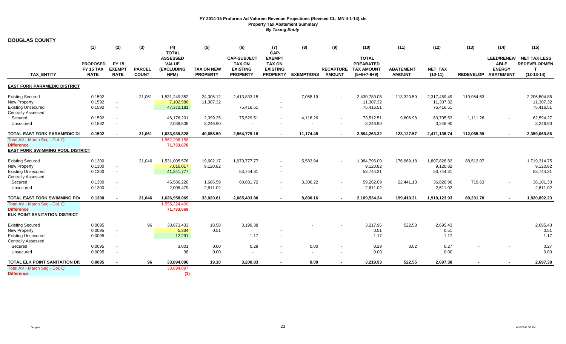| <b>DOUGLAS COUNTY</b>                   |                                                    |                                              |                               |                                                              |                                      |                                                                           |                                                                      |                          |               |                                                                           |                                   |                             |                |                                                                          |                                                                   |
|-----------------------------------------|----------------------------------------------------|----------------------------------------------|-------------------------------|--------------------------------------------------------------|--------------------------------------|---------------------------------------------------------------------------|----------------------------------------------------------------------|--------------------------|---------------|---------------------------------------------------------------------------|-----------------------------------|-----------------------------|----------------|--------------------------------------------------------------------------|-------------------------------------------------------------------|
|                                         | (1)                                                | (2)                                          | (3)                           | (4)<br><b>TOTAL</b>                                          | (5)                                  | (6)                                                                       | (7)<br>CAP-                                                          | (8)                      | (9)           | (10)                                                                      | (11)                              | (12)                        | (13)           | (14)                                                                     | (15)                                                              |
| <b>TAX ENTITY</b>                       | <b>PROPOSED</b><br><b>FY 15 TAX</b><br><b>RATE</b> | <b>FY 15</b><br><b>EXEMPT</b><br><b>RATE</b> | <b>PARCEL</b><br><b>COUNT</b> | <b>ASSESSED</b><br><b>VALUE</b><br><b>(EXCLUDING</b><br>NPM) | <b>TAX ON NEW</b><br><b>PROPERTY</b> | <b>CAP-SUBJECT</b><br><b>TAX ON</b><br><b>EXISTING</b><br><b>PROPERTY</b> | <b>EXEMPT</b><br><b>TAX ON</b><br><b>EXISTING</b><br><b>PROPERTY</b> | <b>EXEMPTIONS</b>        | <b>AMOUNT</b> | <b>TOTAL</b><br><b>PREABATED</b><br>RECAPTURE TAX AMOUNT<br>$(5+6+7-8+9)$ | <b>ABATEMENT</b><br><b>AMOUNT</b> | <b>NET TAX</b><br>$(10-11)$ |                | <b>LEED/RENEW</b><br><b>ABLE</b><br><b>ENERGY</b><br>REDEVELOP ABATEMENT | <b>NET TAX LESS</b><br><b>REDEVELOPMEN</b><br>— т<br>$(12-13-14)$ |
| <b>EAST FORK PARAMEDIC DISTRICT</b>     |                                                    |                                              |                               |                                                              |                                      |                                                                           |                                                                      |                          |               |                                                                           |                                   |                             |                |                                                                          |                                                                   |
| <b>Existing Secured</b>                 | 0.1592                                             |                                              | 21,061                        | 1,531,249,352                                                | 24,005.12                            | 2,413,833.15                                                              |                                                                      | 7,058.19                 |               | 2,430,780.08                                                              | 113,320.59                        | 2,317,459.49                | 110,954.63     |                                                                          | 2,206,504.86                                                      |
| New Property                            | 0.1592                                             |                                              |                               | 7,102,586                                                    | 11,307.32                            |                                                                           |                                                                      |                          |               | 11,307.32                                                                 |                                   | 11,307.32                   |                |                                                                          | 11,307.32                                                         |
| <b>Existing Unsecured</b>               | 0.1592                                             | $\overline{\phantom{a}}$                     |                               | 47,372,181                                                   |                                      | 75,416.51                                                                 | $\overline{\phantom{a}}$                                             |                          |               | 75,416.51                                                                 |                                   | 75,416.51                   |                |                                                                          | 75,416.51                                                         |
| <b>Centrally Assessed</b>               |                                                    |                                              |                               |                                                              |                                      |                                                                           |                                                                      |                          |               |                                                                           |                                   |                             |                |                                                                          |                                                                   |
| Secured                                 | 0.1592                                             |                                              |                               | 46,176,201                                                   | 2,099.25                             | 75,529.51                                                                 |                                                                      | 4,116.26                 |               | 73,512.51                                                                 | 9,806.98                          | 63,705.53                   | 1,111.26       |                                                                          | 62,594.27                                                         |
| Unsecured                               | 0.1592                                             | $\blacksquare$                               |                               | 2,039,508                                                    | 3,246.90                             | $\overline{\phantom{a}}$                                                  |                                                                      | $\blacksquare$           |               | 3,246.90                                                                  |                                   | 3,246.90                    |                |                                                                          | 3,246.90                                                          |
| <b>TOTAL EAST FORK PARAMEDIC DI</b>     | 0.1592                                             |                                              | 21.061                        | 1,633,939,828                                                | 40,658.59                            | 2,564,779.18                                                              |                                                                      | 11,174.45                |               | 2,594,263.32                                                              | 123,127.57                        | 2,471,135.74                | 112,065.89     |                                                                          | 2,359,069.86                                                      |
| Total AV - March Seg - Col. Q           |                                                    |                                              |                               | 1,562,206,158                                                |                                      |                                                                           |                                                                      |                          |               |                                                                           |                                   |                             |                |                                                                          |                                                                   |
| <b>Difference</b>                       |                                                    |                                              |                               | 71,733,670                                                   |                                      |                                                                           |                                                                      |                          |               |                                                                           |                                   |                             |                |                                                                          |                                                                   |
| <b>EAST FORK SWIMMING POOL DISTRICT</b> |                                                    |                                              |                               |                                                              |                                      |                                                                           |                                                                      |                          |               |                                                                           |                                   |                             |                |                                                                          |                                                                   |
| <b>Existing Secured</b>                 | 0.1300                                             |                                              | 21,046                        | 1,531,005,576                                                | 19,602.17                            | 1,970,777.77                                                              |                                                                      | 5,583.94                 |               | 1,984,796.00                                                              | 176,969.18                        | 1,807,826.82                | 88,512.07      |                                                                          | 1,719,314.75                                                      |
| New Property                            | 0.1300                                             | $\blacksquare$                               |                               | 7,016,017                                                    | 9,120.82                             |                                                                           |                                                                      |                          |               | 9,120.82                                                                  |                                   | 9,120.82                    |                |                                                                          | 9,120.82                                                          |
| <b>Existing Unsecured</b>               | 0.1300                                             | $\overline{\phantom{a}}$                     |                               | 41,341,777                                                   |                                      | 53,744.31                                                                 |                                                                      |                          |               | 53,744.31                                                                 |                                   | 53,744.31                   |                |                                                                          | 53,744.31                                                         |
| <b>Centrally Assessed</b>               |                                                    |                                              |                               |                                                              |                                      |                                                                           |                                                                      |                          |               |                                                                           |                                   |                             |                |                                                                          |                                                                   |
| Secured                                 | 0.1300                                             |                                              |                               | 45,586,220                                                   | 1,686.59                             | 60,881.72                                                                 |                                                                      | 3,306.22                 |               | 59,262.09                                                                 | 22,441.13                         | 36,820.96                   | 719.63         |                                                                          | 36,101.33                                                         |
| Unsecured                               | 0.1300                                             |                                              |                               | 2,008,479                                                    | 2,611.02                             |                                                                           |                                                                      |                          |               | 2,611.02                                                                  |                                   | 2,611.02                    |                |                                                                          | 2,611.02                                                          |
| <b>TOTAL EAST FORK SWIMMING PO</b>      | 0.1300                                             | $\blacksquare$                               | 21.046                        | 1,626,958,069                                                | 33.020.61                            | 2,085,403.80                                                              | $\sim$                                                               | 8.890.16                 |               | 2,109,534.24                                                              | 199.410.31                        | 1,910,123.93                | 89,231.70      | $\sim$                                                                   | 1,820,892.23                                                      |
| Total AV - March Seg - Col. Q           |                                                    |                                              |                               | 1,555,224,400                                                |                                      |                                                                           |                                                                      |                          |               |                                                                           |                                   |                             |                |                                                                          |                                                                   |
| <b>Difference</b>                       |                                                    |                                              |                               | 71,733,669                                                   |                                      |                                                                           |                                                                      |                          |               |                                                                           |                                   |                             |                |                                                                          |                                                                   |
| <b>ELK POINT SANITATION DISTRICT</b>    |                                                    |                                              |                               |                                                              |                                      |                                                                           |                                                                      |                          |               |                                                                           |                                   |                             |                |                                                                          |                                                                   |
| <b>Existing Secured</b>                 | 0.0095                                             |                                              | 96                            | 33,873,433                                                   | 18.58                                | 3,199.38                                                                  |                                                                      |                          |               | 3,217.96                                                                  | 522.53                            | 2,695.43                    |                |                                                                          | 2,695.43                                                          |
| New Property                            | 0.0095                                             |                                              |                               | 5,334                                                        | 0.51                                 |                                                                           |                                                                      |                          |               | 0.51                                                                      |                                   | 0.51                        |                |                                                                          | 0.51                                                              |
| <b>Existing Unsecured</b>               | 0.0095                                             | $\overline{\phantom{a}}$                     |                               | 12,291                                                       |                                      | 1.17                                                                      |                                                                      |                          |               | 1.17                                                                      |                                   | 1.17                        |                |                                                                          | 1.17                                                              |
| <b>Centrally Assessed</b>               |                                                    |                                              |                               |                                                              |                                      |                                                                           |                                                                      |                          |               |                                                                           |                                   |                             |                |                                                                          |                                                                   |
| Secured                                 | 0.0095                                             |                                              |                               | 3,001                                                        | 0.00                                 | 0.29                                                                      |                                                                      | 0.00                     |               | 0.29                                                                      | 0.02                              | 0.27                        |                |                                                                          | 0.27                                                              |
| Unsecured                               | 0.0095                                             | $\overline{\phantom{a}}$                     |                               | 38                                                           | 0.00                                 | $\sim$                                                                    |                                                                      | $\overline{\phantom{a}}$ |               | 0.00                                                                      |                                   | 0.00                        |                |                                                                          | 0.00                                                              |
| <b>TOTAL ELK POINT SANITATION DK</b>    | 0.0095                                             |                                              | 96                            | 33,894,096                                                   | 19.10                                | 3,200.83                                                                  | $\sim$                                                               | 0.00                     |               | 3,219.93                                                                  | 522.55                            | 2,697.38                    | $\blacksquare$ |                                                                          | 2,697.38                                                          |
| Total AV - March Seg - Col. Q           |                                                    |                                              |                               | 33,894,097                                                   |                                      |                                                                           |                                                                      |                          |               |                                                                           |                                   |                             |                |                                                                          |                                                                   |
| <b>Difference</b>                       |                                                    |                                              |                               | (1)                                                          |                                      |                                                                           |                                                                      |                          |               |                                                                           |                                   |                             |                |                                                                          |                                                                   |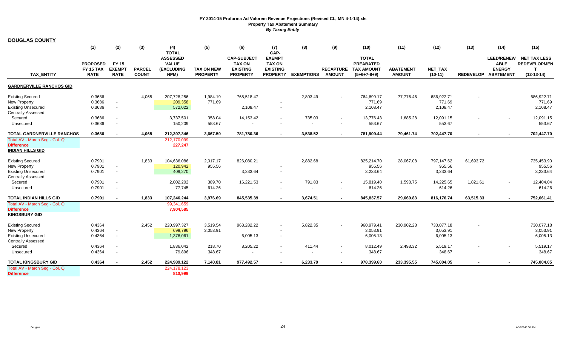| <b>DOUGLAS COUNTY</b>                                                                                    |                                             |                                                      |                               |                                                              |                                      |                                                                           |                                                                      |                                    |                                                      |                                                                           |                                   |                                    |           |                                                                          |                                                                 |
|----------------------------------------------------------------------------------------------------------|---------------------------------------------|------------------------------------------------------|-------------------------------|--------------------------------------------------------------|--------------------------------------|---------------------------------------------------------------------------|----------------------------------------------------------------------|------------------------------------|------------------------------------------------------|---------------------------------------------------------------------------|-----------------------------------|------------------------------------|-----------|--------------------------------------------------------------------------|-----------------------------------------------------------------|
|                                                                                                          | (1)                                         | (2)                                                  | (3)                           | (4)<br><b>TOTAL</b>                                          | (5)                                  | (6)                                                                       | (7)<br>CAP-                                                          | (8)                                | (9)                                                  | (10)                                                                      | (11)                              | (12)                               | (13)      | (14)                                                                     | (15)                                                            |
| <b>TAX ENTITY</b>                                                                                        | <b>PROPOSED</b><br>FY 15 TAX<br><b>RATE</b> | <b>FY 15</b><br><b>EXEMPT</b><br><b>RATE</b>         | <b>PARCEL</b><br><b>COUNT</b> | <b>ASSESSED</b><br><b>VALUE</b><br><b>(EXCLUDING</b><br>NPM) | <b>TAX ON NEW</b><br><b>PROPERTY</b> | <b>CAP-SUBJECT</b><br><b>TAX ON</b><br><b>EXISTING</b><br><b>PROPERTY</b> | <b>EXEMPT</b><br><b>TAX ON</b><br><b>EXISTING</b><br><b>PROPERTY</b> | <b>EXEMPTIONS</b>                  | <b>AMOUNT</b>                                        | <b>TOTAL</b><br><b>PREABATED</b><br>RECAPTURE TAX AMOUNT<br>$(5+6+7-8+9)$ | <b>ABATEMENT</b><br><b>AMOUNT</b> | <b>NET TAX</b><br>$(10-11)$        |           | <b>LEED/RENEW</b><br><b>ABLE</b><br><b>ENERGY</b><br>REDEVELOP ABATEMENT | <b>NET TAX LESS</b><br><b>REDEVELOPMEN</b><br>т<br>$(12-13-14)$ |
| <b>GARDNERVILLE RANCHOS GID</b>                                                                          |                                             |                                                      |                               |                                                              |                                      |                                                                           |                                                                      |                                    |                                                      |                                                                           |                                   |                                    |           |                                                                          |                                                                 |
| <b>Existing Secured</b><br><b>New Property</b><br><b>Existing Unsecured</b><br><b>Centrally Assessed</b> | 0.3686<br>0.3686<br>0.3686                  | $\overline{\phantom{a}}$<br>$\overline{\phantom{a}}$ | 4,065                         | 207,728,256<br>209,358<br>572,022                            | 1,984.19<br>771.69                   | 765,518.47<br>2,108.47                                                    | $\sim$                                                               | 2,803.49                           |                                                      | 764,699.17<br>771.69<br>2,108.47                                          | 77,776.46                         | 686,922.71<br>771.69<br>2,108.47   |           |                                                                          | 686,922.71<br>771.69<br>2,108.47                                |
| Secured<br>Unsecured                                                                                     | 0.3686<br>0.3686                            | $\overline{\phantom{a}}$<br>$\blacksquare$           |                               | 3,737,501<br>150,209                                         | 358.04<br>553.67                     | 14,153.42                                                                 | $\overline{\phantom{a}}$                                             | 735.03                             | $\overline{\phantom{a}}$                             | 13,776.43<br>553.67                                                       | 1,685.28                          | 12,091.15<br>553.67                |           |                                                                          | 12,091.15<br>553.67                                             |
| <b>TOTAL GARDNERVILLE RANCHOS</b>                                                                        | 0.3686                                      | $\mathbf{r}$                                         | 4.065                         | 212,397,346                                                  | 3,667.59                             | 781,780.36                                                                | $\sim$                                                               | 3,538.52                           | $\sim$                                               | 781,909.44                                                                | 79,461.74                         | 702,447.70                         | $\sim$    |                                                                          | 702,447.70                                                      |
| Total AV - March Seg - Col. Q<br><b>Difference</b><br><b>INDIAN HILLS GID</b>                            |                                             |                                                      |                               | 212,170,099<br>227,247                                       |                                      |                                                                           |                                                                      |                                    |                                                      |                                                                           |                                   |                                    |           |                                                                          |                                                                 |
| <b>Existing Secured</b><br>New Property<br><b>Existing Unsecured</b><br>Centrally Assessed               | 0.7901<br>0.7901<br>0.7901                  | $\overline{\phantom{a}}$<br>$\overline{\phantom{a}}$ | 1,833                         | 104,636,086<br>120,942<br>409,270                            | 2,017.17<br>955.56                   | 826,080.21<br>3,233.64                                                    | $\overline{\phantom{a}}$<br>$\overline{\phantom{a}}$                 | 2,882.68                           |                                                      | 825,214.70<br>955.56<br>3,233.64                                          | 28,067.08                         | 797,147.62<br>955.56<br>3,233.64   | 61,693.72 |                                                                          | 735,453.90<br>955.56<br>3,233.64                                |
| Secured<br>Unsecured                                                                                     | 0.7901<br>0.7901                            | $\overline{\phantom{a}}$<br>$\blacksquare$           |                               | 2,002,202<br>77,745                                          | 389.70<br>614.26                     | 16,221.53                                                                 | $\overline{\phantom{a}}$                                             | 791.83<br>$\blacksquare$           | $\overline{\phantom{a}}$<br>$\overline{\phantom{a}}$ | 15,819.40<br>614.26                                                       | 1,593.75                          | 14,225.65<br>614.26                | 1,821.61  | $\overline{\phantom{a}}$                                                 | 12,404.04<br>614.26                                             |
| <b>TOTAL INDIAN HILLS GID</b>                                                                            | 0.7901                                      |                                                      | 1.833                         | 107,246,244                                                  | 3.976.69                             | 845,535.39                                                                | $\sim$                                                               | 3.674.51                           |                                                      | 845,837.57                                                                | 29.660.83                         | 816.176.74                         | 63,515.33 |                                                                          | 752,661.41                                                      |
| Total AV - March Seg - Col. Q<br><b>Difference</b><br><b>KINGSBURY GID</b>                               |                                             |                                                      |                               | 99,341,659<br>7,904,585                                      |                                      |                                                                           |                                                                      |                                    |                                                      |                                                                           |                                   |                                    |           |                                                                          |                                                                 |
| <b>Existing Secured</b><br>New Property<br><b>Existing Unsecured</b>                                     | 0.4364<br>0.4364<br>0.4364                  | $\overline{\phantom{a}}$<br>$\overline{\phantom{a}}$ | 2,452                         | 220,997,327<br>699,796<br>1,376,061                          | 3,519.54<br>3,053.91                 | 963,282.22<br>6,005.13                                                    | $\blacksquare$<br>$\sim$                                             | 5,822.35                           |                                                      | 960,979.41<br>3,053.91<br>6,005.13                                        | 230,902.23                        | 730,077.18<br>3,053.91<br>6,005.13 |           |                                                                          | 730,077.18<br>3,053.91<br>6,005.13                              |
| <b>Centrally Assessed</b><br>Secured<br>Unsecured                                                        | 0.4364<br>0.4364                            | $\overline{\phantom{a}}$<br>$\overline{\phantom{a}}$ |                               | 1,836,042<br>79,896                                          | 218.70<br>348.67                     | 8,205.22<br>$\sim$                                                        | $\overline{\phantom{a}}$<br>$\overline{\phantom{a}}$                 | 411.44<br>$\overline{\phantom{a}}$ | $\overline{\phantom{a}}$<br>$\overline{\phantom{a}}$ | 8,012.49<br>348.67                                                        | 2,493.32                          | 5,519.17<br>348.67                 |           |                                                                          | 5,519.17<br>348.67                                              |
| <b>TOTAL KINGSBURY GID</b>                                                                               | 0.4364                                      |                                                      | 2.452                         | 224,989,122                                                  | 7,140.81                             | 977,492.57                                                                |                                                                      | 6,233.79                           |                                                      | 978,399.60                                                                | 233,395.55                        | 745.004.05                         |           |                                                                          | 745,004.05                                                      |
| Total AV - March Seg - Col. Q<br><b>Difference</b>                                                       |                                             |                                                      |                               | 224, 178, 123<br>810,999                                     |                                      |                                                                           |                                                                      |                                    |                                                      |                                                                           |                                   |                                    |           |                                                                          |                                                                 |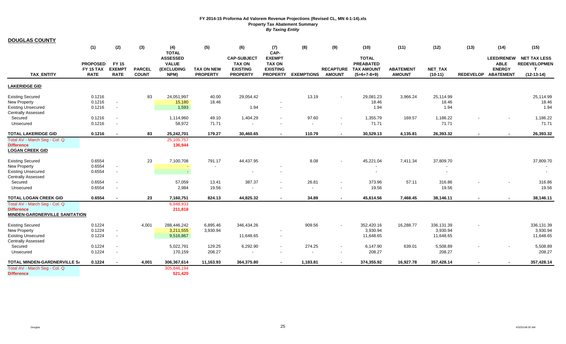| <b>DOUGLAS COUNTY</b>                 |                                 |                              |                               |                           |                                      |                                    |                                    |                          |                |                                       |                                   |                             |        |                                      |                     |
|---------------------------------------|---------------------------------|------------------------------|-------------------------------|---------------------------|--------------------------------------|------------------------------------|------------------------------------|--------------------------|----------------|---------------------------------------|-----------------------------------|-----------------------------|--------|--------------------------------------|---------------------|
|                                       | (1)                             | (2)                          | (3)                           | (4)<br><b>TOTAL</b>       | (5)                                  | (6)                                | (7)<br>CAP-                        | (8)                      | (9)            | (10)                                  | (11)                              | (12)                        | (13)   | (14)                                 | (15)                |
|                                       |                                 |                              |                               | <b>ASSESSED</b>           |                                      | <b>CAP-SUBJECT</b>                 | <b>EXEMPT</b>                      |                          |                | <b>TOTAL</b>                          |                                   |                             |        | <b>LEED/RENEW</b>                    | <b>NET TAX LESS</b> |
|                                       | <b>PROPOSED</b>                 | <b>FY 15</b>                 |                               | <b>VALUE</b>              |                                      | <b>TAX ON</b>                      | <b>TAX ON</b>                      |                          |                | <b>PREABATED</b>                      |                                   |                             |        | <b>ABLE</b>                          | <b>REDEVELOPMEN</b> |
| <b>TAX ENTITY</b>                     | <b>FY 15 TAX</b><br><b>RATE</b> | <b>EXEMPT</b><br><b>RATE</b> | <b>PARCEL</b><br><b>COUNT</b> | <b>(EXCLUDING</b><br>NPM) | <b>TAX ON NEW</b><br><b>PROPERTY</b> | <b>EXISTING</b><br><b>PROPERTY</b> | <b>EXISTING</b><br><b>PROPERTY</b> | <b>EXEMPTIONS</b>        | <b>AMOUNT</b>  | RECAPTURE TAX AMOUNT<br>$(5+6+7-8+9)$ | <b>ABATEMENT</b><br><b>AMOUNT</b> | <b>NET TAX</b><br>$(10-11)$ |        | <b>ENERGY</b><br>REDEVELOP ABATEMENT | T.<br>$(12-13-14)$  |
| <b>LAKERIDGE GID</b>                  |                                 |                              |                               |                           |                                      |                                    |                                    |                          |                |                                       |                                   |                             |        |                                      |                     |
| <b>Existing Secured</b>               | 0.1216                          |                              | 83                            | 24,051,997                | 40.00                                | 29,054.42                          |                                    | 13.19                    |                | 29,081.23                             | 3,966.24                          | 25,114.99                   |        |                                      | 25,114.99           |
| New Property                          | 0.1216                          | $\overline{\phantom{a}}$     |                               | 15,180                    | 18.46                                |                                    |                                    |                          |                | 18.46                                 |                                   | 18.46                       |        |                                      | 18.46               |
| <b>Existing Unsecured</b>             | 0.1216                          | $\sim$                       |                               | 1,593                     |                                      | 1.94                               | $\sim$                             |                          |                | 1.94                                  |                                   | 1.94                        |        |                                      | 1.94                |
| <b>Centrally Assessed</b>             |                                 |                              |                               |                           |                                      |                                    |                                    |                          |                |                                       |                                   |                             |        |                                      |                     |
| Secured                               | 0.1216                          | $\overline{a}$               |                               | 1,114,960                 | 49.10                                | 1,404.29                           | $\overline{\phantom{a}}$           | 97.60                    |                | 1,355.79                              | 169.57                            | 1,186.22                    |        |                                      | 1,186.22            |
| Unsecured                             | 0.1216                          | $\overline{\phantom{a}}$     |                               | 58,972                    | 71.71                                |                                    |                                    | $\overline{\phantom{a}}$ |                | 71.71                                 |                                   | 71.71                       |        |                                      | 71.71               |
| <b>TOTAL LAKERIDGE GID</b>            | 0.1216                          | $\blacksquare$               | 83                            | 25,242,701                | 179.27                               | 30,460.65                          | $\sim$                             | 110.79                   | <b>Section</b> | 30,529.13                             | 4,135.81                          | 26,393.32                   | $\sim$ | $\sim$                               | 26,393.32           |
| Total AV - March Seg - Col. Q         |                                 |                              |                               | 25,105,757                |                                      |                                    |                                    |                          |                |                                       |                                   |                             |        |                                      |                     |
| <b>Difference</b>                     |                                 |                              |                               | 136,944                   |                                      |                                    |                                    |                          |                |                                       |                                   |                             |        |                                      |                     |
| <b>LOGAN CREEK GID</b>                |                                 |                              |                               |                           |                                      |                                    |                                    |                          |                |                                       |                                   |                             |        |                                      |                     |
| <b>Existing Secured</b>               | 0.6554                          |                              | 23                            | 7,100,708                 | 791.17                               | 44,437.95                          |                                    | 8.08                     |                | 45,221.04                             | 7,411.34                          | 37,809.70                   |        |                                      | 37,809.70           |
| New Property                          | 0.6554                          | $\sim$                       |                               |                           |                                      |                                    |                                    |                          |                |                                       |                                   |                             |        |                                      |                     |
| <b>Existing Unsecured</b>             | 0.6554                          | $\sim$                       |                               | $\sim$                    |                                      |                                    | $\overline{\phantom{a}}$           |                          |                |                                       |                                   | $\overline{\phantom{a}}$    |        |                                      |                     |
| <b>Centrally Assessed</b>             |                                 |                              |                               |                           |                                      |                                    |                                    |                          |                |                                       |                                   |                             |        |                                      |                     |
| Secured                               | 0.6554                          | $\overline{a}$               |                               | 57,059                    | 13.41                                | 387.37                             | $\overline{\phantom{a}}$           | 26.81                    |                | 373.96                                | 57.11                             | 316.86                      |        |                                      | 316.86              |
| Unsecured                             | 0.6554                          | $\sim$                       |                               | 2,984                     | 19.56                                |                                    | $\overline{\phantom{a}}$           | $\blacksquare$           |                | 19.56                                 |                                   | 19.56                       |        |                                      | 19.56               |
| <b>TOTAL LOGAN CREEK GID</b>          | 0.6554                          |                              | 23                            | 7,160,751                 | 824.13                               | 44,825.32                          | $\sim$                             | 34.89                    |                | 45,614.56                             | 7,468.45                          | 38,146.11                   |        |                                      | 38,146.11           |
| Total AV - March Seg - Col. Q         |                                 |                              |                               | 6,948,933                 |                                      |                                    |                                    |                          |                |                                       |                                   |                             |        |                                      |                     |
| <b>Difference</b>                     |                                 |                              |                               | 211,818                   |                                      |                                    |                                    |                          |                |                                       |                                   |                             |        |                                      |                     |
| <b>MINDEN-GARDNERVILLE SANITATION</b> |                                 |                              |                               |                           |                                      |                                    |                                    |                          |                |                                       |                                   |                             |        |                                      |                     |
| <b>Existing Secured</b>               | 0.1224                          |                              | 4,001                         | 288,446,242               | 6,895.46                             | 346,434.26                         |                                    | 909.56                   |                | 352,420.16                            | 16,288.77                         | 336,131.39                  |        |                                      | 336,131.39          |
| New Property                          | 0.1224                          | $\overline{\phantom{a}}$     |                               | 3,211,555                 | 3,930.94                             |                                    |                                    |                          |                | 3,930.94                              |                                   | 3,930.94                    |        |                                      | 3,930.94            |
| <b>Existing Unsecured</b>             | 0.1224                          | $\overline{\phantom{a}}$     |                               | 9,516,867                 |                                      | 11,648.65                          | $\overline{\phantom{a}}$           |                          |                | 11,648.65                             |                                   | 11,648.65                   |        |                                      | 11,648.65           |
| <b>Centrally Assessed</b>             |                                 |                              |                               |                           |                                      |                                    |                                    |                          |                |                                       |                                   |                             |        |                                      |                     |
| Secured                               | 0.1224                          | $\overline{a}$               |                               | 5,022,791                 | 129.25                               | 6,292.90                           | $\overline{\phantom{a}}$           | 274.25                   |                | 6,147.90                              | 639.01                            | 5,508.89                    |        |                                      | 5,508.89            |
| Unsecured                             | 0.1224                          |                              |                               | 170,159                   | 208.27                               |                                    |                                    | $\overline{\phantom{a}}$ |                | 208.27                                |                                   | 208.27                      |        |                                      | 208.27              |
| <b>TOTAL MINDEN-GARDNERVILLE S/</b>   | 0.1224                          | $\sim$                       | 4,001                         | 306,367,614               | 11,163.93                            | 364,375.80                         |                                    | 1,183.81                 |                | 374,355.92                            | 16,927.78                         | 357,428.14                  |        |                                      | 357,428.14          |
| Total AV - March Seg - Col. Q         |                                 |                              |                               | 305,846,194               |                                      |                                    |                                    |                          |                |                                       |                                   |                             |        |                                      |                     |
| <b>Difference</b>                     |                                 |                              |                               | 521,420                   |                                      |                                    |                                    |                          |                |                                       |                                   |                             |        |                                      |                     |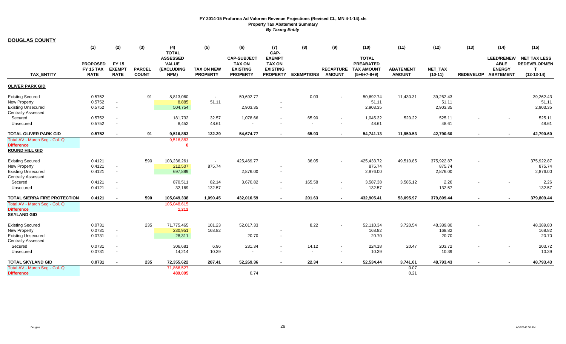| <b>DOUGLAS COUNTY</b>                                  |                                 |                              |                               |                     |                                      |                                    |                                    |                          |                                   |                                    |                                   |                      |                |                                      |                     |
|--------------------------------------------------------|---------------------------------|------------------------------|-------------------------------|---------------------|--------------------------------------|------------------------------------|------------------------------------|--------------------------|-----------------------------------|------------------------------------|-----------------------------------|----------------------|----------------|--------------------------------------|---------------------|
|                                                        | (1)                             | (2)                          | (3)                           | (4)<br><b>TOTAL</b> | (5)                                  | (6)                                | (7)<br>CAP-                        | (8)                      | (9)                               | (10)                               | (11)                              | (12)                 | (13)           | (14)                                 | (15)                |
|                                                        |                                 |                              |                               | <b>ASSESSED</b>     |                                      | <b>CAP-SUBJECT</b>                 | <b>EXEMPT</b>                      |                          |                                   | <b>TOTAL</b>                       |                                   |                      |                | <b>LEED/RENEW</b>                    | <b>NET TAX LESS</b> |
|                                                        | <b>PROPOSED</b>                 | <b>FY 15</b>                 |                               | <b>VALUE</b>        |                                      | <b>TAX ON</b>                      | <b>TAX ON</b>                      |                          |                                   | <b>PREABATED</b>                   |                                   |                      |                | <b>ABLE</b>                          | <b>REDEVELOPMEN</b> |
| <b>TAX ENTITY</b>                                      | <b>FY 15 TAX</b><br><b>RATE</b> | <b>EXEMPT</b><br><b>RATE</b> | <b>PARCEL</b><br><b>COUNT</b> | (EXCLUDING<br>NPM)  | <b>TAX ON NEW</b><br><b>PROPERTY</b> | <b>EXISTING</b><br><b>PROPERTY</b> | <b>EXISTING</b><br><b>PROPERTY</b> | <b>EXEMPTIONS</b>        | <b>RECAPTURE</b><br><b>AMOUNT</b> | <b>TAX AMOUNT</b><br>$(5+6+7-8+9)$ | <b>ABATEMENT</b><br><b>AMOUNT</b> | NET_TAX<br>$(10-11)$ |                | <b>ENERGY</b><br>REDEVELOP ABATEMENT | т.<br>$(12-13-14)$  |
| <b>OLIVER PARK GID</b>                                 |                                 |                              |                               |                     |                                      |                                    |                                    |                          |                                   |                                    |                                   |                      |                |                                      |                     |
| <b>Existing Secured</b>                                | 0.5752                          |                              | 91                            | 8,813,060           | $\sim$                               | 50,692.77                          |                                    | 0.03                     |                                   | 50,692.74                          | 11,430.31                         | 39,262.43            |                |                                      | 39,262.43           |
| New Property                                           | 0.5752                          |                              |                               | 8,885               | 51.11                                |                                    |                                    |                          |                                   | 51.11                              |                                   | 51.11                |                |                                      | 51.11               |
| <b>Existing Unsecured</b><br><b>Centrally Assessed</b> | 0.5752                          | $\overline{\phantom{a}}$     |                               | 504,754             |                                      | 2,903.35                           | $\overline{\phantom{a}}$           |                          |                                   | 2,903.35                           |                                   | 2,903.35             |                |                                      | 2,903.35            |
| Secured                                                | 0.5752                          |                              |                               | 181,732             | 32.57                                | 1,078.66                           |                                    | 65.90                    |                                   | 1,045.32                           | 520.22                            | 525.11               |                |                                      | 525.11              |
| Unsecured                                              | 0.5752                          | $\overline{\phantom{a}}$     |                               | 8,452               | 48.61                                | $\overline{\phantom{a}}$           |                                    | $\overline{\phantom{a}}$ |                                   | 48.61                              |                                   | 48.61                |                |                                      | 48.61               |
| TOTAL OLIVER PARK GID                                  | 0.5752                          | $\blacksquare$               | 91                            | 9,516,883           | 132.29                               | 54.674.77                          | $\sim$                             | 65.93                    | $\sim$                            | 54,741.13                          | 11.950.53                         | 42,790.60            | $\blacksquare$ |                                      | 42,790.60           |
| Total AV - March Seg - Col. Q                          |                                 |                              |                               | 9,516,883           |                                      |                                    |                                    |                          |                                   |                                    |                                   |                      |                |                                      |                     |
| <b>Difference</b>                                      |                                 |                              |                               | $\mathbf{0}$        |                                      |                                    |                                    |                          |                                   |                                    |                                   |                      |                |                                      |                     |
| <b>ROUND HILL GID</b>                                  |                                 |                              |                               |                     |                                      |                                    |                                    |                          |                                   |                                    |                                   |                      |                |                                      |                     |
| <b>Existing Secured</b>                                | 0.4121                          |                              | 590                           | 103,236,261         | $\overline{\phantom{a}}$             | 425,469.77                         |                                    | 36.05                    |                                   | 425,433.72                         | 49,510.85                         | 375,922.87           |                |                                      | 375,922.87          |
| New Property                                           | 0.4121                          | $\blacksquare$               |                               | 212,507             | 875.74                               |                                    |                                    |                          |                                   | 875.74                             |                                   | 875.74               |                |                                      | 875.74              |
| <b>Existing Unsecured</b><br><b>Centrally Assessed</b> | 0.4121                          | $\overline{\phantom{a}}$     |                               | 697,889             |                                      | 2,876.00                           | $\overline{a}$                     |                          |                                   | 2,876.00                           |                                   | 2,876.00             |                |                                      | 2,876.00            |
| Secured                                                | 0.4121                          | $\blacksquare$               |                               | 870,511             | 82.14                                | 3,670.82                           | $\blacksquare$                     | 165.58                   |                                   | 3,587.38                           | 3,585.12                          | 2.26                 |                |                                      | 2.26                |
| Unsecured                                              | 0.4121                          | $\overline{\phantom{a}}$     |                               | 32,169              | 132.57                               | $\sim$                             | $\overline{\phantom{a}}$           | $\overline{\phantom{a}}$ | $\overline{\phantom{a}}$          | 132.57                             |                                   | 132.57               |                |                                      | 132.57              |
| <b>TOTAL SIERRA FIRE PROTECTION</b>                    | 0.4121                          |                              | 590                           | 105,049,338         | 1,090.45                             | 432,016.59                         |                                    | 201.63                   |                                   | 432,905.41                         | 53,095.97                         | 379,809.44           |                |                                      | 379,809.44          |
| Total AV - March Seg - Col. Q                          |                                 |                              |                               | 105,048,615         |                                      |                                    |                                    |                          |                                   |                                    |                                   |                      |                |                                      |                     |
| <b>Difference</b>                                      |                                 |                              |                               | 1,212               |                                      |                                    |                                    |                          |                                   |                                    |                                   |                      |                |                                      |                     |
| <b>SKYLAND GID</b>                                     |                                 |                              |                               |                     |                                      |                                    |                                    |                          |                                   |                                    |                                   |                      |                |                                      |                     |
| <b>Existing Secured</b>                                | 0.0731                          |                              | 235                           | 71,775,465          | 101.23                               | 52,017.33                          |                                    | 8.22                     |                                   | 52,110.34                          | 3,720.54                          | 48,389.80            |                |                                      | 48,389.80           |
| New Property                                           | 0.0731                          | $\blacksquare$               |                               | 230,951             | 168.82                               |                                    |                                    |                          |                                   | 168.82                             |                                   | 168.82               |                |                                      | 168.82              |
| <b>Existing Unsecured</b><br>Centrally Assessed        | 0.0731                          | $\blacksquare$               |                               | 28,311              |                                      | 20.70                              | $\sim$                             |                          |                                   | 20.70                              |                                   | 20.70                |                |                                      | 20.70               |
| Secured                                                | 0.0731                          | $\overline{\phantom{a}}$     |                               | 306,681             | 6.96                                 | 231.34                             | $\overline{\phantom{a}}$           | 14.12                    | $\overline{\phantom{a}}$          | 224.18                             | 20.47                             | 203.72               |                |                                      | 203.72              |
| Unsecured                                              | 0.0731                          | $\overline{a}$               |                               | 14,214              | 10.39                                | $\sim$                             |                                    | $\blacksquare$           | $\overline{\phantom{a}}$          | 10.39                              |                                   | 10.39                |                |                                      | 10.39               |
| <b>TOTAL SKYLAND GID</b>                               | 0.0731                          |                              | 235                           | 72,355,622          | 287.41                               | 52,269.36                          |                                    | 22.34                    |                                   | 52,534.44                          | 3,741.01                          | 48,793.43            |                |                                      | 48,793.43           |
| Total AV - March Seg - Col. Q                          |                                 |                              |                               | 71,866,527          |                                      |                                    |                                    |                          |                                   |                                    | 0.07                              |                      |                |                                      |                     |
| <b>Difference</b>                                      |                                 |                              |                               | 489,095             |                                      | 0.74                               |                                    |                          |                                   |                                    | 0.21                              |                      |                |                                      |                     |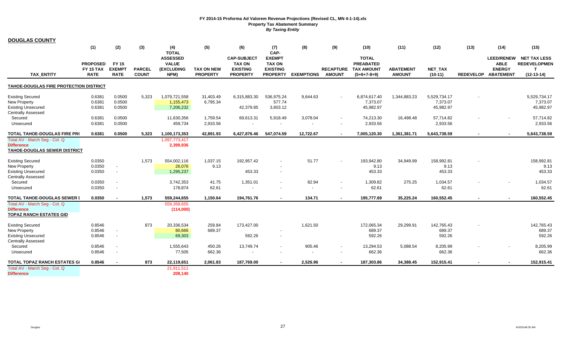| <b>DOUGLAS COUNTY</b>                                                                     |                                                    |                                                      |                               |                                                              |                                      |                                                                           |                                                                      |                                      |                          |                                                                           |                                   |                                       |        |                                                                          |                                                                  |
|-------------------------------------------------------------------------------------------|----------------------------------------------------|------------------------------------------------------|-------------------------------|--------------------------------------------------------------|--------------------------------------|---------------------------------------------------------------------------|----------------------------------------------------------------------|--------------------------------------|--------------------------|---------------------------------------------------------------------------|-----------------------------------|---------------------------------------|--------|--------------------------------------------------------------------------|------------------------------------------------------------------|
|                                                                                           | (1)                                                | (2)                                                  | (3)                           | (4)<br><b>TOTAL</b>                                          | (5)                                  | (6)                                                                       | (7)<br>CAP-                                                          | (8)                                  | (9)                      | (10)                                                                      | (11)                              | (12)                                  | (13)   | (14)                                                                     | (15)                                                             |
| <b>TAX ENTITY</b>                                                                         | <b>PROPOSED</b><br><b>FY 15 TAX</b><br><b>RATE</b> | <b>FY 15</b><br><b>EXEMPT</b><br><b>RATE</b>         | <b>PARCEL</b><br><b>COUNT</b> | <b>ASSESSED</b><br><b>VALUE</b><br><b>(EXCLUDING</b><br>NPM) | <b>TAX ON NEW</b><br><b>PROPERTY</b> | <b>CAP-SUBJECT</b><br><b>TAX ON</b><br><b>EXISTING</b><br><b>PROPERTY</b> | <b>EXEMPT</b><br><b>TAX ON</b><br><b>EXISTING</b><br><b>PROPERTY</b> | <b>EXEMPTIONS</b>                    | <b>AMOUNT</b>            | <b>TOTAL</b><br><b>PREABATED</b><br>RECAPTURE TAX AMOUNT<br>$(5+6+7-8+9)$ | <b>ABATEMENT</b><br><b>AMOUNT</b> | <b>NET TAX</b><br>$(10-11)$           |        | <b>LEED/RENEW</b><br><b>ABLE</b><br><b>ENERGY</b><br>REDEVELOP ABATEMENT | <b>NET TAX LESS</b><br><b>REDEVELOPMEN</b><br>T.<br>$(12-13-14)$ |
| <b>TAHOE-DOUGLAS FIRE PROTECTION DISTRICT</b>                                             |                                                    |                                                      |                               |                                                              |                                      |                                                                           |                                                                      |                                      |                          |                                                                           |                                   |                                       |        |                                                                          |                                                                  |
| <b>Existing Secured</b><br>New Property<br><b>Existing Unsecured</b>                      | 0.6381<br>0.6381<br>0.6381                         | 0.0500<br>0.0500<br>0.0500                           | 5,323                         | 1,079,721,558<br>1,155,473<br>7,206,232                      | 31,403.49<br>6,795.34                | 6,315,883.30<br>42,379.85                                                 | 536,975.24<br>577.74<br>3,603.12                                     | 9,644.63                             |                          | 6,874,617.40<br>7,373.07<br>45,982.97                                     | 1,344,883.23                      | 5,529,734.17<br>7,373.07<br>45,982.97 |        |                                                                          | 5,529,734.17<br>7,373.07<br>45,982.97                            |
| <b>Centrally Assessed</b><br>Secured<br>Unsecured                                         | 0.6381<br>0.6381                                   | 0.0500<br>0.0500                                     |                               | 11,630,356<br>459,734                                        | 1,759.54<br>2,933.56                 | 69,613.31<br>$\overline{\phantom{a}}$                                     | 5,918.49                                                             | 3,078.04<br>$\overline{\phantom{a}}$ | $\overline{\phantom{a}}$ | 74,213.30<br>2,933.56                                                     | 16,498.48                         | 57,714.82<br>2,933.56                 |        |                                                                          | 57,714.82<br>2,933.56                                            |
| TOTAL TAHOE-DOUGLAS FIRE PR(                                                              | 0.6381                                             | 0.0500                                               | 5,323                         | 1,100,173,353                                                | 42,891.93                            | 6,427,876.46                                                              | 547,074.59                                                           | 12,722.67                            |                          | 7,005,120.30                                                              | 1,361,381.71                      | 5,643,738.59                          |        |                                                                          | 5,643,738.59                                                     |
| Total AV - March Seq - Col. Q<br><b>Difference</b><br><b>TAHOE-DOUGLAS SEWER DISTRICT</b> |                                                    |                                                      |                               | 1,097,773,417<br>2,399,936                                   |                                      |                                                                           |                                                                      |                                      |                          |                                                                           |                                   |                                       |        |                                                                          |                                                                  |
| <b>Existing Secured</b><br><b>New Property</b><br><b>Existing Unsecured</b>               | 0.0350<br>0.0350<br>0.0350                         | $\overline{\phantom{a}}$<br>$\overline{\phantom{a}}$ | 1,573                         | 554,002,116<br>26,076<br>1,295,237                           | 1,037.15<br>9.13                     | 192,957.42<br>453.33                                                      |                                                                      | 51.77                                |                          | 193,942.80<br>9.13<br>453.33                                              | 34,949.99                         | 158,992.81<br>9.13<br>453.33          |        |                                                                          | 158,992.81<br>9.13<br>453.33                                     |
| <b>Centrally Assessed</b><br>Secured<br>Unsecured                                         | 0.0350<br>0.0350                                   |                                                      |                               | 3,742,353<br>178,874                                         | 41.75<br>62.61                       | 1,351.01                                                                  |                                                                      | 82.94                                |                          | 1,309.82<br>62.61                                                         | 275.25                            | 1,034.57<br>62.61                     |        |                                                                          | 1,034.57<br>62.61                                                |
| TOTAL TAHOE-DOUGLAS SEWER                                                                 | 0.0350                                             |                                                      | 1,573                         | 559,244,655                                                  | 1.150.64                             | 194.761.76                                                                | $\overline{a}$                                                       | 134.71                               |                          | 195,777.69                                                                | 35.225.24                         | 160.552.45                            | $\sim$ | $\sim$                                                                   | 160,552.45                                                       |
| Total AV - March Seq - Col. Q<br><b>Difference</b><br><b>TOPAZ RANCH ESTATES GID</b>      |                                                    |                                                      |                               | 559,358,655<br>(114,000)                                     |                                      |                                                                           |                                                                      |                                      |                          |                                                                           |                                   |                                       |        |                                                                          |                                                                  |
| <b>Existing Secured</b><br>New Property<br><b>Existing Unsecured</b>                      | 0.8546<br>0.8546<br>0.8546                         | $\overline{\phantom{a}}$                             | 873                           | 20,336,534<br>80,666<br>69,303                               | 259.84<br>689.37                     | 173,427.00<br>592.26                                                      |                                                                      | 1,621.50                             |                          | 172,065.34<br>689.37<br>592.26                                            | 29,299.91                         | 142,765.43<br>689.37<br>592.26        |        |                                                                          | 142,765.43<br>689.37<br>592.26                                   |
| <b>Centrally Assessed</b><br>Secured<br>Unsecured                                         | 0.8546<br>0.8546                                   |                                                      |                               | 1,555,643<br>77,505                                          | 450.26<br>662.36                     | 13,749.74<br>$\blacksquare$                                               |                                                                      | 905.46<br>$\overline{\phantom{a}}$   | $\overline{\phantom{a}}$ | 13,294.53<br>662.36                                                       | 5,088.54                          | 8,205.99<br>662.36                    |        | $\overline{\phantom{a}}$                                                 | 8,205.99<br>662.36                                               |
| <b>TOTAL TOPAZ RANCH ESTATES GI</b>                                                       | 0.8546                                             |                                                      | 873                           | 22,119,651                                                   | 2.061.83                             | 187,769.00                                                                |                                                                      | 2,526.96                             |                          | 187,303.86                                                                | 34,388.45                         | 152,915.41                            |        |                                                                          | 152,915.41                                                       |
| Total AV - March Seg - Col. Q<br><b>Difference</b>                                        |                                                    |                                                      |                               | 21,911,511<br>208,140                                        |                                      |                                                                           |                                                                      |                                      |                          |                                                                           |                                   |                                       |        |                                                                          |                                                                  |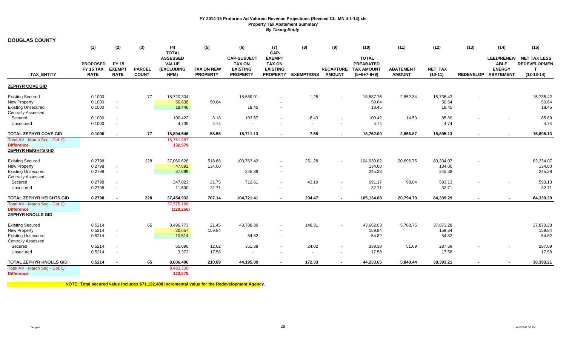| <b>DOUGLAS COUNTY</b>         |                          |                              |                               |                     |                                      |                                    |                                    |                          |                                   |                                    |                                   |                      |        |                                      |                     |
|-------------------------------|--------------------------|------------------------------|-------------------------------|---------------------|--------------------------------------|------------------------------------|------------------------------------|--------------------------|-----------------------------------|------------------------------------|-----------------------------------|----------------------|--------|--------------------------------------|---------------------|
|                               | (1)                      | (2)                          | (3)                           | (4)<br><b>TOTAL</b> | (5)                                  | (6)                                | (7)<br>CAP-                        | (8)                      | (9)                               | (10)                               | (11)                              | (12)                 | (13)   | (14)                                 | (15)                |
|                               |                          |                              |                               | <b>ASSESSED</b>     |                                      | <b>CAP-SUBJECT</b>                 | <b>EXEMPT</b>                      |                          |                                   | <b>TOTAL</b>                       |                                   |                      |        | <b>LEED/RENEW</b>                    | <b>NET TAX LESS</b> |
|                               | <b>PROPOSED</b>          | FY 15                        |                               | <b>VALUE</b>        |                                      | <b>TAX ON</b>                      | <b>TAX ON</b>                      |                          |                                   | <b>PREABATED</b>                   |                                   |                      |        | <b>ABLE</b>                          | <b>REDEVELOPMEN</b> |
| <b>TAX ENTITY</b>             | FY 15 TAX<br><b>RATE</b> | <b>EXEMPT</b><br><b>RATE</b> | <b>PARCEL</b><br><b>COUNT</b> | (EXCLUDING<br>NPM)  | <b>TAX ON NEW</b><br><b>PROPERTY</b> | <b>EXISTING</b><br><b>PROPERTY</b> | <b>EXISTING</b><br><b>PROPERTY</b> | <b>EXEMPTIONS</b>        | <b>RECAPTURE</b><br><b>AMOUNT</b> | <b>TAX AMOUNT</b><br>$(5+6+7-8+9)$ | <b>ABATEMENT</b><br><b>AMOUNT</b> | NET_TAX<br>$(10-11)$ |        | <b>ENERGY</b><br>REDEVELOP ABATEMENT | т<br>$(12-13-14)$   |
|                               |                          |                              |                               |                     |                                      |                                    |                                    |                          |                                   |                                    |                                   |                      |        |                                      |                     |
| <b>ZEPHYR COVE GID</b>        |                          |                              |                               |                     |                                      |                                    |                                    |                          |                                   |                                    |                                   |                      |        |                                      |                     |
| <b>Existing Secured</b>       | 0.1000                   |                              | 77                            | 18,720,304          | $\overline{\phantom{a}}$             | 18,589.01                          |                                    | 1.25                     | $\overline{\phantom{a}}$          | 18,587.76                          | 2,852.34                          | 15,735.42            |        |                                      | 15,735.42           |
| <b>New Property</b>           | 0.1000                   | $\sim$                       |                               | 50,638              | 50.64                                |                                    |                                    |                          |                                   | 50.64                              |                                   | 50.64                |        |                                      | 50.64               |
| <b>Existing Unsecured</b>     | 0.1000                   | $\sim$                       |                               | 18,446              |                                      | 18.45                              |                                    |                          |                                   | 18.45                              |                                   | 18.45                |        |                                      | 18.45               |
| <b>Centrally Assessed</b>     |                          |                              |                               |                     |                                      |                                    |                                    |                          |                                   |                                    |                                   |                      |        |                                      |                     |
| Secured                       | 0.1000                   | $\sim$                       |                               | 100,422             | 3.18                                 | 103.67                             |                                    | 6.43                     |                                   | 100.42                             | 14.53                             | 85.89                |        |                                      | 85.89               |
| Unsecured                     | 0.1000                   | $\sim$                       |                               | 4,735               | 4.74                                 | $\sim$                             |                                    | $\sim$                   |                                   | 4.74                               |                                   | 4.74                 |        |                                      | 4.74                |
| <b>TOTAL ZEPHYR COVE GID</b>  | 0.1000                   | $\sim$                       | 77                            | 18,894,546          | 58.56                                | 18,711.13                          | $\sim$                             | 7.68                     | $\sim$                            | 18,762.00                          | 2,866.87                          | 15,895.13            | $\sim$ | $\sim$                               | 15,895.13           |
| Total AV - March Seg - Col. Q |                          |                              |                               | 18,761,967          |                                      |                                    |                                    |                          |                                   |                                    |                                   |                      |        |                                      |                     |
| <b>Difference</b>             |                          |                              |                               | 132,579             |                                      |                                    |                                    |                          |                                   |                                    |                                   |                      |        |                                      |                     |
| <b>ZEPHYR HEIGHTS GID</b>     |                          |                              |                               |                     |                                      |                                    |                                    |                          |                                   |                                    |                                   |                      |        |                                      |                     |
| <b>Existing Secured</b>       | 0.2798                   |                              | 228                           | 37,060,628          | 518.68                               | 103,763.42                         |                                    | 251.28                   | $\sim$                            | 104,030.82                         | 20,696.75                         | 83,334.07            |        |                                      | 83,334.07           |
| <b>New Property</b>           | 0.2798                   | $\sim$                       |                               | 47,892              | 134.00                               |                                    |                                    |                          |                                   | 134.00                             |                                   | 134.00               |        |                                      | 134.00              |
| <b>Existing Unsecured</b>     | 0.2798                   | $\sim$                       |                               | 87,699              |                                      | 245.38                             |                                    |                          |                                   | 245.38                             |                                   | 245.38               |        |                                      | 245.38              |
| <b>Centrally Assessed</b>     |                          |                              |                               |                     |                                      |                                    |                                    |                          |                                   |                                    |                                   |                      |        |                                      |                     |
| Secured                       | 0.2798                   | $\sim$                       |                               | 247,023             | 21.75                                | 712.61                             |                                    | 43.19                    |                                   | 691.17                             | 98.04                             | 593.13               |        |                                      | 593.13              |
| Unsecured                     | 0.2798                   | $\sim$                       |                               | 11,690              | 32.71                                | $\sim$                             |                                    | $\sim$                   | $\overline{\phantom{a}}$          | 32.71                              |                                   | 32.71                |        |                                      | 32.71               |
| TOTAL ZEPHYR HEIGHTS GID      | 0.2798                   |                              | 228                           | 37,454,932          | 707.14                               | 104,721.41                         |                                    | 294.47                   |                                   | 105,134.08                         | 20,794.79                         | 84,339.29            |        |                                      | 84,339.29           |
| Total AV - March Seg - Col. Q |                          |                              |                               | 37,575,188          |                                      |                                    |                                    |                          |                                   |                                    |                                   |                      |        |                                      |                     |
| <b>Difference</b>             |                          |                              |                               | (120, 256)          |                                      |                                    |                                    |                          |                                   |                                    |                                   |                      |        |                                      |                     |
| <b>ZEPHYR KNOLLS GID</b>      |                          |                              |                               |                     |                                      |                                    |                                    |                          |                                   |                                    |                                   |                      |        |                                      |                     |
| <b>Existing Secured</b>       | 0.5214                   |                              | 65                            | 8,496,773           | 21.45                                | 43,788.89                          |                                    | 148.31                   |                                   | 43,662.03                          | 5,788.75                          | 37,873.28            |        |                                      | 37,873.28           |
| <b>New Property</b>           | 0.5214                   | $\sim$                       |                               | 30,657              | 159.84                               |                                    |                                    |                          |                                   | 159.84                             |                                   | 159.84               |        |                                      | 159.84              |
| <b>Existing Unsecured</b>     | 0.5214                   | $\sim$                       |                               | 10,514              |                                      | 54.82                              |                                    |                          |                                   | 54.82                              |                                   | 54.82                |        |                                      | 54.82               |
| <b>Centrally Assessed</b>     |                          |                              |                               |                     |                                      |                                    |                                    |                          |                                   |                                    |                                   |                      |        |                                      |                     |
| Secured                       | 0.5214                   | $\overline{\phantom{a}}$     |                               | 65,090              | 12.02                                | 351.38                             |                                    | 24.02                    |                                   | 339.38                             | 51.69                             | 287.69               |        |                                      | 287.69              |
| Unsecured                     | 0.5214                   | $\overline{\phantom{a}}$     |                               | 3,372               | 17.58                                | $\overline{\phantom{a}}$           |                                    | $\overline{\phantom{a}}$ | $\overline{\phantom{a}}$          | 17.58                              |                                   | 17.58                |        |                                      | 17.58               |
| TOTAL ZEPHYR KNOLLS GID       | 0.5214                   |                              | 65                            | 8,606,406           | 210.89                               | 44,195.09                          |                                    | 172.33                   |                                   | 44,233.65                          | 5,840.44                          | 38,393.21            |        |                                      | 38,393.21           |
| Total AV - March Seg - Col. Q |                          |                              |                               | 8,483,330           |                                      |                                    |                                    |                          |                                   |                                    |                                   |                      |        |                                      |                     |
| <b>Difference</b>             |                          |                              |                               | 123,076             |                                      |                                    |                                    |                          |                                   |                                    |                                   |                      |        |                                      |                     |

**NOTE:** Total secured value includes \$71,122,488 incremental value for the Redevelopment Agency.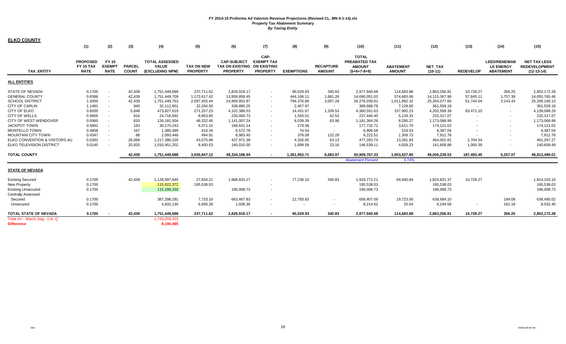| <b>ELKO COUNTY</b>                                                                                                                                                                                                                                                                                                  |                                                                                                                      |                                                |                                                                                                  |                                                                                                                                                                                       |                                                                                                                                                         |                                                                                                                                                                              |                                                                    |                                                                                                                                             |                                                                                                                        |                                                                                                                                                                              |                                                                                                                                                       |                                                                                                                                                                              |                                                                                    |                                                                                                                          |                                                                                                                                                                              |
|---------------------------------------------------------------------------------------------------------------------------------------------------------------------------------------------------------------------------------------------------------------------------------------------------------------------|----------------------------------------------------------------------------------------------------------------------|------------------------------------------------|--------------------------------------------------------------------------------------------------|---------------------------------------------------------------------------------------------------------------------------------------------------------------------------------------|---------------------------------------------------------------------------------------------------------------------------------------------------------|------------------------------------------------------------------------------------------------------------------------------------------------------------------------------|--------------------------------------------------------------------|---------------------------------------------------------------------------------------------------------------------------------------------|------------------------------------------------------------------------------------------------------------------------|------------------------------------------------------------------------------------------------------------------------------------------------------------------------------|-------------------------------------------------------------------------------------------------------------------------------------------------------|------------------------------------------------------------------------------------------------------------------------------------------------------------------------------|------------------------------------------------------------------------------------|--------------------------------------------------------------------------------------------------------------------------|------------------------------------------------------------------------------------------------------------------------------------------------------------------------------|
|                                                                                                                                                                                                                                                                                                                     | (1)                                                                                                                  | (2)                                            | (3)                                                                                              | (4)                                                                                                                                                                                   | (5)                                                                                                                                                     | (6)                                                                                                                                                                          | (7)                                                                | (8)                                                                                                                                         | (9)                                                                                                                    | (10)                                                                                                                                                                         | (11)                                                                                                                                                  | (12)                                                                                                                                                                         | (13)                                                                               | (14)                                                                                                                     | (15)                                                                                                                                                                         |
| <b>TAX ENTITY</b>                                                                                                                                                                                                                                                                                                   | <b>PROPOSED</b><br><b>FY 15 TAX</b><br><b>RATE</b>                                                                   | <b>FY 15</b><br><b>EXEMPT</b><br><b>RATE</b>   | <b>PARCEL</b><br><b>COUNT</b>                                                                    | <b>TOTAL ASSESSED</b><br><b>VALUE</b><br>(EXCLUDING NPM)                                                                                                                              | TAX ON NEW<br><b>PROPERTY</b>                                                                                                                           | <b>CAP-SUBJECT</b><br>TAX ON EXISTING ON EXISTING<br><b>PROPERTY</b>                                                                                                         | CAP-<br><b>EXEMPT TAX</b><br><b>PROPERTY</b>                       | <b>EXEMPTIONS</b>                                                                                                                           | <b>RECAPTURE</b><br><b>AMOUNT</b>                                                                                      | <b>TOTAL</b><br>PREABATED TAX<br><b>AMOUNT</b><br>$(5+6+7-8+9)$                                                                                                              | <b>ABATEMENT</b><br><b>AMOUNT</b>                                                                                                                     | NET TAX<br>$(10-11)$                                                                                                                                                         | <b>REDEVELOP</b>                                                                   | <b>LEED/RENEWAB</b><br><b>LE ENERGY</b><br><b>ABATEMENT</b>                                                              | <b>NET TAX LESS</b><br><b>REDEVELOPMENT</b><br>$(12-13-14)$                                                                                                                  |
| <b>ALL ENTITIES</b>                                                                                                                                                                                                                                                                                                 |                                                                                                                      |                                                |                                                                                                  |                                                                                                                                                                                       |                                                                                                                                                         |                                                                                                                                                                              |                                                                    |                                                                                                                                             |                                                                                                                        |                                                                                                                                                                              |                                                                                                                                                       |                                                                                                                                                                              |                                                                                    |                                                                                                                          |                                                                                                                                                                              |
| STATE OF NEVADA<br><b>GENERAL COUNTY</b><br><b>SCHOOL DISTRICT</b><br><b>CITY OF CARLIN</b><br><b>CITY OF ELKO</b><br><b>CITY OF WELLS</b><br><b>CITY OF WEST WENDOVER</b><br><b>JACKPOT TOWN</b><br>MONTELLO TOWN<br><b>MOUNTAIN CITY TOWN</b><br>ELKO CONVENTION & VISITORS AU<br><b>ELKO TELEVISION DISTRICT</b> | 0.1700<br>0.8386<br>1.5000<br>1.1481<br>0.9200<br>0.9605<br>0.9360<br>0.5891<br>0.4858<br>0.4347<br>0.0392<br>0.0145 | $\sim$<br>$\sim$<br>$\sim$<br>$\sim$<br>$\sim$ | 42,439<br>42,439<br>42,439<br>940<br>5,848<br>816<br>810<br>183<br>167<br>88<br>26,069<br>25,825 | 1,751,449,688<br>1,751,449,709<br>1,751,449,753<br>32,112,951<br>473,827,619<br>24,716,692<br>126, 181, 504<br>30,170,243<br>1,385,499<br>2,093,446<br>1,217,386,220<br>1,010,451,202 | 237,711.62<br>1,172,617.42<br>2,097,455.44<br>32,266.50<br>271,257.23<br>8,953.65<br>48,332.45<br>9,371.15<br>410.34<br>494.91<br>43,575.89<br>8,400.53 | 2,829,918.17<br>13,959,858.45<br>24,969,953.87<br>338,880.25<br>4,102,386.53<br>230,000.73<br>1,141,007.24<br>168,641.14<br>6,572.78<br>8,983.40<br>437,971.38<br>140,015.00 | $\sim$<br>$\sim$<br>$\sim$<br>$\sim$<br>$\sim$<br>$\sim$<br>$\sim$ | 90,029.93<br>444,106.11<br>794,376.68<br>2,457.97<br>14,431.67<br>1,550.51<br>8,039.39<br>279.58<br>76.54<br>378.09<br>4,326.65<br>1,899.58 | 340.83<br>1,681.26<br>3,007.28<br>$\sim$<br>1,339.53<br>42.53<br>63.96<br>$\sim$<br>$\sim$<br>122.29<br>63.13<br>23.16 | 2,977,940.68<br>14,690,051.03<br>26,276,039.91<br>368,688.78<br>4,360,551.63<br>237,446.40<br>1,181,364.26<br>177,732.72<br>6,906.58<br>9,222.51<br>477,283.74<br>146,539.11 | 114,683.88<br>574,683.06<br>1,011,962.32<br>7,129.60<br>157,992.23<br>5,129.33<br>8,295.27<br>3,611.70<br>519.53<br>1,309.73<br>13,281.93<br>4,929.23 | 2,863,256.81<br>14,115,367.96<br>25,264,077.60<br>361,559.18<br>4,202,559.39<br>232,317.07<br>1,173,068.99<br>174,121.02<br>6,387.04<br>7,912.78<br>464,001.81<br>141,609.88 | 10,728.27<br>57,845.11<br>51,744.04<br>$\sim$<br>63,471.10<br>2,704.54<br>1,000.39 | 356.25<br>1,757.39<br>3,143.43<br>$\sim$<br>$\sim$<br>$\sim$<br>$\sim$<br>$\sim$<br>$\sim$<br>$\sim$<br>$\sim$<br>$\sim$ | 2,852,172.28<br>14,055,765.46<br>25,209,190.13<br>361,559.18<br>4,139,088.29<br>232,317.07<br>1,173,068.99<br>174,121.02<br>6,387.04<br>7,912.78<br>461,297.27<br>140,609.49 |
| <b>TOTAL COUNTY</b>                                                                                                                                                                                                                                                                                                 |                                                                                                                      |                                                | 42,439                                                                                           | 1,751,449,688                                                                                                                                                                         | 3,930,847.12                                                                                                                                            | 48,334,188.94                                                                                                                                                                | $\overline{\phantom{a}}$                                           | 1,361,952.71                                                                                                                                | 6,683.97                                                                                                               | 50,909,767.33                                                                                                                                                                | 1,903,527.80                                                                                                                                          | 49,006,239.53                                                                                                                                                                | 187,493.45                                                                         | 5,257.07                                                                                                                 | 48,813,489.01                                                                                                                                                                |
|                                                                                                                                                                                                                                                                                                                     |                                                                                                                      |                                                |                                                                                                  |                                                                                                                                                                                       |                                                                                                                                                         |                                                                                                                                                                              |                                                                    |                                                                                                                                             |                                                                                                                        | <b>Abatement Percent</b>                                                                                                                                                     | 3.74%                                                                                                                                                 |                                                                                                                                                                              |                                                                                    |                                                                                                                          |                                                                                                                                                                              |
| <b>STATE OF NEVADA</b>                                                                                                                                                                                                                                                                                              |                                                                                                                      |                                                |                                                                                                  |                                                                                                                                                                                       |                                                                                                                                                         |                                                                                                                                                                              |                                                                    |                                                                                                                                             |                                                                                                                        |                                                                                                                                                                              |                                                                                                                                                       |                                                                                                                                                                              |                                                                                    |                                                                                                                          |                                                                                                                                                                              |
| <b>Existing Secured</b><br><b>New Property</b><br><b>Existing Unsecured</b><br><b>Centrally Assessed</b>                                                                                                                                                                                                            | 0.1700<br>0.1700<br>0.1700                                                                                           |                                                | 42,439                                                                                           | 1,128,997,645<br>115,022,372<br>115,299,250                                                                                                                                           | 27,834.21<br>195,538.03                                                                                                                                 | 1,968,833.27<br>196,008.73                                                                                                                                                   | $\sim$<br>$\sim$                                                   | 77,236.10                                                                                                                                   | 340.83                                                                                                                 | 1,919,772.21<br>195,538.03<br>196,008.73                                                                                                                                     | 94,940.84                                                                                                                                             | 1,824,831.37<br>195,538.03<br>196,008.73                                                                                                                                     | 10,728.27                                                                          |                                                                                                                          | 1,814,103.10<br>195,538.03<br>196,008.73                                                                                                                                     |
| Secured<br>Unsecured                                                                                                                                                                                                                                                                                                | 0.1700<br>0.1700                                                                                                     |                                                |                                                                                                  | 387,298,291<br>4,832,130                                                                                                                                                              | 7,733.10<br>6,606.28                                                                                                                                    | 663,467.83<br>1,608.35                                                                                                                                                       | $\sim$                                                             | 12,793.83<br>$\overline{\phantom{a}}$                                                                                                       | $\sim$<br>$\overline{\phantom{a}}$                                                                                     | 658,407.09<br>8,214.62                                                                                                                                                       | 19,723.00<br>20.04                                                                                                                                    | 638,684.10<br>8,194.58                                                                                                                                                       |                                                                                    | 194.08<br>162.18                                                                                                         | 638,490.02<br>8,032.40                                                                                                                                                       |
| TOTAL STATE OF NEVADA                                                                                                                                                                                                                                                                                               | 0.1700                                                                                                               |                                                | 42,439                                                                                           | 1,751,449,688                                                                                                                                                                         | 237,711.62                                                                                                                                              | 2,829,918.17                                                                                                                                                                 |                                                                    | 90,029.93                                                                                                                                   | 340.83                                                                                                                 | 2,977,940.68                                                                                                                                                                 | 114,683.88                                                                                                                                            | 2,863,256.81                                                                                                                                                                 | 10,728.27                                                                          | 356.25                                                                                                                   | 2,852,172.28                                                                                                                                                                 |
| Total AV - March Seg - Col. Q<br><b>Difference</b>                                                                                                                                                                                                                                                                  |                                                                                                                      |                                                |                                                                                                  | 1,743,259,203<br>8,190,485                                                                                                                                                            |                                                                                                                                                         |                                                                                                                                                                              |                                                                    |                                                                                                                                             |                                                                                                                        |                                                                                                                                                                              |                                                                                                                                                       |                                                                                                                                                                              |                                                                                    |                                                                                                                          |                                                                                                                                                                              |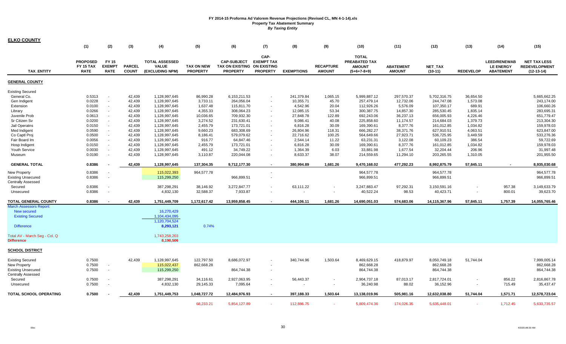| <b>ELKO COUNTY</b>                                 |                                                    |                                       |                               |                                                          |                                      |                                                                 |                                                                    |                   |                                   |                                                                 |                                   |                             |                  |                                                             |                                                             |
|----------------------------------------------------|----------------------------------------------------|---------------------------------------|-------------------------------|----------------------------------------------------------|--------------------------------------|-----------------------------------------------------------------|--------------------------------------------------------------------|-------------------|-----------------------------------|-----------------------------------------------------------------|-----------------------------------|-----------------------------|------------------|-------------------------------------------------------------|-------------------------------------------------------------|
|                                                    | (1)                                                | (2)                                   | (3)                           | (4)                                                      | (5)                                  | (6)                                                             | (7)                                                                | (8)               | (9)                               | (10)                                                            | (11)                              | (12)                        | (13)             | (14)                                                        | (15)                                                        |
| <b>TAX ENTITY</b>                                  | <b>PROPOSED</b><br><b>FY 15 TAX</b><br><b>RATE</b> | FY 15<br><b>EXEMPT</b><br><b>RATE</b> | <b>PARCEL</b><br><b>COUNT</b> | <b>TOTAL ASSESSED</b><br><b>VALUE</b><br>(EXCLUDING NPM) | <b>TAX ON NEW</b><br><b>PROPERTY</b> | <b>CAP-SUBJECT</b><br><b>TAX ON EXISTING</b><br><b>PROPERTY</b> | CAP-<br><b>EXEMPT TAX</b><br><b>ON EXISTING</b><br><b>PROPERTY</b> | <b>EXEMPTIONS</b> | <b>RECAPTURE</b><br><b>AMOUNT</b> | <b>TOTAL</b><br>PREABATED TAX<br><b>AMOUNT</b><br>$(5+6+7-8+9)$ | <b>ABATEMENT</b><br><b>AMOUNT</b> | <b>NET TAX</b><br>$(10-11)$ | <b>REDEVELOP</b> | <b>LEED/RENEWAB</b><br><b>LE ENERGY</b><br><b>ABATEMENT</b> | <b>NET TAX LESS</b><br><b>REDEVELOPMENT</b><br>$(12-13-14)$ |
| <b>GENERAL COUNTY</b>                              |                                                    |                                       |                               |                                                          |                                      |                                                                 |                                                                    |                   |                                   |                                                                 |                                   |                             |                  |                                                             |                                                             |
| <b>Existing Secured</b>                            |                                                    |                                       |                               |                                                          |                                      |                                                                 |                                                                    |                   |                                   |                                                                 |                                   |                             |                  |                                                             |                                                             |
| General Co.                                        | 0.5313                                             |                                       | 42,439                        | 1,128,997,645                                            | 86,990.28                            | 6,153,211.53                                                    |                                                                    | 241,379.84        | 1,065.15                          | 5,999,887.12                                                    | 297,570.37                        | 5,702,316.75                | 36,654.50        |                                                             | 5,665,662.25                                                |
| Gen Indigent                                       | 0.0228                                             | $\sim$                                | 42,439                        | 1,128,997,645                                            | 3,733.11                             | 264,056.04                                                      |                                                                    | 10,355.71         | 45.70                             | 257,479.14                                                      | 12,732.06                         | 244,747.08                  | 1,573.08         |                                                             | 243,174.00                                                  |
| Extension                                          | 0.0100                                             | $\sim$                                | 42,439                        | 1,128,997,645                                            | 1,637.48                             | 115,811.70                                                      |                                                                    | 4,542.96          | 20.04                             | 112,926.26                                                      | 5,576.09                          | 107,350.17                  | 689.91           |                                                             | 106,660.26                                                  |
| Library                                            | 0.0266                                             | $\sim$                                | 42,439                        | 1,128,997,645                                            | 4,355.33                             | 308,064.23                                                      |                                                                    | 12,085.15         | 53.34                             | 300,387.75                                                      | 14,857.30                         | 285,530.45                  | 1,835.14         |                                                             | 283,695.31                                                  |
| Juvenile Prob                                      | 0.0613                                             | $\sim$                                | 42,439                        | 1,128,997,645                                            | 10,036.65                            | 709,932.30                                                      |                                                                    | 27,848.78         | 122.89                            | 692,243.06                                                      | 36,237.13                         | 656,005.93                  | 4,226.46         |                                                             | 651,779.47                                                  |
| Sr Citizen Sv                                      | 0.0200                                             | $\sim$                                | 42,439                        | 1,128,997,645                                            | 3,274.52                             | 231,630.41                                                      | $\sim$                                                             | 9,086.41          | 40.08                             | 225,858.60                                                      | 11,174.57                         | 214,684.03                  | 1,379.73         |                                                             | 213,304.30                                                  |
| Jail Operatns                                      | 0.0150                                             | $\sim$                                | 42,439                        | 1,128,997,645                                            | 2,455.79                             | 173,721.01                                                      |                                                                    | 6,816.28          | 30.09                             | 169,390.61                                                      | 8,377.76                          | 161,012.85                  | 1,034.82         |                                                             | 159,978.03                                                  |
| Med Indigent                                       | 0.0590                                             |                                       | 42,439                        | 1,128,997,645                                            | 9,660.23                             | 683,308.69                                                      |                                                                    | 26,804.96         | 118.31                            | 666,282.27                                                      | 38,371.76                         | 627,910.51                  | 4,063.51         |                                                             | 623,847.00                                                  |
| Co Captl Proj                                      | 0.0500                                             | $\sim$                                | 42,439                        | 1,128,997,645                                            | 8,186.41                             | 579,079.62                                                      | $\sim$                                                             | 22,716.62         | 100.25                            | 564,649.66                                                      | 27,923.71                         | 536,725.95                  | 3,449.59         |                                                             | 533,276.36                                                  |
| Fair Board Im                                      | 0.0056                                             | $\sim$                                | 42,439                        | 1,128,997,645                                            | 916.77                               | 64,847.46                                                       |                                                                    | 2,544.14          | 11.22                             | 63,231.31                                                       | 3,122.08                          | 60,109.23                   | 386.54           |                                                             | 59,722.69                                                   |
| Hosp Indigent                                      | 0.0150                                             | $\sim$                                | 42,439                        | 1,128,997,645                                            | 2,455.79                             | 173,721.01                                                      |                                                                    | 6,816.28          | 30.09                             | 169,390.61                                                      | 8,377.76                          | 161,012.85                  | 1,034.82         |                                                             | 159,978.03                                                  |
| Youth Service                                      | 0.0030                                             | $\sim$                                | 42,439                        | 1,128,997,645                                            | 491.12                               | 34,749.22                                                       | $\sim$                                                             | 1,364.39          | 6.03                              | 33,881.98                                                       | 1,677.54                          | 32,204.44                   | 206.96           |                                                             | 31,997.48                                                   |
| Museum                                             | 0.0190                                             | $\sim$                                | 42,439                        | 1,128,997,645                                            | 3,110.87                             | 220,044.08                                                      | $\blacksquare$                                                     | 8,633.37          | 38.07                             | 214,559.65                                                      | 11,294.10                         | 203,265.55                  | 1,310.05         |                                                             | 201,955.50                                                  |
| <b>GENERAL TOTAL</b>                               | 0.8386                                             |                                       | 42,439                        | 1,128,997,645                                            | 137,304.35                           | 9,712,177.30                                                    | $\sim$                                                             | 380.994.89        | 1,681.26                          | 9,470,168.02                                                    | 477,292.23                        | 8,992,875.79                | 57,845.11        | $\blacksquare$                                              | 8,935,030.68                                                |
| <b>New Property</b>                                | 0.8386                                             |                                       |                               | 115,022,393                                              | 964,577.78                           |                                                                 |                                                                    |                   |                                   | 964,577.78                                                      |                                   | 964,577.78                  |                  |                                                             | 964,577.78                                                  |
| <b>Existing Unsecured</b>                          | 0.8386                                             |                                       |                               | 115,299,250                                              |                                      | 966,899.51                                                      | $\blacksquare$                                                     |                   |                                   | 966,899.51                                                      |                                   | 966,899.51                  |                  |                                                             | 966.899.51                                                  |
| <b>Centrally Assessed</b>                          |                                                    |                                       |                               |                                                          |                                      |                                                                 |                                                                    |                   |                                   |                                                                 |                                   |                             |                  |                                                             |                                                             |
| Secured                                            | 0.8386                                             | $\overline{\phantom{a}}$              |                               | 387,298,291                                              | 38,146.92                            | 3,272,847.77                                                    | $\sim$                                                             | 63,111.22         |                                   | 3,247,883.47                                                    | 97,292.31                         | 3,150,591.16                |                  | 957.38                                                      | 3,149,633.79                                                |
| Unsecured                                          | 0.8386                                             |                                       |                               | 4,832,130                                                | 32,588.37                            | 7,933.87                                                        | $\mathbf{r}$                                                       |                   |                                   | 40,522.24                                                       | 98.53                             | 40,423.71                   |                  | 800.01                                                      | 39,623.70                                                   |
|                                                    |                                                    |                                       |                               |                                                          |                                      |                                                                 |                                                                    |                   |                                   |                                                                 |                                   |                             |                  |                                                             |                                                             |
| <b>TOTAL GENERAL COUNTY</b>                        | 0.8386                                             |                                       | 42,439                        | 1,751,449,709                                            | 1,172,617.42                         | 13,959,858.45                                                   |                                                                    | 444,106.11        | 1,681.26                          | 14,690,051.03                                                   | 574,683.06                        | 14,115,367.96               | 57,845.11        | 1,757.39                                                    | 14,055,765.46                                               |
| <b>March Assessors Report:</b>                     |                                                    |                                       |                               |                                                          |                                      |                                                                 |                                                                    |                   |                                   |                                                                 |                                   |                             |                  |                                                             |                                                             |
| <b>New secured</b>                                 |                                                    |                                       |                               | 16,270,429                                               |                                      |                                                                 |                                                                    |                   |                                   |                                                                 |                                   |                             |                  |                                                             |                                                             |
| <b>Existing Secured</b>                            |                                                    |                                       |                               | 1,104,434,095                                            |                                      |                                                                 |                                                                    |                   |                                   |                                                                 |                                   |                             |                  |                                                             |                                                             |
|                                                    |                                                    |                                       |                               | 1,120,704,524                                            |                                      |                                                                 |                                                                    |                   |                                   |                                                                 |                                   |                             |                  |                                                             |                                                             |
| <b>Difference</b>                                  |                                                    |                                       |                               | 8,293,121                                                | 0.74%                                |                                                                 |                                                                    |                   |                                   |                                                                 |                                   |                             |                  |                                                             |                                                             |
| Total AV - March Seg - Col. Q<br><b>Difference</b> |                                                    |                                       |                               | 1,743,259,203<br>8.190.506                               |                                      |                                                                 |                                                                    |                   |                                   |                                                                 |                                   |                             |                  |                                                             |                                                             |
| <b>SCHOOL DISTRICT</b>                             |                                                    |                                       |                               |                                                          |                                      |                                                                 |                                                                    |                   |                                   |                                                                 |                                   |                             |                  |                                                             |                                                             |
| <b>Existing Secured</b>                            | 0.7500                                             |                                       | 42,439                        | 1,128,997,645                                            | 122,797.50                           | 8,686,072.97                                                    |                                                                    | 340,744.96        | 1,503.64                          | 8,469,629.15                                                    | 418,879.97                        | 8,050,749.18                | 51,744.04        |                                                             | 7,999,005.14                                                |
| <b>New Property</b>                                | 0.7500                                             | $\sim$                                |                               | 115,022,437                                              | 862,668.28                           |                                                                 | $\overline{\phantom{a}}$                                           |                   |                                   | 862,668.28                                                      |                                   |                             |                  |                                                             | 862,668.28                                                  |
| <b>Existing Unsecured</b>                          | 0.7500                                             | $\sim$                                |                               | 115,299,250                                              |                                      | 864,744.38                                                      | $\blacksquare$                                                     |                   |                                   | 864,744.38                                                      |                                   | 862,668.28<br>864,744.38    |                  |                                                             | 864,744.38                                                  |
|                                                    |                                                    |                                       |                               |                                                          |                                      |                                                                 |                                                                    |                   |                                   |                                                                 |                                   |                             |                  |                                                             |                                                             |
| <b>Centrally Assessed</b>                          | 0.7500                                             |                                       |                               | 387,298,291                                              |                                      |                                                                 | $\blacksquare$                                                     |                   |                                   |                                                                 |                                   |                             |                  |                                                             |                                                             |
| Secured                                            | 0.7500                                             |                                       |                               | 4,832,130                                                | 34,116.61<br>29,145.33               | 2,927,063.95<br>7,095.64                                        |                                                                    | 56,443.37         |                                   | 2,904,737.18<br>36,240.98                                       | 87,013.17<br>88.02                | 2,817,724.01                |                  | 856.22<br>715.49                                            | 2,816,867.78<br>35,437.47                                   |
| Unsecured                                          |                                                    |                                       |                               |                                                          |                                      |                                                                 | $\blacksquare$                                                     |                   |                                   |                                                                 |                                   | 36,152.96                   |                  |                                                             |                                                             |
| TOTAL SCHOOL OPERATING                             | 0.7500                                             |                                       | 42,439                        | 1,751,449,753                                            | 1,048,727.72                         | 12,484,976.93                                                   | $\sim$                                                             | 397,188.33        | 1,503.64                          | 13,138,019.96                                                   | 505,981.16                        | 12,632,038.80               | 51,744.04        | 1,571.71                                                    | 12,578,723.04                                               |
|                                                    |                                                    |                                       |                               |                                                          | 68.233.21                            | 5,854,127.89                                                    |                                                                    | 112,886.75        |                                   | 5.809.474.36                                                    | 174,026.35                        | 5.635.448.01                |                  | 1,712.45                                                    | 5,633,735.57                                                |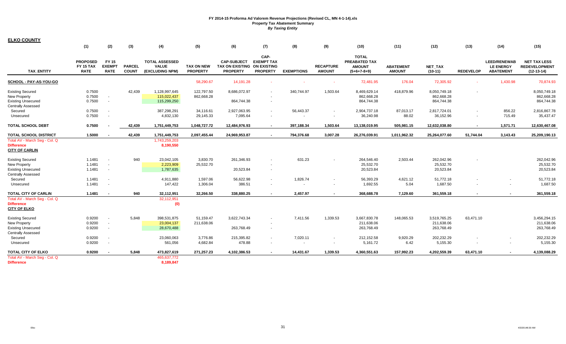**ELKO COUNTY**

|                                                                                                          | (1)                                                | (2)                                          | (3)                           | (4)                                                      | (5)                                  | (6)                                                                  | (7)                                          | (8)                | (9)                               | (10)                                                            | (11)                              | (12)                                     | (13)             | (14)                                                        | (15)                                                        |
|----------------------------------------------------------------------------------------------------------|----------------------------------------------------|----------------------------------------------|-------------------------------|----------------------------------------------------------|--------------------------------------|----------------------------------------------------------------------|----------------------------------------------|--------------------|-----------------------------------|-----------------------------------------------------------------|-----------------------------------|------------------------------------------|------------------|-------------------------------------------------------------|-------------------------------------------------------------|
| <b>TAX ENTITY</b>                                                                                        | <b>PROPOSED</b><br><b>FY 15 TAX</b><br><b>RATE</b> | <b>FY 15</b><br><b>EXEMPT</b><br><b>RATE</b> | <b>PARCEL</b><br><b>COUNT</b> | <b>TOTAL ASSESSED</b><br><b>VALUE</b><br>(EXCLUDING NPM) | <b>TAX ON NEW</b><br><b>PROPERTY</b> | <b>CAP-SUBJECT</b><br>TAX ON EXISTING ON EXISTING<br><b>PROPERTY</b> | CAP-<br><b>EXEMPT TAX</b><br><b>PROPERTY</b> | <b>EXEMPTIONS</b>  | <b>RECAPTURE</b><br><b>AMOUNT</b> | <b>TOTAL</b><br>PREABATED TAX<br><b>AMOUNT</b><br>$(5+6+7-8+9)$ | <b>ABATEMENT</b><br><b>AMOUNT</b> | <b>NET TAX</b><br>$(10-11)$              | <b>REDEVELOP</b> | <b>LEED/RENEWAB</b><br><b>LE ENERGY</b><br><b>ABATEMENT</b> | <b>NET TAX LESS</b><br><b>REDEVELOPMENT</b><br>$(12-13-14)$ |
| SCHOOL - PAY-AS-YOU-GO                                                                                   |                                                    |                                              |                               |                                                          | 58,290.67                            | 14,191.28                                                            |                                              |                    |                                   | 72,481.95                                                       | 176.04                            | 72,305.92                                |                  | 1,430.98                                                    | 70,874.93                                                   |
| <b>Existing Secured</b><br><b>New Property</b><br><b>Existing Unsecured</b><br><b>Centrally Assessed</b> | 0.7500<br>0.7500<br>0.7500                         | $\sim$<br>$\sim$                             | 42.439                        | 1,128,997,645<br>115,022,437<br>115,299,250              | 122,797.50<br>862,668.28             | 8,686,072.97<br>864,744.38                                           |                                              | 340,744.97         | 1,503.64                          | 8,469,629.14<br>862,668.28<br>864,744.38                        | 418,879.96                        | 8,050,749.18<br>862,668.28<br>864,744.38 |                  |                                                             | 8,050,749.18<br>862,668.28<br>864,744.38                    |
| Secured<br>Unsecured                                                                                     | 0.7500<br>0.7500                                   | $\overline{\phantom{a}}$                     |                               | 387,298,291<br>4,832,130                                 | 34,116.61<br>29,145.33               | 2,927,063.95<br>7,095.64                                             | $\sim$                                       | 56,443.37          | $\blacksquare$<br>٠               | 2,904,737.18<br>36,240.98                                       | 87,013.17<br>88.02                | 2,817,724.01<br>36,152.96                |                  | 856.22<br>715.49                                            | 2,816,867.78<br>35,437.47                                   |
| <b>TOTAL SCHOOL DEBT</b>                                                                                 | 0.7500                                             |                                              | 42,439                        | 1,751,449,753                                            | 1,048,727.72                         | 12,484,976.93                                                        | $\sim$                                       | 397,188.34         | 1,503.64                          | 13,138,019.95                                                   | 505,981.15                        | 12,632,038.80                            |                  | 1,571.71                                                    | 12,630,467.08                                               |
| <b>TOTAL SCHOOL DISTRICT</b>                                                                             | 1.5000                                             | $\overline{\phantom{a}}$                     | 42,439                        | 1,751,449,753                                            | 2,097,455.44                         | 24,969,953.87                                                        |                                              | 794,376.68         | 3,007.28                          | 26,276,039.91                                                   | 1,011,962.32                      | 25,264,077.60                            | 51,744.04        | 3,143.43                                                    | 25,209,190.13                                               |
| Total AV - March Seg - Col. Q<br><b>Difference</b><br><b>CITY OF CARLIN</b>                              |                                                    |                                              |                               | 1,743,259,203<br>8,190,550                               |                                      |                                                                      |                                              |                    |                                   |                                                                 |                                   |                                          |                  |                                                             |                                                             |
| <b>Existing Secured</b><br>New Property<br><b>Existing Unsecured</b><br><b>Centrally Assessed</b>        | 1.1481<br>1.1481<br>1.1481                         | $\sim$                                       | 940                           | 23,042,105<br>2,223,909<br>1,787,635                     | 3,830.70<br>25,532.70                | 261,346.93<br>20,523.84                                              |                                              | 631.23             | $\sim$                            | 264,546.40<br>25,532.70<br>20,523.84                            | 2,503.44                          | 262,042.96<br>25,532.70<br>20,523.84     |                  |                                                             | 262,042.96<br>25,532.70<br>20,523.84                        |
| Secured<br>Unsecured                                                                                     | 1.1481<br>1.1481                                   | $\overline{\phantom{a}}$                     |                               | 4,911,880<br>147,422                                     | 1.597.06<br>1,306.04                 | 56,622.98<br>386.51                                                  | $\sim$<br>$\overline{\phantom{a}}$           | 1,826.74           | ٠<br>٠                            | 56,393.29<br>1,692.55                                           | 4,621.12<br>5.04                  | 51,772.18<br>1,687.50                    |                  |                                                             | 51,772.18<br>1,687.50                                       |
| <b>TOTAL CITY OF CARLIN</b><br>Total AV - March Seg - Col. Q<br><b>Difference</b><br><b>CITY OF ELKO</b> | 1.1481                                             |                                              | 940                           | 32,112,951<br>32,112,951<br>(0)                          | 32.266.50                            | 338.880.25                                                           |                                              | 2.457.97           | $\sim$                            | 368,688.78                                                      | 7.129.60                          | 361.559.18                               |                  |                                                             | 361,559.18                                                  |
| <b>Existing Secured</b><br><b>New Property</b><br><b>Existing Unsecured</b><br><b>Centrally Assessed</b> | 0.9200<br>0.9200<br>0.9200                         | $\sim$<br>$\sim$                             | 5,848                         | 398,531,875<br>23,004,137<br>28,670,488                  | 51,159.47<br>211,638.06              | 3,622,743.34<br>263,768.49                                           | $\overline{\phantom{a}}$                     | 7,411.56           | 1,339.53                          | 3,667,830.78<br>211,638.06<br>263,768.49                        | 148,065.53                        | 3,519,765.25<br>211,638.06<br>263,768.49 | 63,471.10        |                                                             | 3,456,294.15<br>211,638.06<br>263,768.49                    |
| Secured<br>Unsecured                                                                                     | 0.9200<br>0.9200                                   | $\sim$                                       |                               | 23,060,063<br>561,056                                    | 3,776.86<br>4,682.84                 | 215,395.82<br>478.88                                                 | $\sim$<br>$\sim$                             | 7,020.11<br>$\sim$ | ٠<br>$\sim$                       | 212,152.58<br>5,161.72                                          | 9,920.29<br>6.42                  | 202,232.29<br>5,155.30                   |                  |                                                             | 202,232.29<br>5,155.30                                      |
| TOTAL CITY OF ELKO<br>Total AV - March Seg - Col. Q<br><b>Difference</b>                                 | 0.9200                                             |                                              | 5.848                         | 473,827,619<br>465,637,772<br>8,189,847                  | 271,257.23                           | 4,102,386.53                                                         | $\sim$                                       | 14,431.67          | 1,339.53                          | 4.360.551.63                                                    | 157.992.23                        | 4,202,559.39                             | 63,471.10        | $\sim$                                                      | 4,139,088.29                                                |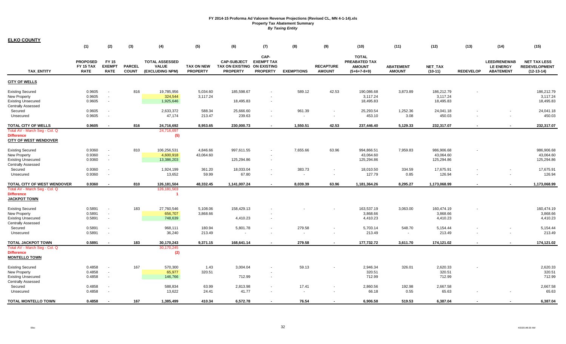**ELKO COUNTY**

|                                                                                                          | (1)                                                | (2)                                                            | (3)                           | (4)                                                      | (5)                                  | (6)                                                                  | (7)                                          | (8)               | (9)                               | (10)                                                            | (11)                              | (12)                                  | (13)             | (14)                                                        | (15)                                                        |
|----------------------------------------------------------------------------------------------------------|----------------------------------------------------|----------------------------------------------------------------|-------------------------------|----------------------------------------------------------|--------------------------------------|----------------------------------------------------------------------|----------------------------------------------|-------------------|-----------------------------------|-----------------------------------------------------------------|-----------------------------------|---------------------------------------|------------------|-------------------------------------------------------------|-------------------------------------------------------------|
| <b>TAX ENTITY</b>                                                                                        | <b>PROPOSED</b><br><b>FY 15 TAX</b><br><b>RATE</b> | FY 15<br><b>EXEMPT</b><br><b>RATE</b>                          | <b>PARCEL</b><br><b>COUNT</b> | <b>TOTAL ASSESSED</b><br><b>VALUE</b><br>(EXCLUDING NPM) | <b>TAX ON NEW</b><br><b>PROPERTY</b> | <b>CAP-SUBJECT</b><br>TAX ON EXISTING ON EXISTING<br><b>PROPERTY</b> | CAP-<br><b>EXEMPT TAX</b><br><b>PROPERTY</b> | <b>EXEMPTIONS</b> | <b>RECAPTURE</b><br><b>AMOUNT</b> | <b>TOTAL</b><br>PREABATED TAX<br><b>AMOUNT</b><br>$(5+6+7-8+9)$ | <b>ABATEMENT</b><br><b>AMOUNT</b> | <b>NET TAX</b><br>$(10-11)$           | <b>REDEVELOP</b> | <b>LEED/RENEWAB</b><br><b>LE ENERGY</b><br><b>ABATEMENT</b> | <b>NET TAX LESS</b><br><b>REDEVELOPMENT</b><br>$(12-13-14)$ |
| <b>CITY OF WELLS</b>                                                                                     |                                                    |                                                                |                               |                                                          |                                      |                                                                      |                                              |                   |                                   |                                                                 |                                   |                                       |                  |                                                             |                                                             |
| <b>Existing Secured</b><br>New Property<br><b>Existing Unsecured</b><br><b>Centrally Assessed</b>        | 0.9605<br>0.9605<br>0.9605                         | $\sim$<br>$\sim$                                               | 816                           | 19,785,956<br>324,544<br>1,925,646                       | 5,034.60<br>3,117.24                 | 185,598.67<br>18,495.83                                              | $\sim$                                       | 589.12            | 42.53                             | 190,086.68<br>3,117.24<br>18,495.83                             | 3,873.89                          | 186,212.79<br>3,117.24<br>18,495.83   |                  |                                                             | 186,212.79<br>3,117.24<br>18,495.83                         |
| Secured<br>Unsecured                                                                                     | 0.9605<br>0.9605                                   |                                                                |                               | 2,633,372<br>47,174                                      | 588.34<br>213.47                     | 25,666.60<br>239.63                                                  |                                              | 961.39            | $\sim$                            | 25,293.54<br>453.10                                             | 1,252.36<br>3.08                  | 24,041.18<br>450.03                   |                  | $\blacksquare$                                              | 24,041.18<br>450.03                                         |
| <b>TOTAL CITY OF WELLS</b>                                                                               | 0.9605                                             | $\blacksquare$                                                 | 816                           | 24,716,692                                               | 8,953.65                             | 230,000.73                                                           | $\blacksquare$                               | 1,550.51          | 42.53                             | 237,446.40                                                      | 5,129.33                          | 232,317.07                            | $\blacksquare$   | $\blacksquare$                                              | 232,317.07                                                  |
| Total AV - March Seg - Col. Q<br><b>Difference</b><br><b>CITY OF WEST WENDOVER</b>                       |                                                    |                                                                |                               | 24,716,697<br>(5)                                        |                                      |                                                                      |                                              |                   |                                   |                                                                 |                                   |                                       |                  |                                                             |                                                             |
| <b>Existing Secured</b><br><b>New Property</b><br><b>Existing Unsecured</b><br><b>Centrally Assessed</b> | 0.9360<br>0.9360<br>0.9360                         | $\overline{\phantom{a}}$<br>$\sim$<br>$\sim$                   | 810                           | 106,256,531<br>4,600,918<br>13,386,203                   | 4,846.66<br>43,064.60                | 997,611.55<br>125,294.86                                             |                                              | 7,655.66          | 63.96                             | 994,866.51<br>43,064.60<br>125,294.86                           | 7,959.83                          | 986,906.68<br>43,064.60<br>125,294.86 |                  |                                                             | 986,906.68<br>43,064.60<br>125,294.86                       |
| Secured<br>Unsecured                                                                                     | 0.9360<br>0.9360                                   | $\sim$                                                         |                               | 1,924,199<br>13,652                                      | 361.20<br>59.99                      | 18,033.04<br>67.80                                                   | $\sim$                                       | 383.73<br>$\sim$  | $\sim$                            | 18,010.50<br>127.79                                             | 334.59<br>0.85                    | 17,675.91<br>126.94                   |                  | $\overline{\phantom{a}}$                                    | 17,675.91<br>126.94                                         |
| TOTAL CITY OF WEST WENDOVER                                                                              | 0.9360                                             |                                                                | 810                           | 126, 181, 504                                            | 48,332.45                            | 1,141,007.24                                                         |                                              | 8,039.39          | 63.96                             | 1,181,364.26                                                    | 8,295.27                          | 1,173,068.99                          |                  | $\blacksquare$                                              | 1,173,068.99                                                |
| Total AV - March Seg - Col. Q<br><b>Difference</b><br><b>JACKPOT TOWN</b>                                |                                                    |                                                                |                               | 126, 181, 503<br>-1                                      |                                      |                                                                      |                                              |                   |                                   |                                                                 |                                   |                                       |                  |                                                             |                                                             |
| <b>Existing Secured</b><br><b>New Property</b><br><b>Existing Unsecured</b><br><b>Centrally Assessed</b> | 0.5891<br>0.5891<br>0.5891                         | $\sim$<br>$\overline{\phantom{a}}$<br>$\sim$                   | 183                           | 27,760,546<br>656,707<br>748,639                         | 5,108.06<br>3,868.66                 | 158,429.13<br>4,410.23                                               |                                              |                   |                                   | 163,537.19<br>3,868.66<br>4,410.23                              | 3,063.00                          | 160,474.19<br>3,868.66<br>4,410.23    |                  |                                                             | 160,474.19<br>3,868.66<br>4,410.23                          |
| Secured<br>Unsecured                                                                                     | 0.5891<br>0.5891                                   | $\sim$<br>$\sim$                                               |                               | 968,111<br>36,240                                        | 180.94<br>213.49                     | 5,801.78                                                             | $\sim$                                       | 279.58            | $\sim$                            | 5,703.14<br>213.49                                              | 548.70<br>$\sim$                  | 5,154.44<br>213.49                    |                  | $\sim$                                                      | 5,154.44<br>213.49                                          |
| <b>TOTAL JACKPOT TOWN</b>                                                                                | 0.5891                                             | $\overline{\phantom{a}}$                                       | 183                           | 30,170,243                                               | 9,371.15                             | 168,641.14                                                           |                                              | 279.58            | $\overline{\phantom{a}}$          | 177,732.72                                                      | 3,611.70                          | 174,121.02                            |                  |                                                             | 174,121.02                                                  |
| Total AV - March Seg - Col. Q<br><b>Difference</b><br><b>MONTELLO TOWN</b>                               |                                                    |                                                                |                               | 30,170,245<br>(2)                                        |                                      |                                                                      |                                              |                   |                                   |                                                                 |                                   |                                       |                  |                                                             |                                                             |
| <b>Existing Secured</b><br>New Property<br><b>Existing Unsecured</b><br><b>Centrally Assessed</b>        | 0.4858<br>0.4858<br>0.4858                         | $\overline{\phantom{a}}$<br>$\sim$<br>$\overline{\phantom{a}}$ | 167                           | 570,300<br>65,977<br>146,766                             | 1.43<br>320.51                       | 3,004.04<br>712.99                                                   |                                              | 59.13             |                                   | 2,946.34<br>320.51<br>712.99                                    | 326.01                            | 2,620.33<br>320.51<br>712.99          |                  |                                                             | 2,620.33<br>320.51<br>712.99                                |
| Secured<br>Unsecured                                                                                     | 0.4858<br>0.4858                                   | $\overline{\phantom{a}}$<br>$\sim$                             |                               | 588,834<br>13,622                                        | 63.99<br>24.41                       | 2,813.98<br>41.77                                                    |                                              | 17.41<br>$\sim$   | $\sim$                            | 2,860.56<br>66.18                                               | 192.98<br>0.55                    | 2,667.58<br>65.63                     |                  |                                                             | 2,667.58<br>65.63                                           |
| <b>TOTAL MONTELLO TOWN</b>                                                                               | 0.4858                                             |                                                                | 167                           | 1.385.499                                                | 410.34                               | 6.572.78                                                             |                                              | 76.54             |                                   | 6.906.58                                                        | 519.53                            | 6.387.04                              |                  |                                                             | 6.387.04                                                    |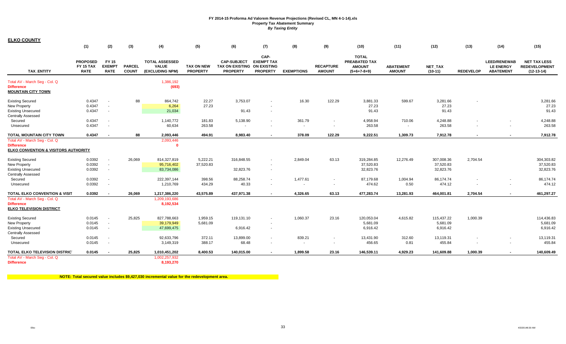| <b>ELKO COUNTY</b> |
|--------------------|
|--------------------|

|                                                                                                          | (1)                                         | (2)                                                  | (3)                           | (4)                                                      | (5)                                  | (6)                                                                  | (7)                                          | (8)                | (9)                               | (10)                                                            | (11)                               | (12)                                 | (13)             | (14)                                                        | (15)                                                        |
|----------------------------------------------------------------------------------------------------------|---------------------------------------------|------------------------------------------------------|-------------------------------|----------------------------------------------------------|--------------------------------------|----------------------------------------------------------------------|----------------------------------------------|--------------------|-----------------------------------|-----------------------------------------------------------------|------------------------------------|--------------------------------------|------------------|-------------------------------------------------------------|-------------------------------------------------------------|
| <b>TAX ENTITY</b>                                                                                        | <b>PROPOSED</b><br>FY 15 TAX<br><b>RATE</b> | FY 15<br><b>EXEMPT</b><br><b>RATE</b>                | <b>PARCEL</b><br><b>COUNT</b> | <b>TOTAL ASSESSED</b><br><b>VALUE</b><br>(EXCLUDING NPM) | <b>TAX ON NEW</b><br><b>PROPERTY</b> | <b>CAP-SUBJECT</b><br>TAX ON EXISTING ON EXISTING<br><b>PROPERTY</b> | CAP-<br><b>EXEMPT TAX</b><br><b>PROPERTY</b> | <b>EXEMPTIONS</b>  | <b>RECAPTURE</b><br><b>AMOUNT</b> | <b>TOTAL</b><br>PREABATED TAX<br><b>AMOUNT</b><br>$(5+6+7-8+9)$ | <b>ABATEMENT</b><br><b>AMOUNT</b>  | <b>NET TAX</b><br>$(10-11)$          | <b>REDEVELOP</b> | <b>LEED/RENEWAB</b><br><b>LE ENERGY</b><br><b>ABATEMENT</b> | <b>NET TAX LESS</b><br><b>REDEVELOPMENT</b><br>$(12-13-14)$ |
| Total AV - March Seg - Col. Q<br><b>Difference</b><br><b>MOUNTAIN CITY TOWN</b>                          |                                             |                                                      |                               | 1,386,192<br>(693)                                       |                                      |                                                                      |                                              |                    |                                   |                                                                 |                                    |                                      |                  |                                                             |                                                             |
| <b>Existing Secured</b><br>New Property<br><b>Existing Unsecured</b>                                     | 0.4347<br>0.4347<br>0.4347                  | $\overline{\phantom{a}}$<br>$\overline{\phantom{a}}$ | 88                            | 864,742<br>6,264<br>21,034                               | 22.27<br>27.23                       | 3,753.07<br>91.43                                                    |                                              | 16.30              | 122.29                            | 3,881.33<br>27.23<br>91.43                                      | 599.67                             | 3,281.66<br>27.23<br>91.43           |                  |                                                             | 3,281.66<br>27.23<br>91.43                                  |
| <b>Centrally Assessed</b><br>Secured<br>Unsecured                                                        | 0.4347<br>0.4347                            |                                                      |                               | 1,140,772<br>60,634                                      | 181.83<br>263.58                     | 5,138.90                                                             | $\overline{\phantom{a}}$                     | 361.79             | ٠                                 | 4,958.94<br>263.58                                              | 710.06<br>$\overline{\phantom{a}}$ | 4,248.88<br>263.58                   |                  |                                                             | 4,248.88<br>263.58                                          |
| TOTAL MOUNTAIN CITY TOWN                                                                                 | 0.4347                                      | $\overline{\phantom{a}}$                             | 88                            | 2,093,446                                                | 494.91                               | 8,983.40                                                             |                                              | 378.09             | 122.29                            | 9,222.51                                                        | 1,309.73                           | 7,912.78                             |                  |                                                             | 7,912.78                                                    |
| Total AV - March Seq - Col. Q<br><b>Difference</b><br>ELKO CONVENTION & VISITORS AUTHORITY               |                                             |                                                      |                               | 2,093,446<br>$\Omega$                                    |                                      |                                                                      |                                              |                    |                                   |                                                                 |                                    |                                      |                  |                                                             |                                                             |
| <b>Existing Secured</b><br><b>New Property</b><br><b>Existing Unsecured</b><br><b>Centrally Assessed</b> | 0.0392<br>0.0392<br>0.0392                  | $\sim$<br>$\sim$                                     | 26,069                        | 814,327,819<br>95,716,402<br>83,734,086                  | 5,222.21<br>37,520.83                | 316,848.55<br>32,823.76                                              | $\overline{\phantom{a}}$                     | 2,849.04           | 63.13                             | 319,284.85<br>37,520.83<br>32,823.76                            | 12,276.49                          | 307,008.36<br>37,520.83<br>32,823.76 | 2,704.54         |                                                             | 304,303.82<br>37,520.83<br>32,823.76                        |
| Secured<br>Unsecured                                                                                     | 0.0392<br>0.0392                            | $\sim$                                               |                               | 222,397,144<br>1,210,769                                 | 398.56<br>434.29                     | 88,258.74<br>40.33                                                   | $\overline{\phantom{a}}$                     | 1,477.61<br>$\sim$ | $\blacksquare$<br>$\sim$          | 87,179.68<br>474.62                                             | 1,004.94<br>0.50                   | 86,174.74<br>474.12                  |                  | $\sim$                                                      | 86,174.74<br>474.12                                         |
| <b>TOTAL ELKO CONVENTION &amp; VISIT</b>                                                                 | 0.0392                                      | $\overline{\phantom{a}}$                             | 26.069                        | 1,217,386,220                                            | 43,575.89                            | 437.971.38                                                           |                                              | 4.326.65           | 63.13                             | 477.283.74                                                      | 13.281.93                          | 464.001.81                           | 2.704.54         | $\blacksquare$                                              | 461,297.27                                                  |
| Total AV - March Seq - Col. Q<br><b>Difference</b><br><b>ELKO TELEVISION DISTRICT</b>                    |                                             |                                                      |                               | 1,209,193,686<br>8,192,534                               |                                      |                                                                      |                                              |                    |                                   |                                                                 |                                    |                                      |                  |                                                             |                                                             |
| <b>Existing Secured</b><br><b>New Property</b><br><b>Existing Unsecured</b>                              | 0.0145<br>0.0145<br>0.0145                  | $\sim$<br>$\sim$<br>$\sim$                           | 25,825                        | 827,788,663<br>39,179,949<br>47,699,475                  | 1,959.15<br>5,681.09                 | 119,131.10<br>6,916.42                                               |                                              | 1,060.37           | 23.16                             | 120,053.04<br>5,681.09<br>6,916.42                              | 4,615.82                           | 115,437.22<br>5,681.09<br>6,916.42   | 1,000.39         |                                                             | 114,436.83<br>5,681.09<br>6,916.42                          |
| <b>Centrally Assessed</b><br>Secured<br>Unsecured                                                        | 0.0145<br>0.0145                            | $\sim$                                               |                               | 92,633,796<br>3,149,319                                  | 372.11<br>388.17                     | 13,899.00<br>68.48                                                   | $\overline{\phantom{a}}$                     | 839.21<br>$\sim$   | ٠<br>$\sim$                       | 13,431.90<br>456.65                                             | 312.60<br>0.81                     | 13,119.31<br>455.84                  |                  |                                                             | 13,119.31<br>455.84                                         |
| TOTAL ELKO TELEVISION DISTRICT                                                                           | 0.0145                                      | $\blacksquare$                                       | 25.825                        | 1,010,451,202                                            | 8.400.53                             | 140.015.00                                                           | $\sim$                                       | 1.899.58           | 23.16                             | 146.539.11                                                      | 4.929.23                           | 141.609.88                           | 1.000.39         | $\blacksquare$                                              | 140,609.49                                                  |
| Total AV - March Seg - Col. Q<br><b>Difference</b>                                                       |                                             |                                                      |                               | 1,002,257,932<br>8,193,270                               |                                      |                                                                      |                                              |                    |                                   |                                                                 |                                    |                                      |                  |                                                             |                                                             |

**NOTE: Total secured value includes \$9,427,030 incremental value for the redevelopment area.**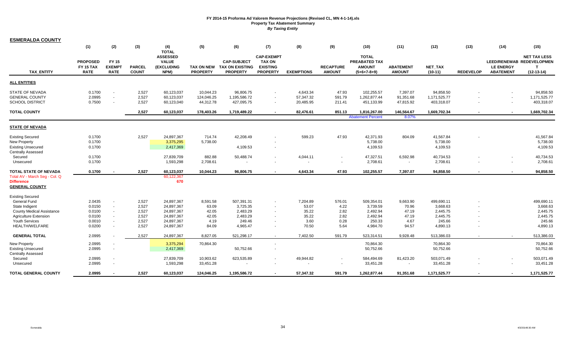| ESMERALDA COUNTY                                                            |                                             |                                       |                               |                                                       |                               |                                                                 |                                                                          |                   |                                   |                                                                 |                                   |                             |                  |                                      |                                                                       |
|-----------------------------------------------------------------------------|---------------------------------------------|---------------------------------------|-------------------------------|-------------------------------------------------------|-------------------------------|-----------------------------------------------------------------|--------------------------------------------------------------------------|-------------------|-----------------------------------|-----------------------------------------------------------------|-----------------------------------|-----------------------------|------------------|--------------------------------------|-----------------------------------------------------------------------|
|                                                                             | (1)                                         | (2)                                   | (3)                           | (4)<br><b>TOTAL</b>                                   | (5)                           | (6)                                                             | (7)                                                                      | (8)               | (9)                               | (10)                                                            | (11)                              | (12)                        | (13)             | (14)                                 | (15)                                                                  |
| <b>TAX ENTITY</b>                                                           | <b>PROPOSED</b><br>FY 15 TAX<br><b>RATE</b> | FY 15<br><b>EXEMPT</b><br><b>RATE</b> | <b>PARCEL</b><br><b>COUNT</b> | <b>ASSESSED</b><br><b>VALUE</b><br>(EXCLUDING<br>NPM) | TAX ON NEW<br><b>PROPERTY</b> | <b>CAP-SUBJECT</b><br><b>TAX ON EXISTING</b><br><b>PROPERTY</b> | <b>CAP-EXEMPT</b><br><b>TAX ON</b><br><b>EXISTING</b><br><b>PROPERTY</b> | <b>EXEMPTIONS</b> | <b>RECAPTURE</b><br><b>AMOUNT</b> | <b>TOTAL</b><br>PREABATED TAX<br><b>AMOUNT</b><br>$(5+6+7-8+9)$ | <b>ABATEMENT</b><br><b>AMOUNT</b> | <b>NET TAX</b><br>$(10-11)$ | <b>REDEVELOP</b> | <b>LE ENERGY</b><br><b>ABATEMENT</b> | <b>NET TAX LESS</b><br>LEED/RENEWAB REDEVELOPMEN<br>т<br>$(12-13-14)$ |
| <b>ALL ENTITIES</b>                                                         |                                             |                                       |                               |                                                       |                               |                                                                 |                                                                          |                   |                                   |                                                                 |                                   |                             |                  |                                      |                                                                       |
| STATE OF NEVADA                                                             | 0.1700                                      | $\sim$                                | 2,527                         | 60,123,037                                            | 10,044.23                     | 96,806.75                                                       | $\sim$                                                                   | 4,643.34          | 47.93                             | 102,255.57                                                      | 7,397.07                          | 94,858.50                   |                  |                                      | 94,858.50                                                             |
| GENERAL COUNTY                                                              | 2.0995                                      | $\sim$                                | 2,527                         | 60,123,037                                            | 124,046.25                    | 1,195,586.72                                                    |                                                                          | 57,347.32         | 591.79                            | 1,262,877.44                                                    | 91,351.68                         | 1,171,525.77                |                  |                                      | 1,171,525.77                                                          |
| SCHOOL DISTRICT                                                             | 0.7500                                      | $\sim$                                | 2,527                         | 60,123,040                                            | 44,312.78                     | 427,095.75                                                      | $\sim$                                                                   | 20,485.95         | 211.41                            | 451,133.99                                                      | 47,815.92                         | 403,318.07                  |                  |                                      | 403,318.07                                                            |
| <b>TOTAL COUNTY</b>                                                         |                                             |                                       | 2,527                         | 60,123,037                                            | 178,403.26                    | 1,719,489.22                                                    | $\sim$                                                                   | 82,476.61         | 851.13                            | 1,816,267.00                                                    | 146,564.67                        | 1,669,702.34                | $\sim$           | $\sim$                               | 1,669,702.34                                                          |
|                                                                             |                                             |                                       |                               |                                                       |                               |                                                                 |                                                                          |                   |                                   | <b>Abatement Percent</b>                                        | 8.07%                             |                             |                  |                                      |                                                                       |
| <b>STATE OF NEVADA</b>                                                      |                                             |                                       |                               |                                                       |                               |                                                                 |                                                                          |                   |                                   |                                                                 |                                   |                             |                  |                                      |                                                                       |
| <b>Existing Secured</b>                                                     | 0.1700                                      |                                       | 2,527                         | 24,897,367                                            | 714.74                        | 42,208.49                                                       |                                                                          | 599.23            | 47.93                             | 42,371.93                                                       | 804.09                            | 41,567.84                   |                  |                                      | 41,567.84                                                             |
| <b>New Property</b>                                                         | 0.1700                                      |                                       |                               | 3,375,295                                             | 5,738.00                      |                                                                 |                                                                          |                   |                                   | 5,738.00                                                        |                                   | 5,738.00                    |                  |                                      | 5,738.00                                                              |
| <b>Existing Unsecured</b>                                                   | 0.1700                                      |                                       |                               | 2,417,369                                             |                               | 4,109.53                                                        | $\sim$                                                                   |                   |                                   | 4,109.53                                                        |                                   | 4,109.53                    |                  |                                      | 4,109.53                                                              |
| <b>Centrally Assessed</b>                                                   |                                             |                                       |                               |                                                       |                               |                                                                 |                                                                          |                   |                                   |                                                                 |                                   |                             |                  |                                      |                                                                       |
| Secured                                                                     | 0.1700                                      |                                       |                               | 27,839,709                                            | 882.88                        | 50,488.74                                                       | $\sim$                                                                   | 4,044.11          | $\sim$                            | 47,327.51                                                       | 6,592.98                          | 40,734.53                   |                  |                                      | 40,734.53                                                             |
| Unsecured                                                                   | 0.1700                                      |                                       |                               | 1,593,298                                             | 2,708.61                      |                                                                 |                                                                          |                   |                                   | 2,708.61                                                        | $\overline{\phantom{a}}$          | 2,708.61                    |                  |                                      | 2,708.61                                                              |
| TOTAL STATE OF NEVADA                                                       | 0.1700                                      |                                       | 2,527                         | 60,123,037                                            | 10.044.23                     | 96,806.75                                                       | $\overline{\phantom{a}}$                                                 | 4.643.34          | 47.93                             | 102,255.57                                                      | 7,397.07                          | 94,858.50                   |                  |                                      | 94,858.50                                                             |
| Total AV - March Seg - Col. Q<br><b>Difference</b><br><b>GENERAL COUNTY</b> |                                             |                                       |                               | 60,122,367<br>670                                     |                               |                                                                 |                                                                          |                   |                                   |                                                                 |                                   |                             |                  |                                      |                                                                       |
| <b>Existing Secured</b>                                                     |                                             |                                       |                               |                                                       |                               |                                                                 |                                                                          |                   |                                   |                                                                 |                                   |                             |                  |                                      |                                                                       |
| General Fund                                                                | 2.0435                                      |                                       | 2,527                         | 24,897,367                                            | 8,591.58                      | 507,391.31                                                      | $\sim$                                                                   | 7,204.89          | 576.01                            | 509,354.01                                                      | 9,663.90                          | 499,690.11                  |                  |                                      | 499,690.11                                                            |
| State Indigent                                                              | 0.0150                                      | $\blacksquare$                        | 2,527                         | 24,897,367                                            | 63.09                         | 3,725.35                                                        |                                                                          | 53.07             | 4.22                              | 3,739.59                                                        | 70.96                             | 3,668.63                    |                  |                                      | 3,668.63                                                              |
| <b>County Medical Assistance</b>                                            | 0.0100                                      | $\sim$                                | 2,527                         | 24,897,367                                            | 42.05                         | 2,483.29                                                        |                                                                          | 35.22             | 2.82                              | 2,492.94                                                        | 47.19                             | 2,445.75                    |                  |                                      | 2,445.75                                                              |
| <b>Agriculture Extension</b>                                                | 0.0100                                      | ÷.                                    | 2,527                         | 24,897,367                                            | 42.05                         | 2,483.29                                                        |                                                                          | 35.22             | 2.82                              | 2,492.94                                                        | 47.19                             | 2,445.75                    |                  |                                      | 2,445.75                                                              |
| <b>Youth Services</b>                                                       | 0.0010                                      | $\sim$                                | 2,527                         | 24,897,367                                            | 4.19                          | 249.46                                                          |                                                                          | 3.60              | 0.28                              | 250.33                                                          | 4.67                              | 245.66                      |                  |                                      | 245.66                                                                |
| <b>HEALTH/WELFARE</b>                                                       | 0.0200                                      | $\sim$                                | 2,527                         | 24,897,367                                            | 84.09                         | 4,965.47                                                        | $\overline{\phantom{a}}$                                                 | 70.50             | 5.64                              | 4,984.70                                                        | 94.57                             | 4,890.13                    |                  |                                      | 4,890.13                                                              |
| <b>GENERAL TOTAL</b>                                                        | 2.0995                                      |                                       | 2,527                         | 24,897,367                                            | 8,827.05                      | 521,298.17                                                      | $\sim$                                                                   | 7.402.50          | 591.79                            | 523,314.51                                                      | 9,928.48                          | 513,386.03                  | $\sim$           | $\sim$                               | 513,386.03                                                            |
| New Property                                                                | 2.0995                                      |                                       |                               | 3,375,294                                             | 70,864.30                     |                                                                 | $\sim$                                                                   |                   |                                   | 70,864.30                                                       |                                   | 70,864.30                   |                  |                                      | 70,864.30                                                             |
| <b>Existing Unsecured</b><br><b>Centrally Assessed</b>                      | 2.0995                                      | $\sim$                                |                               | 2,417,369                                             |                               | 50,752.66                                                       |                                                                          |                   |                                   | 50,752.66                                                       |                                   | 50,752.66                   |                  |                                      | 50,752.66                                                             |
| Secured                                                                     | 2.0995                                      |                                       |                               | 27,839,709                                            | 10,903.62                     | 623,535.89                                                      | $\sim$                                                                   | 49,944.82         |                                   | 584,494.69                                                      | 81,423.20                         | 503,071.49                  |                  |                                      | 503,071.49                                                            |
| Unsecured                                                                   | 2.0995                                      |                                       |                               | 1,593,298                                             | 33,451.28                     |                                                                 |                                                                          |                   |                                   | 33,451.28                                                       |                                   | 33,451.28                   |                  |                                      | 33,451.28                                                             |
| TOTAL GENERAL COUNTY                                                        | 2.0995                                      |                                       | 2.527                         | 60,123,037                                            | 124,046.25                    | 1,195,586.72                                                    |                                                                          | 57,347.32         | 591.79                            | 1,262,877.44                                                    | 91,351.68                         | 1,171,525.77                |                  |                                      | 1,171,525.77                                                          |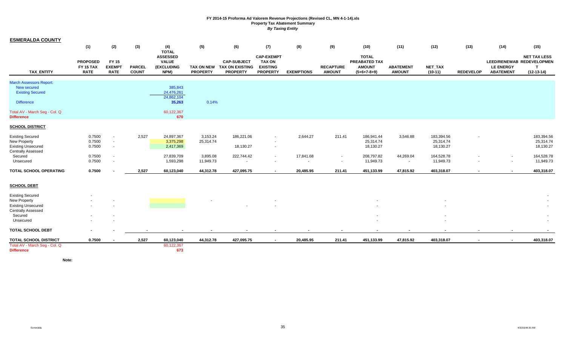| <u>ESMERALDA COUNTY</u>                                                                           |                                             |                                       |                               |                                                                       |                                      |                                                                 |                                                                          |                   |                                   |                                                                 |                                   |                                      |                  |                                      |                                                                       |
|---------------------------------------------------------------------------------------------------|---------------------------------------------|---------------------------------------|-------------------------------|-----------------------------------------------------------------------|--------------------------------------|-----------------------------------------------------------------|--------------------------------------------------------------------------|-------------------|-----------------------------------|-----------------------------------------------------------------|-----------------------------------|--------------------------------------|------------------|--------------------------------------|-----------------------------------------------------------------------|
|                                                                                                   | (1)                                         | (2)                                   | (3)                           | (4)                                                                   | (5)                                  | (6)                                                             | (7)                                                                      | (8)               | (9)                               | (10)                                                            | (11)                              | (12)                                 | (13)             | (14)                                 | (15)                                                                  |
| <b>TAX ENTITY</b>                                                                                 | <b>PROPOSED</b><br>FY 15 TAX<br><b>RATE</b> | FY 15<br><b>EXEMPT</b><br><b>RATE</b> | <b>PARCEL</b><br><b>COUNT</b> | <b>TOTAL</b><br><b>ASSESSED</b><br><b>VALUE</b><br>(EXCLUDING<br>NPM) | <b>TAX ON NEW</b><br><b>PROPERTY</b> | <b>CAP-SUBJECT</b><br><b>TAX ON EXISTING</b><br><b>PROPERTY</b> | <b>CAP-EXEMPT</b><br><b>TAX ON</b><br><b>EXISTING</b><br><b>PROPERTY</b> | <b>EXEMPTIONS</b> | <b>RECAPTURE</b><br><b>AMOUNT</b> | <b>TOTAL</b><br>PREABATED TAX<br><b>AMOUNT</b><br>$(5+6+7-8+9)$ | <b>ABATEMENT</b><br><b>AMOUNT</b> | NET_TAX<br>$(10-11)$                 | <b>REDEVELOP</b> | <b>LE ENERGY</b><br><b>ABATEMENT</b> | <b>NET TAX LESS</b><br>LEED/RENEWAB REDEVELOPMEN<br>т<br>$(12-13-14)$ |
| <b>March Assessors Report:</b><br>New secured<br><b>Existing Secured</b><br><b>Difference</b>     |                                             |                                       |                               | 385,843<br>24,476,261<br>24,862,104<br>35,263                         | 0.14%                                |                                                                 |                                                                          |                   |                                   |                                                                 |                                   |                                      |                  |                                      |                                                                       |
| Total AV - March Seg - Col. Q<br><b>Difference</b>                                                |                                             |                                       |                               | 60,122,367<br>670                                                     |                                      |                                                                 |                                                                          |                   |                                   |                                                                 |                                   |                                      |                  |                                      |                                                                       |
| <b>SCHOOL DISTRICT</b>                                                                            |                                             |                                       |                               |                                                                       |                                      |                                                                 |                                                                          |                   |                                   |                                                                 |                                   |                                      |                  |                                      |                                                                       |
| <b>Existing Secured</b><br><b>New Property</b><br><b>Existing Unsecured</b>                       | 0.7500<br>0.7500<br>0.7500                  | $\sim$<br>$\sim$                      | 2,527                         | 24,897,367<br>3,375,298<br>2,417,369                                  | 3,153.24<br>25,314.74                | 186,221.06<br>18,130.27                                         | $\sim$<br>$\sim$                                                         | 2,644.27          | 211.41                            | 186,941.44<br>25,314.74<br>18,130.27                            | 3,546.88                          | 183,394.56<br>25,314.74<br>18,130.27 |                  |                                      | 183,394.56<br>25,314.74<br>18,130.27                                  |
| Centrally Assessed<br>Secured<br>Unsecured                                                        | 0.7500<br>0.7500                            |                                       |                               | 27,839,709<br>1,593,298                                               | 3,895.08<br>11,949.73                | 222,744.42                                                      | $\sim$<br>$\overline{\phantom{a}}$                                       | 17,841.68         | $\sim$                            | 208,797.82<br>11,949.73                                         | 44,269.04<br>$\sim$               | 164,528.78<br>11,949.73              |                  | $\sim$<br>$\sim$                     | 164,528.78<br>11,949.73                                               |
| <b>TOTAL SCHOOL OPERATING</b>                                                                     | 0.7500                                      |                                       | 2,527                         | 60,123,040                                                            | 44,312.78                            | 427,095.75                                                      | $\sim$                                                                   | 20,485.95         | 211.41                            | 451,133.99                                                      | 47,815.92                         | 403,318.07                           | $\sim$           | $\sim$                               | 403,318.07                                                            |
| <b>SCHOOL DEBT</b>                                                                                |                                             |                                       |                               |                                                                       |                                      |                                                                 |                                                                          |                   |                                   |                                                                 |                                   |                                      |                  |                                      |                                                                       |
| <b>Existing Secured</b><br><b>New Property</b><br><b>Existing Unsecured</b><br>Centrally Assessed |                                             |                                       |                               |                                                                       |                                      |                                                                 |                                                                          |                   |                                   |                                                                 |                                   |                                      |                  |                                      |                                                                       |
| Secured<br>Unsecured                                                                              |                                             |                                       |                               |                                                                       |                                      |                                                                 |                                                                          |                   |                                   |                                                                 |                                   | $\sim$                               |                  |                                      | $\sim$                                                                |
| <b>TOTAL SCHOOL DEBT</b>                                                                          |                                             |                                       |                               |                                                                       |                                      |                                                                 |                                                                          |                   |                                   |                                                                 |                                   |                                      |                  |                                      |                                                                       |
| <b>TOTAL SCHOOL DISTRICT</b><br>Total AV - March Seg - Col. Q<br><b>Difference</b>                | 0.7500                                      |                                       | 2,527                         | 60,123,040<br>60,122,367<br>673                                       | 44,312.78                            | 427,095.75                                                      | $\sim$                                                                   | 20,485.95         | 211.41                            | 451,133.99                                                      | 47,815.92                         | 403,318.07                           | $\sim$           | $\sim$                               | 403,318.07                                                            |

**Note:**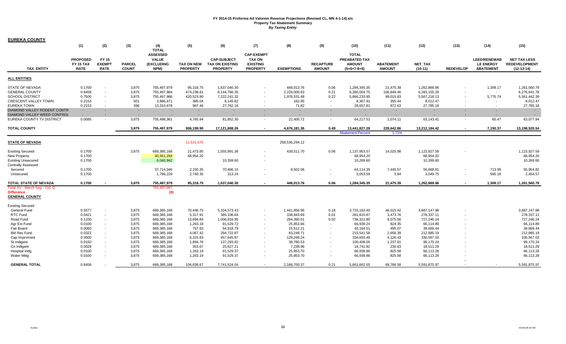| <b>EUREKA COUNTY</b>                                     |                                             |                                       |                                   |                                                       |                               |                                                                 |                                                                          |                     |                                   |                                                                 |                                   |                      |                                    |                                                             |                                                             |
|----------------------------------------------------------|---------------------------------------------|---------------------------------------|-----------------------------------|-------------------------------------------------------|-------------------------------|-----------------------------------------------------------------|--------------------------------------------------------------------------|---------------------|-----------------------------------|-----------------------------------------------------------------|-----------------------------------|----------------------|------------------------------------|-------------------------------------------------------------|-------------------------------------------------------------|
|                                                          | (1)                                         | (2)                                   | (3)                               | (4)<br><b>TOTAL</b>                                   | (5)                           | (6)                                                             | (7)                                                                      | (8)                 | (9)                               | (10)                                                            | (11)                              | (12)                 | (13)                               | (14)                                                        | (15)                                                        |
| <b>TAX ENTITY</b>                                        | <b>PROPOSED</b><br>FY 15 TAX<br><b>RATE</b> | FY 15<br><b>EXEMPT</b><br><b>RATE</b> | <b>PARCEL</b><br><b>COUNT</b>     | <b>ASSESSED</b><br><b>VALUE</b><br>(EXCLUDING<br>NPM) | TAX ON NEW<br><b>PROPERTY</b> | <b>CAP-SUBJECT</b><br><b>TAX ON EXISTING</b><br><b>PROPERTY</b> | <b>CAP-EXEMPT</b><br><b>TAX ON</b><br><b>EXISTING</b><br><b>PROPERTY</b> | <b>EXEMPTIONS</b>   | <b>RECAPTURE</b><br><b>AMOUNT</b> | <b>TOTAL</b><br>PREABATED TAX<br><b>AMOUNT</b><br>$(5+6+7-8+9)$ | <b>ABATEMENT</b><br><b>AMOUNT</b> | NET_TAX<br>$(10-11)$ | <b>REDEVELOP</b>                   | <b>LEED/RENEWAB</b><br><b>LE ENERGY</b><br><b>ABATEMENT</b> | <b>NET TAX LESS</b><br><b>REDEVELOPMENT</b><br>$(12-13-14)$ |
| <b>ALL ENTITIES</b>                                      |                                             |                                       |                                   |                                                       |                               |                                                                 |                                                                          |                     |                                   |                                                                 |                                   |                      |                                    |                                                             |                                                             |
| <b>STATE OF NEVADA</b>                                   | 0.1700                                      |                                       | 3,875                             | 755,497,979                                           | 95,318.75                     | 1,637,040.30                                                    |                                                                          | 448,013.76          | 0.06                              | 1,284,345.35                                                    | 21,475.39                         | 1,262,869.96         |                                    | 1,309.17                                                    | 1,261,560.79                                                |
| <b>GENERAL COUNTY</b>                                    | 0.8458                                      |                                       | 3,875                             | 755,497,984                                           | 474,238.81                    | 8,144,766.35                                                    |                                                                          | 2,229,000.63        | 0.21                              | 6,390,004.75                                                    | 106,849.46                        | 6,283,155.29         |                                    | $\sim$                                                      | 6,276,641.78                                                |
| <b>SCHOOL DISTRICT</b>                                   | 0.7500                                      | $\overline{\phantom{a}}$              | 3,875                             | 755,497,986                                           | 420,523.90                    | 7,222,241.32                                                    |                                                                          | 1,976,531.48        | 0.22                              | 5,666,233.95                                                    | 99,015.83                         | 5,567,218.13         |                                    | 5,775.74                                                    | 5,561,442.39                                                |
| CRESCENT VALLEY TOWN                                     | 0.2153                                      |                                       | 501                               | 3,886,671                                             | 385.04                        | 8,145.82                                                        |                                                                          | 162.95              | $\sim$                            | 8,367.91                                                        | 355.44                            | 8,012.47             |                                    | $\sim$                                                      | 8,012.47                                                    |
| <b>EUREKA TOWN</b>                                       | 0.2153                                      | $\sim$                                | 396                               | 13,310,678                                            | 967.46                        | 27,762.16                                                       | $\sim$                                                                   | 71.82               | $\sim$                            | 28,657.81                                                       | 872.63                            | 27,785.18            | $\overline{\phantom{a}}$           | $\sim$                                                      | 27,785.18                                                   |
| DIAMOND VALLEY RODENT CONTR                              | $\sim$                                      | $\blacksquare$                        | $\sim$                            |                                                       |                               |                                                                 | $\sim$                                                                   | $\sim$              |                                   | $\overline{\phantom{a}}$                                        | $\sim$                            |                      | $\sim$                             | $\sim$                                                      | $\sim$                                                      |
| DIAMOND VALLEY WEED CONTROL<br>EUREKA COUNTY TV DISTRICT | $\sim$<br>0.0085                            | $\sim$<br>$\overline{\phantom{a}}$    | $\overline{\phantom{a}}$<br>3,875 | $\sim$<br>755,498,361                                 | $\sim$<br>4,765.94            | $\overline{\phantom{a}}$<br>81,852.30                           | $\sim$                                                                   | $\sim$<br>22,400.72 | $\sim$                            | $\sim$<br>64,217.51                                             | $\sim$<br>1,074.11                | 63,143.41            | $\sim$<br>$\overline{\phantom{a}}$ | $\sim$<br>65.47                                             | $\sim$<br>63,077.94                                         |
| <b>TOTAL COUNTY</b>                                      |                                             |                                       | 3.875                             | 755,497,979                                           | 996,199.90                    | 17,121,808.26                                                   |                                                                          | 4,676,181.36        | 0.49                              | 13,441,827.28                                                   | 229,642.86                        | 13,212,184.42        | $\sim$                             | 7,150.37                                                    | 13,198,520.54                                               |
|                                                          |                                             |                                       |                                   |                                                       |                               |                                                                 |                                                                          |                     |                                   | <b>Abatement Percent</b>                                        | 1.71%                             |                      |                                    |                                                             |                                                             |
| <b>STATE OF NEVADA</b>                                   |                                             |                                       |                                   |                                                       | 12,631,676                    |                                                                 |                                                                          | 258,536,294.12      |                                   |                                                                 |                                   |                      |                                    |                                                             |                                                             |
| <b>Existing Secured</b>                                  | 0.1700                                      |                                       | 3,875                             | 669,385,168                                           | 21,473.85                     | 1,555,991.36                                                    |                                                                          | 439,511.70          | 0.06                              | 1,137,953.57                                                    | 14,025.98                         | 1,123,927.59         |                                    |                                                             | 1,123,927.59                                                |
| <b>New Property</b>                                      | 0.1700                                      |                                       |                                   | 40,561,294                                            | 68,954.20                     |                                                                 |                                                                          |                     |                                   | 68,954.20                                                       |                                   | 68,954.20            |                                    |                                                             | 68,954.20                                                   |
| <b>Existing Unsecured</b>                                | 0.1700                                      |                                       |                                   | 6,040,942                                             |                               | 10,269.60                                                       |                                                                          |                     |                                   | 10,269.60                                                       |                                   | 10,269.60            |                                    |                                                             | 10,269.60                                                   |
| <b>Centrally Assessed</b>                                |                                             |                                       |                                   |                                                       |                               |                                                                 |                                                                          |                     |                                   |                                                                 |                                   |                      |                                    |                                                             |                                                             |
| Secured                                                  | 0.1700                                      |                                       |                                   | 37,714,346                                            | 2,150.35                      | 70,466.10                                                       |                                                                          | 8,502.06            |                                   | 64,114.39                                                       | 7,445.57                          | 56,668.81            |                                    | 713.99                                                      | 55,954.82                                                   |
| Unsecured                                                | 0.1700                                      |                                       |                                   | 1,796,229                                             | 2,740.35                      | 313.24                                                          |                                                                          | $\sim$              |                                   | 3,053.59                                                        | 3.84                              | 3,049.75             | $\overline{\phantom{a}}$           | 595.18                                                      | 2,454.57                                                    |
| TOTAL STATE OF NEVADA                                    | 0.1700                                      |                                       | 3,875                             | 755,497,979                                           | 95,318.75                     | 1,637,040.30                                                    |                                                                          | 448,013.76          | 0.06                              | 1,284,345.35                                                    | 21,475.39                         | 1,262,869.96         | $\sim$                             | 1,309.17                                                    | 1,261,560.79                                                |
| Total AV - March Seg - Col. Q                            |                                             |                                       |                                   | 755,497,987                                           |                               |                                                                 |                                                                          |                     |                                   |                                                                 |                                   |                      |                                    |                                                             |                                                             |
| <b>Difference</b><br><b>GENERAL COUNTY</b>               |                                             |                                       |                                   | (8)                                                   |                               |                                                                 |                                                                          |                     |                                   |                                                                 |                                   |                      |                                    |                                                             |                                                             |
| <b>Existing Secured</b>                                  |                                             |                                       |                                   |                                                       |                               |                                                                 |                                                                          |                     |                                   |                                                                 |                                   |                      |                                    |                                                             |                                                             |
| General Fund                                             | 0.5577                                      | $\overline{\phantom{a}}$              | 3,875                             | 669,385,168                                           | 70,446.75                     | 5,104,573.43                                                    |                                                                          | 1,441,856.96        | 0.18                              | 3,733,163.40                                                    | 46,015.42                         | 3,687,147.98         |                                    |                                                             | 3,687,147.98                                                |
| RTC Fund                                                 | 0.0421                                      |                                       | 3,875                             | 669,385,168                                           | 5,317.91                      | 385,336.64                                                      |                                                                          | 108,843.69          | 0.01                              | 281,810.87                                                      | 3,473.76                          | 278,337.11           |                                    |                                                             | 278,337.11                                                  |
| Road Fund                                                | 0.1100                                      | $\overline{\phantom{a}}$              | 3,875                             | 669,385,168                                           | 13,894.84                     | 1,006,816.95                                                    |                                                                          | 284,390.01          | 0.02                              | 736,321.80                                                      | 9,075.56                          | 727,246.24           |                                    |                                                             | 727,246.24                                                  |
| Agr Ext Fund                                             | 0.0100                                      | $\blacksquare$                        | 3,875                             | 669,385,168                                           | 1,263.18                      | 91,529.72                                                       |                                                                          | 25,853.66           | $\sim$                            | 66,939.24                                                       | 824.35                            | 66,114.89            |                                    |                                                             | 66,114.89                                                   |
| Fair Board                                               | 0.0060                                      | $\overline{\phantom{a}}$              | 3,875                             | 669.385.168                                           | 757.93                        | 54,918.79                                                       |                                                                          | 15.512.21           | $\overline{\phantom{a}}$          | 40.164.51                                                       | 495.07                            | 39,669.44            |                                    |                                                             | 39,669.44                                                   |
| <b>Bld Res Fund</b>                                      | 0.0322                                      | $\blacksquare$                        | 3,875                             | 669,385,168                                           | 4,067.42                      | 294,722.87                                                      |                                                                          | 83,248.71           |                                   | 215,541.58                                                      | 2,656.39                          | 212,885.19           |                                    |                                                             | 212,885.19                                                  |
| Cap Imprvment                                            | 0.0500                                      | $\overline{\phantom{a}}$              | 3,875                             | 669,385,168                                           | 6,315.83                      | 457,645.87                                                      |                                                                          | 129,268.24          |                                   | 334,693.46                                                      | 4,126.43                          | 330,567.03           |                                    |                                                             | 330,567.03                                                  |
| St Indigent                                              | 0.0150                                      | $\blacksquare$                        | 3,875                             | 669,385,168                                           | 1,894.76                      | 137,293.82                                                      |                                                                          | 38,780.53           |                                   | 100,408.05                                                      | 1,237.81                          | 99,170.24            |                                    |                                                             | 99,170.24                                                   |
| Co Indigent                                              | 0.0028                                      | $\overline{\phantom{a}}$              | 3,875                             | 669,385,168                                           | 353.67                        | 25,627.21                                                       |                                                                          | 7,238.96            |                                   | 18,741.92                                                       | 230.63                            | 18,511.29            |                                    |                                                             | 18,511.29                                                   |
| Hospital Indg                                            | 0.0100                                      | $\overline{\phantom{a}}$              | 3,875                             | 669,385,168                                           | 1,263.19                      | 91,529.37                                                       |                                                                          | 25,853.70           | $\sim$                            | 66,938.86                                                       | 825.58                            | 66,113.28            |                                    |                                                             | 66,113.28                                                   |
| <b>Water Mitig</b>                                       | 0.0100                                      |                                       | 3,875                             | 669,385,168                                           | 1,263.19                      | 91,529.37                                                       |                                                                          | 25,853.70           |                                   | 66,938.86                                                       | 825.58                            | 66,113.28            |                                    |                                                             | 66,113.28                                                   |
| <b>GENERAL TOTAL</b>                                     | 0.8458                                      |                                       | 3.875                             | 669,385,168                                           | 106,838.67                    | 7,741,524.04                                                    |                                                                          | 2,186,700.37        | 0.21                              | 5,661,662.55                                                    | 69,786.58                         | 5,591,875.97         |                                    |                                                             | 5,591,875.97                                                |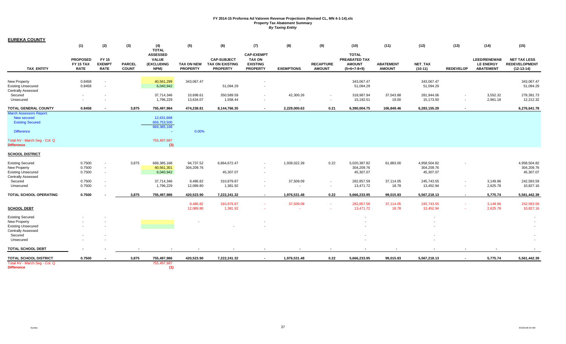| <b>EUREKA COUNTY</b>                                                                                                                                |                                                |                                                                  |                               |                                                                          |                                                  |                                                          |                                                                          |                                                       |                                            |                                                                    |                                   |                                                                    |                          |                                                             |                                                                    |
|-----------------------------------------------------------------------------------------------------------------------------------------------------|------------------------------------------------|------------------------------------------------------------------|-------------------------------|--------------------------------------------------------------------------|--------------------------------------------------|----------------------------------------------------------|--------------------------------------------------------------------------|-------------------------------------------------------|--------------------------------------------|--------------------------------------------------------------------|-----------------------------------|--------------------------------------------------------------------|--------------------------|-------------------------------------------------------------|--------------------------------------------------------------------|
|                                                                                                                                                     | (1)                                            | (2)                                                              | (3)                           | (4)<br><b>TOTAL</b>                                                      | (5)                                              | (6)                                                      | (7)                                                                      | (8)                                                   | (9)                                        | (10)                                                               | (11)                              | (12)                                                               | (13)                     | (14)                                                        | (15)                                                               |
| <b>TAX ENTITY</b>                                                                                                                                   | <b>PROPOSED</b><br>FY 15 TAX<br><b>RATE</b>    | <b>FY 15</b><br><b>EXEMPT</b><br><b>RATE</b>                     | <b>PARCEL</b><br><b>COUNT</b> | <b>ASSESSED</b><br><b>VALUE</b><br>(EXCLUDING<br>NPM)                    | <b>TAX ON NEW</b><br><b>PROPERTY</b>             | <b>CAP-SUBJECT</b><br>TAX ON EXISTING<br><b>PROPERTY</b> | <b>CAP-EXEMPT</b><br><b>TAX ON</b><br><b>EXISTING</b><br><b>PROPERTY</b> | <b>EXEMPTIONS</b>                                     | <b>RECAPTURE</b><br><b>AMOUNT</b>          | <b>TOTAL</b><br>PREABATED TAX<br><b>AMOUNT</b><br>$(5+6+7-8+9)$    | <b>ABATEMENT</b><br><b>AMOUNT</b> | NET_TAX<br>$(10-11)$                                               | <b>REDEVELOP</b>         | <b>LEED/RENEWAB</b><br><b>LE ENERGY</b><br><b>ABATEMENT</b> | <b>NET TAX LESS</b><br><b>REDEVELOPMENT</b><br>$(12-13-14)$        |
| New Property<br><b>Existing Unsecured</b><br><b>Centrally Assessed</b>                                                                              | 0.8458<br>0.8458                               | $\overline{\phantom{a}}$<br>$\overline{\phantom{a}}$             |                               | 40,561,299<br>6,040,942                                                  | 343,067.47                                       | 51,094.29                                                | $\overline{\phantom{a}}$<br>$\overline{\phantom{a}}$                     |                                                       |                                            | 343,067.47<br>51,094.29                                            |                                   | 343,067.47<br>51,094.29                                            |                          |                                                             | 343,067.47<br>51,094.29                                            |
| Secured<br>Unsecured                                                                                                                                | $\sim$                                         | $\sim$                                                           |                               | 37,714,346<br>1,796,229                                                  | 10,698.61<br>13,634.07                           | 350,589.59<br>1,558.44                                   | $\sim$<br>$\sim$                                                         | 42,300.26<br>$\sim$                                   | $\blacksquare$<br>$\overline{\phantom{a}}$ | 318,987.94<br>15,192.51                                            | 37,043.88<br>19.00                | 281,944.06<br>15,173.50                                            | $\blacksquare$<br>$\sim$ | 3,552.32<br>2,961.18                                        | 278,391.73<br>12,212.32                                            |
| TOTAL GENERAL COUNTY                                                                                                                                | 0.8458                                         |                                                                  | 3,875                         | 755,497,984                                                              | 474,238.81                                       | 8,144,766.35                                             | $\overline{\phantom{a}}$                                                 | 2,229,000.63                                          | 0.21                                       | 6,390,004.75                                                       | 106,849.46                        | 6,283,155.29                                                       | $\overline{a}$           |                                                             | 6,276,641.78                                                       |
| <b>March Assessors Report:</b><br>New secured<br><b>Existing Secured</b><br><b>Difference</b><br>Total AV - March Seg - Col. Q<br><b>Difference</b> |                                                |                                                                  |                               | 12,631,668<br>656,753,500<br>669,385,168<br>$\sim$<br>755,497,987<br>(3) | 0.00%                                            |                                                          |                                                                          |                                                       |                                            |                                                                    |                                   |                                                                    |                          |                                                             |                                                                    |
| <b>SCHOOL DISTRICT</b>                                                                                                                              |                                                |                                                                  |                               |                                                                          |                                                  |                                                          |                                                                          |                                                       |                                            |                                                                    |                                   |                                                                    |                          |                                                             |                                                                    |
| <b>Existing Secured</b><br>New Property<br><b>Existing Unsecured</b><br><b>Centrally Assessed</b><br>Secured<br>Unsecured                           | 0.7500<br>0.7500<br>0.7500<br>0.7500<br>0.7500 | $\sim$<br>$\sim$<br>$\sim$<br>$\sim$<br>$\overline{\phantom{a}}$ | 3,875                         | 669,385,168<br>40,561,301<br>6,040,942<br>37,714,346<br>1,796,229        | 94,737.52<br>304,209.76<br>9,486.82<br>12,089.80 | 6,864,672.47<br>45,307.07<br>310,879.87<br>1,381.92      | $\overline{\phantom{a}}$<br>$\overline{\phantom{a}}$<br>$\sim$<br>$\sim$ | 1,939,022.39<br>37,509.09<br>$\overline{\phantom{a}}$ | 0.22<br>$\sim$                             | 5,020,387.82<br>304,209.76<br>45,307.07<br>282,857.59<br>13,471.72 | 61,883.00<br>37,114.05<br>18.78   | 4,958,504.82<br>304,209.76<br>45,307.07<br>245,743.55<br>13,452.94 | $\sim$<br>$\sim$         | 3,149.96<br>2,625.78                                        | 4,958,504.82<br>304,209.76<br>45,307.07<br>242,593.59<br>10,827.16 |
| TOTAL SCHOOL OPERATING                                                                                                                              | 0.7500                                         |                                                                  | 3,875                         | 755,497,986                                                              | 420,523.90                                       | 7,222,241.32                                             | $\blacksquare$                                                           | 1,976,531.48                                          | 0.22                                       | 5,666,233.95                                                       | 99,015.83                         | 5,567,218.13                                                       | $\sim$                   | 5,775.74                                                    | 5,561,442.39                                                       |
| <b>SCHOOL DEBT</b>                                                                                                                                  |                                                |                                                                  |                               |                                                                          | 9,486.82<br>12,089.80                            | 310,879.87<br>1,381.92                                   | $\sim$                                                                   | 37,509.09                                             | $\sim$                                     | 282,857.59<br>13,471.72                                            | 37,114.05<br>18.78                | 245,743.55<br>13,452.94                                            | $\sim$<br>$\sim$         | 3,149.96<br>2,625.78                                        | 242,593.59<br>10,827.16                                            |
| <b>Existing Secured</b><br>New Property<br><b>Existing Unsecured</b><br><b>Centrally Assessed</b><br>Secured<br>Unsecured                           |                                                | ٠.                                                               |                               |                                                                          |                                                  |                                                          |                                                                          |                                                       |                                            |                                                                    |                                   | $\overline{\phantom{a}}$                                           |                          |                                                             |                                                                    |
| TOTAL SCHOOL DEBT                                                                                                                                   |                                                |                                                                  |                               |                                                                          |                                                  |                                                          |                                                                          |                                                       |                                            |                                                                    |                                   |                                                                    |                          |                                                             |                                                                    |
| <b>TOTAL SCHOOL DISTRICT</b>                                                                                                                        | 0.7500                                         |                                                                  | 3,875                         | 755,497,986                                                              | 420,523.90                                       | 7,222,241.32                                             | $\sim$                                                                   | 1,976,531.48                                          | 0.22                                       | 5,666,233.95                                                       | 99,015.83                         | 5,567,218.13                                                       | $\sim$                   | 5,775.74                                                    | 5,561,442.39                                                       |
| Total AV - March Seg - Col. Q<br><b>Difference</b>                                                                                                  |                                                |                                                                  |                               | 755,497,987<br>(1)                                                       |                                                  |                                                          |                                                                          |                                                       |                                            |                                                                    |                                   |                                                                    |                          |                                                             |                                                                    |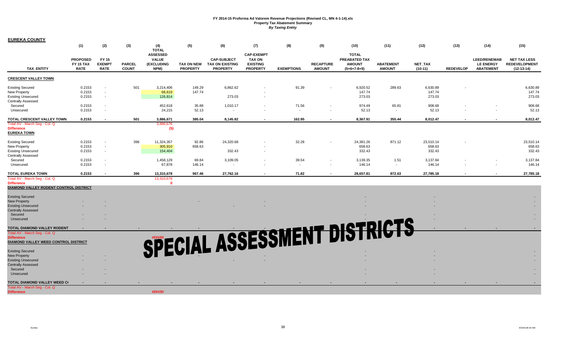| <b>EUREKA COUNTY</b>                   |                                                    |                                       |                               |                                                              |                                      |                                                                 |                                                                          |                          |                                   |                                                                 |                                   |                      |                  |                                                      |                                                             |
|----------------------------------------|----------------------------------------------------|---------------------------------------|-------------------------------|--------------------------------------------------------------|--------------------------------------|-----------------------------------------------------------------|--------------------------------------------------------------------------|--------------------------|-----------------------------------|-----------------------------------------------------------------|-----------------------------------|----------------------|------------------|------------------------------------------------------|-------------------------------------------------------------|
|                                        | (1)                                                | (2)                                   | (3)                           | (4)<br><b>TOTAL</b>                                          | (5)                                  | (6)                                                             | (7)                                                                      | (8)                      | (9)                               | (10)                                                            | (11)                              | (12)                 | (13)             | (14)                                                 | (15)                                                        |
| <b>TAX ENTITY</b>                      | <b>PROPOSED</b><br><b>FY 15 TAX</b><br><b>RATE</b> | FY 15<br><b>EXEMPT</b><br><b>RATE</b> | <b>PARCEL</b><br><b>COUNT</b> | <b>ASSESSED</b><br><b>VALUE</b><br><b>(EXCLUDING</b><br>NPM) | <b>TAX ON NEW</b><br><b>PROPERTY</b> | <b>CAP-SUBJECT</b><br><b>TAX ON EXISTING</b><br><b>PROPERTY</b> | <b>CAP-EXEMPT</b><br><b>TAX ON</b><br><b>EXISTING</b><br><b>PROPERTY</b> | <b>EXEMPTIONS</b>        | <b>RECAPTURE</b><br><b>AMOUNT</b> | <b>TOTAL</b><br>PREABATED TAX<br><b>AMOUNT</b><br>$(5+6+7-8+9)$ | <b>ABATEMENT</b><br><b>AMOUNT</b> | NET_TAX<br>$(10-11)$ | <b>REDEVELOP</b> | LEED/RENEWAB<br><b>LE ENERGY</b><br><b>ABATEMENT</b> | <b>NET TAX LESS</b><br><b>REDEVELOPMENT</b><br>$(12-13-14)$ |
| <b>CRESCENT VALLEY TOWN</b>            |                                                    |                                       |                               |                                                              |                                      |                                                                 |                                                                          |                          |                                   |                                                                 |                                   |                      |                  |                                                      |                                                             |
| <b>Existing Secured</b>                | 0.2153                                             |                                       | 501                           | 3,214,406                                                    | 149.29                               | 6,862.62                                                        |                                                                          | 91.39                    |                                   | 6,920.52                                                        | 289.63                            | 6,630.89             |                  |                                                      | 6,630.89                                                    |
| New Property                           | 0.2153                                             | $\sim$                                |                               | 68,619                                                       | 147.74                               |                                                                 |                                                                          |                          |                                   | 147.74                                                          |                                   | 147.74               |                  |                                                      | 147.74                                                      |
| <b>Existing Unsecured</b>              | 0.2153                                             | $\overline{\phantom{a}}$              |                               | 126,814                                                      |                                      | 273.03                                                          |                                                                          |                          |                                   | 273.03                                                          |                                   | 273.03               |                  |                                                      | 273.03                                                      |
| <b>Centrally Assessed</b>              |                                                    |                                       |                               |                                                              |                                      |                                                                 |                                                                          |                          |                                   |                                                                 |                                   |                      |                  |                                                      |                                                             |
| Secured                                | 0.2153                                             | $\sim$                                |                               | 452,618                                                      | 35.88                                | 1,010.17                                                        | $\overline{\phantom{a}}$                                                 | 71.56                    |                                   | 974.49                                                          | 65.81                             | 908.68               |                  |                                                      | 908.68                                                      |
| Unsecured                              | 0.2153                                             |                                       |                               | 24,215                                                       | 52.13                                | $\overline{\phantom{a}}$                                        | $\overline{\phantom{a}}$                                                 | $\overline{\phantom{a}}$ |                                   | 52.13                                                           | $\sim$                            | 52.13                |                  |                                                      | 52.13                                                       |
| TOTAL CRESCENT VALLEY TOWN             | 0.2153                                             |                                       | 501                           | 3,886,671                                                    | 385.04                               | 8,145.82                                                        | $\sim$                                                                   | 162.95                   |                                   | 8,367.91                                                        | 355.44                            | 8,012.47             |                  |                                                      | 8,012.47                                                    |
| Total AV - March Seg - Col. Q          |                                                    |                                       |                               | 3,886,676                                                    |                                      |                                                                 |                                                                          |                          |                                   |                                                                 |                                   |                      |                  |                                                      |                                                             |
| <b>Difference</b>                      |                                                    |                                       |                               | (5)                                                          |                                      |                                                                 |                                                                          |                          |                                   |                                                                 |                                   |                      |                  |                                                      |                                                             |
| <b>EUREKA TOWN</b>                     |                                                    |                                       |                               |                                                              |                                      |                                                                 |                                                                          |                          |                                   |                                                                 |                                   |                      |                  |                                                      |                                                             |
| <b>Existing Secured</b>                | 0.2153                                             |                                       | 396                           | 11,324,357                                                   | 92.86                                | 24,320.68                                                       |                                                                          | 32.28                    |                                   | 24,381.26                                                       | 871.12                            | 23,510.14            |                  |                                                      | 23,510.14                                                   |
| New Property                           | 0.2153                                             | $\sim$                                |                               | 305,910                                                      | 658.63                               |                                                                 |                                                                          |                          |                                   | 658.63                                                          |                                   | 658.63               |                  |                                                      | 658.63                                                      |
| <b>Existing Unsecured</b>              | 0.2153                                             | $\overline{\phantom{a}}$              |                               | 154,404                                                      |                                      | 332.43                                                          | $\sim$                                                                   |                          |                                   | 332.43                                                          |                                   | 332.43               |                  |                                                      | 332.43                                                      |
| <b>Centrally Assessed</b>              |                                                    |                                       |                               |                                                              |                                      |                                                                 |                                                                          |                          |                                   |                                                                 |                                   |                      |                  |                                                      |                                                             |
| Secured                                | 0.2153                                             |                                       |                               | 1,458,129                                                    | 69.84                                | 3,109.05                                                        | $\sim$                                                                   | 39.54                    |                                   | 3,139.35                                                        | 1.51                              | 3,137.84             |                  |                                                      | 3,137.84                                                    |
| Unsecured                              | 0.2153                                             |                                       |                               | 67,878                                                       | 146.14                               | $\overline{\phantom{a}}$                                        |                                                                          | $\blacksquare$           |                                   | 146.14                                                          | $\sim$                            | 146.14               |                  |                                                      | 146.14                                                      |
| <b>TOTAL EUREKA TOWN</b>               | 0.2153                                             |                                       | 396                           | 13,310,678                                                   | 967.46                               | 27,762.16                                                       | $\sim$                                                                   | 71.82                    |                                   | 28,657.81                                                       | 872.63                            | 27,785.18            |                  |                                                      | 27,785.18                                                   |
| Total AV - March Seg - Col. Q          |                                                    |                                       |                               | 13,310,678                                                   |                                      |                                                                 |                                                                          |                          |                                   |                                                                 |                                   |                      |                  |                                                      |                                                             |
| <b>Difference</b>                      |                                                    |                                       |                               | $\Omega$                                                     |                                      |                                                                 |                                                                          |                          |                                   |                                                                 |                                   |                      |                  |                                                      |                                                             |
| DIAMOND VALLEY RODENT CONTROL DISTRICT |                                                    |                                       |                               |                                                              |                                      |                                                                 |                                                                          |                          |                                   |                                                                 |                                   |                      |                  |                                                      |                                                             |
| <b>Existing Secured</b>                |                                                    |                                       |                               |                                                              |                                      |                                                                 |                                                                          |                          |                                   |                                                                 |                                   |                      |                  |                                                      |                                                             |
| <b>New Property</b>                    |                                                    |                                       |                               |                                                              |                                      |                                                                 |                                                                          |                          |                                   |                                                                 |                                   |                      |                  |                                                      |                                                             |
| <b>Existing Unsecured</b>              |                                                    |                                       |                               |                                                              |                                      |                                                                 |                                                                          |                          |                                   |                                                                 |                                   |                      |                  |                                                      |                                                             |
| <b>Centrally Assessed</b>              |                                                    |                                       |                               |                                                              |                                      |                                                                 |                                                                          |                          |                                   |                                                                 |                                   |                      |                  |                                                      |                                                             |
| Secured                                |                                                    |                                       |                               |                                                              |                                      |                                                                 |                                                                          |                          |                                   |                                                                 |                                   |                      |                  |                                                      |                                                             |
| Unsecured                              |                                                    |                                       |                               |                                                              |                                      |                                                                 |                                                                          |                          |                                   |                                                                 |                                   |                      |                  |                                                      |                                                             |
| TOTAL DIAMOND VALLEY RODENT            |                                                    |                                       |                               |                                                              |                                      |                                                                 |                                                                          | SPECIAL ASSESSMENT DIST  |                                   |                                                                 |                                   |                      |                  |                                                      |                                                             |
| Total AV - March Seg - Col. Q          |                                                    |                                       |                               |                                                              |                                      |                                                                 |                                                                          |                          |                                   |                                                                 |                                   |                      |                  |                                                      |                                                             |
| <b>Difference</b>                      |                                                    |                                       |                               |                                                              |                                      |                                                                 |                                                                          |                          |                                   |                                                                 |                                   |                      |                  |                                                      |                                                             |
| DIAMOND VALLEY WEED CONTROL DISTRICT   |                                                    |                                       |                               |                                                              |                                      |                                                                 |                                                                          |                          |                                   |                                                                 |                                   |                      |                  |                                                      |                                                             |
|                                        |                                                    |                                       |                               |                                                              |                                      |                                                                 |                                                                          |                          |                                   |                                                                 |                                   |                      |                  |                                                      |                                                             |
| <b>Existing Secured</b>                |                                                    |                                       |                               |                                                              |                                      |                                                                 |                                                                          |                          |                                   |                                                                 |                                   |                      |                  |                                                      |                                                             |
| <b>New Property</b>                    |                                                    |                                       |                               |                                                              |                                      |                                                                 |                                                                          |                          |                                   |                                                                 |                                   |                      |                  |                                                      |                                                             |
| <b>Existing Unsecured</b>              |                                                    |                                       |                               |                                                              |                                      |                                                                 |                                                                          |                          |                                   |                                                                 |                                   |                      |                  |                                                      |                                                             |
| <b>Centrally Assessed</b>              |                                                    |                                       |                               |                                                              |                                      |                                                                 |                                                                          |                          |                                   |                                                                 |                                   |                      |                  |                                                      |                                                             |
| Secured                                |                                                    |                                       |                               |                                                              |                                      |                                                                 |                                                                          |                          |                                   |                                                                 |                                   |                      |                  |                                                      |                                                             |
| Unsecured                              |                                                    |                                       |                               |                                                              |                                      |                                                                 |                                                                          |                          |                                   |                                                                 |                                   |                      |                  |                                                      |                                                             |
| TOTAL DIAMOND VALLEY WEED CO           |                                                    |                                       |                               |                                                              |                                      |                                                                 |                                                                          |                          |                                   |                                                                 |                                   |                      |                  |                                                      |                                                             |
| Total AV - March Seg - Col. Q          |                                                    |                                       |                               |                                                              |                                      |                                                                 |                                                                          |                          |                                   |                                                                 |                                   |                      |                  |                                                      |                                                             |
| <b>Difference</b>                      |                                                    |                                       |                               | #DIV/0!                                                      |                                      |                                                                 |                                                                          |                          |                                   |                                                                 |                                   |                      |                  |                                                      |                                                             |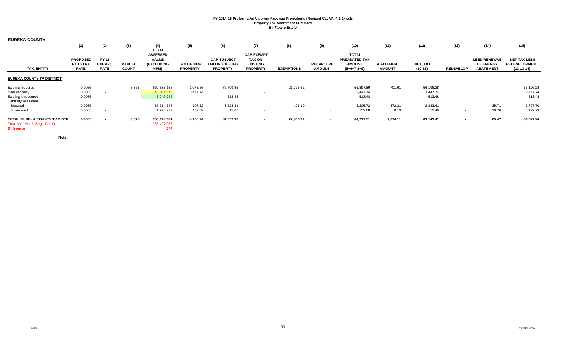| <b>EUREKA COUNTY</b>             |                                                    |                                       |                               |                                                              |                                      |                                                                 |                                                                          |                   |                                   |                                                                        |                                   |                      |                  |                                                             |                                                             |
|----------------------------------|----------------------------------------------------|---------------------------------------|-------------------------------|--------------------------------------------------------------|--------------------------------------|-----------------------------------------------------------------|--------------------------------------------------------------------------|-------------------|-----------------------------------|------------------------------------------------------------------------|-----------------------------------|----------------------|------------------|-------------------------------------------------------------|-------------------------------------------------------------|
|                                  | (1)                                                | (2)                                   | (3)                           | (4)<br><b>TOTAL</b>                                          | (5)                                  | (6)                                                             | (7)                                                                      | (8)               | (9)                               | (10)                                                                   | (11)                              | (12)                 | (13)             | (14)                                                        | (15)                                                        |
| <b>TAX ENTITY</b>                | <b>PROPOSED</b><br><b>FY 15 TAX</b><br><b>RATE</b> | FY 15<br><b>EXEMPT</b><br><b>RATE</b> | <b>PARCEL</b><br><b>COUNT</b> | <b>ASSESSED</b><br><b>VALUE</b><br><b>(EXCLUDING</b><br>NPM) | <b>TAX ON NEW</b><br><b>PROPERTY</b> | <b>CAP-SUBJECT</b><br><b>TAX ON EXISTING</b><br><b>PROPERTY</b> | <b>CAP-EXEMPT</b><br><b>TAX ON</b><br><b>EXISTING</b><br><b>PROPERTY</b> | <b>EXEMPTIONS</b> | <b>RECAPTURE</b><br><b>AMOUNT</b> | <b>TOTAL</b><br><b>PREABATED TAX</b><br><b>AMOUNT</b><br>$(5+6+7-8+9)$ | <b>ABATEMENT</b><br><b>AMOUNT</b> | NET_TAX<br>$(10-11)$ | <b>REDEVELOP</b> | <b>LEED/RENEWAB</b><br><b>LE ENERGY</b><br><b>ABATEMENT</b> | <b>NET TAX LESS</b><br><b>REDEVELOPMENT</b><br>$(12-13-14)$ |
| <b>EUREKA COUNTY TV DISTRICT</b> |                                                    |                                       |                               |                                                              |                                      |                                                                 |                                                                          |                   |                                   |                                                                        |                                   |                      |                  |                                                             |                                                             |
| <b>Existing Secured</b>          | 0.0085                                             |                                       | 3,875                         | 669,385,168                                                  | 1,073.66                             | 77,799.85                                                       |                                                                          | 21,975.62         | $\overline{\phantom{a}}$          | 56,897.89                                                              | 701.61                            | 56,196.28            |                  |                                                             | 56,196.28                                                   |
| New Property                     | 0.0085                                             |                                       |                               | 40,561,676                                                   | 3,447.74                             |                                                                 |                                                                          |                   |                                   | 3,447.74                                                               |                                   | 3,447.74             |                  |                                                             | 3,447.74                                                    |
| <b>Existing Unsecured</b>        | 0.0085                                             |                                       |                               | 6,040,942                                                    |                                      | 513.48                                                          |                                                                          |                   |                                   | 513.48                                                                 |                                   | 513.48               |                  |                                                             | 513.48                                                      |
| <b>Centrally Assessed</b>        |                                                    |                                       |                               |                                                              |                                      |                                                                 |                                                                          |                   |                                   |                                                                        |                                   |                      |                  |                                                             |                                                             |
| Secured                          | 0.0085                                             |                                       |                               | 37,714,346                                                   | 107.52                               | 3,523.31                                                        |                                                                          | 425.10            | $\overline{\phantom{a}}$          | 3,205.72                                                               | 372.31                            | 2,833.41             |                  | 35.71                                                       | 2,797.70                                                    |
| Unsecured                        | 0.0085                                             |                                       |                               | 1,796,229                                                    | 137.02                               | 15.66                                                           | $\overline{\phantom{a}}$                                                 |                   | $\sim$                            | 152.68                                                                 | 0.19                              | 152.49               |                  | 29.76                                                       | 122.73                                                      |
| TOTAL EUREKA COUNTY TV DISTR     | 0.0085                                             |                                       | 3,875                         | 755,498,361                                                  | 4,765.94                             | 81,852.30                                                       |                                                                          | 22,400.72         |                                   | 64,217.51                                                              | 1,074.11                          | 63,143.41            |                  | 65.47                                                       | 63,077.94                                                   |
| Total AV - March Seq - Col. Q    |                                                    |                                       |                               | 755,497,987                                                  |                                      |                                                                 |                                                                          |                   |                                   |                                                                        |                                   |                      |                  |                                                             |                                                             |
| <b>Difference</b>                |                                                    |                                       |                               | 374                                                          |                                      |                                                                 |                                                                          |                   |                                   |                                                                        |                                   |                      |                  |                                                             |                                                             |

**Note:**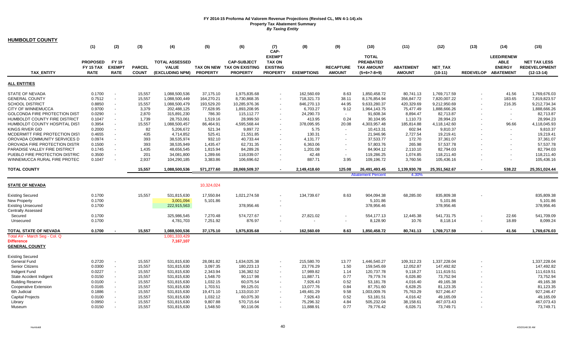|  |  | <b>HUMBOLDT COUNTY</b> |  |
|--|--|------------------------|--|
|--|--|------------------------|--|

|                                            | (1)                                                | (2)                                          | (3)                           | (4)                                                      | (5)             | (6)                                                                 | (7)<br>CAP-                                                          | (8)               | (9)                               | (10)                                                                   | (11)                              | (12)                        | (13)   | (14)                                                                     | (15)                                                        |
|--------------------------------------------|----------------------------------------------------|----------------------------------------------|-------------------------------|----------------------------------------------------------|-----------------|---------------------------------------------------------------------|----------------------------------------------------------------------|-------------------|-----------------------------------|------------------------------------------------------------------------|-----------------------------------|-----------------------------|--------|--------------------------------------------------------------------------|-------------------------------------------------------------|
| <b>TAX ENTITY</b>                          | <b>PROPOSED</b><br><b>FY 15 TAX</b><br><b>RATE</b> | <b>FY 15</b><br><b>EXEMPT</b><br><b>RATE</b> | <b>PARCEL</b><br><b>COUNT</b> | <b>TOTAL ASSESSED</b><br><b>VALUE</b><br>(EXCLUDING NPM) | <b>PROPERTY</b> | <b>CAP-SUBJECT</b><br>TAX ON NEW TAX ON EXISTING<br><b>PROPERTY</b> | <b>EXEMPT</b><br><b>TAX ON</b><br><b>EXISTING</b><br><b>PROPERTY</b> | <b>EXEMPTIONS</b> | <b>RECAPTURE</b><br><b>AMOUNT</b> | <b>TOTAL</b><br><b>PREABATED</b><br><b>TAX AMOUNT</b><br>$(5+6+7-8+9)$ | <b>ABATEMENT</b><br><b>AMOUNT</b> | <b>NET TAX</b><br>$(10-11)$ |        | <b>LEED/RENEW</b><br><b>ABLE</b><br><b>ENERGY</b><br>REDEVELOP ABATEMENT | <b>NET TAX LESS</b><br><b>REDEVELOPMENT</b><br>$(12-13-14)$ |
| <b>ALL ENTITIES</b>                        |                                                    |                                              |                               |                                                          |                 |                                                                     |                                                                      |                   |                                   |                                                                        |                                   |                             |        |                                                                          |                                                             |
| <b>STATE OF NEVADA</b>                     | 0.1700                                             |                                              | 15,557                        | 1,088,500,536                                            | 37,175.10       | 1,975,835.68                                                        | $\sim$                                                               | 162,560.69        | 8.63                              | 1,850,458.72                                                           | 80,741.13                         | 1,769,717.59                |        | 41.56                                                                    | 1,769,676.03                                                |
| <b>GENERAL COUNTY</b>                      | 0.7512                                             | $\sim$                                       | 15,557                        | 1,088,500,449                                            | 164,270.21      | 8,730,868.35                                                        | $\sim$                                                               | 718,321.73        | 38.11                             | 8,176,854.94                                                           | 356,847.72                        | 7,820,007.22                |        | 183.65                                                                   | 7,819,823.57                                                |
| <b>SCHOOL DISTRICT</b>                     | 0.8850                                             | $\sim$                                       | 15,557                        | 1,088,500,479                                            | 193,529.20      | 10,285,976.36                                                       | $\sim$                                                               | 846,270.13        | 44.95                             | 9,633,280.37                                                           | 420,329.69                        | 9,212,950.69                |        | 216.35                                                                   | 9,212,734.34                                                |
| <b>CITY OF WINNEMUCCA</b>                  | 0.9700                                             | $\sim$                                       | 3,379                         | 202,488,125                                              | 77,628.95       | 1,893,208.95                                                        | $\overline{\phantom{a}}$                                             | 6,703.27          | 9.12                              | 1.964.143.75                                                           | 75.477.49                         | 1,888,666.26                |        | $\sim$                                                                   | 1,888,666.26                                                |
| <b>GOLCONDA FIRE PROTECTION DIST</b>       | 0.0290                                             |                                              | 2,870                         | 315,891,230                                              | 786.30          | 115,112.77                                                          | $\overline{\phantom{a}}$                                             | 24,290.73         | $\overline{\phantom{a}}$          | 91,608.34                                                              | 8,894.47                          | 82,713.87                   |        | $\sim$                                                                   | 82,713.87                                                   |
| HUMBOLDT COUNTY FIRE DISTRICT              | 0.1047                                             |                                              | 1,739                         | 28,753,061                                               | 1,519.16        | 28,999.50                                                           | $\overline{\phantom{a}}$                                             | 413.95            | 0.24                              | 30,104.95                                                              | 1,110.73                          | 28,994.23                   |        | $\sim$                                                                   | 28,994.23                                                   |
| HUMBOLDT COUNTY HOSPITAL DIST              | 0.3954                                             |                                              | 15,557                        | 1,088,500,457                                            | 86,464.91       | 4,595,568.44                                                        |                                                                      | 378,095.95        | 20.08                             | 4,303,957.48                                                           | 185,814.88                        | 4,118,142.60                |        | 96.66                                                                    | 4,118,045.93                                                |
| KINGS RIVER GID                            | 0.2000                                             |                                              | 82                            | 5,206,672                                                | 521.34          | 9,897.72                                                            | $\overline{\phantom{a}}$                                             | 5.75              |                                   | 10,413.31                                                              | 602.94                            | 9,810.37                    |        | $\overline{\phantom{a}}$                                                 | 9,810.37                                                    |
| MCDERMITT FIRE PROTECTION DIST             | 0.4655                                             |                                              | 435                           | 4,714,852                                                | 525.41          | 21,551.85                                                           | $\overline{\phantom{a}}$                                             | 130.31            |                                   | 21.946.96                                                              | 2,727.54                          | 19,219.41                   |        | $\overline{a}$                                                           | 19,219.41                                                   |
| OROVADA COMMUNITY SERVICES D               | 0.0974                                             |                                              | 393                           | 38,535,974                                               | 932.10          | 40,733.44                                                           |                                                                      | 4,131.77          |                                   | 37,533.77                                                              | 172.70                            | 37,361.07                   |        |                                                                          | 37,361.07                                                   |
| OROVADA FIRE PROTECTION DISTR              | 0.1500                                             |                                              | 393                           | 38,535,949                                               | 1,435.47        | 62,731.35                                                           | $\overline{\phantom{a}}$                                             | 6,363.06          |                                   | 57,803.76                                                              | 265.98                            | 57,537.78                   |        | $\overline{\phantom{a}}$                                                 | 57,537.78                                                   |
| PARADISE VALLEY FIRE DISTRICT              | 0.1745                                             | $\sim$                                       | 1,435                         | 48,656,545                                               | 1,815.94        | 84,289.26                                                           |                                                                      | 1,201.08          |                                   | 84,904.12                                                              | 2,110.10                          | 82,794.03                   |        |                                                                          | 82,794.03                                                   |
| PUEBLO FIRE PROTECTION DISTRIC             | 0.3500                                             |                                              | 201                           | 34,081,800                                               | 1,289.66        | 118,039.07                                                          |                                                                      | 42.48             |                                   | 119,286.25                                                             | 1,074.85                          | 118,211.40                  |        | $\overline{\phantom{a}}$                                                 | 118,211.40                                                  |
| WINNEMUCCA RURAL FIRE PROTEC               | 0.1047                                             |                                              | 2,937                         | 104,290,185                                              | 3,383.86        | 106,696.62                                                          |                                                                      | 887.71            | 3.95                              | 109,196.72                                                             | 3,760.56                          | 105,436.16                  |        |                                                                          | 105,436.16                                                  |
| <b>TOTAL COUNTY</b>                        |                                                    |                                              | 15,557                        | 1.088.500.536                                            | 571,277.60      | 28,069,509.37                                                       | $\sim$                                                               | 2,149,418.60      | 125.08                            | 26,491,493.45                                                          | 1,139,930.78                      | 25,351,562.67               | $\sim$ | 538.22                                                                   | 25,351,024.44                                               |
|                                            |                                                    |                                              |                               |                                                          |                 |                                                                     |                                                                      |                   |                                   | <b>Abatement Percent</b>                                               | 4.30%                             |                             |        |                                                                          |                                                             |
| <b>STATE OF NEVADA</b>                     |                                                    |                                              |                               |                                                          | 10,324,024      |                                                                     |                                                                      |                   |                                   |                                                                        |                                   |                             |        |                                                                          |                                                             |
| <b>Existing Secured</b>                    | 0.1700                                             |                                              | 15,557                        | 531,815,630                                              | 17,550.84       | 1,021,274.58                                                        |                                                                      | 134,739.67        | 8.63                              | 904.094.38                                                             | 68.285.00                         | 835,809.38                  |        |                                                                          | 835,809.38                                                  |
| New Property                               | 0.1700                                             |                                              |                               | 3,001,094                                                | 5,101.86        |                                                                     |                                                                      |                   |                                   | 5,101.86                                                               |                                   | 5,101.86                    |        |                                                                          | 5,101.86                                                    |
| <b>Existing Unsecured</b>                  | 0.1700                                             |                                              |                               | 222,915,563                                              |                 | 378,956.46                                                          |                                                                      |                   |                                   | 378,956.46                                                             |                                   | 378,956.46                  |        |                                                                          | 378,956.46                                                  |
| <b>Centrally Assessed</b>                  |                                                    |                                              |                               |                                                          |                 |                                                                     |                                                                      |                   |                                   |                                                                        |                                   |                             |        |                                                                          |                                                             |
| Secured                                    | 0.1700                                             |                                              |                               | 325,986,545                                              | 7,270.48        | 574,727.67                                                          |                                                                      | 27,821.02         |                                   | 554,177.13                                                             | 12,445.38                         | 541,731.75                  |        | 22.66                                                                    | 541,709.09                                                  |
| Unsecured                                  | 0.1700                                             |                                              |                               | 4,781,703                                                | 7,251.92        | 876.97                                                              |                                                                      |                   |                                   | 8,128.90                                                               | 10.76                             | 8,118.14                    |        | 18.89                                                                    | 8,099.24                                                    |
| TOTAL STATE OF NEVADA                      | 0.1700                                             |                                              | 15,557                        | 1,088,500,536                                            | 37,175.10       | 1,975,835.68                                                        |                                                                      | 162,560.69        | 8.63                              | 1,850,458.72                                                           | 80,741.13                         | 1,769,717.59                | $\sim$ | 41.56                                                                    | 1,769,676.03                                                |
| Total AV - March Seg - Col. Q              |                                                    |                                              |                               | 1,081,333,429                                            |                 |                                                                     |                                                                      |                   |                                   |                                                                        |                                   |                             |        |                                                                          |                                                             |
| <b>Difference</b><br><b>GENERAL COUNTY</b> |                                                    |                                              |                               | 7,167,107                                                |                 |                                                                     |                                                                      |                   |                                   |                                                                        |                                   |                             |        |                                                                          |                                                             |
|                                            |                                                    |                                              |                               |                                                          |                 |                                                                     |                                                                      |                   |                                   |                                                                        |                                   |                             |        |                                                                          |                                                             |
| <b>Existing Secured</b>                    |                                                    |                                              |                               |                                                          |                 |                                                                     |                                                                      |                   |                                   |                                                                        |                                   |                             |        |                                                                          |                                                             |
| <b>General Fund</b>                        | 0.2720                                             |                                              | 15,557                        | 531,815,630                                              | 28,081.82       | 1,634,025.38                                                        | $\overline{\phantom{a}}$                                             | 215,580.70        | 13.77                             | 1,446,540.27                                                           | 109,312.23                        | 1,337,228.04                |        |                                                                          | 1,337,228.04                                                |
| Senior Citizens                            | 0.0300                                             | $\sim$                                       | 15,557                        | 531,815,630                                              | 3,097.35        | 180,223.13                                                          | $\sim$                                                               | 23,776.29         | 1.50                              | 159,545.69                                                             | 12,052.87                         | 147,492.82                  |        |                                                                          | 147,492.82                                                  |
| <b>Indigent Fund</b>                       | 0.0227                                             |                                              | 15,557                        | 531,815,630                                              | 2.343.94        | 136.382.52                                                          | $\sim$                                                               | 17,989.82         | 1.14                              | 120.737.78                                                             | 9,118.27                          | 111.619.51                  |        |                                                                          | 111,619.51                                                  |
| State Accident Indigent                    | 0.0150                                             | $\sim$                                       | 15,557                        | 531,815,630                                              | 1,548.70        | 90,117.98                                                           | $\sim$                                                               | 11,887.71         | 0.77                              | 79,779.74                                                              | 6,026.80                          | 73,752.94                   |        |                                                                          | 73,752.94                                                   |
| <b>Building Reserve</b>                    | 0.0100                                             | $\sim$                                       | 15,557                        | 531,815,630                                              | 1,032.15        | 60,075.54                                                           |                                                                      | 7,926.43          | 0.52                              | 53,181.78                                                              | 4,016.40                          | 49,165.38                   |        |                                                                          | 49,165.38                                                   |
| <b>Cooperative Extension</b>               | 0.0165                                             | $\sim$                                       | 15,557                        | 531,815,630                                              | 1.703.51        | 99,125.01                                                           | $\overline{\phantom{a}}$                                             | 13,077.76         | 0.84                              | 87.751.60                                                              | 6,628.25                          | 81,123.35                   |        |                                                                          | 81,123.35                                                   |
| 6th Judicial                               | 0.1886                                             | $\sim$                                       | 15,557                        | 531,815,630                                              | 19,471.10       | 1,133,010.37                                                        | $\sim$                                                               | 149,481.29        | 9.58                              | 1,003,009.76                                                           | 75,763.29                         | 927,246.47                  |        |                                                                          | 927,246.47                                                  |
| <b>Capital Projects</b>                    | 0.0100                                             |                                              | 15,557                        | 531,815,630                                              | 1,032.12        | 60,075.30                                                           |                                                                      | 7,926.43          | 0.52                              | 53.181.51                                                              | 4,016.42                          | 49,165.09                   |        |                                                                          | 49,165.09                                                   |
| Library                                    | 0.0950                                             | $\overline{\phantom{a}}$                     | 15,557                        | 531,815,630                                              | 9,807.88        | 570,715.64                                                          | $\overline{\phantom{a}}$                                             | 75,296.32         | 4.84                              | 505,232.04                                                             | 38,158.61                         | 467,073.43                  |        |                                                                          | 467,073.43                                                  |
| Museum                                     | 0.0150                                             | $\overline{\phantom{a}}$                     | 15,557                        | 531,815,630                                              | 1.548.50        | 90,116.06                                                           |                                                                      | 11,888.91         | 0.77                              | 79,776.42                                                              | 6,026.71                          | 73,749.71                   |        |                                                                          | 73,749.71                                                   |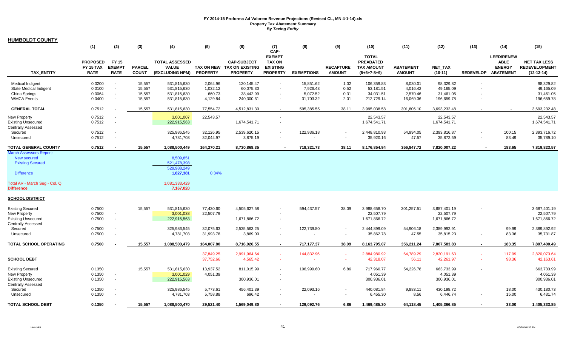**HUMBOLDT COUNTY**

|                                                        | (1)                                                | (2)                                          | (3)                           | (4)                                                      | (5)             | (6)                                                                 | (7)                                                                          | (8)               | (9)                               | (10)                                                                   | (11)                              | (12)                        | (13)                     | (14)                                                                     | (15)                                                        |
|--------------------------------------------------------|----------------------------------------------------|----------------------------------------------|-------------------------------|----------------------------------------------------------|-----------------|---------------------------------------------------------------------|------------------------------------------------------------------------------|-------------------|-----------------------------------|------------------------------------------------------------------------|-----------------------------------|-----------------------------|--------------------------|--------------------------------------------------------------------------|-------------------------------------------------------------|
| <b>TAX ENTITY</b>                                      | <b>PROPOSED</b><br><b>FY 15 TAX</b><br><b>RATE</b> | <b>FY 15</b><br><b>EXEMPT</b><br><b>RATE</b> | <b>PARCEL</b><br><b>COUNT</b> | <b>TOTAL ASSESSED</b><br><b>VALUE</b><br>(EXCLUDING NPM) | <b>PROPERTY</b> | <b>CAP-SUBJECT</b><br>TAX ON NEW TAX ON EXISTING<br><b>PROPERTY</b> | CAP-<br><b>EXEMPT</b><br><b>TAX ON</b><br><b>EXISTING</b><br><b>PROPERTY</b> | <b>EXEMPTIONS</b> | <b>RECAPTURE</b><br><b>AMOUNT</b> | <b>TOTAL</b><br><b>PREABATED</b><br><b>TAX AMOUNT</b><br>$(5+6+7-8+9)$ | <b>ABATEMENT</b><br><b>AMOUNT</b> | <b>NET TAX</b><br>$(10-11)$ |                          | <b>LEED/RENEW</b><br><b>ABLE</b><br><b>ENERGY</b><br>REDEVELOP ABATEMENT | <b>NET TAX LESS</b><br><b>REDEVELOPMENT</b><br>$(12-13-14)$ |
| <b>Medical Indigent</b>                                | 0.0200                                             | $\sim$                                       | 15,557                        | 531,815,630                                              | 2,064.96        | 120,145.47                                                          | $\sim$                                                                       | 15,851.62         | 1.02                              | 106,359.83                                                             | 8,030.01                          | 98,329.82                   | $\overline{\phantom{a}}$ |                                                                          | 98,329.82                                                   |
| <b>State Medical Indigent</b>                          | 0.0100                                             | $\sim$                                       | 15,557                        | 531,815,630                                              | 1,032.12        | 60,075.30                                                           | $\overline{\phantom{a}}$                                                     | 7,926.43          | 0.52                              | 53,181.51                                                              | 4,016.42                          | 49,165.09                   |                          |                                                                          | 49,165.09                                                   |
| China Springs                                          | 0.0064                                             |                                              | 15,557                        | 531,815,630                                              | 660.73          | 38,442.99                                                           | $\overline{\phantom{a}}$                                                     | 5,072.52          | 0.31                              | 34,031.51                                                              | 2,570.46                          | 31,461.05                   |                          |                                                                          | 31,461.05                                                   |
| <b>WMCA Events</b>                                     | 0.0400                                             | $\blacksquare$                               | 15,557                        | 531,815,630                                              | 4,129.84        | 240,300.61                                                          | $\overline{\phantom{a}}$                                                     | 31,703.32         | 2.01                              | 212,729.14                                                             | 16,069.36                         | 196,659.78                  |                          |                                                                          | 196,659.78                                                  |
| <b>GENERAL TOTAL</b>                                   | 0.7512                                             |                                              | 15,557                        | 531,815,630                                              | 77,554.72       | 4,512,831.30                                                        | $\sim$                                                                       | 595,385.55        | 38.11                             | 3,995,038.58                                                           | 301,806.10                        | 3,693,232.48                | $\overline{\phantom{a}}$ | $\sim$                                                                   | 3,693,232.48                                                |
| New Property                                           | 0.7512                                             |                                              |                               | 3,001,007                                                | 22.543.57       |                                                                     |                                                                              |                   |                                   | 22,543.57                                                              |                                   | 22,543.57                   |                          |                                                                          | 22,543.57                                                   |
| <b>Existing Unsecured</b>                              | 0.7512                                             | $\overline{\phantom{a}}$                     |                               | 222,915,563                                              |                 | 1,674,541.71                                                        |                                                                              |                   |                                   | 1,674,541.71                                                           |                                   | 1,674,541.71                |                          |                                                                          | 1,674,541.71                                                |
| <b>Centrally Assessed</b>                              |                                                    |                                              |                               |                                                          |                 |                                                                     |                                                                              |                   |                                   |                                                                        |                                   |                             |                          |                                                                          |                                                             |
| Secured                                                | 0.7512                                             |                                              |                               | 325,986,545                                              | 32,126.95       | 2,539,620.15                                                        |                                                                              | 122,936.18        |                                   | 2,448,810.93                                                           | 54,994.05                         | 2,393,816.87                |                          | 100.15                                                                   | 2,393,716.72                                                |
| Unsecured                                              | 0.7512                                             |                                              |                               | 4,781,703                                                | 32,044.97       | 3,875.19                                                            |                                                                              |                   |                                   | 35,920.16                                                              | 47.57                             | 35,872.59                   |                          | 83.49                                                                    | 35,789.10                                                   |
| <b>TOTAL GENERAL COUNTY</b>                            | 0.7512                                             |                                              | 15,557                        | 1,088,500,449                                            | 164,270.21      | 8,730,868.35                                                        |                                                                              | 718,321.73        | 38.11                             | 8,176,854.94                                                           | 356,847.72                        | 7,820,007.22                |                          | 183.65                                                                   | 7,819,823.57                                                |
| <b>March Assessors Report:</b>                         |                                                    |                                              |                               |                                                          |                 |                                                                     |                                                                              |                   |                                   |                                                                        |                                   |                             |                          |                                                                          |                                                             |
| <b>New secured</b><br><b>Existing Secured</b>          |                                                    |                                              |                               | 8,509,851<br>521,478,398                                 |                 |                                                                     |                                                                              |                   |                                   |                                                                        |                                   |                             |                          |                                                                          |                                                             |
|                                                        |                                                    |                                              |                               | 529,988,249                                              |                 |                                                                     |                                                                              |                   |                                   |                                                                        |                                   |                             |                          |                                                                          |                                                             |
| <b>Difference</b>                                      |                                                    |                                              |                               | 1,827,381                                                | 0.34%           |                                                                     |                                                                              |                   |                                   |                                                                        |                                   |                             |                          |                                                                          |                                                             |
| Total AV - March Seg - Col. Q                          |                                                    |                                              |                               | 1,081,333,429                                            |                 |                                                                     |                                                                              |                   |                                   |                                                                        |                                   |                             |                          |                                                                          |                                                             |
| <b>Difference</b>                                      |                                                    |                                              |                               | 7,167,020                                                |                 |                                                                     |                                                                              |                   |                                   |                                                                        |                                   |                             |                          |                                                                          |                                                             |
| <b>SCHOOL DISTRICT</b>                                 |                                                    |                                              |                               |                                                          |                 |                                                                     |                                                                              |                   |                                   |                                                                        |                                   |                             |                          |                                                                          |                                                             |
| <b>Existing Secured</b>                                | 0.7500                                             |                                              | 15,557                        | 531,815,630                                              | 77,430.60       | 4,505,627.58                                                        |                                                                              | 594,437.57        | 38.09                             | 3,988,658.70                                                           | 301,257.51                        | 3,687,401.19                |                          |                                                                          | 3,687,401.19                                                |
| <b>New Property</b>                                    | 0.7500                                             |                                              |                               | 3,001,038                                                | 22,507.79       |                                                                     |                                                                              |                   |                                   | 22,507.79                                                              |                                   | 22,507.79                   |                          |                                                                          | 22,507.79                                                   |
| <b>Existing Unsecured</b>                              | 0.7500                                             | $\blacksquare$                               |                               | 222,915,563                                              |                 | 1,671,866.72                                                        | $\overline{\phantom{a}}$                                                     |                   |                                   | 1,671,866.72                                                           |                                   | 1,671,866.72                |                          |                                                                          | 1,671,866.72                                                |
| <b>Centrally Assessed</b>                              |                                                    |                                              |                               |                                                          |                 |                                                                     |                                                                              |                   |                                   |                                                                        |                                   |                             |                          |                                                                          |                                                             |
| Secured                                                | 0.7500                                             |                                              |                               | 325,986,545                                              | 32,075.63       | 2,535,563.25                                                        | $\blacksquare$                                                               | 122,739.80        |                                   | 2,444,899.09                                                           | 54,906.18                         | 2,389,992.91                |                          | 99.99                                                                    | 2,389,892.92                                                |
| Unsecured                                              | 0.7500                                             | $\overline{\phantom{a}}$                     |                               | 4,781,703                                                | 31,993.78       | 3,869.00                                                            | $\overline{\phantom{a}}$                                                     |                   |                                   | 35,862.78                                                              | 47.55                             | 35,815.23                   | $\overline{\phantom{a}}$ | 83.36                                                                    | 35,731.87                                                   |
| <b>TOTAL SCHOOL OPERATING</b>                          | 0.7500                                             |                                              | 15,557                        | 1,088,500,479                                            | 164,007.80      | 8,716,926.55                                                        | $\sim$                                                                       | 717,177.37        | 38.09                             | 8,163,795.07                                                           | 356,211.24                        | 7,807,583.83                | $\sim$                   | 183.35                                                                   | 7,807,400.49                                                |
|                                                        |                                                    |                                              |                               |                                                          | 37,849.25       | 2,991,964.64                                                        | $\sim$                                                                       | 144,832.96        | $\sim$                            | 2,884,980.92                                                           | 64,789.29                         | 2,820,191.63                | $\sim$                   | 117.99                                                                   | 2,820,073.64                                                |
| <b>SCHOOL DEBT</b>                                     |                                                    |                                              |                               |                                                          | 37,752.66       | 4,565.42                                                            |                                                                              |                   | $\sim$                            | 42,318.07                                                              | 56.11                             | 42,261.97                   | $\sim$                   | 98.36                                                                    | 42,163.61                                                   |
|                                                        |                                                    |                                              |                               |                                                          |                 |                                                                     |                                                                              |                   |                                   |                                                                        |                                   |                             |                          |                                                                          |                                                             |
| <b>Existing Secured</b>                                | 0.1350                                             |                                              | 15,557                        | 531,815,630                                              | 13,937.52       | 811,015.99                                                          |                                                                              | 106,999.60        | 6.86                              | 717,960.77                                                             | 54,226.78                         | 663,733.99                  |                          |                                                                          | 663,733.99                                                  |
| New Property                                           | 0.1350                                             | $\overline{\phantom{a}}$                     |                               | 3,001,029                                                | 4,051.39        |                                                                     |                                                                              |                   |                                   | 4,051.39                                                               |                                   | 4,051.39                    |                          |                                                                          | 4,051.39                                                    |
| <b>Existing Unsecured</b><br><b>Centrally Assessed</b> | 0.1350                                             | $\blacksquare$                               |                               | 222,915,563                                              |                 | 300,936.01                                                          | $\overline{\phantom{a}}$                                                     |                   |                                   | 300,936.01                                                             |                                   | 300,936.01                  |                          |                                                                          | 300,936.01                                                  |
| Secured                                                | 0.1350                                             |                                              |                               | 325,986,545                                              | 5,773.61        | 456,401.39                                                          |                                                                              | 22,093.16         |                                   | 440,081.84                                                             | 9,883.11                          | 430,198.72                  |                          | 18.00                                                                    | 430,180.73                                                  |
| Unsecured                                              | 0.1350                                             |                                              |                               | 4,781,703                                                | 5,758.88        | 696.42                                                              |                                                                              |                   |                                   | 6,455.30                                                               | 8.56                              | 6,446.74                    |                          | 15.00                                                                    | 6,431.74                                                    |
| <b>TOTAL SCHOOL DEBT</b>                               | 0.1350                                             |                                              | 15,557                        | 1,088,500,470                                            | 29,521.40       | 1,569,049.80                                                        |                                                                              | 129,092.76        | 6.86                              | 1,469,485.30                                                           | 64,118.45                         | 1,405,366.85                |                          | 33.00                                                                    | 1,405,333.85                                                |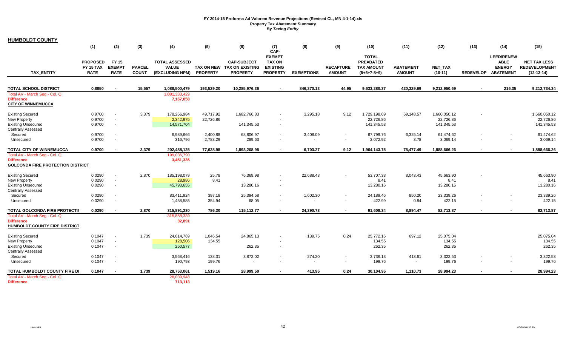| (1)<br>(2)<br>(3)<br>(5)<br>(6)<br>(8)<br>(9)<br>(15)<br>(4)<br>(7)<br>(10)<br>(11)<br>(12)<br>(13)<br>(14)<br>CAP-<br><b>EXEMPT</b><br><b>TOTAL</b><br><b>LEED/RENEW</b><br><b>PROPOSED</b><br>TOTAL ASSESSED<br><b>CAP-SUBJECT</b><br><b>PREABATED</b><br><b>ABLE</b><br><b>NET TAX LESS</b><br><b>FY 15</b><br><b>TAX ON</b><br><b>VALUE</b><br><b>FY 15 TAX</b><br><b>EXEMPT</b><br><b>PARCEL</b><br>TAX ON NEW TAX ON EXISTING<br><b>EXISTING</b><br><b>RECAPTURE</b><br><b>TAX AMOUNT</b><br><b>ABATEMENT</b><br>NET_TAX<br><b>ENERGY</b><br><b>REDEVELOPMENT</b><br><b>TAX ENTITY</b><br><b>RATE</b><br><b>RATE</b><br><b>COUNT</b><br>(EXCLUDING NPM)<br><b>PROPERTY</b><br><b>PROPERTY</b><br><b>PROPERTY</b><br><b>EXEMPTIONS</b><br><b>AMOUNT</b><br><b>AMOUNT</b><br>REDEVELOP ABATEMENT<br>$(5+6+7-8+9)$<br>$(10-11)$<br>$(12-13-14)$<br><b>TOTAL SCHOOL DISTRICT</b><br>0.8850<br>15,557<br>1,088,500,479<br>193,529.20<br>10,285,976.36<br>846,270.13<br>44.95<br>9,633,280.37<br>420,329.69<br>9,212,950.69<br>216.35<br>9,212,734.34<br>$\sim$<br>$\blacksquare$<br>Total AV - March Seg - Col. Q<br>1,081,333,429<br>7,167,050<br><b>Difference</b><br><b>CITY OF WINNEMUCCA</b><br>3,379<br><b>Existing Secured</b><br>0.9700<br>178,266,984<br>49,717.92<br>1,682,766.83<br>3,295.18<br>9.12<br>1,729,198.69<br>69,148.57<br>1,660,050.12<br>1,660,050.12<br>22,726.86<br>22,726.86<br>22,726.86<br>22,726.86<br><b>New Property</b><br>0.9700<br>2,342,975<br>14,571,704<br>141,345.53<br>141,345.53<br>141,345.53<br><b>Existing Unsecured</b><br>0.9700<br>141,345.53<br>$\overline{\phantom{a}}$<br><b>Centrally Assessed</b><br>0.9700<br>2,400.88<br>3,408.09<br>6,325.14<br>61,474.62<br>61,474.62<br>6,989,666<br>68,806.97<br>67,799.76<br>Secured<br>$\sim$<br>316,796<br>2,783.29<br>289.63<br>3,072.92<br>3.78<br>3,069.14<br>3,069.14<br>0.9700<br>Unsecured<br>$\sim$<br>0.9700<br>3,379<br>202,488,125<br>1,893,208.95<br>6,703.27<br>75,477.49<br>1,888,666.26<br>1,888,666.26<br><b>TOTAL CITY OF WINNEMUCCA</b><br>77,628.95<br>9.12<br>1,964,143.75<br>$\overline{\phantom{a}}$<br>Total AV - March Seg - Col. Q<br>199,036,790<br>3,451,335<br><b>Difference</b><br><b>GOLCONDA FIRE PROTECTION DISTRICT</b><br><b>Existing Secured</b><br>0.0290<br>2,870<br>76,369.98<br>22,688.43<br>53,707.33<br>45,663.90<br>45,663.90<br>185,198,079<br>25.78<br>8,043.43<br>0.0290<br>28,986<br>8.41<br>8.41<br><b>New Property</b><br>8.41<br>8.41<br>13,280.16<br>13,280.16<br>13,280.16<br>13,280.16<br><b>Existing Unsecured</b><br>0.0290<br>45,793,655<br>$\overline{\phantom{a}}$<br>$\overline{\phantom{a}}$<br><b>Centrally Assessed</b><br>0.0290<br>397.18<br>25,394.58<br>1,602.30<br>24,189.46<br>850.20<br>23,339.26<br>23,339.26<br>Secured<br>83,411,924<br>0.0290<br>68.05<br>422.15<br>422.15<br>1,458,585<br>354.94<br>422.99<br>0.84<br>Unsecured<br>$\overline{\phantom{a}}$<br>$\blacksquare$<br>$\sim$<br>TOTAL GOLCONDA FIRE PROTECTIC<br>0.0290<br>2,870<br>315,891,230<br>786.30<br>115,112.77<br>24,290.73<br>91,608.34<br>8,894.47<br>82,713.87<br>82,713.87<br>$\sim$<br>$\sim$<br>$\sim$<br>$\sim$<br>$\overline{\phantom{a}}$<br>Total AV - March Seg - Col. Q<br>315,858,339<br>32,891<br><b>Difference</b><br><b>HUMBOLDT COUNTY FIRE DISTRICT</b><br>139.75<br>0.1047<br>1,739<br>24,614,769<br>1,046.54<br>24,865.13<br>0.24<br>25,772.16<br>697.12<br>25,075.04<br>25,075.04<br><b>Existing Secured</b><br>134.55<br>134.55<br>134.55<br>0.1047<br>128,506<br>134.55<br><b>New Property</b><br>$\sim$<br>262.35<br>262.35<br>262.35<br>0.1047<br>250,577<br>262.35<br><b>Existing Unsecured</b><br>$\overline{a}$<br><b>Centrally Assessed</b><br>3,872.02<br>274.20<br>413.61<br>3,322.53<br>3,322.53<br>Secured<br>0.1047<br>3,568,416<br>138.31<br>3,736.13<br>$\blacksquare$<br>$\overline{\phantom{a}}$<br>0.1047<br>190,793<br>199.76<br>199.76<br>199.76<br>199.76<br>Unsecured<br>$\sim$<br>$\sim$<br>$\sim$<br>$\sim$<br>$\overline{\phantom{a}}$<br>$\overline{a}$<br>TOTAL HUMBOLDT COUNTY FIRE DI<br>1,739<br>0.24<br>0.1047<br>28,753,061<br>1,519.16<br>28,999.50<br>413.95<br>30,104.95<br>1,110.73<br>28,994.23<br>28,994.23<br>$\overline{\phantom{a}}$<br>$\overline{\phantom{a}}$<br>$\overline{\phantom{a}}$<br>Total AV - March Seg - Col. Q<br>28,039,948<br>713,113<br><b>Difference</b> | <b>HUMBOLDT COUNTY</b> |  |  |  |  |  |  |  |  |
|------------------------------------------------------------------------------------------------------------------------------------------------------------------------------------------------------------------------------------------------------------------------------------------------------------------------------------------------------------------------------------------------------------------------------------------------------------------------------------------------------------------------------------------------------------------------------------------------------------------------------------------------------------------------------------------------------------------------------------------------------------------------------------------------------------------------------------------------------------------------------------------------------------------------------------------------------------------------------------------------------------------------------------------------------------------------------------------------------------------------------------------------------------------------------------------------------------------------------------------------------------------------------------------------------------------------------------------------------------------------------------------------------------------------------------------------------------------------------------------------------------------------------------------------------------------------------------------------------------------------------------------------------------------------------------------------------------------------------------------------------------------------------------------------------------------------------------------------------------------------------------------------------------------------------------------------------------------------------------------------------------------------------------------------------------------------------------------------------------------------------------------------------------------------------------------------------------------------------------------------------------------------------------------------------------------------------------------------------------------------------------------------------------------------------------------------------------------------------------------------------------------------------------------------------------------------------------------------------------------------------------------------------------------------------------------------------------------------------------------------------------------------------------------------------------------------------------------------------------------------------------------------------------------------------------------------------------------------------------------------------------------------------------------------------------------------------------------------------------------------------------------------------------------------------------------------------------------------------------------------------------------------------------------------------------------------------------------------------------------------------------------------------------------------------------------------------------------------------------------------------------------------------------------------------------------------------------------------------------------------------------------------------------------------------------------------------------------------------------------------------------------------------------------------------------------------------------------------------------------------------------------------------------------------------------------------------------------------------------------------------------------------------------------------------------------------------------------------------------------------------------------------------------------------------------------------------------------------------------------------------------------------------------------------------------------------------------------------------------------------------------|------------------------|--|--|--|--|--|--|--|--|
|                                                                                                                                                                                                                                                                                                                                                                                                                                                                                                                                                                                                                                                                                                                                                                                                                                                                                                                                                                                                                                                                                                                                                                                                                                                                                                                                                                                                                                                                                                                                                                                                                                                                                                                                                                                                                                                                                                                                                                                                                                                                                                                                                                                                                                                                                                                                                                                                                                                                                                                                                                                                                                                                                                                                                                                                                                                                                                                                                                                                                                                                                                                                                                                                                                                                                                                                                                                                                                                                                                                                                                                                                                                                                                                                                                                                                                                                                                                                                                                                                                                                                                                                                                                                                                                                                                                                                                                    |                        |  |  |  |  |  |  |  |  |
|                                                                                                                                                                                                                                                                                                                                                                                                                                                                                                                                                                                                                                                                                                                                                                                                                                                                                                                                                                                                                                                                                                                                                                                                                                                                                                                                                                                                                                                                                                                                                                                                                                                                                                                                                                                                                                                                                                                                                                                                                                                                                                                                                                                                                                                                                                                                                                                                                                                                                                                                                                                                                                                                                                                                                                                                                                                                                                                                                                                                                                                                                                                                                                                                                                                                                                                                                                                                                                                                                                                                                                                                                                                                                                                                                                                                                                                                                                                                                                                                                                                                                                                                                                                                                                                                                                                                                                                    |                        |  |  |  |  |  |  |  |  |
|                                                                                                                                                                                                                                                                                                                                                                                                                                                                                                                                                                                                                                                                                                                                                                                                                                                                                                                                                                                                                                                                                                                                                                                                                                                                                                                                                                                                                                                                                                                                                                                                                                                                                                                                                                                                                                                                                                                                                                                                                                                                                                                                                                                                                                                                                                                                                                                                                                                                                                                                                                                                                                                                                                                                                                                                                                                                                                                                                                                                                                                                                                                                                                                                                                                                                                                                                                                                                                                                                                                                                                                                                                                                                                                                                                                                                                                                                                                                                                                                                                                                                                                                                                                                                                                                                                                                                                                    |                        |  |  |  |  |  |  |  |  |
|                                                                                                                                                                                                                                                                                                                                                                                                                                                                                                                                                                                                                                                                                                                                                                                                                                                                                                                                                                                                                                                                                                                                                                                                                                                                                                                                                                                                                                                                                                                                                                                                                                                                                                                                                                                                                                                                                                                                                                                                                                                                                                                                                                                                                                                                                                                                                                                                                                                                                                                                                                                                                                                                                                                                                                                                                                                                                                                                                                                                                                                                                                                                                                                                                                                                                                                                                                                                                                                                                                                                                                                                                                                                                                                                                                                                                                                                                                                                                                                                                                                                                                                                                                                                                                                                                                                                                                                    |                        |  |  |  |  |  |  |  |  |
|                                                                                                                                                                                                                                                                                                                                                                                                                                                                                                                                                                                                                                                                                                                                                                                                                                                                                                                                                                                                                                                                                                                                                                                                                                                                                                                                                                                                                                                                                                                                                                                                                                                                                                                                                                                                                                                                                                                                                                                                                                                                                                                                                                                                                                                                                                                                                                                                                                                                                                                                                                                                                                                                                                                                                                                                                                                                                                                                                                                                                                                                                                                                                                                                                                                                                                                                                                                                                                                                                                                                                                                                                                                                                                                                                                                                                                                                                                                                                                                                                                                                                                                                                                                                                                                                                                                                                                                    |                        |  |  |  |  |  |  |  |  |
|                                                                                                                                                                                                                                                                                                                                                                                                                                                                                                                                                                                                                                                                                                                                                                                                                                                                                                                                                                                                                                                                                                                                                                                                                                                                                                                                                                                                                                                                                                                                                                                                                                                                                                                                                                                                                                                                                                                                                                                                                                                                                                                                                                                                                                                                                                                                                                                                                                                                                                                                                                                                                                                                                                                                                                                                                                                                                                                                                                                                                                                                                                                                                                                                                                                                                                                                                                                                                                                                                                                                                                                                                                                                                                                                                                                                                                                                                                                                                                                                                                                                                                                                                                                                                                                                                                                                                                                    |                        |  |  |  |  |  |  |  |  |
|                                                                                                                                                                                                                                                                                                                                                                                                                                                                                                                                                                                                                                                                                                                                                                                                                                                                                                                                                                                                                                                                                                                                                                                                                                                                                                                                                                                                                                                                                                                                                                                                                                                                                                                                                                                                                                                                                                                                                                                                                                                                                                                                                                                                                                                                                                                                                                                                                                                                                                                                                                                                                                                                                                                                                                                                                                                                                                                                                                                                                                                                                                                                                                                                                                                                                                                                                                                                                                                                                                                                                                                                                                                                                                                                                                                                                                                                                                                                                                                                                                                                                                                                                                                                                                                                                                                                                                                    |                        |  |  |  |  |  |  |  |  |
|                                                                                                                                                                                                                                                                                                                                                                                                                                                                                                                                                                                                                                                                                                                                                                                                                                                                                                                                                                                                                                                                                                                                                                                                                                                                                                                                                                                                                                                                                                                                                                                                                                                                                                                                                                                                                                                                                                                                                                                                                                                                                                                                                                                                                                                                                                                                                                                                                                                                                                                                                                                                                                                                                                                                                                                                                                                                                                                                                                                                                                                                                                                                                                                                                                                                                                                                                                                                                                                                                                                                                                                                                                                                                                                                                                                                                                                                                                                                                                                                                                                                                                                                                                                                                                                                                                                                                                                    |                        |  |  |  |  |  |  |  |  |
|                                                                                                                                                                                                                                                                                                                                                                                                                                                                                                                                                                                                                                                                                                                                                                                                                                                                                                                                                                                                                                                                                                                                                                                                                                                                                                                                                                                                                                                                                                                                                                                                                                                                                                                                                                                                                                                                                                                                                                                                                                                                                                                                                                                                                                                                                                                                                                                                                                                                                                                                                                                                                                                                                                                                                                                                                                                                                                                                                                                                                                                                                                                                                                                                                                                                                                                                                                                                                                                                                                                                                                                                                                                                                                                                                                                                                                                                                                                                                                                                                                                                                                                                                                                                                                                                                                                                                                                    |                        |  |  |  |  |  |  |  |  |
|                                                                                                                                                                                                                                                                                                                                                                                                                                                                                                                                                                                                                                                                                                                                                                                                                                                                                                                                                                                                                                                                                                                                                                                                                                                                                                                                                                                                                                                                                                                                                                                                                                                                                                                                                                                                                                                                                                                                                                                                                                                                                                                                                                                                                                                                                                                                                                                                                                                                                                                                                                                                                                                                                                                                                                                                                                                                                                                                                                                                                                                                                                                                                                                                                                                                                                                                                                                                                                                                                                                                                                                                                                                                                                                                                                                                                                                                                                                                                                                                                                                                                                                                                                                                                                                                                                                                                                                    |                        |  |  |  |  |  |  |  |  |
|                                                                                                                                                                                                                                                                                                                                                                                                                                                                                                                                                                                                                                                                                                                                                                                                                                                                                                                                                                                                                                                                                                                                                                                                                                                                                                                                                                                                                                                                                                                                                                                                                                                                                                                                                                                                                                                                                                                                                                                                                                                                                                                                                                                                                                                                                                                                                                                                                                                                                                                                                                                                                                                                                                                                                                                                                                                                                                                                                                                                                                                                                                                                                                                                                                                                                                                                                                                                                                                                                                                                                                                                                                                                                                                                                                                                                                                                                                                                                                                                                                                                                                                                                                                                                                                                                                                                                                                    |                        |  |  |  |  |  |  |  |  |
|                                                                                                                                                                                                                                                                                                                                                                                                                                                                                                                                                                                                                                                                                                                                                                                                                                                                                                                                                                                                                                                                                                                                                                                                                                                                                                                                                                                                                                                                                                                                                                                                                                                                                                                                                                                                                                                                                                                                                                                                                                                                                                                                                                                                                                                                                                                                                                                                                                                                                                                                                                                                                                                                                                                                                                                                                                                                                                                                                                                                                                                                                                                                                                                                                                                                                                                                                                                                                                                                                                                                                                                                                                                                                                                                                                                                                                                                                                                                                                                                                                                                                                                                                                                                                                                                                                                                                                                    |                        |  |  |  |  |  |  |  |  |
|                                                                                                                                                                                                                                                                                                                                                                                                                                                                                                                                                                                                                                                                                                                                                                                                                                                                                                                                                                                                                                                                                                                                                                                                                                                                                                                                                                                                                                                                                                                                                                                                                                                                                                                                                                                                                                                                                                                                                                                                                                                                                                                                                                                                                                                                                                                                                                                                                                                                                                                                                                                                                                                                                                                                                                                                                                                                                                                                                                                                                                                                                                                                                                                                                                                                                                                                                                                                                                                                                                                                                                                                                                                                                                                                                                                                                                                                                                                                                                                                                                                                                                                                                                                                                                                                                                                                                                                    |                        |  |  |  |  |  |  |  |  |
|                                                                                                                                                                                                                                                                                                                                                                                                                                                                                                                                                                                                                                                                                                                                                                                                                                                                                                                                                                                                                                                                                                                                                                                                                                                                                                                                                                                                                                                                                                                                                                                                                                                                                                                                                                                                                                                                                                                                                                                                                                                                                                                                                                                                                                                                                                                                                                                                                                                                                                                                                                                                                                                                                                                                                                                                                                                                                                                                                                                                                                                                                                                                                                                                                                                                                                                                                                                                                                                                                                                                                                                                                                                                                                                                                                                                                                                                                                                                                                                                                                                                                                                                                                                                                                                                                                                                                                                    |                        |  |  |  |  |  |  |  |  |
|                                                                                                                                                                                                                                                                                                                                                                                                                                                                                                                                                                                                                                                                                                                                                                                                                                                                                                                                                                                                                                                                                                                                                                                                                                                                                                                                                                                                                                                                                                                                                                                                                                                                                                                                                                                                                                                                                                                                                                                                                                                                                                                                                                                                                                                                                                                                                                                                                                                                                                                                                                                                                                                                                                                                                                                                                                                                                                                                                                                                                                                                                                                                                                                                                                                                                                                                                                                                                                                                                                                                                                                                                                                                                                                                                                                                                                                                                                                                                                                                                                                                                                                                                                                                                                                                                                                                                                                    |                        |  |  |  |  |  |  |  |  |
|                                                                                                                                                                                                                                                                                                                                                                                                                                                                                                                                                                                                                                                                                                                                                                                                                                                                                                                                                                                                                                                                                                                                                                                                                                                                                                                                                                                                                                                                                                                                                                                                                                                                                                                                                                                                                                                                                                                                                                                                                                                                                                                                                                                                                                                                                                                                                                                                                                                                                                                                                                                                                                                                                                                                                                                                                                                                                                                                                                                                                                                                                                                                                                                                                                                                                                                                                                                                                                                                                                                                                                                                                                                                                                                                                                                                                                                                                                                                                                                                                                                                                                                                                                                                                                                                                                                                                                                    |                        |  |  |  |  |  |  |  |  |
|                                                                                                                                                                                                                                                                                                                                                                                                                                                                                                                                                                                                                                                                                                                                                                                                                                                                                                                                                                                                                                                                                                                                                                                                                                                                                                                                                                                                                                                                                                                                                                                                                                                                                                                                                                                                                                                                                                                                                                                                                                                                                                                                                                                                                                                                                                                                                                                                                                                                                                                                                                                                                                                                                                                                                                                                                                                                                                                                                                                                                                                                                                                                                                                                                                                                                                                                                                                                                                                                                                                                                                                                                                                                                                                                                                                                                                                                                                                                                                                                                                                                                                                                                                                                                                                                                                                                                                                    |                        |  |  |  |  |  |  |  |  |
|                                                                                                                                                                                                                                                                                                                                                                                                                                                                                                                                                                                                                                                                                                                                                                                                                                                                                                                                                                                                                                                                                                                                                                                                                                                                                                                                                                                                                                                                                                                                                                                                                                                                                                                                                                                                                                                                                                                                                                                                                                                                                                                                                                                                                                                                                                                                                                                                                                                                                                                                                                                                                                                                                                                                                                                                                                                                                                                                                                                                                                                                                                                                                                                                                                                                                                                                                                                                                                                                                                                                                                                                                                                                                                                                                                                                                                                                                                                                                                                                                                                                                                                                                                                                                                                                                                                                                                                    |                        |  |  |  |  |  |  |  |  |
|                                                                                                                                                                                                                                                                                                                                                                                                                                                                                                                                                                                                                                                                                                                                                                                                                                                                                                                                                                                                                                                                                                                                                                                                                                                                                                                                                                                                                                                                                                                                                                                                                                                                                                                                                                                                                                                                                                                                                                                                                                                                                                                                                                                                                                                                                                                                                                                                                                                                                                                                                                                                                                                                                                                                                                                                                                                                                                                                                                                                                                                                                                                                                                                                                                                                                                                                                                                                                                                                                                                                                                                                                                                                                                                                                                                                                                                                                                                                                                                                                                                                                                                                                                                                                                                                                                                                                                                    |                        |  |  |  |  |  |  |  |  |
|                                                                                                                                                                                                                                                                                                                                                                                                                                                                                                                                                                                                                                                                                                                                                                                                                                                                                                                                                                                                                                                                                                                                                                                                                                                                                                                                                                                                                                                                                                                                                                                                                                                                                                                                                                                                                                                                                                                                                                                                                                                                                                                                                                                                                                                                                                                                                                                                                                                                                                                                                                                                                                                                                                                                                                                                                                                                                                                                                                                                                                                                                                                                                                                                                                                                                                                                                                                                                                                                                                                                                                                                                                                                                                                                                                                                                                                                                                                                                                                                                                                                                                                                                                                                                                                                                                                                                                                    |                        |  |  |  |  |  |  |  |  |
|                                                                                                                                                                                                                                                                                                                                                                                                                                                                                                                                                                                                                                                                                                                                                                                                                                                                                                                                                                                                                                                                                                                                                                                                                                                                                                                                                                                                                                                                                                                                                                                                                                                                                                                                                                                                                                                                                                                                                                                                                                                                                                                                                                                                                                                                                                                                                                                                                                                                                                                                                                                                                                                                                                                                                                                                                                                                                                                                                                                                                                                                                                                                                                                                                                                                                                                                                                                                                                                                                                                                                                                                                                                                                                                                                                                                                                                                                                                                                                                                                                                                                                                                                                                                                                                                                                                                                                                    |                        |  |  |  |  |  |  |  |  |
|                                                                                                                                                                                                                                                                                                                                                                                                                                                                                                                                                                                                                                                                                                                                                                                                                                                                                                                                                                                                                                                                                                                                                                                                                                                                                                                                                                                                                                                                                                                                                                                                                                                                                                                                                                                                                                                                                                                                                                                                                                                                                                                                                                                                                                                                                                                                                                                                                                                                                                                                                                                                                                                                                                                                                                                                                                                                                                                                                                                                                                                                                                                                                                                                                                                                                                                                                                                                                                                                                                                                                                                                                                                                                                                                                                                                                                                                                                                                                                                                                                                                                                                                                                                                                                                                                                                                                                                    |                        |  |  |  |  |  |  |  |  |
|                                                                                                                                                                                                                                                                                                                                                                                                                                                                                                                                                                                                                                                                                                                                                                                                                                                                                                                                                                                                                                                                                                                                                                                                                                                                                                                                                                                                                                                                                                                                                                                                                                                                                                                                                                                                                                                                                                                                                                                                                                                                                                                                                                                                                                                                                                                                                                                                                                                                                                                                                                                                                                                                                                                                                                                                                                                                                                                                                                                                                                                                                                                                                                                                                                                                                                                                                                                                                                                                                                                                                                                                                                                                                                                                                                                                                                                                                                                                                                                                                                                                                                                                                                                                                                                                                                                                                                                    |                        |  |  |  |  |  |  |  |  |
|                                                                                                                                                                                                                                                                                                                                                                                                                                                                                                                                                                                                                                                                                                                                                                                                                                                                                                                                                                                                                                                                                                                                                                                                                                                                                                                                                                                                                                                                                                                                                                                                                                                                                                                                                                                                                                                                                                                                                                                                                                                                                                                                                                                                                                                                                                                                                                                                                                                                                                                                                                                                                                                                                                                                                                                                                                                                                                                                                                                                                                                                                                                                                                                                                                                                                                                                                                                                                                                                                                                                                                                                                                                                                                                                                                                                                                                                                                                                                                                                                                                                                                                                                                                                                                                                                                                                                                                    |                        |  |  |  |  |  |  |  |  |
|                                                                                                                                                                                                                                                                                                                                                                                                                                                                                                                                                                                                                                                                                                                                                                                                                                                                                                                                                                                                                                                                                                                                                                                                                                                                                                                                                                                                                                                                                                                                                                                                                                                                                                                                                                                                                                                                                                                                                                                                                                                                                                                                                                                                                                                                                                                                                                                                                                                                                                                                                                                                                                                                                                                                                                                                                                                                                                                                                                                                                                                                                                                                                                                                                                                                                                                                                                                                                                                                                                                                                                                                                                                                                                                                                                                                                                                                                                                                                                                                                                                                                                                                                                                                                                                                                                                                                                                    |                        |  |  |  |  |  |  |  |  |
|                                                                                                                                                                                                                                                                                                                                                                                                                                                                                                                                                                                                                                                                                                                                                                                                                                                                                                                                                                                                                                                                                                                                                                                                                                                                                                                                                                                                                                                                                                                                                                                                                                                                                                                                                                                                                                                                                                                                                                                                                                                                                                                                                                                                                                                                                                                                                                                                                                                                                                                                                                                                                                                                                                                                                                                                                                                                                                                                                                                                                                                                                                                                                                                                                                                                                                                                                                                                                                                                                                                                                                                                                                                                                                                                                                                                                                                                                                                                                                                                                                                                                                                                                                                                                                                                                                                                                                                    |                        |  |  |  |  |  |  |  |  |
|                                                                                                                                                                                                                                                                                                                                                                                                                                                                                                                                                                                                                                                                                                                                                                                                                                                                                                                                                                                                                                                                                                                                                                                                                                                                                                                                                                                                                                                                                                                                                                                                                                                                                                                                                                                                                                                                                                                                                                                                                                                                                                                                                                                                                                                                                                                                                                                                                                                                                                                                                                                                                                                                                                                                                                                                                                                                                                                                                                                                                                                                                                                                                                                                                                                                                                                                                                                                                                                                                                                                                                                                                                                                                                                                                                                                                                                                                                                                                                                                                                                                                                                                                                                                                                                                                                                                                                                    |                        |  |  |  |  |  |  |  |  |
|                                                                                                                                                                                                                                                                                                                                                                                                                                                                                                                                                                                                                                                                                                                                                                                                                                                                                                                                                                                                                                                                                                                                                                                                                                                                                                                                                                                                                                                                                                                                                                                                                                                                                                                                                                                                                                                                                                                                                                                                                                                                                                                                                                                                                                                                                                                                                                                                                                                                                                                                                                                                                                                                                                                                                                                                                                                                                                                                                                                                                                                                                                                                                                                                                                                                                                                                                                                                                                                                                                                                                                                                                                                                                                                                                                                                                                                                                                                                                                                                                                                                                                                                                                                                                                                                                                                                                                                    |                        |  |  |  |  |  |  |  |  |
|                                                                                                                                                                                                                                                                                                                                                                                                                                                                                                                                                                                                                                                                                                                                                                                                                                                                                                                                                                                                                                                                                                                                                                                                                                                                                                                                                                                                                                                                                                                                                                                                                                                                                                                                                                                                                                                                                                                                                                                                                                                                                                                                                                                                                                                                                                                                                                                                                                                                                                                                                                                                                                                                                                                                                                                                                                                                                                                                                                                                                                                                                                                                                                                                                                                                                                                                                                                                                                                                                                                                                                                                                                                                                                                                                                                                                                                                                                                                                                                                                                                                                                                                                                                                                                                                                                                                                                                    |                        |  |  |  |  |  |  |  |  |
|                                                                                                                                                                                                                                                                                                                                                                                                                                                                                                                                                                                                                                                                                                                                                                                                                                                                                                                                                                                                                                                                                                                                                                                                                                                                                                                                                                                                                                                                                                                                                                                                                                                                                                                                                                                                                                                                                                                                                                                                                                                                                                                                                                                                                                                                                                                                                                                                                                                                                                                                                                                                                                                                                                                                                                                                                                                                                                                                                                                                                                                                                                                                                                                                                                                                                                                                                                                                                                                                                                                                                                                                                                                                                                                                                                                                                                                                                                                                                                                                                                                                                                                                                                                                                                                                                                                                                                                    |                        |  |  |  |  |  |  |  |  |
|                                                                                                                                                                                                                                                                                                                                                                                                                                                                                                                                                                                                                                                                                                                                                                                                                                                                                                                                                                                                                                                                                                                                                                                                                                                                                                                                                                                                                                                                                                                                                                                                                                                                                                                                                                                                                                                                                                                                                                                                                                                                                                                                                                                                                                                                                                                                                                                                                                                                                                                                                                                                                                                                                                                                                                                                                                                                                                                                                                                                                                                                                                                                                                                                                                                                                                                                                                                                                                                                                                                                                                                                                                                                                                                                                                                                                                                                                                                                                                                                                                                                                                                                                                                                                                                                                                                                                                                    |                        |  |  |  |  |  |  |  |  |
|                                                                                                                                                                                                                                                                                                                                                                                                                                                                                                                                                                                                                                                                                                                                                                                                                                                                                                                                                                                                                                                                                                                                                                                                                                                                                                                                                                                                                                                                                                                                                                                                                                                                                                                                                                                                                                                                                                                                                                                                                                                                                                                                                                                                                                                                                                                                                                                                                                                                                                                                                                                                                                                                                                                                                                                                                                                                                                                                                                                                                                                                                                                                                                                                                                                                                                                                                                                                                                                                                                                                                                                                                                                                                                                                                                                                                                                                                                                                                                                                                                                                                                                                                                                                                                                                                                                                                                                    |                        |  |  |  |  |  |  |  |  |
|                                                                                                                                                                                                                                                                                                                                                                                                                                                                                                                                                                                                                                                                                                                                                                                                                                                                                                                                                                                                                                                                                                                                                                                                                                                                                                                                                                                                                                                                                                                                                                                                                                                                                                                                                                                                                                                                                                                                                                                                                                                                                                                                                                                                                                                                                                                                                                                                                                                                                                                                                                                                                                                                                                                                                                                                                                                                                                                                                                                                                                                                                                                                                                                                                                                                                                                                                                                                                                                                                                                                                                                                                                                                                                                                                                                                                                                                                                                                                                                                                                                                                                                                                                                                                                                                                                                                                                                    |                        |  |  |  |  |  |  |  |  |
|                                                                                                                                                                                                                                                                                                                                                                                                                                                                                                                                                                                                                                                                                                                                                                                                                                                                                                                                                                                                                                                                                                                                                                                                                                                                                                                                                                                                                                                                                                                                                                                                                                                                                                                                                                                                                                                                                                                                                                                                                                                                                                                                                                                                                                                                                                                                                                                                                                                                                                                                                                                                                                                                                                                                                                                                                                                                                                                                                                                                                                                                                                                                                                                                                                                                                                                                                                                                                                                                                                                                                                                                                                                                                                                                                                                                                                                                                                                                                                                                                                                                                                                                                                                                                                                                                                                                                                                    |                        |  |  |  |  |  |  |  |  |
|                                                                                                                                                                                                                                                                                                                                                                                                                                                                                                                                                                                                                                                                                                                                                                                                                                                                                                                                                                                                                                                                                                                                                                                                                                                                                                                                                                                                                                                                                                                                                                                                                                                                                                                                                                                                                                                                                                                                                                                                                                                                                                                                                                                                                                                                                                                                                                                                                                                                                                                                                                                                                                                                                                                                                                                                                                                                                                                                                                                                                                                                                                                                                                                                                                                                                                                                                                                                                                                                                                                                                                                                                                                                                                                                                                                                                                                                                                                                                                                                                                                                                                                                                                                                                                                                                                                                                                                    |                        |  |  |  |  |  |  |  |  |
|                                                                                                                                                                                                                                                                                                                                                                                                                                                                                                                                                                                                                                                                                                                                                                                                                                                                                                                                                                                                                                                                                                                                                                                                                                                                                                                                                                                                                                                                                                                                                                                                                                                                                                                                                                                                                                                                                                                                                                                                                                                                                                                                                                                                                                                                                                                                                                                                                                                                                                                                                                                                                                                                                                                                                                                                                                                                                                                                                                                                                                                                                                                                                                                                                                                                                                                                                                                                                                                                                                                                                                                                                                                                                                                                                                                                                                                                                                                                                                                                                                                                                                                                                                                                                                                                                                                                                                                    |                        |  |  |  |  |  |  |  |  |
|                                                                                                                                                                                                                                                                                                                                                                                                                                                                                                                                                                                                                                                                                                                                                                                                                                                                                                                                                                                                                                                                                                                                                                                                                                                                                                                                                                                                                                                                                                                                                                                                                                                                                                                                                                                                                                                                                                                                                                                                                                                                                                                                                                                                                                                                                                                                                                                                                                                                                                                                                                                                                                                                                                                                                                                                                                                                                                                                                                                                                                                                                                                                                                                                                                                                                                                                                                                                                                                                                                                                                                                                                                                                                                                                                                                                                                                                                                                                                                                                                                                                                                                                                                                                                                                                                                                                                                                    |                        |  |  |  |  |  |  |  |  |
|                                                                                                                                                                                                                                                                                                                                                                                                                                                                                                                                                                                                                                                                                                                                                                                                                                                                                                                                                                                                                                                                                                                                                                                                                                                                                                                                                                                                                                                                                                                                                                                                                                                                                                                                                                                                                                                                                                                                                                                                                                                                                                                                                                                                                                                                                                                                                                                                                                                                                                                                                                                                                                                                                                                                                                                                                                                                                                                                                                                                                                                                                                                                                                                                                                                                                                                                                                                                                                                                                                                                                                                                                                                                                                                                                                                                                                                                                                                                                                                                                                                                                                                                                                                                                                                                                                                                                                                    |                        |  |  |  |  |  |  |  |  |

Humboldt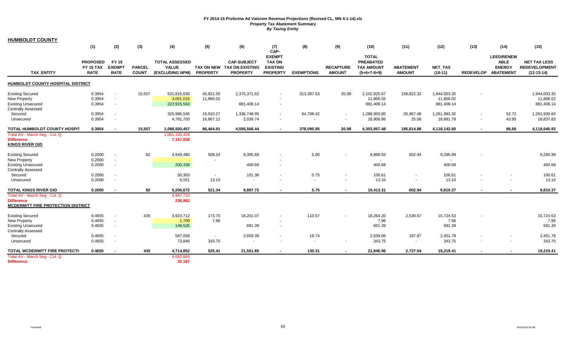**HUMBOLDT COUNTY**

|                                                                                                          | (1)                                                | (2)                                          | (3)                           | (4)                                                      | (5)                    | (6)                                                                 | (7)<br>CAP-                                                          | (8)                                   | (9)                                                  | (10)                                                                   | (11)                               | (12)                                    | (13)                                       | (14)                                                                  | (15)                                                        |
|----------------------------------------------------------------------------------------------------------|----------------------------------------------------|----------------------------------------------|-------------------------------|----------------------------------------------------------|------------------------|---------------------------------------------------------------------|----------------------------------------------------------------------|---------------------------------------|------------------------------------------------------|------------------------------------------------------------------------|------------------------------------|-----------------------------------------|--------------------------------------------|-----------------------------------------------------------------------|-------------------------------------------------------------|
| <b>TAX ENTITY</b>                                                                                        | <b>PROPOSED</b><br><b>FY 15 TAX</b><br><b>RATE</b> | <b>FY 15</b><br><b>EXEMPT</b><br><b>RATE</b> | <b>PARCEL</b><br><b>COUNT</b> | <b>TOTAL ASSESSED</b><br><b>VALUE</b><br>(EXCLUDING NPM) | <b>PROPERTY</b>        | <b>CAP-SUBJECT</b><br>TAX ON NEW TAX ON EXISTING<br><b>PROPERTY</b> | <b>EXEMPT</b><br><b>TAX ON</b><br><b>EXISTING</b><br><b>PROPERTY</b> | <b>EXEMPTIONS</b>                     | <b>RECAPTURE</b><br><b>AMOUNT</b>                    | <b>TOTAL</b><br><b>PREABATED</b><br><b>TAX AMOUNT</b><br>$(5+6+7-8+9)$ | <b>ABATEMENT</b><br><b>AMOUNT</b>  | <b>NET TAX</b><br>$(10-11)$             | <b>REDEVELOP</b>                           | <b>LEED/RENEW</b><br><b>ABLE</b><br><b>ENERGY</b><br><b>ABATEMENT</b> | <b>NET TAX LESS</b><br><b>REDEVELOPMENT</b><br>$(12-13-14)$ |
| HUMBOLDT COUNTY HOSPITAL DISTRICT                                                                        |                                                    |                                              |                               |                                                          |                        |                                                                     |                                                                      |                                       |                                                      |                                                                        |                                    |                                         |                                            |                                                                       |                                                             |
| <b>Existing Secured</b><br><b>New Property</b><br><b>Existing Unsecured</b><br><b>Centrally Assessed</b> | 0.3954<br>0.3954<br>0.3954                         | $\overline{a}$<br>$\sim$<br>$\sim$           | 15,557                        | 531,815,630<br>3,001,016<br>222,915,563                  | 40,821.50<br>11,866.02 | 2,375,371.62<br>881,408.14                                          | $\sim$                                                               | 313,387.53                            | 20.08                                                | 2,102,825.67<br>11,866.02<br>881,408.14                                | 158,822.32                         | 1,944,003.35<br>11,866.02<br>881,408.14 |                                            |                                                                       | 1,944,003.35<br>11,866.02<br>881,408.14                     |
| Secured<br>Unsecured                                                                                     | 0.3954<br>0.3954                                   | $\sim$                                       |                               | 325,986,545<br>4,781,703                                 | 16,910.27<br>16,867.12 | 1,336,748.95<br>2,039.74                                            | $\overline{\phantom{a}}$                                             | 64,708.42<br>$\overline{\phantom{a}}$ | $\overline{\phantom{a}}$<br>$\overline{\phantom{a}}$ | 1,288,950.80<br>18,906.86                                              | 26,967.48<br>25.08                 | 1,261,983.32<br>18,881.78               | $\overline{a}$<br>$\overline{\phantom{0}}$ | 52.72<br>43.95                                                        | 1,261,930.60<br>18,837.83                                   |
| TOTAL HUMBOLDT COUNTY HOSPIT                                                                             | 0.3954                                             |                                              | 15,557                        | 1,088,500,457                                            | 86,464.91              | 4,595,568.44                                                        | $\sim$                                                               | 378,095.95                            | 20.08                                                | 4,303,957.48                                                           | 185,814.88                         | 4,118,142.60                            | $\sim$                                     | 96.66                                                                 | 4,118,045.93                                                |
| Total AV - March Seg - Col. Q<br><b>Difference</b><br><b>KINGS RIVER GID</b>                             |                                                    |                                              |                               | 1,081,333,429<br>7,167,028                               |                        |                                                                     |                                                                      |                                       |                                                      |                                                                        |                                    |                                         |                                            |                                                                       |                                                             |
| <b>Existing Secured</b><br><b>New Property</b>                                                           | 0.2000<br>0.2000                                   | $\sim$                                       | 82                            | 4,949,480                                                | 508.24                 | 9.395.69                                                            |                                                                      | 5.00                                  |                                                      | 9,898.93                                                               | 602.94                             | 9,295.99<br>$\overline{a}$              |                                            |                                                                       | 9,295.99                                                    |
| <b>Existing Unsecured</b><br><b>Centrally Assessed</b>                                                   | 0.2000                                             | $\sim$                                       |                               | 200,338                                                  |                        | 400.68                                                              | $\overline{\phantom{a}}$                                             |                                       |                                                      | 400.68                                                                 |                                    | 400.68                                  |                                            |                                                                       | 400.68                                                      |
| Secured<br>Unsecured                                                                                     | 0.2000<br>0.2000                                   | $\sim$<br>$\sim$                             |                               | 50,303<br>6,551                                          | $\sim$<br>13.10        | 101.36<br>$\overline{\phantom{a}}$                                  |                                                                      | 0.75<br>$\overline{\phantom{a}}$      | $\overline{\phantom{a}}$                             | 100.61<br>13.10                                                        | $\overline{\phantom{a}}$<br>$\sim$ | 100.61<br>13.10                         |                                            |                                                                       | 100.61<br>13.10                                             |
| <b>TOTAL KINGS RIVER GID</b>                                                                             | 0.2000                                             | $\overline{\phantom{a}}$                     | 82                            | 5,206,672                                                | 521.34                 | 9,897.72                                                            |                                                                      | 5.75                                  | $\sim$                                               | 10,413.31                                                              | 602.94                             | 9,810.37                                | $\sim$                                     | $\sim$                                                                | 9,810.37                                                    |
| Total AV - March Seg - Col. Q<br><b>Difference</b><br>MCDERMITT FIRE PROTECTION DISTRICT                 |                                                    |                                              |                               | 4,967,710<br>238,962                                     |                        |                                                                     |                                                                      |                                       |                                                      |                                                                        |                                    |                                         |                                            |                                                                       |                                                             |
| <b>Existing Secured</b><br><b>New Property</b><br><b>Existing Unsecured</b>                              | 0.4655<br>0.4655<br>0.4655                         | $\sim$<br>$\sim$                             | 435                           | 3,923,712<br>1,709<br>148,526                            | 173.70<br>7.96         | 18,201.07<br>691.39                                                 | $\overline{\phantom{a}}$<br>$\overline{\phantom{a}}$                 | 110.57                                | $\overline{\phantom{a}}$                             | 18,264.20<br>7.96<br>691.39                                            | 2,539.67                           | 15,724.53<br>7.96<br>691.39             |                                            |                                                                       | 15,724.53<br>7.96<br>691.39                                 |
| <b>Centrally Assessed</b><br>Secured<br>Unsecured                                                        | 0.4655<br>0.4655                                   | $\sim$<br>$\sim$                             |                               | 567,058<br>73,846                                        | $\sim$<br>343.75       | 2,659.39<br>$\blacksquare$                                          |                                                                      | 19.74<br>$\sim$                       | $\overline{\phantom{a}}$                             | 2,639.66<br>343.75                                                     | 187.87<br>$\sim$                   | 2,451.78<br>343.75                      |                                            |                                                                       | 2,451.78<br>343.75                                          |
| TOTAL MCDERMITT FIRE PROTECTI<br>Total AV - March Seg - Col. Q<br><b>Difference</b>                      | 0.4655                                             |                                              | 435                           | 4,714,852<br>4,682,665<br>32,187                         | 525.41                 | 21,551.85                                                           | $\sim$                                                               | 130.31                                | $\sim$                                               | 21,946.96                                                              | 2,727.54                           | 19,219.41                               | $\sim$                                     | $\sim$                                                                | 19,219.41                                                   |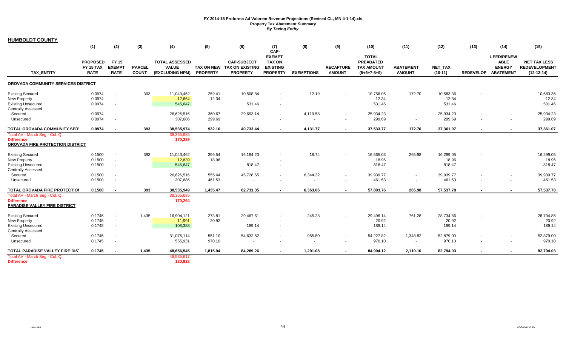**HUMBOLDT COUNTY**

|                                                                                                          | (1)                                                | (2)                                          | (3)                           | (4)                                                      | (5)              | (6)                                                                 | (7)<br>CAP-                                                          | (8)                                  | (9)                                                  | (10)                                                                   | (11)                                                 | (12)                         | (13)   | (14)                                                                     | (15)                                                        |
|----------------------------------------------------------------------------------------------------------|----------------------------------------------------|----------------------------------------------|-------------------------------|----------------------------------------------------------|------------------|---------------------------------------------------------------------|----------------------------------------------------------------------|--------------------------------------|------------------------------------------------------|------------------------------------------------------------------------|------------------------------------------------------|------------------------------|--------|--------------------------------------------------------------------------|-------------------------------------------------------------|
| <b>TAX ENTITY</b>                                                                                        | <b>PROPOSED</b><br><b>FY 15 TAX</b><br><b>RATE</b> | <b>FY 15</b><br><b>EXEMPT</b><br><b>RATE</b> | <b>PARCEL</b><br><b>COUNT</b> | <b>TOTAL ASSESSED</b><br><b>VALUE</b><br>(EXCLUDING NPM) | <b>PROPERTY</b>  | <b>CAP-SUBJECT</b><br>TAX ON NEW TAX ON EXISTING<br><b>PROPERTY</b> | <b>EXEMPT</b><br><b>TAX ON</b><br><b>EXISTING</b><br><b>PROPERTY</b> | <b>EXEMPTIONS</b>                    | <b>RECAPTURE</b><br><b>AMOUNT</b>                    | <b>TOTAL</b><br><b>PREABATED</b><br><b>TAX AMOUNT</b><br>$(5+6+7-8+9)$ | <b>ABATEMENT</b><br><b>AMOUNT</b>                    | <b>NET TAX</b><br>$(10-11)$  |        | <b>LEED/RENEW</b><br><b>ABLE</b><br><b>ENERGY</b><br>REDEVELOP ABATEMENT | <b>NET TAX LESS</b><br><b>REDEVELOPMENT</b><br>$(12-13-14)$ |
| OROVADA COMMUNITY SERVICES DISTRICT                                                                      |                                                    |                                              |                               |                                                          |                  |                                                                     |                                                                      |                                      |                                                      |                                                                        |                                                      |                              |        |                                                                          |                                                             |
| <b>Existing Secured</b><br><b>New Property</b><br><b>Existing Unsecured</b><br><b>Centrally Assessed</b> | 0.0974<br>0.0974<br>0.0974                         | $\sim$<br>$\sim$                             | 393                           | 11,043,462<br>12,664<br>545,647                          | 259.41<br>12.34  | 10,508.84<br>531.46                                                 | $\overline{\phantom{a}}$                                             | 12.19                                |                                                      | 10,756.06<br>12.34<br>531.46                                           | 172.70                                               | 10,583.36<br>12.34<br>531.46 |        |                                                                          | 10,583.36<br>12.34<br>531.46                                |
| Secured<br>Unsecured                                                                                     | 0.0974<br>0.0974                                   | $\overline{a}$<br>$\sim$                     |                               | 26,626,516<br>307,686                                    | 360.67<br>299.69 | 29,693.14<br>$\overline{\phantom{a}}$                               |                                                                      | 4,119.58<br>$\overline{\phantom{a}}$ | $\overline{\phantom{a}}$                             | 25,934.23<br>299.69                                                    | $\overline{\phantom{a}}$<br>$\overline{\phantom{a}}$ | 25,934.23<br>299.69          |        | $\sim$                                                                   | 25,934.23<br>299.69                                         |
| <b>TOTAL OROVADA COMMUNITY SERV</b>                                                                      | 0.0974                                             |                                              | 393                           | 38,535,974                                               | 932.10           | 40,733.44                                                           |                                                                      | 4,131.77                             | $\sim$                                               | 37,533.77                                                              | 172.70                                               | 37,361.07                    | $\sim$ |                                                                          | 37,361.07                                                   |
| Total AV - March Seq - Col. Q<br><b>Difference</b><br>OROVADA FIRE PROTECTION DISTRICT                   |                                                    |                                              |                               | 38,365,685<br>170,289                                    |                  |                                                                     |                                                                      |                                      |                                                      |                                                                        |                                                      |                              |        |                                                                          |                                                             |
| <b>Existing Secured</b><br>New Property<br><b>Existing Unsecured</b>                                     | 0.1500<br>0.1500<br>0.1500                         | $\sim$<br>$\sim$<br>$\sim$                   | 393                           | 11,043,462<br>12,639<br>545,647                          | 399.54<br>18.96  | 16,184.23<br>818.47                                                 |                                                                      | 18.74                                |                                                      | 16,565.03<br>18.96<br>818.47                                           | 265.98                                               | 16,299.05<br>18.96<br>818.47 |        |                                                                          | 16,299.05<br>18.96<br>818.47                                |
| <b>Centrally Assessed</b><br>Secured<br>Unsecured                                                        | 0.1500<br>0.1500                                   | $\sim$<br>$\sim$                             |                               | 26,626,516<br>307,686                                    | 555.44<br>461.53 | 45,728.65                                                           |                                                                      | 6,344.32<br>$\overline{\phantom{a}}$ | $\overline{\phantom{a}}$<br>$\overline{\phantom{a}}$ | 39,939.77<br>461.53                                                    | $\overline{\phantom{a}}$<br>$\overline{\phantom{0}}$ | 39,939.77<br>461.53          |        |                                                                          | 39,939.77<br>461.53                                         |
| TOTAL OROVADA FIRE PROTECTION                                                                            | 0.1500                                             | $\sim$                                       | 393                           | 38,535,949                                               | 1,435.47         | 62,731.35                                                           |                                                                      | 6,363.06                             |                                                      | 57,803.76                                                              | 265.98                                               | 57,537.78                    |        | $\sim$                                                                   | 57,537.78                                                   |
| Total AV - March Seg - Col. Q<br><b>Difference</b><br>PARADISE VALLEY FIRE DISTRICT                      |                                                    |                                              |                               | 38,365,685<br>170,264                                    |                  |                                                                     |                                                                      |                                      |                                                      |                                                                        |                                                      |                              |        |                                                                          |                                                             |
| <b>Existing Secured</b><br><b>New Property</b><br><b>Existing Unsecured</b><br><b>Centrally Assessed</b> | 0.1745<br>0.1745<br>0.1745                         | $\sim$                                       | 1,435                         | 16,904,121<br>11,991<br>108,388                          | 273.81<br>20.92  | 29,467.61<br>189.14                                                 |                                                                      | 245.28                               |                                                      | 29,496.14<br>20.92<br>189.14                                           | 761.28                                               | 28,734.86<br>20.92<br>189.14 |        |                                                                          | 28,734.86<br>20.92<br>189.14                                |
| Secured<br>Unsecured                                                                                     | 0.1745<br>0.1745                                   | $\sim$                                       |                               | 31.076.114<br>555,931                                    | 551.10<br>970.10 | 54,632.52<br>$\overline{\phantom{a}}$                               |                                                                      | 955.80<br>$\overline{a}$             | $\overline{\phantom{a}}$<br>$\overline{\phantom{a}}$ | 54.227.82<br>970.10                                                    | 1,348.82<br>$\overline{a}$                           | 52.879.00<br>970.10          |        |                                                                          | 52,879.00<br>970.10                                         |
| TOTAL PARADISE VALLEY FIRE DIST<br>Total AV - March Seg - Col. Q<br><b>Difference</b>                    | 0.1745                                             |                                              | 1,435                         | 48,656,545<br>48,535,617<br>120,928                      | 1,815.94         | 84,289.26                                                           | $\sim$                                                               | 1,201.08                             | $\sim$                                               | 84,904.12                                                              | 2,110.10                                             | 82,794.03                    | $\sim$ | $\sim$                                                                   | 82,794.03                                                   |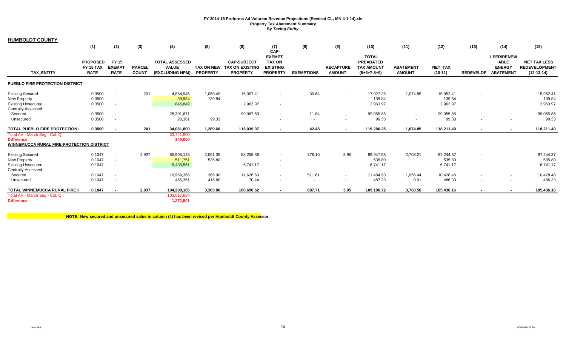**HUMBOLDT COUNTY**

|                                           | (1)                                                | (2)                                          | (3)                           | (4)                                                      | (5)                                  | (6)                                                             | (7)<br>CAP-                                                          | (8)               | (9)                               | (10)                                                                   | (11)                              | (12)                        | (13)                     | (14)                                                                  | (15)                                                        |
|-------------------------------------------|----------------------------------------------------|----------------------------------------------|-------------------------------|----------------------------------------------------------|--------------------------------------|-----------------------------------------------------------------|----------------------------------------------------------------------|-------------------|-----------------------------------|------------------------------------------------------------------------|-----------------------------------|-----------------------------|--------------------------|-----------------------------------------------------------------------|-------------------------------------------------------------|
| TAX_ENTITY                                | <b>PROPOSED</b><br><b>FY 15 TAX</b><br><b>RATE</b> | <b>FY 15</b><br><b>EXEMPT</b><br><b>RATE</b> | <b>PARCEL</b><br><b>COUNT</b> | <b>TOTAL ASSESSED</b><br><b>VALUE</b><br>(EXCLUDING NPM) | <b>TAX ON NEW</b><br><b>PROPERTY</b> | <b>CAP-SUBJECT</b><br><b>TAX ON EXISTING</b><br><b>PROPERTY</b> | <b>EXEMPT</b><br><b>TAX ON</b><br><b>EXISTING</b><br><b>PROPERTY</b> | <b>EXEMPTIONS</b> | <b>RECAPTURE</b><br><b>AMOUNT</b> | <b>TOTAL</b><br><b>PREABATED</b><br><b>TAX AMOUNT</b><br>$(5+6+7-8+9)$ | <b>ABATEMENT</b><br><b>AMOUNT</b> | <b>NET TAX</b><br>$(10-11)$ | <b>REDEVELOP</b>         | <b>LEED/RENEW</b><br><b>ABLE</b><br><b>ENERGY</b><br><b>ABATEMENT</b> | <b>NET TAX LESS</b><br><b>REDEVELOPMENT</b><br>$(12-13-14)$ |
| PUEBLO FIRE PROTECTION DISTRICT           |                                                    |                                              |                               |                                                          |                                      |                                                                 |                                                                      |                   |                                   |                                                                        |                                   |                             |                          |                                                                       |                                                             |
| <b>Existing Secured</b>                   | 0.3500                                             |                                              | 201                           | 4,864,945                                                | 1,050.49                             | 16,007.41                                                       |                                                                      | 30.64             |                                   | 17,027.26                                                              | 1,074.85                          | 15,952.41                   |                          |                                                                       | 15,952.41                                                   |
| <b>New Property</b>                       | 0.3500                                             | $\sim$                                       |                               | 39,954                                                   | 139.84                               |                                                                 | $\overline{\phantom{a}}$                                             |                   |                                   | 139.84                                                                 |                                   | 139.84                      |                          |                                                                       | 139.84                                                      |
| <b>Existing Unsecured</b>                 | 0.3500                                             | $\sim$                                       |                               | 846,849                                                  |                                      | 2,963.97                                                        |                                                                      |                   |                                   | 2,963.97                                                               |                                   | 2,963.97                    |                          |                                                                       | 2,963.97                                                    |
| <b>Centrally Assessed</b>                 |                                                    |                                              |                               |                                                          |                                      |                                                                 |                                                                      |                   |                                   |                                                                        |                                   |                             |                          |                                                                       |                                                             |
| Secured                                   | 0.3500                                             |                                              |                               | 28,301,671                                               | $\sim$                               | 99,067.69                                                       | $\overline{\phantom{0}}$                                             | 11.84             |                                   | 99.055.85                                                              | $\sim$                            | 99,055.85                   | $\overline{\phantom{a}}$ | $\sim$                                                                | 99,055.85                                                   |
| Unsecured                                 | 0.3500                                             | $\sim$                                       |                               | 28,381                                                   | 99.33                                |                                                                 | $\overline{\phantom{a}}$                                             |                   | $\overline{\phantom{0}}$          | 99.33                                                                  | $\sim$                            | 99.33                       | $\sim$                   | $\sim$                                                                | 99.33                                                       |
| TOTAL PUEBLO FIRE PROTECTION I            | 0.3500                                             | $\overline{\phantom{a}}$                     | 201                           | 34,081,800                                               | 1,289.66                             | 118,039.07                                                      | $\overline{\phantom{a}}$                                             | 42.48             | $\sim$                            | 119,286.25                                                             | 1,074.85                          | 118,211.40                  | $\sim$                   | $\sim$                                                                | 118,211.40                                                  |
| Total AV - March Seg - Col. Q             |                                                    |                                              |                               | 33,741,800                                               |                                      |                                                                 |                                                                      |                   |                                   |                                                                        |                                   |                             |                          |                                                                       |                                                             |
| <b>Difference</b>                         |                                                    |                                              |                               | 340,000                                                  |                                      |                                                                 |                                                                      |                   |                                   |                                                                        |                                   |                             |                          |                                                                       |                                                             |
| WINNEMUCCA RURAL FIRE PROTECTION DISTRICT |                                                    |                                              |                               |                                                          |                                      |                                                                 |                                                                      |                   |                                   |                                                                        |                                   |                             |                          |                                                                       |                                                             |
| <b>Existing Secured</b>                   | 0.1047                                             | $\overline{a}$                               | 2,937                         | 85,905,143                                               | 2,061.35                             | 88,258.38                                                       | $\overline{\phantom{0}}$                                             | 376.10            | 3.95                              | 89,947.58                                                              | 2,703.21                          | 87,244.37                   | $\overline{a}$           |                                                                       | 87,244.37                                                   |
| New Property                              | 0.1047                                             | $\sim$                                       |                               | 511.751                                                  | 535.80                               |                                                                 | $\overline{\phantom{a}}$                                             |                   |                                   | 535.80                                                                 |                                   | 535.80                      |                          |                                                                       | 535.80                                                      |
| <b>Existing Unsecured</b>                 | 0.1047                                             | $\overline{\phantom{a}}$                     |                               | 6,438,561                                                |                                      | 6,741.17                                                        | $\overline{\phantom{a}}$                                             |                   |                                   | 6,741.17                                                               |                                   | 6,741.17                    |                          |                                                                       | 6,741.17                                                    |
| <b>Centrally Assessed</b>                 |                                                    |                                              |                               |                                                          |                                      |                                                                 |                                                                      |                   |                                   |                                                                        |                                   |                             |                          |                                                                       |                                                             |
| Secured                                   | 0.1047                                             |                                              |                               | 10,969,368                                               | 369.90                               | 11,626.63                                                       | $\overline{\phantom{a}}$                                             | 511.61            | $\overline{\phantom{0}}$          | 11,484.93                                                              | 1,056.44                          | 10,428.48                   | $\sim$                   | $\sim$                                                                | 10,428.48                                                   |
| Unsecured                                 | 0.1047                                             |                                              |                               | 465,361                                                  | 416.80                               | 70.44                                                           | $\overline{\phantom{a}}$                                             | $\sim$            | $\overline{\phantom{a}}$          | 487.23                                                                 | 0.91                              | 486.33                      | $\sim$                   | $\sim$                                                                | 486.33                                                      |
| TOTAL WINNEMUCCA RURAL FIRE P             | 0.1047                                             |                                              | 2,937                         | 104,290,185                                              | 3,383.86                             | 106,696.62                                                      |                                                                      | 887.71            | 3.95                              | 109,196.72                                                             | 3,760.56                          | 105,436.16                  | $\sim$                   |                                                                       | 105,436.16                                                  |
| Total AV - March Seg - Col. Q             |                                                    |                                              |                               | 103,017,684                                              |                                      |                                                                 |                                                                      |                   |                                   |                                                                        |                                   |                             |                          |                                                                       |                                                             |
| <b>Difference</b>                         |                                                    |                                              |                               | 1.272.501                                                |                                      |                                                                 |                                                                      |                   |                                   |                                                                        |                                   |                             |                          |                                                                       |                                                             |

**NOTE: New secured and unsecured value in column (4) has been revised per Humboldt County Assessor.**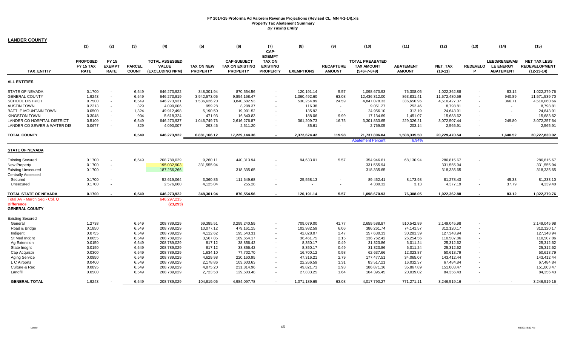| <b>LANDER COUNTY</b>                                                                                                                                                                                  |                                                                                                            |                                                |                                                                                                 |                                                                                                                                                                   |                                                                                                                                |                                                                                                                                                       |                                                                              |                                                                                                                                             |                                                                                       |                                                                                                                                                      |                                                                                                                                            |                                                                                                                                                     |                          |                                                             |                                                                                                                                                     |
|-------------------------------------------------------------------------------------------------------------------------------------------------------------------------------------------------------|------------------------------------------------------------------------------------------------------------|------------------------------------------------|-------------------------------------------------------------------------------------------------|-------------------------------------------------------------------------------------------------------------------------------------------------------------------|--------------------------------------------------------------------------------------------------------------------------------|-------------------------------------------------------------------------------------------------------------------------------------------------------|------------------------------------------------------------------------------|---------------------------------------------------------------------------------------------------------------------------------------------|---------------------------------------------------------------------------------------|------------------------------------------------------------------------------------------------------------------------------------------------------|--------------------------------------------------------------------------------------------------------------------------------------------|-----------------------------------------------------------------------------------------------------------------------------------------------------|--------------------------|-------------------------------------------------------------|-----------------------------------------------------------------------------------------------------------------------------------------------------|
|                                                                                                                                                                                                       | (1)                                                                                                        | (2)                                            | (3)                                                                                             | (4)                                                                                                                                                               | (5)                                                                                                                            | (6)                                                                                                                                                   | (7)<br>CAP-                                                                  | (8)                                                                                                                                         | (9)                                                                                   | (10)                                                                                                                                                 | (11)                                                                                                                                       | (12)                                                                                                                                                | (13)                     | (14)                                                        | (15)                                                                                                                                                |
| <b>TAX ENTITY</b>                                                                                                                                                                                     | <b>PROPOSED</b><br><b>FY 15 TAX</b><br><b>RATE</b>                                                         | <b>FY 15</b><br><b>EXEMPT</b><br><b>RATE</b>   | <b>PARCEL</b><br><b>COUNT</b>                                                                   | <b>TOTAL ASSESSED</b><br><b>VALUE</b><br>(EXCLUDING NPM)                                                                                                          | <b>TAX ON NEW</b><br><b>PROPERTY</b>                                                                                           | <b>CAP-SUBJECT</b><br><b>TAX ON EXISTING</b><br><b>PROPERTY</b>                                                                                       | <b>EXEMPT</b><br>TAX ON<br><b>EXISTING</b><br><b>PROPERTY</b>                | <b>EXEMPTIONS</b>                                                                                                                           | <b>RECAPTURE</b><br><b>AMOUNT</b>                                                     | <b>TOTAL PREABATED</b><br><b>TAX AMOUNT</b><br>$(5+6+7-8+9)$                                                                                         | <b>ABATEMENT</b><br><b>AMOUNT</b>                                                                                                          | <b>NET TAX</b><br>$(10-11)$                                                                                                                         | <b>REDEVELO</b><br>P     | <b>LEED/RENEWAB</b><br><b>LE ENERGY</b><br><b>ABATEMENT</b> | <b>NET TAX LESS</b><br><b>REDEVELOPMENT</b><br>$(12-13-14)$                                                                                         |
| <b>ALL ENTITIES</b>                                                                                                                                                                                   |                                                                                                            |                                                |                                                                                                 |                                                                                                                                                                   |                                                                                                                                |                                                                                                                                                       |                                                                              |                                                                                                                                             |                                                                                       |                                                                                                                                                      |                                                                                                                                            |                                                                                                                                                     |                          |                                                             |                                                                                                                                                     |
| <b>STATE OF NEVADA</b><br><b>GENERAL COUNTY</b><br><b>SCHOOL DISTRICT</b><br><b>AUSTIN TOWN</b><br><b>BATTLE MOUNTAIN TOWN</b><br><b>KINGSTON TOWN</b>                                                | 0.1700<br>1.9243<br>0.7500<br>0.2213<br>0.0500<br>0.3048                                                   | $\sim$<br>$\sim$<br>$\sim$<br>$\sim$<br>$\sim$ | 6,549<br>6,549<br>6,549<br>329<br>1,324<br>904                                                  | 646,273,922<br>646,273,919<br>646,273,931<br>4,090,006<br>49,912,498<br>5,618,324                                                                                 | 348,301.94<br>3,942,573.05<br>1,536,626.20<br>959.28<br>5,190.50<br>471.93                                                     | 870,554.56<br>9,854,168.47<br>3,840,682.53<br>8,208.37<br>19,901.52<br>16,840.83                                                                      | $\sim$<br>$\sim$<br>$\sim$<br>$\sim$                                         | 120,191.14<br>1,360,492.60<br>530,254.99<br>116.38<br>135.92<br>188.06                                                                      | 5.57<br>63.08<br>24.59<br>$\sim$<br>$\sim$<br>9.99                                    | 1,098,670.93<br>12,436,312.00<br>4,847,078.33<br>9,051.27<br>24,956.10<br>17,134.69                                                                  | 76,308.05<br>863,831.41<br>336,650.96<br>252.46<br>312.19<br>1,451.07                                                                      | 1,022,362.88<br>11,572,480.59<br>4,510,427.37<br>8,798.81<br>24,643.91<br>15,683.62                                                                 | $\sim$<br>$\sim$         | 83.12<br>940.89<br>366.71<br>$\sim$<br>$\sim$<br>$\sim$     | 1,022,279.76<br>11,571,539.70<br>4,510,060.66<br>8,798.81<br>24,643.91<br>15,683.62                                                                 |
| LANDER CO HOSPITAL DISTRICT<br>LANDER CO SEWER & WATER DIS                                                                                                                                            | 0.5109<br>0.0677                                                                                           | $\sim$<br>$\sim$                               | 6,549<br>329                                                                                    | 646,273,937<br>4,090,007                                                                                                                                          | 1,046,749.76<br>293.46                                                                                                         | 2,616,276.87<br>2,511.20                                                                                                                              | $\sim$<br>$\sim$                                                             | 361,209.73<br>35.61                                                                                                                         | 16.75<br>$\sim$                                                                       | 3,301,833.65<br>2,769.05                                                                                                                             | 229,326.21<br>203.14                                                                                                                       | 3,072,507.44<br>2,565.91                                                                                                                            | $\overline{\phantom{a}}$ | 249.80<br>$\sim$                                            | 3,072,257.64<br>2,565.91                                                                                                                            |
| <b>TOTAL COUNTY</b>                                                                                                                                                                                   |                                                                                                            |                                                | 6,549                                                                                           | 646,273,922                                                                                                                                                       | 6,881,166.12                                                                                                                   | 17,229,144.36                                                                                                                                         | $\sim$                                                                       | 2,372,624.42                                                                                                                                | 119.98                                                                                | 21,737,806.04<br><b>Abatement Percent</b>                                                                                                            | 1,508,335.50<br>6.94%                                                                                                                      | 20,229,470.54                                                                                                                                       | $\blacksquare$           | 1,640.52                                                    | 20,227,830.02                                                                                                                                       |
| <b>STATE OF NEVADA</b>                                                                                                                                                                                |                                                                                                            |                                                |                                                                                                 |                                                                                                                                                                   |                                                                                                                                |                                                                                                                                                       |                                                                              |                                                                                                                                             |                                                                                       |                                                                                                                                                      |                                                                                                                                            |                                                                                                                                                     |                          |                                                             |                                                                                                                                                     |
| <b>Existing Secured</b><br>New Property<br><b>Existing Unsecured</b><br><b>Centrally Assessed</b>                                                                                                     | 0.1700<br>0.1700<br>0.1700                                                                                 | $\sim$<br>$\sim$                               | 6,549                                                                                           | 208,789,029<br>195,032,903<br>187,256,266                                                                                                                         | 9,260.11<br>331,555.94                                                                                                         | 440,313.94<br>318,335.65                                                                                                                              | $\sim$                                                                       | 94,633.01                                                                                                                                   | 5.57                                                                                  | 354,946.61<br>331,555.94<br>318,335.65                                                                                                               | 68,130.94                                                                                                                                  | 286,815.67<br>331,555.94<br>318,335.65                                                                                                              |                          |                                                             | 286,815.67<br>331,555.94<br>318,335.65                                                                                                              |
| Secured<br>Unsecured                                                                                                                                                                                  | 0.1700<br>0.1700                                                                                           | $\sim$<br>$\sim$                               |                                                                                                 | 52,619,064<br>2,576,660                                                                                                                                           | 3,360.85<br>4,125.04                                                                                                           | 111,649.68<br>255.28                                                                                                                                  | $\sim$                                                                       | 25,558.13                                                                                                                                   | $\overline{\phantom{a}}$<br>$\overline{\phantom{a}}$                                  | 89,452.41<br>4,380.32                                                                                                                                | 8,173.98<br>3.13                                                                                                                           | 81,278.43<br>4.377.19                                                                                                                               |                          | 45.33<br>37.79                                              | 81,233.10<br>4,339.40                                                                                                                               |
| TOTAL STATE OF NEVADA<br>Total AV - March Seg - Col. Q<br><b>Difference</b><br><b>GENERAL COUNTY</b>                                                                                                  | 0.1700                                                                                                     | $\blacksquare$                                 | 6,549                                                                                           | 646,273,922<br>646.297.215<br>(23, 293)                                                                                                                           | 348,301.94                                                                                                                     | 870,554.56                                                                                                                                            | $\blacksquare$                                                               | 120,191.14                                                                                                                                  | 5.57                                                                                  | 1,098,670.93                                                                                                                                         | 76,308.05                                                                                                                                  | 1,022,362.88                                                                                                                                        | $\sim$                   | 83.12                                                       | 1,022,279.76                                                                                                                                        |
| <b>Existing Secured</b><br>General<br>Road & Bridge<br>Indigent<br>St Med Indant<br>Ag Extension<br>State Indgnt<br>Cap Acquistn<br><b>Aging Service</b><br>L C Airports<br>Culture & Rec<br>Landfill | 1.2738<br>0.1850<br>0.0755<br>0.0655<br>0.0150<br>0.0150<br>0.0300<br>0.0850<br>0.0400<br>0.0895<br>0.0500 |                                                | 6,549<br>6,549<br>6,549<br>6,549<br>6,549<br>6,549<br>6,549<br>6,549<br>6,549<br>6,549<br>6,549 | 208,789,029<br>208,789,029<br>208,789,029<br>208,789,029<br>208,789,029<br>208,789,029<br>208,789,029<br>208,789,029<br>208,789,029<br>208,789,029<br>208,789,029 | 69,385.51<br>10,077.12<br>4,112.62<br>3,567.85<br>817.12<br>817.12<br>1,634.10<br>4,629.98<br>2,178.86<br>4,875.20<br>2,723.58 | 3,299,240.59<br>479,161.15<br>195,543.31<br>169,654.17<br>38,856.42<br>38,856.42<br>77,702.70<br>220,160.95<br>103,603.63<br>231,814.96<br>129,503.48 | $\sim$<br>$\sim$<br>$\sim$<br>$\sim$<br>$\sim$<br>$\sim$<br>$\sim$<br>$\sim$ | 709,079.00<br>102,982.59<br>42,028.07<br>36,461.75<br>8,350.17<br>8,350.17<br>16,700.12<br>47,316.21<br>22,266.59<br>49,821.73<br>27,833.25 | 41.77<br>6.06<br>2.47<br>2.15<br>0.49<br>0.49<br>0.98<br>2.79<br>1.31<br>2.93<br>1.64 | 2,659,588.87<br>386,261.74<br>157,630.33<br>136,762.42<br>31,323.86<br>31,323.86<br>62,637.66<br>177,477.51<br>83,517.21<br>186,871.36<br>104,395.45 | 510,542.89<br>74,141.57<br>30,281.39<br>26,254.56<br>6,011.24<br>6,011.24<br>12,023.87<br>34,065.07<br>16,032.37<br>35,867.89<br>20,039.02 | 2,149,045.98<br>312,120.17<br>127,348.94<br>110,507.86<br>25,312.62<br>25,312.62<br>50,613.79<br>143,412.44<br>67,484.84<br>151,003.47<br>84,356.43 | $\overline{\phantom{a}}$ |                                                             | 2,149,045.98<br>312,120.17<br>127,348.94<br>110,507.86<br>25,312.62<br>25,312.62<br>50,613.79<br>143,412.44<br>67,484.84<br>151,003.47<br>84,356.43 |
| <b>GENERAL TOTAL</b>                                                                                                                                                                                  | 1.9243                                                                                                     |                                                | 6,549                                                                                           | 208,789,029                                                                                                                                                       | 104,819.06                                                                                                                     | 4,984,097.78                                                                                                                                          |                                                                              | 1,071,189.65                                                                                                                                | 63.08                                                                                 | 4,017,790.27                                                                                                                                         | 771,271.11                                                                                                                                 | 3,246,519.16                                                                                                                                        |                          |                                                             | 3,246,519.16                                                                                                                                        |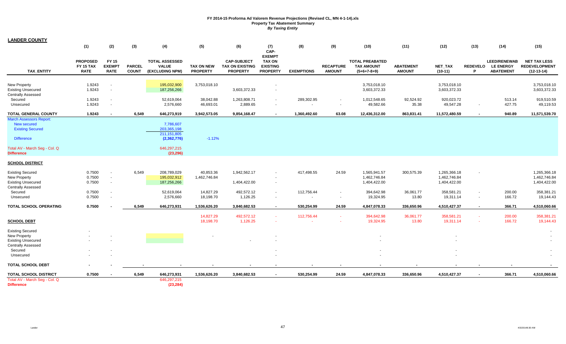| <b>LANDER COUNTY</b>                                                                                                                                |                              |                                    |               |                                                                                      |                           |                                       |                                                   |                   |                                            |                                              |                    |                                              |                  |                                         |                                              |
|-----------------------------------------------------------------------------------------------------------------------------------------------------|------------------------------|------------------------------------|---------------|--------------------------------------------------------------------------------------|---------------------------|---------------------------------------|---------------------------------------------------|-------------------|--------------------------------------------|----------------------------------------------|--------------------|----------------------------------------------|------------------|-----------------------------------------|----------------------------------------------|
|                                                                                                                                                     | (1)                          | (2)                                | (3)           | (4)                                                                                  | (5)                       | (6)                                   | (7)<br>CAP-                                       | (8)               | (9)                                        | (10)                                         | (11)               | (12)                                         | (13)             | (14)                                    | (15)                                         |
|                                                                                                                                                     | <b>PROPOSED</b><br>FY 15 TAX | <b>FY 15</b><br><b>EXEMPT</b>      | <b>PARCEL</b> | <b>TOTAL ASSESSED</b><br><b>VALUE</b>                                                | TAX ON NEW                | <b>CAP-SUBJECT</b><br>TAX ON EXISTING | <b>EXEMPT</b><br><b>TAX ON</b><br><b>EXISTING</b> |                   | <b>RECAPTURE</b>                           | <b>TOTAL PREABATED</b><br><b>TAX AMOUNT</b>  | <b>ABATEMENT</b>   | NET_TAX                                      | <b>REDEVELO</b>  | <b>LEED/RENEWAB</b><br><b>LE ENERGY</b> | <b>NET TAX LESS</b><br><b>REDEVELOPMENT</b>  |
| <b>TAX ENTITY</b>                                                                                                                                   | <b>RATE</b>                  | <b>RATE</b>                        | <b>COUNT</b>  | (EXCLUDING NPM)                                                                      | <b>PROPERTY</b>           | <b>PROPERTY</b>                       | <b>PROPERTY</b>                                   | <b>EXEMPTIONS</b> | <b>AMOUNT</b>                              | $(5+6+7-8+9)$                                | <b>AMOUNT</b>      | $(10-11)$                                    | P                | <b>ABATEMENT</b>                        | $(12-13-14)$                                 |
| New Property<br><b>Existing Unsecured</b><br><b>Centrally Assessed</b>                                                                              | 1.9243<br>1.9243             | $\overline{\phantom{a}}$<br>$\sim$ |               | 195,032,900<br>187,256,266                                                           | 3,753,018.10              | 3,603,372.33                          |                                                   |                   |                                            | 3,753,018.10<br>3,603,372.33                 |                    | 3,753,018.10<br>3,603,372.33                 |                  |                                         | 3,753,018.10<br>3,603,372.33                 |
| Secured<br>Unsecured                                                                                                                                | 1.9243<br>1.9243             | $\blacksquare$<br>$\sim$           |               | 52,619,064<br>2,576,660                                                              | 38,042.88<br>46,693.01    | 1,263,808.71<br>2,889.65              |                                                   | 289,302.95        | $\blacksquare$<br>$\sim$                   | 1,012,548.65<br>49,582.66                    | 92,524.92<br>35.38 | 920,023.72<br>49,547.28                      | $\sim$           | 513.14<br>427.75                        | 919,510.59<br>49,119.53                      |
| <b>TOTAL GENERAL COUNTY</b>                                                                                                                         | 1.9243                       | $\overline{\phantom{a}}$           | 6,549         | 646,273,919                                                                          | 3,942,573.05              | 9,854,168.47                          |                                                   | 1,360,492.60      | 63.08                                      | 12,436,312.00                                | 863,831.41         | 11,572,480.59                                | $\blacksquare$   | 940.89                                  | 11,571,539.70                                |
| <b>March Assessors Report:</b><br>New secured<br><b>Existing Secured</b><br><b>Difference</b><br>Total AV - March Seg - Col. Q<br><b>Difference</b> |                              |                                    |               | 7,786,607<br>203,365,198<br>211, 151, 805<br>(2,362,776)<br>646,297,215<br>(23, 296) | $-1.12%$                  |                                       |                                                   |                   |                                            |                                              |                    |                                              |                  |                                         |                                              |
| <b>SCHOOL DISTRICT</b>                                                                                                                              |                              |                                    |               |                                                                                      |                           |                                       |                                                   |                   |                                            |                                              |                    |                                              |                  |                                         |                                              |
| <b>Existing Secured</b><br>New Property<br><b>Existing Unsecured</b><br><b>Centrally Assessed</b>                                                   | 0.7500<br>0.7500<br>0.7500   | $\sim$<br>$\sim$<br>$\blacksquare$ | 6,549         | 208,789,029<br>195,032,912<br>187,256,266                                            | 40,853.36<br>1,462,746.84 | 1,942,562.17<br>1,404,422.00          |                                                   | 417,498.55        | 24.59                                      | 1,565,941.57<br>1,462,746.84<br>1,404,422.00 | 300,575.39         | 1,265,366.18<br>1,462,746.84<br>1,404,422.00 |                  |                                         | 1,265,366.18<br>1,462,746.84<br>1,404,422.00 |
| Secured<br>Unsecured                                                                                                                                | 0.7500<br>0.7500             | $\blacksquare$<br>$\blacksquare$   |               | 52,619,064<br>2,576,660                                                              | 14,827.29<br>18,198.70    | 492,572.12<br>1,126.25                |                                                   | 112,756.44        | $\overline{\phantom{a}}$<br>$\blacksquare$ | 394,642.98<br>19,324.95                      | 36,061.77<br>13.80 | 358,581.21<br>19,311.14                      | $\sim$<br>$\sim$ | 200.00<br>166.72                        | 358,381.21<br>19,144.43                      |
| TOTAL SCHOOL OPERATING                                                                                                                              | 0.7500                       |                                    | 6,549         | 646,273,931                                                                          | 1,536,626.20              | 3,840,682.53                          | $\blacksquare$                                    | 530,254.99        | 24.59                                      | 4,847,078.33                                 | 336,650.96         | 4,510,427.37                                 | $\sim$           | 366.71                                  | 4,510,060.66                                 |
| <b>SCHOOL DEBT</b>                                                                                                                                  |                              |                                    |               |                                                                                      | 14,827.29<br>18,198.70    | 492,572.12<br>1,126.25                |                                                   | 112,756.44        | ÷.                                         | 394,642.98<br>19,324.95                      | 36,061.77<br>13.80 | 358,581.21<br>19,311.14                      | $\sim$           | 200.00<br>166.72                        | 358,381.21<br>19,144.43                      |
| <b>Existing Secured</b><br>New Property                                                                                                             |                              |                                    |               |                                                                                      |                           |                                       |                                                   |                   |                                            |                                              |                    |                                              |                  |                                         |                                              |
| <b>Existing Unsecured</b><br><b>Centrally Assessed</b>                                                                                              |                              |                                    |               |                                                                                      |                           |                                       |                                                   |                   |                                            |                                              |                    |                                              |                  |                                         |                                              |
| Secured<br>Unsecured                                                                                                                                |                              |                                    |               |                                                                                      |                           |                                       |                                                   |                   |                                            |                                              |                    |                                              |                  |                                         |                                              |
| <b>TOTAL SCHOOL DEBT</b>                                                                                                                            |                              |                                    |               |                                                                                      |                           |                                       |                                                   |                   |                                            |                                              |                    |                                              |                  |                                         |                                              |
| <b>TOTAL SCHOOL DISTRICT</b>                                                                                                                        | 0.7500                       |                                    | 6,549         | 646,273,931                                                                          | 1,536,626.20              | 3,840,682.53                          |                                                   | 530,254.99        | 24.59                                      | 4,847,078.33                                 | 336,650.96         | 4,510,427.37                                 |                  | 366.71                                  | 4,510,060.66                                 |
| Total AV - March Seg - Col. Q<br><b>Difference</b>                                                                                                  |                              |                                    |               | 646,297,215<br>(23, 284)                                                             |                           |                                       |                                                   |                   |                                            |                                              |                    |                                              |                  |                                         |                                              |

▃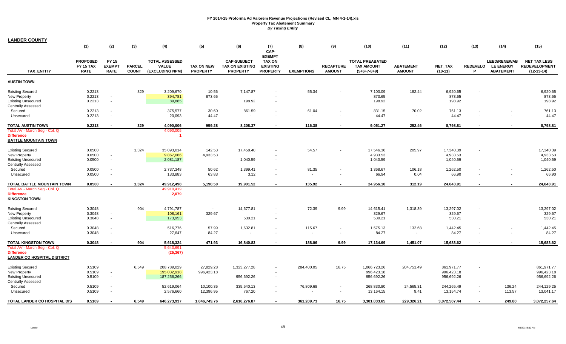**LANDER COUNTY**

|                                                         | (1)                                                | (2)                                          | (3)                           | (4)                                                      | (5)                                  | (6)                                                             | (7)<br>CAP-<br><b>EXEMPT</b>                        | (8)                      | (9)                               | (10)                                                         | (11)                              | (12)                        | (13)                 | (14)                                                        | (15)                                                        |
|---------------------------------------------------------|----------------------------------------------------|----------------------------------------------|-------------------------------|----------------------------------------------------------|--------------------------------------|-----------------------------------------------------------------|-----------------------------------------------------|--------------------------|-----------------------------------|--------------------------------------------------------------|-----------------------------------|-----------------------------|----------------------|-------------------------------------------------------------|-------------------------------------------------------------|
| <b>TAX ENTITY</b>                                       | <b>PROPOSED</b><br><b>FY 15 TAX</b><br><b>RATE</b> | <b>FY 15</b><br><b>EXEMPT</b><br><b>RATE</b> | <b>PARCEL</b><br><b>COUNT</b> | <b>TOTAL ASSESSED</b><br><b>VALUE</b><br>(EXCLUDING NPM) | <b>TAX ON NEW</b><br><b>PROPERTY</b> | <b>CAP-SUBJECT</b><br><b>TAX ON EXISTING</b><br><b>PROPERTY</b> | <b>TAX ON</b><br><b>EXISTING</b><br><b>PROPERTY</b> | <b>EXEMPTIONS</b>        | <b>RECAPTURE</b><br><b>AMOUNT</b> | <b>TOTAL PREABATED</b><br><b>TAX AMOUNT</b><br>$(5+6+7-8+9)$ | <b>ABATEMENT</b><br><b>AMOUNT</b> | <b>NET TAX</b><br>$(10-11)$ | <b>REDEVELO</b><br>P | <b>LEED/RENEWAB</b><br><b>LE ENERGY</b><br><b>ABATEMENT</b> | <b>NET TAX LESS</b><br><b>REDEVELOPMENT</b><br>$(12-13-14)$ |
| <b>AUSTIN TOWN</b>                                      |                                                    |                                              |                               |                                                          |                                      |                                                                 |                                                     |                          |                                   |                                                              |                                   |                             |                      |                                                             |                                                             |
| <b>Existing Secured</b>                                 | 0.2213                                             |                                              | 329                           | 3.209.670                                                | 10.56                                | 7,147.87                                                        |                                                     | 55.34                    |                                   | 7,103.09                                                     | 182.44                            | 6,920.65                    |                      |                                                             | 6,920.65                                                    |
| <b>New Property</b>                                     | 0.2213                                             |                                              |                               | 394,781                                                  | 873.65                               |                                                                 |                                                     |                          |                                   | 873.65                                                       |                                   | 873.65                      |                      |                                                             | 873.65                                                      |
| <b>Existing Unsecured</b>                               | 0.2213                                             | $\sim$                                       |                               | 89,885                                                   |                                      | 198.92                                                          | $\sim$                                              |                          |                                   | 198.92                                                       |                                   | 198.92                      |                      |                                                             | 198.92                                                      |
| <b>Centrally Assessed</b>                               |                                                    |                                              |                               |                                                          |                                      |                                                                 |                                                     |                          |                                   |                                                              |                                   |                             |                      |                                                             |                                                             |
| Secured                                                 | 0.2213                                             |                                              |                               | 375,577                                                  | 30.60                                | 861.59                                                          |                                                     | 61.04                    |                                   | 831.15                                                       | 70.02                             | 761.13                      |                      |                                                             | 761.13                                                      |
| Unsecured                                               | 0.2213                                             |                                              |                               | 20,093                                                   | 44.47                                | $\sim$                                                          |                                                     | $\sim$                   |                                   | 44.47                                                        |                                   | 44.47                       |                      | $\sim$                                                      | 44.47                                                       |
| TOTAL AUSTIN TOWN                                       | 0.2213                                             |                                              | 329                           | 4,090,006                                                | 959.28                               | 8,208.37                                                        |                                                     | 116.38                   |                                   | 9,051.27                                                     | 252.46                            | 8,798.81                    |                      |                                                             | 8,798.81                                                    |
| Total AV - March Seg - Col. Q                           |                                                    |                                              |                               | 4,090,005                                                |                                      |                                                                 |                                                     |                          |                                   |                                                              |                                   |                             |                      |                                                             |                                                             |
| <b>Difference</b>                                       |                                                    |                                              |                               | 1                                                        |                                      |                                                                 |                                                     |                          |                                   |                                                              |                                   |                             |                      |                                                             |                                                             |
| <b>BATTLE MOUNTAIN TOWN</b>                             |                                                    |                                              |                               |                                                          |                                      |                                                                 |                                                     |                          |                                   |                                                              |                                   |                             |                      |                                                             |                                                             |
| <b>Existing Secured</b>                                 | 0.0500                                             |                                              | 1,324                         | 35,093,014                                               | 142.53                               | 17,458.40                                                       |                                                     | 54.57                    |                                   | 17,546.36                                                    | 205.97                            | 17,340.39                   |                      |                                                             | 17,340.39                                                   |
| New Property                                            | 0.0500                                             |                                              |                               | 9,867,066                                                | 4,933.53                             |                                                                 |                                                     |                          |                                   | 4,933.53                                                     |                                   | 4,933.53                    |                      |                                                             | 4,933.53                                                    |
| <b>Existing Unsecured</b>                               | 0.0500                                             |                                              |                               | 2,081,187                                                |                                      | 1,040.59                                                        | $\sim$                                              |                          |                                   | 1,040.59                                                     |                                   | 1,040.59                    |                      |                                                             | 1,040.59                                                    |
| <b>Centrally Assessed</b>                               |                                                    |                                              |                               |                                                          |                                      |                                                                 |                                                     |                          |                                   |                                                              |                                   |                             |                      |                                                             |                                                             |
| Secured                                                 | 0.0500                                             |                                              |                               | 2,737,348                                                | 50.62                                | 1,399.41                                                        |                                                     | 81.35                    |                                   | 1,368.67                                                     | 106.18                            | 1,262.50                    |                      |                                                             | 1,262.50                                                    |
| Unsecured                                               | 0.0500                                             | $\sim$                                       |                               | 133,883                                                  | 63.83                                | 3.12                                                            | $\overline{\phantom{a}}$                            | $\sim$                   | $\overline{\phantom{a}}$          | 66.94                                                        | 0.04                              | 66.90                       |                      | $\blacksquare$                                              | 66.90                                                       |
| TOTAL BATTLE MOUNTAIN TOWN                              | 0.0500                                             |                                              | 1,324                         | 49,912,498                                               | 5.190.50                             | 19,901.52                                                       | $\blacksquare$                                      | 135.92                   | $\blacksquare$                    | 24,956.10                                                    | 312.19                            | 24,643.91                   |                      | $\blacksquare$                                              | 24,643.91                                                   |
| Total AV - March Seg - Col. Q                           |                                                    |                                              |                               | 49,910,419                                               |                                      |                                                                 |                                                     |                          |                                   |                                                              |                                   |                             |                      |                                                             |                                                             |
| <b>Difference</b><br><b>KINGSTON TOWN</b>               |                                                    |                                              |                               | 2,079                                                    |                                      |                                                                 |                                                     |                          |                                   |                                                              |                                   |                             |                      |                                                             |                                                             |
|                                                         |                                                    |                                              |                               |                                                          |                                      |                                                                 |                                                     |                          |                                   |                                                              |                                   |                             |                      |                                                             |                                                             |
| <b>Existing Secured</b>                                 | 0.3048                                             |                                              | 904                           | 4,791,787                                                | $\sim$                               | 14,677.81                                                       |                                                     | 72.39                    | 9.99                              | 14,615.41                                                    | 1,318.39                          | 13,297.02                   |                      |                                                             | 13,297.02                                                   |
| New Property                                            | 0.3048                                             | $\sim$                                       |                               | 108,161                                                  | 329.67                               |                                                                 |                                                     |                          |                                   | 329.67                                                       |                                   | 329.67                      |                      |                                                             | 329.67                                                      |
| <b>Existing Unsecured</b>                               | 0.3048                                             | $\sim$                                       |                               | 173,953                                                  |                                      | 530.21                                                          | $\sim$                                              |                          |                                   | 530.21                                                       |                                   | 530.21                      |                      |                                                             | 530.21                                                      |
| <b>Centrally Assessed</b>                               |                                                    |                                              |                               |                                                          |                                      |                                                                 |                                                     |                          |                                   |                                                              |                                   |                             |                      |                                                             |                                                             |
| Secured                                                 | 0.3048                                             |                                              |                               | 516,776                                                  | 57.99                                | 1,632.81                                                        | $\overline{\phantom{a}}$                            | 115.67                   |                                   | 1,575.13                                                     | 132.68                            | 1,442.45                    |                      | $\sim$                                                      | 1,442.45                                                    |
| Unsecured                                               | 0.3048                                             |                                              |                               | 27,647                                                   | 84.27                                | $\sim$                                                          |                                                     | $\overline{\phantom{a}}$ |                                   | 84.27                                                        |                                   | 84.27                       |                      | $\sim$                                                      | 84.27                                                       |
| <b>TOTAL KINGSTON TOWN</b>                              | 0.3048                                             |                                              | 904                           | 5,618,324                                                | 471.93                               | 16,840.83                                                       |                                                     | 188.06                   | 9.99                              | 17,134.69                                                    | 1,451.07                          | 15,683.62                   |                      |                                                             | 15,683.62                                                   |
| Total AV - March Seg - Col. Q                           |                                                    |                                              |                               | 5,643,691                                                |                                      |                                                                 |                                                     |                          |                                   |                                                              |                                   |                             |                      |                                                             |                                                             |
| <b>Difference</b><br><b>LANDER CO HOSPITAL DISTRICT</b> |                                                    |                                              |                               | (25, 367)                                                |                                      |                                                                 |                                                     |                          |                                   |                                                              |                                   |                             |                      |                                                             |                                                             |
| <b>Existing Secured</b>                                 | 0.5109                                             |                                              | 6,549                         | 208,789,029                                              | 27,829.28                            | 1,323,277.28                                                    | $\sim$                                              | 284,400.05               | 16.75                             | 1,066,723.26                                                 | 204,751.49                        | 861,971.77                  |                      |                                                             | 861,971.77                                                  |
| <b>New Property</b>                                     | 0.5109                                             | $\sim$                                       |                               | 195,032,918                                              | 996,423.18                           |                                                                 |                                                     |                          |                                   | 996,423.18                                                   |                                   | 996,423.18                  |                      |                                                             | 996,423.18                                                  |
| <b>Existing Unsecured</b>                               | 0.5109                                             | $\sim$                                       |                               | 187,256,266                                              |                                      | 956,692.26                                                      | $\tilde{\phantom{a}}$                               |                          |                                   | 956,692.26                                                   |                                   | 956,692.26                  |                      |                                                             | 956,692.26                                                  |
| <b>Centrally Assessed</b>                               |                                                    |                                              |                               |                                                          |                                      |                                                                 |                                                     |                          |                                   |                                                              |                                   |                             |                      |                                                             |                                                             |
| Secured                                                 | 0.5109                                             |                                              |                               | 52,619,064                                               | 10,100.35                            | 335,540.13                                                      | $\overline{\phantom{a}}$                            | 76,809.68                | $\overline{\phantom{a}}$          | 268,830.80                                                   | 24,565.31                         | 244,265.49                  |                      | 136.24                                                      | 244,129.25                                                  |
| Unsecured                                               | 0.5109                                             |                                              |                               | 2,576,660                                                | 12,396.95                            | 767.20                                                          | $\sim$                                              | $\sim$                   | $\sim$                            | 13,164.15                                                    | 9.41                              | 13,154.74                   |                      | 113.57                                                      | 13,041.17                                                   |
| TOTAL LANDER CO HOSPITAL DIS                            | 0.5109                                             |                                              | 6,549                         | 646,273,937                                              | 1,046,749.76                         | 2,616,276.87                                                    |                                                     | 361,209.73               | 16.75                             | 3,301,833.65                                                 | 229,326.21                        | 3,072,507.44                |                      | 249.80                                                      | 3,072,257.64                                                |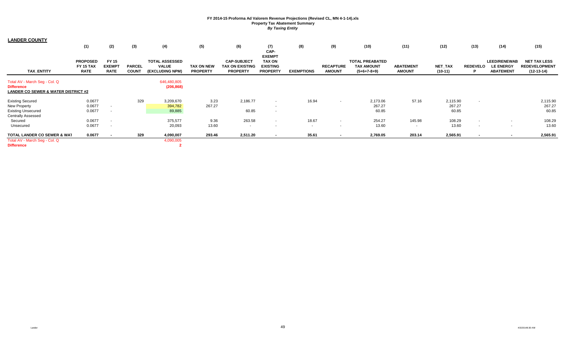| <b>LANDER COUNTY</b>                |                 |                |               |                       |                   |                        |                       |                   |                          |                        |                  |           |                 |                     |                      |
|-------------------------------------|-----------------|----------------|---------------|-----------------------|-------------------|------------------------|-----------------------|-------------------|--------------------------|------------------------|------------------|-----------|-----------------|---------------------|----------------------|
|                                     | (1)             | (2)            | (3)           | (4)                   | (5)               | (6)                    | (7)                   | (8)               | (9)                      | (10)                   | (11)             | (12)      | (13)            | (14)                | (15)                 |
|                                     |                 |                |               |                       |                   |                        | CAP-<br><b>EXEMPT</b> |                   |                          |                        |                  |           |                 |                     |                      |
|                                     | <b>PROPOSED</b> | <b>FY 15</b>   |               | <b>TOTAL ASSESSED</b> |                   | <b>CAP-SUBJECT</b>     | <b>TAX ON</b>         |                   |                          | <b>TOTAL PREABATED</b> |                  |           |                 | <b>LEED/RENEWAB</b> | <b>NET TAX LESS</b>  |
|                                     | FY 15 TAX       | <b>EXEMPT</b>  | <b>PARCEL</b> | <b>VALUE</b>          | <b>TAX ON NEW</b> | <b>TAX ON EXISTING</b> | <b>EXISTING</b>       |                   | <b>RECAPTURE</b>         | <b>TAX AMOUNT</b>      | <b>ABATEMENT</b> | NET_TAX   | <b>REDEVELO</b> | <b>LE ENERGY</b>    | <b>REDEVELOPMENT</b> |
| <b>TAX_ENTITY</b>                   | <b>RATE</b>     | <b>RATE</b>    | <b>COUNT</b>  | (EXCLUDING NPM)       | <b>PROPERTY</b>   | <b>PROPERTY</b>        | <b>PROPERTY</b>       | <b>EXEMPTIONS</b> | <b>AMOUNT</b>            | $(5+6+7-8+9)$          | <b>AMOUNT</b>    | $(10-11)$ | P               | <b>ABATEMENT</b>    | $(12-13-14)$         |
| Total AV - March Seq - Col. Q       |                 |                |               | 646,480,805           |                   |                        |                       |                   |                          |                        |                  |           |                 |                     |                      |
| <b>Difference</b>                   |                 |                |               | (206, 868)            |                   |                        |                       |                   |                          |                        |                  |           |                 |                     |                      |
| LANDER CO SEWER & WATER DISTRICT #2 |                 |                |               |                       |                   |                        |                       |                   |                          |                        |                  |           |                 |                     |                      |
| <b>Existing Secured</b>             | 0.0677          |                | 329           | 3,209,670             | 3.23              | 2,186.77               | $\sim$                | 16.94             | $\sim$                   | 2,173.06               | 57.16            | 2,115.90  |                 |                     | 2,115.90             |
| <b>New Property</b>                 | 0.0677          | $\sim$         |               | 394,782               | 267.27            |                        | $\sim$                |                   |                          | 267.27                 |                  | 267.27    |                 |                     | 267.27               |
| <b>Existing Unsecured</b>           | 0.0677          | $\sim$         |               | 89,885                |                   | 60.85                  | $\sim$                |                   |                          | 60.85                  |                  | 60.85     |                 |                     | 60.85                |
| <b>Centrally Assessed</b>           |                 |                |               |                       |                   |                        |                       |                   |                          |                        |                  |           |                 |                     |                      |
| Secured                             | 0.0677          | $\sim$         |               | 375,577               | 9.36              | 263.58                 | $\sim$                | 18.67             | $\sim$                   | 254.27                 | 145.98           | 108.29    | $\sim$          | $\sim$              | 108.29               |
| Unsecured                           | 0.0677          | $\sim$         |               | 20,093                | 13.60             | $\sim$                 | $\sim$                | $\sim$            | $\overline{\phantom{a}}$ | 13.60                  | $\sim$           | 13.60     | $\sim$          |                     | 13.60                |
| TOTAL LANDER CO SEWER & WAT         | 0.0677          | $\blacksquare$ | 329           | 4,090,007             | 293.46            | 2,511.20               |                       | 35.61             |                          | 2,769.05               | 203.14           | 2,565.91  | $\sim$          |                     | 2,565.91             |
| Total AV - March Seg - Col. Q       |                 |                |               | 4,090,005             |                   |                        |                       |                   |                          |                        |                  |           |                 |                     |                      |
| <b>Difference</b>                   |                 |                |               |                       |                   |                        |                       |                   |                          |                        |                  |           |                 |                     |                      |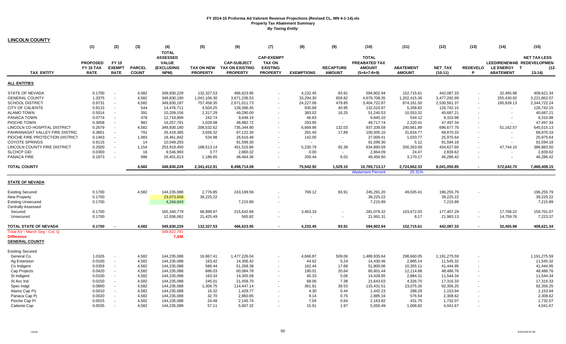| <b>LINCOLN COUNTY</b>                      |                                     |                               |               |                                                                      |                   |                                              |                                                       |                   |                  |                                                |                  |                |                 |                                          |                            |
|--------------------------------------------|-------------------------------------|-------------------------------|---------------|----------------------------------------------------------------------|-------------------|----------------------------------------------|-------------------------------------------------------|-------------------|------------------|------------------------------------------------|------------------|----------------|-----------------|------------------------------------------|----------------------------|
|                                            | (1)                                 | (2)                           | (3)           | (4)                                                                  | (5)               | (6)                                          | (7)                                                   | (8)               | (9)              | (10)                                           | (11)             | (12)           | (13)            | (14)                                     | (15)                       |
|                                            | <b>PROPOSED</b><br><b>FY 15 TAX</b> | <b>FY 15</b><br><b>EXEMPT</b> | <b>PARCEL</b> | <b>TOTAL</b><br><b>ASSESSED</b><br><b>VALUE</b><br><b>(EXCLUDING</b> | <b>TAX ON NEW</b> | <b>CAP-SUBJECT</b><br><b>TAX ON EXISTING</b> | <b>CAP-EXEMPT</b><br><b>TAX ON</b><br><b>EXISTING</b> |                   | <b>RECAPTURE</b> | <b>TOTAL</b><br>PREABATED TAX<br><b>AMOUNT</b> | <b>ABATEMENT</b> | <b>NET TAX</b> | <b>REDEVELO</b> | LEED/RENEWAB REDEVELOPMEN<br>LE ENERGY T | <b>NET TAX LESS</b><br>(1) |
| <b>TAX ENTITY</b>                          | <b>RATE</b>                         | <b>RATE</b>                   | <b>COUNT</b>  | NPM)                                                                 | <b>PROPERTY</b>   | <b>PROPERTY</b>                              | <b>PROPERTY</b>                                       | <b>EXEMPTIONS</b> | <b>AMOUNT</b>    | $(5+6+7-8+9)$                                  | <b>AMOUNT</b>    | $(10-11)$      | P               | <b>ABATEMENT</b>                         | $13-14)$                   |
| <b>ALL ENTITIES</b>                        |                                     |                               |               |                                                                      |                   |                                              |                                                       |                   |                  |                                                |                  |                |                 |                                          |                            |
| <b>STATE OF NEVADA</b>                     | 0.1700                              | $\sim$                        | 4,582         | 349,830,229                                                          | 132,327.53        | 466,623.95                                   | $\sim$                                                | 4,232.45          | 83.91            | 594,802.94                                     | 152,715.61       | 442,087.33     |                 | 32,465.98                                | 409,621.34                 |
| <b>GENERAL COUNTY</b>                      | 1.3375                              | $\sim$                        | 4,582         | 349,830,190                                                          | 1,041,106.30      | 3,671,236.53                                 | $\sim$                                                | 33,294.30         | 659.82           | 4,679,708.35                                   | 1,202,415.36     | 3,477,292.99   | $\sim$          | 255,430.92                               | 3,221,862.07               |
| <b>SCHOOL DISTRICT</b>                     | 0.9731                              | $\sim$                        | 4,582         | 349,830,187                                                          | 757,458.35        | 2,671,011.73                                 |                                                       | 24,227.06         | 479.85           | 3,404,722.87                                   | 874,161.50       | 2,530,561.37   |                 | 185,839.13                               | 2,344,722.24               |
| <b>CITY OF CALIENTE</b>                    | 0.9115                              | $\sim$                        | 544           | 14,476,711                                                           | 4,504.25          | 128,396.45                                   | $\sim$                                                | 930.68            | 40.95            | 132,010.97                                     | 5,268.82         | 126,742.15     | $\sim$          | $\sim$                                   | 126,742.15                 |
| <b>ALAMO TOWN</b>                          | 0.5014                              | $\sim$                        | 391           | 10,209,156                                                           | 2,317.29          | 49,290.00                                    |                                                       | 383.02            | 16.25            | 51,240.53                                      | 10,553.32        | 40,687.21      |                 | $\sim$                                   | 40,687.21                  |
| PANACA TOWN                                | 0.0774                              | $\sim$                        | 478           | 12,719,899                                                           | 242.74            | 9,649.19                                     | $\sim$                                                | 46.83             | $\sim$           | 9.845.10                                       | 534.12           | 9,310.98       |                 | $\sim$                                   | 9,310.98                   |
| PIOCHE TOWN                                | 0.3058                              |                               | 982           | 16,257,791                                                           | 1,028.98          | 48,982.72                                    |                                                       | 293.95            | $\sim$           | 49,717.74                                      | 2,220.41         | 47,497.34      |                 | $\sim$                                   | 47,497.34                  |
| LINCOLN CO HOSPITAL DISTRICT               | 0.2679                              |                               | 4,582         | 349,830,180                                                          | 208,532.62        | 735,344.90                                   |                                                       | 6,669.96          | 132.03           | 937,339.59                                     | 240,661.89       | 696,677.70     |                 | 51,162.57                                | 645,515.13                 |
| PAHRANAGAT VALLEY FIRE DISTRIC             | 0.3801                              |                               | 791           | 26,419,385                                                           | 3,656.32          | 97,122.30                                    |                                                       | 291.40            | 17.89            | 100,505.10                                     | 31,634.77        | 68,870.33      |                 | $\sim$                                   | 68,870.33                  |
| PIOCHE FIRE PROTECTION DISTRICT            | 0.1463                              | $\sim$                        | 1,083         | 18,461,842                                                           | 534.98            | 26,616.48                                    | $\sim$                                                | 142.05            | $\sim$           | 27,009.41                                      | 1,033.77         | 25,975.64      |                 | $\sim$                                   | 25,975.64                  |
| <b>COYOTE SPRINGS</b>                      | 0.9115                              | $\sim$                        | 14            | 10,049,293                                                           | $\sim$            | 91,599.30                                    | $\sim$                                                | $\sim$            | $\sim$           | 91,599.30                                      | 5.12             | 91,594.18      |                 | $\sim$                                   | 91,594.18                  |
| LINCOLN COUNTY FIRE DISTRICT               | 0.2500                              | $\sim$                        | 1,154         | 253,919,450                                                          | 188,513.14        | 451,515.86                                   |                                                       | 5,230.79          | 92.38            | 634,890.59                                     | 200,263.00       | 434,627.60     |                 | 47,744.10                                | 386,883.50                 |
| <b>SLCHCP GID</b>                          | 0.0300                              | $\sim$                        | 16            | 9,546,993                                                            | 3.77              | 2,860.32                                     | $\sim$                                                | 0.00              | $\sim$           | 2,864.09                                       | 24.47            | 2,839.62       | $\sim$          | $\sim$                                   | 2,839.62                   |
| PANACA FIRE                                | 0.1873                              |                               | 996           | 26,401,813                                                           | 1,186.65          | 48,464.36                                    |                                                       | 200.44            | 6.02             | 49,456.60                                      | 3,170.17         | 46,286.42      |                 |                                          | 46,286.42                  |
| <b>TOTAL COUNTY</b>                        |                                     |                               | 4.582         | 349.830.229                                                          | 2,341,412.91      | 8,498,714.08                                 |                                                       | 75,942.92         | 1,529.10         | 10,765,713.17                                  | 2,724,662.33     | 8,041,050.85   |                 | 572,642.70                               | 7,468,408.15               |
|                                            |                                     |                               |               |                                                                      |                   |                                              |                                                       |                   |                  | <b>Abatement Percent</b>                       | 25.31%           |                |                 |                                          |                            |
| <b>STATE OF NEVADA</b>                     |                                     |                               |               |                                                                      |                   |                                              |                                                       |                   |                  |                                                |                  |                |                 |                                          |                            |
| <b>Existing Secured</b>                    | 0.1700                              |                               | 4.582         | 144,235,088                                                          | 2,776.85          | 243,199.56                                   |                                                       | 769.12            | 83.91            | 245,291.20                                     | 49,035.41        | 196,255.79     |                 |                                          | 196,255.79                 |
| New Property                               | 0.1700                              |                               |               | 23,073,658                                                           | 39,225.22         |                                              |                                                       |                   |                  | 39,225.22                                      |                  | 39,225.22      |                 |                                          | 39,225.22                  |
| <b>Existing Unsecured</b>                  | 0.1700                              |                               |               | 4,244,643                                                            |                   | 7,215.89                                     |                                                       |                   |                  | 7,215.89                                       |                  | 7,215.89       |                 |                                          | 7,215.89                   |
| <b>Centrally Assessed</b>                  |                                     |                               |               |                                                                      |                   |                                              |                                                       |                   |                  |                                                |                  |                |                 |                                          |                            |
| Secured                                    | 0.1700                              |                               |               | 165,340,779                                                          | 68,899.97         | 215,642.68                                   | $\sim$                                                | 3,463.33          |                  | 281,079.32                                     | 103,672.03       | 177,407.29     |                 | 17,706.22                                | 159,701.07                 |
| Unsecured                                  | 0.1700                              |                               |               | 12,936,062                                                           | 21,425.49         | 565.82                                       | $\blacksquare$                                        | $\blacksquare$    |                  | 21,991.31                                      | 8.17             | 21,983.13      |                 | 14,759.76                                | 7,223.37                   |
| TOTAL STATE OF NEVADA                      | 0.1700                              |                               | 4,582         | 349,830,229                                                          | 132,327.53        | 466,623.95                                   |                                                       | 4,232.45          | 83.91            | 594,802.94                                     | 152,715.61       | 442,087.33     |                 | 32,465.98                                | 409,621.34                 |
| Total AV - March Seg - Col. Q              |                                     |                               |               | 349,822,781                                                          |                   |                                              |                                                       |                   |                  |                                                |                  |                |                 |                                          |                            |
| <b>Difference</b><br><b>GENERAL COUNTY</b> |                                     |                               |               | 7,448                                                                |                   |                                              |                                                       |                   |                  |                                                |                  |                |                 |                                          |                            |
| <b>Existing Secured</b>                    |                                     |                               |               |                                                                      |                   |                                              |                                                       |                   |                  |                                                |                  |                |                 |                                          |                            |
| General Co.                                | 1.0326                              |                               | 4,582         | 144,235,088                                                          | 16,867.41         | 1,477,226.04                                 | $\sim$                                                | 4,666.87          | 509.06           | 1,489,935.64                                   | 298,660.05       | 1,191,275.59   |                 |                                          | 1,191,275.59               |
| Ag Extension                               | 0.0100                              | $\sim$                        | 4,582         | 144,235,088                                                          | 163.42            | 14,306.42                                    |                                                       | 44.62             | 5.24             | 14,430.46                                      | 2,885.14         | 11,545.32      |                 |                                          | 11,545.32                  |
| Co Indigent                                | 0.0359                              | $\sim$                        | 4,582         | 144,235,088                                                          | 586.44            | 51,358.38                                    |                                                       | 162.44            | 17.68            | 51,800.06                                      | 10,355.11        | 41,444.95      |                 |                                          | 41,444.95                  |
| Cap Projects                               | 0.0420                              |                               | 4,582         | 144,235,088                                                          | 686.03            | 60,084.78                                    |                                                       | 190.01            | 20.64            | 60,601.44                                      | 12,114.68        | 48,486.76      |                 |                                          | 48,486.76                  |
|                                            |                                     |                               |               |                                                                      |                   |                                              |                                                       |                   |                  |                                                |                  |                |                 |                                          |                            |

**T (12-**

St Indigent 0.0100 - 4,582 144,235,088 163.34 14,305.58 15.33 5.06 14,428.65 2,884.31 11,544.34 11,544.34 St Acc Ind 0.0150 - 4,582 144,235,088 245.01 21,458.70 - 68.06 7.38 21,643.03 4,326.70 17,316.33 - 0.0150 - 17,316.33 Spec Indgt 0.0800 - 4,582 144,235,088 1,306.75 114,447.14 - 361.91 39.53 115,431.51 23,075.26 92,356.25 - 92,356.25 Alamo Cap Prj 0.0010 4,582 144,235,088 1,429.77 4.30 0.44 1,442.23 288.29 1,153.94 1,153.94 Panaca Cap Pj 0.0020 - 4,582 144,235,088 2,860.85 9.14 0.75 2,885.16 576.54 2,308.62 2,308.62 Pioche Cap Pr 0.0015 4,582 144,235,088 2,145.74 7.04 0.64 2,163.82 431.75 1,732.07 1,732.07 Caliente Cap 0.0035 - 4,582 144,235,088 57.11 5,007.32 - 15.91 1.97 5,050.49 1,008.82 4,041.67 - 4,041.67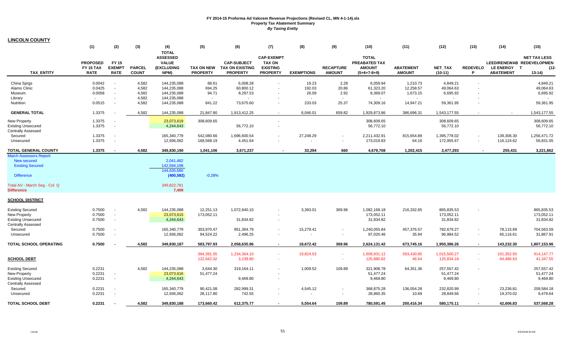**LINCOLN COUNTY**

|                                                      | (1)                             | (2)                          | (3)                           | (4)                                             | (5)                                  | (6)                                       | (7)                                | (8)               | (9)                               | (10)                           | (11)                              | (12)                 | (13)                 | (14)                            | (15)                |
|------------------------------------------------------|---------------------------------|------------------------------|-------------------------------|-------------------------------------------------|--------------------------------------|-------------------------------------------|------------------------------------|-------------------|-----------------------------------|--------------------------------|-----------------------------------|----------------------|----------------------|---------------------------------|---------------------|
|                                                      | <b>PROPOSED</b>                 | <b>FY 15</b>                 |                               | <b>TOTAL</b><br><b>ASSESSED</b><br><b>VALUE</b> |                                      | <b>CAP-SUBJECT</b>                        | <b>CAP-EXEMPT</b><br><b>TAX ON</b> |                   |                                   | <b>TOTAL</b><br>PREABATED TAX  |                                   |                      |                      | LEED/RENEWAB REDEVELOPMEN       | <b>NET TAX LESS</b> |
| <b>TAX ENTITY</b>                                    | <b>FY 15 TAX</b><br><b>RATE</b> | <b>EXEMPT</b><br><b>RATE</b> | <b>PARCEL</b><br><b>COUNT</b> | (EXCLUDING<br>NPM)                              | <b>TAX ON NEW</b><br><b>PROPERTY</b> | <b>TAX ON EXISTING</b><br><b>PROPERTY</b> | <b>EXISTING</b><br><b>PROPERTY</b> | <b>EXEMPTIONS</b> | <b>RECAPTURE</b><br><b>AMOUNT</b> | <b>AMOUNT</b><br>$(5+6+7-8+9)$ | <b>ABATEMENT</b><br><b>AMOUNT</b> | NET_TAX<br>$(10-11)$ | <b>REDEVELO</b><br>P | LE ENERGY T<br><b>ABATEMENT</b> | $(12 -$<br>$13-14)$ |
| China Sprgs                                          | 0.0042                          | $\sim$                       | 4,582                         | 144,235,088                                     | 68.61                                | 6,008.28                                  |                                    | 19.23             | 2.28                              | 6,059.94                       | 1,210.73                          | 4,849.21             |                      |                                 | 4,849.21            |
| Alamo Clinic                                         | 0.0425                          | $\sim$                       | 4,582                         | 144,235,088                                     | 694.25                               | 60,800.12                                 |                                    | 192.03            | 20.86                             | 61,323.20                      | 12,258.57                         | 49,064.63            |                      |                                 | 49,064.63           |
| Museum                                               | 0.0058                          | $\sim$                       | 4,582                         | 144,235,088                                     | 94.71                                | 8,297.53                                  |                                    | 26.09             | 2.92                              | 8,369.07                       | 1,673.15                          | 6,695.92             |                      |                                 | 6,695.92            |
| Library                                              | $\sim$                          | $\sim$                       | 4,582                         | 144,235,088                                     | $\sim$                               |                                           |                                    | $\sim$            | $\sim$                            | $\sim$                         |                                   |                      |                      |                                 | $\sim$              |
| Nutrition                                            | 0.0515                          | $\sim$                       | 4,582                         | 144,235,088                                     | 841.22                               | 73,675.60                                 |                                    | 233.03            | 25.37                             | 74,309.16                      | 14,947.21                         | 59,361.95            |                      |                                 | 59,361.95           |
| <b>GENERAL TOTAL</b>                                 | 1.3375                          |                              | 4,582                         | 144,235,088                                     | 21,847.80                            | 1,913,412.25                              | $\sim$                             | 6,046.01          | 659.82                            | 1,929,873.86                   | 386,696.31                        | 1,543,177.55         |                      | $\sim$                          | 1,543,177.55        |
| <b>New Property</b>                                  | 1.3375                          | $\sim$                       |                               | 23,073,619                                      | 308,609.65                           |                                           |                                    |                   |                                   | 308,609.65                     |                                   | 308,609.65           |                      |                                 | 308,609.65          |
| <b>Existing Unsecured</b>                            | 1.3375                          | $\sim$                       |                               | 4,244,643                                       |                                      | 56,772.10                                 |                                    |                   |                                   | 56,772.10                      |                                   | 56,772.10            |                      |                                 | 56,772.10           |
| <b>Centrally Assessed</b>                            |                                 |                              |                               |                                                 |                                      |                                           |                                    |                   |                                   |                                |                                   |                      |                      |                                 |                     |
| Secured                                              | 1.3375                          | $\sim$                       |                               | 165,340,779                                     | 542,080.66                           | 1,696,600.54                              |                                    | 27,248.29         |                                   | 2,211,432.91                   | 815,654.89                        | 1,395,778.02         |                      | 139,306.30                      | 1,256,471.72        |
| Unsecured                                            | 1.3375                          | $\sim$                       |                               | 12,936,062                                      | 168,568.19                           | 4,451.64                                  |                                    |                   |                                   | 173,019.83                     | 64.16                             | 172,955.67           | $\sim$               | 116,124.62                      | 56,831.05           |
| <b>TOTAL GENERAL COUNTY</b>                          | 1.3375                          |                              | 4,582                         | 349,830,190                                     | 1,041,106                            | 3,671,237                                 |                                    | 33,294            | 660                               | 4,679,708                      | 1,202,415                         | 3,477,293            |                      | 255,431                         | 3,221,862           |
| <b>March Assessors Report:</b><br><b>New secured</b> |                                 |                              |                               | 2.041.482                                       |                                      |                                           |                                    |                   |                                   |                                |                                   |                      |                      |                                 |                     |
| <b>Existing Secured</b>                              |                                 |                              |                               | 142,594,198                                     |                                      |                                           |                                    |                   |                                   |                                |                                   |                      |                      |                                 |                     |
|                                                      |                                 |                              |                               | 144,635,680                                     |                                      |                                           |                                    |                   |                                   |                                |                                   |                      |                      |                                 |                     |
| <b>Difference</b>                                    |                                 |                              |                               | (400, 592)                                      | $-0.28%$                             |                                           |                                    |                   |                                   |                                |                                   |                      |                      |                                 |                     |
| Total AV - March Seg - Col. Q                        |                                 |                              |                               | 349,822,781                                     |                                      |                                           |                                    |                   |                                   |                                |                                   |                      |                      |                                 |                     |
| <b>Difference</b>                                    |                                 |                              |                               | 7,409                                           |                                      |                                           |                                    |                   |                                   |                                |                                   |                      |                      |                                 |                     |
| <b>SCHOOL DISTRICT</b>                               |                                 |                              |                               |                                                 |                                      |                                           |                                    |                   |                                   |                                |                                   |                      |                      |                                 |                     |
| <b>Existing Secured</b>                              | 0.7500                          | $\sim$                       | 4,582                         | 144,235,088                                     | 12,251.13                            | 1,072,940.10                              |                                    | 3,393.01          | 369.96                            | 1,082,168.18                   | 216,332.65                        | 865,835.53           |                      |                                 | 865,835.53          |
| <b>New Property</b>                                  | 0.7500                          | $\sim$                       |                               | 23,073,615                                      | 173,052.11                           |                                           |                                    |                   |                                   | 173,052.11                     |                                   | 173,052.11           |                      |                                 | 173,052.11          |
| <b>Existing Unsecured</b>                            | 0.7500                          | $\sim$                       |                               | 4,244,643                                       |                                      | 31,834.82                                 |                                    |                   |                                   | 31,834.82                      |                                   | 31,834.82            |                      |                                 | 31,834.82           |
| <b>Centrally Assessed</b>                            |                                 |                              |                               |                                                 |                                      |                                           |                                    |                   |                                   |                                |                                   |                      |                      |                                 |                     |
| Secured                                              | 0.7500                          | $\sim$                       |                               | 165,340,779                                     | 303,970.47                           | 951,364.79                                |                                    | 15,279.41         |                                   | 1,240,055.84                   | 457,376.57                        | 782,679.27           |                      | 78,115.69                       | 704,563.59          |
| Unsecured                                            | 0.7500                          |                              |                               | 12,936,062                                      | 94,524.22                            | 2,496.25                                  | $\blacksquare$                     |                   |                                   | 97,020.46                      | 35.94                             | 96,984.52            | $\sim$               | 65,116.61                       | 31,867.91           |
| TOTAL SCHOOL OPERATING                               | 0.7500                          |                              | 4,582                         | 349,830,187                                     | 583,797.93                           | 2,058,635.96                              |                                    | 18,672.42         | 369.96                            | 2,624,131.42                   | 673,745.16                        | 1,950,386.26         | $\sim$               | 143,232.30                      | 1,807,153.96        |
|                                                      |                                 |                              |                               |                                                 | 394,391.55                           | 1,234,364.10                              | $\sim$                             | 19,824.53         | $\sim$                            | 1,608,931.12                   | 593,430.85                        | 1,015,500.27         | $\sim$               | 101,352.50                      | 914,147.77          |
| <b>SCHOOL DEBT</b>                                   |                                 |                              |                               |                                                 | 122,642.02                           | 3,238.80                                  |                                    |                   | <b>College</b>                    | 125,880.82                     | 46.64                             | 125,834.18           |                      | 84,486.63                       | 41,347.55           |
| <b>Existing Secured</b>                              | 0.2231                          |                              | 4,582                         | 144,235,088                                     | 3,644.30                             | 319,164.11                                |                                    | 1,009.52          | 109.89                            | 321,908.78                     | 64,351.36                         | 257,557.42           |                      |                                 | 257,557.42          |
| <b>New Property</b>                                  | 0.2231                          | $\sim$                       |                               | 23,073,616                                      | 51,477.24                            |                                           |                                    |                   |                                   | 51,477.24                      |                                   | 51,477.24            |                      |                                 | 51,477.24           |
| <b>Existing Unsecured</b>                            | 0.2231                          | $\sim$                       |                               | 4,244,643                                       |                                      | 9,469.80                                  |                                    |                   |                                   | 9,469.80                       |                                   | 9,469.80             |                      |                                 | 9,469.80            |
| <b>Centrally Assessed</b>                            |                                 |                              |                               |                                                 |                                      |                                           |                                    |                   |                                   |                                |                                   |                      |                      |                                 |                     |
| Secured                                              | 0.2231                          | $\sim$                       |                               | 165,340,779                                     | 90,421.08                            | 282,999.31                                |                                    | 4,545.12          |                                   | 368,875.28                     | 136,054.28                        | 232,820.99           |                      | 23,236.81                       | 209,584.18          |
| Unsecured                                            | 0.2231                          | $\overline{\phantom{a}}$     |                               | 12,936,062                                      | 28,117.80                            | 742.55                                    |                                    | $\sim$            |                                   | 28,860.35                      | 10.69                             | 28,849.66            |                      | 19,370.02                       | 9,479.64            |
| <b>TOTAL SCHOOL DEBT</b>                             | 0.2231                          |                              | 4,582                         | 349,830,188                                     | 173,660.42                           | 612,375.77                                |                                    | 5.554.64          | 109.89                            | 780,591.45                     | 200,416.34                        | 580,175.11           |                      | 42.606.83                       | 537,568.28          |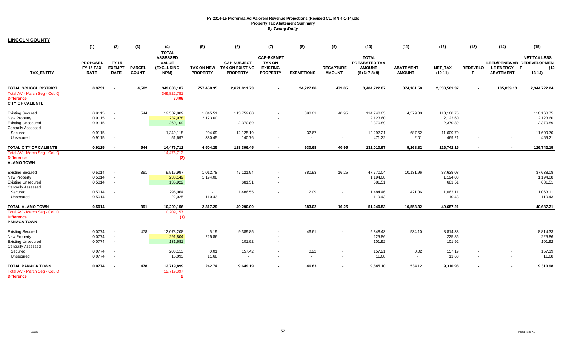| <b>LINCOLN COUNTY</b>                   |                                                    |                                       |                               |                                                       |                                      |                                                                 |                                                                          |                   |                                   |                                                                 |                                   |                             |                      |                                                              |                                            |
|-----------------------------------------|----------------------------------------------------|---------------------------------------|-------------------------------|-------------------------------------------------------|--------------------------------------|-----------------------------------------------------------------|--------------------------------------------------------------------------|-------------------|-----------------------------------|-----------------------------------------------------------------|-----------------------------------|-----------------------------|----------------------|--------------------------------------------------------------|--------------------------------------------|
|                                         | (1)                                                | (2)                                   | (3)                           | (4)<br><b>TOTAL</b>                                   | (5)                                  | (6)                                                             | (7)                                                                      | (8)               | (9)                               | (10)                                                            | (11)                              | (12)                        | (13)                 | (14)                                                         | (15)                                       |
| <b>TAX ENTITY</b>                       | <b>PROPOSED</b><br><b>FY 15 TAX</b><br><b>RATE</b> | FY 15<br><b>EXEMPT</b><br><b>RATE</b> | <b>PARCEL</b><br><b>COUNT</b> | <b>ASSESSED</b><br><b>VALUE</b><br>(EXCLUDING<br>NPM) | <b>TAX ON NEW</b><br><b>PROPERTY</b> | <b>CAP-SUBJECT</b><br><b>TAX ON EXISTING</b><br><b>PROPERTY</b> | <b>CAP-EXEMPT</b><br><b>TAX ON</b><br><b>EXISTING</b><br><b>PROPERTY</b> | <b>EXEMPTIONS</b> | <b>RECAPTURE</b><br><b>AMOUNT</b> | <b>TOTAL</b><br>PREABATED TAX<br><b>AMOUNT</b><br>$(5+6+7-8+9)$ | <b>ABATEMENT</b><br><b>AMOUNT</b> | <b>NET TAX</b><br>$(10-11)$ | <b>REDEVELO</b><br>P | LEED/RENEWAB REDEVELOPMEN<br>LE ENERGY T<br><b>ABATEMENT</b> | <b>NET TAX LESS</b><br>$(12 -$<br>$13-14)$ |
| <b>TOTAL SCHOOL DISTRICT</b>            | 0.9731                                             |                                       | 4,582                         | 349,830,187                                           | 757,458.35                           | 2,671,011.73                                                    | $\sim$                                                                   | 24,227.06         | 479.85                            | 3,404,722.87                                                    | 874,161.50                        | 2,530,561.37                |                      | 185,839.13                                                   | 2,344,722.24                               |
| Total AV - March Seg - Col. Q           |                                                    |                                       |                               | 349,822,781                                           |                                      |                                                                 |                                                                          |                   |                                   |                                                                 |                                   |                             |                      |                                                              |                                            |
| <b>Difference</b>                       |                                                    |                                       |                               | 7,406                                                 |                                      |                                                                 |                                                                          |                   |                                   |                                                                 |                                   |                             |                      |                                                              |                                            |
| <b>CITY OF CALIENTE</b>                 |                                                    |                                       |                               |                                                       |                                      |                                                                 |                                                                          |                   |                                   |                                                                 |                                   |                             |                      |                                                              |                                            |
| <b>Existing Secured</b>                 | 0.9115                                             | $\sim$                                | 544                           | 12,582,809                                            | 1,845.51                             | 113,759.60                                                      |                                                                          | 898.01            | 40.95                             | 114,748.05                                                      | 4,579.30                          | 110,168.75                  |                      |                                                              | 110,168.75                                 |
| <b>New Property</b>                     | 0.9115                                             | $\sim$                                |                               | 232,978                                               | 2,123.60                             |                                                                 |                                                                          |                   |                                   | 2,123.60                                                        |                                   | 2,123.60                    |                      |                                                              | 2,123.60                                   |
| <b>Existing Unsecured</b>               | 0.9115                                             | $\sim$                                |                               | 260,109                                               |                                      | 2,370.89                                                        |                                                                          |                   |                                   | 2,370.89                                                        |                                   | 2,370.89                    |                      |                                                              | 2,370.89                                   |
| <b>Centrally Assessed</b>               |                                                    |                                       |                               |                                                       |                                      |                                                                 |                                                                          |                   |                                   |                                                                 |                                   |                             |                      |                                                              |                                            |
| Secured                                 | 0.9115                                             |                                       |                               | 1,349,118                                             | 204.69<br>330.45                     | 12,125.19                                                       |                                                                          | 32.67             | $\sim$                            | 12,297.21<br>471.22                                             | 687.52                            | 11,609.70<br>469.21         |                      | $\sim$                                                       | 11,609.70<br>469.21                        |
| Unsecured                               | 0.9115                                             | $\sim$                                |                               | 51,697                                                |                                      | 140.76                                                          |                                                                          | $\sim$            | $\sim$                            |                                                                 | 2.01                              |                             |                      | $\sim$                                                       |                                            |
| <b>TOTAL CITY OF CALIENTE</b>           | 0.9115                                             |                                       | 544                           | 14,476,711                                            | 4.504.25                             | 128,396.45                                                      |                                                                          | 930.68            | 40.95                             | 132,010.97                                                      | 5,268.82                          | 126,742.15                  |                      |                                                              | 126,742.15                                 |
| Total AV - March Seg - Col. Q           |                                                    |                                       |                               | 14,476,713                                            |                                      |                                                                 |                                                                          |                   |                                   |                                                                 |                                   |                             |                      |                                                              |                                            |
| <b>Difference</b>                       |                                                    |                                       |                               | (2)                                                   |                                      |                                                                 |                                                                          |                   |                                   |                                                                 |                                   |                             |                      |                                                              |                                            |
| <b>ALAMO TOWN</b>                       |                                                    |                                       |                               |                                                       |                                      |                                                                 |                                                                          |                   |                                   |                                                                 |                                   |                             |                      |                                                              |                                            |
| <b>Existing Secured</b>                 | 0.5014                                             | $\sim$                                | 391                           | 9,516,997                                             | 1,012.78                             | 47,121.94                                                       |                                                                          | 380.93            | 16.25                             | 47,770.04                                                       | 10,131.96                         | 37,638.08                   |                      |                                                              | 37,638.08                                  |
| New Property                            | 0.5014                                             | $\sim$                                |                               | 238,149                                               | 1,194.08                             |                                                                 |                                                                          |                   |                                   | 1,194.08                                                        |                                   | 1,194.08                    |                      |                                                              | 1,194.08                                   |
| <b>Existing Unsecured</b>               | 0.5014                                             | $\sim$                                |                               | 135,922                                               |                                      | 681.51                                                          | $\blacksquare$                                                           |                   |                                   | 681.51                                                          |                                   | 681.51                      |                      |                                                              | 681.51                                     |
| <b>Centrally Assessed</b>               |                                                    |                                       |                               |                                                       |                                      |                                                                 |                                                                          |                   |                                   |                                                                 |                                   |                             |                      |                                                              |                                            |
| Secured                                 | 0.5014                                             | $\sim$                                |                               | 296,064                                               | $\sim$                               | 1,486.55                                                        |                                                                          | 2.09              | $\sim$                            | 1,484.46                                                        | 421.36                            | 1,063.11                    |                      |                                                              | 1,063.11                                   |
| Unsecured                               | 0.5014                                             | $\sim$                                |                               | 22,025                                                | 110.43                               |                                                                 |                                                                          | $\sim$            | $\sim$                            | 110.43                                                          |                                   | 110.43                      |                      | $\sim$                                                       | 110.43                                     |
| TOTAL ALAMO TOWN                        | 0.5014                                             | $\sim$                                | 391                           | 10,209,156                                            | 2,317.29                             | 49,290.00                                                       |                                                                          | 383.02            | 16.25                             | 51,240.53                                                       | 10,553.32                         | 40,687.21                   |                      |                                                              | 40,687.21                                  |
| Total AV - March Seg - Col. Q           |                                                    |                                       |                               | 10,209,157                                            |                                      |                                                                 |                                                                          |                   |                                   |                                                                 |                                   |                             |                      |                                                              |                                            |
| <b>Difference</b><br><b>PANACA TOWN</b> |                                                    |                                       |                               | (1)                                                   |                                      |                                                                 |                                                                          |                   |                                   |                                                                 |                                   |                             |                      |                                                              |                                            |
| <b>Existing Secured</b>                 | 0.0774                                             | $\sim$                                | 478                           | 12,078,208                                            | 5.19                                 | 9,389.85                                                        |                                                                          | 46.61             |                                   | 9,348.43                                                        | 534.10                            | 8,814.33                    |                      |                                                              | 8,814.33                                   |
| New Property                            | 0.0774                                             | $\sim$                                |                               | 291,804                                               | 225.86                               |                                                                 |                                                                          |                   |                                   | 225.86                                                          |                                   | 225.86                      |                      |                                                              | 225.86                                     |
| <b>Existing Unsecured</b>               | 0.0774                                             | $\sim$                                |                               | 131,681                                               |                                      | 101.92                                                          | $\blacksquare$                                                           |                   |                                   | 101.92                                                          |                                   | 101.92                      |                      |                                                              | 101.92                                     |
| <b>Centrally Assessed</b>               |                                                    |                                       |                               |                                                       |                                      |                                                                 |                                                                          |                   |                                   |                                                                 |                                   |                             |                      |                                                              |                                            |
| Secured                                 | 0.0774                                             | $\sim$                                |                               | 203,113                                               | 0.01                                 | 157.42                                                          | $\blacksquare$                                                           | 0.22              | $\sim$                            | 157.21                                                          | 0.02                              | 157.19                      |                      |                                                              | 157.19                                     |
| Unsecured                               | 0.0774                                             | $\sim$                                |                               | 15,093                                                | 11.68                                | $\sim$                                                          |                                                                          | $\sim$            | $\sim$                            | 11.68                                                           | $\sim$                            | 11.68                       |                      |                                                              | 11.68                                      |
| <b>TOTAL PANACA TOWN</b>                | 0.0774                                             |                                       | 478                           | 12,719,899                                            | 242.74                               | 9,649.19                                                        |                                                                          | 46.83             | $\blacksquare$                    | 9,845.10                                                        | 534.12                            | 9,310.98                    |                      |                                                              | 9,310.98                                   |
| Total AV - March Seg - Col. Q           |                                                    |                                       |                               | 12,719,897                                            |                                      |                                                                 |                                                                          |                   |                                   |                                                                 |                                   |                             |                      |                                                              |                                            |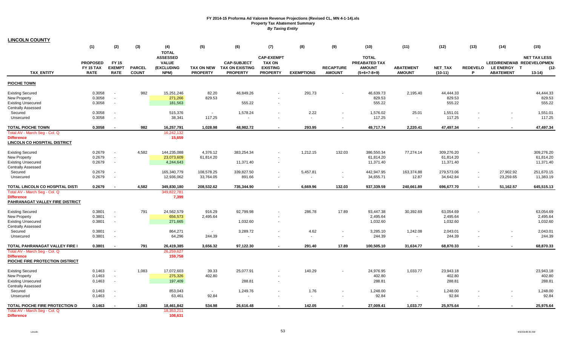**LINCOLN COUNTY**

|                                     | (1)              | (2)           | (3)           | (4)             | (5)               | (6)                    | (7)               | (8)               | (9)              | (10)          | (11)             | (12)       | (13)            | (14)                      | (15)                |
|-------------------------------------|------------------|---------------|---------------|-----------------|-------------------|------------------------|-------------------|-------------------|------------------|---------------|------------------|------------|-----------------|---------------------------|---------------------|
|                                     |                  |               |               | <b>TOTAL</b>    |                   |                        |                   |                   |                  |               |                  |            |                 |                           |                     |
|                                     |                  |               |               | <b>ASSESSED</b> |                   |                        | <b>CAP-EXEMPT</b> |                   |                  | <b>TOTAL</b>  |                  |            |                 |                           | <b>NET TAX LESS</b> |
|                                     | <b>PROPOSED</b>  | <b>FY 15</b>  |               | <b>VALUE</b>    |                   | <b>CAP-SUBJECT</b>     | <b>TAX ON</b>     |                   |                  | PREABATED TAX |                  |            |                 | LEED/RENEWAB REDEVELOPMEN |                     |
|                                     | <b>FY 15 TAX</b> | <b>EXEMPT</b> | <b>PARCEL</b> | (EXCLUDING      | <b>TAX ON NEW</b> | <b>TAX ON EXISTING</b> | <b>EXISTING</b>   |                   | <b>RECAPTURE</b> | <b>AMOUNT</b> | <b>ABATEMENT</b> | NET_TAX    | <b>REDEVELO</b> | LE ENERGY T               | $(12 -$             |
| <b>TAX ENTITY</b>                   | <b>RATE</b>      | <b>RATE</b>   | <b>COUNT</b>  | NPM)            | <b>PROPERTY</b>   | <b>PROPERTY</b>        | <b>PROPERTY</b>   | <b>EXEMPTIONS</b> | <b>AMOUNT</b>    | $(5+6+7-8+9)$ | <b>AMOUNT</b>    | $(10-11)$  | P               | <b>ABATEMENT</b>          | $13-14$             |
| PIOCHE TOWN                         |                  |               |               |                 |                   |                        |                   |                   |                  |               |                  |            |                 |                           |                     |
| <b>Existing Secured</b>             | 0.3058           | $\sim$        | 982           | 15,251,246      | 82.20             | 46,849.26              |                   | 291.73            |                  | 46,639.73     | 2,195.40         | 44,444.33  |                 |                           | 44,444.33           |
| New Property                        | 0.3058           |               |               | 271,266         | 829.53            |                        |                   |                   |                  | 829.53        |                  | 829.53     |                 |                           | 829.53              |
| <b>Existing Unsecured</b>           | 0.3058           | $\sim$        |               | 181,563         |                   | 555.22                 |                   |                   |                  | 555.22        |                  | 555.22     |                 |                           | 555.22              |
| <b>Centrally Assessed</b>           |                  |               |               |                 |                   |                        |                   |                   |                  |               |                  |            |                 |                           |                     |
| Secured                             | 0.3058           | $\sim$        |               | 515,376         | $\sim$            | 1,578.24               |                   | 2.22              |                  | 1,576.02      | 25.01            | 1,551.01   |                 |                           | 1,551.01            |
| Unsecured                           | 0.3058           | $\sim$        |               | 38,341          | 117.25            |                        |                   | $\sim$            | $\sim$           | 117.25        |                  | 117.25     |                 |                           | 117.25              |
| <b>TOTAL PIOCHE TOWN</b>            | 0.3058           |               | 982           | 16,257,791      | 1,028.98          | 48,982.72              |                   | 293.95            |                  | 49,717.74     | 2,220.41         | 47,497.34  |                 |                           | 47,497.34           |
| Total AV - March Seg - Col. Q       |                  |               |               | 16,242,132      |                   |                        |                   |                   |                  |               |                  |            |                 |                           |                     |
| <b>Difference</b>                   |                  |               |               | 15,659          |                   |                        |                   |                   |                  |               |                  |            |                 |                           |                     |
| <b>LINCOLN CO HOSPITAL DISTRICT</b> |                  |               |               |                 |                   |                        |                   |                   |                  |               |                  |            |                 |                           |                     |
| <b>Existing Secured</b>             | 0.2679           |               | 4,582         | 144,235,088     | 4,376.12          | 383,254.34             |                   | 1,212.15          | 132.03           | 386,550.34    | 77,274.14        | 309,276.20 |                 |                           | 309,276.20          |
| <b>New Property</b>                 | 0.2679           | $\sim$        |               | 23,073,609      | 61,814.20         |                        |                   |                   |                  | 61,814.20     |                  | 61,814.20  |                 |                           | 61,814.20           |
| <b>Existing Unsecured</b>           | 0.2679           | $\sim$        |               | 4,244,643       |                   | 11,371.40              |                   |                   |                  | 11,371.40     |                  | 11,371.40  |                 |                           | 11,371.40           |
| Centrally Assessed                  |                  |               |               |                 |                   |                        |                   |                   |                  |               |                  |            |                 |                           |                     |
| Secured                             | 0.2679           | $\sim$        |               | 165,340,779     | 108,578.25        | 339,827.50             |                   | 5,457.81          |                  | 442,947.95    | 163,374.88       | 279,573.06 |                 | 27,902.92                 | 251,670.15          |
| Unsecured                           | 0.2679           | $\sim$        |               | 12,936,062      | 33,764.05         | 891.66                 |                   |                   | $\sim$           | 34,655.71     | 12.87            | 34,642.84  | $\sim$          | 23,259.65                 | 11,383.19           |
| TOTAL LINCOLN CO HOSPITAL DISTI     | 0.2679           | $\sim$        | 4,582         | 349,830,180     | 208,532.62        | 735,344.90             |                   | 6,669.96          | 132.03           | 937,339.59    | 240,661.89       | 696,677.70 | $\blacksquare$  | 51,162.57                 | 645,515.13          |
| Total AV - March Seg - Col. Q       |                  |               |               | 349,822,781     |                   |                        |                   |                   |                  |               |                  |            |                 |                           |                     |
| <b>Difference</b>                   |                  |               |               | 7,399           |                   |                        |                   |                   |                  |               |                  |            |                 |                           |                     |
| PAHRANAGAT VALLEY FIRE DISTRICT     |                  |               |               |                 |                   |                        |                   |                   |                  |               |                  |            |                 |                           |                     |
| <b>Existing Secured</b>             | 0.3801           | $\sim$        | 791           | 24,562,579      | 916.29            | 92,799.98              |                   | 286.78            | 17.89            | 93,447.38     | 30,392.69        | 63,054.69  |                 |                           | 63,054.69           |
| <b>New Property</b>                 | 0.3801           | $\sim$        |               | 656,573         | 2,495.64          |                        |                   |                   |                  | 2,495.64      |                  | 2,495.64   |                 |                           | 2,495.64            |
| <b>Existing Unsecured</b>           | 0.3801           | $\sim$        |               | 271,665         |                   | 1,032.60               |                   |                   |                  | 1,032.60      |                  | 1,032.60   |                 |                           | 1,032.60            |
| <b>Centrally Assessed</b>           |                  |               |               |                 |                   |                        |                   |                   |                  |               |                  |            |                 |                           |                     |
| Secured                             | 0.3801           | $\sim$        |               | 864,271         | $\sim$            | 3,289.72               |                   | 4.62              |                  | 3,285.10      | 1,242.08         | 2,043.01   |                 |                           | 2,043.01            |
| Unsecured                           | 0.3801           | $\sim$        |               | 64,296          | 244.39            |                        |                   |                   |                  | 244.39        |                  | 244.39     |                 |                           | 244.39              |
| TOTAL PAHRANAGAT VALLEY FIRE        | 0.3801           | $\sim$        | 791           | 26,419,385      | 3,656.32          | 97,122.30              |                   | 291.40            | 17.89            | 100,505.10    | 31,634.77        | 68,870.33  |                 |                           | 68,870.33           |
| Total AV - March Seg - Col. Q       |                  |               |               | 26,259,627      |                   |                        |                   |                   |                  |               |                  |            |                 |                           |                     |
| <b>Difference</b>                   |                  |               |               | 159,758         |                   |                        |                   |                   |                  |               |                  |            |                 |                           |                     |
| PIOCHE FIRE PROTECTION DISTRICT     |                  |               |               |                 |                   |                        |                   |                   |                  |               |                  |            |                 |                           |                     |
| <b>Existing Secured</b>             | 0.1463           | $\sim$        | 1,083         | 17,072,603      | 39.33             | 25,077.91              |                   | 140.29            |                  | 24,976.95     | 1,033.77         | 23,943.18  |                 |                           | 23,943.18           |
| <b>New Property</b>                 | 0.1463           | $\sim$        |               | 275,326         | 402.80            |                        |                   |                   |                  | 402.80        |                  | 402.80     |                 |                           | 402.80              |
| <b>Existing Unsecured</b>           | 0.1463           | $\sim$        |               | 197,409         |                   | 288.81                 |                   |                   |                  | 288.81        |                  | 288.81     |                 |                           | 288.81              |
| <b>Centrally Assessed</b>           |                  |               |               |                 |                   |                        |                   |                   |                  |               |                  |            |                 |                           |                     |
| Secured                             | 0.1463           | $\sim$        |               | 853,043         | $\sim$            | 1,249.76               |                   | 1.76              |                  | 1,248.00      |                  | 1,248.00   |                 |                           | 1,248.00            |
| Unsecured                           | 0.1463           | $\sim$        |               | 63,461          | 92.84             | $\sim$                 |                   |                   |                  | 92.84         |                  | 92.84      |                 |                           | 92.84               |
| TOTAL PIOCHE FIRE PROTECTION D      | 0.1463           | $\sim$        | 1,083         | 18,461,842      | 534.98            | 26,616.48              |                   | 142.05            |                  | 27,009.41     | 1,033.77         | 25,975.64  |                 |                           | 25,975.64           |
| Total AV - March Seg - Col. Q       |                  |               |               | 18,353,211      |                   |                        |                   |                   |                  |               |                  |            |                 |                           |                     |
| <b>Difference</b>                   |                  |               |               | 108,631         |                   |                        |                   |                   |                  |               |                  |            |                 |                           |                     |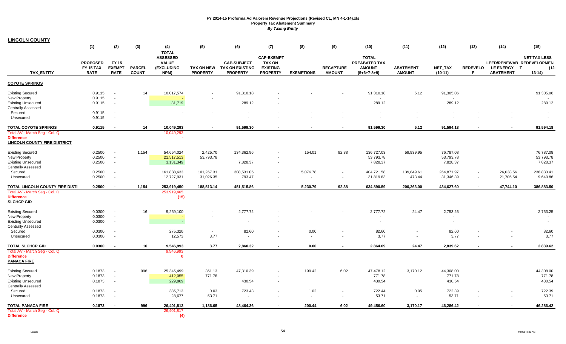**LINCOLN COUNTY**

|                                     | (1)              | (2)                      | (3)           | (4)             | (5)               | (6)                      | (7)               | (8)               | (9)              | (10)          | (11)                     | (12)       | (13)            | (14)                      | (15)                     |
|-------------------------------------|------------------|--------------------------|---------------|-----------------|-------------------|--------------------------|-------------------|-------------------|------------------|---------------|--------------------------|------------|-----------------|---------------------------|--------------------------|
|                                     |                  |                          |               | <b>TOTAL</b>    |                   |                          |                   |                   |                  |               |                          |            |                 |                           |                          |
|                                     |                  |                          |               | <b>ASSESSED</b> |                   |                          | <b>CAP-EXEMPT</b> |                   |                  | <b>TOTAL</b>  |                          |            |                 |                           | <b>NET TAX LESS</b>      |
|                                     | <b>PROPOSED</b>  | <b>FY 15</b>             |               | <b>VALUE</b>    |                   | <b>CAP-SUBJECT</b>       | <b>TAX ON</b>     |                   |                  | PREABATED TAX |                          |            |                 | LEED/RENEWAB REDEVELOPMEN |                          |
|                                     | <b>FY 15 TAX</b> | <b>EXEMPT</b>            | <b>PARCEL</b> | (EXCLUDING      | <b>TAX ON NEW</b> | <b>TAX ON EXISTING</b>   | <b>EXISTING</b>   |                   | <b>RECAPTURE</b> | <b>AMOUNT</b> | <b>ABATEMENT</b>         | NET_TAX    | <b>REDEVELO</b> | LE ENERGY T               | (12)                     |
| <b>TAX ENTITY</b>                   | <b>RATE</b>      | <b>RATE</b>              | <b>COUNT</b>  | NPM)            | <b>PROPERTY</b>   | <b>PROPERTY</b>          | <b>PROPERTY</b>   | <b>EXEMPTIONS</b> | <b>AMOUNT</b>    | $(5+6+7-8+9)$ | <b>AMOUNT</b>            | $(10-11)$  | P.              | <b>ABATEMENT</b>          | $13-14)$                 |
| <b>COYOTE SPRINGS</b>               |                  |                          |               |                 |                   |                          |                   |                   |                  |               |                          |            |                 |                           |                          |
| <b>Existing Secured</b>             | 0.9115           | $\sim$                   | 14            | 10,017,574      |                   | 91,310.18                |                   |                   |                  | 91,310.18     | 5.12                     | 91,305.06  |                 |                           | 91,305.06                |
| New Property                        | 0.9115           | $\sim$                   |               |                 |                   |                          |                   |                   |                  |               |                          |            |                 |                           |                          |
| <b>Existing Unsecured</b>           | 0.9115           | $\sim$                   |               | 31,719          |                   | 289.12                   |                   |                   |                  | 289.12        |                          | 289.12     |                 |                           | 289.12                   |
| <b>Centrally Assessed</b>           |                  |                          |               |                 |                   |                          |                   |                   |                  |               |                          |            |                 |                           |                          |
| Secured                             | 0.9115           | $\sim$                   |               |                 |                   |                          |                   |                   |                  |               |                          |            |                 |                           | $\sim$                   |
| Unsecured                           | 0.9115           | $\sim$                   |               |                 |                   |                          |                   |                   |                  |               |                          |            |                 |                           |                          |
| <b>TOTAL COYOTE SPRINGS</b>         | 0.9115           |                          | 14            | 10,049,293      |                   | 91,599.30                |                   |                   |                  | 91,599.30     | 5.12                     | 91,594.18  |                 |                           | 91,594.18                |
| Total AV - March Seg - Col. Q       |                  |                          |               | 10,049,293      |                   |                          |                   |                   |                  |               |                          |            |                 |                           |                          |
| <b>Difference</b>                   |                  |                          |               |                 |                   |                          |                   |                   |                  |               |                          |            |                 |                           |                          |
| <u>LINCOLN COUNTY FIRE DISTRICT</u> |                  |                          |               |                 |                   |                          |                   |                   |                  |               |                          |            |                 |                           |                          |
|                                     |                  |                          |               |                 |                   |                          |                   |                   |                  |               |                          |            |                 |                           |                          |
| <b>Existing Secured</b>             | 0.2500           | $\sim$                   | 1,154         | 54,654,024      | 2,425.70          | 134,362.96               |                   | 154.01            | 92.38            | 136,727.03    | 59,939.95                | 76,787.08  |                 |                           | 76,787.08                |
| <b>New Property</b>                 | 0.2500           | $\sim$                   |               | 21,517,513      | 53,793.78         |                          |                   |                   |                  | 53,793.78     |                          | 53,793.78  |                 |                           | 53,793.78                |
| <b>Existing Unsecured</b>           | 0.2500           | $\sim$                   |               | 3,131,349       |                   | 7,828.37                 |                   |                   |                  | 7,828.37      |                          | 7,828.37   |                 |                           | 7,828.37                 |
| <b>Centrally Assessed</b>           |                  |                          |               |                 |                   |                          |                   |                   |                  |               |                          |            |                 |                           |                          |
| Secured                             | 0.2500           | $\sim$                   |               | 161,888,633     | 101,267.31        | 308,531.05               |                   | 5,076.78          |                  | 404,721.58    | 139,849.61               | 264,871.97 | $\sim$          | 26,038.56                 | 238,833.41               |
| Unsecured                           | 0.2500           | $\sim$                   |               | 12,727,931      | 31,026.35         | 793.47                   |                   |                   | $\sim$           | 31,819.83     | 473.44                   | 31,346.39  | $\sim$          | 21,705.54                 | 9,640.86                 |
| TOTAL LINCOLN COUNTY FIRE DISTI     | 0.2500           | $\overline{\phantom{a}}$ | 1,154         | 253,919,450     | 188,513.14        | 451,515.86               |                   | 5,230.79          | 92.38            | 634,890.59    | 200,263.00               | 434,627.60 | $\blacksquare$  | 47,744.10                 | 386,883.50               |
| Total AV - March Seg - Col. Q       |                  |                          |               | 253,919,465     |                   |                          |                   |                   |                  |               |                          |            |                 |                           |                          |
| <b>Difference</b>                   |                  |                          |               | (15)            |                   |                          |                   |                   |                  |               |                          |            |                 |                           |                          |
| <b>SLCHCP GID</b>                   |                  |                          |               |                 |                   |                          |                   |                   |                  |               |                          |            |                 |                           |                          |
| <b>Existing Secured</b>             | 0.0300           |                          | 16            | 9,259,100       |                   | 2,777.72                 |                   |                   |                  | 2,777.72      | 24.47                    | 2,753.25   |                 |                           | 2,753.25                 |
| <b>New Property</b>                 | 0.0300           | $\sim$                   |               |                 |                   |                          |                   |                   |                  |               |                          |            |                 |                           |                          |
| <b>Existing Unsecured</b>           | 0.0300           | $\sim$                   |               | $\sim$          |                   | $\overline{\phantom{a}}$ |                   |                   |                  | $\sim$        |                          | $\sim$     |                 |                           | $\overline{\phantom{a}}$ |
| <b>Centrally Assessed</b>           |                  |                          |               |                 |                   |                          |                   |                   |                  |               |                          |            |                 |                           |                          |
| Secured                             | 0.0300           | $\sim$                   |               | 275,320         | $\sim$            | 82.60                    |                   | 0.00              |                  | 82.60         |                          | 82.60      |                 |                           | 82.60                    |
| Unsecured                           | 0.0300           | $\sim$                   |               | 12,573          | 3.77              | $\overline{\phantom{a}}$ |                   | $\sim$            |                  | 3.77          | $\overline{\phantom{a}}$ | 3.77       |                 | $\sim$                    | 3.77                     |
| <b>TOTAL SLCHCP GID</b>             | 0.0300           |                          | 16            | 9,546,993       | 3.77              | 2,860.32                 |                   | 0.00              |                  | 2,864.09      | 24.47                    | 2,839.62   |                 |                           | 2,839.62                 |
| Total AV - March Seg - Col. Q       |                  |                          |               | 9,546,993       |                   |                          |                   |                   |                  |               |                          |            |                 |                           |                          |
| <b>Difference</b>                   |                  |                          |               | $\mathbf{0}$    |                   |                          |                   |                   |                  |               |                          |            |                 |                           |                          |
| <b>PANACA FIRE</b>                  |                  |                          |               |                 |                   |                          |                   |                   |                  |               |                          |            |                 |                           |                          |
|                                     |                  |                          |               |                 |                   |                          |                   |                   |                  |               |                          |            |                 |                           |                          |
| <b>Existing Secured</b>             | 0.1873           | $\sim$                   | 996           | 25,345,499      | 361.13            | 47,310.39                |                   | 199.42            | 6.02             | 47,478.12     | 3,170.12                 | 44,308.00  |                 |                           | 44,308.00                |
| <b>New Property</b>                 | 0.1873           | $\sim$                   |               | 412,055         | 771.78            |                          |                   |                   |                  | 771.78        |                          | 771.78     |                 |                           | 771.78                   |
| <b>Existing Unsecured</b>           | 0.1873           | $\sim$                   |               | 229,869         |                   | 430.54                   |                   |                   |                  | 430.54        |                          | 430.54     |                 |                           | 430.54                   |
| <b>Centrally Assessed</b>           |                  |                          |               |                 |                   |                          |                   |                   |                  |               |                          |            |                 |                           |                          |
| Secured                             | 0.1873           | $\sim$                   |               | 385,713         | 0.03              | 723.43                   |                   | 1.02              |                  | 722.44        | 0.05                     | 722.39     |                 |                           | 722.39                   |
| Unsecured                           | 0.1873           | $\sim$                   |               | 28,677          | 53.71             | $\overline{\phantom{a}}$ |                   | $\sim$            | $\sim$           | 53.71         | $\sim$                   | 53.71      |                 | $\sim$                    | 53.71                    |
| TOTAL PANACA FIRE                   | 0.1873           |                          | 996           | 26,401,813      | 1,186.65          | 48,464.36                |                   | 200.44            | 6.02             | 49,456.60     | 3,170.17                 | 46,286.42  |                 |                           | 46,286.42                |
| Total AV - March Seg - Col. Q       |                  |                          |               | 26,401,817      |                   |                          |                   |                   |                  |               |                          |            |                 |                           |                          |
| <b>Difference</b>                   |                  |                          |               | (4)             |                   |                          |                   |                   |                  |               |                          |            |                 |                           |                          |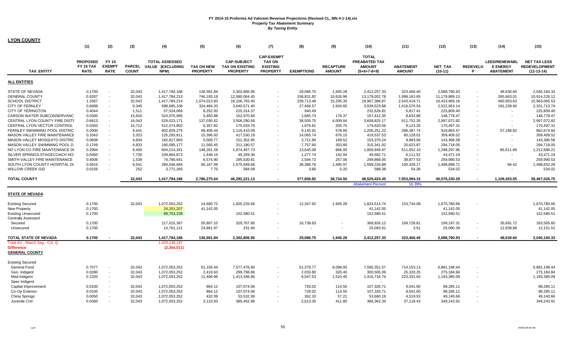| <b>LYON COUNTY</b>                         |                  |                          |               |                         |                   |                        |                   |                   |                          |                          |                  |               |                      |                          |                      |
|--------------------------------------------|------------------|--------------------------|---------------|-------------------------|-------------------|------------------------|-------------------|-------------------|--------------------------|--------------------------|------------------|---------------|----------------------|--------------------------|----------------------|
|                                            | (1)              | (2)                      | (3)           | (4)                     | (5)               | (6)                    | (7)               | (8)               | (9)                      | (10)                     | (11)             | (12)          | (13)                 | (14)                     | (15)                 |
|                                            |                  |                          |               |                         |                   |                        |                   |                   |                          |                          |                  |               |                      |                          |                      |
|                                            |                  |                          |               |                         |                   |                        | <b>CAP-EXEMPT</b> |                   |                          | <b>TOTAL</b>             |                  |               |                      |                          |                      |
|                                            | <b>PROPOSED</b>  | <b>FY 15</b>             |               | <b>TOTAL ASSESSED</b>   |                   | <b>CAP-SUBJECT</b>     | <b>TAX ON</b>     |                   |                          | PREABATED TAX            |                  |               |                      | <b>LEED/RENEWABL</b>     | <b>NET TAX LESS</b>  |
|                                            | <b>FY 15 TAX</b> | <b>EXEMPT</b>            | <b>PARCEL</b> | <b>VALUE (EXCLUDING</b> | <b>TAX ON NEW</b> | <b>TAX ON EXISTING</b> | <b>EXISTING</b>   |                   | <b>RECAPTURE</b>         | <b>AMOUNT</b>            | <b>ABATEMENT</b> | NET_TAX       | <b>REDEVELO</b><br>P | <b>E ENERGY</b>          | <b>REDEVELOPMENT</b> |
| <b>TAX ENTITY</b>                          | <b>RATE</b>      | <b>RATE</b>              | <b>COUNT</b>  | NPM)                    | <b>PROPERTY</b>   | <b>PROPERTY</b>        | <b>PROPERTY</b>   | <b>EXEMPTIONS</b> | <b>AMOUNT</b>            | $(5+6+7-8+9)$            | <b>AMOUNT</b>    | $(10-11)$     |                      | <b>ABATEMENT</b>         | $(12-13-14)$         |
| <b>ALL ENTITIES</b>                        |                  |                          |               |                         |                   |                        |                   |                   |                          |                          |                  |               |                      |                          |                      |
| <b>STATE OF NEVADA</b>                     | 0.1700           |                          | 32,043        | 1,417,784,186           | 136,591.84        | 2,302,806.95           | $\sim$            | 29,086.75         | 1,945.28                 | 2,412,257.33             | 323,466.40       | 2,088,790.93  |                      | 48,630.60                | 2,040,160.33         |
| <b>GENERAL COUNTY</b>                      | 0.9287           | $\sim$                   | 32,043        | 1,417,784,213           | 746,193.19        | 12,580,064.45          |                   | 158,831.82        | 10,626.96                | 13,178,052.78            | 1,998,163.65     | 11,179,889.13 |                      | 265,663.01               | 10,914,226.12        |
| <b>SCHOOL DISTRICT</b>                     | 1.3367           | $\sim$                   | 32,043        | 1,417,784,214           | 1,074,013.60      | 18,106,793.40          |                   | 228,713.48        | 15,295.35                | 18,967,388.87            | 2,543,419.71     | 16,423,969.16 |                      | 460,903.63               | 15,963,065.53        |
| <b>CITY OF FERNLEY</b>                     | 0.6688           | $\sim$                   | 9,340         | 588,685,108             | 324,484.20        | 3,640,571.40           | $\sim$            | 27,466.57         | 1,934.65                 | 3,939,523.68             | 1,416,570.54     | 2,522,953.14  | $\sim$               | 191,239.40               | 2,331,713.74         |
| <b>CITY OF YERINGTON</b>                   | 0.4044           | $\sim$                   | 1,511         | 57,524,069              | 8,252.93          | 225,314.37             |                   | 940.49            | $\sim$                   | 232,626.81               | 6,817.41         | 225,809.40    |                      | $\overline{\phantom{a}}$ | 225,809.40           |
| CARSON WATER SUBCONSERVANC                 | 0.0300           | $\sim$                   | 15,816        | 524,075,995             | 5,950.88          | 152,970.84             |                   | 1,685.74          | 176.37                   | 157,412.35               | 8,633.88         | 148,778.47    |                      | $\blacksquare$           | 148,778.47           |
| CENTRAL LYON COUNTY FIRE DISTR             | 0.6813           | $\sim$                   | 16,043        | 529,023,171             | 137,030.52        | 3,506,290.56           |                   | 38,505.75         | 4,009.84                 | 3,608,825.17             | 611,752.35       | 2,997,072.82  |                      | $\overline{\phantom{a}}$ | 2,997,072.82         |
| CENTRAL LYON VECTOR CONTROL                | 0.0350           | $\sim$                   | 15,712        | 512,574,802             | 6,357.82          | 175,033.79             |                   | 1,976.81          | 205.76                   | 179,620.56               | 9,123.25         | 170,497.31    |                      | $\overline{\phantom{a}}$ | 170,497.31           |
| FERNLEY SWIMMING POOL DISTRIC              | 0.2000           | $\sim$                   | 9,441         | 602,829,275             | 98,408.44         | 1,116,410.09           | $\sim$            | 9,145.91          | 578.60                   | 1,206,251.22             | 286,387.74       | 919,863.47    |                      | 57,188.82                | 862,674.66           |
| <b>MASON VALLEY FIRE MAINTENANCE</b>       | 0.3343           | $\sim$                   | 3,323         | 125,293,811             | 15,396.93         | 417,530.19             |                   | 14,065.74         | 676.15                   | 419,537.53               | 60,128.01        | 359,409.52    |                      | $\overline{\phantom{a}}$ | 359,409.52           |
| <b>MASON VALLEY MOSQUITO DISTRIC</b>       | 0.0838           |                          | 4,834         | 182,817,893             | 5,569.77          | 151,352.85             |                   | 3,721.90          | 169.52                   | 153.370.24               | 9,983.66         | 143,386.58    |                      |                          | 143,386.58           |
| MASON VALLEY SWIMMING POOL D               | 0.1749           | $\sim$                   | 4,833         | 180,095,177             | 11,565.45         | 311,180.57             |                   | 7,757.90          | 353.80                   | 315,341.92               | 20,623.87        | 294,718.05    |                      | $\blacksquare$           | 294,718.05           |
| NO LYON CO FIRE MAINTENANCE DI             | 0.2994           | $\sim$                   | 9.459         | 604,214,341             | 148,261.28        | 1,674,467.73           |                   | 13.645.08         | 866.05                   | 1,809,949.97             | 511,652.10       | 1,298,297.86  |                      | 85.611.66                | 1,212,686.21         |
| SILVER SPRINGS-STAGECOACH HO:              | 0.0450           | $\sim$                   | 7,726         | 109,864,873             | 1,448.16          | 49,269.36              |                   | 1,277.74          | 142.94                   | 49,582.71                | 6,111.52         | 43,471.19     |                      | $\overline{\phantom{a}}$ | 43,471.19            |
| SMITH VALLEY FIRE MAINTENANCE              | 0.4006           | $\sim$                   | 1,539         | 74,790,641              | 6,574.90          | 295,630.81             |                   | 2,594.72          | 257.06                   | 299,868.05               | 39,877.53        | 259,990.53    |                      | $\overline{\phantom{a}}$ | 259,990.53           |
| SOUTH LYON COUNTY HOSPITAL DI              | 0.5615           | $\sim$                   | 6,541         | 284,546,684             | 60,167.99         | 1,575,949.68           |                   | 38,386.76         | 1,495.97                 | 1,599,226.88             | 100,328.17       | 1,498,898.71  |                      | 66.42                    | 1,498,832.28         |
| <b>WILLOW CREEK GID</b>                    | 0.0156           | $\sim$                   | 252           | 3,771,265               | 7.75              | 584.09                 |                   | 3.66              | 0.20                     | 588.38                   | 54.36            | 534.02        |                      |                          | 534.02               |
|                                            |                  |                          |               |                         |                   |                        |                   |                   |                          |                          |                  |               |                      |                          |                      |
| <b>TOTAL COUNTY</b>                        |                  |                          | 32,043        | 1,417,784,186           | 2,786,275.64      | 46,282,221.13          |                   | 577,806.82        | 38,734.50                | 48,529,424.45            | 7,953,094.15     | 40,576,330.29 |                      | 1,109,303.55             | 39,467,026.75        |
|                                            |                  |                          |               |                         |                   |                        |                   |                   |                          | <b>Abatement Percent</b> | 16.39%           |               |                      |                          |                      |
| <b>STATE OF NEVADA</b>                     |                  |                          |               |                         |                   |                        |                   |                   |                          |                          |                  |               |                      |                          |                      |
| <b>Existing Secured</b>                    | 0.1700           |                          | 32,043        | 1,072,053,252           | 14,690.72         | 1,820,226.66           |                   | 12,347.92         | 1,945.28                 | 1,824,514.74             | 153,734.08       | 1,670,780.66  |                      |                          | 1,670,780.66         |
| <b>New Property</b>                        | 0.1700           |                          |               | 24,201,207              | 41,142.05         |                        |                   |                   |                          | 41,142.05                |                  | 41,142.05     |                      |                          | 41,142.05            |
| <b>Existing Unsecured</b>                  | 0.1700           |                          |               | 89,753,239              |                   | 152,580.51             |                   |                   |                          | 152,580.51               |                  | 152,580.51    |                      |                          | 152,580.51           |
| <b>Centrally Assessed</b>                  |                  |                          |               |                         |                   |                        |                   |                   |                          |                          |                  |               |                      |                          |                      |
| Secured                                    | 0.1700           |                          |               | 217,015,367             | 55,897.10         | 329,767.85             |                   | 16,738.83         | $\overline{a}$           | 368,926.12               | 169,728.81       | 199,197.31    |                      | 35,691.72                | 163,505.60           |
| Unsecured                                  | 0.1700           |                          |               | 14,761,121              | 24,861.97         | 231.94                 |                   |                   | $\overline{\phantom{a}}$ | 25,093.91                | 3.51             | 25,090.39     |                      | 12,938.88                | 12,151.51            |
|                                            |                  |                          |               |                         |                   |                        |                   |                   |                          |                          |                  |               |                      |                          |                      |
| TOTAL STATE OF NEVADA                      | 0.1700           |                          | 32.043        | 1,417,784,186           | 136.591.84        | 2,302,806.95           |                   | 29.086.75         | 1,945.28                 | 2,412,257.33             | 323.466.40       | 2,088,790.93  | $\blacksquare$       | 48.630.60                | 2,040,160.33         |
| Total AV - March Seg - Col. Q              |                  |                          |               | 1,420,138,197           |                   |                        |                   |                   |                          |                          |                  |               |                      |                          |                      |
| <b>Difference</b><br><b>GENERAL COUNTY</b> |                  |                          |               | (2,354,011)             |                   |                        |                   |                   |                          |                          |                  |               |                      |                          |                      |
| <b>Existing Secured</b>                    |                  |                          |               |                         |                   |                        |                   |                   |                          |                          |                  |               |                      |                          |                      |
| General Fund                               | 0.7077           | $\overline{\phantom{a}}$ | 32,043        | 1,072,053,252           | 61,156.44         | 7,577,476.90           |                   | 51,379.77         | 8,098.00                 | 7,595,351.57             | 714,153.13       | 6,881,198.44  |                      |                          | 6,881,198.44         |
| Gen. Indigent                              | 0.0280           | $\sim$                   | 32,043        | 1,072,053,252           | 2,419.63          | 299,798.86             |                   | 2,033.80          | 320.40                   | 300,505.09               | 25,320.25        | 275,184.84    |                      |                          | 275,184.84           |
| Med Indigent                               | 0.1320           | $\sim$                   | 32,043        | 1,072,053,252           | 11,406.96         | 1,413,346.86           |                   | 9,547.53          | 1,510.45                 | 1,416,716.74             | 223,331.65       | 1,193,385.09  |                      |                          | 1,193,385.09         |
| Spec Indigent                              |                  |                          |               |                         |                   |                        |                   |                   |                          |                          |                  |               |                      |                          |                      |
| Capital Improvement                        | 0.0100           | $\sim$                   | 32,043        | 1,072,053,252           | 864.12            | 107,074.06             |                   | 726.02            | 114.55                   | 107,326.71               | 9,041.60         | 98,285.11     |                      |                          | 98,285.11            |
| Co-Op Extensn                              | 0.0100           |                          | 32,043        | 1,072,053,252           | 864.12            | 107,074.06             |                   | 726.02            | 114.55                   | 107,326.71               | 9,041.60         | 98,285.11     |                      |                          | 98,285.11            |
| China Springs                              | 0.0050           |                          | 32,043        | 1,072,053,252           | 432.09            | 53,532.99              |                   | 362.10            | 57.21                    | 53,660.19                | 4,519.53         | 49,140.66     |                      |                          | 49,140.66            |
| Juvenile Cntr                              | 0.0360           |                          | 32.043        | 1,072,053,252           | 3.110.93          | 385.452.96             |                   | 2.613.35          | 411.80                   | 386,362.34               | 37.118.43        | 349.243.91    |                      |                          | 349,243.91           |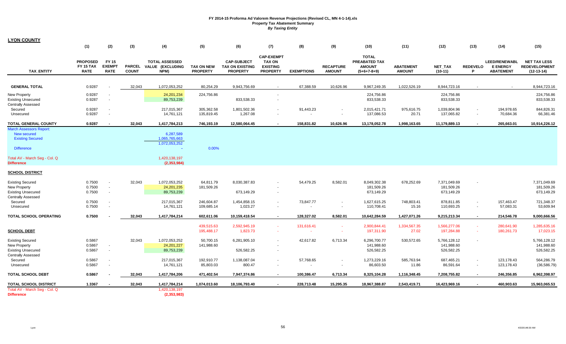|                                                                                                              | (1)                                         | (2)                                   | (3)          | (4)                                                           | (5)                                   | (6)                                                             | (7)                                                                      | (8)                    | (9)                               | (10)                                                            | (11)                              | (12)                                                   | (13)                     | (14)                                                        | (15)                                                        |
|--------------------------------------------------------------------------------------------------------------|---------------------------------------------|---------------------------------------|--------------|---------------------------------------------------------------|---------------------------------------|-----------------------------------------------------------------|--------------------------------------------------------------------------|------------------------|-----------------------------------|-----------------------------------------------------------------|-----------------------------------|--------------------------------------------------------|--------------------------|-------------------------------------------------------------|-------------------------------------------------------------|
| <b>TAX ENTITY</b>                                                                                            | <b>PROPOSED</b><br>FY 15 TAX<br><b>RATE</b> | FY 15<br><b>EXEMPT</b><br><b>RATE</b> | <b>COUNT</b> | <b>TOTAL ASSESSED</b><br>PARCEL VALUE (EXCLUDING<br>NPM)      | <b>TAX ON NEW</b><br><b>PROPERTY</b>  | <b>CAP-SUBJECT</b><br><b>TAX ON EXISTING</b><br><b>PROPERTY</b> | <b>CAP-EXEMPT</b><br><b>TAX ON</b><br><b>EXISTING</b><br><b>PROPERTY</b> | <b>EXEMPTIONS</b>      | <b>RECAPTURE</b><br><b>AMOUNT</b> | <b>TOTAL</b><br>PREABATED TAX<br><b>AMOUNT</b><br>$(5+6+7-8+9)$ | <b>ABATEMENT</b><br><b>AMOUNT</b> | <b>NET TAX</b><br>$(10-11)$                            | <b>REDEVELO</b>          | <b>LEED/RENEWABL</b><br><b>E ENERGY</b><br><b>ABATEMENT</b> | <b>NET TAX LESS</b><br><b>REDEVELOPMENT</b><br>$(12-13-14)$ |
|                                                                                                              |                                             |                                       |              |                                                               |                                       |                                                                 |                                                                          |                        |                                   |                                                                 |                                   |                                                        |                          |                                                             |                                                             |
| <b>GENERAL TOTAL</b>                                                                                         | 0.9287                                      |                                       | 32,043       | 1,072,053,252                                                 | 80,254.29                             | 9,943,756.69                                                    | $\sim$                                                                   | 67,388.59              | 10,626.96                         | 9,967,249.35                                                    | 1,022,526.19                      | 8,944,723.16                                           |                          | $\sim$                                                      | 8,944,723.16                                                |
| New Property<br><b>Existing Unsecured</b><br><b>Centrally Assessed</b>                                       | 0.9287<br>0.9287                            | $\sim$<br>$\sim$                      |              | 24,201,234<br>89,753,239                                      | 224,756.86                            | 833,538.33                                                      |                                                                          |                        |                                   | 224,756.86<br>833,538.33                                        |                                   | 224,756.86<br>833,538.33                               |                          |                                                             | 224,756.86<br>833,538.33                                    |
| Secured<br>Unsecured                                                                                         | 0.9287<br>0.9287                            | $\sim$<br>$\sim$                      |              | 217,015,367<br>14,761,121                                     | 305,362.58<br>135,819.45              | 1,801,502.36<br>1,267.08                                        | $\sim$                                                                   | 91,443.23<br>÷.        |                                   | 2,015,421.71<br>137,086.53                                      | 975,616.75<br>20.71               | 1,039,804.96<br>137,065.82                             | $\sim$<br>$\sim$         | 194,978.65<br>70,684.36                                     | 844,826.31<br>66,381.46                                     |
| <b>TOTAL GENERAL COUNTY</b>                                                                                  | 0.9287                                      | $\overline{\phantom{a}}$              | 32,043       | 1,417,784,213                                                 | 746,193.19                            | 12,580,064.45                                                   | $\blacksquare$                                                           | 158,831.82             | 10,626.96                         | 13,178,052.78                                                   | 1,998,163.65                      | 11,179,889.13                                          | $\sim$                   | 265,663.01                                                  | 10,914,226.12                                               |
| <b>March Assessors Report:</b><br><b>New secured</b><br><b>Existing Secured</b><br><b>Difference</b>         |                                             |                                       |              | 6,287,589<br>1,065,765,663<br>1,072,053,252<br>$\blacksquare$ | 0.00%                                 |                                                                 |                                                                          |                        |                                   |                                                                 |                                   |                                                        |                          |                                                             |                                                             |
| Total AV - March Seg - Col. Q<br><b>Difference</b>                                                           |                                             |                                       |              | 1,420,138,197<br>(2, 353, 984)                                |                                       |                                                                 |                                                                          |                        |                                   |                                                                 |                                   |                                                        |                          |                                                             |                                                             |
| <b>SCHOOL DISTRICT</b>                                                                                       |                                             |                                       |              |                                                               |                                       |                                                                 |                                                                          |                        |                                   |                                                                 |                                   |                                                        |                          |                                                             |                                                             |
| <b>Existing Secured</b><br>New Property<br><b>Existing Unsecured</b><br><b>Centrally Assessed</b><br>Secured | 0.7500<br>0.7500<br>0.7500<br>0.7500        | $\sim$<br>$\sim$<br>$\sim$<br>$\sim$  | 32,043       | 1,072,053,252<br>24,201,235<br>89,753,239<br>217,015,367      | 64,811.79<br>181,509.26<br>246,604.87 | 8,030,387.83<br>673,149.29<br>1,454,858.15                      | $\sim$<br>$\sim$                                                         | 54,479.25<br>73,847.77 | 8,582.01                          | 8,049,302.38<br>181,509.26<br>673,149.29<br>1,627,615.25        | 678,252.69<br>748,803.41          | 7,371,049.69<br>181,509.26<br>673,149.29<br>878,811.85 | $\sim$                   | 157,463.47                                                  | 7,371,049.69<br>181,509.26<br>673,149.29<br>721,348.37      |
| Unsecured                                                                                                    | 0.7500                                      |                                       |              | 14,761,121                                                    | 109,685.14                            | 1,023.27                                                        |                                                                          | $\sim$                 | $\sim$                            | 110,708.41                                                      | 15.16                             | 110,693.25                                             | $\sim$                   | 57,083.31                                                   | 53,609.94                                                   |
| <b>TOTAL SCHOOL OPERATING</b>                                                                                | 0.7500                                      |                                       | 32,043       | 1,417,784,214                                                 | 602,611.06                            | 10,159,418.54                                                   | $\sim$                                                                   | 128,327.02             | 8,582.01                          | 10,642,284.59                                                   | 1,427,071.26                      | 9,215,213.34                                           | $\sim$                   | 214,546.78                                                  | 9,000,666.56                                                |
| <b>SCHOOL DEBT</b>                                                                                           |                                             |                                       |              |                                                               | 439,515.63<br>195,488.17              | 2,592,945.19<br>1,823.73                                        | $\sim$<br>$\sim$                                                         | 131,616.41<br>$\sim$   | $\sim$                            | 2,900,844.41<br>197,311.90                                      | 1,334,567.35<br>27.02             | 1,566,277.06<br>197,284.88                             | $\sim$<br>$\sim$         | 280,641.90<br>180,261.73                                    | 1,285,635.16<br>17,023.15                                   |
| <b>Existing Secured</b><br>New Property<br><b>Existing Unsecured</b><br><b>Centrally Assessed</b>            | 0.5867<br>0.5867<br>0.5867                  | $\sim$<br>$\sim$                      | 32,043       | 1,072,053,252<br>24,201,227<br>89,753,239                     | 50,700.15<br>141,988.60               | 6,281,905.10<br>526.582.25                                      |                                                                          | 42,617.82              | 6,713.34                          | 6,296,700.77<br>141,988.60<br>526,582.25                        | 530,572.65                        | 5,766,128.12<br>141,988.60<br>526,582.25               | ÷                        |                                                             | 5,766,128.12<br>141,988.60<br>526,582.25                    |
| Secured<br>Unsecured                                                                                         | 0.5867<br>0.5867                            | $\sim$<br>$\sim$                      |              | 217,015,367<br>14,761,121                                     | 192,910.77<br>85,803.03               | 1,138,087.04<br>800.47                                          | $\sim$                                                                   | 57,768.65<br>$\sim$    | $\sim$                            | 1,273,229.16<br>86,603.50                                       | 585,763.94<br>11.86               | 687,465.21<br>86,591.64                                | $\sim$<br>$\sim$         | 123,178.43<br>123, 178.43                                   | 564,286.79<br>(36, 586.79)                                  |
| <b>TOTAL SCHOOL DEBT</b>                                                                                     | 0.5867                                      |                                       | 32,043       | 1,417,784,206                                                 | 471,402.54                            | 7,947,374.86                                                    | $\blacksquare$                                                           | 100,386.47             | 6,713.34                          | 8,325,104.28                                                    | 1,116,348.45                      | 7,208,755.82                                           | $\blacksquare$           | 246,356.85                                                  | 6,962,398.97                                                |
| <b>TOTAL SCHOOL DISTRICT</b><br>Total AV - March Seg - Col. Q<br><b>Difference</b>                           | 1.3367                                      |                                       | 32,043       | 1,417,784,214<br>1,420,138,197<br>(2, 353, 983)               | 1,074,013.60                          | 18,106,793.40                                                   | $\overline{\phantom{a}}$                                                 | 228,713.48             | 15,295.35                         | 18,967,388.87                                                   | 2,543,419.71                      | 16,423,969.16                                          | $\overline{\phantom{a}}$ | 460,903.63                                                  | 15,963,065.53                                               |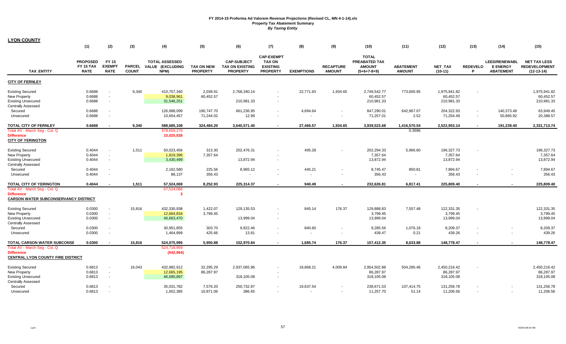|                                                                                                                               | (1)                                         | (2)                                          | (3)                           | (4)                                                      | (5)                                  | (6)                                                             | (7)                                                                      | (8)                 | (9)                               | (10)                                                            | (11)                              | (12)                                    | (13)                     | (14)                                                        | (15)                                                        |
|-------------------------------------------------------------------------------------------------------------------------------|---------------------------------------------|----------------------------------------------|-------------------------------|----------------------------------------------------------|--------------------------------------|-----------------------------------------------------------------|--------------------------------------------------------------------------|---------------------|-----------------------------------|-----------------------------------------------------------------|-----------------------------------|-----------------------------------------|--------------------------|-------------------------------------------------------------|-------------------------------------------------------------|
| <b>TAX ENTITY</b>                                                                                                             | <b>PROPOSED</b><br>FY 15 TAX<br><b>RATE</b> | <b>FY 15</b><br><b>EXEMPT</b><br><b>RATE</b> | <b>PARCEL</b><br><b>COUNT</b> | <b>TOTAL ASSESSED</b><br><b>VALUE (EXCLUDING</b><br>NPM) | <b>TAX ON NEW</b><br><b>PROPERTY</b> | <b>CAP-SUBJECT</b><br><b>TAX ON EXISTING</b><br><b>PROPERTY</b> | <b>CAP-EXEMPT</b><br><b>TAX ON</b><br><b>EXISTING</b><br><b>PROPERTY</b> | <b>EXEMPTIONS</b>   | <b>RECAPTURE</b><br><b>AMOUNT</b> | <b>TOTAL</b><br>PREABATED TAX<br><b>AMOUNT</b><br>$(5+6+7-8+9)$ | <b>ABATEMENT</b><br><b>AMOUNT</b> | <b>NET TAX</b><br>$(10-11)$             | <b>REDEVELO</b><br>P     | <b>LEED/RENEWABL</b><br><b>E ENERGY</b><br><b>ABATEMENT</b> | <b>NET TAX LESS</b><br><b>REDEVELOPMENT</b><br>$(12-13-14)$ |
| <b>CITY OF FERNLEY</b>                                                                                                        |                                             |                                              |                               |                                                          |                                      |                                                                 |                                                                          |                     |                                   |                                                                 |                                   |                                         |                          |                                                             |                                                             |
| <b>Existing Secured</b><br>New Property<br><b>Existing Unsecured</b><br><b>Centrally Assessed</b>                             | 0.6688<br>0.6688<br>0.6688                  | $\sim$                                       | 9,340                         | 410,757,340<br>9,038,961<br>31,546,251                   | 2,039.91<br>60,452.57                | 2,768,340.14<br>210,981.33                                      |                                                                          | 22,771.93           | 1,934.65                          | 2,749,542.77<br>60,452.57<br>210,981.33                         | 773,600.95                        | 1,975,941.82<br>60,452.57<br>210,981.33 |                          |                                                             | 1,975,941.82<br>60,452.57<br>210,981.33                     |
| Secured<br>Unsecured                                                                                                          | 0.6688<br>0.6688                            | $\sim$<br>$\sim$                             |                               | 126,688,099<br>10,654,457                                | 190,747.70<br>71,244.02              | 661,236.95<br>12.99                                             |                                                                          | 4,694.64            | $\sim$                            | 847,290.01<br>71,257.01                                         | 642,967.07<br>2.52                | 204,322.93<br>71,254.49                 | $\sim$                   | 140,373.48<br>50,865.92                                     | 63,949.45<br>20,388.57                                      |
| TOTAL CITY OF FERNLEY<br>Total AV - March Seg - Col. Q<br><b>Difference</b><br><b>CITY OF YERINGTON</b>                       | 0.6688                                      |                                              | 9,340                         | 588,685,108<br>578,659,270<br>10,025,838                 | 324,484.20                           | 3,640,571.40                                                    |                                                                          | 27,466.57           | 1,934.65                          | 3,939,523.68                                                    | 1,416,570.54<br>0.3596            | 2,522,953.14                            | $\overline{a}$           | 191,239.40                                                  | 2,331,713.74                                                |
| <b>Existing Secured</b><br><b>New Property</b><br><b>Existing Unsecured</b><br><b>Centrally Assessed</b>                      | 0.4044<br>0.4044<br>0.4044                  | $\sim$                                       | 1,511                         | 50,023,456<br>1,819,396<br>3,430,499                     | 313.30<br>7,357.64                   | 202,476.31<br>13,872.94                                         |                                                                          | 495.28              |                                   | 202,294.33<br>7,357.64<br>13,872.94                             | 5,966.60                          | 196,327.73<br>7,357.64<br>13,872.94     |                          |                                                             | 196,327.73<br>7,357.64<br>13,872.94                         |
| Secured<br>Unsecured                                                                                                          | 0.4044<br>0.4044                            | $\sim$                                       |                               | 2,162,580<br>88,137                                      | 225.56<br>356.43                     | 8,965.12                                                        |                                                                          | 445.21<br>$\sim$    |                                   | 8,745.47<br>356.43                                              | 850.81                            | 7,894.67<br>356.43                      |                          | $\blacksquare$<br>$\overline{\phantom{a}}$                  | 7,894.67<br>356.43                                          |
| TOTAL CITY OF YERINGTON                                                                                                       | 0.4044                                      |                                              | 1,511                         | 57,524,069                                               | 8,252.93                             | 225,314.37                                                      |                                                                          | 940.49              |                                   | 232,626.81                                                      | 6,817.41                          | 225,809.40                              | $\overline{\phantom{0}}$ |                                                             | 225,809.40                                                  |
| Total AV - March Seg - Col. Q<br><b>Difference</b><br><b>CARSON WATER SUBCONSERVANCY DISTRICT</b>                             |                                             |                                              |                               | 57,524,066<br>$\mathbf{3}$                               |                                      |                                                                 |                                                                          |                     |                                   |                                                                 |                                   |                                         |                          |                                                             |                                                             |
| <b>Existing Secured</b><br>New Property<br><b>Existing Unsecured</b><br><b>Centrally Assessed</b>                             | 0.0300<br>0.0300<br>0.0300                  | $\sim$<br>$\sim$                             | 15,816                        | 432,330,938<br>12,664,834<br>46,663,470                  | 1,422.07<br>3,799.45                 | 129,135.53<br>13,999.04                                         |                                                                          | 845.14              | 176.37                            | 129,888.83<br>3,799.45<br>13,999.04                             | 7,557.48                          | 122,331.35<br>3,799.45<br>13,999.04     |                          |                                                             | 122,331.35<br>3,799.45<br>13,999.04                         |
| Secured<br>Unsecured                                                                                                          | 0.0300<br>0.0300                            | $\sim$                                       |                               | 30,951,855<br>1,464,899                                  | 303.70<br>425.66                     | 9,822.46<br>13.81                                               |                                                                          | 840.60<br>$\sim$    | . .                               | 9,285.56<br>439.47                                              | 1,076.18<br>0.21                  | 8,209.37<br>439.26                      |                          | $\blacksquare$                                              | 8,209.37<br>439.26                                          |
| TOTAL CARSON WATER SUBCONSE<br>Total AV - March Seg - Col. Q<br><b>Difference</b><br><b>CENTRAL LYON COUNTY FIRE DISTRICT</b> | 0.0300                                      |                                              | 15,816                        | 524,075,995<br>524,718,959<br>(642, 964)                 | 5.950.88                             | 152,970.84                                                      |                                                                          | 1.685.74            | 176.37                            | 157,412.35                                                      | 8.633.88                          | 148,778.47                              |                          |                                                             | 148,778.47                                                  |
| <b>Existing Secured</b><br><b>New Property</b><br><b>Existing Unsecured</b><br><b>Centrally Assessed</b>                      | 0.6813<br>0.6813<br>0.6813                  | $\sim$<br>$\sim$                             | 16,043                        | 432,982,912<br>12,665,195<br>46,690,897                  | 32,295.29<br>86,287.97               | 2,937,065.96<br>318,105.08                                      |                                                                          | 18,868.21           | 4,009.84                          | 2,954,502.88<br>86,287.97<br>318,105.08                         | 504,286.46                        | 2,450,216.42<br>86,287.97<br>318,105.08 |                          |                                                             | 2,450,216.42<br>86,287.97<br>318,105.08                     |
| Secured<br>Unsecured                                                                                                          | 0.6813<br>0.6813                            |                                              |                               | 35,031,782<br>1,652,385                                  | 7,576.20<br>10,871.06                | 250,732.87<br>386.65                                            |                                                                          | 19,637.54<br>$\sim$ |                                   | 238,671.53<br>11,257.70                                         | 107,414.75<br>51.14               | 131,256.78<br>11,206.56                 | $\sim$                   |                                                             | 131,256.78<br>11,206.56                                     |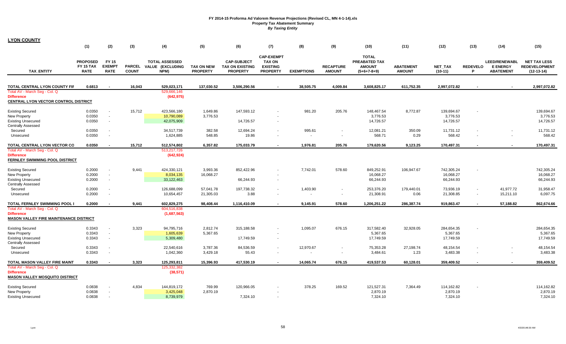(1) (2) (3) (4) (5) (6) (7) (8) (9) (10) (11) (12) (13) (14) (15) **TAX\_ENTITY PROPOSED FY 15 TAX RATE FY 15 EXEMPT RATE PARCEL COUNT TOTAL ASSESSED VALUE (EXCLUDING NPM) TAX ON NEW PROPERTY CAP-SUBJECT TAX ON EXISTING PROPERTY CAP-EXEMPT TAX ON EXISTING PROPERTY EXEMPTIONS RECAPTURE AMOUNT TOTAL PREABATED TAX AMOUNT (5+6+7-8+9) ABATEMENT AMOUNT NET\_TAX (10-11) REDEVELOP LEED/RENEWABLE ENERGY ABATEMENT NET TAX LESS REDEVELOPMENT (12-13-14) TOTAL CENTRAL LYON COUNTY FIF 0.6813 - 0.6813 16,043 529,023,171 137,030.52 3,506,290.56 - 38,505.75 4,009.84 3,608,825.17 611,752.35 2,997,072.82 - - 2,997,072.82** Total AV - March Seg - Col. Q 529,666,146 **Difference (642,975) CENTRAL LYON VECTOR CONTROL DISTRICT**Existing Secured 0.0350 - 15,712 423,566,180 1,649.86 147,593.12 981.20 205.76 148,467.54 8,772.87 139,694.67 139,694.67 New Property 0.0350 10,790,089 3,776.53 3,776.53 3,776.53 3,776.53 3,776.53 3,776.53 Existing Unsecured 0.0350 - 42,075,909 14,726.57 14,726.57 14,726.57 14,726.57 14,726.57 14,726.57 14,726.5 Centrally Assessed Secured 0.0350 - 34,517,739 382.58 12,694.24 995.61 12,081.21 350.09 11,731.12 11,731.12 Unsecured 0.0350 - 1,624,885 19.86 568.71 0.29 568.42 568.42 **TOTAL CENTRAL LYON VECTOR CO** 0.0350 - **0.0350 15,712 512,574,802 6,357.82 175,033.79 - 1,976.81 205.76 179,620.56 9,123.25 170,497.31 - - 170,497.31** Total AV - March Seg - Col. Q 513,217,726 **Difference (642,924) FERNLEY SWIMMING POOL DISTRICT**Existing Secured 0.2000 - 9,441 424,330,121 3,993.36 852,422.96 7,742.01 578.60 849,252.91 106,947.67 742,305.24 742,305.24 New Property 0.2000 - 8,034,135 16,068.27 - 16,068.27 16,068.27 16,068.27 Existing Unsecured 0.2000 - 33,122,463 66,244.93 66,244.93 66,244.93 66,244.93 Centrally Assessed Secured 126,688,099 57,041.78 197,738.32 1,403.90 253,376.20 179,440.01 73,936.19 41,977.72 31,958.47 Unsecured 0.2000 - 10,654,457 21,305.03 3.88 - - - 21,308.91 0.06 21,308.85 - 15,211.10 6,097.75 **TOTAL FERNLEY SWIMMING POOL I 0.2000 0.2000 9,441 602,829,275 98,408.44 1,116,410.09 - 9,145.91 578.60 1,206,251.22 286,387.74 919,863.47 - 57,188.82 862,674.66** Total AV - March Seg - Col. Q 604,516,838 **Difference (1,687,563) MASON VALLEY FIRE MAINTENANCE DISTRICT**Existing Secured 0.3343 - 3,323 94,795,716 2,812.74 315,188.58 - 1,095.07 676.15 317,582.40 32,928.05 284,654.35 - 284,654.35 New Property 1,605,639 5,367.65 5,367.65 5,367.65 Existing Unsecured 0.3343 - 5,309,<mark>480</mark> 17,749.59 17,749.59 17,749.59 17,749.59 17,749.59 Centrally Assessed Secured 22,540,616 3,787.36 84,536.59 75,353.28 27,198.74 48,154.54 48,154.54 Unsecured 0.3343 - 1,042,360 3,429.18 3,484.61 1.23 3,483.38 3,483.38 **TOTAL MASON VALLEY FIRE MAINT 0.3343 - 0.3343 3,323 125,293,811 15,396.93 417,530.19 - 14,065.74 676.15 419,537.53 60,128.01 359,409.52 - - 359,409.52** Total AV - March Seg - Col. Q 125,332,382 **Difference (38,571) MASON VALLEY MOSQUITO DISTRICT** Existing Secured 0.0838 - 4,834 144,819,172 769.99 120,966.05 - 378.25 169.52 121,527.31 7,364.49 114,162.82 - 114,162.82 New Property 0.0838 - 3,425,048 2,870.19 - 2,870.19 2,870.19 2,870.19 Existing Unsecured 0.0838 - 8,739,979 7,324.10 7,324.10 7,324.10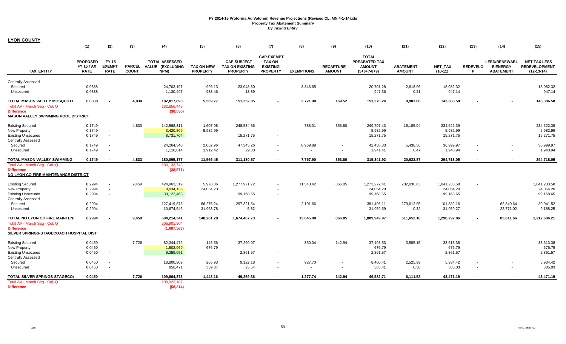|                                                                                                          | (1)                                         | (2)                                          | (3)                           | (4)                                               | (5)                                  | (6)                                                             | (7)                                                                      | (8)                | (9)                               | (10)                                                            | (11)                              | (12)                                   | (13)                     | (14)                                                        | (15)                                                        |
|----------------------------------------------------------------------------------------------------------|---------------------------------------------|----------------------------------------------|-------------------------------|---------------------------------------------------|--------------------------------------|-----------------------------------------------------------------|--------------------------------------------------------------------------|--------------------|-----------------------------------|-----------------------------------------------------------------|-----------------------------------|----------------------------------------|--------------------------|-------------------------------------------------------------|-------------------------------------------------------------|
| <b>TAX ENTITY</b>                                                                                        | <b>PROPOSED</b><br>FY 15 TAX<br><b>RATE</b> | <b>FY 15</b><br><b>EXEMPT</b><br><b>RATE</b> | <b>PARCEL</b><br><b>COUNT</b> | <b>TOTAL ASSESSED</b><br>VALUE (EXCLUDING<br>NPM) | <b>TAX ON NEW</b><br><b>PROPERTY</b> | <b>CAP-SUBJECT</b><br><b>TAX ON EXISTING</b><br><b>PROPERTY</b> | <b>CAP-EXEMPT</b><br><b>TAX ON</b><br><b>EXISTING</b><br><b>PROPERTY</b> | <b>EXEMPTIONS</b>  | <b>RECAPTURE</b><br><b>AMOUNT</b> | <b>TOTAL</b><br>PREABATED TAX<br><b>AMOUNT</b><br>$(5+6+7-8+9)$ | <b>ABATEMENT</b><br><b>AMOUNT</b> | <b>NET TAX</b><br>$(10-11)$            | <b>REDEVELO</b><br>P     | <b>LEED/RENEWABL</b><br><b>E ENERGY</b><br><b>ABATEMENT</b> | <b>NET TAX LESS</b><br><b>REDEVELOPMENT</b><br>$(12-13-14)$ |
| <b>Centrally Assessed</b>                                                                                |                                             |                                              |                               |                                                   |                                      |                                                                 |                                                                          |                    |                                   |                                                                 |                                   |                                        |                          |                                                             |                                                             |
| Secured<br>Unsecured                                                                                     | 0.0838<br>0.0838                            |                                              |                               | 24,703,197<br>1,130,497                           | 996.13<br>933.46                     | 23,048.80<br>13.89                                              |                                                                          | 3,343.65           | $\sim$                            | 20,701.28<br>947.36                                             | 2,618.96<br>0.21                  | 18,082.32<br>947.14                    |                          | $\overline{\phantom{a}}$                                    | 18,082.32<br>947.14                                         |
| TOTAL MASON VALLEY MOSQUITO                                                                              | 0.0838                                      | $\sim$                                       | 4,834                         | 182,817,893                                       | 5.569.77                             | 151,352.85                                                      | $\sim$                                                                   | 3,721.90           | 169.52                            | 153,370.24                                                      | 9.983.66                          | 143,386.58                             | $\overline{\phantom{a}}$ | $\blacksquare$                                              | 143,386.58                                                  |
| Total AV - March Seg - Col. Q<br><b>Difference</b><br><b>MASON VALLEY SWIMMING POOL DISTRICT</b>         |                                             |                                              |                               | 182,856,449<br>(38, 556)                          |                                      |                                                                 |                                                                          |                    |                                   |                                                                 |                                   |                                        |                          |                                                             |                                                             |
| <b>Existing Secured</b><br><b>New Property</b><br><b>Existing Unsecured</b>                              | 0.1749<br>0.1749<br>0.1749                  |                                              | 4,833                         | 142,568,311<br>3,420,809<br>8,731,704             | 1,607.08<br>5.982.99                 | 248,534.56<br>15,271.75                                         |                                                                          | 788.01             | 353.80                            | 249,707.43<br>5,982.99<br>15,271.75                             | 15,185.04                         | 234,522.39<br>5.982.99<br>15,271.75    |                          |                                                             | 234,522.39<br>5,982.99<br>15,271.75                         |
| <b>Centrally Assessed</b><br>Secured<br>Unsecured                                                        | 0.1749<br>0.1749                            |                                              |                               | 24,264,340<br>1,110,014                           | 2,062.96<br>1,912.42                 | 47,345.26<br>29.00                                              |                                                                          | 6,969.89<br>$\sim$ | $\sim$                            | 42,438.33<br>1,941.41                                           | 5,438.36<br>0.47                  | 36,999.97<br>1,940.94                  |                          | $\overline{\phantom{a}}$<br>$\overline{\phantom{a}}$        | 36,999.97<br>1,940.94                                       |
| TOTAL MASON VALLEY SWIMMING                                                                              | 0.1749                                      | $\overline{\phantom{a}}$                     | 4,833                         | 180,095,177                                       | 11,565.45                            | 311,180.57                                                      | $\blacksquare$                                                           | 7,757.90           | 353.80                            | 315,341.92                                                      | 20,623.87                         | 294,718.05                             | $\blacksquare$           | $\blacksquare$                                              | 294,718.05                                                  |
| Total AV - March Seg - Col. Q<br><b>Difference</b><br><b>NO LYON CO FIRE MAINTENANCE DISTRICT</b>        |                                             |                                              |                               | 180, 133, 748<br>(38, 571)                        |                                      |                                                                 |                                                                          |                    |                                   |                                                                 |                                   |                                        |                          |                                                             |                                                             |
| <b>Existing Secured</b><br><b>New Property</b><br><b>Existing Unsecured</b><br><b>Centrally Assessed</b> | 0.2994<br>0.2994<br>0.2994                  | $\sim$<br>$\sim$                             | 9,459                         | 424,963,319<br>8,034,135<br>33,122,463            | 5,978.06<br>24,054.20                | 1,277,971.72<br>99,168.65                                       |                                                                          | 11,543.42          | 866.05                            | 1,273,272.41<br>24,054.20<br>99,168.65                          | 232,038.83                        | 1,041,233.58<br>24,054.20<br>99,168.65 |                          |                                                             | 1,041,233.58<br>24,054.20<br>99,168.65                      |
| Secured<br>Unsecured                                                                                     | 0.2994<br>0.2994                            | $\sim$                                       |                               | 127,419,878<br>10,674,546                         | 86,275.24<br>31,953.78               | 297,321.54<br>5.82                                              |                                                                          | 2,101.66           | $\sim$                            | 381,495.11<br>31,959.59                                         | 279,612.95<br>0.32                | 101,882.16<br>31,959.27                | $\sim$                   | 62,840.64<br>22,771.02                                      | 39,041.52<br>9,188.25                                       |
| TOTAL NO LYON CO FIRE MAINTEN.                                                                           | 0.2994                                      |                                              | 9,459                         | 604,214,341                                       | 148,261.28                           | 1,674,467.73                                                    |                                                                          | 13,645.08          | 866.05                            | 1,809,949.97                                                    | 511,652.10                        | 1,298,297.86                           | $\overline{\phantom{a}}$ | 85,611.66                                                   | 1,212,686.21                                                |
| Total AV - March Seg - Col. Q<br><b>Difference</b><br>SILVER SPRINGS-STAGECOACH HOSPITAL DIST            |                                             |                                              |                               | 605,901,904<br>(1,687,563)                        |                                      |                                                                 |                                                                          |                    |                                   |                                                                 |                                   |                                        |                          |                                                             |                                                             |
| <b>Existing Secured</b><br>New Property<br><b>Existing Unsecured</b>                                     | 0.0450<br>0.0450<br>0.0450                  | $\sim$<br>$\sim$<br>$\sim$                   | 7,726                         | 82,344,472<br>1,503,969<br>6,359,051              | 145.56<br>676.79                     | 37,260.07<br>2,861.57                                           |                                                                          | 350.04             | 142.94                            | 37,198.53<br>676.79<br>2,861.57                                 | 3,585.15                          | 33,613.38<br>676.79<br>2,861.57        |                          |                                                             | 33,613.38<br>676.79<br>2,861.57                             |
| <b>Centrally Assessed</b><br>Secured<br>Unsecured                                                        | 0.0450<br>0.0450                            | $\sim$                                       |                               | 18,800,909<br>856,471                             | 265.93<br>359.87                     | 9,122.18<br>25.54                                               |                                                                          | 927.70<br>$\sim$   | $\sim$                            | 8,460.41<br>385.41                                              | 2,525.99<br>0.38                  | 5,934.42<br>385.03                     |                          | $\sim$                                                      | 5,934.42<br>385.03                                          |
| TOTAL SILVER SPRINGS-STAGECO/<br>Total AV - March Seg - Col. Q<br><b>Difference</b>                      | 0.0450                                      |                                              | 7,726                         | 109,864,873<br>109,923,187<br>(58, 314)           | 1,448.16                             | 49,269.36                                                       |                                                                          | 1,277.74           | 142.94                            | 49,582.71                                                       | 6,111.52                          | 43,471.19                              |                          |                                                             | 43,471.19                                                   |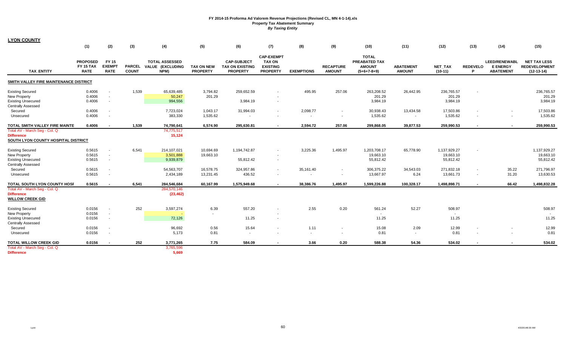|                                                                                                          | (1)                                                | (2)                                   | (3)                           | (4)                                               | (5)                                  | (6)                                                             | (7)                                                                      | (8)                 | (9)                               | (10)                                                            | (11)                              | (12)                                   | (13)                 | (14)                                                        | (15)                                                        |
|----------------------------------------------------------------------------------------------------------|----------------------------------------------------|---------------------------------------|-------------------------------|---------------------------------------------------|--------------------------------------|-----------------------------------------------------------------|--------------------------------------------------------------------------|---------------------|-----------------------------------|-----------------------------------------------------------------|-----------------------------------|----------------------------------------|----------------------|-------------------------------------------------------------|-------------------------------------------------------------|
| <b>TAX ENTITY</b>                                                                                        | <b>PROPOSED</b><br><b>FY 15 TAX</b><br><b>RATE</b> | FY 15<br><b>EXEMPT</b><br><b>RATE</b> | <b>PARCEL</b><br><b>COUNT</b> | <b>TOTAL ASSESSED</b><br>VALUE (EXCLUDING<br>NPM) | <b>TAX ON NEW</b><br><b>PROPERTY</b> | <b>CAP-SUBJECT</b><br><b>TAX ON EXISTING</b><br><b>PROPERTY</b> | <b>CAP-EXEMPT</b><br><b>TAX ON</b><br><b>EXISTING</b><br><b>PROPERTY</b> | <b>EXEMPTIONS</b>   | <b>RECAPTURE</b><br><b>AMOUNT</b> | <b>TOTAL</b><br>PREABATED TAX<br><b>AMOUNT</b><br>$(5+6+7-8+9)$ | <b>ABATEMENT</b><br><b>AMOUNT</b> | <b>NET TAX</b><br>$(10-11)$            | <b>REDEVELO</b><br>P | <b>LEED/RENEWABL</b><br><b>E ENERGY</b><br><b>ABATEMENT</b> | <b>NET TAX LESS</b><br><b>REDEVELOPMENT</b><br>$(12-13-14)$ |
| SMITH VALLEY FIRE MAINTENANCE DISTRICT                                                                   |                                                    |                                       |                               |                                                   |                                      |                                                                 |                                                                          |                     |                                   |                                                                 |                                   |                                        |                      |                                                             |                                                             |
| <b>Existing Secured</b><br><b>New Property</b><br><b>Existing Unsecured</b><br><b>Centrally Assessed</b> | 0.4006<br>0.4006<br>0.4006                         | $\sim$<br>$\sim$                      | 1,539                         | 65,639,485<br>50,247<br>994,556                   | 3,794.82<br>201.29                   | 259,652.59<br>3,984.19                                          |                                                                          | 495.95              | 257.06                            | 263,208.52<br>201.29<br>3,984.19                                | 26,442.95                         | 236,765.57<br>201.29<br>3,984.19       |                      |                                                             | 236,765.57<br>201.29<br>3,984.19                            |
| Secured<br>Unsecured                                                                                     | 0.4006<br>0.4006                                   | $\sim$<br>$\sim$                      |                               | 7,723,024<br>383,330                              | 1.043.17<br>1,535.62                 | 31,994.03<br>$\sim$                                             |                                                                          | 2,098.77<br>$\sim$  | $\sim$                            | 30,938.43<br>1,535.62                                           | 13,434.58<br>$\sim$               | 17,503.86<br>1,535.62                  | $\sim$               | $\overline{\phantom{a}}$                                    | 17,503.86<br>1,535.62                                       |
| TOTAL SMITH VALLEY FIRE MAINTE                                                                           | 0.4006                                             | $\overline{\phantom{a}}$              | 1,539                         | 74,790,641                                        | 6,574.90                             | 295,630.81                                                      | $\blacksquare$                                                           | 2,594.72            | 257.06                            | 299,868.05                                                      | 39,877.53                         | 259,990.53                             | $\blacksquare$       | $\overline{\phantom{a}}$                                    | 259,990.53                                                  |
| Total AV - March Seq - Col. Q<br><b>Difference</b><br>SOUTH LYON COUNTY HOSPITAL DISTRICT                |                                                    |                                       |                               | 74,775,517<br>15,124                              |                                      |                                                                 |                                                                          |                     |                                   |                                                                 |                                   |                                        |                      |                                                             |                                                             |
| <b>Existing Secured</b><br><b>New Property</b><br><b>Existing Unsecured</b><br><b>Centrally Assessed</b> | 0.5615<br>0.5615<br>0.5615                         | $\sim$<br>$\sim$<br>$\sim$            | 6,541                         | 214,107,021<br>3,501,888<br>9,939,879             | 10,694.69<br>19,663.10               | 1,194,742.87<br>55,812.42                                       | $\sim$                                                                   | 3,225.36            | 1,495.97                          | 1,203,708.17<br>19.663.10<br>55,812.42                          | 65,778.90                         | 1,137,929.27<br>19.663.10<br>55,812.42 | $\sim$               |                                                             | 1,137,929.27<br>19,663.10<br>55,812.42                      |
| Secured<br>Unsecured                                                                                     | 0.5615<br>0.5615                                   | $\sim$                                |                               | 54,563,707<br>2,434,189                           | 16,578.75<br>13,231.45               | 324,957.86<br>436.52                                            |                                                                          | 35,161.40<br>$\sim$ | $\sim$                            | 306,375.22<br>13,667.97                                         | 34,543.03<br>6.24                 | 271,832.18<br>13,661.73                | $\sim$<br>$\sim$     | 35.22<br>31.20                                              | 271,796.97<br>13,630.53                                     |
| TOTAL SOUTH LYON COUNTY HOSE                                                                             | 0.5615                                             | $\sim$                                | 6,541                         | 284,546,684                                       | 60,167.99                            | 1,575,949.68                                                    | $\sim$                                                                   | 38,386.76           | 1,495.97                          | 1,599,226.88                                                    | 100,328.17                        | 1,498,898.71                           |                      | 66.42                                                       | 1,498,832.28                                                |
| Total AV - March Seg - Col. Q<br><b>Difference</b><br><b>WILLOW CREEK GID</b>                            |                                                    |                                       |                               | 284,570,146<br>(23, 462)                          |                                      |                                                                 |                                                                          |                     |                                   |                                                                 |                                   |                                        |                      |                                                             |                                                             |
| <b>Existing Secured</b><br><b>New Property</b><br><b>Existing Unsecured</b>                              | 0.0156<br>0.0156<br>0.0156                         | $\sim$<br>$\sim$                      | 252                           | 3,597,274<br>72,126                               | 6.39<br>$\sim$                       | 557.20<br>11.25                                                 |                                                                          | 2.55                | 0.20                              | 561.24<br>$\sim$<br>11.25                                       | 52.27                             | 508.97<br>$\sim$<br>11.25              |                      |                                                             | 508.97<br>$\sim$<br>11.25                                   |
| <b>Centrally Assessed</b><br>Secured<br>Unsecured                                                        | 0.0156<br>0.0156                                   | $\sim$                                |                               | 96,692<br>5,173                                   | 0.56<br>0.81                         | 15.64<br>$\sim$                                                 |                                                                          | 1.11<br>$\sim$      |                                   | 15.08<br>0.81                                                   | 2.09<br>$\sim$                    | 12.99<br>0.81                          |                      | $\blacksquare$                                              | 12.99<br>0.81                                               |
| <b>TOTAL WILLOW CREEK GID</b><br>Total AV - March Seg - Col. Q<br><b>Difference</b>                      | 0.0156                                             | $\overline{\phantom{a}}$              | 252                           | 3,771,265<br>3,765,596<br>5,669                   | 7.75                                 | 584.09                                                          |                                                                          | 3.66                | 0.20                              | 588.38                                                          | 54.36                             | 534.02                                 |                      |                                                             | 534.02                                                      |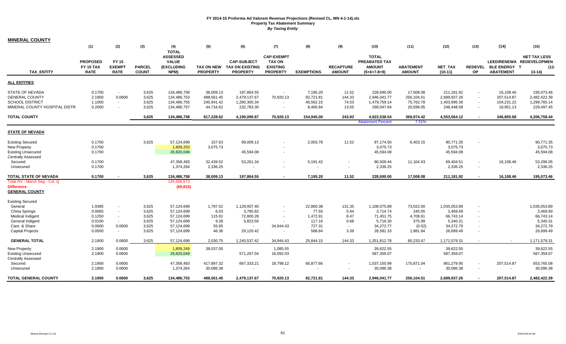| <b>MINERAL COUNTY</b>                                                                                      |                                                    |                                              |                                  |                                                                       |                                                    |                                                                     |                                                                          |                                                |                                   |                                                                        |                                                   |                                                          |                                                                        |                                                    |                                                                   |
|------------------------------------------------------------------------------------------------------------|----------------------------------------------------|----------------------------------------------|----------------------------------|-----------------------------------------------------------------------|----------------------------------------------------|---------------------------------------------------------------------|--------------------------------------------------------------------------|------------------------------------------------|-----------------------------------|------------------------------------------------------------------------|---------------------------------------------------|----------------------------------------------------------|------------------------------------------------------------------------|----------------------------------------------------|-------------------------------------------------------------------|
|                                                                                                            | (1)                                                | (2)                                          | (3)                              | (4)                                                                   | (5)                                                | (6)                                                                 | (7)                                                                      | (8)                                            | (9)                               | (10)                                                                   | (11)                                              | (12)                                                     | (13)                                                                   | (14)                                               | (15)                                                              |
| <b>TAX ENTITY</b>                                                                                          | <b>PROPOSED</b><br><b>FY 15 TAX</b><br><b>RATE</b> | <b>FY 15</b><br><b>EXEMPT</b><br><b>RATE</b> | <b>PARCEL</b><br><b>COUNT</b>    | <b>TOTAL</b><br><b>ASSESSED</b><br><b>VALUE</b><br>(EXCLUDING<br>NPM) | <b>PROPERTY</b>                                    | <b>CAP-SUBJECT</b><br>TAX ON NEW TAX ON EXISTING<br><b>PROPERTY</b> | <b>CAP-EXEMPT</b><br><b>TAX ON</b><br><b>EXISTING</b><br><b>PROPERTY</b> | <b>EXEMPTIONS</b>                              | <b>RECAPTURE</b><br><b>AMOUNT</b> | <b>TOTAL</b><br><b>PREABATED TAX</b><br><b>AMOUNT</b><br>$(5+6+7-8+9)$ | <b>ABATEMENT</b><br><b>AMOUNT</b>                 | <b>NET TAX</b><br>$(10-11)$                              | <b>REDEVEL</b><br><b>OP</b>                                            | <b>BLE ENERGY T</b><br><b>ABATEMENT</b>            | <b>NET TAX LESS</b><br>LEED/RENEWA REDEVELOPMEN<br>(12<br>$13-14$ |
| <b>ALL ENTITIES</b>                                                                                        |                                                    |                                              |                                  |                                                                       |                                                    |                                                                     |                                                                          |                                                |                                   |                                                                        |                                                   |                                                          |                                                                        |                                                    |                                                                   |
| <b>STATE OF NEVADA</b><br><b>GENERAL COUNTY</b><br><b>SCHOOL DISTRICT</b><br>MINERAL COUNTY HOSPITAL DISTR | 0.1700<br>2.1900<br>1.1000<br>0.2000               | $\sim$<br>0.0600<br>$\sim$                   | 3,625<br>3,625<br>3,625<br>3,625 | 134,486,758<br>134,486,753<br>134,486,755<br>134,486,757              | 38,009.13<br>488,561.45<br>245,941.42<br>44,716.62 | 197,864.55<br>2,479,137.67<br>1,280,305.34<br>232,783.30            | 70,920.13<br>$\sim$                                                      | 7,195.20<br>92,721.81<br>46,562.15<br>8,465.84 | 11.52<br>144.33<br>74.53<br>13.55 | 228,690.00<br>2,946,041.77<br>1,479,759.14<br>269,047.64               | 17,508.08<br>256,104.51<br>75,762.78<br>20,599.05 | 211,181.92<br>2,689,937.26<br>1,403,996.36<br>248,448.58 | $\sim$<br>$\blacksquare$<br>$\overline{\phantom{a}}$<br>$\blacksquare$ | 16,108.46<br>207,514.87<br>104,231.22<br>18,951.13 | 195,073.46<br>2,482,422.39<br>1,299,765.14<br>229,497.45          |
| <b>TOTAL COUNTY</b>                                                                                        |                                                    |                                              | 3,625                            | 134,486,758                                                           | 817,228.62                                         | 4,190,090.87                                                        | 70,920.13                                                                | 154,945.00                                     | 243.93                            | 4,923,538.54                                                           | 369,974.42                                        | 4,553,564.12                                             | $\sim$                                                                 | 346,805.68                                         | 4,206,758.44                                                      |
|                                                                                                            |                                                    |                                              |                                  |                                                                       |                                                    |                                                                     |                                                                          |                                                |                                   | <b>Abatement Percent</b>                                               | 7.51%                                             |                                                          |                                                                        |                                                    |                                                                   |
| <b>STATE OF NEVADA</b>                                                                                     |                                                    |                                              |                                  |                                                                       |                                                    |                                                                     |                                                                          |                                                |                                   |                                                                        |                                                   |                                                          |                                                                        |                                                    |                                                                   |
| <b>Existing Secured</b><br>New Property<br><b>Existing Unsecured</b><br><b>Centrally Assessed</b>          | 0.1700<br>0.1700<br>0.1700                         |                                              | 3,625                            | 57,124,699<br>1,809,253<br>26,820,049                                 | 157.63<br>3,075.73                                 | 99,009.13<br>45,594.08                                              |                                                                          | 2,003.78                                       | 11.52                             | 97,174.50<br>3,075.73<br>45,594.08                                     | 6,403.15                                          | 90,771.35<br>3,075.73<br>45,594.08                       | $\blacksquare$                                                         |                                                    | 90,771.35<br>3,075.73<br>45,594.08                                |
| Secured<br>Unsecured                                                                                       | 0.1700<br>0.1700                                   |                                              |                                  | 47,358,493<br>1,374,264                                               | 32,439.52<br>2,336.25                              | 53,261.34<br>$\overline{\phantom{a}}$                               |                                                                          | 5,191.42                                       | $\sim$                            | 80,509.44<br>2,336.25                                                  | 11,104.93<br>$\sim$                               | 69,404.51<br>2,336.25                                    | $\blacksquare$<br>$\blacksquare$                                       | 16,108.46                                          | 53,296.05<br>2,336.25                                             |
| TOTAL STATE OF NEVADA                                                                                      | 0.1700                                             |                                              | 3,625                            | 134,486,758                                                           | 38,009.13                                          | 197,864.55                                                          |                                                                          | 7,195.20                                       | 11.52                             | 228,690.00                                                             | 17,508.08                                         | 211,181.92                                               |                                                                        | 16,108.46                                          | 195,073.46                                                        |
| Total AV - March Seg - Col. Q<br><b>Difference</b><br><b>GENERAL COUNTY</b>                                |                                                    |                                              |                                  | 134,556,573<br>(69, 815)                                              |                                                    |                                                                     |                                                                          |                                                |                                   |                                                                        |                                                   |                                                          |                                                                        |                                                    |                                                                   |
| <b>Existing Secured</b>                                                                                    |                                                    |                                              |                                  |                                                                       |                                                    |                                                                     |                                                                          |                                                |                                   |                                                                        |                                                   |                                                          |                                                                        |                                                    |                                                                   |
| General<br>China Springs<br>Medical Indigent<br>General Indigent                                           | 1.9385<br>0.0065<br>0.1250<br>0.0100               | $\blacksquare$<br>$\sim$<br>$\sim$<br>$\sim$ | 3,625<br>3,625<br>3,625<br>3,625 | 57,124,699<br>57,124,699<br>57,124,699<br>57,124,699                  | 1,797.52<br>6.03<br>115.91<br>9.28                 | 1,129,007.40<br>3,785.82<br>72,800.28<br>5,823.50                   |                                                                          | 22,860.38<br>77.55<br>1,472.91<br>117.16       | 131.35<br>0.44<br>8.47<br>0.68    | 1,108,075.89<br>3,714.74<br>71,451.75<br>5,716.30                      | 73,022.00<br>245.05<br>4,708.61<br>375.99         | 1,035,053.89<br>3,469.69<br>66,743.14<br>5,340.31        | $\blacksquare$                                                         |                                                    | 1,035,053.89<br>3,469.69<br>66,743.14<br>5,340.31                 |
| Care & Share<br><b>Capital Projects</b>                                                                    | 0.0600<br>0.0500                                   | 0.0600<br>$\sim$                             | 3,625<br>3,625                   | 57,124,699<br>57,124,699                                              | 55.65<br>46.36                                     | $\sim$<br>29,120.42                                                 | 34,944.43<br>$\sim$                                                      | 727.31<br>588.84                               | $\sim$<br>3.39                    | 34,272.77<br>28,581.33                                                 | (0.02)<br>1,881.84                                | 34,272.79<br>26,699.49                                   | $\sim$                                                                 |                                                    | 34,272.79<br>26,699.49                                            |
| <b>GENERAL TOTAL</b>                                                                                       | 2.1900                                             | 0.0600                                       | 3,625                            | 57,124,699                                                            | 2,030.75                                           | 1,240,537.42                                                        | 34,944.43                                                                | 25,844.15                                      | 144.33                            | 1,251,812.78                                                           | 80,233.47                                         | 1,171,579.31                                             |                                                                        |                                                    | 1,171,579.31                                                      |
| <b>New Property</b><br><b>Existing Unsecured</b><br><b>Centrally Assessed</b>                              | 2.1900<br>2.1900                                   | 0.0600<br>0.0600                             |                                  | 1,809,249<br>26,820,049                                               | 38,537.00                                          | 571,267.04                                                          | 1,085.55<br>16,092.03                                                    |                                                |                                   | 39,622.55<br>587,359.07                                                |                                                   | 39,622.55<br>587,359.07                                  |                                                                        |                                                    | 39,622.55<br>587,359.07                                           |
| Secured<br>Unsecured                                                                                       | 2.1900<br>2.1900                                   | 0.0600<br>0.0600                             |                                  | 47,358,493<br>1,374,264                                               | 417,897.32<br>30,096.38                            | 667,333.21<br>$\overline{\phantom{a}}$                              | 18,798.12<br>$\sim$                                                      | 66,877.66                                      |                                   | 1,037,150.99<br>30,096.38                                              | 175,871.04<br>$\sim$                              | 861,279.95<br>30,096.38                                  | $\blacksquare$<br>$\sim$                                               | 207,514.87                                         | 653,765.08<br>30,096.38                                           |
| <b>TOTAL GENERAL COUNTY</b>                                                                                | 2.1900                                             | 0.0600                                       | 3,625                            | 134,486,753                                                           | 488,561.45                                         | 2,479,137.67                                                        | 70,920.13                                                                | 92,721.81                                      | 144.33                            | 2,946,041.77                                                           | 256.104.51                                        | 2,689,937.26                                             |                                                                        | 207,514.87                                         | 2,482,422.39                                                      |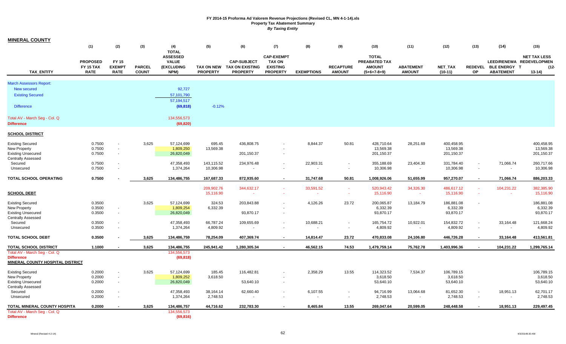| <b>MINERAL COUNTY</b>                   |                                             |                                              |                               |                                                                       |                                      |                                                                 |                                                                          |                   |                                   |                                                                 |                                   |                      |                          |                                         |                                                                    |
|-----------------------------------------|---------------------------------------------|----------------------------------------------|-------------------------------|-----------------------------------------------------------------------|--------------------------------------|-----------------------------------------------------------------|--------------------------------------------------------------------------|-------------------|-----------------------------------|-----------------------------------------------------------------|-----------------------------------|----------------------|--------------------------|-----------------------------------------|--------------------------------------------------------------------|
|                                         | (1)                                         | (2)                                          | (3)                           | (4)                                                                   | (5)                                  | (6)                                                             | (7)                                                                      | (8)               | (9)                               | (10)                                                            | (11)                              | (12)                 | (13)                     | (14)                                    | (15)                                                               |
| <b>TAX_ENTITY</b>                       | <b>PROPOSED</b><br>FY 15 TAX<br><b>RATE</b> | <b>FY 15</b><br><b>EXEMPT</b><br><b>RATE</b> | <b>PARCEL</b><br><b>COUNT</b> | <b>TOTAL</b><br><b>ASSESSED</b><br><b>VALUE</b><br>(EXCLUDING<br>NPM) | <b>TAX ON NEW</b><br><b>PROPERTY</b> | <b>CAP-SUBJECT</b><br><b>TAX ON EXISTING</b><br><b>PROPERTY</b> | <b>CAP-EXEMPT</b><br><b>TAX ON</b><br><b>EXISTING</b><br><b>PROPERTY</b> | <b>EXEMPTIONS</b> | <b>RECAPTURE</b><br><b>AMOUNT</b> | <b>TOTAL</b><br>PREABATED TAX<br><b>AMOUNT</b><br>$(5+6+7-8+9)$ | <b>ABATEMENT</b><br><b>AMOUNT</b> | NET_TAX<br>$(10-11)$ | <b>REDEVEL</b><br>OP     | <b>BLE ENERGY T</b><br><b>ABATEMENT</b> | <b>NET TAX LESS</b><br>LEED/RENEWA REDEVELOPMEN<br>(12)<br>$13-14$ |
| <b>March Assessors Report:</b>          |                                             |                                              |                               |                                                                       |                                      |                                                                 |                                                                          |                   |                                   |                                                                 |                                   |                      |                          |                                         |                                                                    |
| <b>New secured</b>                      |                                             |                                              |                               | 92,727                                                                |                                      |                                                                 |                                                                          |                   |                                   |                                                                 |                                   |                      |                          |                                         |                                                                    |
| <b>Existing Secured</b>                 |                                             |                                              |                               | 57,101,790                                                            |                                      |                                                                 |                                                                          |                   |                                   |                                                                 |                                   |                      |                          |                                         |                                                                    |
|                                         |                                             |                                              |                               |                                                                       |                                      |                                                                 |                                                                          |                   |                                   |                                                                 |                                   |                      |                          |                                         |                                                                    |
| <b>Difference</b>                       |                                             |                                              |                               | 57,194,517<br>(69, 818)                                               | $-0.12%$                             |                                                                 |                                                                          |                   |                                   |                                                                 |                                   |                      |                          |                                         |                                                                    |
| Total AV - March Seg - Col. Q           |                                             |                                              |                               | 134,556,573                                                           |                                      |                                                                 |                                                                          |                   |                                   |                                                                 |                                   |                      |                          |                                         |                                                                    |
| <b>Difference</b>                       |                                             |                                              |                               | (69, 820)                                                             |                                      |                                                                 |                                                                          |                   |                                   |                                                                 |                                   |                      |                          |                                         |                                                                    |
|                                         |                                             |                                              |                               |                                                                       |                                      |                                                                 |                                                                          |                   |                                   |                                                                 |                                   |                      |                          |                                         |                                                                    |
| <b>SCHOOL DISTRICT</b>                  |                                             |                                              |                               |                                                                       |                                      |                                                                 |                                                                          |                   |                                   |                                                                 |                                   |                      |                          |                                         |                                                                    |
| <b>Existing Secured</b>                 | 0.7500                                      | $\blacksquare$                               | 3,625                         | 57,124,699                                                            | 695.45                               | 436,808.75                                                      |                                                                          | 8,844.37          | 50.81                             | 428,710.64                                                      | 28,251.69                         | 400,458.95           |                          |                                         | 400,458.95                                                         |
| New Property                            | 0.7500                                      | $\mathbf{r}$                                 |                               | 1,809,250                                                             | 13,569.38                            |                                                                 |                                                                          |                   |                                   | 13,569.38                                                       |                                   | 13,569.38            |                          |                                         | 13,569.38                                                          |
| <b>Existing Unsecured</b>               | 0.7500                                      | $\sim$                                       |                               | 26,820,049                                                            |                                      | 201,150.37                                                      | $\sim$                                                                   |                   |                                   | 201,150.37                                                      |                                   | 201,150.37           |                          |                                         | 201,150.37                                                         |
| <b>Centrally Assessed</b>               |                                             |                                              |                               |                                                                       |                                      |                                                                 |                                                                          |                   |                                   |                                                                 |                                   |                      |                          |                                         |                                                                    |
| Secured                                 | 0.7500                                      | $\blacksquare$                               |                               | 47,358,493                                                            | 143,115.52                           | 234,976.48                                                      | ÷.                                                                       | 22,903.31         | $\sim$                            | 355,188.69                                                      | 23,404.30                         | 331,784.40           | $\tilde{\phantom{a}}$    | 71,066.74                               | 260,717.66                                                         |
| Unsecured                               | 0.7500                                      | $\blacksquare$                               |                               | 1,374,264                                                             | 10,306.98                            |                                                                 | $\overline{\phantom{a}}$                                                 | $\sim$            | $\sim$                            | 10,306.98                                                       | $\blacksquare$                    | 10,306.98            | $\sim$                   | $\sim$                                  | 10,306.98                                                          |
|                                         |                                             |                                              |                               |                                                                       |                                      |                                                                 |                                                                          |                   |                                   |                                                                 |                                   |                      |                          |                                         |                                                                    |
| TOTAL SCHOOL OPERATING                  | 0.7500                                      |                                              | 3,625                         | 134,486,755                                                           | 167,687.33                           | 872,935.60                                                      | $\sim$                                                                   | 31,747.68         | 50.81                             | 1,008,926.06                                                    | 51,655.99                         | 957,270.07           | $\overline{\phantom{a}}$ | 71,066.74                               | 886,203.33                                                         |
|                                         |                                             |                                              |                               |                                                                       | 209,902.76                           | 344,632.17                                                      | $\sim$                                                                   | 33,591.52         | $\sim$                            | 520,943.42                                                      | 34,326.30                         | 486,617.12           | $\sim$                   | 104,231.22                              | 382,385.90                                                         |
| <b>SCHOOL DEBT</b>                      |                                             |                                              |                               |                                                                       | 15,116.90                            |                                                                 | $\sim$                                                                   |                   | $\sim$                            | 15,116.90                                                       | $\sim$                            | 15,116.90            | $\sim$                   | $\sim$                                  | 15,116.90                                                          |
| <b>Existing Secured</b>                 | 0.3500                                      |                                              | 3,625                         | 57,124,699                                                            | 324.53                               | 203,843.88                                                      |                                                                          | 4,126.26          | 23.72                             | 200,065.87                                                      | 13,184.79                         | 186,881.08           | $\sim$                   |                                         | 186,881.08                                                         |
| <b>New Property</b>                     | 0.3500                                      | $\blacksquare$                               |                               | 1,809,254                                                             | 6,332.39                             |                                                                 |                                                                          |                   |                                   | 6,332.39                                                        |                                   | 6,332.39             |                          |                                         | 6,332.39                                                           |
| <b>Existing Unsecured</b>               | 0.3500                                      | $\sim$                                       |                               | 26,820,049                                                            |                                      | 93,870.17                                                       | ٠                                                                        |                   |                                   | 93,870.17                                                       |                                   | 93,870.17            |                          |                                         | 93,870.17                                                          |
| <b>Centrally Assessed</b>               |                                             |                                              |                               |                                                                       |                                      |                                                                 |                                                                          |                   |                                   |                                                                 |                                   |                      |                          |                                         |                                                                    |
| Secured                                 | 0.3500                                      | $\overline{\phantom{a}}$                     |                               | 47,358,493                                                            | 66,787.24                            | 109,655.69                                                      | $\blacksquare$                                                           | 10,688.21         |                                   | 165,754.72                                                      | 10,922.01                         | 154,832.72           | $\blacksquare$           | 33,164.48                               | 121,668.24                                                         |
| Unsecured                               | 0.3500                                      |                                              |                               | 1,374,264                                                             | 4,809.92                             |                                                                 |                                                                          | $\sim$            | $\sim$                            | 4,809.92                                                        | $\blacksquare$                    | 4,809.92             | $\omega$                 | $\sim$                                  | 4,809.92                                                           |
| <b>TOTAL SCHOOL DEBT</b>                | 0.3500                                      |                                              | 3,625                         | 134,486,759                                                           | 78,254.09                            | 407,369.74                                                      | $\blacksquare$                                                           | 14,814.47         | 23.72                             | 470,833.08                                                      | 24,106.80                         | 446,726.28           | $\sim$                   | 33,164.48                               | 413,561.81                                                         |
| <b>TOTAL SCHOOL DISTRICT</b>            | 1.1000                                      |                                              | 3,625                         | 134,486,755                                                           | 245,941.42                           | 1,280,305.34                                                    | $\sim$                                                                   | 46,562.15         | 74.53                             | 1,479,759.14                                                    | 75,762.78                         | 1,403,996.36         | $\sim$                   | 104,231.22                              | 1,299,765.14                                                       |
| Total AV - March Seg - Col. Q           |                                             |                                              |                               | 134,556,573                                                           |                                      |                                                                 |                                                                          |                   |                                   |                                                                 |                                   |                      |                          |                                         |                                                                    |
| <b>Difference</b>                       |                                             |                                              |                               | (69, 818)                                                             |                                      |                                                                 |                                                                          |                   |                                   |                                                                 |                                   |                      |                          |                                         |                                                                    |
| <b>MINERAL COUNTY HOSPITAL DISTRICT</b> |                                             |                                              |                               |                                                                       |                                      |                                                                 |                                                                          |                   |                                   |                                                                 |                                   |                      |                          |                                         |                                                                    |
| <b>Existing Secured</b>                 | 0.2000                                      | $\mathbf{r}$                                 | 3,625                         | 57,124,699                                                            | 185.45                               | 116,482.81                                                      |                                                                          | 2,358.29          | 13.55                             | 114,323.52                                                      | 7,534.37                          | 106,789.15           |                          |                                         | 106,789.15                                                         |
| New Property                            | 0.2000                                      | $\sim$                                       |                               | 1,809,252                                                             | 3,618.50                             |                                                                 |                                                                          |                   |                                   | 3,618.50                                                        |                                   | 3,618.50             |                          |                                         | 3,618.50                                                           |
| <b>Existing Unsecured</b>               | 0.2000                                      | $\blacksquare$                               |                               | 26,820,049                                                            |                                      | 53,640.10                                                       | ٠                                                                        |                   |                                   | 53,640.10                                                       |                                   | 53,640.10            |                          |                                         | 53,640.10                                                          |
| <b>Centrally Assessed</b>               |                                             |                                              |                               |                                                                       |                                      |                                                                 |                                                                          |                   |                                   |                                                                 |                                   |                      |                          |                                         |                                                                    |
| Secured                                 | 0.2000                                      | $\blacksquare$                               |                               | 47,358,493                                                            | 38,164.14                            | 62,660.40                                                       | $\blacksquare$                                                           | 6,107.55          |                                   | 94,716.99                                                       | 13,064.68                         | 81,652.30            | $\blacksquare$           | 18,951.13                               | 62,701.17                                                          |
| Unsecured                               | 0.2000                                      | $\overline{\phantom{a}}$                     |                               | 1,374,264                                                             | 2,748.53                             | $\overline{\phantom{a}}$                                        | $\blacksquare$                                                           | $\sim$            | $\sim$                            | 2,748.53                                                        | $\blacksquare$                    | 2,748.53             | $\blacksquare$           | $\sim$                                  | 2,748.53                                                           |
| TOTAL MINERAL COUNTY HOSPITA            | 0.2000                                      | $\sim$                                       | 3,625                         | 134,486,757                                                           | 44,716.62                            | 232,783.30                                                      | $\blacksquare$                                                           | 8,465.84          | 13.55                             | 269,047.64                                                      | 20,599.05                         | 248,448.58           | $\blacksquare$           | 18,951.13                               | 229,497.45                                                         |
| Total AV - March Seg - Col. Q           |                                             |                                              |                               | 134,556,573                                                           |                                      |                                                                 |                                                                          |                   |                                   |                                                                 |                                   |                      |                          |                                         |                                                                    |
| <b>Difference</b>                       |                                             |                                              |                               | (69, 816)                                                             |                                      |                                                                 |                                                                          |                   |                                   |                                                                 |                                   |                      |                          |                                         |                                                                    |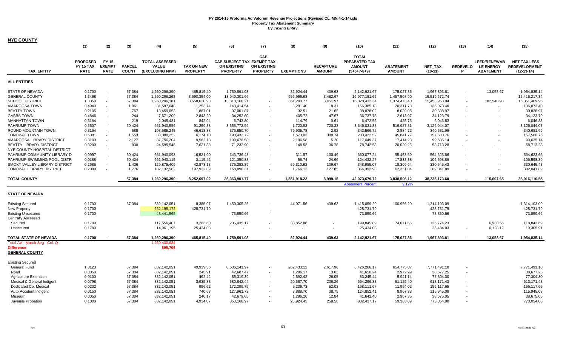| <b>NYE COUNTY</b>              |                  |               |               |                       |                   |                                   |                          |                   |                  |                          |                  |               |                          |                     |                      |
|--------------------------------|------------------|---------------|---------------|-----------------------|-------------------|-----------------------------------|--------------------------|-------------------|------------------|--------------------------|------------------|---------------|--------------------------|---------------------|----------------------|
|                                | (1)              | (2)           | (3)           | (4)                   | (5)               | (6)                               | (7)                      | (8)               | (9)              | (10)                     | (11)             | (12)          | (13)                     | (14)                | (15)                 |
|                                |                  |               |               |                       |                   |                                   | CAP-                     |                   |                  | <b>TOTAL</b>             |                  |               |                          |                     |                      |
|                                | <b>PROPOSED</b>  | FY 15         |               | <b>TOTAL ASSESSED</b> |                   | <b>CAP-SUBJECT TAX EXEMPT TAX</b> |                          |                   |                  | PREABATED TAX            |                  |               |                          | <b>LEED/RENEWAB</b> | <b>NET TAX LESS</b>  |
|                                | <b>FY 15 TAX</b> | <b>EXEMPT</b> | <b>PARCEL</b> | <b>VALUE</b>          | <b>TAX ON NEW</b> | <b>ON EXISTING</b>                | <b>ON EXISTING</b>       |                   | <b>RECAPTURE</b> | <b>AMOUNT</b>            | <b>ABATEMENT</b> | NET_TAX       | <b>REDEVELO</b>          | <b>LE ENERGY</b>    | <b>REDEVELOPMENT</b> |
| <b>TAX ENTITY</b>              | <b>RATE</b>      | <b>RATE</b>   | <b>COUNT</b>  | (EXCLUDING NPM)       | <b>PROPERTY</b>   | <b>PROPERTY</b>                   | <b>PROPERTY</b>          | <b>EXEMPTIONS</b> | <b>AMOUNT</b>    | $(5+6+7-8+9)$            | <b>AMOUNT</b>    | $(10-11)$     |                          | <b>ABATEMENT</b>    | $(12-13-14)$         |
| <b>ALL ENTITIES</b>            |                  |               |               |                       |                   |                                   |                          |                   |                  |                          |                  |               |                          |                     |                      |
| <b>STATE OF NEVADA</b>         | 0.1700           |               | 57,384        | 1,260,296,390         | 465,815.40        | 1,759,591.08                      | $\sim$                   | 82,924.44         | 439.63           | 2,142,921.67             | 175,027.86       | 1,967,893.81  | $\sim$                   | 13,058.67           | 1,954,835.14         |
| <b>GENERAL COUNTY</b>          | 1.3468           | $\sim$        | 57,384        | 1,260,296,262         | 3,690,354.00      | 13,940,301.66                     |                          | 656,956.68        | 3,482.67         | 16,977,181.65            | 1,457,508.90     | 15,519,672.74 |                          |                     | 15,416,217.34        |
| <b>SCHOOL DISTRICT</b>         | 1.3350           |               | 57,384        | 1,260,296,181         | 3,658,020.93      | 13,818,160.21                     |                          | 651,200.77        | 3,451.97         | 16,828,432.34            | 1,374,473.40     | 15,453,958.94 | $\sim$                   | 102,548.98          | 15,351,409.96        |
| AMARGOSA TOWN                  | 0.4949           | $\sim$        | 1,961         | 31,597,648            | 11,253.74         | 148,414.54                        | $\overline{\phantom{a}}$ | 3,291.40          | 8.31             | 156,385.18               | 20,311.78        | 136,073.40    | $\sim$                   |                     | 136,073.40           |
| <b>BEATTY TOWN</b>             | 0.2105           |               | 767           | 18,459,053            | 1,887.01          | 37,001.87                         |                          | 32.51             | 21.65            | 38,878.02                | 8,039.05         | 30,838.97     |                          |                     | 30,838.97            |
| <b>GABBS TOWN</b>              | 0.4846           | $\sim$        | 244           | 7,571,209             | 2,843.20          | 34,252.60                         |                          | 405.72            | 47.67            | 36,737.75                | 2,613.97         | 34,123.79     |                          |                     | 34,123.79            |
| <b>MANHATTAN TOWN</b>          | 0.3164           |               | 219           | 2,045,481             | 842.94            | 5,743.80                          |                          | 114.79            | 0.61             | 6,472.56                 | 425.73           | 6,046.83      |                          |                     | 6,046.83             |
| PAHRUMP TOWN                   | 0.5507           | $\sim$        | 50,424        | 661,940,556           | 91,259.88         | 3,555,772.59                      |                          | 1,720.93          | 720.33           | 3,646,031.88             | 519,987.81       | 3,126,044.07  |                          |                     | 3,126,044.07         |
| ROUND MOUNTAIN TOWN            | 0.3164           | $\sim$        | 588           | 108,585,245           | 46,618.88         | 376,850.70                        | $\sim$                   | 79,905.78         | 2.92             | 343,566.72               | 2,884.72         | 340,681.99    |                          |                     | 340,681.99           |
| <b>TONOPAH TOWN</b>            | 0.6081           | $\sim$        | 1,553         | 33,388,252            | 6,174.10          | 198,432.72                        |                          | 1,573.03          | 388.74           | 203,422.52               | 45,841.77        | 157,580.76    |                          |                     | 157,580.76           |
| AMARGOSA LIBRARY DISTRICT      | 0.3100           |               | 2,127         | 37,756,204            | 9,562.18          | 109,678.58                        |                          | 2,196.58          | 5.20             | 117,049.37               | 17,414.23        | 99,635.14     |                          |                     | 99,635.14            |
| <b>BEATTY LIBRARY DISTRICT</b> | 0.3200           | $\sim$        | 830           | 24,595,548            | 7,621.38          | 71,232.90                         |                          | 148.53            | 36.78            | 78,742.53                | 20,029.25        | 58,713.28     |                          |                     | 58,713.28            |
| NYE COUNTY HOSPITAL DISTRICT   |                  |               |               |                       |                   |                                   |                          |                   |                  |                          |                  |               |                          |                     |                      |
| PAHRUMP COMMUNITY LIBRARY D    |                  |               | 50,424        |                       |                   |                                   |                          | 311.57            |                  |                          |                  |               |                          |                     | 564,623.66           |
|                                | 0.0997           | $\sim$        |               | 661,940,093           | 16,521.90         | 643,736.43                        |                          |                   | 130.49           | 660,077.24               | 95,453.59        | 564,623.66    |                          |                     |                      |
| PAHRUMP SWIMMING POOL DISTR    | 0.0188           |               | 50,424        | 661,940,115           | 3,115.46          | 121,350.88                        |                          | 58.74             | 24.66            | 124,432.27               | 17,833.38        | 106,598.89    |                          |                     | 106,598.89           |
| SMOKY VALLEY LIBRARY DISTRICT  | 0.2686           |               | 1,436         | 129,875,409           | 42,873.13         | 375,282.89                        |                          | 69,310.62         | 109.67           | 348,955.07               | 18,309.64        | 330,645.43    |                          |                     | 330,645.43           |
| TONOPAH LIBRARY DISTRICT       | 0.2000           | $\sim$        | 1.776         | 182, 132, 582         | 197,932.89        | 168,098.31                        |                          | 1,766.12          | 127.85           | 364,392.93               | 62,351.04        | 302,041.89    |                          |                     | 302,041.89           |
| <b>TOTAL COUNTY</b>            |                  |               | 57,384        | 1,260,296,390         | 8,252,697.02      | 35,363,901.77                     |                          | 1,551,918.22      | 8,999.15         | 42,073,679.72            | 3,838,506.12     | 38,235,173.60 |                          | 115,607.65          | 38,016,110.55        |
|                                |                  |               |               |                       |                   |                                   |                          |                   |                  | <b>Abatement Percent</b> | 9.12%            |               |                          |                     |                      |
| <b>STATE OF NEVADA</b>         |                  |               |               |                       |                   |                                   |                          |                   |                  |                          |                  |               |                          |                     |                      |
| <b>Existing Secured</b>        | 0.1700           |               | 57,384        | 832,142,051           | 8,385.97          | 1,450,305.25                      |                          | 44,071.56         | 439.63           | 1,415,059.29             | 100,956.20       | 1,314,103.09  |                          |                     | 1,314,103.09         |
| New Property                   | 0.1700           |               |               | 252, 195, 172         | 428,731.79        |                                   |                          |                   |                  | 428,731.79               |                  | 428,731.79    |                          |                     | 428,731.79           |
| <b>Existing Unsecured</b>      | 0.1700           |               |               | 43,441,565            |                   | 73,850.66                         |                          |                   |                  | 73,850.66                |                  | 73,850.66     |                          |                     | 73,850.66            |
| <b>Centrally Assessed</b>      |                  |               |               |                       |                   |                                   |                          |                   |                  |                          |                  |               |                          |                     |                      |
| Secured                        | 0.1700           |               |               | 117,556,407           | 3,263.60          | 235,435.17                        |                          | 38,852.88         |                  | 199,845.89               | 74,071.66        | 125,774.23    |                          | 6,930.55            | 118,843.69           |
| Unsecured                      | 0.1700           |               |               | 14,961,195            | 25,434.03         |                                   |                          |                   |                  | 25,434.03                |                  | 25,434.03     | $\sim$                   | 6,128.12            | 19,305.91            |
| <b>TOTAL STATE OF NEVADA</b>   | 0.1700           |               | 57,384        | 1,260,296,390         | 465,815.40        | 1,759,591.08                      |                          | 82,924.44         | 439.63           | 2,142,921.67             | 175,027.86       | 1,967,893.81  | $\overline{\phantom{0}}$ | 13,058.67           | 1,954,835.14         |
| Total AV - March Seg - Col. Q  |                  |               |               | 1,259,400,684         |                   |                                   |                          |                   |                  |                          |                  |               |                          |                     |                      |
| <b>Difference</b>              |                  |               |               | 895,706               |                   |                                   |                          |                   |                  |                          |                  |               |                          |                     |                      |
| <b>GENERAL COUNTY</b>          |                  |               |               |                       |                   |                                   |                          |                   |                  |                          |                  |               |                          |                     |                      |
| <b>Existing Secured</b>        |                  |               |               |                       |                   |                                   |                          |                   |                  |                          |                  |               |                          |                     |                      |
| <b>General Fund</b>            | 1.0123           |               | 57,384        | 832,142,051           | 49,939.36         | 8,636,141.97                      |                          | 262,433.12        | 2,617.96         | 8,426,266.17             | 654,775.07       | 7,771,491.10  |                          |                     | 7,771,491.10         |
| Road                           | 0.0050           |               | 57,384        | 832,142,051           | 245.91            | 42,687.47                         | $\overline{\phantom{a}}$ | 1,296.17          | 13.03            | 41,650.24                | 2,972.99         | 38,677.25     |                          |                     | 38,677.25            |
| <b>Agriculture Extension</b>   | 0.0100           |               | 57,384        | 832,142,051           | 492.42            | 85,319.39                         | $\sim$                   | 2,592.42          | 26.05            | 83,245.44                | 5,941.14         | 77,304.30     | $\sim$                   |                     | 77,304.30            |
| Medical & General Indigent     | 0.0798           |               | 57,384        | 832,142,051           | 3,935.83          | 680,842.44                        |                          | 20,687.70         | 206.26           | 664,296.83               | 51,125.40        | 613,171.43    |                          |                     | 613,171.43           |
| Dedicated Co. Medical          | 0.0202           |               | 57,384        | 832,142,051           | 996.62            | 172,299.75                        |                          | 5,236.73          | 52.03            | 168,111.67               | 11,994.02        | 156,117.65    |                          |                     | 156,117.65           |
| Auto Accident Indigent         | 0.0150           |               | 57,384        | 832,142,051           | 740.63            | 127,961.73                        |                          | 3,888.70          | 38.75            | 124,852.41               | 8,907.33         | 115,945.08    |                          |                     | 115,945.08           |
| Museum                         | 0.0050           |               | 57,384        | 832,142,051           | 246.17            | 42,679.65                         |                          | 1,296.26          | 12.84            | 41,642.40                | 2,967.35         | 38,675.05     |                          |                     | 38,675.05            |
| Juvenile Probation             | 0.1000           |               | 57.384        | 832,142,051           | 4,934.07          | 853,168.97                        |                          | 25,924.45         | 258.58           | 832,437.17               | 59,383.09        | 773,054.08    |                          |                     | 773,054.08           |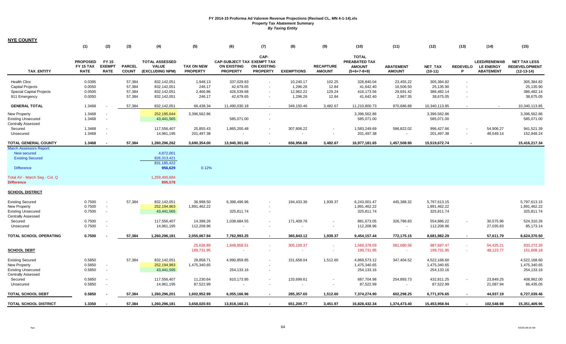|                                               | (1)                                                | (2)                                   | (3)                           | (4)                                                      | (5)                                  | (6)                                                                        | (7)                                           | (8)                      | (9)                               | (10)                                                            | (11)                              | (12)                 | (13)                 | (14)                                                        | (15)                                                        |
|-----------------------------------------------|----------------------------------------------------|---------------------------------------|-------------------------------|----------------------------------------------------------|--------------------------------------|----------------------------------------------------------------------------|-----------------------------------------------|--------------------------|-----------------------------------|-----------------------------------------------------------------|-----------------------------------|----------------------|----------------------|-------------------------------------------------------------|-------------------------------------------------------------|
| <b>TAX ENTITY</b>                             | <b>PROPOSED</b><br><b>FY 15 TAX</b><br><b>RATE</b> | FY 15<br><b>EXEMPT</b><br><b>RATE</b> | <b>PARCEL</b><br><b>COUNT</b> | <b>TOTAL ASSESSED</b><br><b>VALUE</b><br>(EXCLUDING NPM) | <b>TAX ON NEW</b><br><b>PROPERTY</b> | <b>CAP-SUBJECT TAX EXEMPT TAX</b><br><b>ON EXISTING</b><br><b>PROPERTY</b> | CAP-<br><b>ON EXISTING</b><br><b>PROPERTY</b> | <b>EXEMPTIONS</b>        | <b>RECAPTURE</b><br><b>AMOUNT</b> | <b>TOTAL</b><br>PREABATED TAX<br><b>AMOUNT</b><br>$(5+6+7-8+9)$ | <b>ABATEMENT</b><br><b>AMOUNT</b> | NET_TAX<br>$(10-11)$ | <b>REDEVELO</b><br>P | <b>LEED/RENEWAB</b><br><b>LE ENERGY</b><br><b>ABATEMENT</b> | <b>NET TAX LESS</b><br><b>REDEVELOPMENT</b><br>$(12-13-14)$ |
| <b>Health Clinc</b>                           | 0.0395                                             |                                       | 57,384                        | 832,142,051                                              | 1,948.13                             | 337,029.83                                                                 | $\sim$                                        | 10,240.17                | 102.25                            | 328,840.04                                                      | 23,455.22                         | 305,384.82           |                      |                                                             | 305,384.82                                                  |
| <b>Capital Projects</b>                       | 0.0050                                             |                                       | 57,384                        | 832,142,051                                              | 246.17                               | 42,679.65                                                                  |                                               | 1,296.26                 | 12.84                             | 41,642.40                                                       | 16,506.50                         | 25,135.90            |                      |                                                             | 25,135.90                                                   |
| <b>Special Capital Projects</b>               | 0.0500                                             |                                       | 57,384                        | 832,142,051                                              | 2,466.86                             | 426,539.68                                                                 | $\sim$                                        | 12,962.22                | 129.24                            | 416,173.56                                                      | 29,691.42                         | 386,482.14           |                      |                                                             | 386,482.14                                                  |
| 911 Emergency                                 | 0.0050                                             |                                       | 57,384                        | 832,142,051                                              | 246.17                               | 42,679.65                                                                  |                                               | 1,296.26                 | 12.84                             | 41,642.40                                                       | 2,967.35                          | 38,675.05            |                      |                                                             | 38,675.05                                                   |
| <b>GENERAL TOTAL</b>                          | 1.3468                                             |                                       | 57,384                        | 832,142,051                                              | 66,438.34                            | 11,490,030.18                                                              | $\sim$                                        | 349,150.46               | 3,482.67                          | 11,210,800.73                                                   | 870,686.88                        | 10,340,113.85        | $\sim$               | $\sim$                                                      | 10,340,113.85                                               |
| <b>New Property</b>                           | 1.3468                                             |                                       |                               | 252,195,044                                              | 3,396,562.86                         |                                                                            |                                               |                          |                                   | 3,396,562.86                                                    |                                   | 3,396,562.86         |                      |                                                             | 3,396,562.86                                                |
| <b>Existing Unsecured</b>                     | 1.3468                                             |                                       |                               | 43,441,565                                               |                                      | 585,071.00                                                                 |                                               |                          |                                   | 585,071.00                                                      |                                   | 585,071.00           |                      |                                                             | 585,071.00                                                  |
| <b>Centrally Assessed</b>                     |                                                    |                                       |                               |                                                          |                                      |                                                                            |                                               |                          |                                   |                                                                 |                                   |                      |                      |                                                             |                                                             |
| Secured                                       | 1.3468                                             |                                       |                               | 117,556,407                                              | 25,855.43                            | 1,865,200.48                                                               |                                               | 307,806.22               |                                   | 1,583,249.69                                                    | 586,822.02                        | 996,427.66           | $\sim$               | 54,906.27                                                   | 941,521.39                                                  |
| Unsecured                                     | 1.3468                                             |                                       |                               | 14,961,195                                               | 201,497.38                           |                                                                            |                                               |                          | $\sim$                            | 201,497.38                                                      | $\sim$                            | 201,497.38           | $\sim$               | 48,549.14                                                   | 152,948.24                                                  |
|                                               |                                                    |                                       |                               |                                                          |                                      |                                                                            |                                               |                          |                                   |                                                                 |                                   |                      |                      |                                                             |                                                             |
| <b>TOTAL GENERAL COUNTY</b>                   | 1.3468                                             |                                       | 57,384                        | 1,260,296,262                                            | 3,690,354.00                         | 13,940,301.66                                                              |                                               | 656,956.68               | 3,482.67                          | 16,977,181.65                                                   | 1,457,508.90                      | 15,519,672.74        |                      |                                                             | 15,416,217.34                                               |
| <b>March Assessors Report:</b><br>New secured |                                                    |                                       |                               | 4.872.001                                                |                                      |                                                                            |                                               |                          |                                   |                                                                 |                                   |                      |                      |                                                             |                                                             |
| <b>Existing Secured</b>                       |                                                    |                                       |                               | 826,313,421                                              |                                      |                                                                            |                                               |                          |                                   |                                                                 |                                   |                      |                      |                                                             |                                                             |
|                                               |                                                    |                                       |                               | 831, 185, 422                                            |                                      |                                                                            |                                               |                          |                                   |                                                                 |                                   |                      |                      |                                                             |                                                             |
| <b>Difference</b>                             |                                                    |                                       |                               | 956,629                                                  | 0.12%                                |                                                                            |                                               |                          |                                   |                                                                 |                                   |                      |                      |                                                             |                                                             |
| Total AV - March Seg - Col. Q                 |                                                    |                                       |                               | 1,259,400,684                                            |                                      |                                                                            |                                               |                          |                                   |                                                                 |                                   |                      |                      |                                                             |                                                             |
| <b>Difference</b>                             |                                                    |                                       |                               | 895,578                                                  |                                      |                                                                            |                                               |                          |                                   |                                                                 |                                   |                      |                      |                                                             |                                                             |
| SCHOOL DISTRICT                               |                                                    |                                       |                               |                                                          |                                      |                                                                            |                                               |                          |                                   |                                                                 |                                   |                      |                      |                                                             |                                                             |
| <b>Existing Secured</b>                       | 0.7500                                             | $\sim$                                | 57,384                        | 832,142,051                                              | 36,998.50                            | 6,398,496.96                                                               |                                               | 194,433.36               | 1,939.37                          | 6,243,001.47                                                    | 445,388.32                        | 5,797,613.15         |                      |                                                             | 5,797,613.15                                                |
| New Property                                  | 0.7500                                             |                                       |                               | 252,194,963                                              | 1,891,462.22                         |                                                                            |                                               |                          |                                   | 1,891,462.22                                                    |                                   | 1,891,462.22         |                      |                                                             | 1,891,462.22                                                |
| <b>Existing Unsecured</b>                     | 0.7500                                             | $\sim$                                |                               | 43,441,565                                               |                                      | 325,811.74                                                                 |                                               |                          |                                   | 325,811.74                                                      |                                   | 325,811.74           |                      |                                                             | 325,811.74                                                  |
| <b>Centrally Assessed</b>                     |                                                    |                                       |                               |                                                          |                                      |                                                                            |                                               |                          |                                   |                                                                 |                                   |                      |                      |                                                             |                                                             |
| Secured                                       | 0.7500                                             |                                       |                               | 117,556,407                                              | 14,398.26                            | 1,038,684.55                                                               |                                               | 171,409.76               |                                   | 881,673.05                                                      | 326,786.83                        | 554,886.22           |                      | 30,575.96                                                   | 524,310.26                                                  |
| Unsecured                                     | 0.7500                                             |                                       |                               | 14,961,195                                               | 112,208.96                           |                                                                            |                                               |                          |                                   | 112,208.96                                                      |                                   | 112,208.96           |                      | 27,035.83                                                   | 85,173.14                                                   |
| TOTAL SCHOOL OPERATING                        | 0.7500                                             |                                       | 57,384                        | 1,260,296,181                                            | 2,055,067.94                         | 7,762,993.25                                                               | $\overline{\phantom{a}}$                      | 365,843.12               | 1,939.37                          | 9,454,157.44                                                    | 772,175.15                        | 8,681,982.29         | $\sim$               | 57,611.79                                                   | 8,624,370.50                                                |
|                                               |                                                    |                                       |                               |                                                          |                                      |                                                                            |                                               |                          |                                   |                                                                 |                                   |                      |                      |                                                             |                                                             |
|                                               |                                                    |                                       |                               |                                                          | 25,628.89                            | 1,848,858.51                                                               |                                               | 305,109.37               | $\sim$                            | 1,569,378.03                                                    | 581,680.56                        | 987,697.47           | $\sim$               | 54,425.21                                                   | 933,272.26                                                  |
| <b>SCHOOL DEBT</b>                            |                                                    |                                       |                               |                                                          | 199,731.95                           |                                                                            |                                               |                          | $\sim$                            | 199,731.95                                                      |                                   | 199,731.95           |                      | 48,123.77                                                   | 151,608.18                                                  |
| <b>Existing Secured</b>                       | 0.5850                                             |                                       | 57,384                        | 832,142,051                                              | 28,858.71                            | 4,990,859.85                                                               |                                               | 151,658.04               | 1,512.60                          | 4,869,573.12                                                    | 347,404.52                        | 4,522,168.60         |                      |                                                             | 4,522,168.60                                                |
| <b>New Property</b>                           | 0.5850                                             |                                       |                               | 252,194,983                                              | 1,475,340.65                         |                                                                            |                                               |                          |                                   | 1,475,340.65                                                    |                                   | 1,475,340.65         |                      |                                                             | 1,475,340.65                                                |
| <b>Existing Unsecured</b>                     | 0.5850                                             | $\sim$                                |                               | 43,441,565                                               |                                      | 254,133.16                                                                 | $\sim$                                        |                          |                                   | 254,133.16                                                      |                                   | 254,133.16           |                      |                                                             | 254,133.16                                                  |
| <b>Centrally Assessed</b>                     |                                                    |                                       |                               |                                                          |                                      |                                                                            |                                               |                          |                                   |                                                                 |                                   |                      |                      |                                                             |                                                             |
| Secured                                       | 0.5850                                             |                                       |                               | 117,556,407                                              | 11,230.64                            | 810,173.95                                                                 |                                               | 133,699.61               | $\sim$                            | 687,704.98                                                      | 254,893.73                        | 432,811.25           |                      | 23,849.25                                                   | 408,962.00                                                  |
| Unsecured                                     | 0.5850                                             |                                       |                               | 14,961,195                                               | 87,522.99                            |                                                                            |                                               | $\overline{\phantom{a}}$ | $\sim$                            | 87,522.99                                                       | $\sim$                            | 87,522.99            |                      | 21,087.94                                                   | 66,435.05                                                   |
|                                               |                                                    |                                       |                               |                                                          |                                      |                                                                            |                                               |                          |                                   |                                                                 |                                   |                      |                      |                                                             |                                                             |
| <b>TOTAL SCHOOL DEBT</b>                      | 0.5850                                             |                                       | 57,384                        | 1,260,296,201                                            | 1,602,952.99                         | 6,055,166.96                                                               |                                               | 285,357.65               | 1,512.60                          | 7,374,274.90                                                    | 602,298.25                        | 6,771,976.65         |                      | 44,937.19                                                   | 6,727,039.46                                                |
| <b>TOTAL SCHOOL DISTRICT</b>                  | 1.3350                                             |                                       | 57.384                        | 1.260.296.181                                            | 3.658.020.93                         | 13.818.160.21                                                              |                                               | 651.200.77               | 3.451.97                          | 16.828.432.34                                                   | 1.374.473.40                      | 15.453.958.94        |                      | 102.548.98                                                  | 15,351,409.96                                               |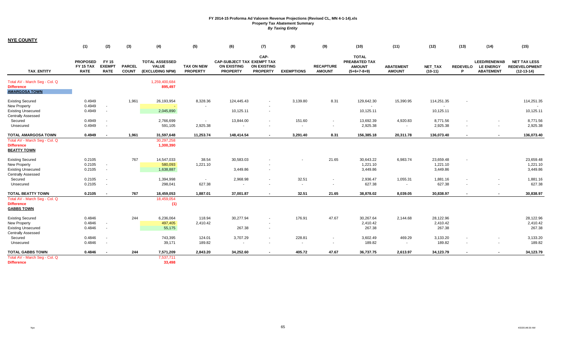|                                                                            | (1)                                                | (2)                                   | (3)                           | (4)                                                      | (5)                                  | (6)                                                                        | (7)                                           | (8)               | (9)                               | (10)                                                            | (11)                              | (12)                        | (13)                 | (14)                                                        | (15)                                                        |
|----------------------------------------------------------------------------|----------------------------------------------------|---------------------------------------|-------------------------------|----------------------------------------------------------|--------------------------------------|----------------------------------------------------------------------------|-----------------------------------------------|-------------------|-----------------------------------|-----------------------------------------------------------------|-----------------------------------|-----------------------------|----------------------|-------------------------------------------------------------|-------------------------------------------------------------|
| <b>TAX ENTITY</b>                                                          | <b>PROPOSED</b><br><b>FY 15 TAX</b><br><b>RATE</b> | FY 15<br><b>EXEMPT</b><br><b>RATE</b> | <b>PARCEL</b><br><b>COUNT</b> | <b>TOTAL ASSESSED</b><br><b>VALUE</b><br>(EXCLUDING NPM) | <b>TAX ON NEW</b><br><b>PROPERTY</b> | <b>CAP-SUBJECT TAX EXEMPT TAX</b><br><b>ON EXISTING</b><br><b>PROPERTY</b> | CAP-<br><b>ON EXISTING</b><br><b>PROPERTY</b> | <b>EXEMPTIONS</b> | <b>RECAPTURE</b><br><b>AMOUNT</b> | <b>TOTAL</b><br>PREABATED TAX<br><b>AMOUNT</b><br>$(5+6+7-8+9)$ | <b>ABATEMENT</b><br><b>AMOUNT</b> | <b>NET TAX</b><br>$(10-11)$ | <b>REDEVELO</b><br>P | <b>LEED/RENEWAB</b><br><b>LE ENERGY</b><br><b>ABATEMENT</b> | <b>NET TAX LESS</b><br><b>REDEVELOPMENT</b><br>$(12-13-14)$ |
| Total AV - March Seg - Col. Q<br><b>Difference</b><br><b>AMARGOSA TOWN</b> |                                                    |                                       |                               | 1,259,400,684<br>895,497                                 |                                      |                                                                            |                                               |                   |                                   |                                                                 |                                   |                             |                      |                                                             |                                                             |
| <b>Existing Secured</b>                                                    | 0.4949                                             |                                       | 1,961                         | 26, 193, 954                                             | 8,328.36                             | 124,445.43                                                                 | $\sim$                                        | 3,139.80          | 8.31                              | 129,642.30                                                      | 15,390.95                         | 114,251.35                  |                      |                                                             | 114,251.35                                                  |
| <b>New Property</b>                                                        | 0.4949                                             | $\sim$                                |                               |                                                          |                                      |                                                                            |                                               |                   |                                   |                                                                 |                                   |                             |                      |                                                             |                                                             |
| <b>Existing Unsecured</b><br><b>Centrally Assessed</b>                     | 0.4949                                             | $\sim$                                |                               | 2,045,890                                                |                                      | 10,125.11                                                                  | $\sim$                                        |                   |                                   | 10,125.11                                                       |                                   | 10,125.11                   |                      |                                                             | 10,125.11                                                   |
| Secured                                                                    | 0.4949                                             | $\overline{\phantom{a}}$              |                               | 2,766,699                                                |                                      | 13,844.00                                                                  | $\blacksquare$                                | 151.60            |                                   | 13,692.39                                                       | 4,920.83                          | 8,771.56                    |                      | $\sim$                                                      | 8,771.56                                                    |
| Unsecured                                                                  | 0.4949                                             | $\sim$                                |                               | 591,105                                                  | 2,925.38                             | $\overline{\phantom{a}}$                                                   |                                               | $\sim$            |                                   | 2,925.38                                                        | $\sim$                            | 2,925.38                    |                      | $\sim$                                                      | 2,925.38                                                    |
| <b>TOTAL AMARGOSA TOWN</b>                                                 | 0.4949                                             | $\overline{\phantom{a}}$              | 1,961                         | 31,597,648                                               | 11,253.74                            | 148,414.54                                                                 |                                               | 3,291.40          | 8.31                              | 156,385.18                                                      | 20,311.78                         | 136,073.40                  |                      |                                                             | 136,073.40                                                  |
| Total AV - March Seg - Col. Q<br><b>Difference</b><br><b>BEATTY TOWN</b>   |                                                    |                                       |                               | 30,297,258<br>1,300,390                                  |                                      |                                                                            |                                               |                   |                                   |                                                                 |                                   |                             |                      |                                                             |                                                             |
| <b>Existing Secured</b>                                                    | 0.2105                                             |                                       | 767                           | 14,547,033                                               | 38.54                                | 30,583.03                                                                  |                                               |                   | 21.65                             | 30,643.22                                                       | 6,983.74                          | 23,659.48                   |                      |                                                             | 23,659.48                                                   |
| <b>New Property</b>                                                        | 0.2105                                             |                                       |                               | 580,093                                                  | 1,221.10                             |                                                                            |                                               |                   |                                   | 1,221.10                                                        |                                   | 1,221.10                    |                      |                                                             | 1,221.10                                                    |
| <b>Existing Unsecured</b><br><b>Centrally Assessed</b>                     | 0.2105                                             | $\sim$                                |                               | 1,638,887                                                |                                      | 3,449.86                                                                   | $\sim$                                        |                   |                                   | 3,449.86                                                        |                                   | 3,449.86                    |                      |                                                             | 3,449.86                                                    |
| Secured                                                                    | 0.2105                                             |                                       |                               | 1,394,998                                                | $\sim$                               | 2,968.98                                                                   | ٠                                             | 32.51             |                                   | 2,936.47                                                        | 1,055.31                          | 1,881.16                    |                      |                                                             | 1,881.16                                                    |
| Unsecured                                                                  | 0.2105                                             | $\sim$                                |                               | 298,041                                                  | 627.38                               | $\sim$                                                                     | $\overline{\phantom{a}}$                      | $\sim$            | $\sim$                            | 627.38                                                          | $\sim$                            | 627.38                      | ٠                    | $\sim$                                                      | 627.38                                                      |
| <b>TOTAL BEATTY TOWN</b>                                                   | 0.2105                                             | $\overline{\phantom{a}}$              | 767                           | 18,459,053                                               | 1,887.01                             | 37,001.87                                                                  | $\blacksquare$                                | 32.51             | 21.65                             | 38,878.02                                                       | 8,039.05                          | 30,838.97                   | $\blacksquare$       | $\overline{\phantom{a}}$                                    | 30,838.97                                                   |
| Total AV - March Seg - Col. Q<br><b>Difference</b><br><b>GABBS TOWN</b>    |                                                    |                                       |                               | 18,459,054<br>(1)                                        |                                      |                                                                            |                                               |                   |                                   |                                                                 |                                   |                             |                      |                                                             |                                                             |
| <b>Existing Secured</b>                                                    | 0.4846                                             |                                       | 244                           | 6,236,064                                                | 118.94                               | 30,277.94                                                                  | $\sim$                                        | 176.91            | 47.67                             | 30,267.64                                                       | 2,144.68                          | 28,122.96                   |                      |                                                             | 28,122.96                                                   |
| <b>New Property</b>                                                        | 0.4846                                             |                                       |                               | 497,405                                                  | 2,410.42                             |                                                                            |                                               |                   |                                   | 2,410.42                                                        |                                   | 2,410.42                    |                      |                                                             | 2,410.42                                                    |
| <b>Existing Unsecured</b><br><b>Centrally Assessed</b>                     | 0.4846                                             |                                       |                               | 55,175                                                   |                                      | 267.38                                                                     | $\sim$                                        |                   |                                   | 267.38                                                          |                                   | 267.38                      |                      |                                                             | 267.38                                                      |
| Secured                                                                    | 0.4846                                             |                                       |                               | 743,395                                                  | 124.01                               | 3,707.29                                                                   | $\sim$                                        | 228.81            |                                   | 3,602.49                                                        | 469.29                            | 3,133.20                    |                      | $\sim$                                                      | 3,133.20                                                    |
| Unsecured                                                                  | 0.4846                                             | $\overline{\phantom{a}}$              |                               | 39,171                                                   | 189.82                               | $\sim$                                                                     | $\overline{\phantom{a}}$                      | $\sim$            | $\sim$                            | 189.82                                                          |                                   | 189.82                      | $\blacksquare$       | $\sim$                                                      | 189.82                                                      |
| <b>TOTAL GABBS TOWN</b>                                                    | 0.4846                                             |                                       | 244                           | 7,571,209                                                | 2,843.20                             | 34,252.60                                                                  |                                               | 405.72            | 47.67                             | 36,737.75                                                       | 2,613.97                          | 34,123.79                   |                      |                                                             | 34,123.79                                                   |
| Total AV - March Seg - Col. Q                                              |                                                    |                                       |                               | 7,537,711                                                |                                      |                                                                            |                                               |                   |                                   |                                                                 |                                   |                             |                      |                                                             |                                                             |
| <b>Difference</b>                                                          |                                                    |                                       |                               | 33,498                                                   |                                      |                                                                            |                                               |                   |                                   |                                                                 |                                   |                             |                      |                                                             |                                                             |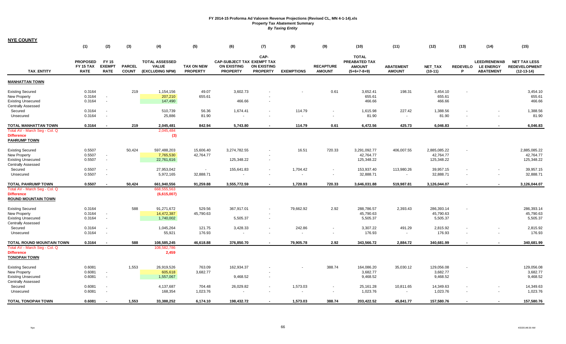|                                                                                                   | (1)                                         | (2)                                   | (3)                           | (4)                                                      | (5)                                  | (6)                                                                        | (7)                                                  | (8)                                  | (9)                               | (10)                                                            | (11)                              | (12)                                    | (13)                     | (14)                                                        | (15)                                                        |
|---------------------------------------------------------------------------------------------------|---------------------------------------------|---------------------------------------|-------------------------------|----------------------------------------------------------|--------------------------------------|----------------------------------------------------------------------------|------------------------------------------------------|--------------------------------------|-----------------------------------|-----------------------------------------------------------------|-----------------------------------|-----------------------------------------|--------------------------|-------------------------------------------------------------|-------------------------------------------------------------|
| <b>TAX ENTITY</b>                                                                                 | <b>PROPOSED</b><br>FY 15 TAX<br><b>RATE</b> | FY 15<br><b>EXEMPT</b><br><b>RATE</b> | <b>PARCEL</b><br><b>COUNT</b> | <b>TOTAL ASSESSED</b><br><b>VALUE</b><br>(EXCLUDING NPM) | <b>TAX ON NEW</b><br><b>PROPERTY</b> | <b>CAP-SUBJECT TAX EXEMPT TAX</b><br><b>ON EXISTING</b><br><b>PROPERTY</b> | CAP-<br><b>ON EXISTING</b><br><b>PROPERTY</b>        | <b>EXEMPTIONS</b>                    | <b>RECAPTURE</b><br><b>AMOUNT</b> | <b>TOTAL</b><br>PREABATED TAX<br><b>AMOUNT</b><br>$(5+6+7-8+9)$ | <b>ABATEMENT</b><br><b>AMOUNT</b> | NET_TAX<br>$(10-11)$                    | <b>REDEVELO</b><br>P     | <b>LEED/RENEWAB</b><br><b>LE ENERGY</b><br><b>ABATEMENT</b> | <b>NET TAX LESS</b><br><b>REDEVELOPMENT</b><br>$(12-13-14)$ |
| <b>MANHATTAN TOWN</b>                                                                             |                                             |                                       |                               |                                                          |                                      |                                                                            |                                                      |                                      |                                   |                                                                 |                                   |                                         |                          |                                                             |                                                             |
| <b>Existing Secured</b><br>New Property<br><b>Existing Unsecured</b><br><b>Centrally Assessed</b> | 0.3164<br>0.3164<br>0.3164                  | $\sim$                                | 219                           | 1,154,156<br>207,210<br>147,490                          | 49.07<br>655.61                      | 3,602.73<br>466.66                                                         | $\overline{\phantom{a}}$                             |                                      | 0.61                              | 3,652.41<br>655.61<br>466.66                                    | 198.31                            | 3,454.10<br>655.61<br>466.66            |                          |                                                             | 3,454.10<br>655.61<br>466.66                                |
| Secured<br>Unsecured                                                                              | 0.3164<br>0.3164                            |                                       |                               | 510,739<br>25,886                                        | 56.36<br>81.90                       | 1,674.41                                                                   | $\overline{\phantom{a}}$<br>$\overline{\phantom{a}}$ | 114.79                               | $\sim$                            | 1,615.98<br>81.90                                               | 227.42<br>$\sim$                  | 1,388.56<br>81.90                       |                          |                                                             | 1,388.56<br>81.90                                           |
| TOTAL MANHATTAN TOWN                                                                              | 0.3164                                      |                                       | 219                           | 2,045,481                                                | 842.94                               | 5,743.80                                                                   |                                                      | 114.79                               | 0.61                              | 6,472.56                                                        | 425.73                            | 6,046.83                                |                          |                                                             | 6,046.83                                                    |
| Total AV - March Seg - Col. Q<br><b>Difference</b><br><b>PAHRUMP TOWN</b>                         |                                             |                                       |                               | 2,045,484<br>(3)                                         |                                      |                                                                            |                                                      |                                      |                                   |                                                                 |                                   |                                         |                          |                                                             |                                                             |
| <b>Existing Secured</b><br>New Property<br><b>Existing Unsecured</b><br><b>Centrally Assessed</b> | 0.5507<br>0.5507<br>0.5507                  | $\sim$<br>$\sim$                      | 50,424                        | 597,488,203<br>7,765,530<br>22,761,616                   | 15,606.40<br>42,764.77               | 3,274,782.55<br>125,348.22                                                 | $\overline{\phantom{a}}$                             | 16.51                                | 720.33                            | 3,291,092.77<br>42,764.77<br>125,348.22                         | 406,007.55                        | 2,885,085.22<br>42,764.77<br>125,348.22 |                          |                                                             | 2,885,085.22<br>42,764.77<br>125,348.22                     |
| Secured<br>Unsecured                                                                              | 0.5507<br>0.5507                            |                                       |                               | 27,953,042<br>5,972,165                                  | $\sim$<br>32,888.71                  | 155,641.83<br>$\blacksquare$                                               | $\overline{\phantom{a}}$<br>$\sim$                   | 1,704.42<br>$\overline{\phantom{a}}$ | $\sim$                            | 153,937.40<br>32,888.71                                         | 113,980.26<br>$\sim$              | 39,957.15<br>32,888.71                  | ٠                        | $\sim$                                                      | 39,957.15<br>32,888.71                                      |
| <b>TOTAL PAHRUMP TOWN</b>                                                                         | 0.5507                                      |                                       | 50,424                        | 661,940,556                                              | 91,259.88                            | 3,555,772.59                                                               | $\blacksquare$                                       | 1,720.93                             | 720.33                            | 3,646,031.88                                                    | 519,987.81                        | 3,126,044.07                            | $\overline{\phantom{a}}$ | $\overline{\phantom{a}}$                                    | 3,126,044.07                                                |
| Total AV - March Seg - Col. Q<br><b>Difference</b><br><b>ROUND MOUNTAIN TOWN</b>                  |                                             |                                       |                               | 668,555,563<br>(6,615,007)                               |                                      |                                                                            |                                                      |                                      |                                   |                                                                 |                                   |                                         |                          |                                                             |                                                             |
| <b>Existing Secured</b><br>New Property<br><b>Existing Unsecured</b>                              | 0.3164<br>0.3164<br>0.3164                  |                                       | 588                           | 91,271,672<br>14,472,387<br>1,740,002                    | 529.56<br>45,790.63                  | 367,917.01<br>5,505.37                                                     | $\overline{\phantom{a}}$<br>$\overline{\phantom{a}}$ | 79,662.92                            | 2.92                              | 288,786.57<br>45,790.63<br>5,505.37                             | 2,393.43                          | 286,393.14<br>45,790.63<br>5,505.37     |                          |                                                             | 286,393.14<br>45,790.63<br>5,505.37                         |
| <b>Centrally Assessed</b><br>Secured<br>Unsecured                                                 | 0.3164<br>0.3164                            |                                       |                               | 1,045,264<br>55,921                                      | 121.75<br>176.93                     | 3,428.33                                                                   | $\overline{\phantom{a}}$<br>$\overline{\phantom{a}}$ | 242.86                               | ٠                                 | 3,307.22<br>176.93                                              | 491.29<br>$\sim$                  | 2,815.92<br>176.93                      |                          | $\sim$                                                      | 2,815.92<br>176.93                                          |
| TOTAL ROUND MOUNTAIN TOWN                                                                         | 0.3164                                      | $\overline{\phantom{a}}$              | 588                           | 108,585,245                                              | 46,618.88                            | 376,850.70                                                                 |                                                      | 79,905.78                            | 2.92                              | 343,566.72                                                      | 2,884.72                          | 340,681.99                              |                          |                                                             | 340,681.99                                                  |
| Total AV - March Seg - Col. Q<br><b>Difference</b><br><b>TONOPAH TOWN</b>                         |                                             |                                       |                               | 108,582,786<br>2,459                                     |                                      |                                                                            |                                                      |                                      |                                   |                                                                 |                                   |                                         |                          |                                                             |                                                             |
| <b>Existing Secured</b><br>New Property<br><b>Existing Unsecured</b>                              | 0.6081<br>0.6081<br>0.6081                  |                                       | 1,553                         | 26,919,526<br>605,618<br>1,557,067                       | 763.09<br>3,682.77                   | 162,934.37<br>9,468.52                                                     | $\sim$                                               |                                      | 388.74                            | 164,086.20<br>3,682.77<br>9,468.52                              | 35,030.12                         | 129,056.08<br>3,682.77<br>9,468.52      |                          |                                                             | 129,056.08<br>3,682.77<br>9,468.52                          |
| <b>Centrally Assessed</b><br>Secured<br>Unsecured                                                 | 0.6081<br>0.6081                            |                                       |                               | 4,137,687<br>168,354                                     | 704.48<br>1,023.76                   | 26,029.82<br>$\sim$                                                        | $\sim$<br>$\overline{\phantom{a}}$                   | 1,573.03<br>$\overline{\phantom{a}}$ | $\sim$                            | 25,161.28<br>1,023.76                                           | 10,811.65<br>$\sim$               | 14,349.63<br>1,023.76                   |                          |                                                             | 14,349.63<br>1,023.76                                       |
| <b>TOTAL TONOPAH TOWN</b>                                                                         | 0.6081                                      |                                       | 1,553                         | 33.388.252                                               | 6,174.10                             | 198.432.72                                                                 |                                                      | 1,573.03                             | 388.74                            | 203.422.52                                                      | 45,841.77                         | 157,580.76                              |                          |                                                             | 157,580.76                                                  |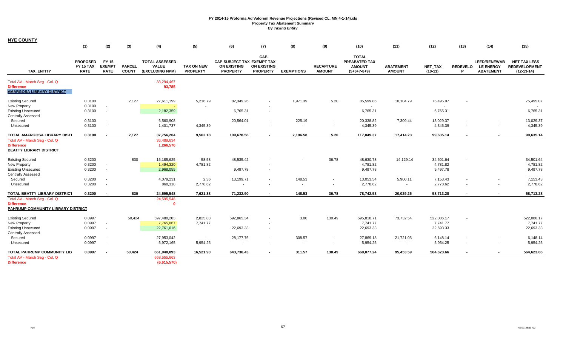|                                                                                        | (1)                                                | (2)                                          | (3)                           | (4)                                                      | (5)                                  | (6)                                                                        | (7)                                           | (8)                      | (9)                               | (10)                                                            | (11)                              | (12)                        | (13)                  | (14)                                                        | (15)                                                        |
|----------------------------------------------------------------------------------------|----------------------------------------------------|----------------------------------------------|-------------------------------|----------------------------------------------------------|--------------------------------------|----------------------------------------------------------------------------|-----------------------------------------------|--------------------------|-----------------------------------|-----------------------------------------------------------------|-----------------------------------|-----------------------------|-----------------------|-------------------------------------------------------------|-------------------------------------------------------------|
| <b>TAX ENTITY</b>                                                                      | <b>PROPOSED</b><br><b>FY 15 TAX</b><br><b>RATE</b> | <b>FY 15</b><br><b>EXEMPT</b><br><b>RATE</b> | <b>PARCEL</b><br><b>COUNT</b> | <b>TOTAL ASSESSED</b><br><b>VALUE</b><br>(EXCLUDING NPM) | <b>TAX ON NEW</b><br><b>PROPERTY</b> | <b>CAP-SUBJECT TAX EXEMPT TAX</b><br><b>ON EXISTING</b><br><b>PROPERTY</b> | CAP-<br><b>ON EXISTING</b><br><b>PROPERTY</b> | <b>EXEMPTIONS</b>        | <b>RECAPTURE</b><br><b>AMOUNT</b> | <b>TOTAL</b><br>PREABATED TAX<br><b>AMOUNT</b><br>$(5+6+7-8+9)$ | <b>ABATEMENT</b><br><b>AMOUNT</b> | <b>NET TAX</b><br>$(10-11)$ | <b>REDEVELO</b><br>P. | <b>LEED/RENEWAB</b><br><b>LE ENERGY</b><br><b>ABATEMENT</b> | <b>NET TAX LESS</b><br><b>REDEVELOPMENT</b><br>$(12-13-14)$ |
| Total AV - March Seq - Col. Q<br><b>Difference</b><br><b>AMARGOSA LIBRARY DISTRICT</b> |                                                    |                                              |                               | 33,294,467<br>93,785                                     |                                      |                                                                            |                                               |                          |                                   |                                                                 |                                   |                             |                       |                                                             |                                                             |
| <b>Existing Secured</b>                                                                | 0.3100                                             |                                              | 2,127                         | 27,611,199                                               | 5,216.79                             | 82,349.26                                                                  | $\sim$                                        | 1,971.39                 | 5.20                              | 85,599.86                                                       | 10,104.79                         | 75,495.07                   |                       |                                                             | 75,495.07                                                   |
| New Property                                                                           | 0.3100                                             | $\sim$                                       |                               |                                                          |                                      |                                                                            |                                               |                          |                                   |                                                                 |                                   |                             |                       |                                                             |                                                             |
| <b>Existing Unsecured</b><br><b>Centrally Assessed</b>                                 | 0.3100                                             | $\sim$                                       |                               | 2,182,359                                                |                                      | 6,765.31                                                                   | $\sim$                                        |                          |                                   | 6,765.31                                                        |                                   | 6,765.31                    |                       |                                                             | 6,765.31                                                    |
| Secured                                                                                | 0.3100                                             | <b>COL</b>                                   |                               | 6,560,908                                                |                                      | 20,564.01                                                                  |                                               | 225.19                   | $\sim$                            | 20,338.82                                                       | 7,309.44                          | 13,029.37                   |                       | $\sim$                                                      | 13,029.37                                                   |
| Unsecured                                                                              | 0.3100                                             | $\sim$                                       |                               | 1,401,737                                                | 4,345.39                             | $\overline{\phantom{a}}$                                                   |                                               | $\overline{\phantom{a}}$ | $\sim$                            | 4,345.39                                                        | $\sim$                            | 4,345.39                    |                       | $\sim$                                                      | 4,345.39                                                    |
| TOTAL AMARGOSA LIBRARY DISTI                                                           | 0.3100                                             |                                              | 2,127                         | 37,756,204                                               | 9,562.18                             | 109,678.58                                                                 |                                               | 2,196.58                 | 5.20                              | 117,049.37                                                      | 17,414.23                         | 99,635.14                   | $\blacksquare$        |                                                             | 99,635.14                                                   |
| Total AV - March Seg - Col. Q<br><b>Difference</b><br><b>BEATTY LIBRARY DISTRICT</b>   |                                                    |                                              |                               | 36,489,634<br>1,266,570                                  |                                      |                                                                            |                                               |                          |                                   |                                                                 |                                   |                             |                       |                                                             |                                                             |
| <b>Existing Secured</b>                                                                | 0.3200                                             |                                              | 830                           | 15, 185, 625                                             | 58.58                                | 48,535.42                                                                  |                                               |                          | 36.78                             | 48,630.78                                                       | 14,129.14                         | 34,501.64                   |                       |                                                             | 34,501.64                                                   |
| New Property                                                                           | 0.3200                                             |                                              |                               | 1,494,320                                                | 4,781.82                             |                                                                            |                                               |                          |                                   | 4,781.82                                                        |                                   | 4,781.82                    |                       |                                                             | 4,781.82                                                    |
| <b>Existing Unsecured</b>                                                              | 0.3200                                             | $\sim$                                       |                               | 2,968,055                                                |                                      | 9,497.78                                                                   | $\sim$                                        |                          |                                   | 9,497.78                                                        |                                   | 9,497.78                    |                       |                                                             | 9,497.78                                                    |
| <b>Centrally Assessed</b>                                                              |                                                    |                                              |                               |                                                          |                                      |                                                                            |                                               |                          |                                   |                                                                 |                                   |                             |                       |                                                             |                                                             |
| Secured                                                                                | 0.3200                                             | $\sim$                                       |                               | 4,079,231                                                | 2.36                                 | 13,199.71                                                                  | $\sim$                                        | 148.53                   | $\sim$                            | 13,053.54                                                       | 5,900.11                          | 7,153.43                    |                       | $\sim$                                                      | 7,153.43                                                    |
| Unsecured                                                                              | 0.3200                                             | $\sim$                                       |                               | 868,318                                                  | 2,778.62                             | $\sim$                                                                     |                                               | $\sim$                   | $\sim$                            | 2,778.62                                                        | $\sim$                            | 2,778.62                    | $\blacksquare$        | $\sim$                                                      | 2,778.62                                                    |
| TOTAL BEATTY LIBRARY DISTRICT                                                          | 0.3200                                             | $\sim$                                       | 830                           | 24,595,548                                               | 7,621.38                             | 71,232.90                                                                  |                                               | 148.53                   | 36.78                             | 78,742.53                                                       | 20,029.25                         | 58.713.28                   |                       |                                                             | 58,713.28                                                   |
| Total AV - March Seg - Col. Q                                                          |                                                    |                                              |                               | 24,595,548                                               |                                      |                                                                            |                                               |                          |                                   |                                                                 |                                   |                             |                       |                                                             |                                                             |
| <b>Difference</b><br>PAHRUMP COMMUNITY LIBRARY DISTRICT                                |                                                    |                                              |                               | $\Omega$                                                 |                                      |                                                                            |                                               |                          |                                   |                                                                 |                                   |                             |                       |                                                             |                                                             |
| <b>Existing Secured</b>                                                                | 0.0997                                             |                                              | 50,424                        | 597,488,203                                              | 2,825.88                             | 592,865.34                                                                 |                                               | 3.00                     | 130.49                            | 595,818.71                                                      | 73,732.54                         | 522,086.17                  |                       |                                                             | 522,086.17                                                  |
| New Property                                                                           | 0.0997                                             | $\sim$                                       |                               | 7,765,067                                                | 7,741.77                             |                                                                            |                                               |                          |                                   | 7,741.77                                                        |                                   | 7,741.77                    |                       |                                                             | 7,741.77                                                    |
| <b>Existing Unsecured</b>                                                              | 0.0997                                             | $\sim$                                       |                               | 22,761,616                                               |                                      | 22,693.33                                                                  | $\sim$                                        |                          |                                   | 22,693.33                                                       |                                   | 22,693.33                   |                       |                                                             | 22,693.33                                                   |
| <b>Centrally Assessed</b>                                                              |                                                    |                                              |                               |                                                          |                                      |                                                                            |                                               |                          |                                   |                                                                 |                                   |                             |                       |                                                             |                                                             |
| Secured                                                                                | 0.0997                                             |                                              |                               | 27,953,042                                               | $\sim$                               | 28,177.76                                                                  |                                               | 308.57                   |                                   | 27,869.18                                                       | 21,721.05                         | 6,148.14                    |                       |                                                             | 6,148.14                                                    |
| Unsecured                                                                              | 0.0997                                             | $\sim$                                       |                               | 5,972,165                                                | 5,954.25                             |                                                                            |                                               | $\overline{\phantom{a}}$ | $\sim$                            | 5,954.25                                                        |                                   | 5,954.25                    |                       |                                                             | 5,954.25                                                    |
| TOTAL PAHRUMP COMMUNITY LIB                                                            | 0.0997                                             | $\sim$                                       | 50,424                        | 661,940,093                                              | 16,521.90                            | 643,736.43                                                                 | $\blacksquare$                                | 311.57                   | 130.49                            | 660,077.24                                                      | 95,453.59                         | 564,623.66                  | $\blacksquare$        | $\overline{\phantom{a}}$                                    | 564,623.66                                                  |
| Total AV - March Seg - Col. Q                                                          |                                                    |                                              |                               | 668,555,663                                              |                                      |                                                                            |                                               |                          |                                   |                                                                 |                                   |                             |                       |                                                             |                                                             |
| <b>Difference</b>                                                                      |                                                    |                                              |                               | (6,615,570)                                              |                                      |                                                                            |                                               |                          |                                   |                                                                 |                                   |                             |                       |                                                             |                                                             |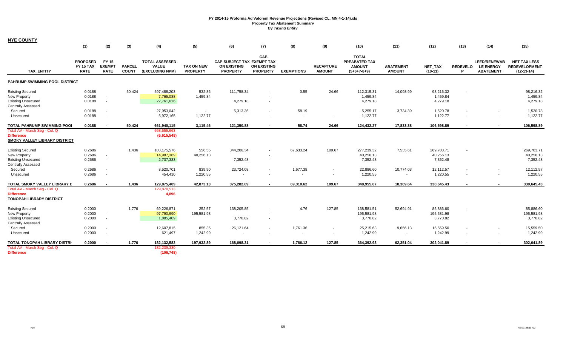|--|

|                                                                                                   | (1)                                                | (2)                                          | (3)                    | (4)                                                      | (5)                                  | (6)                                                                        | (7)                                           | (8)                                  | (9)                               | (10)                                                            | (11)                                 | (12)                                | (13)                     | (14)                                                        | (15)                                                        |
|---------------------------------------------------------------------------------------------------|----------------------------------------------------|----------------------------------------------|------------------------|----------------------------------------------------------|--------------------------------------|----------------------------------------------------------------------------|-----------------------------------------------|--------------------------------------|-----------------------------------|-----------------------------------------------------------------|--------------------------------------|-------------------------------------|--------------------------|-------------------------------------------------------------|-------------------------------------------------------------|
| <b>TAX ENTITY</b>                                                                                 | <b>PROPOSED</b><br><b>FY 15 TAX</b><br><b>RATE</b> | <b>FY 15</b><br><b>EXEMPT</b><br><b>RATE</b> | PARCEL<br><b>COUNT</b> | <b>TOTAL ASSESSED</b><br><b>VALUE</b><br>(EXCLUDING NPM) | <b>TAX ON NEW</b><br><b>PROPERTY</b> | <b>CAP-SUBJECT TAX EXEMPT TAX</b><br><b>ON EXISTING</b><br><b>PROPERTY</b> | CAP-<br><b>ON EXISTING</b><br><b>PROPERTY</b> | <b>EXEMPTIONS</b>                    | <b>RECAPTURE</b><br><b>AMOUNT</b> | <b>TOTAL</b><br>PREABATED TAX<br><b>AMOUNT</b><br>$(5+6+7-8+9)$ | <b>ABATEMENT</b><br><b>AMOUNT</b>    | NET_TAX<br>$(10-11)$                | <b>REDEVELO</b><br>P     | <b>LEED/RENEWAB</b><br><b>LE ENERGY</b><br><b>ABATEMENT</b> | <b>NET TAX LESS</b><br><b>REDEVELOPMENT</b><br>$(12-13-14)$ |
| PAHRUMP SWIMMING POOL DISTRICT                                                                    |                                                    |                                              |                        |                                                          |                                      |                                                                            |                                               |                                      |                                   |                                                                 |                                      |                                     |                          |                                                             |                                                             |
| <b>Existing Secured</b><br>New Property<br><b>Existing Unsecured</b><br><b>Centrally Assessed</b> | 0.0188<br>0.0188<br>0.0188                         | $\sim$<br>$\sim$                             | 50,424                 | 597,488,203<br>7,765,088<br>22,761,616                   | 532.86<br>1,459.84                   | 111,758.34<br>4,279.18                                                     | $\overline{\phantom{a}}$                      | 0.55                                 | 24.66                             | 112,315.31<br>1,459.84<br>4,279.18                              | 14,098.99                            | 98,216.32<br>1,459.84<br>4,279.18   |                          |                                                             | 98,216.32<br>1,459.84<br>4,279.18                           |
| Secured<br>Unsecured                                                                              | 0.0188<br>0.0188                                   |                                              |                        | 27,953,042<br>5,972,165                                  | 1,122.77                             | 5,313.36                                                                   |                                               | 58.19<br>$\sim$                      | $\sim$                            | 5,255.17<br>1,122.77                                            | 3,734.39                             | 1,520.78<br>1,122.77                |                          | $\sim$                                                      | 1,520.78<br>1,122.77                                        |
| TOTAL PAHRUMP SWIMMING POOL                                                                       | 0.0188                                             |                                              | 50,424                 | 661,940,115                                              | 3,115.46                             | 121,350.88                                                                 |                                               | 58.74                                | 24.66                             | 124,432.27                                                      | 17,833.38                            | 106,598.89                          | $\blacksquare$           | $\blacksquare$                                              | 106,598.89                                                  |
| Total AV - March Seg - Col. Q<br><b>Difference</b><br><b>SMOKY VALLEY LIBRARY DISTRICT</b>        |                                                    |                                              |                        | 668,555,663<br>(6,615,548)                               |                                      |                                                                            |                                               |                                      |                                   |                                                                 |                                      |                                     |                          |                                                             |                                                             |
| <b>Existing Secured</b><br>New Property<br><b>Existing Unsecured</b>                              | 0.2686<br>0.2686<br>0.2686                         | $\sim$                                       | 1,436                  | 103,175,576<br>14,987,389<br>2,737,333                   | 556.55<br>40,256.13                  | 344,206.34<br>7,352.48                                                     | $\sim$                                        | 67,633.24                            | 109.67                            | 277,239.32<br>40,256.13<br>7,352.48                             | 7,535.61                             | 269,703.71<br>40,256.13<br>7,352.48 |                          |                                                             | 269,703.71<br>40,256.13<br>7,352.48                         |
| <b>Centrally Assessed</b><br>Secured<br>Unsecured                                                 | 0.2686<br>0.2686                                   | $\sim$                                       |                        | 8,520,701<br>454,410                                     | 839.90<br>1,220.55                   | 23,724.08<br>$\overline{\phantom{a}}$                                      | $\sim$                                        | 1,677.38<br>$\overline{\phantom{a}}$ | $\sim$<br>$\sim$                  | 22,886.60<br>1,220.55                                           | 10,774.03                            | 12,112.57<br>1,220.55               | $\sim$                   | $\sim$<br>$\overline{\phantom{a}}$                          | 12,112.57<br>1,220.55                                       |
| TOTAL SMOKY VALLEY LIBRARY D                                                                      | 0.2686                                             |                                              | 1,436                  | 129,875,409                                              | 42,873.13                            | 375,282.89                                                                 | $\blacksquare$                                | 69,310.62                            | 109.67                            | 348,955.07                                                      | 18,309.64                            | 330,645.43                          | $\overline{\phantom{a}}$ | $\blacksquare$                                              | 330,645.43                                                  |
| Total AV - March Seg - Col. Q<br><b>Difference</b><br><b>TONOPAH LIBRARY DISTRICT</b>             |                                                    |                                              |                        | 129,870,513<br>4,896                                     |                                      |                                                                            |                                               |                                      |                                   |                                                                 |                                      |                                     |                          |                                                             |                                                             |
| <b>Existing Secured</b><br>New Property<br><b>Existing Unsecured</b><br><b>Centrally Assessed</b> | 0.2000<br>0.2000<br>0.2000                         | $\sim$                                       | 1.776                  | 69,226,871<br>97,790,990<br>1,885,409                    | 252.57<br>195,581.98                 | 138,205.85<br>3,770.82                                                     | $\overline{\phantom{a}}$<br>$\sim$            | 4.76                                 | 127.85                            | 138,581.51<br>195,581.98<br>3,770.82                            | 52,694.91                            | 85,886.60<br>195,581.98<br>3,770.82 |                          |                                                             | 85,886.60<br>195,581.98<br>3,770.82                         |
| Secured<br>Unsecured                                                                              | 0.2000<br>0.2000                                   | $\sim$                                       |                        | 12,607,815<br>621,497                                    | 855.35<br>1,242.99                   | 26,121.64<br>$\overline{\phantom{a}}$                                      | $\sim$                                        | 1,761.36<br>$\overline{\phantom{a}}$ | $\sim$<br>$\sim$                  | 25,215.63<br>1,242.99                                           | 9,656.13<br>$\overline{\phantom{a}}$ | 15,559.50<br>1,242.99               |                          | $\overline{\phantom{a}}$<br>$\sim$                          | 15,559.50<br>1,242.99                                       |
| <b>TOTAL TONOPAH LIBRARY DISTRI</b><br>Total AV - March Seg - Col. Q<br><b>Difference</b>         | 0.2000                                             |                                              | 1,776                  | 182,132,582<br>182,239,330<br>(106, 748)                 | 197,932.89                           | 168,098.31                                                                 |                                               | 1,766.12                             | 127.85                            | 364,392.93                                                      | 62,351.04                            | 302,041.89                          |                          | $\blacksquare$                                              | 302,041.89                                                  |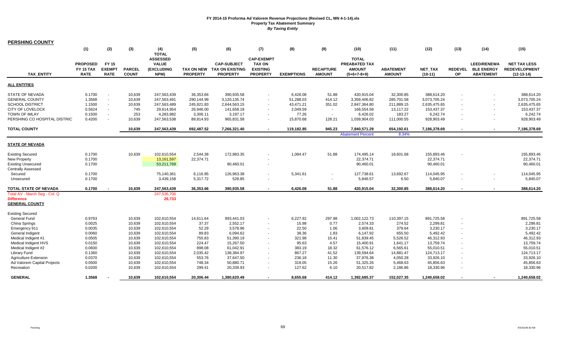| <b>PERSHING COUNTY</b>        |                 |               |               |                                 |                   |                        |                          |                   |                  |                          |                  |                |                          |                    |                      |
|-------------------------------|-----------------|---------------|---------------|---------------------------------|-------------------|------------------------|--------------------------|-------------------|------------------|--------------------------|------------------|----------------|--------------------------|--------------------|----------------------|
|                               | (1)             | (2)           | (3)           | (4)                             | (5)               | (6)                    | (7)                      | (8)               | (9)              | (10)                     | (11)             | (12)           | (13)                     | (14)               | (15)                 |
|                               |                 |               |               | <b>TOTAL</b><br><b>ASSESSED</b> |                   |                        | <b>CAP-EXEMPT</b>        |                   |                  | <b>TOTAL</b>             |                  |                |                          |                    |                      |
|                               | <b>PROPOSED</b> | <b>FY 15</b>  |               | <b>VALUE</b>                    |                   | <b>CAP-SUBJECT</b>     | <b>TAX ON</b>            |                   |                  | PREABATED TAX            |                  |                |                          | <b>LEED/RENEWA</b> | <b>NET TAX LESS</b>  |
|                               | FY 15 TAX       | <b>EXEMPT</b> | <b>PARCEL</b> | <b>(EXCLUDING</b>               | <b>TAX ON NEW</b> | <b>TAX ON EXISTING</b> | <b>EXISTING</b>          |                   | <b>RECAPTURE</b> | <b>AMOUNT</b>            | <b>ABATEMENT</b> | <b>NET TAX</b> | <b>REDEVEL</b>           | <b>BLE ENERGY</b>  | <b>REDEVELOPMENT</b> |
| <b>TAX ENTITY</b>             | <b>RATE</b>     | <b>RATE</b>   | <b>COUNT</b>  | NPM)                            | <b>PROPERTY</b>   | <b>PROPERTY</b>        | <b>PROPERTY</b>          | <b>EXEMPTIONS</b> | <b>AMOUNT</b>    | $(5+6+7-8+9)$            | <b>AMOUNT</b>    | $(10-11)$      | <b>OP</b>                | <b>ABATEMENT</b>   | $(12-13-14)$         |
| <b>ALL ENTITIES</b>           |                 |               |               |                                 |                   |                        |                          |                   |                  |                          |                  |                |                          |                    |                      |
| <b>STATE OF NEVADA</b>        | 0.1700          | $\sim$        | 10,639        | 247,563,439                     | 36,353.66         | 390,935.58             | $\overline{\phantom{a}}$ | 6,426.08          | 51.88            | 420,915.04               | 32,300.85        | 388,614.20     |                          |                    | 388,614.20           |
| <b>GENERAL COUNTY</b>         | 1.3568          | $\sim$        | 10,639        | 247,563,491                     | 290,144.99        | 3,120,135.74           | $\sim$                   | 51,288.03         | 414.12           | 3,359,406.82             | 285,701.58       | 3,073,705.24   | $\overline{\phantom{a}}$ |                    | 3,073,705.24         |
| <b>SCHOOL DISTRICT</b>        | 1.1500          | $\sim$        | 10,639        | 247,563,489                     | 245,921.83        | 2,644,563.15           |                          | 43,471.21         | 351.02           | 2,847,364.80             | 211,889.15       | 2,635,475.65   | $\overline{\phantom{a}}$ |                    | 2,635,475.65         |
| <b>CITY OF LOVELOCK</b>       | 0.5624          | $\sim$        | 745           | 29.614.954                      | 26,946.00         | 141,658.18             | $\overline{\phantom{a}}$ | 2,049.59          | $\sim$           | 166.554.58               | 13,117.22        | 153,437.37     | $\sim$                   |                    | 153,437.37           |
| <b>TOWN OF IMLAY</b>          | 0.1500          | $\sim$        | 253           | 4,283,982                       | 3,306.11          | 3,197.17               |                          | 77.26             | $\sim$           | 6,426.02                 | 183.27           | 6,242.74       |                          |                    | 6,242.74             |
| PERSHING CO HOSPITAL DISTRICT | 0.4200          |               | 10,639        | 247,563,538                     | 89,814.93         | 965,831.58             |                          | 15,870.68         | 128.21           | 1,039,904.03             | 111,000.55       | 928,903.49     |                          |                    | 928,903.49           |
| <b>TOTAL COUNTY</b>           |                 |               | 10,639        | 247,563,439                     | 692,487.52        | 7,266,321.40           |                          | 119,182.85        | 945.23           | 7,840,571.29             | 654,192.61       | 7,186,378.69   |                          |                    | 7,186,378.69         |
|                               |                 |               |               |                                 |                   |                        |                          |                   |                  | <b>Abatement Percent</b> | 8.34%            |                |                          |                    |                      |
| <b>STATE OF NEVADA</b>        |                 |               |               |                                 |                   |                        |                          |                   |                  |                          |                  |                |                          |                    |                      |
| <b>Existing Secured</b>       | 0.1700          |               | 10,639        | 102,610,554                     | 2,544.38          | 172,983.35             |                          | 1,084.47          | 51.88            | 174,495.14               | 18,601.68        | 155,893.46     | $\overline{\phantom{a}}$ |                    | 155,893.46           |
| <b>New Property</b>           | 0.1700          |               |               | 13, 161, 597                    | 22,374.71         |                        |                          |                   |                  | 22,374.71                |                  | 22,374.71      |                          |                    | 22,374.71            |
| <b>Existing Unsecured</b>     | 0.1700          |               |               | 53,211,769                      |                   | 90,460.01              | $\sim$                   |                   |                  | 90,460.01                |                  | 90,460.01      |                          |                    | 90,460.01            |
| <b>Centrally Assessed</b>     |                 |               |               |                                 |                   |                        |                          |                   |                  |                          |                  |                |                          |                    |                      |
| Secured                       | 0.1700          |               |               | 75,140,361                      | 6,116.85          | 126,963.38             |                          | 5,341.61          |                  | 127,738.61               | 13,692.67        | 114,045.95     |                          |                    | 114,045.95           |
| Unsecured                     | 0.1700          |               |               | 3,439,158                       | 5,317.72          | 528.85                 |                          |                   | $\sim$           | 5,846.57                 | 6.50             | 5,840.07       |                          |                    | 5,840.07             |
| TOTAL STATE OF NEVADA         | 0.1700          |               | 10,639        | 247,563,439                     | 36,353.66         | 390,935.58             |                          | 6,426.08          | 51.88            | 420,915.04               | 32,300.85        | 388,614.20     |                          |                    | 388,614.20           |
| Total AV - March Seg - Col. Q |                 |               |               | 247,536,706                     |                   |                        |                          |                   |                  |                          |                  |                |                          |                    |                      |
| <b>Difference</b>             |                 |               |               | 26,733                          |                   |                        |                          |                   |                  |                          |                  |                |                          |                    |                      |
| <b>GENERAL COUNTY</b>         |                 |               |               |                                 |                   |                        |                          |                   |                  |                          |                  |                |                          |                    |                      |
| <b>Existing Secured</b>       |                 |               |               |                                 |                   |                        |                          |                   |                  |                          |                  |                |                          |                    |                      |
| General Fund                  | 0.9763          |               | 10,639        | 102,610,554                     | 14,611.64         | 993,441.03             |                          | 6,227.92          | 297.98           | 1,002,122.73             | 110,397.15       | 891,725.58     | $\overline{\phantom{a}}$ |                    | 891,725.58           |
| China Springs                 | 0.0025          |               | 10,639        | 102,610,554                     | 37.37             | 2,552.17               |                          | 15.98             | 0.77             | 2,574.33                 | 274.52           | 2,299.81       | $\overline{\phantom{a}}$ |                    | 2,299.81             |
| Emergency 911                 | 0.0035          |               | 10,639        | 102,610,554                     | 52.29             | 3,578.96               |                          | 22.50             | 1.06             | 3,609.81                 | 379.64           | 3,230.17       | $\overline{\phantom{a}}$ |                    | 3,230.17             |
| General Indigent              | 0.0060          |               | 10,639        | 102,610,554                     | 89.83             | 6,094.62               | $\sim$                   | 38.36             | 1.83             | 6,147.92                 | 655.50           | 5,492.42       | $\overline{\phantom{a}}$ |                    | 5,492.42             |
| Medical Indigent #1           | 0.0505          |               | 10,639        | 102,610,554                     | 755.83            | 51,390.19              |                          | 321.98            | 15.41            | 51,839.45                | 5,526.52         | 46,312.93      | $\overline{\phantom{a}}$ |                    | 46,312.93            |
| Medical Indigent HVS          | 0.0150          |               | 10,639        | 102,610,554                     | 224.47            | 15,267.50              | $\sim$                   | 95.63             | 4.57             | 15,400.91                | 1,641.17         | 13,759.74      | $\overline{\phantom{a}}$ |                    | 13,759.74            |
| Medical Indigent #2           | 0.0600          |               | 10,639        | 102,610,554                     | 898.08            | 61,042.91              |                          | 383.19            | 18.32            | 61,576.12                | 6,565.61         | 55,010.51      |                          |                    | 55,010.51            |
| Library Fund                  | 0.1360          |               | 10,639        | 102.610.554                     | 2,035.42          | 138.384.97             | $\sim$                   | 867.27            | 41.52            | 139,594.64               | 14,881.47        | 124.713.17     | $\overline{\phantom{a}}$ |                    | 124,713.17           |
| <b>Agriculture Extension</b>  | 0.0370          |               | 10,639        | 102,610,554                     | 553.76            | 37,647.50              |                          | 236.18            | 11.30            | 37,976.38                | 4,050.28         | 33,926.10      | $\overline{\phantom{a}}$ |                    | 33,926.10            |
| Ad Valorem Capital Projects   | 0.0500          |               | 10,639        | 102,610,554                     | 748.34            | 50,880.71              |                          | 319.05            | 15.26            | 51,325.26                | 5,468.63         | 45,856.63      | $\blacksquare$           |                    | 45,856.63            |
| Recreation                    | 0.0200          |               | 10,639        | 102,610,554                     | 299.41            | 20,339.93              |                          | 127.62            | 6.10             | 20,517.82                | 2,186.86         | 18,330.96      |                          |                    | 18,330.96            |
| <b>GENERAL</b>                | 1.3568          |               | 10,639        | 102.610.554                     | 20,306.44         | 1,380,620.49           |                          | 8,655.68          | 414.12           | 1,392,685.37             | 152,027.35       | 1,240,658.02   |                          |                    | 1,240,658.02         |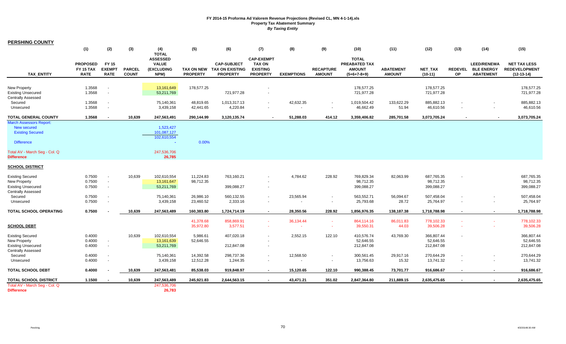| <b>PERSHING COUNTY</b> |  |
|------------------------|--|
|------------------------|--|

|                                                                                                      | (1)                                                | (2)                                          | (3)                           | (4)<br><b>TOTAL</b>                                          | (5)                                  | (6)                                                             | (7)                                                                      | (8)                 | (9)                               | (10)                                                                   | (11)                              | (12)                                  | (13)                        | (14)                                                        | (15)                                                        |
|------------------------------------------------------------------------------------------------------|----------------------------------------------------|----------------------------------------------|-------------------------------|--------------------------------------------------------------|--------------------------------------|-----------------------------------------------------------------|--------------------------------------------------------------------------|---------------------|-----------------------------------|------------------------------------------------------------------------|-----------------------------------|---------------------------------------|-----------------------------|-------------------------------------------------------------|-------------------------------------------------------------|
| <b>TAX ENTITY</b>                                                                                    | <b>PROPOSED</b><br><b>FY 15 TAX</b><br><b>RATE</b> | <b>FY 15</b><br><b>EXEMPT</b><br><b>RATE</b> | <b>PARCEL</b><br><b>COUNT</b> | <b>ASSESSED</b><br><b>VALUE</b><br><b>(EXCLUDING</b><br>NPM) | <b>TAX ON NEW</b><br><b>PROPERTY</b> | <b>CAP-SUBJECT</b><br><b>TAX ON EXISTING</b><br><b>PROPERTY</b> | <b>CAP-EXEMPT</b><br><b>TAX ON</b><br><b>EXISTING</b><br><b>PROPERTY</b> | <b>EXEMPTIONS</b>   | <b>RECAPTURE</b><br><b>AMOUNT</b> | <b>TOTAL</b><br><b>PREABATED TAX</b><br><b>AMOUNT</b><br>$(5+6+7-8+9)$ | <b>ABATEMENT</b><br><b>AMOUNT</b> | <b>NET TAX</b><br>$(10-11)$           | <b>REDEVEL</b><br><b>OP</b> | <b>LEED/RENEWA</b><br><b>BLE ENERGY</b><br><b>ABATEMENT</b> | <b>NET TAX LESS</b><br><b>REDEVELOPMENT</b><br>$(12-13-14)$ |
|                                                                                                      |                                                    |                                              |                               |                                                              |                                      |                                                                 |                                                                          |                     |                                   |                                                                        |                                   |                                       |                             |                                                             |                                                             |
| <b>New Property</b><br><b>Existing Unsecured</b><br><b>Centrally Assessed</b>                        | 1.3568<br>1.3568                                   | $\blacksquare$<br>$\sim$                     |                               | 13, 161, 649<br>53,211,769                                   | 178,577.25                           | 721,977.28                                                      |                                                                          |                     |                                   | 178,577.25<br>721,977.28                                               |                                   | 178,577.25<br>721,977.28              |                             |                                                             | 178,577.25<br>721,977.28                                    |
| Secured                                                                                              | 1.3568                                             | $\sim$                                       |                               | 75,140,361                                                   | 48,819.65                            | 1,013,317.13                                                    | $\sim$                                                                   | 42,632.35           |                                   | 1,019,504.42                                                           | 133,622.29                        | 885,882.13                            |                             |                                                             | 885,882.13                                                  |
| Unsecured                                                                                            | 1.3568                                             | $\omega$                                     |                               | 3,439,158                                                    | 42,441.65                            | 4,220.84                                                        |                                                                          |                     |                                   | 46,662.49                                                              | 51.94                             | 46,610.56                             |                             |                                                             | 46,610.56                                                   |
| <b>TOTAL GENERAL COUNTY</b>                                                                          | 1.3568                                             | $\overline{\phantom{a}}$                     | 10,639                        | 247,563,491                                                  | 290,144.99                           | 3,120,135.74                                                    | $\sim$                                                                   | 51,288.03           | 414.12                            | 3,359,406.82                                                           | 285,701.58                        | 3,073,705.24                          |                             | $\blacksquare$                                              | 3,073,705.24                                                |
| <b>March Assessors Report:</b><br><b>New secured</b><br><b>Existing Secured</b><br><b>Difference</b> |                                                    |                                              |                               | 1,523,427<br>101,087,127<br>102,610,554<br>$\mathbf{r}$      | 0.00%                                |                                                                 |                                                                          |                     |                                   |                                                                        |                                   |                                       |                             |                                                             |                                                             |
| Total AV - March Seg - Col. Q<br><b>Difference</b>                                                   |                                                    |                                              |                               | 247,536,706<br>26,785                                        |                                      |                                                                 |                                                                          |                     |                                   |                                                                        |                                   |                                       |                             |                                                             |                                                             |
| <b>SCHOOL DISTRICT</b>                                                                               |                                                    |                                              |                               |                                                              |                                      |                                                                 |                                                                          |                     |                                   |                                                                        |                                   |                                       |                             |                                                             |                                                             |
| <b>Existing Secured</b><br><b>New Property</b><br><b>Existing Unsecured</b>                          | 0.7500<br>0.7500<br>0.7500                         | $\sim$<br>$\sim$<br>$\sim$                   | 10,639                        | 102,610,554<br>13,161,647<br>53,211,769                      | 11,224.83<br>98,712.35               | 763,160.21<br>399,088.27                                        | $\overline{\phantom{a}}$                                                 | 4,784.62            | 228.92                            | 769,829.34<br>98,712.35<br>399,088.27                                  | 82,063.99                         | 687,765.35<br>98,712.35<br>399,088.27 |                             |                                                             | 687,765.35<br>98,712.35<br>399,088.27                       |
| <b>Centrally Assessed</b><br>Secured                                                                 | 0.7500                                             | $\sim$                                       |                               | 75,140,361                                                   | 26,986.10                            | 560,132.55                                                      | $\blacksquare$                                                           | 23,565.94           |                                   | 563,552.71                                                             | 56,094.67                         | 507,458.04                            |                             |                                                             | 507,458.04                                                  |
| Unsecured                                                                                            | 0.7500                                             | $\sim$                                       |                               | 3,439,158                                                    | 23,460.52                            | 2,333.16                                                        | $\blacksquare$                                                           |                     | $\sim$                            | 25,793.68                                                              | 28.72                             | 25,764.97                             |                             | $\sim$                                                      | 25,764.97                                                   |
| TOTAL SCHOOL OPERATING                                                                               | 0.7500                                             |                                              | 10,639                        | 247,563,489                                                  | 160,383.80                           | 1,724,714.19                                                    | $\sim$                                                                   | 28,350.56           | 228.92                            | 1,856,976.35                                                           | 138,187.38                        | 1,718,788.98                          | $\overline{\phantom{a}}$    | $\blacksquare$                                              | 1,718,788.98                                                |
| <b>SCHOOL DEBT</b>                                                                                   |                                                    |                                              |                               |                                                              | 41,378.68<br>35,972.80               | 858,869.91<br>3,577.51                                          | $\sim$<br>$\sim$                                                         | 36,134.44<br>$\sim$ | $\sim$                            | 864,114.16<br>39,550.31                                                | 86,011.83<br>44.03                | 778,102.33<br>39,506.28               |                             |                                                             | 778,102.33<br>39,506.28                                     |
| <b>Existing Secured</b>                                                                              | 0.4000                                             |                                              | 10,639                        | 102,610,554                                                  | 5,986.61                             | 407,020.18                                                      | $\sim$                                                                   | 2,552.15            | 122.10                            | 410,576.74                                                             | 43,769.30                         | 366,807.44                            |                             |                                                             | 366,807.44                                                  |
| <b>New Property</b>                                                                                  | 0.4000                                             | $\overline{\phantom{a}}$                     |                               | 13,161,639                                                   | 52,646.55                            |                                                                 |                                                                          |                     |                                   | 52,646.55                                                              |                                   | 52,646.55                             |                             |                                                             | 52,646.55                                                   |
| <b>Existing Unsecured</b><br><b>Centrally Assessed</b>                                               | 0.4000                                             | $\sim$                                       |                               | 53,211,769                                                   |                                      | 212,847.08                                                      | $\blacksquare$                                                           |                     |                                   | 212,847.08                                                             |                                   | 212,847.08                            |                             |                                                             | 212,847.08                                                  |
| Secured                                                                                              | 0.4000                                             |                                              |                               | 75,140,361                                                   | 14,392.58                            | 298,737.36                                                      |                                                                          | 12,568.50           |                                   | 300,561.45                                                             | 29,917.16                         | 270,644.29                            |                             |                                                             | 270,644.29                                                  |
| Unsecured                                                                                            | 0.4000                                             | $\sim$                                       |                               | 3,439,158                                                    | 12,512.28                            | 1,244.35                                                        | $\blacksquare$                                                           |                     |                                   | 13,756.63                                                              | 15.32                             | 13,741.32                             | ٠                           | $\blacksquare$                                              | 13,741.32                                                   |
| <b>TOTAL SCHOOL DEBT</b>                                                                             | 0.4000                                             |                                              | 10,639                        | 247,563,481                                                  | 85,538.03                            | 919,848.97                                                      | $\sim$                                                                   | 15,120.65           | 122.10                            | 990,388.45                                                             | 73,701.77                         | 916,686.67                            | $\blacksquare$              | $\blacksquare$                                              | 916,686.67                                                  |
| TOTAL SCHOOL DISTRICT                                                                                | 1.1500                                             |                                              | 10,639                        | 247,563,489                                                  | 245,921.83                           | 2,644,563.15                                                    |                                                                          | 43,471.21           | 351.02                            | 2,847,364.80                                                           | 211,889.15                        | 2,635,475.65                          |                             |                                                             | 2,635,475.65                                                |
| Total AV - March Seg - Col. Q                                                                        |                                                    |                                              |                               | 247,536,706                                                  |                                      |                                                                 |                                                                          |                     |                                   |                                                                        |                                   |                                       |                             |                                                             |                                                             |
| <b>Difference</b>                                                                                    |                                                    |                                              |                               | 26,783                                                       |                                      |                                                                 |                                                                          |                     |                                   |                                                                        |                                   |                                       |                             |                                                             |                                                             |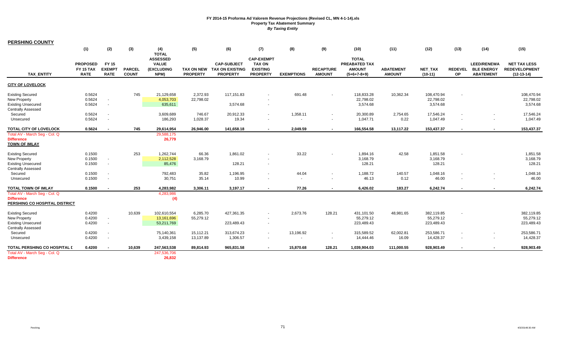| <b>PERSHING COUNTY</b>                                                                                   |                                                    |                                              |                               |                                                              |                                      |                                                                 |                                                                          |                   |                                    |                                                                 |                                   |                                       |                                            |                                                             |                                                             |
|----------------------------------------------------------------------------------------------------------|----------------------------------------------------|----------------------------------------------|-------------------------------|--------------------------------------------------------------|--------------------------------------|-----------------------------------------------------------------|--------------------------------------------------------------------------|-------------------|------------------------------------|-----------------------------------------------------------------|-----------------------------------|---------------------------------------|--------------------------------------------|-------------------------------------------------------------|-------------------------------------------------------------|
|                                                                                                          | (1)                                                | (2)                                          | (3)                           | (4)<br><b>TOTAL</b>                                          | (5)                                  | (6)                                                             | (7)                                                                      | (8)               | (9)                                | (10)                                                            | (11)                              | (12)                                  | (13)                                       | (14)                                                        | (15)                                                        |
| <b>TAX ENTITY</b>                                                                                        | <b>PROPOSED</b><br><b>FY 15 TAX</b><br><b>RATE</b> | <b>FY 15</b><br><b>EXEMPT</b><br><b>RATE</b> | <b>PARCEL</b><br><b>COUNT</b> | <b>ASSESSED</b><br><b>VALUE</b><br><b>(EXCLUDING</b><br>NPM) | <b>TAX ON NEW</b><br><b>PROPERTY</b> | <b>CAP-SUBJECT</b><br><b>TAX ON EXISTING</b><br><b>PROPERTY</b> | <b>CAP-EXEMPT</b><br><b>TAX ON</b><br><b>EXISTING</b><br><b>PROPERTY</b> | <b>EXEMPTIONS</b> | <b>RECAPTURE</b><br><b>AMOUNT</b>  | <b>TOTAL</b><br>PREABATED TAX<br><b>AMOUNT</b><br>$(5+6+7-8+9)$ | <b>ABATEMENT</b><br><b>AMOUNT</b> | <b>NET TAX</b><br>$(10-11)$           | <b>REDEVEL</b><br><b>OP</b>                | <b>LEED/RENEWA</b><br><b>BLE ENERGY</b><br><b>ABATEMENT</b> | <b>NET TAX LESS</b><br><b>REDEVELOPMENT</b><br>$(12-13-14)$ |
| <b>CITY OF LOVELOCK</b>                                                                                  |                                                    |                                              |                               |                                                              |                                      |                                                                 |                                                                          |                   |                                    |                                                                 |                                   |                                       |                                            |                                                             |                                                             |
| <b>Existing Secured</b><br><b>New Property</b><br><b>Existing Unsecured</b><br><b>Centrally Assessed</b> | 0.5624<br>0.5624<br>0.5624                         | $\blacksquare$<br>$\mathbf{r}$               | 745                           | 21,129,658<br>4,053,703<br>635,611                           | 2,372.93<br>22,798.02                | 117,151.83<br>3,574.68                                          | $\overline{\phantom{a}}$<br>$\overline{\phantom{a}}$                     | 691.48            |                                    | 118,833.28<br>22,798.02<br>3,574.68                             | 10,362.34                         | 108,470.94<br>22,798.02<br>3,574.68   | $\blacksquare$                             |                                                             | 108,470.94<br>22,798.02<br>3,574.68                         |
| Secured<br>Unsecured                                                                                     | 0.5624<br>0.5624                                   | $\mathbf{r}$<br>$\mathbf{r}$                 |                               | 3,609,689<br>186,293                                         | 746.67<br>1,028.37                   | 20,912.33<br>19.34                                              | $\sim$                                                                   | 1,358.11          | $\sim$                             | 20,300.89<br>1,047.71                                           | 2,754.65<br>0.22                  | 17,546.24<br>1,047.49                 | $\overline{\phantom{a}}$                   |                                                             | 17,546.24<br>1,047.49                                       |
| <b>TOTAL CITY OF LOVELOCK</b>                                                                            | 0.5624                                             | $\sim$                                       | 745                           | 29,614,954                                                   | 26,946.00                            | 141,658.18                                                      | $\sim$                                                                   | 2,049.59          | $\overline{\phantom{a}}$           | 166,554.58                                                      | 13,117.22                         | 153,437.37                            | $\blacksquare$                             | $\blacksquare$                                              | 153,437.37                                                  |
| Total AV - March Seg - Col. Q<br><b>Difference</b><br><b>TOWN OF IMLAY</b>                               |                                                    |                                              |                               | 29,588,175<br>26,779                                         |                                      |                                                                 |                                                                          |                   |                                    |                                                                 |                                   |                                       |                                            |                                                             |                                                             |
| <b>Existing Secured</b><br><b>New Property</b><br><b>Existing Unsecured</b><br><b>Centrally Assessed</b> | 0.1500<br>0.1500<br>0.1500                         | $\blacksquare$<br>$\blacksquare$             | 253                           | 1,262,744<br>2,112,528<br>85,476                             | 66.36<br>3,168.79                    | 1,861.02<br>128.21                                              | $\overline{\phantom{a}}$<br>$\overline{\phantom{a}}$<br>$\sim$           | 33.22             |                                    | 1,894.16<br>3,168.79<br>128.21                                  | 42.58                             | 1,851.58<br>3,168.79<br>128.21        | $\blacksquare$                             |                                                             | 1,851.58<br>3,168.79<br>128.21                              |
| Secured<br>Unsecured                                                                                     | 0.1500<br>0.1500                                   | $\blacksquare$<br>$\blacksquare$             |                               | 792,483<br>30,751                                            | 35.82<br>35.14                       | 1,196.95<br>10.99                                               | $\blacksquare$                                                           | 44.04<br>$\sim$   | $\blacksquare$<br>$\blacksquare$   | 1,188.72<br>46.13                                               | 140.57<br>0.12                    | 1,048.16<br>46.00                     | $\blacksquare$                             |                                                             | 1,048.16<br>46.00                                           |
| <b>TOTAL TOWN OF IMLAY</b>                                                                               | 0.1500                                             | $\sim$                                       | 253                           | 4,283,982                                                    | 3,306.11                             | 3,197.17                                                        | $\blacksquare$                                                           | 77.26             | $\overline{\phantom{a}}$           | 6,426.02                                                        | 183.27                            | 6,242.74                              | $\blacksquare$                             | $\sim$                                                      | 6,242.74                                                    |
| Total AV - March Seq - Col. Q<br><b>Difference</b><br>PERSHING CO HOSPITAL DISTRICT                      |                                                    |                                              |                               | 4,283,986<br>(4)                                             |                                      |                                                                 |                                                                          |                   |                                    |                                                                 |                                   |                                       |                                            |                                                             |                                                             |
| <b>Existing Secured</b><br><b>New Property</b><br><b>Existing Unsecured</b><br><b>Centrally Assessed</b> | 0.4200<br>0.4200<br>0.4200                         | $\mathbf{r}$<br>$\blacksquare$               | 10,639                        | 102,610,554<br>13,161,696<br>53,211,769                      | 6,285.70<br>55,279.12                | 427,361.35<br>223,489.43                                        | $\overline{\phantom{a}}$<br>$\overline{\phantom{a}}$                     | 2,673.76          | 128.21                             | 431,101.50<br>55,279.12<br>223,489.43                           | 48,981.65                         | 382,119.85<br>55,279.12<br>223,489.43 | $\sim$                                     |                                                             | 382,119.85<br>55,279.12<br>223,489.43                       |
| Secured<br>Unsecured                                                                                     | 0.4200<br>0.4200                                   | $\mathbf{r}$<br>$\blacksquare$               |                               | 75,140,361<br>3,439,158                                      | 15,112.21<br>13,137.89               | 313,674.23<br>1,306.57                                          | $\sim$<br>$\overline{\phantom{a}}$                                       | 13,196.92         | $\sim$<br>$\overline{\phantom{a}}$ | 315,589.52<br>14,444.46                                         | 62,002.81<br>16.09                | 253,586.71<br>14,428.37               | $\overline{\phantom{a}}$<br>$\blacksquare$ | $\sim$                                                      | 253,586.71<br>14,428.37                                     |
| TOTAL PERSHING CO HOSPITAL D<br>Total AV - March Seg - Col. Q<br><b>Difference</b>                       | 0.4200                                             | $\sim$                                       | 10,639                        | 247,563,538<br>247,536,706<br>26,832                         | 89,814.93                            | 965,831.58                                                      | $\blacksquare$                                                           | 15,870.68         | 128.21                             | 1,039,904.03                                                    | 111,000.55                        | 928,903.49                            | $\blacksquare$                             | $\sim$                                                      | 928,903.49                                                  |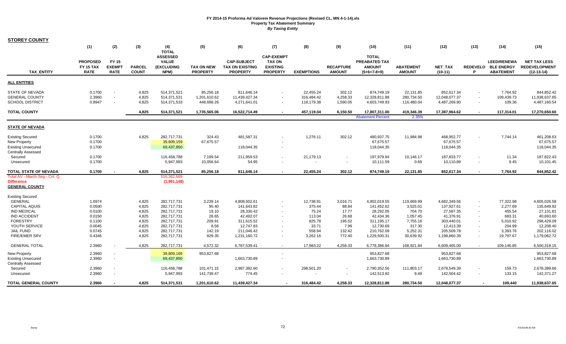| <b>STOREY COUNTY</b>                                   |                  |               |               |                                 |                   |                        |                   |                   |                  |                          |                  |                         |        |                     |                         |
|--------------------------------------------------------|------------------|---------------|---------------|---------------------------------|-------------------|------------------------|-------------------|-------------------|------------------|--------------------------|------------------|-------------------------|--------|---------------------|-------------------------|
|                                                        | (1)              | (2)           | (3)           | (4)                             | (5)               | (6)                    | (7)               | (8)               | (9)              | (10)                     | (11)             | (12)                    | (13)   | (14)                | (15)                    |
|                                                        |                  |               |               | <b>TOTAL</b><br><b>ASSESSED</b> |                   |                        | <b>CAP-EXEMPT</b> |                   |                  | <b>TOTAL</b>             |                  |                         |        |                     |                         |
|                                                        | <b>PROPOSED</b>  | <b>FY 15</b>  |               | <b>VALUE</b>                    |                   | <b>CAP-SUBJECT</b>     | <b>TAX ON</b>     |                   |                  | PREABATED TAX            |                  |                         |        | <b>LEED/RENEWA</b>  | <b>NET TAX LESS</b>     |
|                                                        | FY 15 TAX        | <b>EXEMPT</b> | <b>PARCEL</b> | (EXCLUDING                      | <b>TAX ON NEW</b> | <b>TAX ON EXISTING</b> | <b>EXISTING</b>   |                   | <b>RECAPTURE</b> | <b>AMOUNT</b>            | <b>ABATEMENT</b> | <b>NET TAX</b>          |        | REDEVELO BLE ENERGY | <b>REDEVELOPMENT</b>    |
| <b>TAX ENTITY</b>                                      | <b>RATE</b>      | <b>RATE</b>   | <b>COUNT</b>  | NPM)                            | <b>PROPERTY</b>   | <b>PROPERTY</b>        | <b>PROPERTY</b>   | <b>EXEMPTIONS</b> | <b>AMOUNT</b>    | $(5+6+7-8+9)$            | <b>AMOUNT</b>    | $(10-11)$               | P      | <b>ABATEMENT</b>    | $(12-13-14)$            |
| <b>ALL ENTITIES</b>                                    |                  |               |               |                                 |                   |                        |                   |                   |                  |                          |                  |                         |        |                     |                         |
|                                                        |                  |               |               |                                 |                   |                        |                   |                   |                  |                          |                  |                         |        |                     |                         |
| STATE OF NEVADA                                        | 0.1700           |               | 4,825         | 514,371,521                     | 85,256.18         | 811,646.14             |                   | 22,455.24         | 302.12           | 874,749.19               | 22,131.85        | 852,617.34              |        | 7,764.92            | 844,852.42              |
| GENERAL COUNTY                                         | 2.3960           | $\sim$        | 4,825         | 514,371,531                     | 1,201,610.62      | 11,439,427.34          | $\overline{a}$    | 316,484.42        | 4,258.33         | 12,328,811.88            | 280,734.50       | 12,048,077.37           | $\sim$ | 109,439.73          | 11,938,637.65           |
| SCHOOL DISTRICT                                        | 0.8947           | $\sim$        | 4,825         | 514,371,533                     | 448,698.26        | 4,271,641.01           | $\blacksquare$    | 118,179.38        | 1,590.05         | 4,603,749.93             | 116,480.04       | 4,487,269.90            | $\sim$ | 109.36              | 4,487,160.54            |
| <b>TOTAL COUNTY</b>                                    |                  |               | 4,825         | 514,371,521                     | 1,735,565.06      | 16,522,714.49          |                   | 457,119.04        | 6,150.50         | 17,807,311.00            | 419,346.39       | 17,387,964.62           |        | 117,314.01          | 17,270,650.60           |
|                                                        |                  |               |               |                                 |                   |                        |                   |                   |                  | <b>Abatement Percent</b> | 2.35%            |                         |        |                     |                         |
| <b>STATE OF NEVADA</b>                                 |                  |               |               |                                 |                   |                        |                   |                   |                  |                          |                  |                         |        |                     |                         |
|                                                        |                  |               |               |                                 |                   |                        |                   |                   |                  |                          |                  |                         |        |                     |                         |
| <b>Existing Secured</b>                                | 0.1700<br>0.1700 |               | 4,825         | 282,717,731                     | 324.43            | 481,587.31             |                   | 1,276.11          | 302.12           | 480,937.75<br>67,675.57  | 11.984.98        | 468,952.77              |        | 7,744.14            | 461,208.63              |
| <b>New Property</b><br><b>Existing Unsecured</b>       | 0.1700           |               |               | 39,809,159<br>69,437,850        | 67,675.57         | 118,044.35             |                   |                   |                  | 118,044.35               |                  | 67,675.57<br>118,044.35 |        |                     | 67,675.57<br>118,044.35 |
| <b>Centrally Assessed</b>                              |                  |               |               |                                 |                   |                        |                   |                   |                  |                          |                  |                         |        |                     |                         |
| Secured                                                | 0.1700           |               |               | 116,458,788                     | 7,199.54          | 211,959.53             |                   | 21,179.13         |                  | 197,979.94               | 10,146.17        | 187,833.77              | $\sim$ | 11.34               | 187,822.43              |
| Unsecured                                              | 0.1700           |               |               | 5,947,993                       | 10,056.64         | 54.95                  |                   |                   | $\sim$           | 10,111.59                | 0.69             | 10,110.89               |        | 9.45                | 10,101.45               |
|                                                        |                  |               |               |                                 |                   |                        |                   |                   |                  |                          |                  |                         |        |                     |                         |
| TOTAL STATE OF NEVADA<br>Total AV - March Seg - Col. Q | 0.1700           |               | 4,825         | 514,371,521<br>516,362,669      | 85,256.18         | 811,646.14             |                   | 22,455.24         | 302.12           | 874,749.19               | 22,131.85        | 852,617.34              |        | 7,764.92            | 844,852.42              |
| Difference                                             |                  |               |               | (1,991,148)                     |                   |                        |                   |                   |                  |                          |                  |                         |        |                     |                         |
| <b>GENERAL COUNTY</b>                                  |                  |               |               |                                 |                   |                        |                   |                   |                  |                          |                  |                         |        |                     |                         |
| Existing Secured                                       |                  |               |               |                                 |                   |                        |                   |                   |                  |                          |                  |                         |        |                     |                         |
| GENERAL                                                | 1.6974           |               | 4,825         | 282,717,731                     | 3,239.14          | 4,808,502.61           |                   | 12,738.91         | 3,016.71         | 4,802,019.55             | 119,669.99       | 4,682,349.56            |        | 77,322.98           | 4,605,026.58            |
| <b>CAPITAL AQUIS</b>                                   | 0.0500           |               | 4,825         | 282,717,731                     | 95.40             | 141,643.82             |                   | 375.44            | 88.84            | 141,452.62               | 3,525.01         | 137,927.61              | $\sim$ | 2,277.69            | 135,649.92              |
| <b>IND MEDICAL</b>                                     | 0.0100           |               | 4,825         | 282,717,731                     | 19.10             | 28,330.42              |                   | 75.24             | 17.77            | 28,292.05                | 704.70           | 27,587.35               |        | 455.54              | 27,131.81               |
| <b>IND ACCIDENT</b>                                    | 0.0150           |               | 4,825         | 282,717,731                     | 28.65             | 42.492.07              |                   | 113.04            | 26.68            | 42,434.36                | 1,057.45         | 41,376.91               | $\sim$ | 683.31              | 40,693.60               |
| <b>FORESTRY</b>                                        | 0.1100           |               | 4,825         | 282,717,731                     | 209.91            | 311,615.52             |                   | 825.78            | 195.52           | 311,195.17               | 7,755.16         | 303,440.01              |        | 5,010.92            | 298,429.09              |
| YOUTH SERVICE                                          | 0.0045           |               | 4,825         | 282,717,731                     | 8.58              | 12.747.83              |                   | 33.71             | 7.99             | 12,730.69                | 317.30           | 12,413.39               |        | 204.99              | 12,208.40               |
| <b>JAIL FUND</b>                                       | 0.0745           |               | 4,825         | 282,717,731                     | 142.19            | 211,046.42             |                   | 558.94            | 132.42           | 210,762.09               | 5,252.31         | 205,509.78              |        | 3,393.76            | 202,116.02              |
| <b>FIRE/EMER SRV</b>                                   | 0.4346           |               | 4,825         | 282,717,731                     | 829.35            | 1,231,160.72           |                   | 3,262.16          | 772.40           | 1,229,500.31             | 30,639.92        | 1,198,860.39            | $\sim$ | 19,797.67           | 1,179,062.72            |
| <b>GENERAL TOTAL</b>                                   | 2.3960           |               | 4,825         | 282,717,731                     | 4,572.32          | 6,787,539.41           | $\sim$            | 17,983.22         | 4.258.33         | 6.778.386.84             | 168,921.84       | 6,609,465.00            | $\sim$ | 109,146.85          | 6,500,318.15            |
| <b>New Property</b>                                    | 2.3960           |               |               | 39,809,169                      | 953,827.68        |                        |                   |                   |                  | 953,827.68               |                  | 953,827.68              |        |                     | 953,827.68              |
| <b>Existing Unsecured</b>                              | 2.3960           | $\sim$        |               | 69,437,850                      |                   | 1,663,730.89           |                   |                   |                  | 1,663,730.89             |                  | 1,663,730.89            |        |                     | 1,663,730.89            |
| Centrally Assessed                                     |                  |               |               |                                 |                   |                        |                   |                   |                  |                          |                  |                         |        |                     |                         |
| Secured                                                | 2.3960           |               |               | 116,458,788                     | 101,471.15        | 2,987,382.60           |                   | 298,501.20        |                  | 2,790,352.56             | 111,803.17       | 2,678,549.39            |        | 159.73              | 2,678,389.66            |
| Unsecured                                              | 2.3960           |               |               | 5,947,993                       | 141,739.47        | 774.45                 |                   |                   |                  | 142,513.92               | 9.49             | 142,504.42              |        | 133.15              | 142,371.27              |
| TOTAL GENERAL COUNTY                                   | 2.3960           |               | 4,825         | 514,371,531                     | 1,201,610.62      | 11,439,427.34          |                   | 316,484.42        | 4,258.33         | 12,328,811.88            | 280,734.50       | 12,048,077.37           |        | 109,440             | 11,938,637.65           |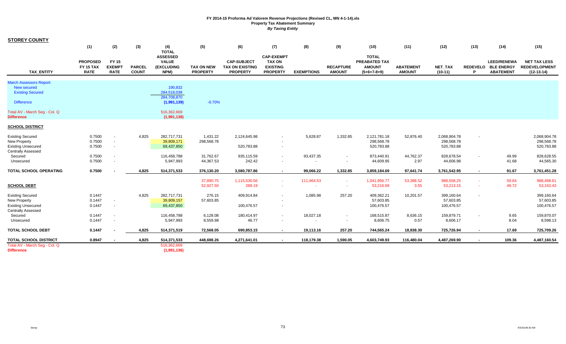| <b>STOREY COUNTY</b>                                                                                                           |                                             |                                              |                               |                                                                                    |                                      |                                                                 |                                                                          |                   |                                   |                                                                 |                                   |                                          |                 |                                                             |                                                             |
|--------------------------------------------------------------------------------------------------------------------------------|---------------------------------------------|----------------------------------------------|-------------------------------|------------------------------------------------------------------------------------|--------------------------------------|-----------------------------------------------------------------|--------------------------------------------------------------------------|-------------------|-----------------------------------|-----------------------------------------------------------------|-----------------------------------|------------------------------------------|-----------------|-------------------------------------------------------------|-------------------------------------------------------------|
|                                                                                                                                | (1)                                         | (2)                                          | (3)                           | (4)                                                                                | (5)                                  | (6)                                                             | (7)                                                                      | (8)               | (9)                               | (10)                                                            | (11)                              | (12)                                     | (13)            | (14)                                                        | (15)                                                        |
| <b>TAX ENTITY</b>                                                                                                              | <b>PROPOSED</b><br>FY 15 TAX<br><b>RATE</b> | FY 15<br><b>EXEMPT</b><br><b>RATE</b>        | <b>PARCEL</b><br><b>COUNT</b> | <b>TOTAL</b><br><b>ASSESSED</b><br><b>VALUE</b><br>(EXCLUDING<br>NPM)              | <b>TAX ON NEW</b><br><b>PROPERTY</b> | <b>CAP-SUBJECT</b><br><b>TAX ON EXISTING</b><br><b>PROPERTY</b> | <b>CAP-EXEMPT</b><br><b>TAX ON</b><br><b>EXISTING</b><br><b>PROPERTY</b> | <b>EXEMPTIONS</b> | <b>RECAPTURE</b><br><b>AMOUNT</b> | <b>TOTAL</b><br>PREABATED TAX<br><b>AMOUNT</b><br>$(5+6+7-8+9)$ | <b>ABATEMENT</b><br><b>AMOUNT</b> | NET_TAX<br>$(10-11)$                     | <b>REDEVELO</b> | <b>LEED/RENEWA</b><br><b>BLE ENERGY</b><br><b>ABATEMENT</b> | <b>NET TAX LESS</b><br><b>REDEVELOPMENT</b><br>$(12-13-14)$ |
| <b>March Assessors Report:</b><br>New secured<br><b>Existing Secured</b><br><b>Difference</b><br>Total AV - March Seg - Col. Q |                                             |                                              |                               | 190,832<br>284,518,038<br>284,708,870<br>(1,991,139)<br>516,362,669<br>(1,991,138) | $-0.70%$                             |                                                                 |                                                                          |                   |                                   |                                                                 |                                   |                                          |                 |                                                             |                                                             |
| <b>Difference</b><br><b>SCHOOL DISTRICT</b>                                                                                    |                                             |                                              |                               |                                                                                    |                                      |                                                                 |                                                                          |                   |                                   |                                                                 |                                   |                                          |                 |                                                             |                                                             |
|                                                                                                                                |                                             |                                              |                               |                                                                                    |                                      |                                                                 |                                                                          |                   |                                   |                                                                 |                                   |                                          |                 |                                                             |                                                             |
| <b>Existing Secured</b><br>New Property<br><b>Existing Unsecured</b>                                                           | 0.7500<br>0.7500<br>0.7500                  | $\overline{\phantom{a}}$<br>$\sim$<br>$\sim$ | 4,825                         | 282,717,731<br>39,809,171<br>69,437,850                                            | 1,431.22<br>298,568.78               | 2,124,645.98<br>520,783.88                                      | $\sim$                                                                   | 5,628.87          | 1,332.85                          | 2,121,781.18<br>298.568.78<br>520,783.88                        | 52,876.40                         | 2,068,904.78<br>298,568.78<br>520,783.88 |                 |                                                             | 2,068,904.78<br>298,568.78<br>520,783.88                    |
| <b>Centrally Assessed</b><br>Secured<br>Unsecured                                                                              | 0.7500<br>0.7500                            | $\sim$<br>$\overline{\phantom{a}}$           |                               | 116,458,788<br>5,947,993                                                           | 31,762.67<br>44,367.53               | 935,115.59<br>242.42                                            | $\sim$                                                                   | 93,437.35         |                                   | 873,440.91<br>44,609.95                                         | 44,762.37<br>2.97                 | 828,678.54<br>44,606.98                  | $\sim$          | 49.99<br>41.68                                              | 828,628.55<br>44,565.30                                     |
| TOTAL SCHOOL OPERATING                                                                                                         | 0.7500                                      |                                              | 4,825                         | 514,371,533                                                                        | 376,130.20                           | 3,580,787.86                                                    |                                                                          | 99,066.22         | 1,332.85                          | 3,859,184.69                                                    | 97,641.74                         | 3,761,542.95                             | $\blacksquare$  | 91.67                                                       | 3,761,451.28                                                |
|                                                                                                                                |                                             |                                              |                               |                                                                                    | 37,890.75                            | 1,115,530.56                                                    |                                                                          | 111,464.53        |                                   | 1,041,956.77                                                    | 53,398.52                         | 988,558.25                               | $\sim$          | 59.64                                                       | 988,498.61                                                  |
| <b>SCHOOL DEBT</b>                                                                                                             |                                             |                                              |                               |                                                                                    | 52,927.50                            | 289.19                                                          |                                                                          |                   | $\sim$                            | 53,216.69                                                       | 3.55                              | 53,213.15                                | $\sim$          | 49.72                                                       | 53,163.43                                                   |
| <b>Existing Secured</b><br>New Property<br><b>Existing Unsecured</b><br><b>Centrally Assessed</b>                              | 0.1447<br>0.1447<br>0.1447                  | $\sim$<br>$\blacksquare$                     | 4,825                         | 282,717,731<br>39,809,157<br>69,437,850                                            | 276.15<br>57,603.85                  | 409,914.84<br>100,476.57                                        |                                                                          | 1,085.98          | 257.20                            | 409,362.21<br>57,603.85<br>100,476.57                           | 10,201.57                         | 399,160.64<br>57,603.85<br>100,476.57    |                 |                                                             | 399,160.64<br>57,603.85<br>100,476.57                       |
| Secured<br>Unsecured                                                                                                           | 0.1447<br>0.1447                            |                                              |                               | 116,458,788<br>5,947,993                                                           | 6,128.08<br>8,559.98                 | 180,414.97<br>46.77                                             |                                                                          | 18,027.18         | $\sim$                            | 168,515.87<br>8,606.75                                          | 8,636.15<br>0.57                  | 159,879.71<br>8,606.17                   | $\sim$          | 9.65<br>8.04                                                | 159,870.07<br>8,598.13                                      |
| <b>TOTAL SCHOOL DEBT</b>                                                                                                       | 0.1447                                      |                                              | 4,825                         | 514,371,519                                                                        | 72,568.05                            | 690,853.15                                                      | $\sim$                                                                   | 19,113.16         | 257.20                            | 744,565.24                                                      | 18,838.30                         | 725,726.94                               | $\sim$          | 17.69                                                       | 725,709.26                                                  |
| <b>TOTAL SCHOOL DISTRICT</b>                                                                                                   | 0.8947                                      |                                              | 4,825                         | 514,371,533                                                                        | 448,698.26                           | 4,271,641.01                                                    |                                                                          | 118,179.38        | 1,590.05                          | 4,603,749.93                                                    | 116,480.04                        | 4,487,269.90                             | $\sim$          | 109.36                                                      | 4,487,160.54                                                |
| Total AV - March Seg - Col. Q<br><b>Difference</b>                                                                             |                                             |                                              |                               | 516,362,669<br>(1,991,136)                                                         |                                      |                                                                 |                                                                          |                   |                                   |                                                                 |                                   |                                          |                 |                                                             |                                                             |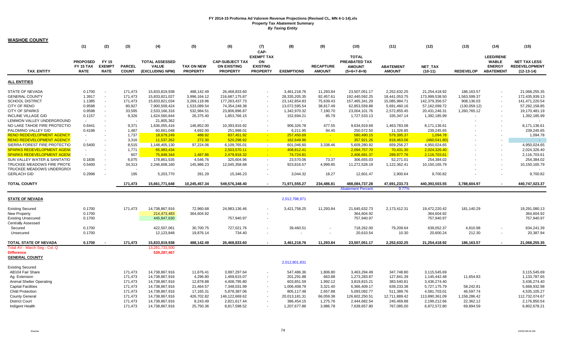| <b>WASHOE COUNTY</b>                        |                                     |                               |               |                                       |                   |                                              |                                                    |                   |                  |                                                |                  |                  |                  |                                                   |                                             |
|---------------------------------------------|-------------------------------------|-------------------------------|---------------|---------------------------------------|-------------------|----------------------------------------------|----------------------------------------------------|-------------------|------------------|------------------------------------------------|------------------|------------------|------------------|---------------------------------------------------|---------------------------------------------|
|                                             | (1)                                 | (2)                           | (3)           | (4)                                   | (5)               | (6)                                          | (7)                                                | (8)               | (9)              | (10)                                           | (11)             | (12)             | (13)             | (14)                                              | (15)                                        |
|                                             | <b>PROPOSED</b><br><b>FY 15 TAX</b> | <b>FY 15</b><br><b>EXEMPT</b> | <b>PARCEL</b> | <b>TOTAL ASSESSED</b><br><b>VALUE</b> | <b>TAX ON NEW</b> | <b>CAP-SUBJECT TAX</b><br><b>ON EXISTING</b> | CAP-<br><b>EXEMPT TAX</b><br>ON<br><b>EXISTING</b> |                   | <b>RECAPTURE</b> | <b>TOTAL</b><br>PREABATED TAX<br><b>AMOUNT</b> | <b>ABATEMENT</b> | NET_TAX          |                  | <b>LEED/RENE</b><br><b>WABLE</b><br><b>ENERGY</b> | <b>NET TAX LESS</b><br><b>REDEVELOPMENT</b> |
| <b>TAX ENTITY</b>                           | <b>RATE</b>                         | <b>RATE</b>                   | <b>COUNT</b>  | (EXCLUDING NPM)                       | <b>PROPERTY</b>   | <b>PROPERTY</b>                              | <b>PROPERTY</b>                                    | <b>EXEMPTIONS</b> | <b>AMOUNT</b>    | $(5+6+7-8+9)$                                  | <b>AMOUNT</b>    | $(10-11)$        | <b>REDEVELOP</b> | <b>ABATEMENT</b>                                  | $(12-13-14)$                                |
| <b>ALL ENTITIES</b>                         |                                     |                               |               |                                       |                   |                                              |                                                    |                   |                  |                                                |                  |                  |                  |                                                   |                                             |
| STATE OF NEVADA                             | 0.1700                              |                               | 171.473       | 15,833,819,938                        | 488,142.49        | 26,468,833.60                                |                                                    | 3,461,218.76      | 11,293.84        | 23,507,051.17                                  | 2.252.632.25     | 21,254,418.92    | 186.163.57       |                                                   | 21,068,255.35                               |
| <b>GENERAL COUNTY</b>                       | 1.3917                              | $\sim$                        | 171,473       | 15,833,821,027                        | 3,996,164.12      | 216,687,175.87                               | $\sim$                                             | 28,335,205.35     | 92,457.61        | 192,440,592.25                                 | 18,441,053.75    | 173,999,538.50   | 1,563,599.37     | $\sim$                                            | 172,435,939.13                              |
| <b>SCHOOL DISTRICT</b>                      | 1.1385                              | $\sim$                        | 171,473       | 15,833,821,034                        | 3,269,118.96      | 177,263,437.73                               |                                                    | 23,142,854.83     | 75,639.43        | 157,465,341.29                                 | 15,085,984.71    | 142,379,356.57   | 908,136.03       |                                                   | 141,471,220.54                              |
| <b>CITY OF RENO</b>                         | 0.9598                              | $\sim$                        | 80,927        | 7,900,509,424                         | 1,533,089.54      | 74,354,248.38                                | $\overline{\phantom{a}}$                           | 13,072,595.54     | 38,817.49        | 62,853,559.88                                  | 5,691,460.16     | 57, 162, 099. 72 | (130, 059.12)    |                                                   | 57,292,158.85                               |
| <b>CITY OF SPARKS</b>                       | 0.9598                              | $\sim$                        | 33,595        | 2,533,166,316                         | 532,984.51        | 23,806,896.87                                | $\sim$                                             | 1,342,970.32      | 7,190.70         | 23,004,101.76                                  | 2,572,855.45     | 20,431,246.31    | 1,260,765.12     | $\sim$                                            | 19,170,481.19                               |
| <b>INCLINE VILLAGE GID</b>                  | 0.1157                              | $\sim$                        | 9,326         | 1,624,560,644                         | 26,375.40         | 1,853,766.15                                 |                                                    | 152,694.21        | 85.79            | 1,727,533.13                                   | 335,347.14       | 1,392,185.99     |                  |                                                   | 1,392,185.99                                |
| LEMMON VALLEY UNDERGROUND                   | $\sim$                              |                               |               | 21,805,362                            | $\sim$            |                                              |                                                    |                   | $\sim$           |                                                |                  | $\sim$           |                  |                                                   |                                             |
| NO LAKE TAHOE FIRE PROTECTIO                | 0.6441                              | $\sim$                        | 9,371         | 1,636,055,416                         | 146,852.00        | 10,393,916.92                                | $\sim$                                             | 906,326.78        | 477.55           | 9,634,919.69                                   | 1,463,783.08     | 8,171,136.61     |                  |                                                   | 8,171,136.61                                |
| PALOMINO VALLEY GID                         | 0.4198                              | $\sim$                        | 1,487         | 60,661,048                            | 4,692.00          | 251,998.01                                   |                                                    | 6,211.95          | 94.45            | 250,572.50                                     | 11,326.85        | 239,245.65       |                  |                                                   | 239,245.65                                  |
| <b>RENO REDEVELOPMENT AGENCY</b>            | $\sim$                              |                               | 1,737         | 18,679,249                            | 488.92            | 837,451.92                                   | $\sim$                                             | 257,450.69        |                  | 580,490.15                                     | 579,395.37       | 1,094.78         |                  |                                                   | 1,094.78                                    |
| <b>RENO REDEVELOPMENT AGENCY</b>            | $\sim$                              | $\sim$                        | 3,316         | 11,537,262                            | 272.30            | 520,298.92                                   | $\sim$ $\pm$ $\sim$                                | 162,649.96        |                  | 357,921.26                                     | 818,463.06       | (460, 541.80)    |                  |                                                   | $\sim$                                      |
| SIERRA FOREST FIRE PROTECTIO                | 0.5400                              |                               | 8,515         | 1,148,405,130                         | 97,224.06         | 6,109,765.01                                 | $\sim$                                             | 601,046.60        | 3,338.46         | 5,609,280.92                                   | 659,256.27       | 4,950,024.65     |                  |                                                   | 4,950,024.65                                |
| <b>SPARKS REDEVELOPMENT AGENO</b>           | $\sim$                              |                               | 1,771         | 65,983,434                            | <b>Page</b>       | 2,503,570.11                                 | $\sim$                                             | 408,812.41        |                  | 2,094,757.70                                   | 70,431.30        | 2,024,326.40     |                  | $\overline{\phantom{a}}$                          | 2,024,326.40                                |
| <b>SPARKS REDEVELOPMENT AGENO</b>           | $\sim$                              | $\sim$                        | 607           | 75,848,344                            | 1,487.86          | 2,479,918.32                                 | $\sim$                                             | 74,724.81         | <b>College</b>   | 2,406,681.37                                   | 289,977.76       | 2,116,703.61     |                  |                                                   | 2,116,703.61                                |
| SUN VALLEY WATER & SANITATIO                | 0.1836                              | $\sim$                        | 6,075         | 178,861,535                           | 4,546.76          | 325,604.96                                   | $\sim$                                             | 23,570.06         | 73.37            | 306,655.03                                     | 52,271.01        | 254,384.02       |                  |                                                   | 254,384.02                                  |
| TRUCKEE MEADOWS FIRE PROTE                  | 0.5400                              | $\sim$                        | 34,313        | 2,246,608,160                         | 145,986.23        | 12,045,358.68                                | $\overline{\phantom{a}}$                           | 923,816.57        | 4,999.85         | 11,272,528.19                                  | 1,122,362.41     | 10,150,165.79    |                  |                                                   | 10,150,165.79                               |
| TRUCKEE MEADOWS UNDERGROI                   | $\sim$ $-$                          | $\sim$                        | ٠.            |                                       | $\sim$            |                                              | $\sim$                                             | $\sim$            | $\sim$           | $\sim$                                         | $\sim$           |                  |                  |                                                   |                                             |
| <b>GERLACH GID</b>                          | 0.2998                              |                               | 195           | 5,203,770                             | 281.29            | 15,346.23                                    | $\tilde{\phantom{a}}$                              | 3,044.32          | 18.27            | 12,601.47                                      | 2,900.64         | 9,700.82         |                  |                                                   | 9,700.82                                    |
|                                             |                                     |                               |               |                                       |                   |                                              |                                                    |                   |                  |                                                |                  |                  |                  |                                                   |                                             |
| <b>TOTAL COUNTY</b>                         |                                     |                               | 171,473       | 15,661,771,648                        | 10,245,457.34     | 549,576,348.40                               | $\sim$                                             | 71,971,555.27     | 234,486.81       | 488,084,737.28                                 | 47,691,233.73    | 440,393,503.55   | 3,788,604.97     |                                                   | 440,747,023.37                              |
|                                             |                                     |                               |               |                                       |                   |                                              |                                                    |                   |                  | <b>Abatement Percent</b>                       | 9.77%            |                  |                  |                                                   |                                             |
| <b>STATE OF NEVADA</b>                      |                                     |                               |               |                                       |                   |                                              |                                                    | 2,012,798,971     |                  |                                                |                  |                  |                  |                                                   |                                             |
| <b>Existing Secured</b>                     | 0.1700                              |                               | 171.473       | 14,738,867,916                        | 72,960.68         | 24,983,136.46                                |                                                    | 3,421,758.25      | 11,293.84        | 21,645,632.73                                  | 2,173,412.31     | 19,472,220.42    | 181,140.29       |                                                   | 19,291,080.13                               |
| New Property                                | 0.1700                              |                               |               | 214,473,483                           | 364,604.92        |                                              |                                                    |                   |                  | 364,604.92                                     |                  | 364,604.92       |                  |                                                   | 364,604.92                                  |
| <b>Existing Unsecured</b>                   | 0.1700                              |                               |               | 445,847,630                           |                   | 757,940.97                                   | $\overline{\phantom{a}}$                           |                   |                  | 757,940.97                                     |                  | 757,940.97       |                  |                                                   | 757,940.97                                  |
| <b>Centrally Assessed</b>                   |                                     |                               |               |                                       |                   |                                              |                                                    |                   |                  |                                                |                  |                  |                  |                                                   |                                             |
| Secured                                     | 0.1700                              |                               |               | 422,507,061                           | 30,700.75         | 727,021.76                                   | $\sim$                                             | 39,460.51         |                  | 718,262.00                                     | 79,209.64        | 639,052.37       | 4,810.98         |                                                   | 634,241.39                                  |
| Unsecured                                   | 0.1700                              |                               |               | 12,123,848                            | 19,876.14         | 734.40                                       | $\sim$                                             |                   |                  | 20,610.54                                      | 10.30            | 20,600.24        | 212.30           |                                                   | 20,387.94                                   |
| TOTAL STATE OF NEVADA                       | 0.1700                              |                               | 171,473       | 15,833,819,938                        | 488,142.49        | 26,468,833.60                                | $\overline{\phantom{a}}$                           | 3,461,218.76      | 11,293.84        | 23,507,051.17                                  | 2,252,632.25     | 21,254,418.92    | 186,163.57       |                                                   | 21,068,255.35                               |
| Total AV - March Seg - Col. Q               |                                     |                               |               | 13.281.733.500                        |                   |                                              |                                                    |                   |                  |                                                |                  |                  |                  |                                                   |                                             |
| <b>Difference</b><br><b>GENERAL COUNTY</b>  |                                     |                               |               | 539,287,467                           |                   |                                              |                                                    |                   |                  |                                                |                  |                  |                  |                                                   |                                             |
|                                             |                                     |                               |               |                                       |                   |                                              |                                                    | 2,012,801,831     |                  |                                                |                  |                  |                  |                                                   |                                             |
| <b>Existing Secured</b><br>AB104 Fair Share |                                     |                               | 171,473       | 14,738,867,916                        | 11,676.41         | 3,997,297.64                                 | $\overline{\phantom{a}}$                           | 547,486.36        | 1,806.80         | 3,463,294.49                                   | 347,748.80       | 3,115,545.69     |                  |                                                   | 3,115,545.69                                |
| Ag. Extension                               |                                     |                               | 171,473       | 14,738,867,916                        | 4,296.80          | 1,469,615.07                                 | $\sim$                                             | 201,291.88        | 663.88           | 1,273,283.87                                   | 127,841.39       | 1,145,442.48     | 11,654.83        |                                                   | 1,133,787.65                                |
|                                             |                                     |                               |               |                                       |                   |                                              |                                                    |                   |                  |                                                |                  |                  |                  |                                                   |                                             |
| <b>Animal Shelter Operating</b>             |                                     |                               | 171,473       | 14,738,867,916                        | 12,878.88         | 4,408,795.80                                 | $\sim$                                             | 603,851.59        | 1,992.12         | 3,819,815.21                                   | 383,540.81       | 3,436,274.40     |                  |                                                   | 3,436,274.40                                |
| <b>Capital Facilities</b>                   |                                     |                               | 171,473       | 14,738,867,916                        | 21,464.57         | 7,348,031.99                                 |                                                    | 1,006,408.79      | 3,321.40         | 6,366,409.17                                   | 639,233.38       | 5,727,175.79     | 58,242.81        |                                                   | 5,668,932.98                                |
| <b>Child Protection</b>                     |                                     |                               | 171,473       | 14,738,867,916                        | 17,165.31         | 5,878,387.06                                 |                                                    | 805,117.48        | 2,657.88         | 5,093,092.77                                   | 511,389.76       | 4,581,703.01     | 46,597.74        |                                                   | 4,535,105.27                                |
| <b>County General</b>                       |                                     |                               | 171,473       | 14,738,867,916                        | 426,702.82        | 146,122,669.62                               |                                                    | 20,013,181.31     | 66,059.38        | 126,602,250.51                                 | 12,711,889.42    | 113,890,361.09   | 1,158,286.42     |                                                   | 112,732,074.67                              |
| <b>District Court</b>                       |                                     |                               | 171.473       | 14,738,867,916                        | 8,243.49          | 2,821,617.44                                 |                                                    | 386,454.15        | 1,275.76         | 2,444,682.54                                   | 245,469.88       | 2,199,212.66     | 22,362.12        |                                                   | 2,176,850.54                                |
| Indigent Health                             |                                     |                               | 171.473       | 14,738,867,916                        | 25,750.36         | 8,817,598.52                                 |                                                    | 1,207,677.86      | 3,986.78         | 7,639,657.80                                   | 767,085.00       | 6,872,572.80     | 69,894.59        |                                                   | 6,802,678.21                                |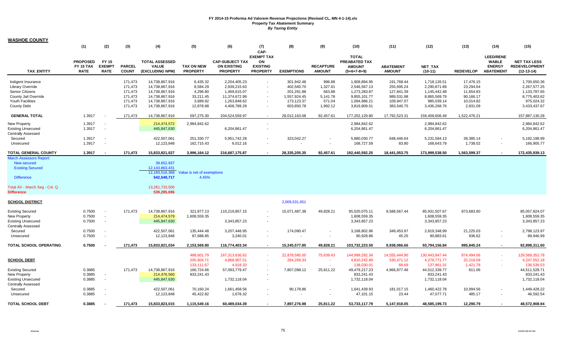**WASHOE COUNTY**

|                                                                                               | (1)                                                | (2)                                          | (3)                           | (4)                                                           | (5)                                  | (6)                                                             | (7)<br>CAP-<br><b>EXEMPT TAX</b>         | (8)                        | (9)                               | (10)<br><b>TOTAL</b>                            | (11)                              | (12)                        | (13)                   | (14)<br><b>LEED/RENE</b>                          | (15)                                                        |
|-----------------------------------------------------------------------------------------------|----------------------------------------------------|----------------------------------------------|-------------------------------|---------------------------------------------------------------|--------------------------------------|-----------------------------------------------------------------|------------------------------------------|----------------------------|-----------------------------------|-------------------------------------------------|-----------------------------------|-----------------------------|------------------------|---------------------------------------------------|-------------------------------------------------------------|
| <b>TAX ENTITY</b>                                                                             | <b>PROPOSED</b><br><b>FY 15 TAX</b><br><b>RATE</b> | <b>FY 15</b><br><b>EXEMPT</b><br><b>RATE</b> | <b>PARCEL</b><br><b>COUNT</b> | <b>TOTAL ASSESSED</b><br><b>VALUE</b><br>(EXCLUDING NPM)      | <b>TAX ON NEW</b><br><b>PROPERTY</b> | <b>CAP-SUBJECT TAX</b><br><b>ON EXISTING</b><br><b>PROPERTY</b> | ON<br><b>EXISTING</b><br><b>PROPERTY</b> | <b>EXEMPTIONS</b>          | <b>RECAPTURE</b><br><b>AMOUNT</b> | PREABATED TAX<br><b>AMOUNT</b><br>$(5+6+7-8+9)$ | <b>ABATEMENT</b><br><b>AMOUNT</b> | <b>NET TAX</b><br>$(10-11)$ | <b>REDEVELOP</b>       | <b>WABLE</b><br><b>ENERGY</b><br><b>ABATEMENT</b> | <b>NET TAX LESS</b><br><b>REDEVELOPMENT</b><br>$(12-13-14)$ |
| Indigent Insurance                                                                            |                                                    |                                              | 171,473                       | 14,738,867,916                                                | 6,435.32                             | 2,204,405.23                                                    | $\sim$                                   | 301,942.48                 | 996.88                            | 1,909,894.95                                    | 191,768.44                        | 1,718,126.51                | 17,476.15              |                                                   | 1,700,650.36                                                |
| Library Override                                                                              |                                                    |                                              | 171,473                       | 14,738,867,916                                                | 8,584.29                             | 2,939,215.63                                                    |                                          | 402,560.70                 | 1,327.91                          | 2,546,567.13                                    | 255,695.24                        | 2,290,871.89                | 23,294.64              |                                                   | 2,267,577.25                                                |
| Senior Citizens                                                                               |                                                    |                                              | 171,473                       | 14,738,867,916                                                | 4,296.80                             | 1,469,615.07                                                    | $\sim$                                   | 201,291.88                 | 663.88                            | 1,273,283.87                                    | 127,841.39                        | 1,145,442.48                | 11,654.83              |                                                   | 1,133,787.65                                                |
| County Jail Override<br><b>Youth Facilities</b>                                               |                                                    |                                              | 171,473<br>171,473            | 14,738,867,916<br>14,738,867,916                              | 33,211.45<br>3,689.92                | 11,374,672.99<br>1,263,848.62                                   | $\sim$                                   | 1,557,924.45<br>173,123.37 | 5,141.78<br>571.04                | 9,855,101.77<br>1,094,986.21                    | 989,531.98<br>109,947.07          | 8,865,569.79<br>985,039.14  | 90,166.17<br>10,014.82 |                                                   | 8,775,403.62<br>975,024.32                                  |
| <b>County Debt</b>                                                                            |                                                    |                                              | 171,473                       | 14,738,867,916                                                | 12,878.88                            | 4,408,789.29                                                    | $\sim$                                   | 603,850.78                 | 1,992.12                          | 3,819,809.51                                    | 383,540.75                        | 3,436,268.76                | 2,831.09               |                                                   | 3,433,437.67                                                |
| <b>GENERAL TOTAL</b>                                                                          | 1.3917                                             |                                              | 171,473                       | 14,738,867,916                                                | 597,275.30                           | 204,524,559.97                                                  | $\sim$                                   | 28,012,163.08              | 92,457.61                         | 177,202,129.80                                  | 17,792,523.31                     | 159,409,606.49              | 1,522,476.21           |                                                   | 157,887,130.28                                              |
| New Property                                                                                  | 1.3917                                             |                                              |                               | 214,474,572                                                   | 2,984,842.62                         |                                                                 | $\sim$                                   |                            |                                   | 2,984,842.62                                    |                                   | 2,984,842.62                |                        |                                                   | 2.984.842.62                                                |
| <b>Existing Unsecured</b><br><b>Centrally Assessed</b>                                        | 1.3917                                             |                                              |                               | 445,847,630                                                   |                                      | 6,204,861.47                                                    | $\sim$                                   |                            |                                   | 6,204,861.47                                    |                                   | 6,204,861.47                |                        |                                                   | 6,204,861.47                                                |
| Secured                                                                                       | 1.3917                                             |                                              |                               | 422,507,061                                                   | 251,330.77                           | 5,951,742.28                                                    |                                          | 323,042.27                 | $\sim$                            | 5,880,030.77                                    | 648,446.64                        | 5,231,584.13                | 39,385.14              |                                                   | 5,192,198.99                                                |
| Unsecured                                                                                     | 1.3917                                             |                                              |                               | 12,123,848                                                    | 162,715.43                           | 6,012.16                                                        |                                          |                            |                                   | 168,727.59                                      | 83.80                             | 168,643.79                  | 1,738.02               |                                                   | 166,905.77                                                  |
| TOTAL GENERAL COUNTY                                                                          | 1.3917                                             |                                              | 171,473                       | 15,833,821,027                                                | 3,996,164.12                         | 216,687,175.87                                                  |                                          | 28,335,205.35              | 92,457.61                         | 192,440,592.25                                  | 18,441,053.75                     | 173,999,538.50              | 1,563,599.37           |                                                   | 172,435,939.13                                              |
| <b>March Assessors Report:</b><br>New secured<br><b>Existing Secured</b><br><b>Difference</b> |                                                    |                                              |                               | 39,652,937<br>12.143.863.431<br>12.183.516.368<br>542,549,717 | Value is net of exemptions<br>4.45%  |                                                                 |                                          |                            |                                   |                                                 |                                   |                             |                        |                                                   |                                                             |
|                                                                                               |                                                    |                                              |                               |                                                               |                                      |                                                                 |                                          |                            |                                   |                                                 |                                   |                             |                        |                                                   |                                                             |
| Total AV - March Seg - Col. Q<br><b>Difference</b>                                            |                                                    |                                              |                               | 13,281,733,500<br>539,285,696                                 |                                      |                                                                 |                                          |                            |                                   |                                                 |                                   |                             |                        |                                                   |                                                             |
| <b>SCHOOL DISTRICT</b>                                                                        |                                                    |                                              |                               |                                                               |                                      |                                                                 |                                          | 2,009,531,651              |                                   |                                                 |                                   |                             |                        |                                                   |                                                             |
| <b>Existing Secured</b>                                                                       | 0.7500                                             |                                              | 171.473                       | 14,738,867,916                                                | 321,877.13                           | 110,219,857.15                                                  |                                          | 15,071,487.38              | 49,828.21                         | 95,520,075.11                                   | 9,588,567.44                      | 85,931,507.67               | 873,683.60             |                                                   | 85,057,824.07                                               |
| New Property                                                                                  | 0.7500                                             | $\sim$                                       |                               | 214,474,579                                                   | 1,608,559.35                         |                                                                 |                                          |                            |                                   | 1,608,559.35                                    |                                   | 1,608,559.35                |                        |                                                   | 1,608,559.35                                                |
| <b>Existing Unsecured</b>                                                                     | 0.7500                                             | $\sim$                                       |                               | 445,847,630                                                   |                                      | 3,343,857.23                                                    | $\sim$                                   |                            |                                   | 3,343,857.23                                    |                                   | 3,343,857.23                |                        |                                                   | 3,343,857.23                                                |
| <b>Centrally Assessed</b><br>Secured                                                          | 0.7500                                             |                                              |                               | 422,507,061                                                   | 135,444.48                           | 3,207,448.95                                                    | $\sim$                                   | 174,090.47                 |                                   | 3,168,802.96                                    | 349,453.97                        | 2,819,348.99                | 21,225.03              |                                                   | 2,798,123.97                                                |
| Unsecured                                                                                     | 0.7500                                             |                                              |                               | 12,123,848                                                    | 87,688.85                            | 3,240.01                                                        | $\sim$                                   |                            | $\sim$                            | 90,928.86                                       | 45.25                             | 90,883.61                   | 936.62                 | $\overline{\phantom{a}}$                          | 89,946.99                                                   |
| TOTAL SCHOOL OPERATING                                                                        | 0.7500                                             |                                              | 171,473                       | 15,833,821,034                                                | 2,153,569.80                         | 116,774,403.34                                                  | $\sim$                                   | 15,245,577.85              | 49,828.21                         | 103,732,223.50                                  | 9,938,066.66                      | 93,794,156.84               | 895,845.24             |                                                   | 92,898,311.60                                               |
|                                                                                               |                                                    |                                              |                               |                                                               | 488,601.79                           | 167,313,636.62                                                  | $\sim$                                   | 22,878,585.50              | 75,639.43                         | 144,999,292.34                                  | 14,555,444.90                     | 130,443,847.44              | 874,494.66             |                                                   | 129,569,352.78                                              |
| <b>SCHOOL DEBT</b>                                                                            |                                                    |                                              |                               |                                                               | 205,604.71                           | 4,868,907.51                                                    | $\sim$                                   | 264,269.33                 | ×.                                | 4,810,242.89                                    | 530,471.12                        | 4,279,771.77                | 32,219.59              | $\sim$                                            | 4,247,552.18                                                |
|                                                                                               |                                                    |                                              |                               |                                                               | 133,111.67                           | 4,918.33                                                        | $\sim$                                   |                            |                                   | 138,030.01                                      | 68.69                             | 137,961.31                  | 1,421.78               |                                                   | 136,539.53                                                  |
| <b>Existing Secured</b>                                                                       | 0.3885                                             |                                              | 171,473                       | 14,738,867,916                                                | 166,724.66                           | 57,093,779.47                                                   | $\sim$                                   | 7,807,098.12               | 25,811.22                         | 49,479,217.23                                   | 4,966,877.46                      | 44,512,339.77               | 811.06                 |                                                   | 44,511,528.71                                               |
| New Property                                                                                  | 0.3885                                             | $\overline{\phantom{a}}$                     |                               | 214,476,560                                                   | 833,241.43                           |                                                                 |                                          |                            |                                   | 833,241.43                                      |                                   | 833,241.43                  |                        |                                                   | 833,241.43                                                  |
| <b>Existing Unsecured</b><br><b>Centrally Assessed</b>                                        | 0.3885                                             | $\sim$                                       |                               | 445,847,630                                                   |                                      | 1,732,118.04                                                    | $\sim$                                   |                            |                                   | 1,732,118.04                                    |                                   | 1,732,118.04                |                        |                                                   | 1,732,118.04                                                |
| Secured                                                                                       | 0.3885                                             |                                              |                               | 422,507,061                                                   | 70,160.24                            | 1,661,458.56                                                    |                                          | 90,178.86                  |                                   | 1,641,439.93                                    | 181,017.15                        | 1,460,422.78                | 10,994.56              |                                                   | 1,449,428.22                                                |
| Unsecured                                                                                     | 0.3885                                             |                                              |                               | 12,123,848                                                    | 45,422.82                            | 1,678.32                                                        | $\sim$                                   |                            | $\overline{\phantom{a}}$          | 47,101.15                                       | 23.44                             | 47,077.71                   | 485.17                 |                                                   | 46,592.54                                                   |
| <b>TOTAL SCHOOL DEBT</b>                                                                      | 0.3885                                             |                                              | 171,473                       | 15,833,823,015                                                | 1,115,549.16                         | 60,489,034.39                                                   |                                          | 7,897,276.98               | 25,811.22                         | 53,733,117.79                                   | 5.147.918.05                      | 48,585,199.73               | 12,290.79              |                                                   | 48,572,908.94                                               |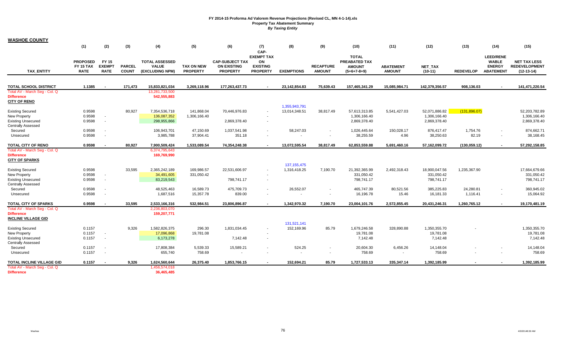| <b>WASHOE COUNTY</b>                                                                                     |                                                    |                                       |                               |                                                          |                                      |                                                                 |                                                                       |                                |                                   |                                                                 |                                   |                                               |                       |                                                                       |                                                             |
|----------------------------------------------------------------------------------------------------------|----------------------------------------------------|---------------------------------------|-------------------------------|----------------------------------------------------------|--------------------------------------|-----------------------------------------------------------------|-----------------------------------------------------------------------|--------------------------------|-----------------------------------|-----------------------------------------------------------------|-----------------------------------|-----------------------------------------------|-----------------------|-----------------------------------------------------------------------|-------------------------------------------------------------|
|                                                                                                          | (1)                                                | (2)                                   | (3)                           | (4)                                                      | (5)                                  | (6)                                                             | (7)                                                                   | (8)                            | (9)                               | (10)                                                            | (11)                              | (12)                                          | (13)                  | (14)                                                                  | (15)                                                        |
| <b>TAX ENTITY</b>                                                                                        | <b>PROPOSED</b><br><b>FY 15 TAX</b><br><b>RATE</b> | FY 15<br><b>EXEMPT</b><br><b>RATE</b> | <b>PARCEL</b><br><b>COUNT</b> | <b>TOTAL ASSESSED</b><br><b>VALUE</b><br>(EXCLUDING NPM) | <b>TAX ON NEW</b><br><b>PROPERTY</b> | <b>CAP-SUBJECT TAX</b><br><b>ON EXISTING</b><br><b>PROPERTY</b> | CAP-<br><b>EXEMPT TAX</b><br>ON<br><b>EXISTING</b><br><b>PROPERTY</b> | <b>EXEMPTIONS</b>              | <b>RECAPTURE</b><br><b>AMOUNT</b> | <b>TOTAL</b><br>PREABATED TAX<br><b>AMOUNT</b><br>$(5+6+7-8+9)$ | <b>ABATEMENT</b><br><b>AMOUNT</b> | <b>NET TAX</b><br>$(10-11)$                   | <b>REDEVELOP</b>      | <b>LEED/RENE</b><br><b>WABLE</b><br><b>ENERGY</b><br><b>ABATEMENT</b> | <b>NET TAX LESS</b><br><b>REDEVELOPMENT</b><br>$(12-13-14)$ |
| <b>TOTAL SCHOOL DISTRICT</b>                                                                             | 1.1385                                             |                                       | 171.473                       | 15,833,821,034                                           | 3,269,118.96                         | 177,263,437.73                                                  |                                                                       | 23.142.854.83                  | 75,639.43                         | 157,465,341.29                                                  | 15,085,984.71                     | 142,379,356.57                                | 908,136.03            |                                                                       | 141,471,220.54                                              |
| Total AV - March Seg - Col. Q<br><b>Difference</b><br><b>CITY OF RENO</b>                                |                                                    |                                       |                               | 13,281,733,500<br>542,555,883                            |                                      |                                                                 |                                                                       |                                |                                   |                                                                 |                                   |                                               |                       |                                                                       |                                                             |
| <b>Existing Secured</b><br>New Property<br><b>Existing Unsecured</b><br><b>Centrally Assessed</b>        | 0.9598<br>0.9598<br>0.9598                         | $\sim$<br>$\sim$                      | 80,927                        | 7,354,536,718<br>136,087,352<br>298,955,866              | 141,868.04<br>1,306,166.40           | 70,446,976.83<br>2,869,378.40                                   | $\sim$<br>$\sim$                                                      | 1,355,943,791<br>13,014,348.51 | 38,817.49                         | 57,613,313.85<br>1,306,166.40<br>2,869,378.40                   | 5,541,427.03                      | 52,071,886.82<br>1,306,166.40<br>2,869,378.40 | (131, 896.07)         |                                                                       | 52,203,782.89<br>1,306,166.40<br>2,869,378.40               |
| Secured<br>Unsecured                                                                                     | 0.9598<br>0.9598                                   |                                       |                               | 106,943,701<br>3,985,788                                 | 47,150.69<br>37,904.41               | 1,037,541.98<br>351.18                                          | ÷                                                                     | 58,247.03                      | $\sim$                            | 1,026,445.64<br>38,255.59                                       | 150,028.17<br>4.96                | 876,417.47<br>38,250.63                       | 1,754.76<br>82.19     |                                                                       | 874,662.71<br>38,168.45                                     |
| <b>TOTAL CITY OF RENO</b>                                                                                | 0.9598                                             |                                       | 80,927                        | 7,900,509,424                                            | 1,533,089.54                         | 74,354,248.38                                                   | $\blacksquare$                                                        | 13,072,595.54                  | 38,817.49                         | 62,853,559.88                                                   | 5,691,460.16                      | 57,162,099.72                                 | (130, 059.12)         |                                                                       | 57,292,158.85                                               |
| Total AV - March Seg - Col. Q<br><b>Difference</b><br><b>CITY OF SPARKS</b>                              |                                                    |                                       |                               | 6,374,795,643<br>169,769,990                             |                                      |                                                                 |                                                                       |                                |                                   |                                                                 |                                   |                                               |                       |                                                                       |                                                             |
| <b>Existing Secured</b><br><b>New Property</b><br><b>Existing Unsecured</b><br><b>Centrally Assessed</b> | 0.9598<br>0.9598<br>0.9598                         | $\sim$<br>$\sim$                      | 33,595                        | 2,365,242,189<br>34,491,605<br>83,219,543                | 169,986.57<br>331,050.42             | 22,531,606.97<br>798,741.17                                     | $\sim$<br>$\sim$                                                      | 137, 155, 475<br>1,316,418.25  | 7,190.70                          | 21,392,365.99<br>331.050.42<br>798,741.17                       | 2,492,318.43                      | 18,900,047.56<br>331,050.42<br>798,741.17     | 1,235,367.90          |                                                                       | 17,664,679.66<br>331.050.42<br>798,741.17                   |
| Secured<br>Unsecured                                                                                     | 0.9598<br>0.9598                                   | $\sim$                                |                               | 48,525,463<br>1,687,516                                  | 16,589.73<br>15,357.78               | 475,709.73<br>839.00                                            | $\sim$<br>$\sim$                                                      | 26,552.07                      | $\sim$                            | 465,747.39<br>16,196.78                                         | 80,521.56<br>15.46                | 385,225.83<br>16,181.33                       | 24,280.81<br>1,116.41 | $\sim$<br>$\blacksquare$                                              | 360,945.02<br>15,064.92                                     |
| TOTAL CITY OF SPARKS                                                                                     | 0.9598                                             |                                       | 33,595                        | 2,533,166,316                                            | 532,984.51                           | 23,806,896.87                                                   | $\sim$                                                                | 1,342,970.32                   | 7,190.70                          | 23,004,101.76                                                   | 2,572,855.45                      | 20,431,246.31                                 | 1,260,765.12          | $\blacksquare$                                                        | 19,170,481.19                                               |
| Total AV - March Seg - Col. Q<br><b>Difference</b><br><b>INCLINE VILLAGE GID</b>                         |                                                    |                                       |                               | 2,236,803,070<br>159,207,771                             |                                      |                                                                 |                                                                       |                                |                                   |                                                                 |                                   |                                               |                       |                                                                       |                                                             |
| <b>Existing Secured</b><br>New Property<br><b>Existing Unsecured</b>                                     | 0.1157<br>0.1157<br>0.1157                         | $\sim$<br>$\sim$                      | 9,326                         | 1,582,826,375<br>17,096,868<br>6,173,278                 | 296.30<br>19,781.08                  | 1,831,034.45<br>7,142.48                                        | $\overline{\phantom{a}}$<br>$\sim$                                    | 131,521,141<br>152,169.96      | 85.79                             | 1,679,246.58<br>19,781.08<br>7,142.48                           | 328,890.88                        | 1,350,355.70<br>19,781.08<br>7,142.48         |                       |                                                                       | 1,350,355.70<br>19,781.08<br>7,142.48                       |
| <b>Centrally Assessed</b><br>Secured<br>Unsecured                                                        | 0.1157<br>0.1157                                   | $\sim$                                |                               | 17,808,384<br>655,740                                    | 5,539.33<br>758.69                   | 15,589.21                                                       | $\sim$                                                                | 524.25                         |                                   | 20,604.30<br>758.69                                             | 6,456.26                          | 14,148.04<br>758.69                           |                       |                                                                       | 14,148.04<br>758.69                                         |
| TOTAL INCLINE VILLAGE GID                                                                                | 0.1157                                             |                                       | 9,326                         | 1,624,560,644                                            | 26,375.40                            | 1,853,766.15                                                    |                                                                       | 152,694.21                     | 85.79                             | 1,727,533.13                                                    | 335,347.14                        | 1,392,185.99                                  |                       |                                                                       | 1,392,185.99                                                |
| Total AV - March Seg - Col. Q<br><b>Difference</b>                                                       |                                                    |                                       |                               | 1,456,574,018<br>36,465,485                              |                                      |                                                                 |                                                                       |                                |                                   |                                                                 |                                   |                                               |                       |                                                                       |                                                             |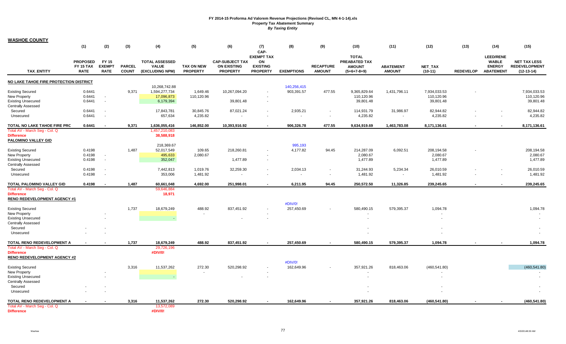**WASHOE COUNTY**

|                                        | (1)                                                | (2)                                   | (3)                           | (4)                                                      | (5)                                  | (6)                                                             | (7)                                                                   | (8)                   | (9)                               | (10)                                                            | (11)                              | (12)                 | (13)             | (14)                                                                  | (15)                                                        |
|----------------------------------------|----------------------------------------------------|---------------------------------------|-------------------------------|----------------------------------------------------------|--------------------------------------|-----------------------------------------------------------------|-----------------------------------------------------------------------|-----------------------|-----------------------------------|-----------------------------------------------------------------|-----------------------------------|----------------------|------------------|-----------------------------------------------------------------------|-------------------------------------------------------------|
| <b>TAX ENTITY</b>                      | <b>PROPOSED</b><br><b>FY 15 TAX</b><br><b>RATE</b> | FY 15<br><b>EXEMPT</b><br><b>RATE</b> | <b>PARCEL</b><br><b>COUNT</b> | <b>TOTAL ASSESSED</b><br><b>VALUE</b><br>(EXCLUDING NPM) | <b>TAX ON NEW</b><br><b>PROPERTY</b> | <b>CAP-SUBJECT TAX</b><br><b>ON EXISTING</b><br><b>PROPERTY</b> | CAP-<br><b>EXEMPT TAX</b><br>ON<br><b>EXISTING</b><br><b>PROPERTY</b> | <b>EXEMPTIONS</b>     | <b>RECAPTURE</b><br><b>AMOUNT</b> | <b>TOTAL</b><br>PREABATED TAX<br><b>AMOUNT</b><br>$(5+6+7-8+9)$ | <b>ABATEMENT</b><br><b>AMOUNT</b> | NET_TAX<br>$(10-11)$ | <b>REDEVELOP</b> | <b>LEED/RENE</b><br><b>WABLE</b><br><b>ENERGY</b><br><b>ABATEMENT</b> | <b>NET TAX LESS</b><br><b>REDEVELOPMENT</b><br>$(12-13-14)$ |
| NO LAKE TAHOE FIRE PROTECTION DISTRICT |                                                    |                                       |                               |                                                          |                                      |                                                                 |                                                                       |                       |                                   |                                                                 |                                   |                      |                  |                                                                       |                                                             |
|                                        |                                                    |                                       |                               | 10,268,742.88                                            |                                      |                                                                 |                                                                       | 140,256,415           |                                   |                                                                 |                                   |                      |                  |                                                                       |                                                             |
| <b>Existing Secured</b>                | 0.6441                                             |                                       | 9,371                         | 1,594,277,734                                            | 1,649.46                             | 10,267,094.20                                                   |                                                                       | 903,391.57            | 477.55                            | 9,365,829.64                                                    | 1,431,796.11                      | 7,934,033.53         |                  |                                                                       | 7,934,033.53                                                |
| New Property                           | 0.6441                                             | $\sim$                                |                               | 17,096,873                                               | 110,120.96                           |                                                                 |                                                                       |                       |                                   | 110,120.96                                                      |                                   | 110,120.96           |                  |                                                                       | 110,120.96                                                  |
| <b>Existing Unsecured</b>              | 0.6441                                             | $\sim$                                |                               | 6,179,394                                                |                                      | 39,801.48                                                       |                                                                       |                       |                                   | 39,801.48                                                       |                                   | 39,801.48            |                  |                                                                       | 39,801.48                                                   |
| <b>Centrally Assessed</b>              | 0.6441                                             |                                       |                               | 17,843,781                                               | 30,845.76                            | 87,021.24                                                       |                                                                       | 2,935.21              | $\overline{\phantom{a}}$          | 114,931.79                                                      | 31,986.97                         | 82,944.82            |                  |                                                                       | 82,944.82                                                   |
| Secured<br>Unsecured                   | 0.6441                                             | $\sim$                                |                               | 657,634                                                  | 4,235.82                             | $\overline{\phantom{a}}$                                        |                                                                       | $\sim$                | $\overline{\phantom{a}}$          | 4,235.82                                                        | $\sim$                            | 4,235.82             |                  | $\blacksquare$                                                        | 4,235.82                                                    |
|                                        |                                                    |                                       |                               |                                                          |                                      |                                                                 |                                                                       |                       |                                   |                                                                 |                                   |                      |                  |                                                                       |                                                             |
| TOTAL NO LAKE TAHOE FIRE PRC           | 0.6441                                             | $\overline{a}$                        | 9,371                         | 1,636,055,416                                            | 146,852.00                           | 10,393,916.92                                                   | $\blacksquare$                                                        | 906,326.78            | 477.55                            | 9,634,919.69                                                    | 1,463,783.08                      | 8,171,136.61         |                  |                                                                       | 8,171,136.61                                                |
| Total AV - March Seg - Col. Q          |                                                    |                                       |                               | 1,457,210,083                                            |                                      |                                                                 |                                                                       |                       |                                   |                                                                 |                                   |                      |                  |                                                                       |                                                             |
| <b>Difference</b>                      |                                                    |                                       |                               | 38,588,918                                               |                                      |                                                                 |                                                                       |                       |                                   |                                                                 |                                   |                      |                  |                                                                       |                                                             |
| PALOMINO VALLEY GID                    |                                                    |                                       |                               | 218,369.67                                               |                                      |                                                                 |                                                                       | 995,193               |                                   |                                                                 |                                   |                      |                  |                                                                       |                                                             |
| <b>Existing Secured</b>                | 0.4198                                             |                                       | 1,487                         | 52,017,549                                               | 109.65                               | 218,260.81                                                      |                                                                       | 4,177.82              | 94.45                             | 214,287.09                                                      | 6,092.51                          | 208,194.58           |                  |                                                                       | 208,194.58                                                  |
| New Property                           | 0.4198                                             | $\sim$                                |                               | 495,633                                                  | 2,080.67                             |                                                                 |                                                                       |                       |                                   | 2,080.67                                                        |                                   | 2,080.67             |                  |                                                                       | 2,080.67                                                    |
| <b>Existing Unsecured</b>              | 0.4198                                             |                                       |                               | 352,047                                                  |                                      | 1,477.89                                                        |                                                                       |                       |                                   | 1,477.89                                                        |                                   | 1,477.89             |                  |                                                                       | 1,477.89                                                    |
| <b>Centrally Assessed</b>              |                                                    |                                       |                               |                                                          |                                      |                                                                 |                                                                       |                       |                                   |                                                                 |                                   |                      |                  |                                                                       |                                                             |
| Secured                                | 0.4198                                             |                                       |                               | 7,442,813                                                | 1,019.76                             | 32,259.30                                                       |                                                                       | 2,034.13              | $\overline{\phantom{a}}$          | 31,244.93                                                       | 5,234.34                          | 26,010.59            |                  |                                                                       | 26,010.59                                                   |
| Unsecured                              | 0.4198                                             |                                       |                               | 353,006                                                  | 1,481.92                             |                                                                 |                                                                       |                       |                                   | 1,481.92                                                        |                                   | 1,481.92             |                  |                                                                       | 1,481.92                                                    |
| TOTAL PALOMINO VALLEY GID              | 0.4198                                             |                                       | 1,487                         | 60,661,048                                               | 4,692.00                             | 251,998.01                                                      |                                                                       | 6,211.95              | 94.45                             | 250,572.50                                                      | 11,326.85                         | 239,245.65           |                  |                                                                       | 239,245.65                                                  |
| Total AV - March Seg - Col. Q          |                                                    |                                       |                               | 59,646,884                                               |                                      |                                                                 |                                                                       |                       |                                   |                                                                 |                                   |                      |                  |                                                                       |                                                             |
| <b>Difference</b>                      |                                                    |                                       |                               | 18,971                                                   |                                      |                                                                 |                                                                       |                       |                                   |                                                                 |                                   |                      |                  |                                                                       |                                                             |
| RENO REDEVELOPMENT AGENCY #1           |                                                    |                                       |                               |                                                          |                                      |                                                                 |                                                                       | #DIV/0!               |                                   |                                                                 |                                   |                      |                  |                                                                       |                                                             |
| <b>Existing Secured</b>                |                                                    |                                       | 1,737                         | 18,679,249                                               | 488.92                               | 837,451.92                                                      |                                                                       | 257,450.69            |                                   | 580,490.15                                                      | 579,395.37                        | 1,094.78             |                  |                                                                       | 1,094.78                                                    |
| New Property                           |                                                    |                                       |                               |                                                          |                                      |                                                                 |                                                                       |                       |                                   |                                                                 |                                   |                      |                  |                                                                       |                                                             |
| <b>Existing Unsecured</b>              |                                                    |                                       |                               |                                                          |                                      |                                                                 |                                                                       |                       |                                   |                                                                 |                                   |                      |                  |                                                                       |                                                             |
| <b>Centrally Assessed</b>              |                                                    |                                       |                               |                                                          |                                      |                                                                 |                                                                       |                       |                                   |                                                                 |                                   |                      |                  |                                                                       |                                                             |
| Secured                                |                                                    |                                       |                               |                                                          |                                      |                                                                 |                                                                       |                       |                                   |                                                                 |                                   |                      |                  |                                                                       |                                                             |
| Unsecured                              |                                                    |                                       |                               |                                                          |                                      |                                                                 |                                                                       |                       |                                   | $\blacksquare$                                                  |                                   |                      |                  |                                                                       |                                                             |
| TOTAL RENO REDEVELOPMENT A             |                                                    |                                       | 1,737                         | 18,679,249                                               | 488.92                               | 837,451.92                                                      |                                                                       | 257,450.69            |                                   | 580,490.15                                                      | 579,395.37                        | 1,094.78             |                  |                                                                       | 1,094.78                                                    |
| Total AV - March Seg - Col. Q          |                                                    |                                       |                               | 29,726,196                                               |                                      |                                                                 |                                                                       |                       |                                   |                                                                 |                                   |                      |                  |                                                                       |                                                             |
| <b>Difference</b>                      |                                                    |                                       |                               | #DIV/0!                                                  |                                      |                                                                 |                                                                       |                       |                                   |                                                                 |                                   |                      |                  |                                                                       |                                                             |
| RENO REDEVELOPMENT AGENCY #2           |                                                    |                                       |                               |                                                          |                                      |                                                                 |                                                                       |                       |                                   |                                                                 |                                   |                      |                  |                                                                       |                                                             |
| <b>Existing Secured</b>                |                                                    |                                       | 3,316                         | 11,537,262                                               | 272.30                               | 520,298.92                                                      |                                                                       | #DIV/0!<br>162,649.96 |                                   | 357,921.26                                                      | 818,463.06                        | (460, 541.80)        |                  |                                                                       | (460, 541.80)                                               |
| New Property                           |                                                    |                                       |                               |                                                          |                                      |                                                                 |                                                                       |                       |                                   |                                                                 |                                   |                      |                  |                                                                       |                                                             |
| <b>Existing Unsecured</b>              |                                                    |                                       |                               |                                                          |                                      |                                                                 |                                                                       |                       |                                   |                                                                 |                                   |                      |                  |                                                                       |                                                             |
| <b>Centrally Assessed</b>              |                                                    |                                       |                               |                                                          |                                      |                                                                 |                                                                       |                       |                                   |                                                                 |                                   |                      |                  |                                                                       |                                                             |
| Secured                                |                                                    |                                       |                               |                                                          |                                      |                                                                 |                                                                       |                       |                                   |                                                                 |                                   |                      |                  |                                                                       |                                                             |
| Unsecured                              |                                                    |                                       |                               |                                                          |                                      |                                                                 |                                                                       |                       |                                   |                                                                 |                                   |                      |                  |                                                                       |                                                             |
| TOTAL RENO REDEVELOPMENT A             |                                                    |                                       | 3,316                         | 11,537,262                                               | 272.30                               | 520,298.92                                                      |                                                                       | 162,649.96            |                                   | 357,921.26                                                      | 818,463.06                        | (460, 541.80)        |                  |                                                                       | (460, 541.80)                                               |
| Total AV - March Seg - Col. Q          |                                                    |                                       |                               | 13,572,089                                               |                                      |                                                                 |                                                                       |                       |                                   |                                                                 |                                   |                      |                  |                                                                       |                                                             |
| <b>Difference</b>                      |                                                    |                                       |                               | #DIV/0!                                                  |                                      |                                                                 |                                                                       |                       |                                   |                                                                 |                                   |                      |                  |                                                                       |                                                             |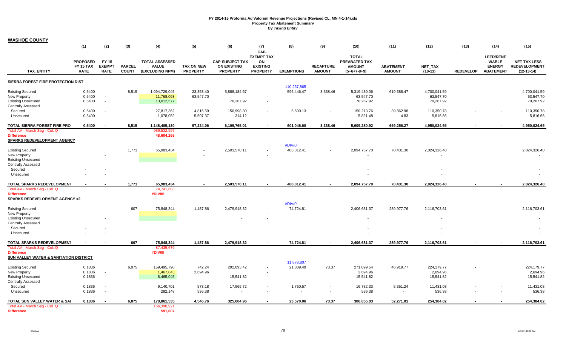|                                                    | (1)                                                | (2)                                          | (3)                           | (4)                                                      | (5)                                  | (6)                                                             | (7)<br>CAP-                                                   | (8)                       | (9)                               | (10)                                                            | (11)                              | (12)                 | (13)             | (14)                                                                  | (15)                                                        |
|----------------------------------------------------|----------------------------------------------------|----------------------------------------------|-------------------------------|----------------------------------------------------------|--------------------------------------|-----------------------------------------------------------------|---------------------------------------------------------------|---------------------------|-----------------------------------|-----------------------------------------------------------------|-----------------------------------|----------------------|------------------|-----------------------------------------------------------------------|-------------------------------------------------------------|
| <b>TAX ENTITY</b>                                  | <b>PROPOSED</b><br><b>FY 15 TAX</b><br><b>RATE</b> | <b>FY 15</b><br><b>EXEMPT</b><br><b>RATE</b> | <b>PARCEL</b><br><b>COUNT</b> | <b>TOTAL ASSESSED</b><br><b>VALUE</b><br>(EXCLUDING NPM) | <b>TAX ON NEW</b><br><b>PROPERTY</b> | <b>CAP-SUBJECT TAX</b><br><b>ON EXISTING</b><br><b>PROPERTY</b> | <b>EXEMPT TAX</b><br>ON<br><b>EXISTING</b><br><b>PROPERTY</b> | <b>EXEMPTIONS</b>         | <b>RECAPTURE</b><br><b>AMOUNT</b> | <b>TOTAL</b><br>PREABATED TAX<br><b>AMOUNT</b><br>$(5+6+7-8+9)$ | <b>ABATEMENT</b><br><b>AMOUNT</b> | NET_TAX<br>$(10-11)$ | <b>REDEVELOP</b> | <b>LEED/RENE</b><br><b>WABLE</b><br><b>ENERGY</b><br><b>ABATEMENT</b> | <b>NET TAX LESS</b><br><b>REDEVELOPMENT</b><br>$(12-13-14)$ |
| SIERRA FOREST FIRE PROTECTION DIST                 |                                                    |                                              |                               |                                                          |                                      |                                                                 |                                                               |                           |                                   |                                                                 |                                   |                      |                  |                                                                       |                                                             |
|                                                    | 0.5400                                             |                                              | 8,515                         | 1,094,729,045                                            | 23,353.40                            | 5,888,184.67                                                    |                                                               | 110,267,865<br>595,446.47 | 3,338.46                          | 5,319,430.06                                                    | 619,388.47                        | 4,700,041.59         |                  |                                                                       | 4,700,041.59                                                |
| <b>Existing Secured</b><br><b>New Property</b>     | 0.5400                                             | $\sim$                                       |                               | 11,768,093                                               | 63,547.70                            |                                                                 |                                                               |                           |                                   | 63,547.70                                                       |                                   | 63,547.70            |                  |                                                                       | 63,547.70                                                   |
| <b>Existing Unsecured</b>                          | 0.5400                                             | $\sim$                                       |                               | 13,012,577                                               |                                      | 70,267.92                                                       |                                                               |                           |                                   | 70,267.92                                                       |                                   | 70,267.92            |                  |                                                                       | 70,267.92                                                   |
| <b>Centrally Assessed</b>                          |                                                    |                                              |                               |                                                          |                                      |                                                                 |                                                               |                           |                                   |                                                                 |                                   |                      |                  |                                                                       |                                                             |
| Secured                                            | 0.5400                                             | $\sim$                                       |                               | 27,817,362                                               | 4,815.59                             | 150,998.30                                                      |                                                               | 5,600.13                  | $\sim$                            | 150,213.76                                                      | 39,862.98                         | 110,350.78           |                  |                                                                       | 110,350.78                                                  |
| Unsecured                                          | 0.5400                                             | $\sim$                                       |                               | 1,078,052                                                | 5,507.37                             | 314.12                                                          | $\sim$                                                        | $\sim$                    | $\sim$                            | 5,821.48                                                        | 4.83                              | 5,816.66             |                  |                                                                       | 5,816.66                                                    |
|                                                    |                                                    |                                              |                               |                                                          |                                      |                                                                 |                                                               |                           |                                   |                                                                 |                                   |                      |                  |                                                                       |                                                             |
| TOTAL SIERRA FOREST FIRE PRO                       | 0.5400                                             | $\sim$                                       | 8,515                         | 1,148,405,130                                            | 97,224.06                            | 6,109,765.01                                                    |                                                               | 601.046.60                | 3,338.46                          | 5,609,280.92                                                    | 659,256.27                        | 4,950,024.65         |                  |                                                                       | 4,950,024.65                                                |
| Total AV - March Seg - Col. Q<br><b>Difference</b> |                                                    |                                              |                               | 989,532,997<br>48,604,268                                |                                      |                                                                 |                                                               |                           |                                   |                                                                 |                                   |                      |                  |                                                                       |                                                             |
| <b>SPARKS REDEVELOPMENT AGENCY</b>                 |                                                    |                                              |                               |                                                          |                                      |                                                                 |                                                               |                           |                                   |                                                                 |                                   |                      |                  |                                                                       |                                                             |
|                                                    |                                                    |                                              |                               |                                                          |                                      |                                                                 |                                                               | #DIV/0!                   |                                   |                                                                 |                                   |                      |                  |                                                                       |                                                             |
| <b>Existing Secured</b>                            |                                                    |                                              | 1,771                         | 65,983,434                                               |                                      | 2,503,570.11                                                    |                                                               | 408,812.41                |                                   | 2,094,757.70                                                    | 70,431.30                         | 2,024,326.40         |                  |                                                                       | 2,024,326.40                                                |
| New Property                                       |                                                    |                                              |                               |                                                          |                                      |                                                                 |                                                               |                           |                                   |                                                                 |                                   |                      |                  |                                                                       | $\sim$                                                      |
| <b>Existing Unsecured</b>                          |                                                    |                                              |                               |                                                          |                                      |                                                                 |                                                               |                           |                                   |                                                                 |                                   |                      |                  |                                                                       | $\sim$                                                      |
| <b>Centrally Assessed</b>                          |                                                    |                                              |                               |                                                          |                                      |                                                                 |                                                               |                           |                                   |                                                                 |                                   |                      |                  |                                                                       |                                                             |
| Secured                                            |                                                    |                                              |                               |                                                          |                                      |                                                                 |                                                               |                           |                                   |                                                                 |                                   |                      |                  |                                                                       | $\blacksquare$                                              |
| Unsecured                                          |                                                    |                                              |                               |                                                          |                                      |                                                                 |                                                               |                           |                                   |                                                                 |                                   |                      |                  |                                                                       | $\overline{\phantom{a}}$                                    |
| TOTAL SPARKS REDEVELOPMENT                         |                                                    |                                              | 1,771                         | 65,983,434                                               |                                      | 2,503,570.11                                                    |                                                               | 408,812.41                |                                   | 2,094,757.70                                                    | 70,431.30                         | 2,024,326.40         |                  |                                                                       | 2,024,326.40                                                |
| Total AV - March Seg - Col. Q                      |                                                    |                                              |                               | 74,741,683                                               |                                      |                                                                 |                                                               |                           |                                   |                                                                 |                                   |                      |                  |                                                                       |                                                             |
| <b>Difference</b>                                  |                                                    |                                              |                               | #DIV/0!                                                  |                                      |                                                                 |                                                               |                           |                                   |                                                                 |                                   |                      |                  |                                                                       |                                                             |
| <b>SPARKS REDEVELOPMENT AGENCY #2</b>              |                                                    |                                              |                               |                                                          |                                      |                                                                 |                                                               |                           |                                   |                                                                 |                                   |                      |                  |                                                                       |                                                             |
|                                                    |                                                    |                                              |                               |                                                          |                                      |                                                                 |                                                               | #DIV/0!                   |                                   |                                                                 |                                   |                      |                  |                                                                       |                                                             |
| <b>Existing Secured</b>                            |                                                    |                                              | 607                           | 75,848,344                                               | 1,487.86                             | 2,479,918.32                                                    |                                                               | 74,724.81                 |                                   | 2,406,681.37                                                    | 289,977.76                        | 2,116,703.61         |                  |                                                                       | 2,116,703.61                                                |
| <b>New Property</b>                                |                                                    |                                              |                               |                                                          |                                      |                                                                 |                                                               |                           |                                   |                                                                 |                                   |                      |                  |                                                                       |                                                             |
| <b>Existing Unsecured</b>                          |                                                    |                                              |                               |                                                          |                                      |                                                                 |                                                               |                           |                                   |                                                                 |                                   |                      |                  |                                                                       | $\overline{\phantom{a}}$                                    |
| <b>Centrally Assessed</b>                          |                                                    |                                              |                               |                                                          |                                      |                                                                 |                                                               |                           |                                   |                                                                 |                                   |                      |                  |                                                                       |                                                             |
| Secured                                            |                                                    |                                              |                               |                                                          |                                      |                                                                 |                                                               |                           |                                   |                                                                 |                                   |                      |                  |                                                                       |                                                             |
| Unsecured                                          |                                                    |                                              |                               |                                                          |                                      |                                                                 |                                                               |                           |                                   |                                                                 |                                   |                      |                  |                                                                       | $\overline{\phantom{a}}$                                    |
| TOTAL SPARKS REDEVELOPMENT                         |                                                    |                                              | 607                           | 75,848,344                                               | 1,487.86                             | 2,479,918.32                                                    |                                                               | 74,724.81                 |                                   | 2,406,681.37                                                    | 289,977.76                        | 2,116,703.61         |                  |                                                                       | 2,116,703.61                                                |
| Total AV - March Seg - Col. Q                      |                                                    |                                              |                               | 87,435,679                                               |                                      |                                                                 |                                                               |                           |                                   |                                                                 |                                   |                      |                  |                                                                       |                                                             |
| <b>Difference</b>                                  |                                                    |                                              |                               | #DIV/0!                                                  |                                      |                                                                 |                                                               |                           |                                   |                                                                 |                                   |                      |                  |                                                                       |                                                             |
| SUN VALLEY WATER & SANITATION DISTRICT             |                                                    |                                              |                               |                                                          |                                      |                                                                 |                                                               |                           |                                   |                                                                 |                                   |                      |                  |                                                                       |                                                             |
|                                                    |                                                    |                                              |                               |                                                          |                                      |                                                                 |                                                               | 11,878,807                |                                   |                                                                 |                                   |                      |                  |                                                                       |                                                             |
| <b>Existing Secured</b>                            | 0.1836                                             |                                              | 6,075                         | 159,495,798                                              | 742.24                               | 292,093.42                                                      |                                                               | 21,809.49                 | 73.37                             | 271,099.54                                                      | 46,919.77                         | 224,179.77           |                  |                                                                       | 224,179.77                                                  |
| New Property                                       | 0.1836                                             | $\sim$                                       |                               | 1,467,843                                                | 2,694.96                             |                                                                 |                                                               |                           |                                   | 2,694.96                                                        |                                   | 2,694.96             |                  |                                                                       | 2,694.96                                                    |
| <b>Existing Unsecured</b>                          | 0.1836                                             | $\sim$                                       |                               | 8,465,045                                                |                                      | 15,541.82                                                       | <b>COL</b>                                                    |                           |                                   | 15,541.82                                                       |                                   | 15,541.82            |                  |                                                                       | 15,541.82                                                   |
| <b>Centrally Assessed</b>                          |                                                    |                                              |                               |                                                          |                                      |                                                                 |                                                               |                           |                                   |                                                                 |                                   |                      |                  |                                                                       |                                                             |
| Secured                                            | 0.1836                                             |                                              |                               | 9,140,701                                                | 573.18                               | 17,969.72                                                       |                                                               | 1,760.57                  |                                   | 16,782.33                                                       | 5,351.24                          | 11,431.08            |                  |                                                                       | 11,431.08                                                   |
| Unsecured                                          | 0.1836                                             | $\sim$                                       |                               | 292,148                                                  | 536.38                               | $\sim$                                                          |                                                               | $\sim$                    | $\sim$                            | 536.38                                                          |                                   | 536.38               |                  |                                                                       | 536.38                                                      |
| <b>TOTAL SUN VALLEY WATER &amp; SAI</b>            | 0.1836                                             | $\overline{\phantom{a}}$                     | 6.075                         | 178,861,535                                              | 4.546.76                             | 325.604.96                                                      |                                                               | 23.570.06                 | 73.37                             | 306.655.03                                                      | 52.271.01                         | 254.384.02           |                  |                                                                       | 254.384.02                                                  |

**Difference**

Total AV - March Seg - Col. Q 166,390,921

**591,807**

**WASHOE COUNTY**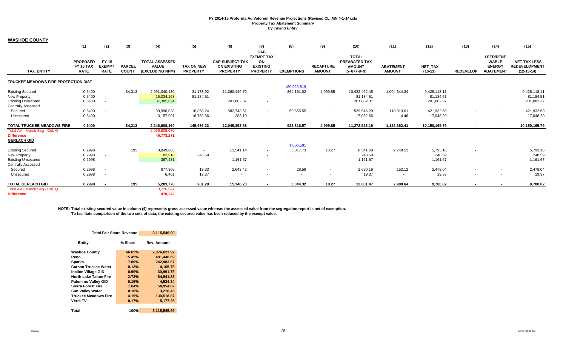**WASHOE COUNTY** (1) (2) (3) (4) (5) (6) (7) (8) (9) (10) (11) (12) (13) (14) (15) **TAX\_ENTITY PROPOSED FY 15 TAX RATE FY 15 EXEMPT RATE PARCEL COUNT TOTAL ASSESSED VALUE (EXCLUDING NPM) TAX ON NEW PROPERTY CAP-SUBJECT TAX ON EXISTING PROPERTY CAP-EXEMPT TAX ON EXISTING PROPERTY EXEMPTIONS RECAPTURE AMOUNT TOTAL PREABATED TAX AMOUNT (5+6+7-8+9) ABATEMENT AMOUNT NET\_TAX (10-11) REDEVELOP ABATEMENT LEED/RENE WABLE ENERGY NET TAX LESS REDEVELOPMENT (12-13-14) TRUCKEE MEADOWS FIRE PROTECTION DIST** 160,029,819 Existing Secured 0.5400 34,313 2,091,040,430 31,173.92 11,260,449.70 9,428,118.11 9,428,118.11 9,428,118.11 New Property 0.5400 - 15,034,168 81,184.51 - 81,184.51 81,184.51 81,184.51 Existing Unsecured 0.5400 - 37,385,624 201,882.37 - 201,882.37 201,882.37 201,882.37 Centrally Assessed Secured 99,990,038 16,858.24 582,743.51 59,655.55 539,946.20 118,013.61 421,932.60 421,932.60 Unsecured 0.5400 - 3,157,901 16,769.56 283.10 17,052.66 4.46 17,048.20 17,048.20 **TOTAL TRUCKEE MEADOWS FIRE 0.5400 - 34,313 2,246,608,160 145,986.23 12,045,358.68 - 923,816.57 4,999.85 11,272,528.19 1,122,362.41 10,150,165.79 - - 10,150,165.79** Total AV - March Seg - Col. Q 2,039,805,070 **Difference 46,773,271 GERLACH GID**1,006,581 Existing Secured 0.2998 195 3,849,605 11,541.14 3,017.73 18.27 8,541.68 2,748.52 5,793.16 5,793.16 New Property 0.2998 - 82,918 248.59 - 248.59 248.59 248.59 Existing Unsecured 0.2998 - 387,481 1,161.67 1,161.67 1,161.67 1,161.67 1,161.67 Centrally Assessed Secured 0.2998 - 877,305 13.33 2,643.42 26.59 2,630.16 152.12 2,478.04 2,478.04 Unsecured 0.2998 - 6,461 19.37 19.37 19.37 19.37 **TOTAL GERLACH GID 0.2998 - 195 5,203,770 281.29 15,346.23 - 3,044.32 18.27 12,601.47 2,900.64 9,700.82 - - 9,700.82** Total AV - March Seg - Col. Q 3,726,947 **Difference470,242**

NOTE: Total existing secured value in column (4) represents gross assessed value whereas the assessed value from the segregation report is net of exemption. **To facilitate comparison of the two sets of data, the existing secured value has been reduced by the exempt value.**

| <b>Total Fair Share Revenue</b> |         | 3,115,546.00       |
|---------------------------------|---------|--------------------|
| Entity                          | % Share | <b>Rev. Amount</b> |
| <b>Washoe County</b>            | 66.65%  | 2.076.623.92       |
| Reno                            | 15.45%  | 481,446.69         |
| Sparks                          | 7.80%   | 242,983.67         |
| <b>Carson Truckee Water</b>     | 0.13%   | 4.165.75           |
| <b>Incline Village GID</b>      | 0.99%   | 30.991.75          |
| <b>North Lake Tahoe Fire</b>    | 2.73%   | 84.941.88          |
| <b>Palomino Valley GID</b>      | 0.15%   | 4.524.84           |
| Sierra Forest Fire              | 1.64%   | 50,954.62          |
| <b>Sun Valley Water</b>         | 0.10%   | 3,216.45           |
| <b>Truckee Meadows Fire</b>     | 4.19%   | 130,518.87         |
| Verdi TV                        | 0.17%   | 5,177.25           |
|                                 |         |                    |
| Total                           | 100%    | 3.115.545.69       |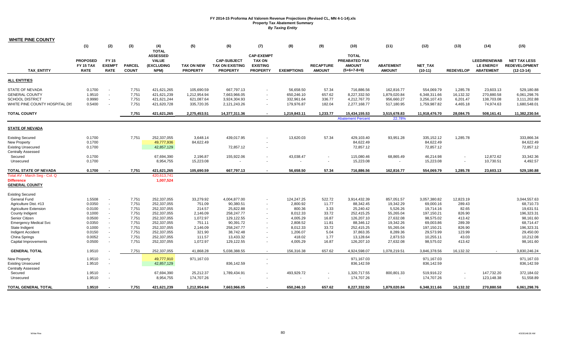| <b>WHITE PINE COUNTY</b>                                                                                    |                                             |                                                        |                                  |                                                                              |                                                        |                                                                 |                                                                          |                                                     |                                     |                                                                 |                                                        |                                                            |                                               |                                                             |                                                             |
|-------------------------------------------------------------------------------------------------------------|---------------------------------------------|--------------------------------------------------------|----------------------------------|------------------------------------------------------------------------------|--------------------------------------------------------|-----------------------------------------------------------------|--------------------------------------------------------------------------|-----------------------------------------------------|-------------------------------------|-----------------------------------------------------------------|--------------------------------------------------------|------------------------------------------------------------|-----------------------------------------------|-------------------------------------------------------------|-------------------------------------------------------------|
|                                                                                                             | (1)                                         | (2)                                                    | (3)                              | (4)                                                                          | (5)                                                    | (6)                                                             | (7)                                                                      | (8)                                                 | (9)                                 | (10)                                                            | (11)                                                   | (12)                                                       | (13)                                          | (14)                                                        | (15)                                                        |
| <b>TAX ENTITY</b>                                                                                           | <b>PROPOSED</b><br>FY 15 TAX<br><b>RATE</b> | FY 15<br><b>EXEMPT</b><br><b>RATE</b>                  | <b>PARCEL</b><br><b>COUNT</b>    | <b>TOTAL</b><br><b>ASSESSED</b><br><b>VALUE</b><br><b>(EXCLUDING</b><br>NPM) | <b>TAX ON NEW</b><br><b>PROPERTY</b>                   | <b>CAP-SUBJECT</b><br><b>TAX ON EXISTING</b><br><b>PROPERTY</b> | <b>CAP-EXEMPT</b><br><b>TAX ON</b><br><b>EXISTING</b><br><b>PROPERTY</b> | <b>EXEMPTIONS</b>                                   | <b>RECAPTURE</b><br><b>AMOUNT</b>   | <b>TOTAL</b><br>PREABATED TAX<br><b>AMOUNT</b><br>$(5+6+7-8+9)$ | <b>ABATEMENT</b><br><b>AMOUNT</b>                      | <b>NET TAX</b><br>$(10-11)$                                | <b>REDEVELOP</b>                              | <b>LEED/RENEWAB</b><br><b>LE ENERGY</b><br><b>ABATEMENT</b> | <b>NET TAX LESS</b><br><b>REDEVELOPMENT</b><br>$(12-13-14)$ |
| <b>ALL ENTITIES</b>                                                                                         |                                             |                                                        |                                  |                                                                              |                                                        |                                                                 |                                                                          |                                                     |                                     |                                                                 |                                                        |                                                            |                                               |                                                             |                                                             |
| <b>STATE OF NEVADA</b><br><b>GENERAL COUNTY</b><br><b>SCHOOL DISTRICT</b><br>WHITE PINE COUNTY HOSPITAL DIS | 0.1700<br>1.9510<br>0.9990<br>0.5400        | $\sim$<br>$\sim$<br>$\sim$<br>$\overline{\phantom{a}}$ | 7,751<br>7,751<br>7,751<br>7,751 | 421,621,265<br>421,621,239<br>421,621,244<br>421,620,728                     | 105,690.59<br>1,212,954.94<br>621,087.64<br>335,720.35 | 667,797.13<br>7,663,966.05<br>3,924,304.93<br>2,121,243.26      | $\sim$<br>$\sim$<br>$\sim$                                               | 56,658.50<br>650,246.10<br>332,961.64<br>179,976.87 | 57.34<br>657.62<br>336.77<br>182.04 | 716,886.56<br>8,227,332.50<br>4,212,767.70<br>2,277,168.77      | 162,816.77<br>1,879,020.84<br>956,660.27<br>517,180.95 | 554,069.79<br>6,348,311.66<br>3,256,107.43<br>1,759,987.82 | 1,285.78<br>16,132.32<br>6,201.47<br>4,465.18 | 23,603.13<br>270,880.58<br>138,703.08<br>74,974.63          | 529,180.88<br>6,061,298.76<br>3,111,202.88<br>1,680,548.01  |
| <b>TOTAL COUNTY</b>                                                                                         |                                             |                                                        | 7.751                            | 421,621,265                                                                  | 2,275,453.51                                           | 14,377,311.36                                                   |                                                                          | 1,219,843.11                                        | 1,233.77                            | 15,434,155.53                                                   | 3,515,678.83                                           | 11,918,476.70                                              | 28,084.75                                     | 508,161.41                                                  | 11,382,230.54                                               |
|                                                                                                             |                                             |                                                        |                                  |                                                                              |                                                        |                                                                 |                                                                          |                                                     |                                     | <b>Abatement Percent</b>                                        | 22.78%                                                 |                                                            |                                               |                                                             |                                                             |
| <b>STATE OF NEVADA</b>                                                                                      |                                             |                                                        |                                  |                                                                              |                                                        |                                                                 |                                                                          |                                                     |                                     |                                                                 |                                                        |                                                            |                                               |                                                             |                                                             |
| <b>Existing Secured</b><br>New Property<br><b>Existing Unsecured</b><br><b>Centrally Assessed</b>           | 0.1700<br>0.1700<br>0.1700                  |                                                        | 7,751                            | 252,337,055<br>49,777,936<br>42,857,129                                      | 3,648.14<br>84,622.49                                  | 439,017.95<br>72,857.12                                         | $\sim$                                                                   | 13,620.03                                           | 57.34                               | 429,103.40<br>84,622.49<br>72,857.12                            | 93,951.28                                              | 335,152.12<br>84,622.49<br>72,857.12                       | 1,285.78                                      |                                                             | 333,866.34<br>84,622.49<br>72,857.12                        |
| Secured<br>Unsecured                                                                                        | 0.1700<br>0.1700                            |                                                        |                                  | 67,694,390<br>8,954,755                                                      | 2,196.87<br>15,223.08                                  | 155,922.06                                                      |                                                                          | 43,038.47                                           |                                     | 115,080.46<br>15,223.08                                         | 68,865.49                                              | 46,214.98<br>15,223.08                                     | $\overline{\phantom{a}}$                      | 12,872.62<br>10,730.51                                      | 33,342.36<br>4,492.57                                       |
| TOTAL STATE OF NEVADA                                                                                       | 0.1700                                      |                                                        | 7,751                            | 421,621,265                                                                  | 105.690.59                                             | 667,797.13                                                      | $\overline{\phantom{a}}$                                                 | 56,658.50                                           | 57.34                               | 716,886.56                                                      | 162,816.77                                             | 554,069.79                                                 | 1.285.78                                      | 23,603.13                                                   | 529,180.88                                                  |
| Total AV - March Seg - Col. Q<br><b>Difference</b><br><b>GENERAL COUNTY</b>                                 |                                             |                                                        |                                  | 420,613,741<br>1,007,524                                                     |                                                        |                                                                 |                                                                          |                                                     |                                     |                                                                 |                                                        |                                                            |                                               |                                                             |                                                             |
| <b>Existing Secured</b>                                                                                     |                                             |                                                        |                                  |                                                                              |                                                        |                                                                 |                                                                          |                                                     |                                     |                                                                 |                                                        |                                                            |                                               |                                                             |                                                             |
| <b>General Fund</b><br>Agriculture Dist. #13                                                                | 1.5508<br>0.0350                            | $\blacksquare$<br>$\sim$                               | 7,751<br>7,751                   | 252,337,055<br>252,337,055                                                   | 33,279.92<br>751.09                                    | 4,004,877.00<br>90,380.51                                       | $\sim$                                                                   | 124,247.25<br>2,800.92                              | 522.72<br>11.77                     | 3,914,432.39<br>88,342.45                                       | 857,051.57<br>19,342.29                                | 3,057,380.82<br>69,000.16                                  | 12,823.19<br>289.43                           |                                                             | 3,044,557.63<br>68,710.73                                   |
| <b>Agriculture Extension</b>                                                                                | 0.0100                                      | $\sim$                                                 | 7,751                            | 252,337,055                                                                  | 214.57                                                 | 25,822.88                                                       |                                                                          | 800.36                                              | 3.33                                | 25,240.42                                                       | 5,526.26                                               | 19,714.16                                                  | 82.65                                         |                                                             | 19,631.51                                                   |
| County Indigent                                                                                             | 0.1000                                      | $\sim$                                                 | 7,751                            | 252,337,055                                                                  | 2,146.09                                               | 258,247.77                                                      | $\sim$                                                                   | 8,012.33                                            | 33.72                               | 252,415.25                                                      | 55,265.04                                              | 197,150.21                                                 | 826.90                                        |                                                             | 196,323.31                                                  |
| Senior Citizen<br><b>Emergency Medical Svc</b>                                                              | 0.0500<br>0.0350                            | $\sim$<br>$\sim$                                       | 7.751<br>7,751                   | 252,337,055<br>252,337,055                                                   | 1,072.97<br>751.11                                     | 129,122.55<br>90,391.72                                         | $\sim$                                                                   | 4,005.29<br>2,808.52                                | 16.87<br>11.81                      | 126,207.10<br>88,346.12                                         | 27,632.08<br>19,342.26                                 | 98,575.02<br>69,003.86                                     | 413.42<br>289.39                              |                                                             | 98,161.60<br>68,714.47                                      |
| State Indigent                                                                                              | 0.1000                                      | $\sim$                                                 | 7,751                            | 252,337,055                                                                  | 2,146.09                                               | 258,247.77                                                      | $\sim$                                                                   | 8,012.33                                            | 33.72                               | 252,415.25                                                      | 55,265.04                                              | 197,150.21                                                 | 826.90                                        |                                                             | 196,323.31                                                  |
| <b>Indigent Accident</b>                                                                                    | 0.0150                                      | $\sim$                                                 | 7,751                            | 252,337,055                                                                  | 321.90                                                 | 38,742.48                                                       |                                                                          | 1,206.07                                            | 5.04                                | 37,863.35                                                       | 8,289.36                                               | 29,573.99                                                  | 123.99                                        |                                                             | 29,450.00                                                   |
| China Springs                                                                                               | 0.0052                                      | $\sim$                                                 | 7,751                            | 252,337,055                                                                  | 111.57                                                 | 13,433.32                                                       |                                                                          | 418.02                                              | 1.77                                | 13,128.64                                                       | 2,873.53                                               | 10,255.11                                                  | 43.03                                         |                                                             | 10,212.08                                                   |
| Capital Improvements                                                                                        | 0.0500                                      | $\sim$                                                 | 7.751                            | 252,337,055                                                                  | 1,072.97                                               | 129,122.55                                                      |                                                                          | 4,005.29                                            | 16.87                               | 126,207.10                                                      | 27,632.08                                              | 98,575.02                                                  | 413.42                                        |                                                             | 98,161.60                                                   |
| <b>GENERAL TOTAL</b>                                                                                        | 1.9510                                      |                                                        | 7,751                            | 252,337,055                                                                  | 41,868.28                                              | 5,038,388.55                                                    | $\sim$                                                                   | 156,316.38                                          | 657.62                              | 4,924,598.07                                                    | 1,078,219.51                                           | 3,846,378.56                                               | 16,132.32                                     |                                                             | 3,830,246.24                                                |
| New Property                                                                                                | 1.9510                                      | $\sim$                                                 |                                  | 49,777,910                                                                   | 971,167.03                                             |                                                                 |                                                                          |                                                     |                                     | 971,167.03                                                      |                                                        | 971,167.03                                                 |                                               |                                                             | 971,167.03                                                  |
| <b>Existing Unsecured</b><br><b>Centrally Assessed</b>                                                      | 1.9510                                      | $\sim$                                                 |                                  | 42,857,129                                                                   |                                                        | 836,142.59                                                      | $\sim$                                                                   |                                                     |                                     | 836,142.59                                                      |                                                        | 836,142.59                                                 |                                               |                                                             | 836,142.59                                                  |
| Secured                                                                                                     | 1.9510                                      | $\overline{\phantom{a}}$                               |                                  | 67,694,390                                                                   | 25,212.37                                              | 1,789,434.91                                                    |                                                                          | 493,929.72                                          |                                     | 1,320,717.55                                                    | 800,801.33                                             | 519,916.22                                                 |                                               | 147,732.20                                                  | 372,184.02                                                  |
| Unsecured                                                                                                   | 1.9510                                      | $\sim$                                                 |                                  | 8,954,755                                                                    | 174,707.26                                             |                                                                 |                                                                          |                                                     |                                     | 174,707.26                                                      |                                                        | 174,707.26                                                 | $\overline{\phantom{a}}$                      | 123,148.38                                                  | 51,558.89                                                   |
| <b>TOTAL GENERAL TOTAL</b>                                                                                  | 1.9510                                      |                                                        | 7.751                            | 421,621,239                                                                  | 1,212,954.94                                           | 7,663,966.05                                                    |                                                                          | 650,246.10                                          | 657.62                              | 8,227,332.50                                                    | 1,879,020.84                                           | 6,348,311.66                                               | 16,132.32                                     | 270.880.58                                                  | 6,061,298.76                                                |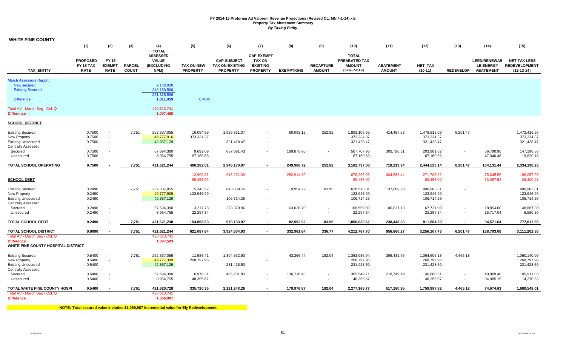| <b>WHITE PINE COUNTY</b>                               |                                                    |                                       |                               |                                                                       |                                      |                                                                 |                                                                          |                   |                                   |                                                                 |                                   |                             |                  |                                                             |                                                             |
|--------------------------------------------------------|----------------------------------------------------|---------------------------------------|-------------------------------|-----------------------------------------------------------------------|--------------------------------------|-----------------------------------------------------------------|--------------------------------------------------------------------------|-------------------|-----------------------------------|-----------------------------------------------------------------|-----------------------------------|-----------------------------|------------------|-------------------------------------------------------------|-------------------------------------------------------------|
|                                                        | (1)                                                | (2)                                   | (3)                           | (4)                                                                   | (5)                                  | (6)                                                             | (7)                                                                      | (8)               | (9)                               | (10)                                                            | (11)                              | (12)                        | (13)             | (14)                                                        | (15)                                                        |
| <b>TAX ENTITY</b>                                      | <b>PROPOSED</b><br><b>FY 15 TAX</b><br><b>RATE</b> | FY 15<br><b>EXEMPT</b><br><b>RATE</b> | <b>PARCEL</b><br><b>COUNT</b> | <b>TOTAL</b><br><b>ASSESSED</b><br><b>VALUE</b><br>(EXCLUDING<br>NPM) | <b>TAX ON NEW</b><br><b>PROPERTY</b> | <b>CAP-SUBJECT</b><br><b>TAX ON EXISTING</b><br><b>PROPERTY</b> | <b>CAP-EXEMPT</b><br><b>TAX ON</b><br><b>EXISTING</b><br><b>PROPERTY</b> | <b>EXEMPTIONS</b> | <b>RECAPTURE</b><br><b>AMOUNT</b> | <b>TOTAL</b><br>PREABATED TAX<br><b>AMOUNT</b><br>$(5+6+7-8+9)$ | <b>ABATEMENT</b><br><b>AMOUNT</b> | <b>NET TAX</b><br>$(10-11)$ | <b>REDEVELOP</b> | <b>LEED/RENEWAB</b><br><b>LE ENERGY</b><br><b>ABATEMENT</b> | <b>NET TAX LESS</b><br><b>REDEVELOPMENT</b><br>$(12-13-14)$ |
| <b>March Assessors Report:</b>                         |                                                    |                                       |                               |                                                                       |                                      |                                                                 |                                                                          |                   |                                   |                                                                 |                                   |                             |                  |                                                             |                                                             |
| <b>New secured</b>                                     |                                                    |                                       |                               | 2,142,030                                                             |                                      |                                                                 |                                                                          |                   |                                   |                                                                 |                                   |                             |                  |                                                             |                                                             |
| <b>Existing Secured</b>                                |                                                    |                                       |                               | 249,183,566<br>251.325.596                                            |                                      |                                                                 |                                                                          |                   |                                   |                                                                 |                                   |                             |                  |                                                             |                                                             |
| <b>Difference</b>                                      |                                                    |                                       |                               | 1,011,459                                                             | 0.40%                                |                                                                 |                                                                          |                   |                                   |                                                                 |                                   |                             |                  |                                                             |                                                             |
| Total AV - March Seg - Col. Q                          |                                                    |                                       |                               | 420,613,741                                                           |                                      |                                                                 |                                                                          |                   |                                   |                                                                 |                                   |                             |                  |                                                             |                                                             |
| <b>Difference</b>                                      |                                                    |                                       |                               | 1,007,498                                                             |                                      |                                                                 |                                                                          |                   |                                   |                                                                 |                                   |                             |                  |                                                             |                                                             |
| <b>SCHOOL DISTRICT</b>                                 |                                                    |                                       |                               |                                                                       |                                      |                                                                 |                                                                          |                   |                                   |                                                                 |                                   |                             |                  |                                                             |                                                             |
| <b>Existing Secured</b>                                | 0.7500                                             | $\overline{\phantom{a}}$              | 7,751                         | 252,337,055                                                           | 16,094.89                            | 1,936,851.07                                                    | $\overline{\phantom{a}}$                                                 | 60,093.12         | 252.82                            | 1,893,105.66                                                    | 414,487.63                        | 1,478,618.03                | 6,201.47         |                                                             | 1,472,416.56                                                |
| New Property                                           | 0.7500                                             | $\overline{\phantom{a}}$              |                               | 49,777,916                                                            | 373,334.37                           |                                                                 |                                                                          |                   |                                   | 373,334.37                                                      |                                   | 373,334.37                  |                  |                                                             | 373,334.37                                                  |
| <b>Existing Unsecured</b><br><b>Centrally Assessed</b> | 0.7500                                             | $\overline{\phantom{a}}$              |                               | 42,857,129                                                            |                                      | 321,428.47                                                      | $\blacksquare$                                                           |                   |                                   | 321,428.47                                                      |                                   | 321,428.47                  |                  |                                                             | 321,428.47                                                  |
| Secured                                                | 0.7500                                             | $\blacksquare$                        |                               | 67,694,390                                                            | 9,692.09                             | 687,891.43                                                      | $\overline{\phantom{a}}$                                                 | 189,875.60        |                                   | 507,707.93                                                      | 303,726.31                        | 203,981.62                  |                  | 56,790.96                                                   | 147,190.66                                                  |
| Unsecured                                              | 0.7500                                             | $\blacksquare$                        |                               | 8,954,755                                                             | 67,160.66                            | $\sim$                                                          | $\sim$                                                                   | ÷                 | $\sim$                            | 67,160.66                                                       | $\sim$                            | 67,160.66                   | $\sim$           | 47,340.48                                                   | 19,820.18                                                   |
| <b>TOTAL SCHOOL OPERATING</b>                          | 0.7500                                             |                                       | 7,751                         | 421,621,244                                                           | 466,282.01                           | 2,946,170.97                                                    | $\blacksquare$                                                           | 249,968.72        | 252.82                            | 3,162,737.08                                                    | 718,213.94                        | 2,444,523.14                | 6,201.47         | 104,131.44                                                  | 2,334,190.23                                                |
|                                                        |                                                    |                                       |                               |                                                                       | 12,909.87                            | 916,271.39                                                      | $\sim$                                                                   | 252,914.30        | . п.                              | 676,266.96                                                      | 404,563.44                        | 271,703.52                  | $\sim$           | 75,645.56                                                   | 196,057.96                                                  |
| <b>SCHOOL DEBT</b>                                     |                                                    |                                       |                               |                                                                       | 89,458.00                            |                                                                 | $\sim$                                                                   | $\sim$            | . п.                              | 89,458.00                                                       | $\sim$                            | 89,458.00                   | ÷.               | 63,057.52                                                   | 26,400.48                                                   |
| <b>Existing Secured</b>                                | 0.2490                                             |                                       | 7.751                         | 252,337,055                                                           | 5,343.52                             | 643,039.76                                                      |                                                                          | 19,954.22         | 83.95                             | 628,513.01                                                      | 137,609.20                        | 490,903.81                  |                  |                                                             | 490,903.81                                                  |
| New Property                                           | 0.2490                                             | $\overline{\phantom{a}}$              |                               | 49,777,909                                                            | 123,946.99                           |                                                                 |                                                                          |                   |                                   | 123,946.99                                                      |                                   | 123,946.99                  |                  |                                                             | 123,946.99                                                  |
| <b>Existing Unsecured</b>                              | 0.2490                                             | $\blacksquare$                        |                               | 42,857,129                                                            |                                      | 106,714.25                                                      | $\sim$                                                                   |                   |                                   | 106,714.25                                                      |                                   | 106,714.25                  |                  |                                                             | 106,714.25                                                  |
| <b>Centrally Assessed</b><br>Secured                   | 0.2490                                             | $\blacksquare$                        |                               | 67,694,390                                                            | 3,217.78                             | 228,379.96                                                      | $\overline{\phantom{a}}$                                                 | 63,038.70         |                                   | 168,559.03                                                      | 100,837.13                        | 67,721.90                   |                  | 18,854.60                                                   | 48,867.30                                                   |
| Unsecured                                              | 0.2490                                             | $\blacksquare$                        |                               | 8,954,755                                                             | 22,297.34                            | $\sim$                                                          | $\sim$                                                                   | $\sim$            | $\sim$                            | 22,297.34                                                       | $\sim$                            | 22,297.34                   | $\sim$           | 15,717.04                                                   | 6,580.30                                                    |
|                                                        |                                                    |                                       |                               |                                                                       |                                      |                                                                 |                                                                          |                   |                                   |                                                                 |                                   |                             |                  |                                                             |                                                             |
| <b>TOTAL SCHOOL DEBT</b>                               | 0.2490                                             |                                       | 7,751                         | 421,621,238                                                           | 154,805.63                           | 978,133.97                                                      | $\blacksquare$                                                           | 82.992.92         | 83.95                             | 1,050,030.62                                                    | 238,446.33                        | 811,584.29                  | $\sim$           | 34,571.64                                                   | 777,012.65                                                  |
| <b>TOTAL SCHOOL DISTRICT</b>                           | 0.9990                                             |                                       | 7,751                         | 421,621,244                                                           | 621,087.64                           | 3,924,304.93                                                    | $\sim$                                                                   | 332,961.64        | 336.77                            | 4,212,767.70                                                    | 956,660.27                        | 3,256,107.43                | 6,201.47         | 138,703.08                                                  | 3,111,202.88                                                |
| Total AV - March Seg - Col. Q<br><b>Difference</b>     |                                                    |                                       |                               | 420,613,741<br>1,007,503                                              |                                      |                                                                 |                                                                          |                   |                                   |                                                                 |                                   |                             |                  |                                                             |                                                             |
| WHITE PINE COUNTY HOSPITAL DISTRICT                    |                                                    |                                       |                               |                                                                       |                                      |                                                                 |                                                                          |                   |                                   |                                                                 |                                   |                             |                  |                                                             |                                                             |
| <b>Existing Secured</b>                                | 0.5400                                             | $\overline{\phantom{a}}$              | 7,751                         | 252,337,055                                                           | 11,588.41                            | 1,394,532.93                                                    | $\overline{\phantom{a}}$                                                 | 43,266.44         | 182.04                            | 1,363,036.94                                                    | 298,431.76                        | 1,064,605.18                | 4,465.18         |                                                             | 1,060,140.00                                                |
| <b>New Property</b>                                    | 0.5400                                             | $\blacksquare$                        |                               | 49,777,399                                                            | 268,797.96                           |                                                                 |                                                                          |                   |                                   | 268,797.96                                                      |                                   | 268,797.96                  |                  |                                                             | 268,797.96                                                  |
| <b>Existing Unsecured</b>                              | 0.5400                                             | $\overline{\phantom{a}}$              |                               | 42,857,129                                                            |                                      | 231,428.50                                                      | $\overline{\phantom{a}}$                                                 |                   |                                   | 231,428.50                                                      |                                   | 231,428.50                  |                  |                                                             | 231,428.50                                                  |
| <b>Centrally Assessed</b><br>Secured                   | 0.5400                                             | $\overline{\phantom{a}}$              |                               | 67,694,390                                                            | 6,978.31                             | 495,281.83                                                      | $\sim$                                                                   | 136,710.43        |                                   | 365,549.71                                                      | 218,749.19                        | 146,800.51                  | $\blacksquare$   | 40,889.48                                                   | 105,911.03                                                  |
| Unsecured                                              | 0.5400                                             | $\sim$                                |                               | 8,954,755                                                             | 48,355.67                            |                                                                 | $\overline{\phantom{a}}$                                                 | $\sim$            |                                   | 48,355.67                                                       | $\sim$                            | 48,355.67                   | $\sim$           | 34,085.15                                                   | 14,270.53                                                   |
| TOTAL WHITE PINE COUNTY HOSPI                          | 0.5400                                             | $\sim$                                | 7,751                         | 421,620,728                                                           | 335,720.35                           | 2,121,243.26                                                    | $\overline{a}$                                                           | 179,976.87        | 182.04                            | 2,277,168.77                                                    | 517,180.95                        | 1,759,987.82                | 4,465.18         | 74,974.63                                                   | 1,680,548.01                                                |
| Total AV - March Seg - Col. Q                          |                                                    |                                       |                               | 420,613,741                                                           |                                      |                                                                 |                                                                          |                   |                                   |                                                                 |                                   |                             |                  |                                                             |                                                             |
| <b>Difference</b>                                      |                                                    |                                       |                               | 1,006,987                                                             |                                      |                                                                 |                                                                          |                   |                                   |                                                                 |                                   |                             |                  |                                                             |                                                             |

**NOTE: Total secured value includes \$1,069,987 incremental value for Ely Redevelopment.**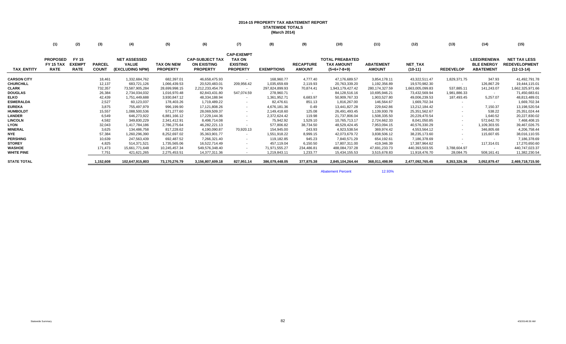## **2014-15 PROPERTY TAX ABATEMENT REPORT STATEWIDE TOTALS (March 2014)**

|                    | (1)                                                | (2)                                          | (3)                           | (4)                                                    | (5)                           | (6)                                                             | (7)                                                                      | (8)               | (9)                               | (10)                                                         | (11)                              | (12)                 | (13)                     | (14)                                                        | (15)                                                        |
|--------------------|----------------------------------------------------|----------------------------------------------|-------------------------------|--------------------------------------------------------|-------------------------------|-----------------------------------------------------------------|--------------------------------------------------------------------------|-------------------|-----------------------------------|--------------------------------------------------------------|-----------------------------------|----------------------|--------------------------|-------------------------------------------------------------|-------------------------------------------------------------|
| <b>TAX_ENTITY</b>  | <b>PROPOSED</b><br><b>FY 15 TAX</b><br><b>RATE</b> | <b>FY 15</b><br><b>EXEMPT</b><br><b>RATE</b> | <b>PARCEL</b><br><b>COUNT</b> | <b>NET ASSESSED</b><br><b>VALUE</b><br>(EXCLUDING NPM) | TAX ON NEW<br><b>PROPERTY</b> | <b>CAP-SUBJECT TAX</b><br><b>ON EXISTING</b><br><b>PROPERTY</b> | <b>CAP-EXEMPT</b><br><b>TAX ON</b><br><b>EXISTING</b><br><b>PROPERTY</b> | <b>EXEMPTIONS</b> | <b>RECAPTURE</b><br><b>AMOUNT</b> | <b>TOTAL PREABATED</b><br><b>TAX AMOUNT</b><br>$(5+6+7-8+9)$ | <b>ABATEMENT</b><br><b>AMOUNT</b> | NET_TAX<br>$(10-11)$ | <b>REDEVELOP</b>         | <b>LEED/RENEWA</b><br><b>BLE ENERGY</b><br><b>ABATEMENT</b> | <b>NET TAX LESS</b><br><b>REDEVELOPMENT</b><br>$(12-13-14)$ |
| <b>CARSON CITY</b> |                                                    |                                              | 18,461                        | 1,332,684,762                                          | 682,397.01                    | 46,658,475.93                                                   |                                                                          | 168,960.77        | 4,777.40                          | 47,176,689.57                                                | 3,854,178.11                      | 43,322,511.47        | 1,829,371.75             | 347.93                                                      | 41,492,791.78                                               |
| <b>CHURCHILL</b>   |                                                    |                                              | 12,137                        | 683,721,126                                            | 1,066,439.53                  | 20,520,483.01                                                   | 209,956.42                                                               | 1,035,659.69      | 2,119.93                          | 20,763,339.20                                                | 1,192,356.89                      | 19,570,982.30        | $\sim$                   | 126,867.29                                                  | 19,444,115.01                                               |
| CLARK              |                                                    |                                              | 732,357                       | 73,587,905,284                                         | 28,699,998.15                 | 2,212,233,454.79                                                |                                                                          | 297,824,899.93    | 70,874.41                         | 1,943,179,427.42                                             | 280, 174, 327.59                  | 1,663,005,099.83     | 537,885.11               | 141,243.07                                                  | 1,662,325,971.66                                            |
| <b>DOUGLAS</b>     |                                                    |                                              | 26,384                        | 2,734,034,032                                          | 1,016,970.48                  | 82,843,431.80                                                   | 547,074.59                                                               | 278,960.71        | $\sim$                            | 84,128,516.16                                                | 10,695,946.21                     | 73,432,569.94        | 1,981,886.33             |                                                             | 71,450,683.61                                               |
| <b>ELKO</b>        |                                                    |                                              | 42,439                        | 1,751,449,688                                          | 3,930,847.12                  | 48,334,188.94                                                   | $\sim$                                                                   | 1,361,952.71      | 6,683.97                          | 50,909,767.33                                                | 1,903,527.80                      | 49,006,239.53        | 187,493.45               | 5,257.07                                                    | 48,813,489.01                                               |
| <b>ESMERALDA</b>   |                                                    |                                              | 2,527                         | 60,123,037                                             | 178,403.26                    | 1,719,489.22                                                    | $\sim$                                                                   | 82,476.61         | 851.13                            | 1,816,267.00                                                 | 146,564.67                        | 1,669,702.34         | $\sim$                   | $\sim$                                                      | 1,669,702.34                                                |
| <b>EUREKA</b>      |                                                    |                                              | 3,875                         | 755.497.979                                            | 996,199.90                    | 17,121,808.26                                                   | $\sim$                                                                   | 4,676,181.36      | 0.49                              | 13,441,827.28                                                | 229,642.86                        | 13,212,184.42        | $\overline{\phantom{a}}$ | 7,150.37                                                    | 13,198,520.54                                               |
| <b>HUMBOLDT</b>    |                                                    |                                              | 15,557                        | 1,088,500,536                                          | 571,277.60                    | 28,069,509.37                                                   | $\sim$                                                                   | 2,149,418.60      | 125.08                            | 26,491,493.45                                                | 1,139,930.78                      | 25,351,562.67        | $\overline{\phantom{a}}$ | 538.22                                                      | 25,351,024.44                                               |
| <b>LANDER</b>      |                                                    |                                              | 6,549                         | 646,273,922                                            | 6,881,166.12                  | 17,229,144.36                                                   | $\sim$                                                                   | 2,372,624.42      | 119.98                            | 21,737,806.04                                                | 1,508,335.50                      | 20,229,470.54        | $\overline{\phantom{a}}$ | 1,640.52                                                    | 20,227,830.02                                               |
| <b>LINCOLN</b>     |                                                    |                                              | 4,582                         | 349,830,229                                            | 2,341,412.91                  | 8,498,714.08                                                    | $\sim$                                                                   | 75,942.92         | 1,529.10                          | 10,765,713.17                                                | 2,724,662.33                      | 8,041,050.85         | $\overline{\phantom{a}}$ | 572,642.70                                                  | 7,468,408.15                                                |
| <b>LYON</b>        |                                                    |                                              | 32,043                        | 1,417,784,186                                          | 2,786,275.64                  | 46,282,221.13                                                   | $\sim$                                                                   | 577,806.82        | 38,734.50                         | 48,529,424.45                                                | 7,953,094.15                      | 40,576,330.29        | $\sim$                   | 1,109,303.55                                                | 39,467,026.75                                               |
| <b>MINERAL</b>     |                                                    |                                              | 3,625                         | 134,486,758                                            | 817,228.62                    | 4,190,090.87                                                    | 70,920.13                                                                | 154,945.00        | 243.93                            | 4,923,538.54                                                 | 369,974.42                        | 4,553,564.12         |                          | 346,805.68                                                  | 4,206,758.44                                                |
| <b>NYE</b>         |                                                    |                                              | 57,384                        | 1,260,296,390                                          | 8,252,697.02                  | 35,363,901.77                                                   | $\sim$                                                                   | 1,551,918.22      | 8,999.15                          | 42,073,679.72                                                | 3,838,506.12                      | 38,235,173.60        | $\overline{\phantom{a}}$ | 115,607.65                                                  | 38,016,110.55                                               |
| <b>PERSHING</b>    |                                                    |                                              | 10,639                        | 247,563,439                                            | 692,487.52                    | 7,266,321.40                                                    | $\sim$                                                                   | 119,182.85        | 945.23                            | 7,840,571.29                                                 | 654,192.61                        | 7,186,378.69         | $\overline{\phantom{a}}$ |                                                             | 7,186,378.69                                                |
| <b>STOREY</b>      |                                                    |                                              | 4,825                         | 514,371,521                                            | 1,735,565.06                  | 16,522,714.49                                                   | $\sim$                                                                   | 457,119.04        | 6,150.50                          | 17,807,311.00                                                | 419,346.39                        | 17,387,964.62        |                          | 117,314.01                                                  | 17,270,650.60                                               |
| <b>WASHOE</b>      |                                                    |                                              | 171,473                       | 15,661,771,648                                         | 10,245,457.34                 | 549,576,348.40                                                  | $\sim$                                                                   | 71,971,555.27     | 234,486.81                        | 488,084,737.28                                               | 47,691,233.73                     | 440,393,503.55       | 3,788,604.97             | $\sim$                                                      | 440,747,023.37                                              |
| <b>WHITE PINE</b>  |                                                    |                                              | 7,751                         | 421,621,265                                            | 2,275,453.51                  | 14,377,311.36                                                   |                                                                          | 1,219,843.11      | 1,233.77                          | 15,434,155.53                                                | 3,515,678.83                      | 11,918,476.70        | 28,084.75                | 508,161.41                                                  | 11,382,230.54                                               |
| <b>STATE TOTAL</b> |                                                    |                                              | 152,608,                      | 102,647,915,803                                        | 73,170,276.79                 | 3,156,807,609.18                                                | 827,951.14                                                               | 386,079,448.05    | 377,875.38                        | 2,845,104,264.44                                             | 368,011,498.99                    | 2,477,092,765.45     | 8,353,326.36             | 3,052,879.47                                                | 2,469,718,715.50                                            |

**Abatement Percent** 12.93%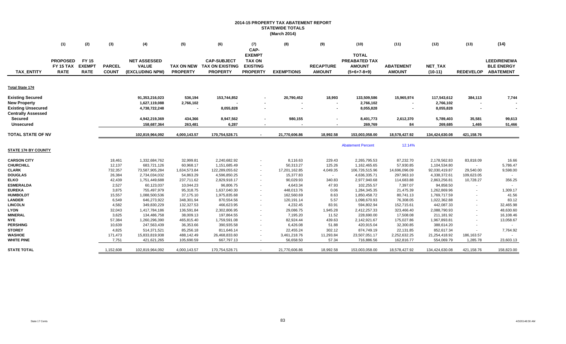## **2014-15 PROPERTY TAX ABATEMENT REPORT STATEWIDE TOTALS (March 2014)**

|                                                                                                          | (1)                                         | (2)                                          | (3)                           | (4)                                                    | (5)                                  | (6)                                                             | (7)<br>CAP-                                                          | (8)                        | (9)                               | (10)                                                                   | (11)                                   | (12)                                  | (13)                | (14)                                                        |
|----------------------------------------------------------------------------------------------------------|---------------------------------------------|----------------------------------------------|-------------------------------|--------------------------------------------------------|--------------------------------------|-----------------------------------------------------------------|----------------------------------------------------------------------|----------------------------|-----------------------------------|------------------------------------------------------------------------|----------------------------------------|---------------------------------------|---------------------|-------------------------------------------------------------|
| <b>TAX ENTITY</b>                                                                                        | <b>PROPOSED</b><br>FY 15 TAX<br><b>RATE</b> | <b>FY 15</b><br><b>EXEMPT</b><br><b>RATE</b> | <b>PARCEL</b><br><b>COUNT</b> | <b>NET ASSESSED</b><br><b>VALUE</b><br>(EXCLUDING NPM) | <b>TAX ON NEW</b><br><b>PROPERTY</b> | <b>CAP-SUBJECT</b><br><b>TAX ON EXISTING</b><br><b>PROPERTY</b> | <b>EXEMPT</b><br><b>TAX ON</b><br><b>EXISTING</b><br><b>PROPERTY</b> | <b>EXEMPTIONS</b>          | <b>RECAPTURE</b><br><b>AMOUNT</b> | <b>TOTAL</b><br><b>PREABATED TAX</b><br><b>AMOUNT</b><br>$(5+6+7-8+9)$ | <b>ABATEMENT</b><br><b>AMOUNT</b>      | <b>NET TAX</b><br>$(10-11)$           | <b>REDEVELOP</b>    | <b>LEED/RENEWA</b><br><b>BLE ENERGY</b><br><b>ABATEMENT</b> |
| Total State 17¢                                                                                          |                                             |                                              |                               |                                                        |                                      |                                                                 |                                                                      |                            |                                   |                                                                        |                                        |                                       |                     |                                                             |
| <b>Existing Secured</b><br><b>New Property</b><br><b>Existing Unsecured</b><br><b>Centrally Assessed</b> |                                             |                                              |                               | 91,353,216,023<br>1,627,119,088<br>4,738,722,248       | 536,194<br>2,766,102                 | 153,744,852<br>8,055,828                                        |                                                                      | 20,790,452                 | 18,993                            | 133,509,586<br>2,766,102<br>8,055,828                                  | 15,965,974<br>$\overline{\phantom{a}}$ | 117,543,612<br>2,766,102<br>8,055,828 | 384,113             | 7,744                                                       |
| <b>Secured</b><br><b>Unsecured</b>                                                                       |                                             |                                              |                               | 4,942,219,369<br>158,687,364                           | 434,366<br>263,481                   | 8,947,562<br>6,287                                              |                                                                      | 980,155                    |                                   | 8,401,773<br>269,769                                                   | 2,612,370<br>84                        | 5,789,403<br>269,685                  | 35,581<br>1,465     | 99,613<br>51,466                                            |
| <b>TOTAL STATE OF NV</b>                                                                                 |                                             |                                              |                               | 102,819,964,092                                        | 4,000,143.57                         | 170,754,528.71                                                  |                                                                      | 21,770,606.86              | 18,992.58                         | 153,003,058.00                                                         | 18,578,427.92                          | 134,424,630.08                        | 421,158.76          |                                                             |
| STATE 17¢ BY COUNTY                                                                                      |                                             |                                              |                               |                                                        |                                      |                                                                 |                                                                      |                            |                                   | <b>Abatement Percent</b>                                               | 12.14%                                 |                                       |                     |                                                             |
| <b>CARSON CITY</b>                                                                                       |                                             |                                              | 18,461                        | 1,332,684,762                                          | 32,999.81                            | 2,240,682.92                                                    |                                                                      | 8,116.63                   | 229.43                            | 2,265,795.53                                                           | 87,232.70                              | 2,178,562.83                          | 83,818.09           | 16.66                                                       |
| <b>CHURCHILL</b><br><b>CLARK</b>                                                                         |                                             |                                              | 12,137<br>732,357             | 683,721,126<br>73,587,905,284                          | 60,968.17<br>1,634,573.84            | 1,151,685.49<br>122,289,055.62                                  | $\sim$<br>$\sim$                                                     | 50,313.27<br>17,201,162.85 | 125.26<br>4,049.35                | 1,162,465.65<br>106,726,515.96                                         | 57,930.85<br>14,696,096.09             | 1,104,534.80<br>92,030,419.87         | $\sim$<br>29,540.00 | 5,786.47<br>9,598.00                                        |
| <b>DOUGLAS</b>                                                                                           |                                             |                                              | 26,384                        | 2,734,034,032                                          | 54,863.29                            | 4,596,850.25                                                    |                                                                      | 15,377.83                  | $\sim$                            | 4,636,335.71                                                           | 297,963.10                             | 4,338,372.61                          | 109,623.05          |                                                             |
| <b>ELKO</b>                                                                                              |                                             |                                              | 42,439                        | 1,751,449,688                                          | 237,711.62                           | 2,829,918.17                                                    |                                                                      | 90,029.93                  | 340.83                            | 2,977,940.68                                                           | 114,683.88                             | 2,863,256.81                          | 10,728.27           | 356.25                                                      |
| <b>ESMERALDA</b>                                                                                         |                                             |                                              | 2,527                         | 60,123,037                                             | 10,044.23                            | 96,806.75                                                       |                                                                      | 4,643.34                   | 47.93                             | 102,255.57                                                             | 7,397.07                               | 94,858.50                             | $\blacksquare$      |                                                             |
| <b>EUREKA</b>                                                                                            |                                             |                                              | 3,875                         | 755,497,979                                            | 95,318.75                            | 1,637,040.30                                                    |                                                                      | 448,013.76                 | 0.06                              | 1,284,345.35                                                           | 21,475.39                              | 1,262,869.96                          | $\sim$              | 1,309.17                                                    |
| <b>HUMBOLDT</b><br><b>LANDER</b>                                                                         |                                             |                                              | 15,557<br>6,549               | 1,088,500,536<br>646,273,922                           | 37,175.10<br>348,301.94              | 1,975,835.68<br>870,554.56                                      |                                                                      | 162,560.69                 | 8.63<br>5.57                      | 1,850,458.72<br>1,098,670.93                                           | 80,741.13<br>76,308.05                 | 1,769,717.59<br>1,022,362.88          |                     | 41.56<br>83.12                                              |
| <b>LINCOLN</b>                                                                                           |                                             |                                              | 4,582                         | 349,830,229                                            | 132,327.53                           | 466,623.95                                                      |                                                                      | 120,191.14<br>4,232.45     | 83.91                             | 594,802.94                                                             | 152,715.61                             | 442,087.33                            | $\sim$              | 32,465.98                                                   |
| <b>LYON</b>                                                                                              |                                             |                                              | 32,043                        | 1,417,784,186                                          | 136,591.84                           | 2,302,806.95                                                    |                                                                      | 29,086.75                  | 1,945.28                          | 2,412,257.33                                                           | 323,466.40                             | 2,088,790.93                          | $\sim$              | 48,630.60                                                   |
| <b>MINERAL</b>                                                                                           |                                             |                                              | 3,625                         | 134,486,758                                            | 38,009.13                            | 197,864.55                                                      |                                                                      | 7,195.20                   | 11.52                             | 228,690.00                                                             | 17,508.08                              | 211,181.92                            | $\sim$              | 16,108.46                                                   |
| <b>NYE</b>                                                                                               |                                             |                                              | 57,384                        | 1,260,296,390                                          | 465,815.40                           | 1,759,591.08                                                    |                                                                      | 82,924.44                  | 439.63                            | 2,142,921.67                                                           | 175,027.86                             | 1,967,893.81                          |                     | 13,058.67                                                   |
| <b>PERSHING</b>                                                                                          |                                             |                                              | 10,639                        | 247,563,439                                            | 36,353.66                            | 390,935.58                                                      |                                                                      | 6,426.08                   | 51.88                             | 420,915.04                                                             | 32,300.85                              | 388,614.20                            |                     | $\sim$                                                      |
| <b>STOREY</b>                                                                                            |                                             |                                              | 4,825                         | 514,371,521                                            | 85,256.18                            | 811,646.14                                                      |                                                                      | 22,455.24                  | 302.12                            | 874,749.19                                                             | 22,131.85                              | 852,617.34                            |                     | 7,764.92                                                    |
| <b>WASHOE</b>                                                                                            |                                             |                                              | 171,473                       | 15,833,819,938                                         | 488,142.49                           | 26,468,833.60                                                   |                                                                      | 3,461,218.76               | 11,293.84                         | 23,507,051.17                                                          | 2,252,632.25                           | 21,254,418.92                         | 186,163.57          |                                                             |
| <b>WHITE PINE</b>                                                                                        |                                             |                                              | 7,751                         | 421,621,265                                            | 105,690.59                           | 667,797.13                                                      |                                                                      | 56,658.50                  | 57.34                             | 716,886.56                                                             | 162,816.77                             | 554,069.79                            | 1,285.78            | 23,603.13                                                   |
| <b>STATE TOTAL</b>                                                                                       |                                             |                                              | 1,152,608                     | 102,819,964,092                                        | 4,000,143.57                         | 170,754,528.71                                                  |                                                                      | 21,770,606.86              | 18,992.58                         | 153,003,058.00                                                         | 18,578,427.92                          | 134,424,630.08                        | 421,158.76          | 158,823.00                                                  |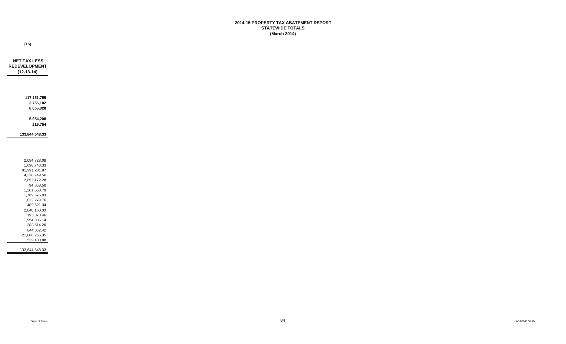## **2014-15 PROPERTY TAX ABATEMENT REPORT STATEWIDE TOTALS (March 2014)**

**(15)**

| <b>NET TAX LESS</b><br><b>REDEVELOPMENT</b> |  |  |
|---------------------------------------------|--|--|
| $(12 - 13 - 14)$                            |  |  |
|                                             |  |  |
|                                             |  |  |
|                                             |  |  |
|                                             |  |  |
| 117, 151, 755                               |  |  |
| 2,766,102                                   |  |  |
| 8,055,828                                   |  |  |
|                                             |  |  |
| 5,654,208                                   |  |  |
| 216,754                                     |  |  |
|                                             |  |  |
| 133,844,648.33                              |  |  |
|                                             |  |  |
|                                             |  |  |
|                                             |  |  |
|                                             |  |  |
| 2,094,728.08                                |  |  |
| 1,098,748.33                                |  |  |
| 91,991,281.87                               |  |  |
| 4,228,749.56                                |  |  |
| 2,852,172.28                                |  |  |
| 94,858.50                                   |  |  |
| 1,261,560.79                                |  |  |
| 1,769,676.03                                |  |  |
| 1,022,279.76                                |  |  |
| 409,621.34                                  |  |  |
| 2,040,160.33                                |  |  |
| 195,073.46                                  |  |  |
| 1,954,835.14                                |  |  |
| 388,614.20                                  |  |  |
| 844,852.42                                  |  |  |
| 21,068,255.35                               |  |  |
| 529,180.88                                  |  |  |
|                                             |  |  |
| 133,844,648.33                              |  |  |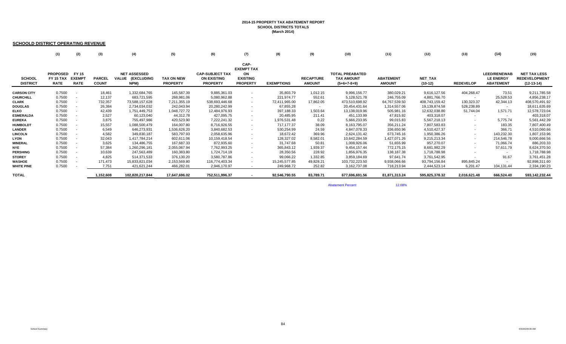## **2014-15 PROPERTY TAX ABATEMENT REPORTSCHOOL DISTRICTS TOTALS (March 2014)**

#### **SCHOOLD DISTRICT OPERATING REVENUE**

|                                  | (1)                                                | (2)                                          | (3)                           | (4)                                             | (5)                                  | (6)                                                             | (7)                                                                   | (8)               | (9)                               | (10)                                                         | (11)                              | (12)                 | (13)             | (14)                                                        | (15)                                                      |
|----------------------------------|----------------------------------------------------|----------------------------------------------|-------------------------------|-------------------------------------------------|--------------------------------------|-----------------------------------------------------------------|-----------------------------------------------------------------------|-------------------|-----------------------------------|--------------------------------------------------------------|-----------------------------------|----------------------|------------------|-------------------------------------------------------------|-----------------------------------------------------------|
| <b>SCHOOL</b><br><b>DISTRICT</b> | <b>PROPOSED</b><br><b>FY 15 TAX</b><br><b>RATE</b> | <b>FY 15</b><br><b>EXEMPT</b><br><b>RATE</b> | <b>PARCEL</b><br><b>COUNT</b> | <b>NET ASSESSED</b><br>VALUE (EXCLUDING<br>NPM) | <b>TAX ON NEW</b><br><b>PROPERTY</b> | <b>CAP-SUBJECT TAX</b><br><b>ON EXISTING</b><br><b>PROPERTY</b> | CAP-<br><b>EXEMPT TAX</b><br>ON<br><b>EXISTING</b><br><b>PROPERTY</b> | <b>EXEMPTIONS</b> | <b>RECAPTURE</b><br><b>AMOUNT</b> | <b>TOTAL PREABATED</b><br><b>TAX AMOUNT</b><br>$(5+6+7-8+9)$ | <b>ABATEMENT</b><br><b>AMOUNT</b> | NET_TAX<br>$(10-12)$ | <b>REDEVELOP</b> | <b>LEED/RENEWAB</b><br><b>LE ENERGY</b><br><b>ABATEMENT</b> | <b>NET TAX LESS</b><br><b>REDEVELOPMENT</b><br>(12-13-14) |
| <b>CARSON CITY</b>               | 0.7500                                             |                                              | 18,461                        | 1,332,684,765                                   | 145,587.39                           | 9,885,361.03                                                    |                                                                       | 35,803.79         | 1,012.15                          | 9,996,156.77                                                 | 380,029.21                        | 9,616,127.56         | 404,268.47       | 73.51                                                       | 9,211,785.58                                              |
| <b>CHURCHILL</b>                 | 0.7500                                             |                                              | 12,137                        | 683,721,595                                     | 268,981.06                           | 5,080,962.88                                                    | $\sim$                                                                | 221,974.77        | 552.61                            | 5,128,521.78                                                 | 246,755.09                        | 4,881,766.70         | $\sim$           | 25,528.53                                                   | 4,856,238.17                                              |
| <b>CLARK</b>                     | 0.7500                                             |                                              | 732,357                       | 73,588,157,628                                  | 7,211,355.19                         | 538,693,446.68                                                  | $\sim$                                                                | 72,411,965.00     | 17,862.05                         | 473,510,698.92                                               | 64,767,539.50                     | 408,743,159.42       | 130,323.37       | 42,344.13                                                   | 408,570,491.92                                            |
| <b>DOUGLAS</b>                   | 0.7500                                             |                                              | 26,384                        | 2,734,034,032                                   | 242,043.94                           | 20,280,242.99                                                   |                                                                       | 67,855.28         | $\sim$                            | 20,454,431.64                                                | 1,314,557.06                      | 19,139,874.58        | 528,238.89       | $\sim$                                                      | 18,611,635.69                                             |
| <b>ELKO</b>                      | 0.7500                                             |                                              | 42,439                        | 1,751,449,753                                   | 1,048,727.72                         | 12,484,976.93                                                   | $\sim$                                                                | 397,188.33        | 1,503.64                          | 13,138,019.96                                                | 505,981.16                        | 12,632,038.80        | 51,744.04        | 1,571.71                                                    | 12,578,723.04                                             |
| <b>ESMERALDA</b>                 | 0.7500                                             |                                              | 2,527                         | 60,123,040                                      | 44,312.78                            | 427,095.75                                                      |                                                                       | 20,485.95         | 211.41                            | 451,133.99                                                   | 47,815.92                         | 403,318.07           |                  | $\sim$                                                      | 403,318.07                                                |
| <b>EUREKA</b>                    | 0.7500                                             |                                              | 3,875                         | 755,497,986                                     | 420,523.90                           | 7,222,241.32                                                    |                                                                       | 1,976,531.48      | 0.22                              | 5,666,233.95                                                 | 99,015.83                         | 5,567,218.13         |                  | 5,775.74                                                    | 5,561,442.39                                              |
| <b>HUMBOLDT</b>                  | 0.7500                                             |                                              | 15,557                        | 1,088,500,479                                   | 164,007.80                           | 8,716,926.55                                                    |                                                                       | 717,177.37        | 38.09                             | 8,163,795.07                                                 | 356,211.24                        | 7,807,583.83         |                  | 183.35                                                      | 7,807,400.49                                              |
| <b>LANDER</b>                    | 0.7500                                             |                                              | 6,549                         | 646,273,931                                     | 1,536,626.20                         | 3,840,682.53                                                    |                                                                       | 530,254.99        | 24.59                             | 4,847,078.33                                                 | 336,650.96                        | 4,510,427.37         |                  | 366.71                                                      | 4,510,060.66                                              |
| <b>LINCOLN</b>                   | 0.7500                                             |                                              | 4,582                         | 349,830,187                                     | 583,797.93                           | 2,058,635.96                                                    | $\sim$                                                                | 18,672.42         | 369.96                            | 2,624,131.42                                                 | 673,745.16                        | 1,950,386.26         |                  | 143,232.30                                                  | 1,807,153.96                                              |
| <b>LYON</b>                      | 0.7500                                             |                                              | 32,043                        | 1,417,784,214                                   | 602,611.06                           | 10,159,418.54                                                   | $\sim$                                                                | 128,327.02        | 8,582.01                          | 10,642,284.59                                                | 1,427,071.26                      | 9,215,213.34         | $\sim$           | 214,546.78                                                  | 9,000,666.56                                              |
| <b>MINERAL</b>                   | 0.7500                                             |                                              | 3,625                         | 134,486,755                                     | 167,687.33                           | 872,935.60                                                      |                                                                       | 31,747.68         | 50.81                             | 1,008,926.06                                                 | 51,655.99                         | 957,270.07           |                  | 71,066.74                                                   | 886,203.33                                                |
| <b>NYE</b>                       | 0.7500                                             |                                              | 57,384                        | 1,260,296,181                                   | 2,055,067.94                         | 7,762,993.25                                                    |                                                                       | 365,843.12        | 1,939.37                          | 9,454,157.44                                                 | 772,175.15                        | 8,681,982.29         |                  | 57,611.79                                                   | 8,624,370.50                                              |
| <b>PERSHING</b>                  | 0.7500                                             |                                              | 10,639                        | 247,563,489                                     | 160,383.80                           | 1,724,714.19                                                    | $\sim$                                                                | 28,350.56         | 228.92                            | 1,856,976.35                                                 | 138, 187. 38                      | 1,718,788.98         |                  | $\sim$                                                      | 1,718,788.98                                              |
| <b>STOREY</b>                    | 0.7500                                             |                                              | 4,825                         | 514,371,533                                     | 376,130.20                           | 3,580,787.86                                                    |                                                                       | 99,066.22         | 1,332.85                          | 3,859,184.69                                                 | 97,641.74                         | 3,761,542.95         |                  | 91.67                                                       | 3,761,451.28                                              |
| WASHOE                           | 0.7500                                             |                                              | 171,473                       | 15,833,821,034                                  | 2,153,569.80                         | 116,774,403.34                                                  |                                                                       | 15,245,577.85     | 49,828.21                         | 103,732,223.50                                               | 9,938,066.66                      | 93,794,156.84        | 895,845.24       | $\sim$                                                      | 92,898,311.60                                             |
| <b>WHITE PINE</b>                | 0.7500                                             |                                              | 7.751                         | 421.621.244                                     | 466.282.01                           | 2.946.170.97                                                    |                                                                       | 249,968.72        | 252.82                            | 3,162,737.08                                                 | 718.213.94                        | 2.444.523.14         | 6,201.47         | 104.131.44                                                  | 2,334,190.23                                              |
| <b>TOTAL</b>                     |                                                    |                                              | 1,152,608                     | 102,820,217,844                                 | 17,647,696.02                        | 752,511,996.37                                                  |                                                                       | 92,546,790.55     | 83,789.71                         | 677,696,691.56                                               | 81,871,313.24                     | 595,825,378.32       | 2,016,621.48     | 666,524.40                                                  | 593,142,232.44                                            |

**Abatement Percent** 

12.08%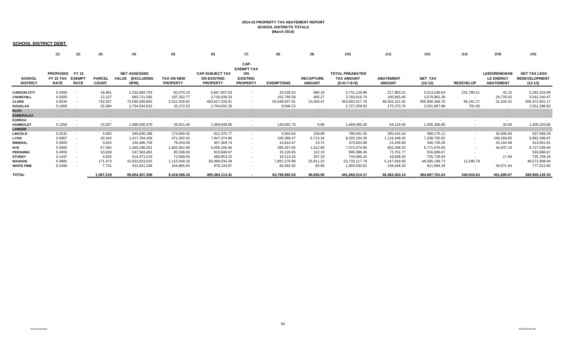## **2014-15 PROPERTY TAX ABATEMENT REPORTSCHOOL DISTRICTS TOTALS (March 2014)**

#### **SCHOOL DISTRICT DEBT**

|                                  | (1)                                         | (2)                                          | (3)                           | (4)                                             | (5)                                  | (6)                                                             | (7)                                                                   | (8)               | (9)                               | (10)                                                         | (11)                              | (12)                     | (13)             | (14)                                                        | (15)                                                     |
|----------------------------------|---------------------------------------------|----------------------------------------------|-------------------------------|-------------------------------------------------|--------------------------------------|-----------------------------------------------------------------|-----------------------------------------------------------------------|-------------------|-----------------------------------|--------------------------------------------------------------|-----------------------------------|--------------------------|------------------|-------------------------------------------------------------|----------------------------------------------------------|
| <b>SCHOOL</b><br><b>DISTRICT</b> | <b>PROPOSED</b><br>FY 15 TAX<br><b>RATE</b> | <b>FY 15</b><br><b>EXEMPT</b><br><b>RATE</b> | <b>PARCEL</b><br><b>COUNT</b> | <b>NET ASSESSED</b><br>VALUE (EXCLUDING<br>NPM) | <b>TAX ON NEW</b><br><b>PROPERTY</b> | <b>CAP-SUBJECT TAX</b><br><b>ON EXISTING</b><br><b>PROPERTY</b> | CAP-<br><b>EXEMPT TAX</b><br>ON<br><b>EXISTING</b><br><b>PROPERTY</b> | <b>EXEMPTIONS</b> | <b>RECAPTURE</b><br><b>AMOUNT</b> | <b>TOTAL PREABATED</b><br><b>TAX AMOUNT</b><br>$(5+6+7-8+9)$ | <b>ABATEMENT</b><br><b>AMOUNT</b> | NET_TAX<br>$(10-12)$     | <b>REDEVELOP</b> | <b>LEED/RENEWAB</b><br><b>LE ENERGY</b><br><b>ABATEMENT</b> | <b>NET TAX LESS</b><br><b>REDEVELOPMENT</b><br>$(12-13)$ |
| <b>CARSON CITY</b>               | 0.4300                                      |                                              | 18,461                        | 1,332,684,763                                   | 83,470.10                            | 5,667,607.53                                                    | $\sim$                                                                | 20,528.10         | 580.33                            | 5,731,129.86                                                 | 217,883.22                        | 5,513,246.64             | 231,780.51       | 42.15                                                       | 5,281,423.99                                             |
| <b>CHURCHILL</b>                 | 0.5500                                      |                                              | 12,137                        | 683,721,595                                     | 197,252.77                           | 3,726,039.33                                                    | $\sim$                                                                | 162,780.59        | 405.27                            | 3,760,916.79                                                 | 180,955.40                        | 3,579,961.39             |                  | 18,720.92                                                   | 3,561,240.47                                             |
| <b>CLARK</b>                     | 0.5534                                      |                                              | 732,357                       | 73,585,589,892                                  | 5,321,018.62                         | 403,617,226.61                                                  | $\sim$                                                                | 55,048,927.91     | 13,200.47                         | 353,902,517.79                                               | 48,302,151.02                     | 305,600,366.76           | 96,161.27        | 31,244.32                                                   | 305,472,961.17                                           |
| <b>DOUGLAS</b>                   | 0.1000                                      |                                              | 26,384                        | 2,734,034,032                                   | 32,272.53                            | 2,704,032.33                                                    |                                                                       | 9,046.23          | $\sim$                            | 2,727,258.63                                                 | 175,270.76                        | 2,551,987.88             | 701.06           | $\sim$                                                      | 2,551,286.82                                             |
| <b>ELKO</b><br><b>ESMERALDA</b>  |                                             |                                              |                               |                                                 |                                      |                                                                 |                                                                       |                   |                                   |                                                              |                                   |                          |                  |                                                             |                                                          |
| <b>EUREKA</b>                    | $\sim$                                      |                                              | $\sim$                        |                                                 |                                      |                                                                 | $\sim$                                                                |                   | $\sim$                            | $\sim$                                                       | $\overline{\phantom{a}}$          | $\overline{\phantom{a}}$ |                  | $\sim$                                                      |                                                          |
| <b>HUMBOLDT</b>                  | 0.1350                                      |                                              | 15,557                        | 1,088,500,470                                   | 29,521.40                            | 1,569,049.80                                                    |                                                                       | 129,092.76        | 6.86                              | 1,469,485.30                                                 | 64,118.45                         | 1,405,366.85             |                  | 33.00                                                       | 1,405,333.85                                             |
| <b>LANDER</b>                    |                                             |                                              |                               |                                                 |                                      |                                                                 |                                                                       |                   |                                   |                                                              |                                   |                          |                  |                                                             |                                                          |
| <b>LINCOLN</b>                   | 0.2231                                      |                                              | 4,582                         | 349,830,188                                     | 173,660.42                           | 612,375.77                                                      | $\sim$                                                                | 5,554.64          | 109.89                            | 780,591.45                                                   | 200,416.34                        | 580,175.11               | $\sim$           | 42,606.83                                                   | 537,568.28                                               |
| <b>LYON</b>                      | 0.5867                                      |                                              | 32,043                        | 1,417,784,206                                   | 471,402.54                           | 7.947.374.86                                                    | $\sim$                                                                | 100,386.47        | 6,713.34                          | 8,325,104.28                                                 | 1,116,348.45                      | 7,208,755.82             | $\sim$           | 246,356.85                                                  | 6,962,398.97                                             |
| <b>MINERAL</b>                   | 0.3500                                      |                                              | 3,625                         | 134,486,759                                     | 78,254.09                            | 407,369.74                                                      |                                                                       | 14,814.47         | 23.72                             | 470,833.08                                                   | 24,106.80                         | 446,726.28               |                  | 33,164.48                                                   | 413,561.81                                               |
| <b>NYE</b>                       | 0.5850                                      |                                              | 57,384                        | 1,260,296,201                                   | 1,602,952.99                         | 6,055,166.96                                                    | $\sim$                                                                | 285,357.65        | 1,512.60                          | 7,374,274.90                                                 | 602,298.25                        | 6,771,976.65             | $\sim$           | 44,937.19                                                   | 6,727,039.46                                             |
| <b>PERSHING</b>                  | 0.4000                                      |                                              | 10,639                        | 247,563,481                                     | 85,538.03                            | 919,848.97                                                      | $\sim$                                                                | 15,120.65         | 122.10                            | 990,388.45                                                   | 73,701.77                         | 916,686.67               |                  | $\overline{\phantom{a}}$                                    | 916,686.67                                               |
| <b>STOREY</b>                    | 0.1447                                      |                                              | 4,825                         | 514,371,519                                     | 72,568.05                            | 690,853.15                                                      | $\sim$                                                                | 19,113.16         | 257.20                            | 744,565.24                                                   | 18,838.30                         | 725,726.94               |                  | 17.69                                                       | 725,709.26                                               |
| WASHOE                           | 0.3885                                      |                                              | 171,473                       | 15,833,823,015                                  | 1,115,549.16                         | 60,489,034.39                                                   | $\sim$                                                                | 7,897,276.98      | 25,811.22                         | 53,733,117.79                                                | 5,147,918.05                      | 48,585,199.73            | 12,290.79        |                                                             | 48,572,908.94                                            |
| <b>WHITE PINE</b>                | 0.2490                                      |                                              | 7,751                         | 421,621,238                                     | 154,805.63                           | 978,133.97                                                      | $\sim$                                                                | 82,992.92         | 83.95                             | 1,050,030.62                                                 | 238,446.33                        | 811,584.29               |                  | 34,571.64                                                   | 777,012.65                                               |
| <b>TOTAL</b>                     |                                             |                                              | 1,097,218                     | 99,604,307,358                                  | 9,418,266.33                         | 495,384,113.41                                                  |                                                                       | 63,790,992.53     | 48,826.95                         | 441,060,214.17                                               | 56,362,453.14                     | 384,697,761.03           | 340,933.63       | 451,695.07                                                  | 383,905,132.33                                           |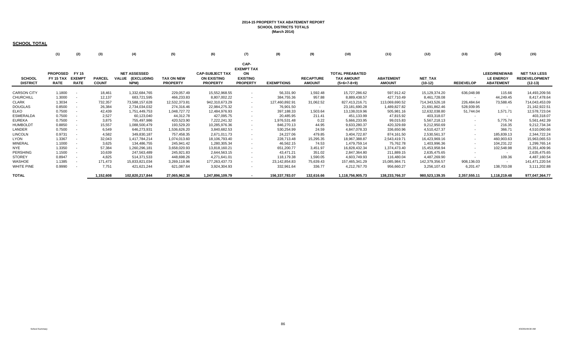## **2014-15 PROPERTY TAX ABATEMENT REPORTSCHOOL DISTRICTS TOTALS (March 2014)**

#### **SCHOOL TOTAL**

|                                  | (1)                                                | (2)                                          | (3)                           | (4)                                             | (5)                                  | (6)                                                             | (7)                                                                   | (8)               | (9)                               | (10)                                                         | (11)                              | (12)                 | (13)             | (14)                                                        | (15)                                                     |
|----------------------------------|----------------------------------------------------|----------------------------------------------|-------------------------------|-------------------------------------------------|--------------------------------------|-----------------------------------------------------------------|-----------------------------------------------------------------------|-------------------|-----------------------------------|--------------------------------------------------------------|-----------------------------------|----------------------|------------------|-------------------------------------------------------------|----------------------------------------------------------|
| <b>SCHOOL</b><br><b>DISTRICT</b> | <b>PROPOSED</b><br><b>FY 15 TAX</b><br><b>RATE</b> | <b>FY 15</b><br><b>EXEMPT</b><br><b>RATE</b> | <b>PARCEL</b><br><b>COUNT</b> | <b>NET ASSESSED</b><br>VALUE (EXCLUDING<br>NPM) | <b>TAX ON NEW</b><br><b>PROPERTY</b> | <b>CAP-SUBJECT TAX</b><br><b>ON EXISTING</b><br><b>PROPERTY</b> | CAP-<br><b>EXEMPT TAX</b><br>ON<br><b>EXISTING</b><br><b>PROPERTY</b> | <b>EXEMPTIONS</b> | <b>RECAPTURE</b><br><b>AMOUNT</b> | <b>TOTAL PREABATED</b><br><b>TAX AMOUNT</b><br>$(5+6+7-8+9)$ | <b>ABATEMENT</b><br><b>AMOUNT</b> | NET_TAX<br>$(10-12)$ | <b>REDEVELOP</b> | <b>LEED/RENEWAB</b><br><b>LE ENERGY</b><br><b>ABATEMENT</b> | <b>NET TAX LESS</b><br><b>REDEVELOPMENT</b><br>$(12-13)$ |
| <b>CARSON CITY</b>               | 1.1800                                             |                                              | 18,461                        | 1,332,684,765                                   | 229,057.49                           | 15,552,968.55                                                   | $\sim$                                                                | 56,331.90         | 1,592.48                          | 15,727,286.62                                                | 597,912.42                        | 15,129,374.20        | 636,048.98       | 115.66                                                      | 14,493,209.56                                            |
| <b>CHURCHILL</b>                 | 1.3000                                             |                                              | 12,137                        | 683,721,595                                     | 466,233.83                           | 8,807,002.22                                                    | $\sim$                                                                | 384,755.36        | 957.88                            | 8,889,438.57                                                 | 427,710.49                        | 8,461,728.08         |                  | 44,249.45                                                   | 8,417,478.64                                             |
| <b>CLARK</b>                     | 1.3034                                             |                                              | 732,357                       | 73,588,157,628                                  | 12,532,373.81                        | 942,310,673.29                                                  | $\sim$                                                                | 127,460,892.91    | 31,062.52                         | 827,413,216.71                                               | 113,069,690.52                    | 714,343,526.18       | 226,484.64       | 73,588.45                                                   | 714,043,453.09                                           |
| <b>DOUGLAS</b>                   | 0.8500                                             |                                              | 26,384                        | 2,734,034,032                                   | 274,316.46                           | 22,984,275.32                                                   | $\sim$                                                                | 76,901.50         | $\sim$                            | 23,181,690.28                                                | 1,489,827.82                      | 21,691,862.46        | 528,939.95       | $\sim$                                                      | 21, 162, 922.51                                          |
| <b>ELKO</b>                      | 0.7500                                             |                                              | 42,439                        | 1,751,449,753                                   | 1,048,727.72                         | 12,484,976.93                                                   |                                                                       | 397,188.33        | 1,503.64                          | 13,138,019.96                                                | 505,981.16                        | 12,632,038.80        | 51,744.04        | 1,571.71                                                    | 12,578,723.04                                            |
| <b>ESMERALDA</b>                 | 0.7500                                             |                                              | 2,527                         | 60,123,040                                      | 44,312.78                            | 427,095.75                                                      | $\overline{\phantom{a}}$                                              | 20,485.95         | 211.41                            | 451,133.99                                                   | 47,815.92                         | 403,318.07           |                  | $\sim$                                                      | 403,318.07                                               |
| <b>EUREKA</b>                    | 0.7500                                             |                                              | 3,875                         | 755,497,986                                     | 420,523.90                           | 7,222,241.32                                                    | $\sim$                                                                | 1,976,531.48      | 0.22                              | 5,666,233.95                                                 | 99,015.83                         | 5,567,218.13         |                  | 5,775.74                                                    | 5,561,442.39                                             |
| <b>HUMBOLDT</b>                  | 0.8850                                             |                                              | 15,557                        | 1,088,500,479                                   | 193,529.20                           | 10,285,976.36                                                   |                                                                       | 846,270.13        | 44.95                             | 9,633,280.37                                                 | 420,329.69                        | 9,212,950.69         |                  | 216.35                                                      | 9,212,734.34                                             |
| LANDER                           | 0.7500                                             |                                              | 6,549                         | 646,273,931                                     | 1,536,626.20                         | 3,840,682.53                                                    |                                                                       | 530,254.99        | 24.59                             | 4,847,078.33                                                 | 336,650.96                        | 4,510,427.37         |                  | 366.71                                                      | 4,510,060.66                                             |
| <b>LINCOLN</b>                   | 0.9731                                             |                                              | 4,582                         | 349,830,187                                     | 757,458.35                           | 2,671,011.73                                                    | $\sim$                                                                | 24,227.06         | 479.85                            | 3,404,722.87                                                 | 874,161.50                        | 2,530,561.37         |                  | 185,839.13                                                  | 2,344,722.24                                             |
| LYON                             | 1.3367                                             |                                              | 32,043                        | 1,417,784,214                                   | 1,074,013.60                         | 18,106,793.40                                                   |                                                                       | 228,713.48        | 15,295.35                         | 18,967,388.87                                                | 2,543,419.71                      | 16,423,969.16        |                  | 460,903.63                                                  | 15,963,065.53                                            |
| <b>MINERAL</b>                   | 1.1000                                             |                                              | 3,625                         | 134,486,755                                     | 245,941.42                           | 1,280,305.34                                                    |                                                                       | 46,562.15         | 74.53                             | 1,479,759.14                                                 | 75,762.78                         | 1,403,996.36         |                  | 104,231.22                                                  | 1,299,765.14                                             |
| <b>NYE</b>                       | 1.3350                                             |                                              | 57,384                        | 1,260,296,181                                   | 3,658,020.93                         | 13,818,160.21                                                   | $\sim$                                                                | 651,200.77        | 3,451.97                          | 16,828,432.34                                                | 1,374,473.40                      | 15,453,958.94        |                  | 102,548.98                                                  | 15,351,409.96                                            |
| <b>PERSHING</b>                  | 1.1500                                             |                                              | 10,639                        | 247,563,489                                     | 245,921.83                           | 2,644,563.15                                                    | $\sim$                                                                | 43,471.21         | 351.02                            | 2,847,364.80                                                 | 211,889.15                        | 2,635,475.65         |                  |                                                             | 2,635,475.65                                             |
| <b>STOREY</b>                    | 0.8947                                             |                                              | 4,825                         | 514,371,533                                     | 448,698.26                           | 4,271,641.01                                                    | $\overline{\phantom{a}}$                                              | 118,179.38        | 1,590.05                          | 4,603,749.93                                                 | 116,480.04                        | 4,487,269.90         |                  | 109.36                                                      | 4,487,160.54                                             |
| WASHOE                           | 1.1385                                             |                                              | 171,473                       | 15,833,821,034                                  | 3,269,118.96                         | 177,263,437.73                                                  | $\sim$                                                                | 23,142,854.83     | 75,639.43                         | 157,465,341.29                                               | 15,085,984.71                     | 142,379,356.57       | 908,136.03       | $\sim$                                                      | 141,471,220.54                                           |
| <b>WHITE PINE</b>                | 0.9990                                             |                                              | 7,751                         | 421,621,244                                     | 621,087.64                           | 3,924,304.93                                                    | $\sim$                                                                | 332,961.64        | 336.77                            | 4,212,767.70                                                 | 956,660.27                        | 3,256,107.43         | 6,201.47         | 138,703.08                                                  | 3,111,202.88                                             |
| <b>TOTAL</b>                     |                                                    |                                              | 1,152,608                     | 102,820,217,844                                 | 27,065,962.36                        | 1,247,896,109.79                                                |                                                                       | 156,337,783.07    | 132,616.66                        | 1,118,756,905.73                                             | 138,233,766.37                    | 980,523,139.35       | 2,357,555.11     | 1,118,219.48                                                | 977,047,364.77                                           |